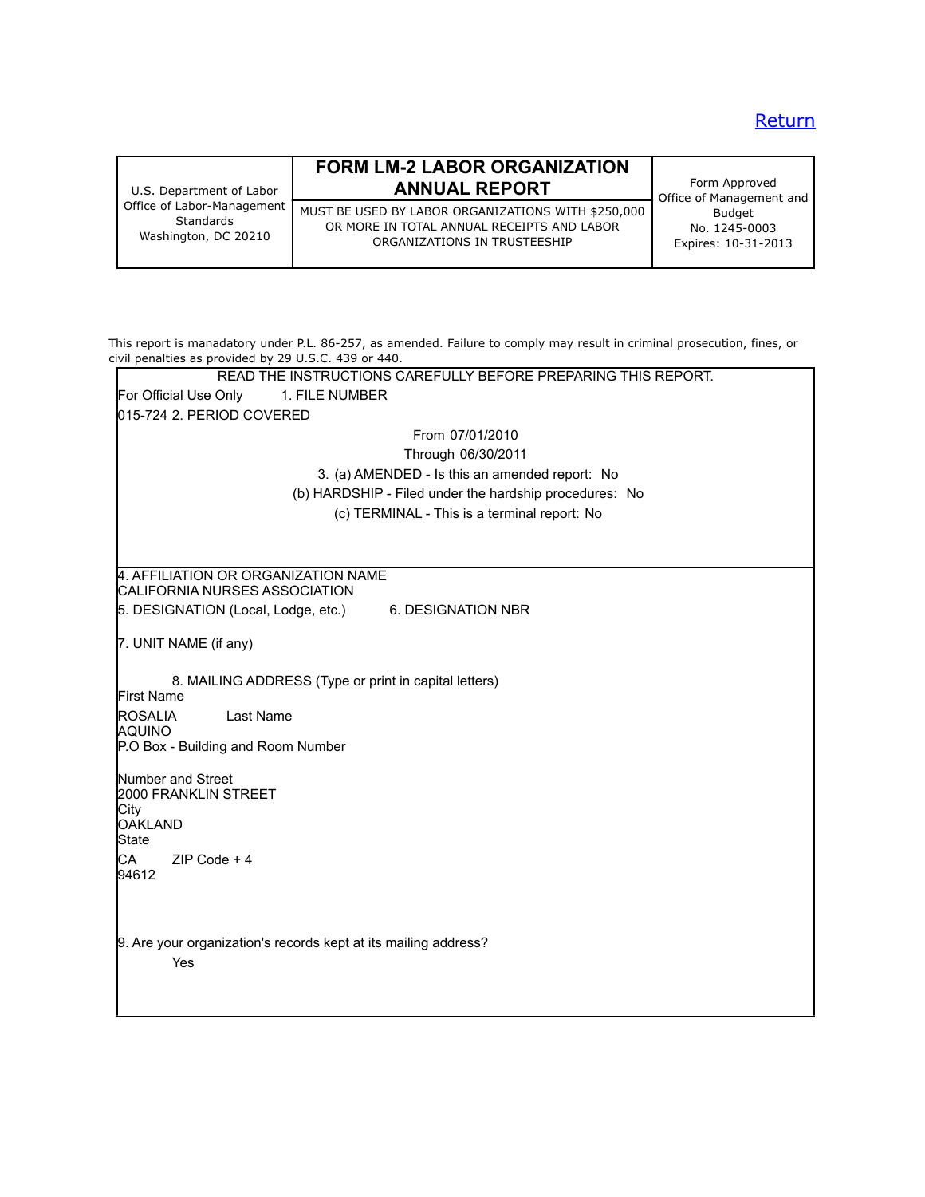# **Return**

| U.S. Department of Labor<br>Office of Labor-Management<br>Standards<br>Washington, DC 20210 | <b>FORM LM-2 LABOR ORGANIZATION</b><br><b>ANNUAL REPORT</b>                                                                      | Form Approved<br>Office of Management and             |
|---------------------------------------------------------------------------------------------|----------------------------------------------------------------------------------------------------------------------------------|-------------------------------------------------------|
|                                                                                             | MUST BE USED BY LABOR ORGANIZATIONS WITH \$250,000<br>OR MORE IN TOTAL ANNUAL RECEIPTS AND LABOR<br>ORGANIZATIONS IN TRUSTEESHIP | <b>Budget</b><br>No. 1245-0003<br>Expires: 10-31-2013 |

| This report is manadatory under P.L. 86-257, as amended. Failure to comply may result in criminal prosecution, fines, or<br>civil penalties as provided by 29 U.S.C. 439 or 440. |
|----------------------------------------------------------------------------------------------------------------------------------------------------------------------------------|
| READ THE INSTRUCTIONS CAREFULLY BEFORE PREPARING THIS REPORT.                                                                                                                    |
| For Official Use Only<br>1. FILE NUMBER                                                                                                                                          |
| 015-724 2. PERIOD COVERED                                                                                                                                                        |
| From 07/01/2010                                                                                                                                                                  |
| Through 06/30/2011                                                                                                                                                               |
| 3. (a) AMENDED - Is this an amended report: No                                                                                                                                   |
| (b) HARDSHIP - Filed under the hardship procedures: No                                                                                                                           |
| (c) TERMINAL - This is a terminal report: No                                                                                                                                     |
|                                                                                                                                                                                  |
|                                                                                                                                                                                  |
| 4. AFFILIATION OR ORGANIZATION NAME<br>CALIFORNIA NURSES ASSOCIATION                                                                                                             |
| 5. DESIGNATION (Local, Lodge, etc.)<br>6. DESIGNATION NBR                                                                                                                        |
| 7. UNIT NAME (if any)                                                                                                                                                            |
| 8. MAILING ADDRESS (Type or print in capital letters)<br>First Name                                                                                                              |
| <b>ROSALIA</b><br>Last Name<br><b>AQUINO</b>                                                                                                                                     |
| P.O Box - Building and Room Number                                                                                                                                               |
| Number and Street<br>2000 FRANKLIN STREET                                                                                                                                        |
| City                                                                                                                                                                             |
| <b>OAKLAND</b>                                                                                                                                                                   |
| State                                                                                                                                                                            |
| CA<br>$ZIP Code + 4$<br>94612                                                                                                                                                    |
|                                                                                                                                                                                  |
| 9. Are your organization's records kept at its mailing address?<br>Yes                                                                                                           |
|                                                                                                                                                                                  |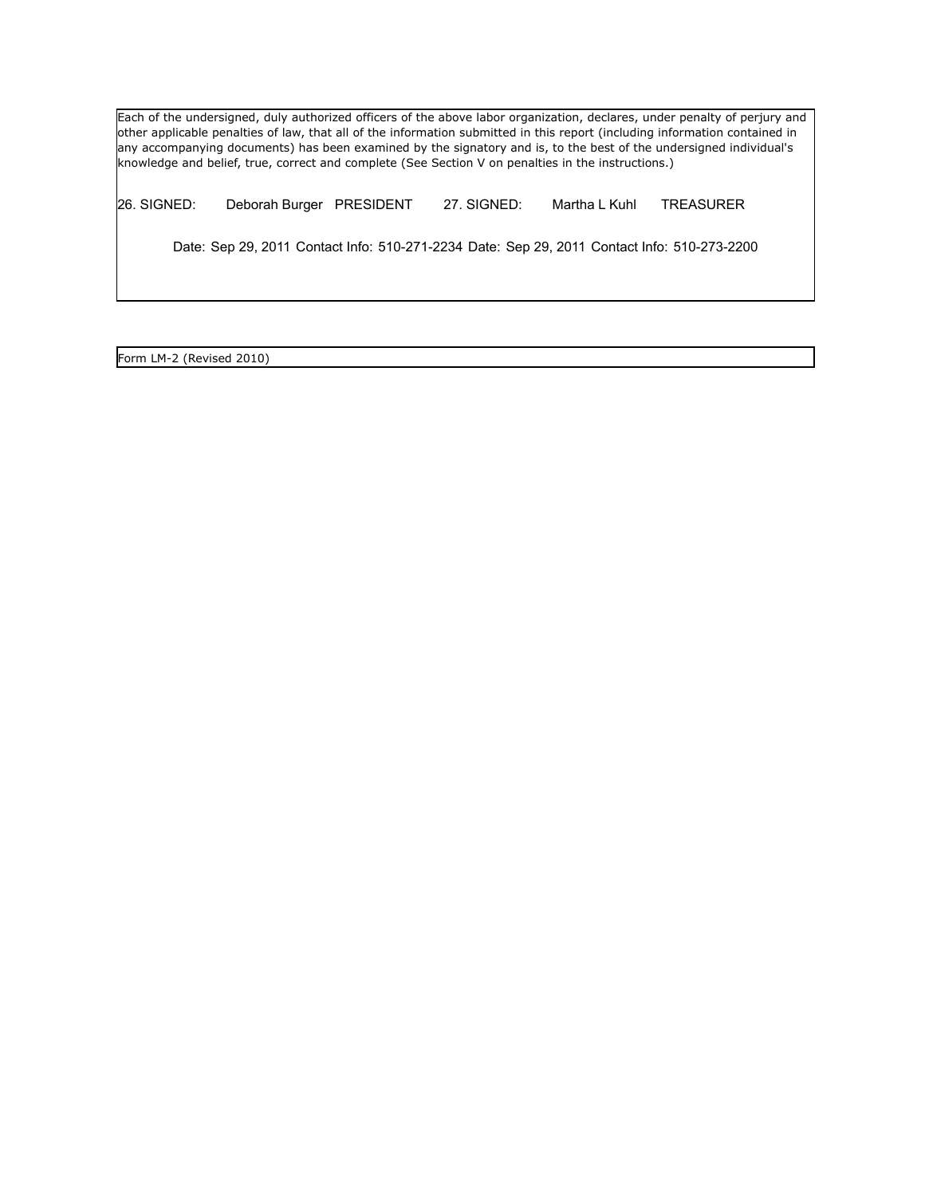Each of the undersigned, duly authorized officers of the above labor organization, declares, under penalty of perjury and other applicable penalties of law, that all of the information submitted in this report (including information contained in any accompanying documents) has been examined by the signatory and is, to the best of the undersigned individual's knowledge and belief, true, correct and complete (See Section V on penalties in the instructions.)

26. SIGNED: Deborah Burger PRESIDENT 27. SIGNED: Martha L Kuhl TREASURER

Date: Sep 29, 2011 Contact Info: 510-271-2234 Date: Sep 29, 2011 Contact Info: 510-273-2200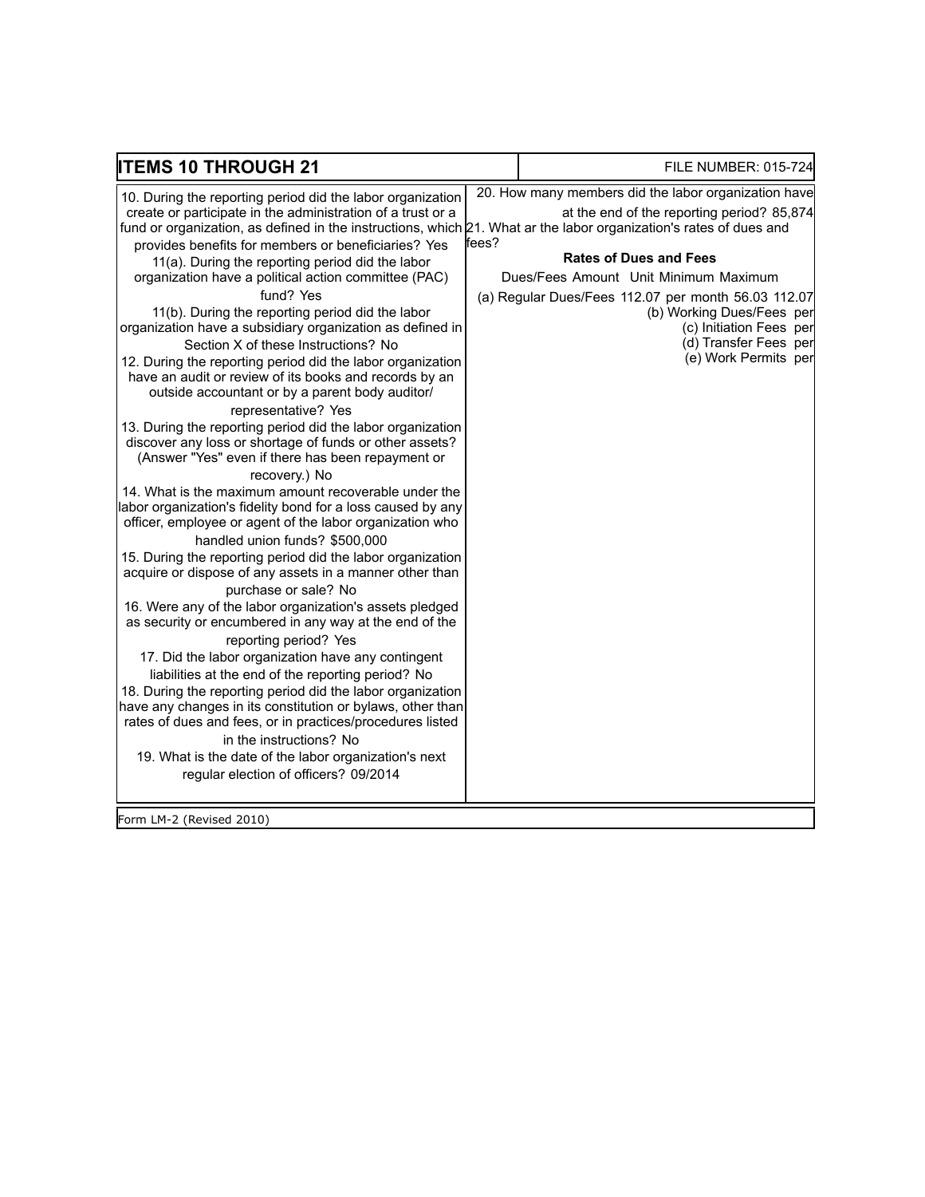| <b>ITEMS 10 THROUGH 21</b>                                                                                                                                                                                                                                                                                                                                                                                                                                                                                                                                                                                                                                                                                                                                                                                                                                                                                                                                                                                                                                                                                                                                                                                                                                                                                                                                                                                                                                                                                                                                                                                                                                                                                                                                                                                                                                                                                                                     |       | <b>FILE NUMBER: 015-724</b>                                                                                                                                                                                                                                                                                                                  |
|------------------------------------------------------------------------------------------------------------------------------------------------------------------------------------------------------------------------------------------------------------------------------------------------------------------------------------------------------------------------------------------------------------------------------------------------------------------------------------------------------------------------------------------------------------------------------------------------------------------------------------------------------------------------------------------------------------------------------------------------------------------------------------------------------------------------------------------------------------------------------------------------------------------------------------------------------------------------------------------------------------------------------------------------------------------------------------------------------------------------------------------------------------------------------------------------------------------------------------------------------------------------------------------------------------------------------------------------------------------------------------------------------------------------------------------------------------------------------------------------------------------------------------------------------------------------------------------------------------------------------------------------------------------------------------------------------------------------------------------------------------------------------------------------------------------------------------------------------------------------------------------------------------------------------------------------|-------|----------------------------------------------------------------------------------------------------------------------------------------------------------------------------------------------------------------------------------------------------------------------------------------------------------------------------------------------|
| 10. During the reporting period did the labor organization<br>create or participate in the administration of a trust or a<br>fund or organization, as defined in the instructions, which 21. What ar the labor organization's rates of dues and<br>provides benefits for members or beneficiaries? Yes<br>11(a). During the reporting period did the labor<br>organization have a political action committee (PAC)<br>fund? Yes<br>11(b). During the reporting period did the labor<br>organization have a subsidiary organization as defined in<br>Section X of these Instructions? No<br>12. During the reporting period did the labor organization<br>have an audit or review of its books and records by an<br>outside accountant or by a parent body auditor/<br>representative? Yes<br>13. During the reporting period did the labor organization<br>discover any loss or shortage of funds or other assets?<br>(Answer "Yes" even if there has been repayment or<br>recovery.) No<br>14. What is the maximum amount recoverable under the<br>labor organization's fidelity bond for a loss caused by any<br>officer, employee or agent of the labor organization who<br>handled union funds? \$500,000<br>15. During the reporting period did the labor organization<br>acquire or dispose of any assets in a manner other than<br>purchase or sale? No<br>16. Were any of the labor organization's assets pledged<br>as security or encumbered in any way at the end of the<br>reporting period? Yes<br>17. Did the labor organization have any contingent<br>liabilities at the end of the reporting period? No<br>18. During the reporting period did the labor organization<br>have any changes in its constitution or bylaws, other than<br>rates of dues and fees, or in practices/procedures listed<br>in the instructions? No<br>19. What is the date of the labor organization's next<br>regular election of officers? 09/2014 | fees? | 20. How many members did the labor organization have<br>at the end of the reporting period? 85,874<br><b>Rates of Dues and Fees</b><br>Dues/Fees Amount Unit Minimum Maximum<br>(a) Regular Dues/Fees 112.07 per month 56.03 112.07<br>(b) Working Dues/Fees per<br>(c) Initiation Fees per<br>(d) Transfer Fees per<br>(e) Work Permits per |
| Form LM-2 (Revised 2010)                                                                                                                                                                                                                                                                                                                                                                                                                                                                                                                                                                                                                                                                                                                                                                                                                                                                                                                                                                                                                                                                                                                                                                                                                                                                                                                                                                                                                                                                                                                                                                                                                                                                                                                                                                                                                                                                                                                       |       |                                                                                                                                                                                                                                                                                                                                              |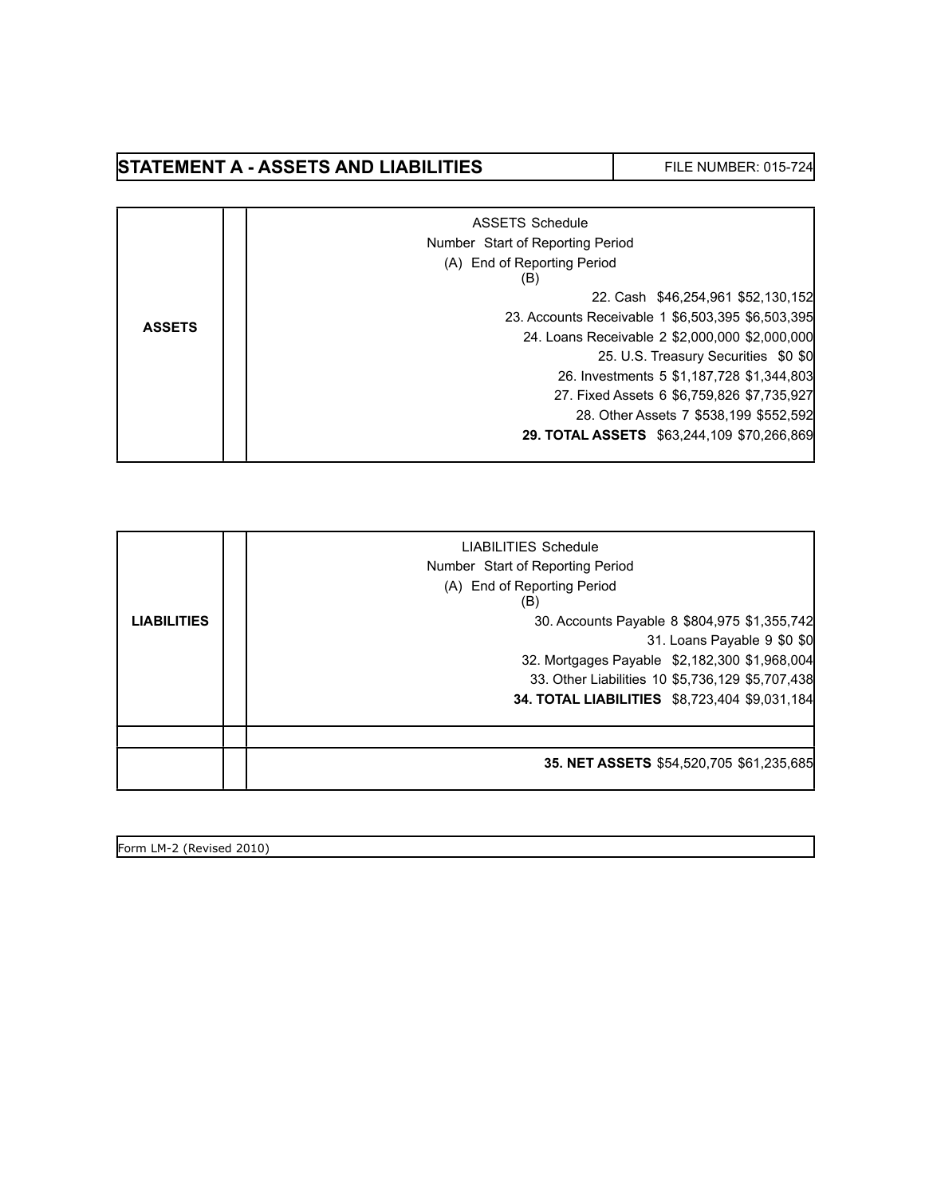# **STATEMENT A - ASSETS AND LIABILITIES** FILE NUMBER: 015-724

|               | ASSETS Schedule                                   |
|---------------|---------------------------------------------------|
|               | Number Start of Reporting Period                  |
|               | (A) End of Reporting Period<br>(B)                |
|               | 22. Cash \$46,254,961 \$52,130,152                |
| <b>ASSETS</b> | 23. Accounts Receivable 1 \$6,503,395 \$6,503,395 |
|               | 24. Loans Receivable 2 \$2,000,000 \$2,000,000    |
|               | 25. U.S. Treasury Securities \$0 \$0              |
|               | 26. Investments 5 \$1,187,728 \$1,344,803         |
|               | 27. Fixed Assets 6 \$6,759,826 \$7,735,927        |
|               | 28. Other Assets 7 \$538,199 \$552,592            |
|               | 29. TOTAL ASSETS \$63,244,109 \$70,266,869        |
|               |                                                   |

|                    | LIABILITIES Schedule<br>Number Start of Reporting Period<br>(A) End of Reporting Period<br>(B) |
|--------------------|------------------------------------------------------------------------------------------------|
| <b>LIABILITIES</b> | 30. Accounts Payable 8 \$804,975 \$1,355,742                                                   |
|                    | 31. Loans Payable 9 \$0 \$0                                                                    |
|                    | 32. Mortgages Payable \$2,182,300 \$1,968,004                                                  |
|                    | 33. Other Liabilities 10 \$5,736,129 \$5,707,438                                               |
|                    | 34. TOTAL LIABILITIES \$8,723,404 \$9,031,184                                                  |
|                    |                                                                                                |
|                    | 35. NET ASSETS \$54,520,705 \$61,235,685                                                       |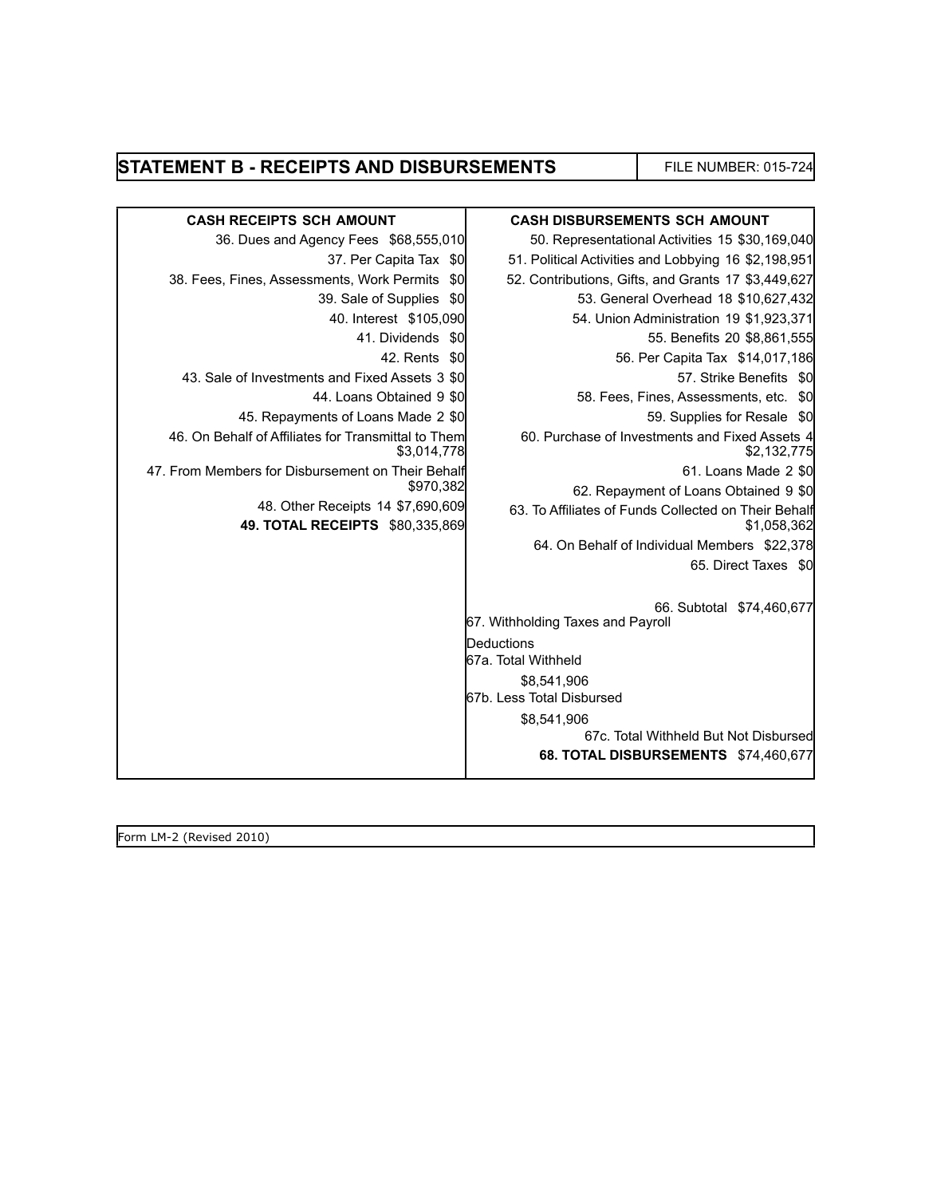### **STATEMENT B - RECEIPTS AND DISBURSEMENTS** FILE NUMBER: 015-724

| <b>CASH RECEIPTS SCH AMOUNT</b>                                      | <b>CASH DISBURSEMENTS SCH AMOUNT</b>                                |
|----------------------------------------------------------------------|---------------------------------------------------------------------|
| 36. Dues and Agency Fees \$68,555,010                                | 50. Representational Activities 15 \$30,169,040                     |
| 37. Per Capita Tax \$0                                               | 51. Political Activities and Lobbying 16 \$2,198,951                |
| 38. Fees, Fines, Assessments, Work Permits<br>\$0                    | 52. Contributions, Gifts, and Grants 17 \$3,449,627                 |
| 39. Sale of Supplies<br>\$0                                          | 53. General Overhead 18 \$10,627,432                                |
| 40. Interest \$105,090                                               | 54. Union Administration 19 \$1,923,371                             |
| 41. Dividends<br>-\$0                                                | 55. Benefits 20 \$8,861,555                                         |
| 42. Rents \$0                                                        | 56. Per Capita Tax \$14,017,186                                     |
| 43. Sale of Investments and Fixed Assets 3 \$0                       | 57. Strike Benefits \$0                                             |
| 44. Loans Obtained 9 \$0                                             | 58. Fees, Fines, Assessments, etc. \$0                              |
| 45. Repayments of Loans Made 2 \$0                                   | 59. Supplies for Resale \$0                                         |
| 46. On Behalf of Affiliates for Transmittal to Them<br>\$3,014,778   | 60. Purchase of Investments and Fixed Assets 4<br>\$2,132,775       |
| 47. From Members for Disbursement on Their Behalf                    | 61. Loans Made 2 \$0                                                |
| \$970,382                                                            | 62. Repayment of Loans Obtained 9 \$0                               |
| 48. Other Receipts 14 \$7,690,609<br>49. TOTAL RECEIPTS \$80,335,869 | 63. To Affiliates of Funds Collected on Their Behalf<br>\$1,058,362 |
|                                                                      | 64. On Behalf of Individual Members \$22,378                        |
|                                                                      | 65. Direct Taxes \$0                                                |
|                                                                      | 66. Subtotal \$74,460,677<br>67. Withholding Taxes and Payroll      |
|                                                                      | Deductions<br>67a. Total Withheld                                   |
|                                                                      | \$8,541,906                                                         |
|                                                                      | 67b. Less Total Disbursed                                           |
|                                                                      | \$8,541,906                                                         |
|                                                                      | 67c. Total Withheld But Not Disbursed                               |
|                                                                      | 68. TOTAL DISBURSEMENTS \$74,460,677                                |
|                                                                      |                                                                     |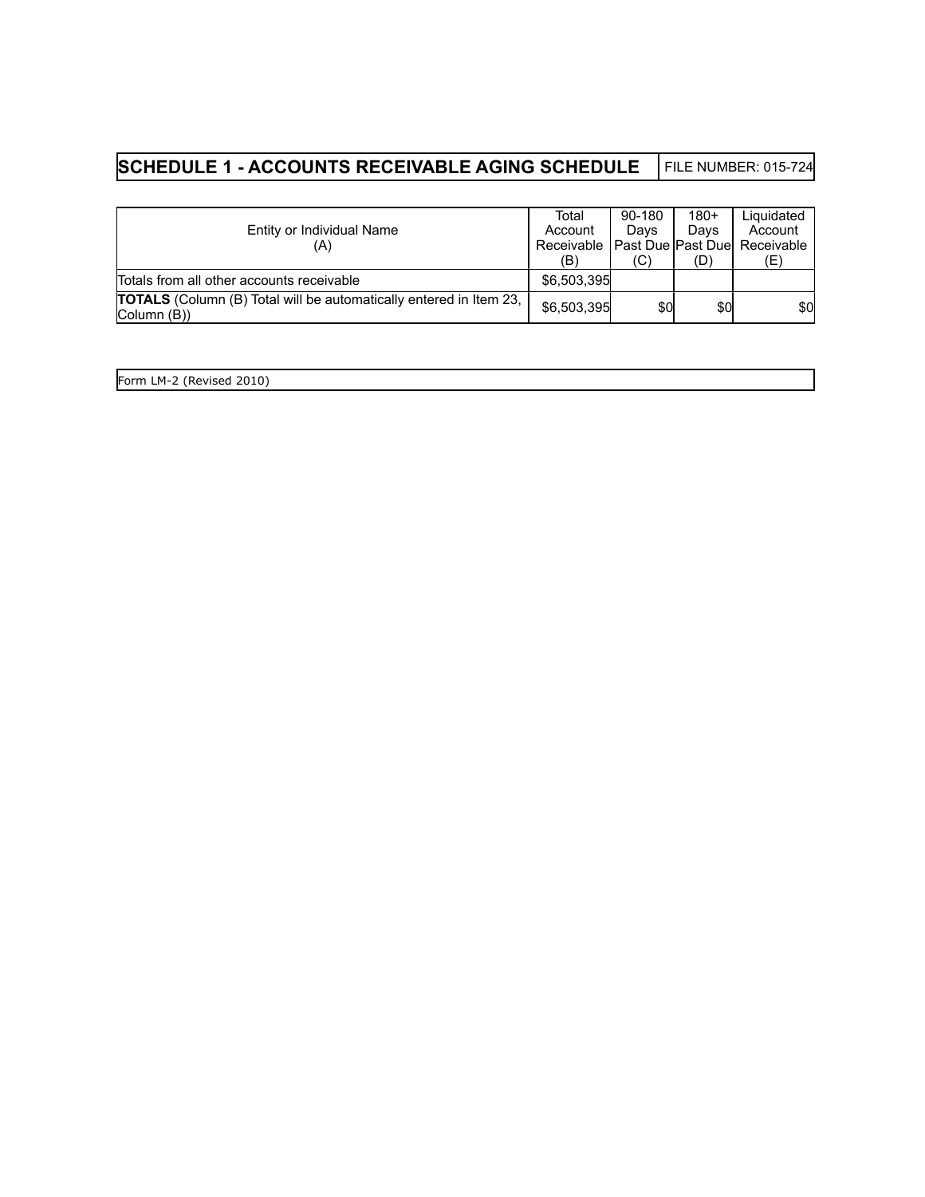# **SCHEDULE 1 - ACCOUNTS RECEIVABLE AGING SCHEDULE** FILE NUMBER: 015-724

|                                                                                                                 | Total                                        | 90-180 | $180+$ | Liquidated |
|-----------------------------------------------------------------------------------------------------------------|----------------------------------------------|--------|--------|------------|
| Entity or Individual Name                                                                                       | Account                                      | Davs   | Davs   | Account    |
| (A)                                                                                                             | Receivable   Past Due   Past Due  Receivable |        |        |            |
|                                                                                                                 | (B)                                          | (C)    | (D)    | (E)        |
| Totals from all other accounts receivable                                                                       | \$6,503,395                                  |        |        |            |
| <b>TOTALS</b> (Column (B) Total will be automatically entered in Item 23,<br>$\vert$ Column $\vert$ $\vert$ B)) | \$6,503,395                                  | \$0    | \$0    | \$0        |

| Form LM-2<br>(Revised 2010) |  |  |
|-----------------------------|--|--|
|                             |  |  |
|                             |  |  |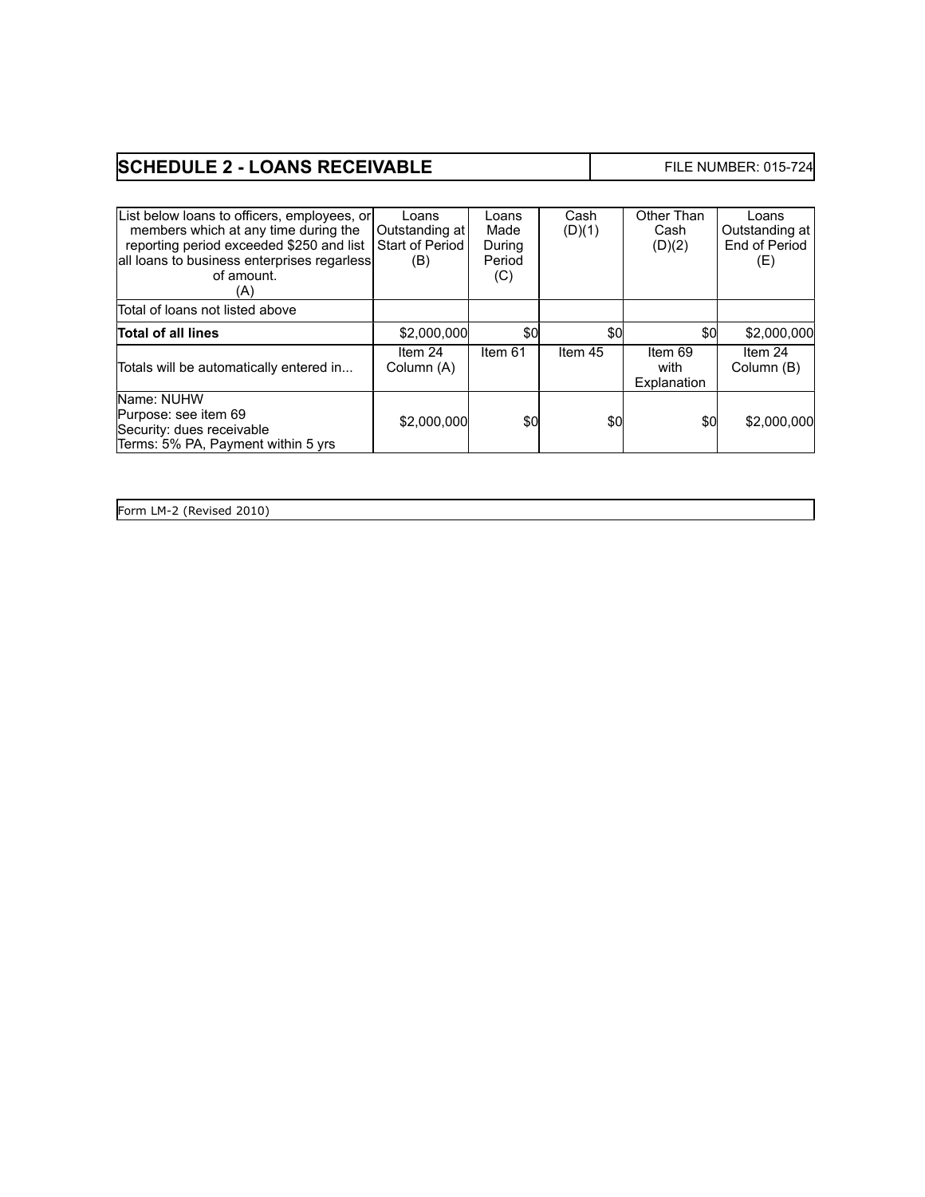# **SCHEDULE 2 - LOANS RECEIVABLE** FILE NUMBER: 015-724

| List below loans to officers, employees, or<br>members which at any time during the<br>reporting period exceeded \$250 and list<br>all loans to business enterprises regarless<br>of amount.<br>(A) | Loans<br>Outstanding at<br>Start of Period<br>(B) | Loans<br>Made<br>During<br>Period<br>(C) | Cash<br>(D)(1) | Other Than<br>Cash<br>(D)(2)   | Loans<br>Outstanding at<br>End of Period<br>(E) |
|-----------------------------------------------------------------------------------------------------------------------------------------------------------------------------------------------------|---------------------------------------------------|------------------------------------------|----------------|--------------------------------|-------------------------------------------------|
| Total of loans not listed above                                                                                                                                                                     |                                                   |                                          |                |                                |                                                 |
| <b>Total of all lines</b>                                                                                                                                                                           | \$2,000,000                                       | \$0                                      | \$0            | \$0                            | \$2,000,000                                     |
| Totals will be automatically entered in                                                                                                                                                             | Item 24<br>Column (A)                             | Item 61                                  | Item 45        | Item 69<br>with<br>Explanation | Item 24<br>Column (B)                           |
| Name: NUHW<br>Purpose: see item 69<br>Security: dues receivable<br>Terms: 5% PA, Payment within 5 yrs                                                                                               | \$2,000,000                                       | \$0                                      | \$0            | \$0                            | \$2,000,000                                     |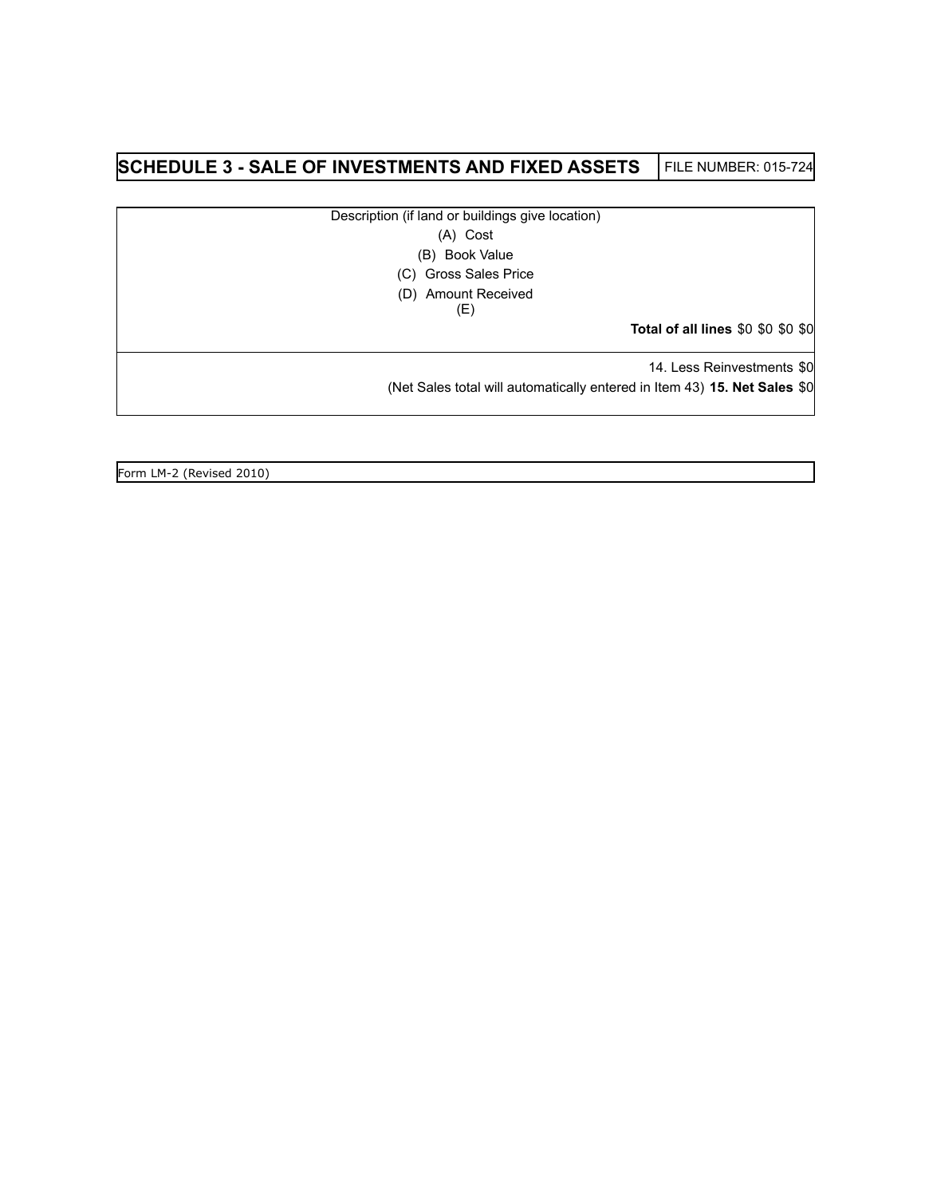### **SCHEDULE 3 - SALE OF INVESTMENTS AND FIXED ASSETS** FILE NUMBER: 015-724

Description (if land or buildings give location)

(A) Cost

(B) Book Value

(C) Gross Sales Price

(D) Amount Received

(E)

**Total of all lines** \$0 \$0 \$0 \$0

14. Less Reinvestments \$0

(Net Sales total will automatically entered in Item 43) **15. Net Sales** \$0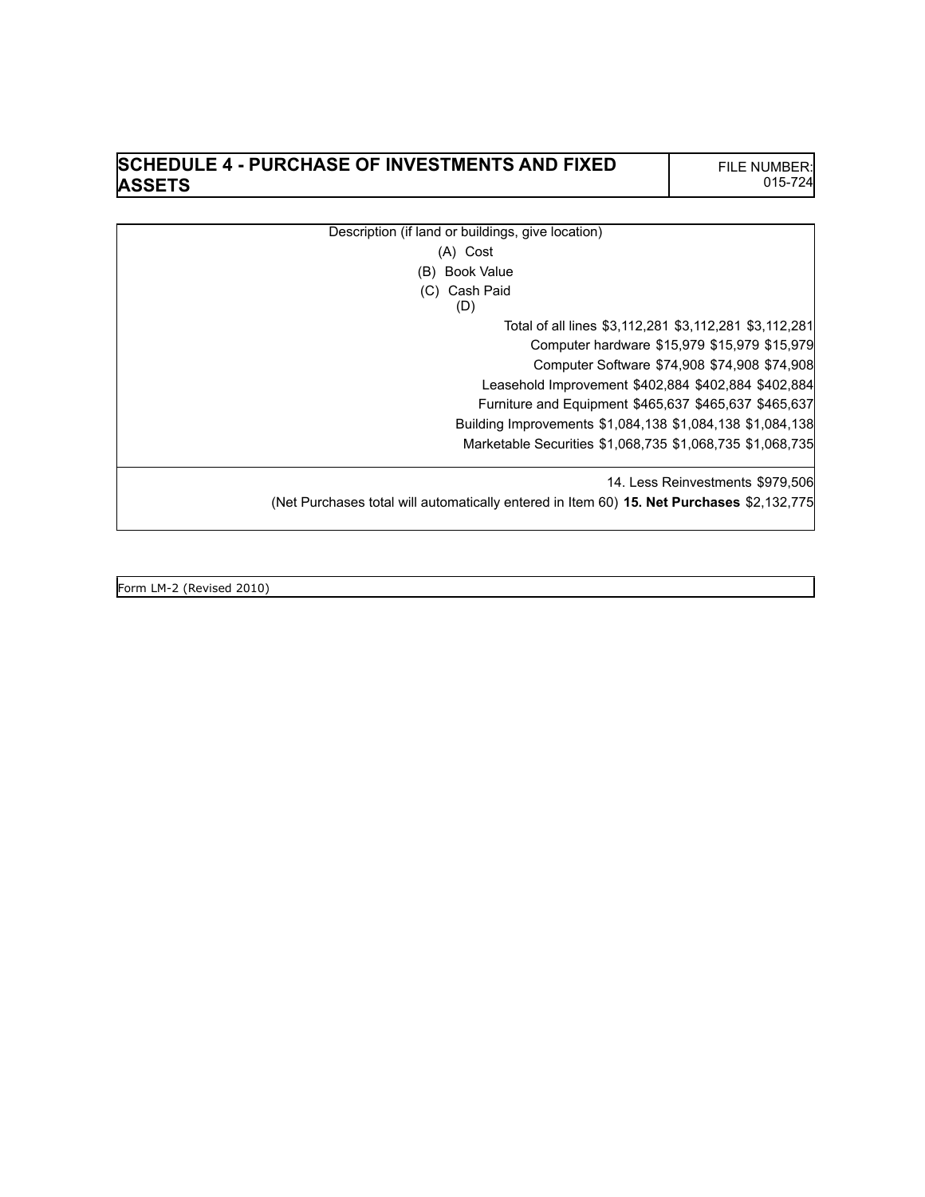#### **SCHEDULE 4 - PURCHASE OF INVESTMENTS AND FIXED ASSETS**

Description (if land or buildings, give location) (A) Cost (B) Book Value (C) Cash Paid (D) Total of all lines \$3,112,281 \$3,112,281 \$3,112,281 Computer hardware \$15,979 \$15,979 \$15,979 Computer Software \$74,908 \$74,908 \$74,908 Leasehold Improvement \$402,884 \$402,884 \$402,884 Furniture and Equipment \$465,637 \$465,637 \$465,637 Building Improvements \$1,084,138 \$1,084,138 \$1,084,138 Marketable Securities \$1,068,735 \$1,068,735 \$1,068,735 14. Less Reinvestments \$979,506 (Net Purchases total will automatically entered in Item 60) **15. Net Purchases** \$2,132,775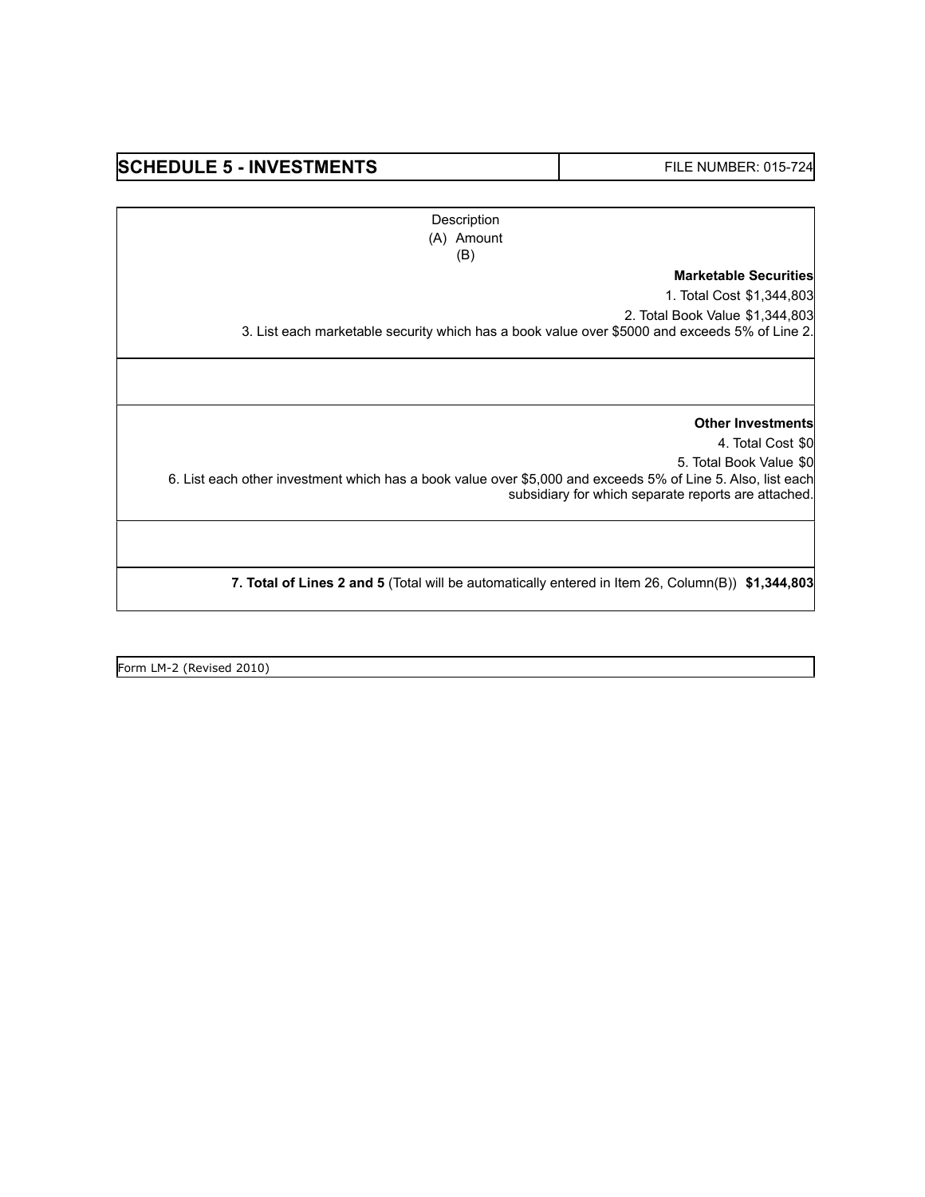#### SCHEDULE 5 - INVESTMENTS **FILE NUMBER: 015-724**

**Description** (A) Amount (B)

#### **Marketable Securities**

1. Total Cost \$1,344,803 2. Total Book Value \$1,344,803 3. List each marketable security which has a book value over \$5000 and exceeds 5% of Line 2.

**Other Investments**

4. Total Cost \$0 5. Total Book Value \$0 6. List each other investment which has a book value over \$5,000 and exceeds 5% of Line 5. Also, list each

subsidiary for which separate reports are attached.

**7. Total of Lines 2 and 5** (Total will be automatically entered in Item 26, Column(B)) **\$1,344,803**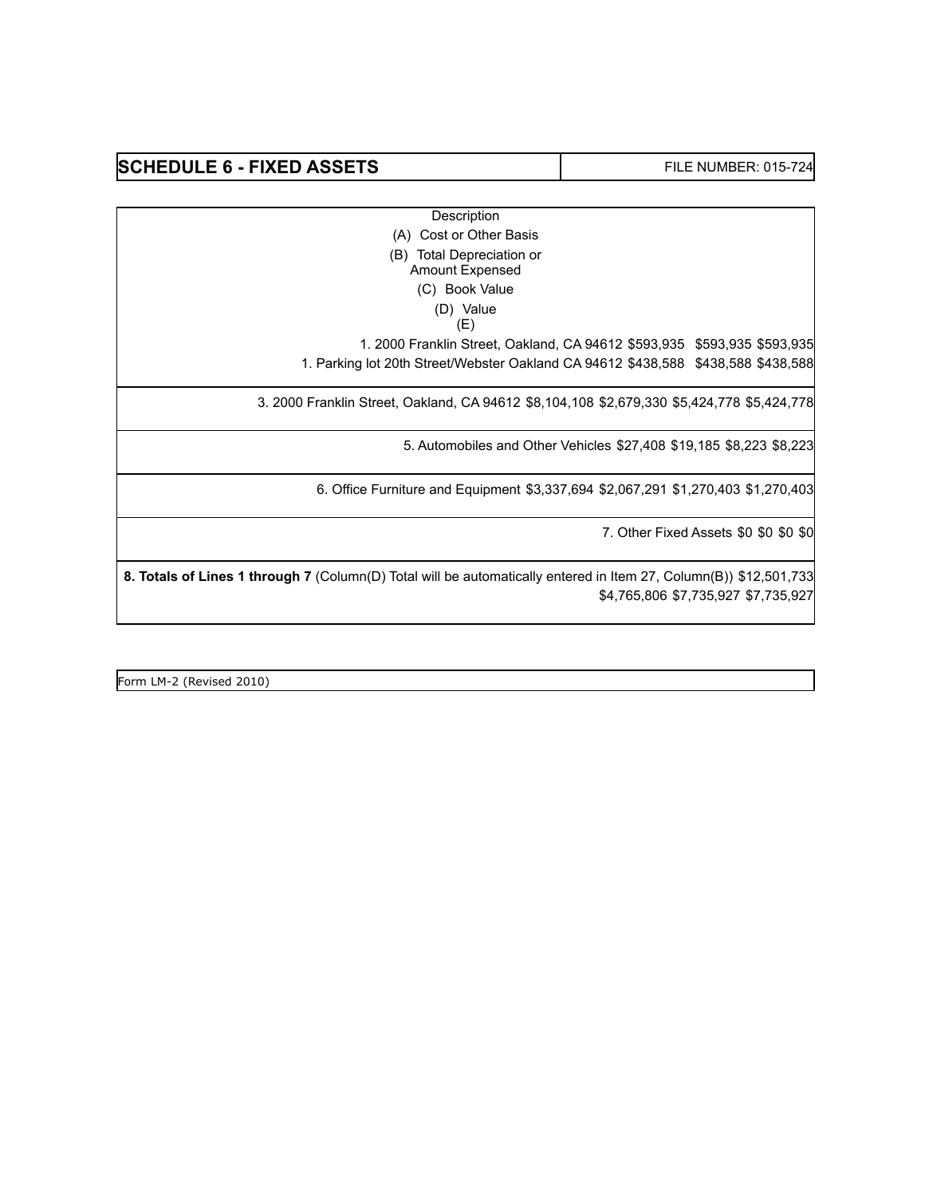#### SCHEDULE 6 - FIXED ASSETS **FILE NUMBER: 015-724**

**Description** 

(A) Cost or Other Basis

(B) Total Depreciation or

Amount Expensed

(C) Book Value

(D) Value

(E)

1. 2000 Franklin Street, Oakland, CA 94612 \$593,935 \$593,935 \$593,935

1. Parking lot 20th Street/Webster Oakland CA 94612 \$438,588 \$438,588 \$438,588

3. 2000 Franklin Street, Oakland, CA 94612 \$8,104,108 \$2,679,330 \$5,424,778 \$5,424,778

5. Automobiles and Other Vehicles \$27,408 \$19,185 \$8,223 \$8,223

6. Office Furniture and Equipment \$3,337,694 \$2,067,291 \$1,270,403 \$1,270,403

7. Other Fixed Assets \$0 \$0 \$0 \$0

**8. Totals of Lines 1 through 7** (Column(D) Total will be automatically entered in Item 27, Column(B)) \$12,501,733 \$4,765,806 \$7,735,927 \$7,735,927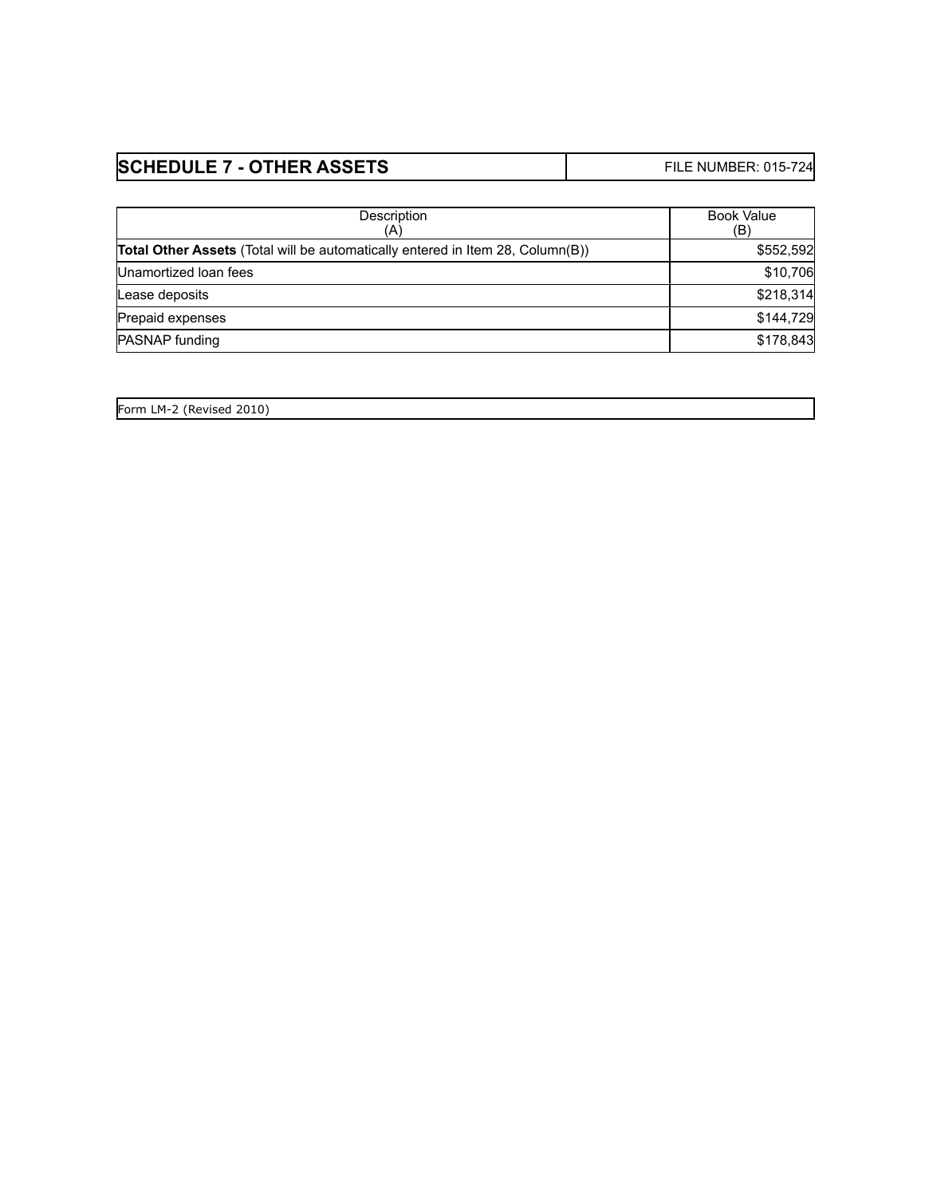| <b>SCHEDULE 7 - OTHER ASSETS</b> | <b>FILE NUMBER: 015-724</b> |
|----------------------------------|-----------------------------|
|----------------------------------|-----------------------------|

| Description<br>(A)                                                                    | <b>Book Value</b><br>(B) |
|---------------------------------------------------------------------------------------|--------------------------|
| <b>Total Other Assets</b> (Total will be automatically entered in Item 28, Column(B)) | \$552,592                |
| Unamortized Ioan fees                                                                 | \$10,706                 |
| Lease deposits                                                                        | \$218,314                |
| Prepaid expenses                                                                      | \$144,729                |
| <b>PASNAP</b> funding                                                                 | \$178,843                |

|  | Form LM-2 (Revised 2010) |  |
|--|--------------------------|--|
|  |                          |  |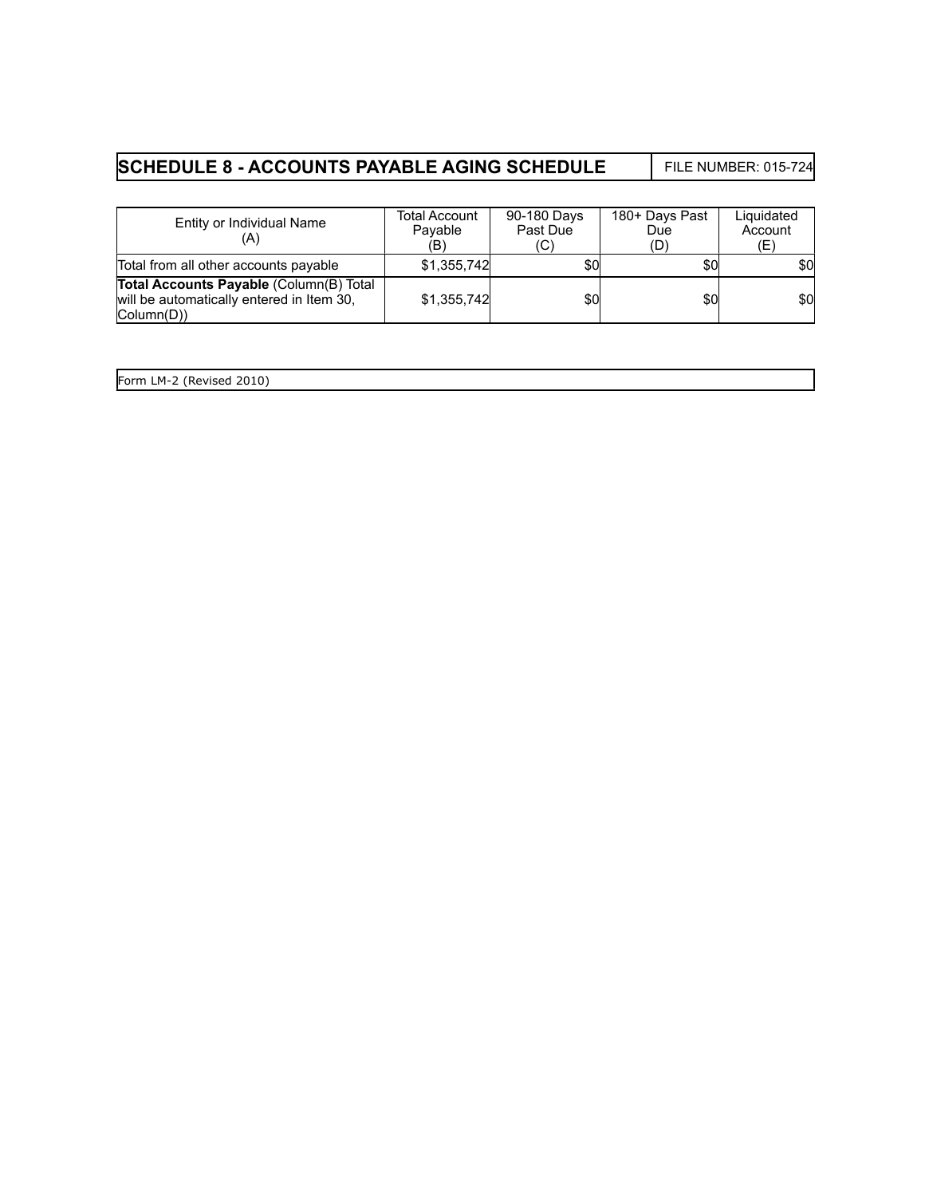# **SCHEDULE 8 - ACCOUNTS PAYABLE AGING SCHEDULE** FILE NUMBER: 015-724

| Entity or Individual Name<br>(A)                                                                                             | Total Account<br>Payable<br>(B) | 90-180 Days<br>Past Due<br>(C) | 180+ Days Past<br>Due<br>(D) | Liquidated<br>Account<br>(E) |
|------------------------------------------------------------------------------------------------------------------------------|---------------------------------|--------------------------------|------------------------------|------------------------------|
| Total from all other accounts payable                                                                                        | \$1,355,742                     | \$0                            | \$0                          | \$0                          |
| Total Accounts Payable (Column(B) Total<br>will be automatically entered in Item 30,<br>$\vert$ Column $\vert$ D $\rangle$ ) | \$1,355,742                     | \$0                            | \$0                          | \$0                          |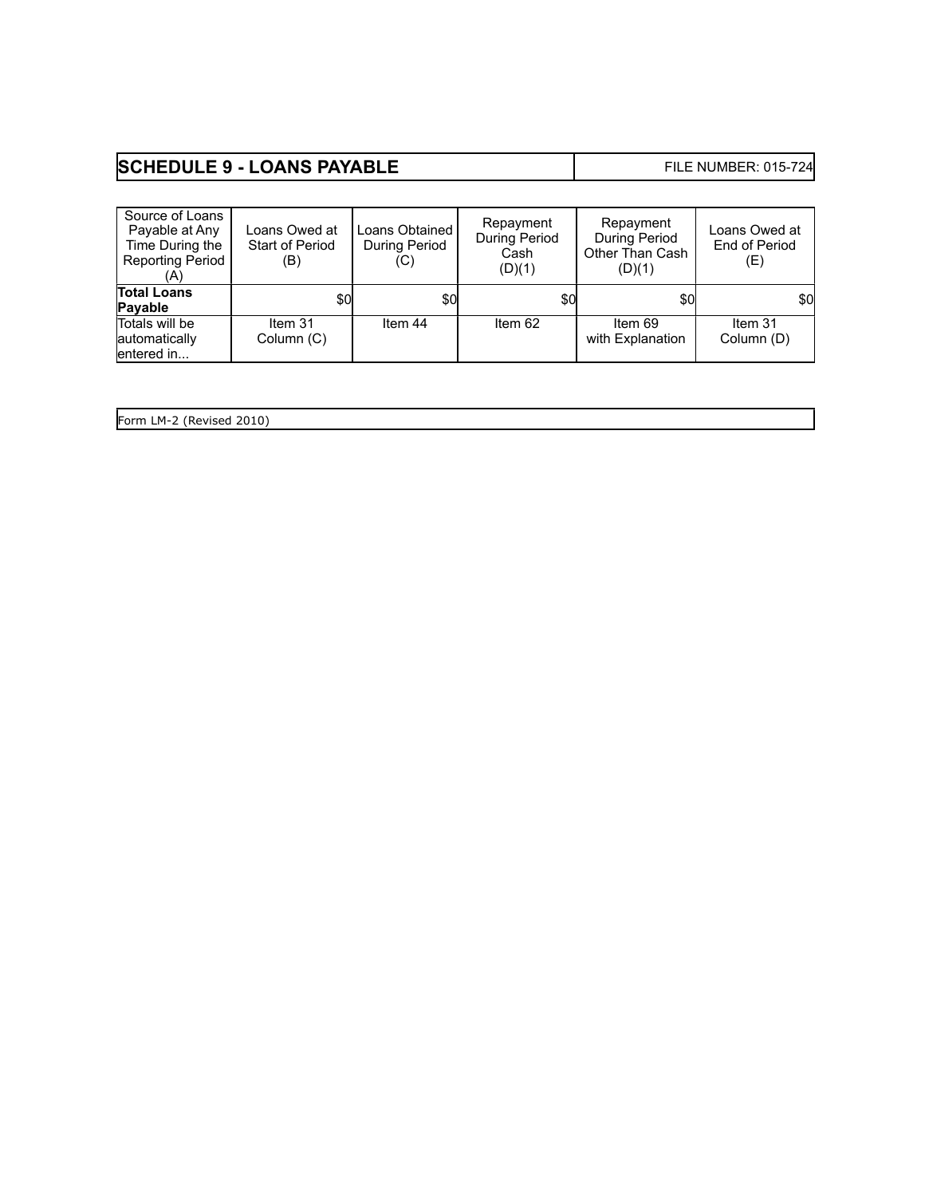# **SCHEDULE 9 - LOANS PAYABLE** FILE NUMBER: 015-724

| Source of Loans<br>Payable at Any<br>Time During the<br><b>Reporting Period</b><br>'A) | Loans Owed at<br><b>Start of Period</b><br>(B) | Loans Obtained<br>During Period<br>(C) | Repayment<br>During Period<br>Cash<br>(D)(1) | Repayment<br>During Period<br>Other Than Cash<br>(D)(1) | Loans Owed at<br>End of Period<br>(E) |
|----------------------------------------------------------------------------------------|------------------------------------------------|----------------------------------------|----------------------------------------------|---------------------------------------------------------|---------------------------------------|
| <b>Total Loans</b><br>Payable                                                          | \$0                                            | \$0                                    | \$0                                          | \$0                                                     | \$0                                   |
| Totals will be<br>automatically<br>lentered in                                         | Item 31<br>Column (C)                          | Item 44                                | Item 62                                      | Item 69<br>with Explanation                             | Item 31<br>Column (D)                 |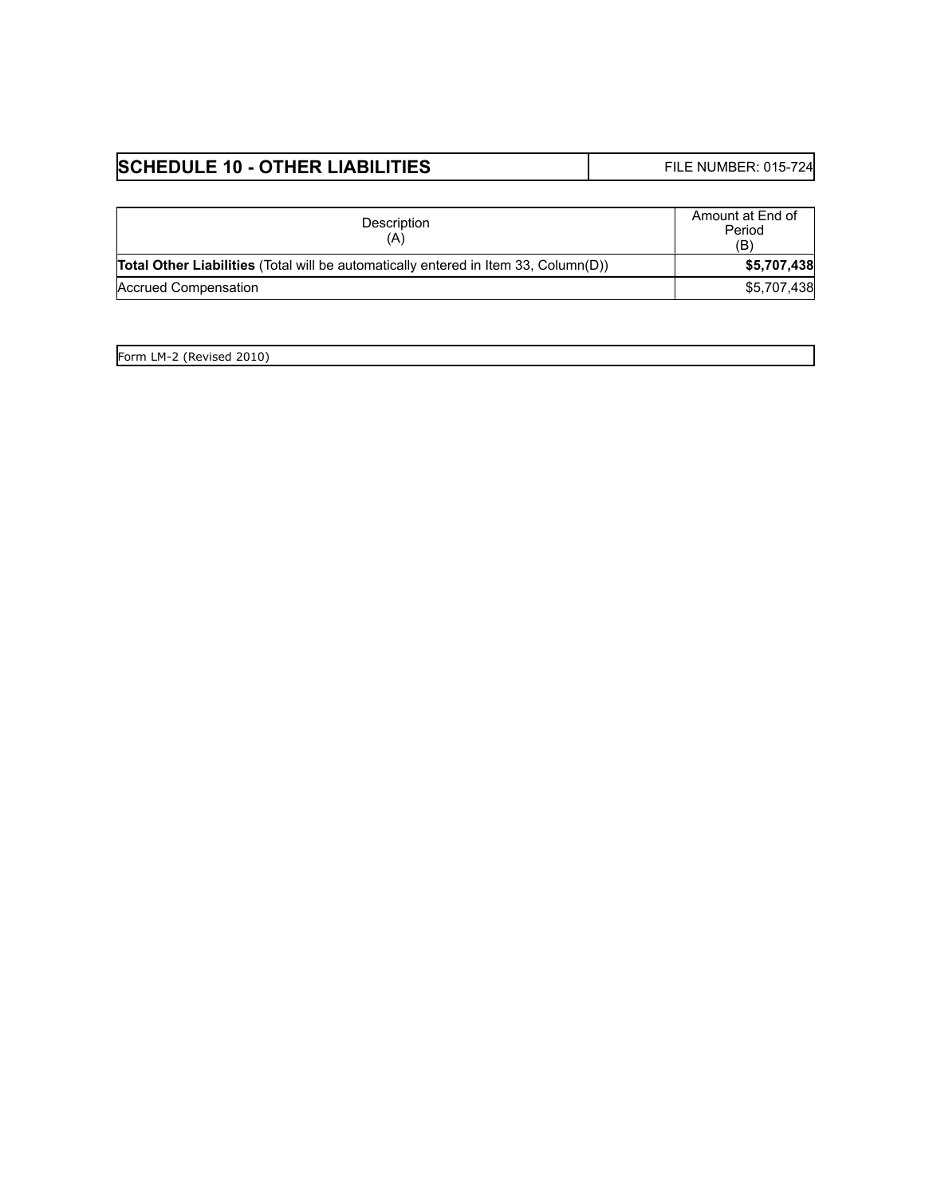# **SCHEDULE 10 - OTHER LIABILITIES** FILE NUMBER: 015-724

| Description                                                                                | Amount at End of<br>Period<br>(B) |
|--------------------------------------------------------------------------------------------|-----------------------------------|
| <b>Total Other Liabilities</b> (Total will be automatically entered in Item 33, Column(D)) | \$5,707,438                       |
| Accrued Compensation                                                                       | \$5,707,438                       |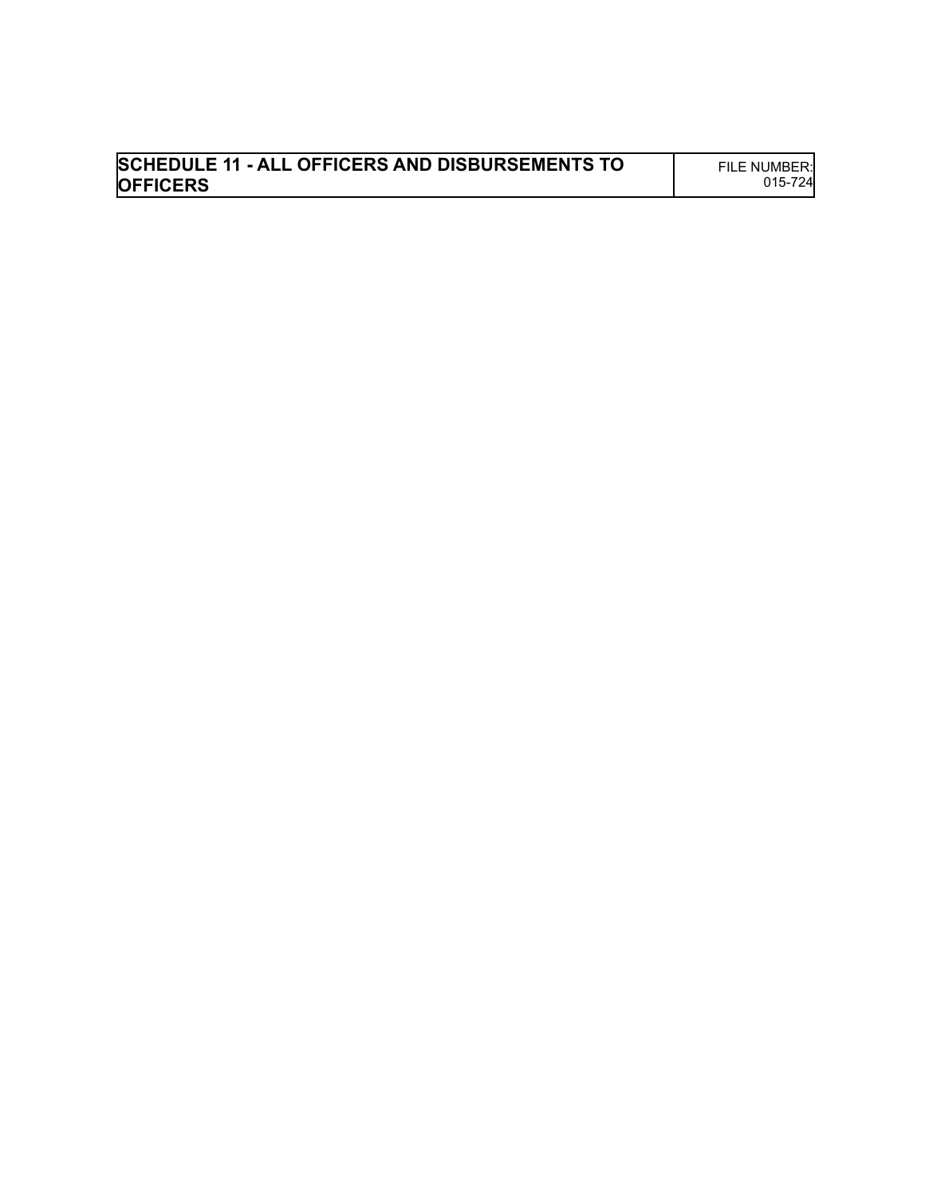| <b>SCHEDULE 11 - ALL OFFICERS AND DISBURSEMENTS TO</b> | FILE NUMBER: |
|--------------------------------------------------------|--------------|
| <b>OFFICERS</b>                                        | 015-724      |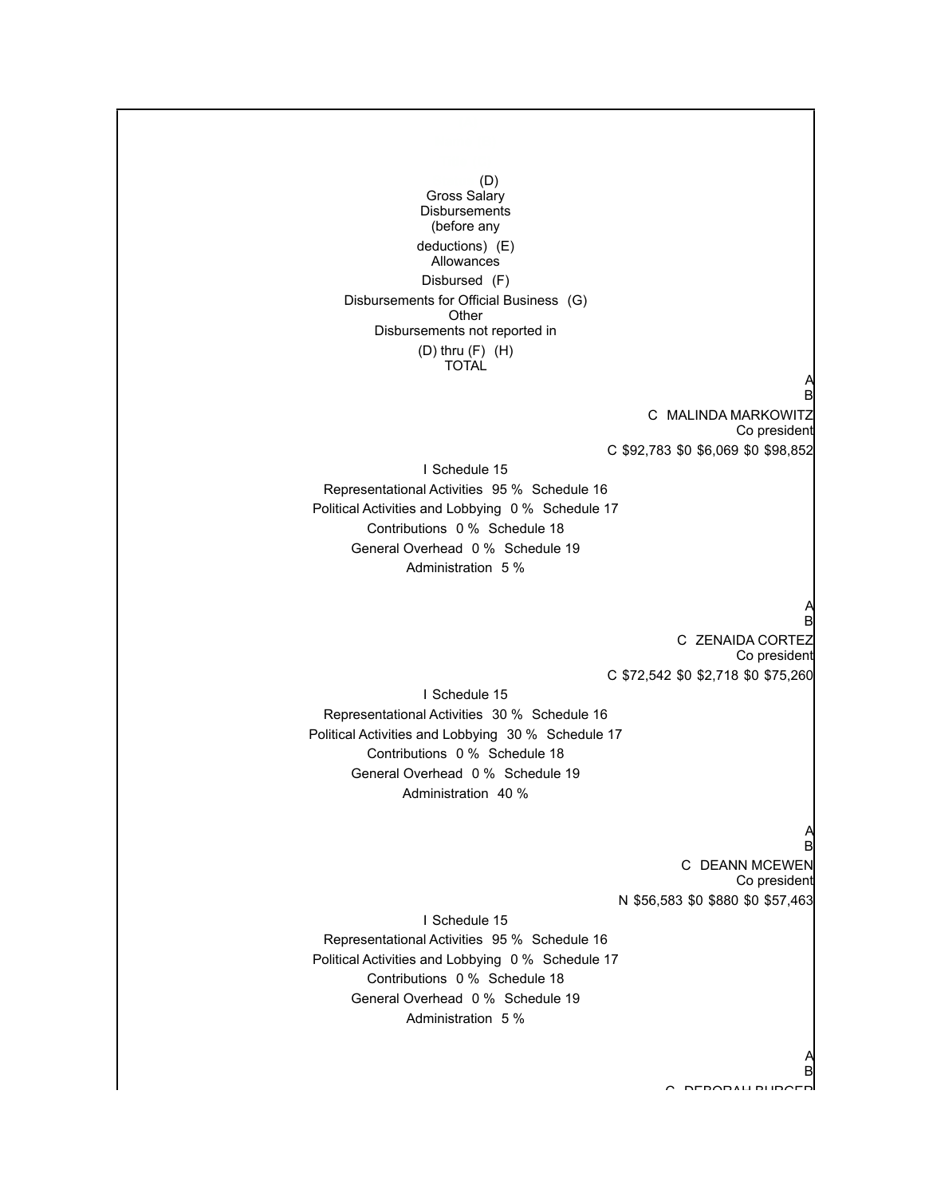**Status** (D) Gross Salary **Disbursements** (before any deductions) (E) **Allowances** Disbursed (F) Disbursements for Official Business (G) **Other** Disbursements not reported in (D) thru (F) (H) TOTAL

> C MALINDA MARKOWITZ Co president C \$92,783 \$0 \$6,069 \$0 \$98,852

I Schedule 15 Representational Activities 95 % Schedule 16 Political Activities and Lobbying 0 % Schedule 17 Contributions 0 % Schedule 18 General Overhead 0 % Schedule 19 Administration 5 %

#### A B

A B

C ZENAIDA CORTEZ Co president C \$72,542 \$0 \$2,718 \$0 \$75,260

I Schedule 15 Representational Activities 30 % Schedule 16 Political Activities and Lobbying 30 % Schedule 17 Contributions 0 % Schedule 18 General Overhead 0 % Schedule 19 Administration 40 %

#### A B

A B

C DEANN MCEWEN Co president N \$56,583 \$0 \$880 \$0 \$57,463

I Schedule 15 Representational Activities 95 % Schedule 16 Political Activities and Lobbying 0 % Schedule 17 Contributions 0 % Schedule 18 General Overhead 0 % Schedule 19 Administration 5 %

C DEBORAH BURGER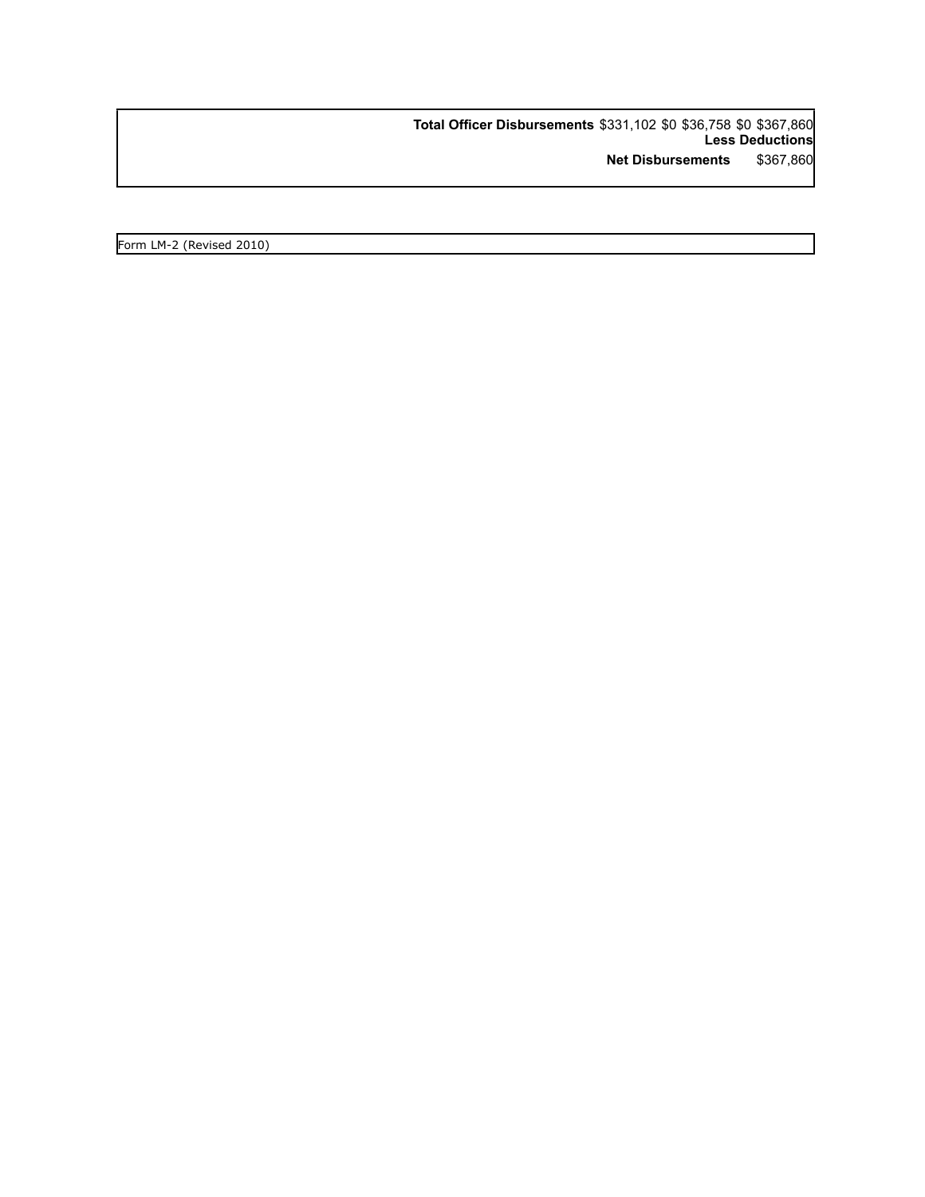**Total Officer Disbursements** \$331,102 \$0 \$36,758 \$0 \$367,860 **Less Deductions Net Disbursements** \$367,860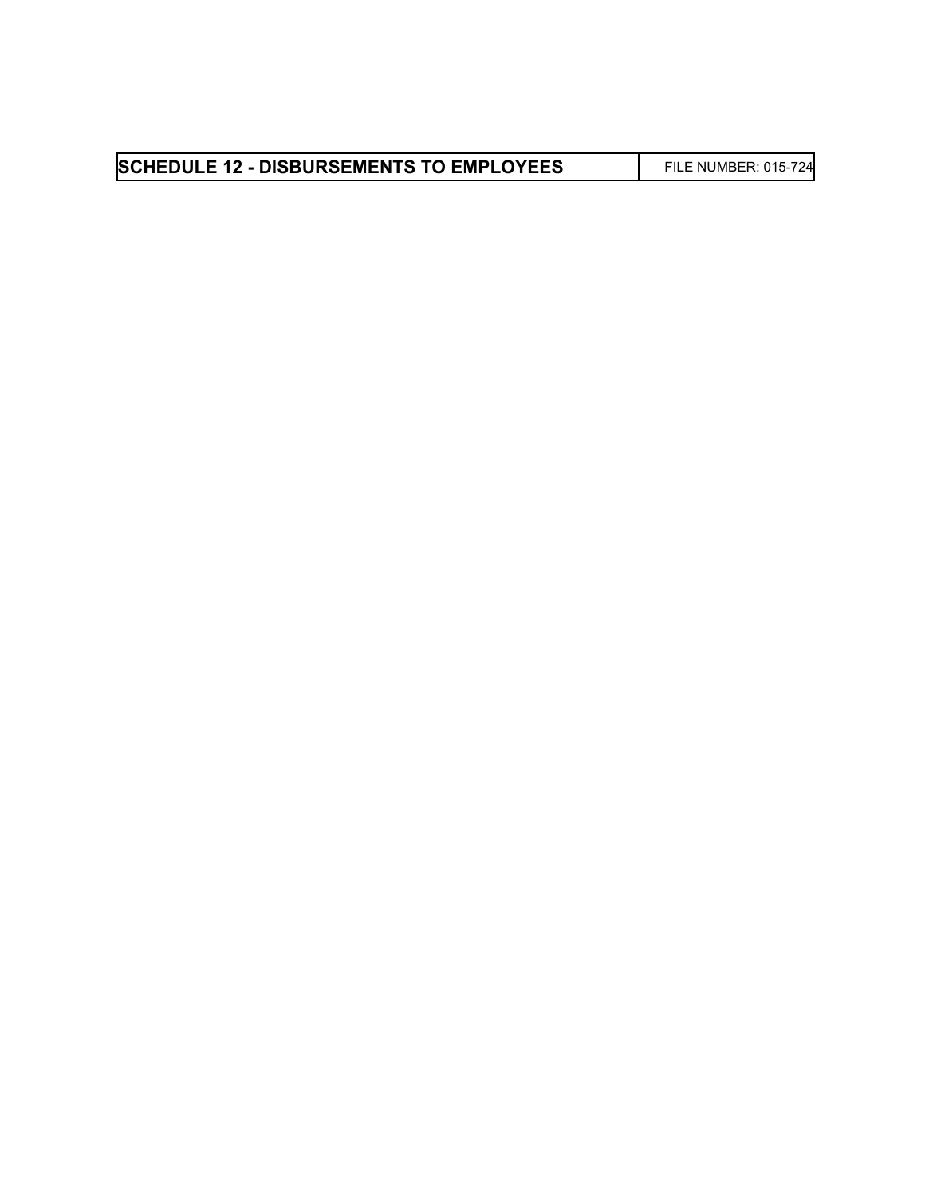| <b>SCHEDULE 12 - DISBURSEMENTS TO EMPLOYEES</b> | FILE NUMBER: 015-724 |
|-------------------------------------------------|----------------------|
|-------------------------------------------------|----------------------|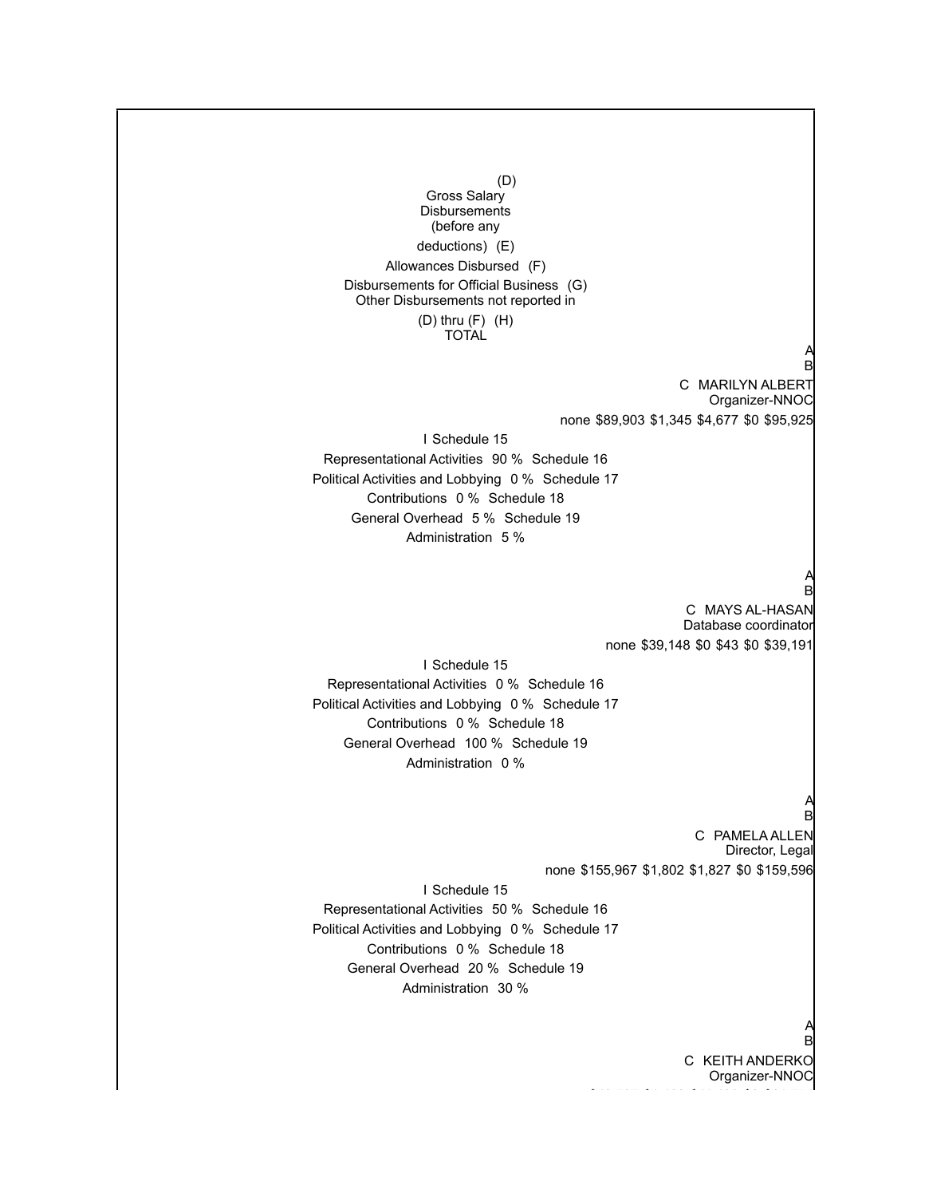**Other Payer** (D) Gross Salary **Disbursements** (before any deductions) (E) Allowances Disbursed (F) Disbursements for Official Business (G) Other Disbursements not reported in (D) thru (F) (H) TOTAL A B C MARILYN ALBERT Organizer-NNOC none \$89,903 \$1,345 \$4,677 \$0 \$95,925 I Schedule 15 Representational Activities 90 % Schedule 16 Political Activities and Lobbying 0 % Schedule 17 Contributions 0 % Schedule 18 General Overhead 5 % Schedule 19 Administration 5 % A B C MAYS AL-HASAN Database coordinator none \$39,148 \$0 \$43 \$0 \$39,191 I Schedule 15 Representational Activities 0 % Schedule 16 Political Activities and Lobbying 0 % Schedule 17 Contributions 0 % Schedule 18 General Overhead 100 % Schedule 19 Administration 0 % A B C PAMELA ALLEN Director, Legal none \$155,967 \$1,802 \$1,827 \$0 \$159,596 I Schedule 15 Representational Activities 50 % Schedule 16 Political Activities and Lobbying 0 % Schedule 17 Contributions 0 % Schedule 18 General Overhead 20 % Schedule 19 Administration 30 % A B C KEITH ANDERKO

Organizer-NNOC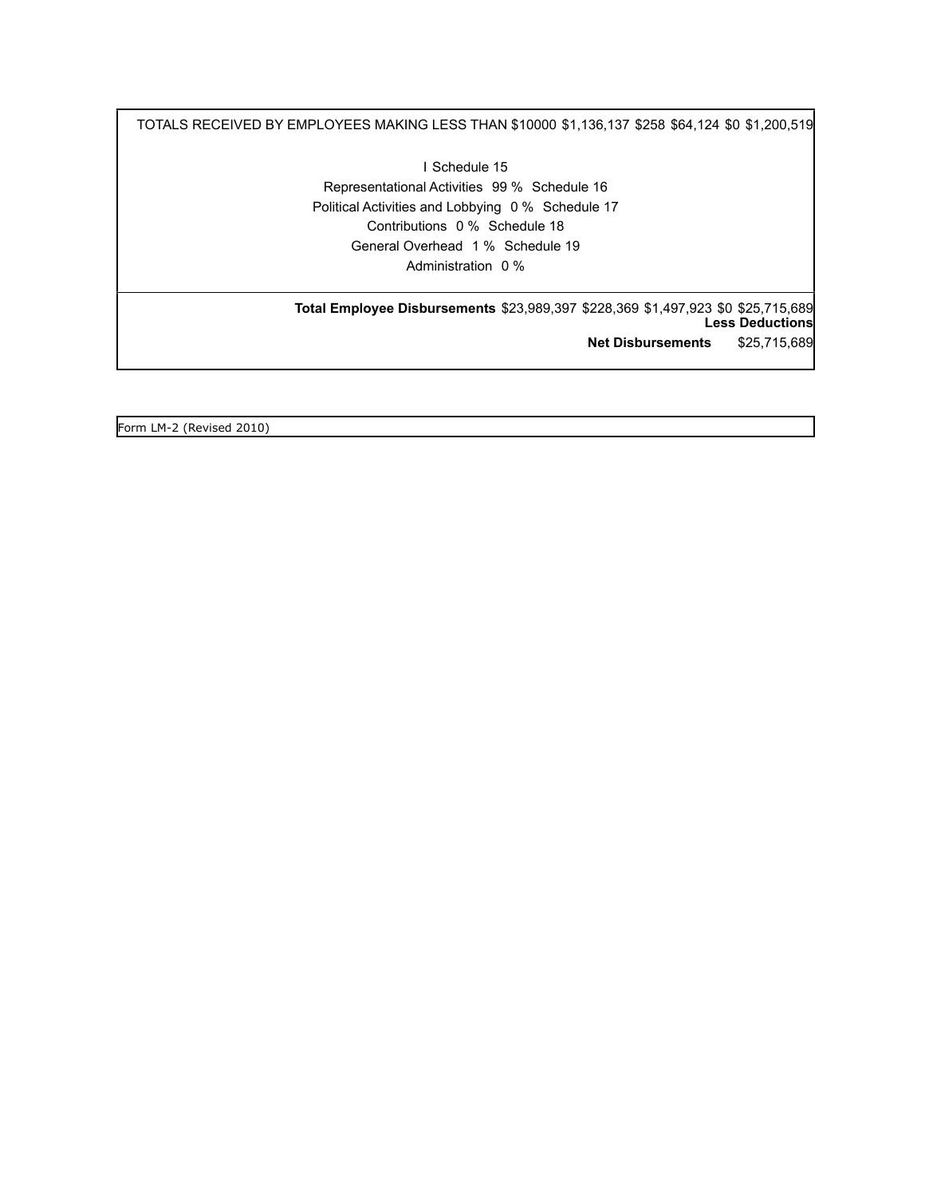TOTALS RECEIVED BY EMPLOYEES MAKING LESS THAN \$10000 \$1,136,137 \$258 \$64,124 \$0 \$1,200,519

I Schedule 15 Representational Activities 99 % Schedule 16 Political Activities and Lobbying 0 % Schedule 17 Contributions 0 % Schedule 18 General Overhead 1 % Schedule 19 Administration 0 %

**Total Employee Disbursements** \$23,989,397 \$228,369 \$1,497,923 \$0 \$25,715,689 **Less Deductions Net Disbursements** \$25,715,689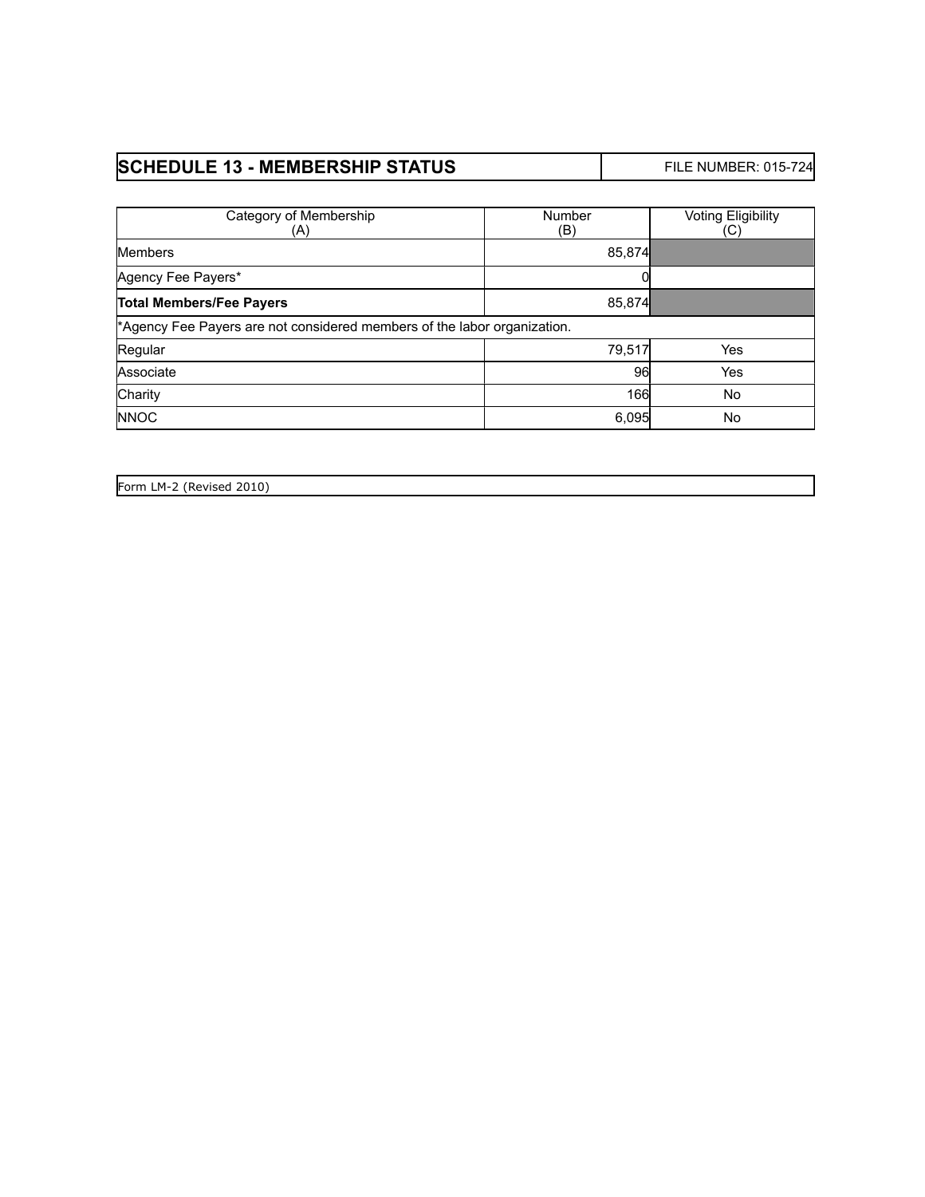# **SCHEDULE 13 - MEMBERSHIP STATUS** FILE NUMBER: 015-724

| Category of Membership<br>(A)                                            | Number<br>(B) | <b>Voting Eligibility</b><br>(C) |
|--------------------------------------------------------------------------|---------------|----------------------------------|
| <b>Members</b>                                                           | 85,874        |                                  |
| Agency Fee Payers*                                                       |               |                                  |
| <b>Total Members/Fee Payers</b>                                          | 85,874        |                                  |
| *Agency Fee Payers are not considered members of the labor organization. |               |                                  |
| Regular                                                                  | 79.517        | Yes                              |
| Associate                                                                | 96            | Yes                              |
| Charity                                                                  | 166           | No                               |
| <b>NNOC</b>                                                              | 6,095         | No                               |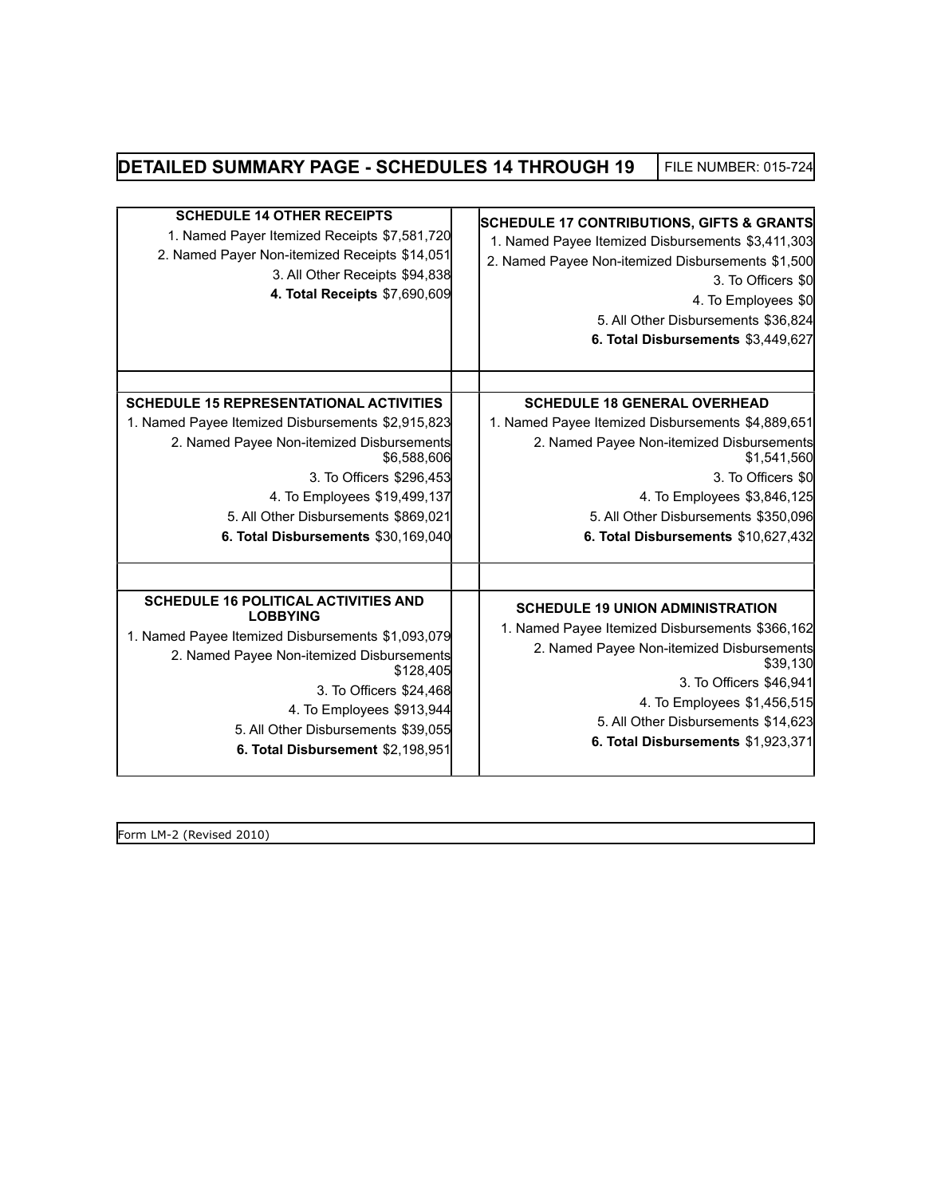# **DETAILED SUMMARY PAGE - SCHEDULES 14 THROUGH 19** FILE NUMBER: 015-724

| <b>SCHEDULE 14 OTHER RECEIPTS</b><br>1. Named Payer Itemized Receipts \$7,581,720<br>2. Named Payer Non-itemized Receipts \$14,051<br>3. All Other Receipts \$94,838<br>4. Total Receipts \$7,690,609 | <b>SCHEDULE 17 CONTRIBUTIONS, GIFTS &amp; GRANTS</b><br>1. Named Payee Itemized Disbursements \$3,411,303<br>2. Named Payee Non-itemized Disbursements \$1,500<br>3. To Officers \$0<br>4. To Employees \$0<br>5. All Other Disbursements \$36,824<br>6. Total Disbursements \$3,449,627 |
|-------------------------------------------------------------------------------------------------------------------------------------------------------------------------------------------------------|------------------------------------------------------------------------------------------------------------------------------------------------------------------------------------------------------------------------------------------------------------------------------------------|
| <b>SCHEDULE 15 REPRESENTATIONAL ACTIVITIES</b>                                                                                                                                                        | <b>SCHEDULE 18 GENERAL OVERHEAD</b>                                                                                                                                                                                                                                                      |
| 1. Named Payee Itemized Disbursements \$2,915,823<br>2. Named Payee Non-itemized Disbursements<br>\$6,588,606                                                                                         | 1. Named Payee Itemized Disbursements \$4,889,651<br>2. Named Payee Non-itemized Disbursements<br>\$1,541,560                                                                                                                                                                            |
| 3. To Officers \$296,453                                                                                                                                                                              | 3. To Officers \$0                                                                                                                                                                                                                                                                       |
| 4. To Employees \$19,499,137                                                                                                                                                                          | 4. To Employees \$3,846,125                                                                                                                                                                                                                                                              |
| 5. All Other Disbursements \$869,021                                                                                                                                                                  | 5. All Other Disbursements \$350,096                                                                                                                                                                                                                                                     |
| 6. Total Disbursements \$30,169,040                                                                                                                                                                   | 6. Total Disbursements \$10,627,432                                                                                                                                                                                                                                                      |
|                                                                                                                                                                                                       |                                                                                                                                                                                                                                                                                          |
| <b>SCHEDULE 16 POLITICAL ACTIVITIES AND</b><br><b>LOBBYING</b><br>1. Named Payee Itemized Disbursements \$1,093,079                                                                                   | <b>SCHEDULE 19 UNION ADMINISTRATION</b><br>1. Named Payee Itemized Disbursements \$366,162                                                                                                                                                                                               |
| 2. Named Payee Non-itemized Disbursements<br>\$128,405                                                                                                                                                | 2. Named Payee Non-itemized Disbursements<br>\$39,130                                                                                                                                                                                                                                    |
| 3. To Officers \$24,468                                                                                                                                                                               | 3. To Officers \$46,941                                                                                                                                                                                                                                                                  |
| 4. To Employees \$913,944                                                                                                                                                                             | 4. To Employees \$1,456,515                                                                                                                                                                                                                                                              |
| 5. All Other Disbursements \$39,055                                                                                                                                                                   | 5. All Other Disbursements \$14,623<br>6. Total Disbursements \$1,923,371                                                                                                                                                                                                                |
| 6. Total Disbursement \$2,198,951                                                                                                                                                                     |                                                                                                                                                                                                                                                                                          |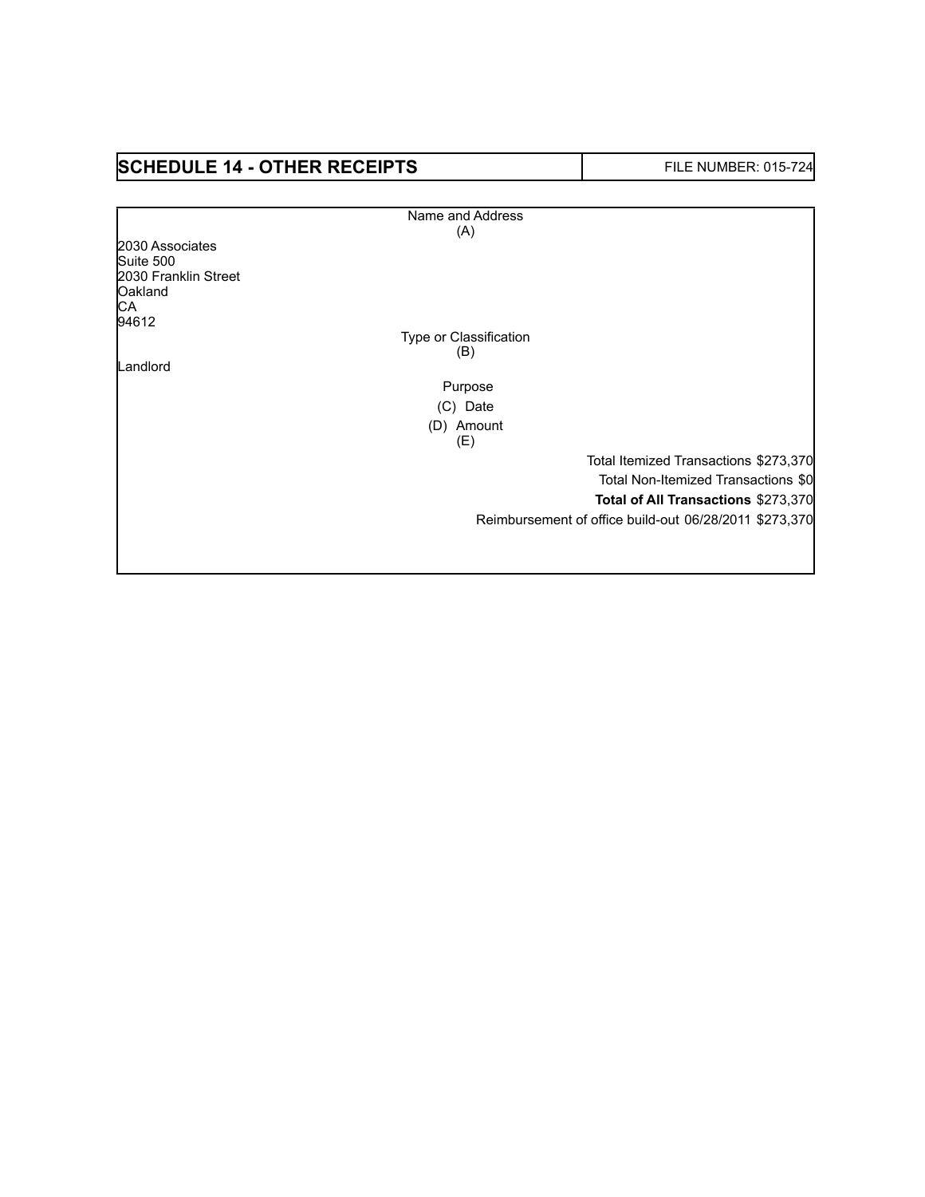# **SCHEDULE 14 - OTHER RECEIPTS** FILE NUMBER: 015-724

Г

|                      | Name and Address       |                                                        |
|----------------------|------------------------|--------------------------------------------------------|
|                      | (A)                    |                                                        |
| 2030 Associates      |                        |                                                        |
| Suite 500            |                        |                                                        |
| 2030 Franklin Street |                        |                                                        |
| Oakland              |                        |                                                        |
| CA<br>94612          |                        |                                                        |
|                      | Type or Classification |                                                        |
|                      | (B)                    |                                                        |
| Landlord             |                        |                                                        |
|                      | Purpose                |                                                        |
|                      |                        |                                                        |
|                      | (C) Date               |                                                        |
|                      | (D) Amount             |                                                        |
|                      | (E)                    |                                                        |
|                      |                        | Total Itemized Transactions \$273,370                  |
|                      |                        | Total Non-Itemized Transactions \$0                    |
|                      |                        | Total of All Transactions \$273,370                    |
|                      |                        | Reimbursement of office build-out 06/28/2011 \$273,370 |
|                      |                        |                                                        |
|                      |                        |                                                        |
|                      |                        |                                                        |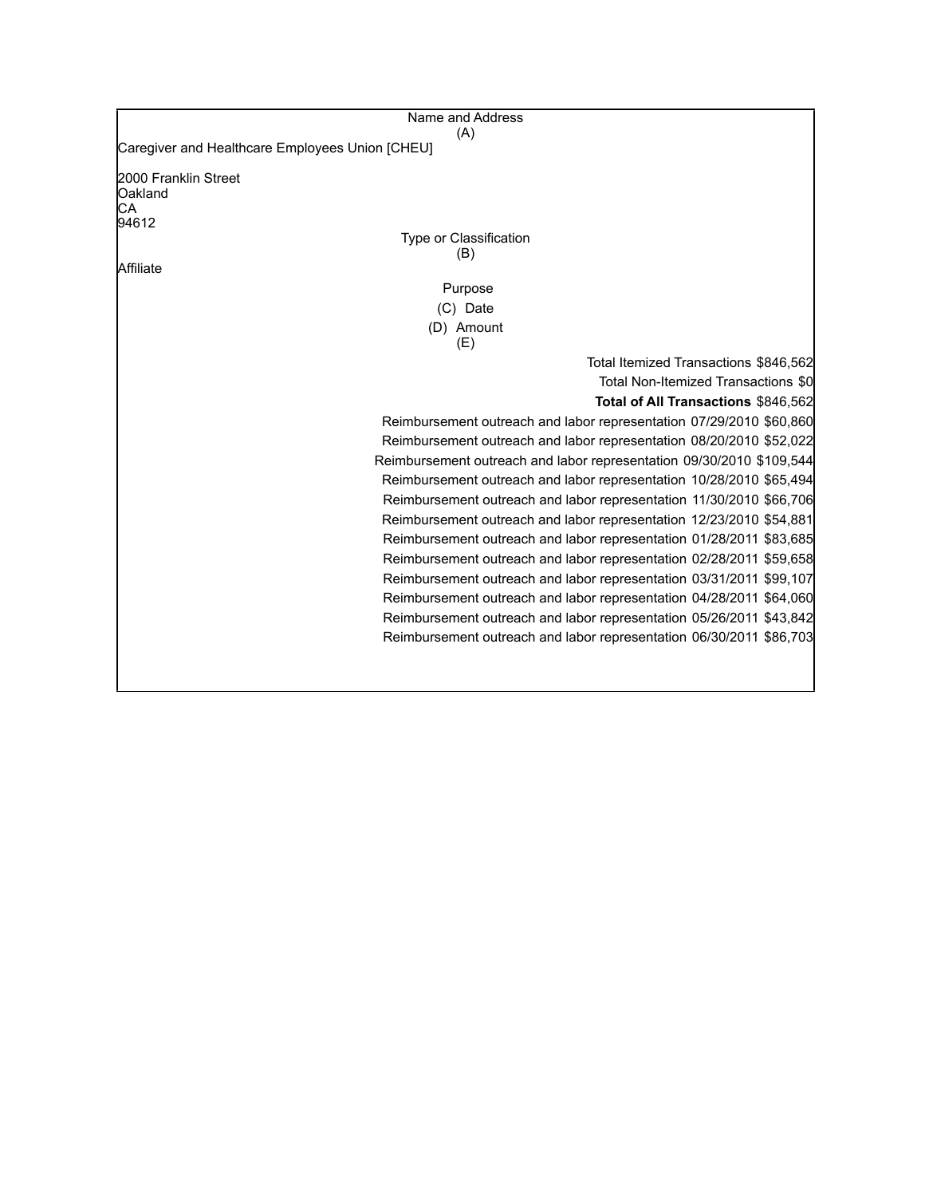| Caregiver and Healthcare Employees Union [CHEU]<br>Oakland<br>Type or Classification<br>(B)<br>Affiliate<br>Purpose<br>(C) Date<br>(D) Amount<br>(E)<br>Total Itemized Transactions \$846,562<br>Total Non-Itemized Transactions \$0<br>Total of All Transactions \$846,562<br>Reimbursement outreach and labor representation 07/29/2010 \$60,860<br>Reimbursement outreach and labor representation 08/20/2010 \$52,022<br>Reimbursement outreach and labor representation 09/30/2010 \$109,544<br>Reimbursement outreach and labor representation 10/28/2010 \$65,494<br>Reimbursement outreach and labor representation 11/30/2010 \$66,706<br>Reimbursement outreach and labor representation 12/23/2010 \$54,881<br>Reimbursement outreach and labor representation 01/28/2011 \$83,685<br>Reimbursement outreach and labor representation 02/28/2011 \$59,658<br>Reimbursement outreach and labor representation 03/31/2011 \$99,107<br>Reimbursement outreach and labor representation 04/28/2011 \$64,060<br>Reimbursement outreach and labor representation 05/26/2011 \$43,842<br>Reimbursement outreach and labor representation 06/30/2011 \$86,703 | Name and Address     |
|------------------------------------------------------------------------------------------------------------------------------------------------------------------------------------------------------------------------------------------------------------------------------------------------------------------------------------------------------------------------------------------------------------------------------------------------------------------------------------------------------------------------------------------------------------------------------------------------------------------------------------------------------------------------------------------------------------------------------------------------------------------------------------------------------------------------------------------------------------------------------------------------------------------------------------------------------------------------------------------------------------------------------------------------------------------------------------------------------------------------------------------------------------------|----------------------|
|                                                                                                                                                                                                                                                                                                                                                                                                                                                                                                                                                                                                                                                                                                                                                                                                                                                                                                                                                                                                                                                                                                                                                                  | (A)                  |
|                                                                                                                                                                                                                                                                                                                                                                                                                                                                                                                                                                                                                                                                                                                                                                                                                                                                                                                                                                                                                                                                                                                                                                  |                      |
|                                                                                                                                                                                                                                                                                                                                                                                                                                                                                                                                                                                                                                                                                                                                                                                                                                                                                                                                                                                                                                                                                                                                                                  | 2000 Franklin Street |
|                                                                                                                                                                                                                                                                                                                                                                                                                                                                                                                                                                                                                                                                                                                                                                                                                                                                                                                                                                                                                                                                                                                                                                  | СA                   |
|                                                                                                                                                                                                                                                                                                                                                                                                                                                                                                                                                                                                                                                                                                                                                                                                                                                                                                                                                                                                                                                                                                                                                                  | 94612                |
|                                                                                                                                                                                                                                                                                                                                                                                                                                                                                                                                                                                                                                                                                                                                                                                                                                                                                                                                                                                                                                                                                                                                                                  |                      |
|                                                                                                                                                                                                                                                                                                                                                                                                                                                                                                                                                                                                                                                                                                                                                                                                                                                                                                                                                                                                                                                                                                                                                                  |                      |
|                                                                                                                                                                                                                                                                                                                                                                                                                                                                                                                                                                                                                                                                                                                                                                                                                                                                                                                                                                                                                                                                                                                                                                  |                      |
|                                                                                                                                                                                                                                                                                                                                                                                                                                                                                                                                                                                                                                                                                                                                                                                                                                                                                                                                                                                                                                                                                                                                                                  |                      |
|                                                                                                                                                                                                                                                                                                                                                                                                                                                                                                                                                                                                                                                                                                                                                                                                                                                                                                                                                                                                                                                                                                                                                                  |                      |
|                                                                                                                                                                                                                                                                                                                                                                                                                                                                                                                                                                                                                                                                                                                                                                                                                                                                                                                                                                                                                                                                                                                                                                  |                      |
|                                                                                                                                                                                                                                                                                                                                                                                                                                                                                                                                                                                                                                                                                                                                                                                                                                                                                                                                                                                                                                                                                                                                                                  |                      |
|                                                                                                                                                                                                                                                                                                                                                                                                                                                                                                                                                                                                                                                                                                                                                                                                                                                                                                                                                                                                                                                                                                                                                                  |                      |
|                                                                                                                                                                                                                                                                                                                                                                                                                                                                                                                                                                                                                                                                                                                                                                                                                                                                                                                                                                                                                                                                                                                                                                  |                      |
|                                                                                                                                                                                                                                                                                                                                                                                                                                                                                                                                                                                                                                                                                                                                                                                                                                                                                                                                                                                                                                                                                                                                                                  |                      |
|                                                                                                                                                                                                                                                                                                                                                                                                                                                                                                                                                                                                                                                                                                                                                                                                                                                                                                                                                                                                                                                                                                                                                                  |                      |
|                                                                                                                                                                                                                                                                                                                                                                                                                                                                                                                                                                                                                                                                                                                                                                                                                                                                                                                                                                                                                                                                                                                                                                  |                      |
|                                                                                                                                                                                                                                                                                                                                                                                                                                                                                                                                                                                                                                                                                                                                                                                                                                                                                                                                                                                                                                                                                                                                                                  |                      |
|                                                                                                                                                                                                                                                                                                                                                                                                                                                                                                                                                                                                                                                                                                                                                                                                                                                                                                                                                                                                                                                                                                                                                                  |                      |
|                                                                                                                                                                                                                                                                                                                                                                                                                                                                                                                                                                                                                                                                                                                                                                                                                                                                                                                                                                                                                                                                                                                                                                  |                      |
|                                                                                                                                                                                                                                                                                                                                                                                                                                                                                                                                                                                                                                                                                                                                                                                                                                                                                                                                                                                                                                                                                                                                                                  |                      |
|                                                                                                                                                                                                                                                                                                                                                                                                                                                                                                                                                                                                                                                                                                                                                                                                                                                                                                                                                                                                                                                                                                                                                                  |                      |
|                                                                                                                                                                                                                                                                                                                                                                                                                                                                                                                                                                                                                                                                                                                                                                                                                                                                                                                                                                                                                                                                                                                                                                  |                      |
|                                                                                                                                                                                                                                                                                                                                                                                                                                                                                                                                                                                                                                                                                                                                                                                                                                                                                                                                                                                                                                                                                                                                                                  |                      |
|                                                                                                                                                                                                                                                                                                                                                                                                                                                                                                                                                                                                                                                                                                                                                                                                                                                                                                                                                                                                                                                                                                                                                                  |                      |
|                                                                                                                                                                                                                                                                                                                                                                                                                                                                                                                                                                                                                                                                                                                                                                                                                                                                                                                                                                                                                                                                                                                                                                  |                      |
|                                                                                                                                                                                                                                                                                                                                                                                                                                                                                                                                                                                                                                                                                                                                                                                                                                                                                                                                                                                                                                                                                                                                                                  |                      |
|                                                                                                                                                                                                                                                                                                                                                                                                                                                                                                                                                                                                                                                                                                                                                                                                                                                                                                                                                                                                                                                                                                                                                                  |                      |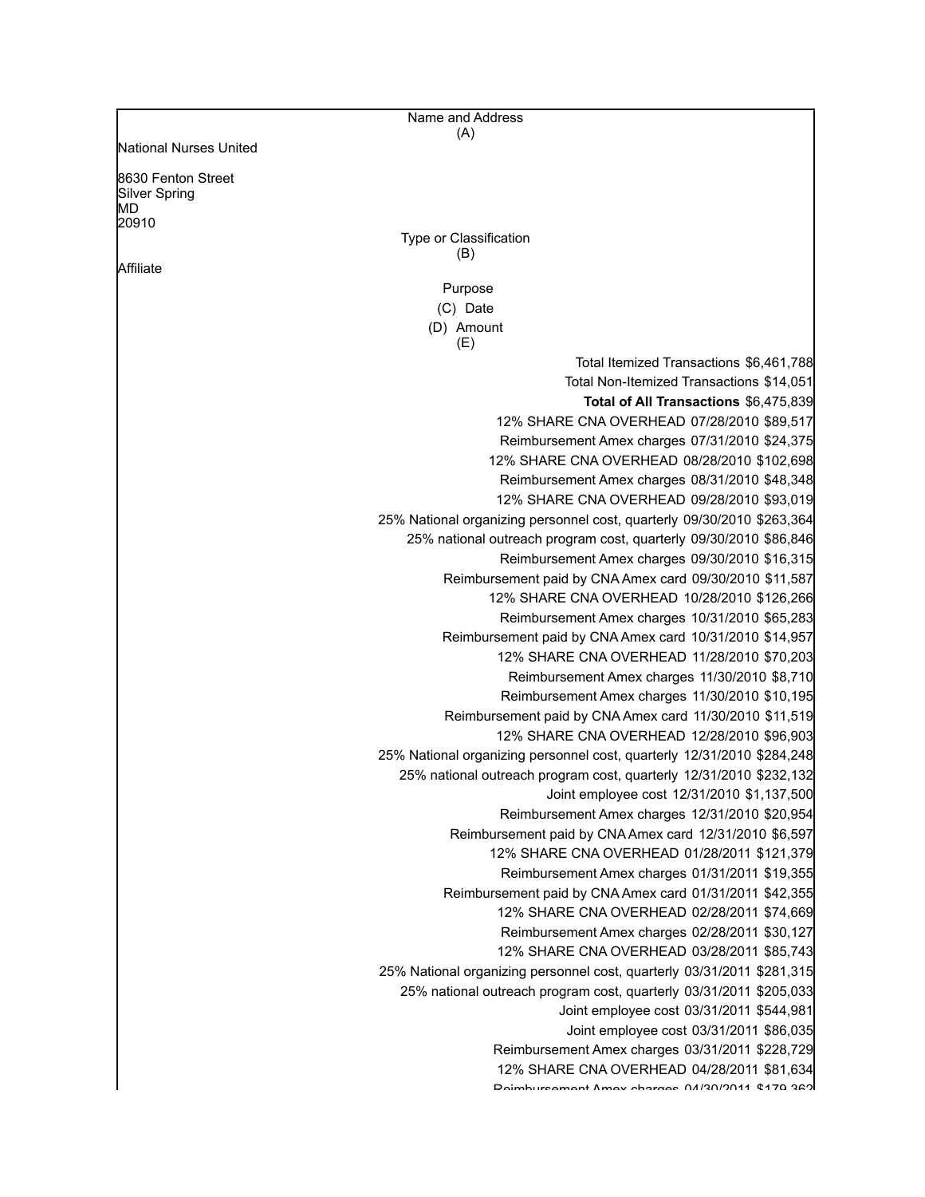|                                                           | Name and Address                                                                                                     |
|-----------------------------------------------------------|----------------------------------------------------------------------------------------------------------------------|
| National Nurses United                                    | (A)                                                                                                                  |
|                                                           |                                                                                                                      |
| 8630 Fenton Street<br><b>Silver Spring</b><br>МD<br>20910 | Type or Classification                                                                                               |
| Affiliate                                                 | (B)                                                                                                                  |
|                                                           | Purpose                                                                                                              |
|                                                           | (C) Date                                                                                                             |
|                                                           | (D) Amount                                                                                                           |
|                                                           | (E)                                                                                                                  |
|                                                           | Total Itemized Transactions \$6,461,788                                                                              |
|                                                           | Total Non-Itemized Transactions \$14,051                                                                             |
|                                                           | Total of All Transactions \$6,475,839                                                                                |
|                                                           | 12% SHARE CNA OVERHEAD 07/28/2010 \$89,517                                                                           |
|                                                           | Reimbursement Amex charges 07/31/2010 \$24,375                                                                       |
|                                                           | 12% SHARE CNA OVERHEAD 08/28/2010 \$102,698                                                                          |
|                                                           | Reimbursement Amex charges 08/31/2010 \$48,348                                                                       |
|                                                           | 12% SHARE CNA OVERHEAD 09/28/2010 \$93,019                                                                           |
|                                                           | 25% National organizing personnel cost, quarterly 09/30/2010 \$263,364                                               |
|                                                           | 25% national outreach program cost, quarterly 09/30/2010 \$86,846                                                    |
|                                                           | Reimbursement Amex charges 09/30/2010 \$16,315                                                                       |
|                                                           | Reimbursement paid by CNA Amex card 09/30/2010 \$11,587                                                              |
|                                                           | 12% SHARE CNA OVERHEAD 10/28/2010 \$126,266                                                                          |
|                                                           | Reimbursement Amex charges 10/31/2010 \$65,283                                                                       |
|                                                           | Reimbursement paid by CNA Amex card 10/31/2010 \$14,957                                                              |
|                                                           | 12% SHARE CNA OVERHEAD 11/28/2010 \$70,203                                                                           |
|                                                           | Reimbursement Amex charges 11/30/2010 \$8,710                                                                        |
|                                                           | Reimbursement Amex charges 11/30/2010 \$10,195                                                                       |
|                                                           | Reimbursement paid by CNA Amex card 11/30/2010 \$11,519                                                              |
|                                                           | 12% SHARE CNA OVERHEAD 12/28/2010 \$96,903                                                                           |
|                                                           | 25% National organizing personnel cost, quarterly 12/31/2010 \$284,248                                               |
|                                                           | 25% national outreach program cost, quarterly 12/31/2010 \$232,132                                                   |
|                                                           | Joint employee cost 12/31/2010 \$1,137,500                                                                           |
|                                                           | Reimbursement Amex charges 12/31/2010 \$20,954                                                                       |
|                                                           | Reimbursement paid by CNA Amex card 12/31/2010 \$6,597                                                               |
|                                                           | 12% SHARE CNA OVERHEAD 01/28/2011 \$121,379                                                                          |
|                                                           | Reimbursement Amex charges 01/31/2011 \$19,355                                                                       |
|                                                           | Reimbursement paid by CNA Amex card 01/31/2011 \$42,355                                                              |
|                                                           | 12% SHARE CNA OVERHEAD 02/28/2011 \$74,669                                                                           |
|                                                           | Reimbursement Amex charges 02/28/2011 \$30,127                                                                       |
|                                                           | 12% SHARE CNA OVERHEAD 03/28/2011 \$85,743<br>25% National organizing personnel cost, quarterly 03/31/2011 \$281,315 |
|                                                           | 25% national outreach program cost, quarterly 03/31/2011 \$205,033                                                   |
|                                                           | Joint employee cost 03/31/2011 \$544,981                                                                             |
|                                                           | Joint employee cost 03/31/2011 \$86,035                                                                              |
|                                                           | Reimbursement Amex charges 03/31/2011 \$228,729                                                                      |
|                                                           | 12% SHARE CNA OVERHEAD 04/28/2011 \$81,634                                                                           |
|                                                           | Doimburgamant Amay abargas 04/20/2011 ¢170 262                                                                       |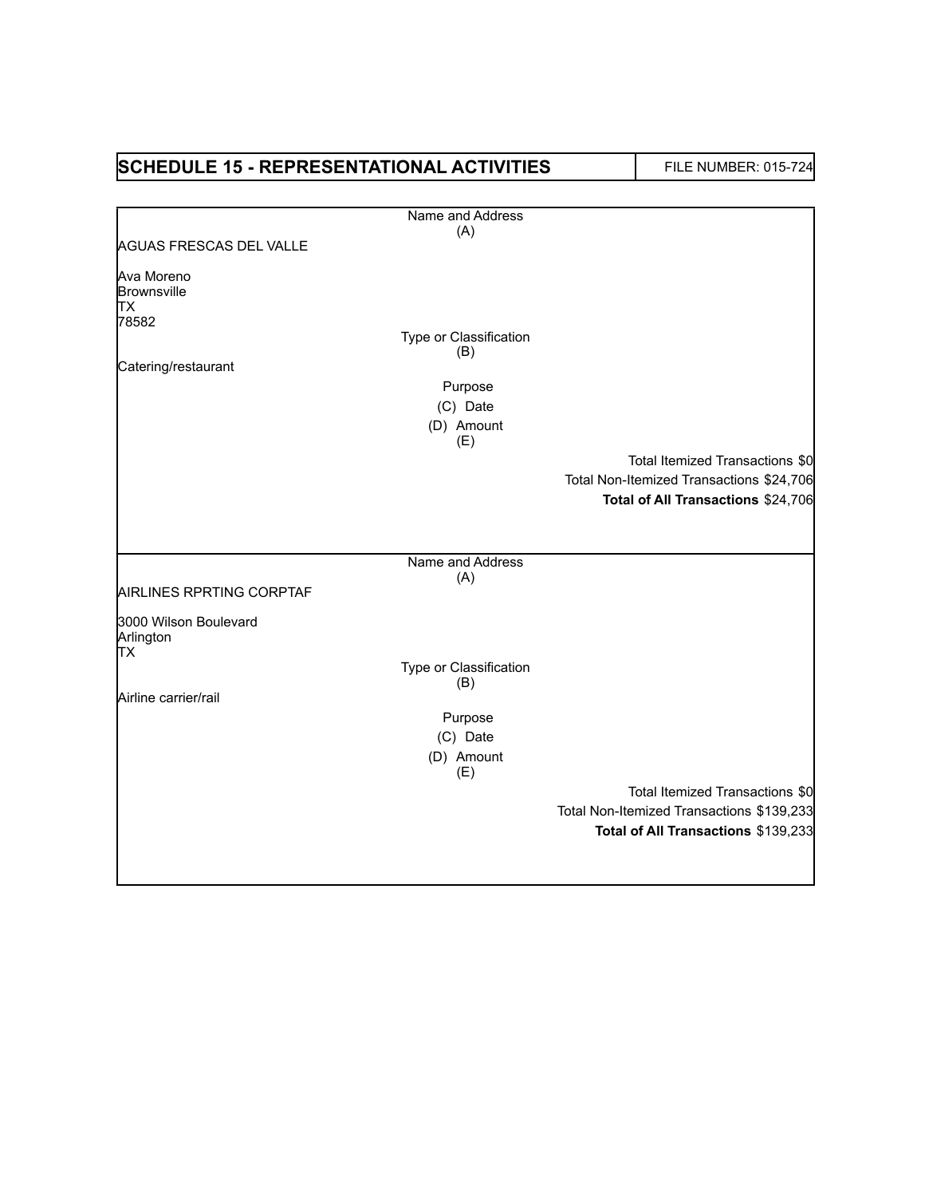| <b>SCHEDULE 15 - REPRESENTATIONAL ACTIVITIES</b> |                               | <b>FILE NUMBER: 015-724</b>               |
|--------------------------------------------------|-------------------------------|-------------------------------------------|
|                                                  | Name and Address              |                                           |
|                                                  | (A)                           |                                           |
| <b>AGUAS FRESCAS DEL VALLE</b>                   |                               |                                           |
| Ava Moreno<br>Brownsville                        |                               |                                           |
| <b>TX</b>                                        |                               |                                           |
| 78582                                            |                               |                                           |
|                                                  | Type or Classification<br>(B) |                                           |
| Catering/restaurant                              |                               |                                           |
|                                                  | Purpose                       |                                           |
|                                                  | (C) Date                      |                                           |
|                                                  | (D) Amount<br>(E)             |                                           |
|                                                  |                               | Total Itemized Transactions \$0           |
|                                                  |                               | Total Non-Itemized Transactions \$24,706  |
|                                                  |                               | Total of All Transactions \$24,706        |
|                                                  |                               |                                           |
|                                                  | Name and Address              |                                           |
|                                                  | (A)                           |                                           |
| AIRLINES RPRTING CORPTAF                         |                               |                                           |
| 3000 Wilson Boulevard<br>Arlington               |                               |                                           |
| <b>TX</b>                                        | Type or Classification        |                                           |
|                                                  | (B)                           |                                           |
| Airline carrier/rail                             |                               |                                           |
|                                                  | Purpose                       |                                           |
|                                                  | (C) Date<br>(D) Amount        |                                           |
|                                                  | (E)                           |                                           |
|                                                  |                               | Total Itemized Transactions \$0           |
|                                                  |                               | Total Non-Itemized Transactions \$139,233 |
|                                                  |                               | Total of All Transactions \$139,233       |
|                                                  |                               |                                           |
|                                                  |                               |                                           |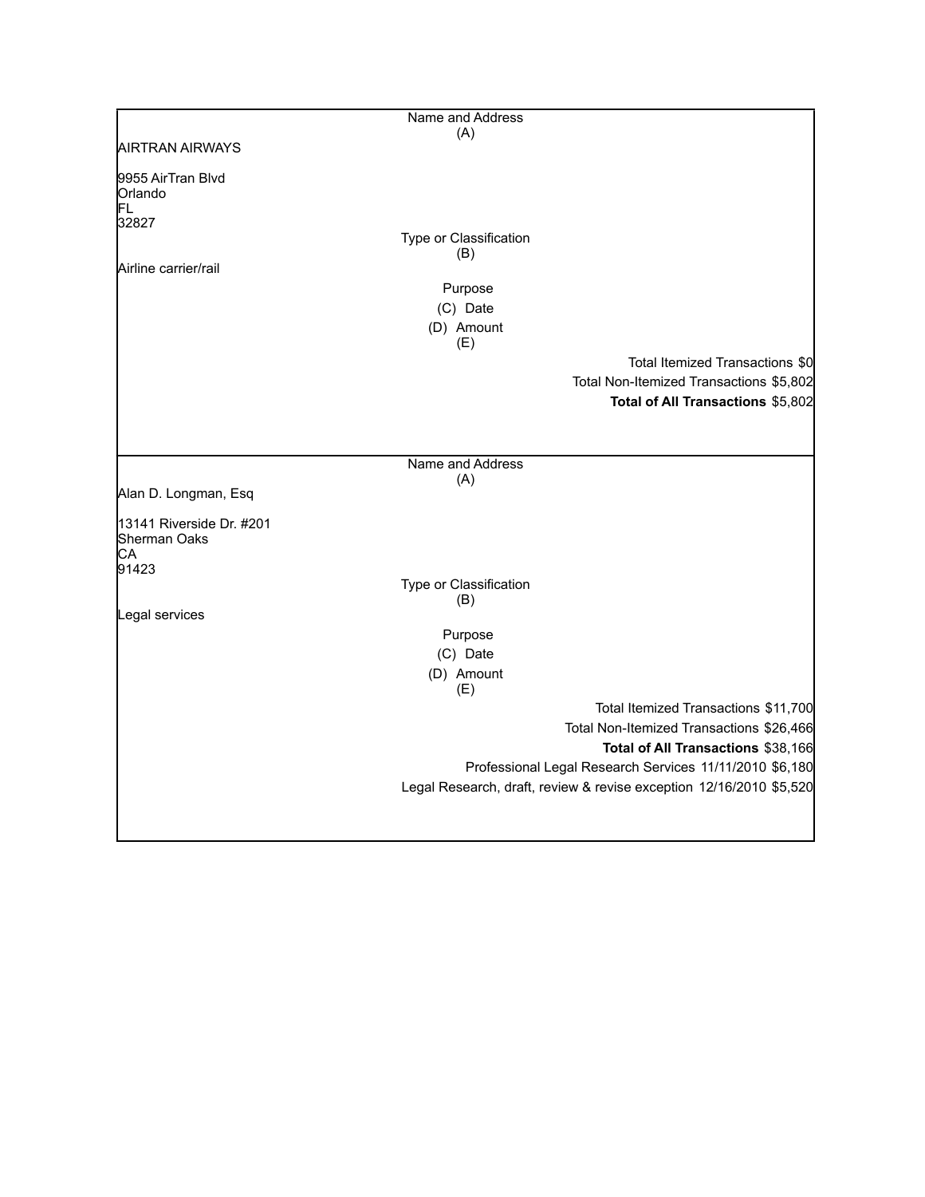|                                          | Name and Address              |                                                                     |
|------------------------------------------|-------------------------------|---------------------------------------------------------------------|
| <b>AIRTRAN AIRWAYS</b>                   | (A)                           |                                                                     |
|                                          |                               |                                                                     |
| 9955 AirTran Blvd                        |                               |                                                                     |
| Orlando                                  |                               |                                                                     |
| FL                                       |                               |                                                                     |
| 32827                                    |                               |                                                                     |
|                                          | Type or Classification<br>(B) |                                                                     |
| Airline carrier/rail                     |                               |                                                                     |
|                                          | Purpose                       |                                                                     |
|                                          | (C) Date                      |                                                                     |
|                                          |                               |                                                                     |
|                                          | (D) Amount<br>(E)             |                                                                     |
|                                          |                               |                                                                     |
|                                          |                               | Total Itemized Transactions \$0                                     |
|                                          |                               | Total Non-Itemized Transactions \$5,802                             |
|                                          |                               | Total of All Transactions \$5,802                                   |
|                                          |                               |                                                                     |
|                                          |                               |                                                                     |
|                                          | Name and Address              |                                                                     |
|                                          | (A)                           |                                                                     |
| Alan D. Longman, Esq                     |                               |                                                                     |
|                                          |                               |                                                                     |
| 13141 Riverside Dr. #201<br>Sherman Oaks |                               |                                                                     |
| CA                                       |                               |                                                                     |
| 91423                                    |                               |                                                                     |
|                                          | Type or Classification        |                                                                     |
|                                          | (B)                           |                                                                     |
| Legal services                           |                               |                                                                     |
|                                          | Purpose                       |                                                                     |
|                                          | (C) Date                      |                                                                     |
|                                          | (D) Amount                    |                                                                     |
|                                          | (E)                           |                                                                     |
|                                          |                               | Total Itemized Transactions \$11,700                                |
|                                          |                               | Total Non-Itemized Transactions \$26,466                            |
|                                          |                               | Total of All Transactions \$38,166                                  |
|                                          |                               | Professional Legal Research Services 11/11/2010 \$6,180             |
|                                          |                               | Legal Research, draft, review & revise exception 12/16/2010 \$5,520 |
|                                          |                               |                                                                     |
|                                          |                               |                                                                     |
|                                          |                               |                                                                     |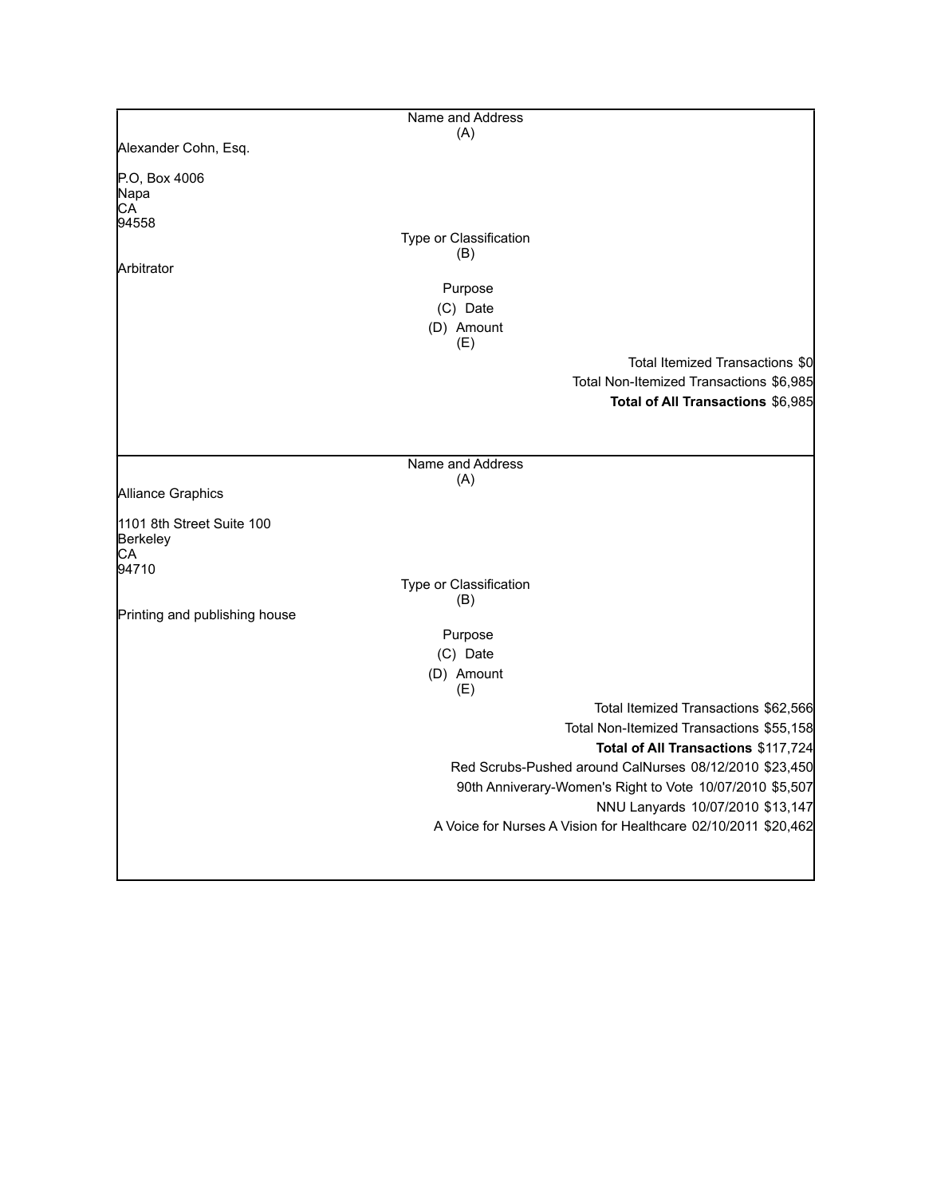|                               | Name and Address       |                                                                |
|-------------------------------|------------------------|----------------------------------------------------------------|
|                               | (A)                    |                                                                |
| Alexander Cohn, Esq.          |                        |                                                                |
|                               |                        |                                                                |
| P.O. Box 4006                 |                        |                                                                |
| Napa                          |                        |                                                                |
| CA                            |                        |                                                                |
| 94558                         |                        |                                                                |
|                               | Type or Classification |                                                                |
| Arbitrator                    | (B)                    |                                                                |
|                               |                        |                                                                |
|                               | Purpose                |                                                                |
|                               | (C) Date               |                                                                |
|                               | (D) Amount             |                                                                |
|                               | (E)                    |                                                                |
|                               |                        | Total Itemized Transactions \$0                                |
|                               |                        | Total Non-Itemized Transactions \$6,985                        |
|                               |                        | Total of All Transactions \$6,985                              |
|                               |                        |                                                                |
|                               |                        |                                                                |
|                               |                        |                                                                |
|                               | Name and Address       |                                                                |
|                               | (A)                    |                                                                |
| Alliance Graphics             |                        |                                                                |
| 1101 8th Street Suite 100     |                        |                                                                |
| Berkeley                      |                        |                                                                |
| CА                            |                        |                                                                |
| 94710                         |                        |                                                                |
|                               | Type or Classification |                                                                |
|                               | (B)                    |                                                                |
| Printing and publishing house |                        |                                                                |
|                               | Purpose                |                                                                |
|                               | (C) Date               |                                                                |
|                               | (D) Amount             |                                                                |
|                               | (E)                    |                                                                |
|                               |                        | Total Itemized Transactions \$62,566                           |
|                               |                        | Total Non-Itemized Transactions \$55,158                       |
|                               |                        | Total of All Transactions \$117,724                            |
|                               |                        | Red Scrubs-Pushed around CalNurses 08/12/2010 \$23,450         |
|                               |                        |                                                                |
|                               |                        | 90th Anniverary-Women's Right to Vote 10/07/2010 \$5,507       |
|                               |                        | NNU Lanyards 10/07/2010 \$13,147                               |
|                               |                        | A Voice for Nurses A Vision for Healthcare 02/10/2011 \$20,462 |
|                               |                        |                                                                |
|                               |                        |                                                                |
|                               |                        |                                                                |

 $\mathbf l$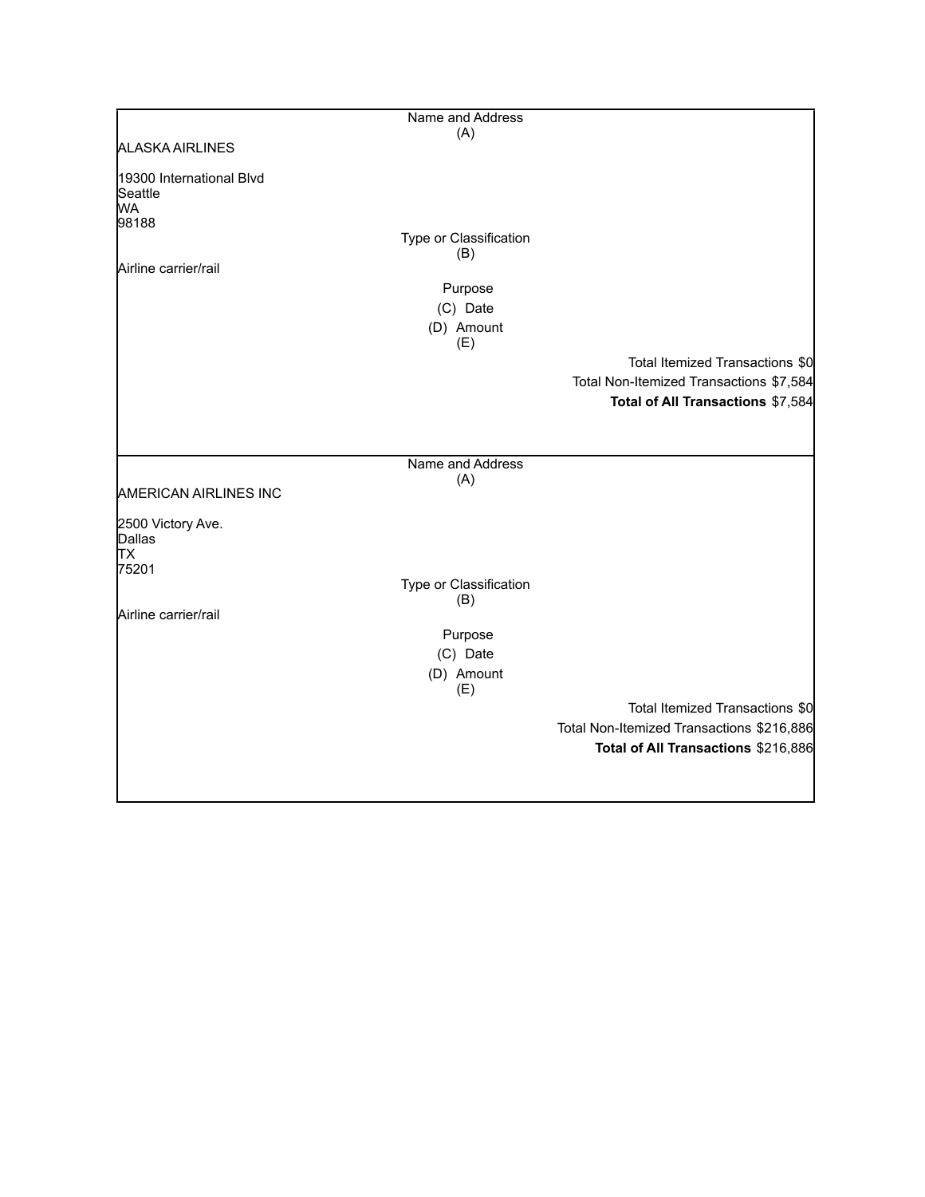|                                           | Name and Address        |                                           |
|-------------------------------------------|-------------------------|-------------------------------------------|
| <b>ALASKA AIRLINES</b>                    | (A)                     |                                           |
|                                           |                         |                                           |
| 19300 International Blvd<br>Seattle<br>WA |                         |                                           |
| 98188                                     |                         |                                           |
|                                           | Type or Classification  |                                           |
| Airline carrier/rail                      | (B)                     |                                           |
|                                           | Purpose                 |                                           |
|                                           | (C) Date                |                                           |
|                                           | (D) Amount              |                                           |
|                                           | (E)                     | Total Itemized Transactions \$0           |
|                                           |                         | Total Non-Itemized Transactions \$7,584   |
|                                           |                         | Total of All Transactions \$7,584         |
|                                           |                         |                                           |
|                                           |                         |                                           |
|                                           | Name and Address<br>(A) |                                           |
| <b>AMERICAN AIRLINES INC</b>              |                         |                                           |
| 2500 Victory Ave.                         |                         |                                           |
| Dallas                                    |                         |                                           |
| TХ<br>75201                               |                         |                                           |
|                                           | Type or Classification  |                                           |
| Airline carrier/rail                      | (B)                     |                                           |
|                                           | Purpose                 |                                           |
|                                           | (C) Date                |                                           |
|                                           | (D) Amount              |                                           |
|                                           | (E)                     | Total Itemized Transactions \$0           |
|                                           |                         | Total Non-Itemized Transactions \$216,886 |
|                                           |                         | Total of All Transactions \$216,886       |
|                                           |                         |                                           |
|                                           |                         |                                           |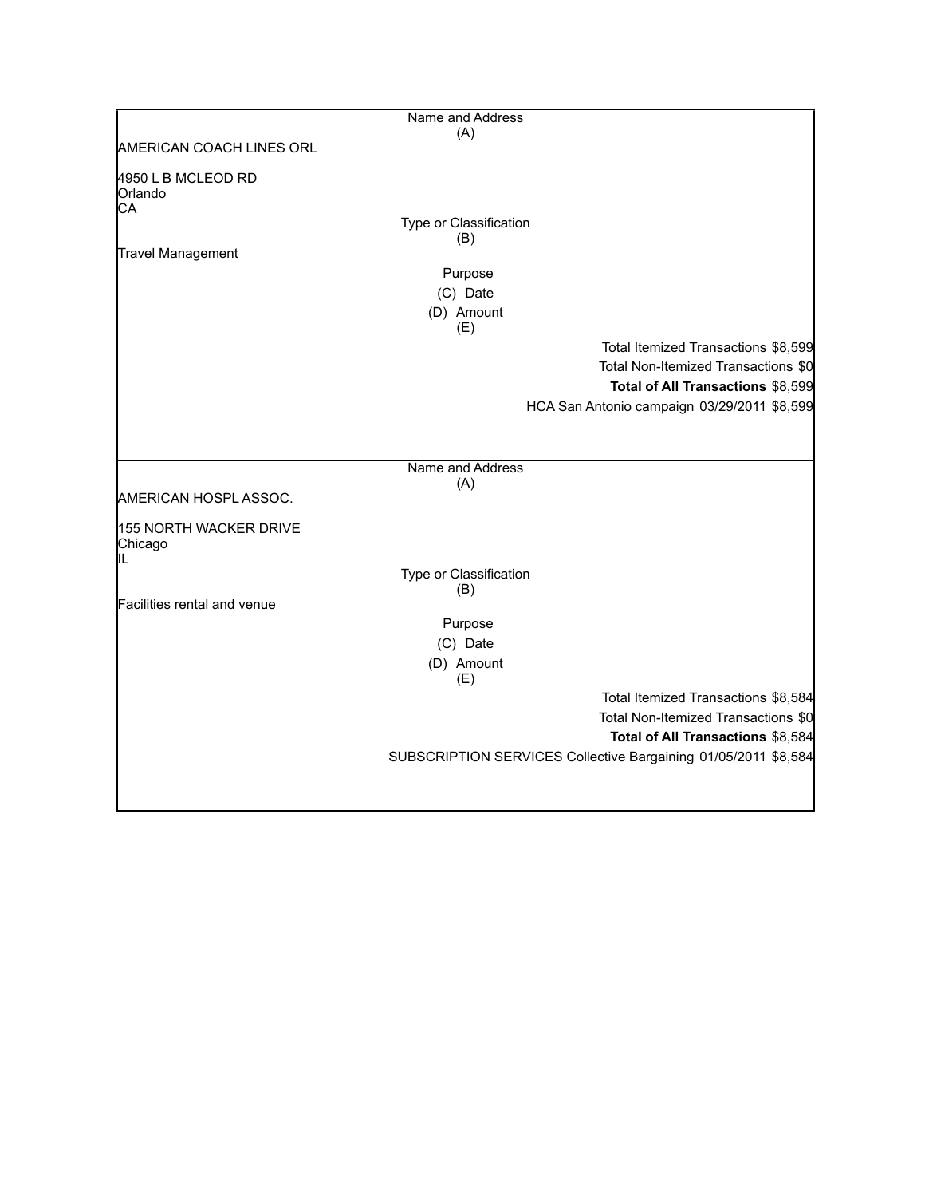|                                   | Name and Address        |                                                                |
|-----------------------------------|-------------------------|----------------------------------------------------------------|
| AMERICAN COACH LINES ORL          | (A)                     |                                                                |
|                                   |                         |                                                                |
| 4950 L B MCLEOD RD                |                         |                                                                |
| Orlando<br>CA                     |                         |                                                                |
|                                   | Type or Classification  |                                                                |
|                                   | (B)                     |                                                                |
| Travel Management                 | Purpose                 |                                                                |
|                                   | (C) Date                |                                                                |
|                                   | (D) Amount              |                                                                |
|                                   | (E)                     |                                                                |
|                                   |                         | Total Itemized Transactions \$8,599                            |
|                                   |                         | Total Non-Itemized Transactions \$0                            |
|                                   |                         | Total of All Transactions \$8,599                              |
|                                   |                         | HCA San Antonio campaign 03/29/2011 \$8,599                    |
|                                   |                         |                                                                |
|                                   |                         |                                                                |
|                                   | Name and Address<br>(A) |                                                                |
| AMERICAN HOSPL ASSOC.             |                         |                                                                |
|                                   |                         |                                                                |
| 155 NORTH WACKER DRIVE<br>Chicago |                         |                                                                |
| IIL                               |                         |                                                                |
|                                   | Type or Classification  |                                                                |
| Facilities rental and venue       | (B)                     |                                                                |
|                                   | Purpose                 |                                                                |
|                                   | (C) Date                |                                                                |
|                                   | (D) Amount              |                                                                |
|                                   | (E)                     |                                                                |
|                                   |                         | Total Itemized Transactions \$8,584                            |
|                                   |                         | Total Non-Itemized Transactions \$0                            |
|                                   |                         | Total of All Transactions \$8,584                              |
|                                   |                         | SUBSCRIPTION SERVICES Collective Bargaining 01/05/2011 \$8,584 |
|                                   |                         |                                                                |
|                                   |                         |                                                                |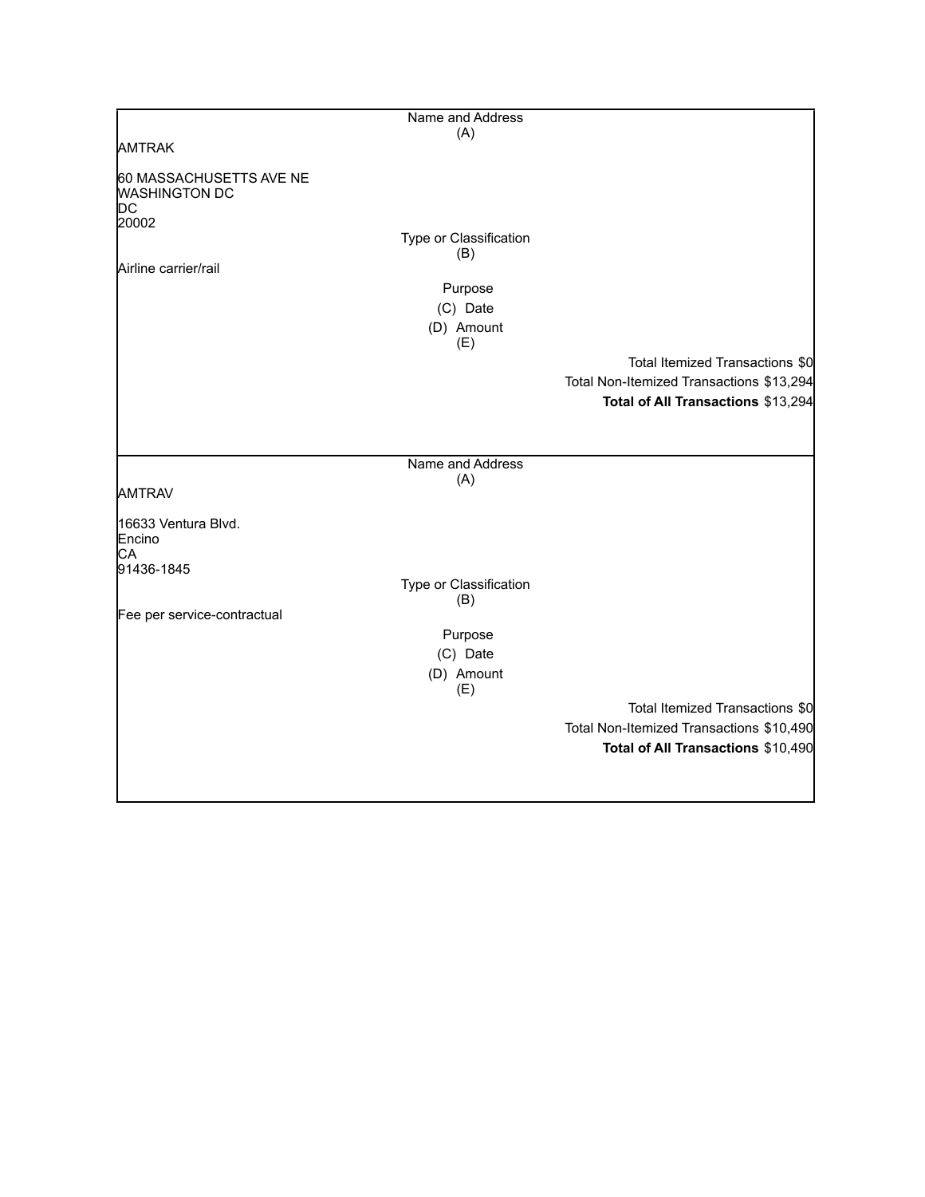|                                                                                               | Name and Address                         |                                          |
|-----------------------------------------------------------------------------------------------|------------------------------------------|------------------------------------------|
|                                                                                               | (A)                                      |                                          |
| <b>AMTRAK</b>                                                                                 |                                          |                                          |
| 60 MASSACHUSETTS AVE NE<br><b>WASHINGTON DC</b><br><b>DC</b><br>20002<br>Airline carrier/rail | Type or Classification<br>(B)<br>Purpose |                                          |
|                                                                                               | (C) Date                                 |                                          |
|                                                                                               | (D) Amount<br>(E)                        |                                          |
|                                                                                               |                                          | Total Itemized Transactions \$0          |
|                                                                                               |                                          | Total Non-Itemized Transactions \$13,294 |
|                                                                                               |                                          | Total of All Transactions \$13,294       |
|                                                                                               | Name and Address                         |                                          |
|                                                                                               | (A)                                      |                                          |
| <b>AMTRAV</b>                                                                                 |                                          |                                          |
| 16633 Ventura Blvd.<br>Encino<br>CA<br>91436-1845                                             |                                          |                                          |
|                                                                                               | Type or Classification                   |                                          |
|                                                                                               | (B)                                      |                                          |
| Fee per service-contractual                                                                   |                                          |                                          |
|                                                                                               | Purpose                                  |                                          |
|                                                                                               | (C) Date                                 |                                          |
|                                                                                               | (D) Amount<br>(E)                        |                                          |
|                                                                                               |                                          | Total Itemized Transactions \$0          |
|                                                                                               |                                          | Total Non-Itemized Transactions \$10,490 |
|                                                                                               |                                          | Total of All Transactions \$10,490       |
|                                                                                               |                                          |                                          |
|                                                                                               |                                          |                                          |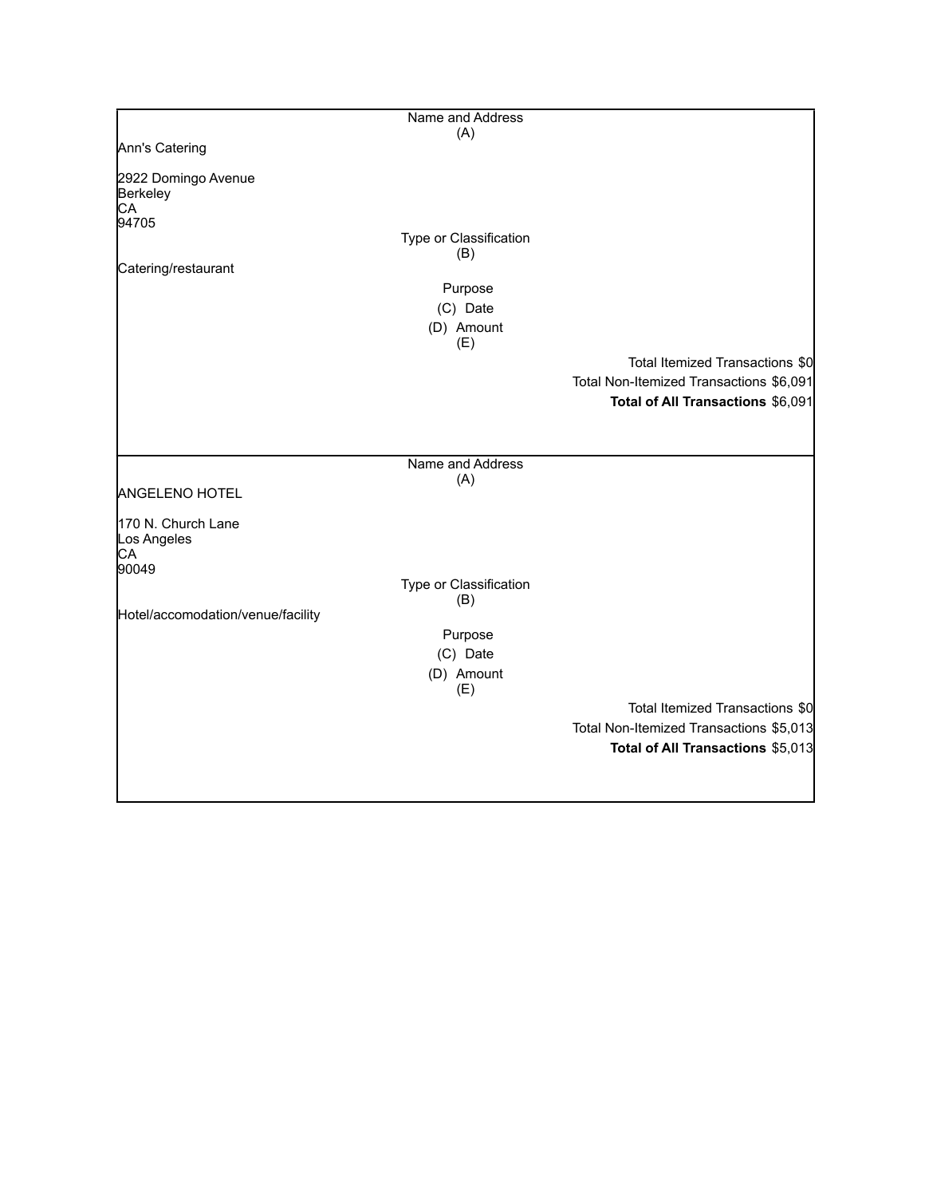|                                                  | Name and Address              |                                         |
|--------------------------------------------------|-------------------------------|-----------------------------------------|
|                                                  | (A)                           |                                         |
| Ann's Catering                                   |                               |                                         |
| 2922 Domingo Avenue<br>Berkeley<br>CA            |                               |                                         |
| 94705                                            | Type or Classification<br>(B) |                                         |
| Catering/restaurant                              |                               |                                         |
|                                                  | Purpose                       |                                         |
|                                                  | (C) Date                      |                                         |
|                                                  | (D) Amount                    |                                         |
|                                                  | (E)                           | Total Itemized Transactions \$0         |
|                                                  |                               | Total Non-Itemized Transactions \$6,091 |
|                                                  |                               | Total of All Transactions \$6,091       |
|                                                  |                               |                                         |
|                                                  |                               |                                         |
|                                                  | Name and Address              |                                         |
| <b>ANGELENO HOTEL</b>                            | (A)                           |                                         |
| 170 N. Church Lane<br>Los Angeles<br>CA<br>90049 |                               |                                         |
|                                                  | Type or Classification        |                                         |
|                                                  | (B)                           |                                         |
| Hotel/accomodation/venue/facility                |                               |                                         |
|                                                  | Purpose                       |                                         |
|                                                  | (C) Date                      |                                         |
|                                                  | (D) Amount<br>(E)             |                                         |
|                                                  |                               | Total Itemized Transactions \$0         |
|                                                  |                               | Total Non-Itemized Transactions \$5,013 |
|                                                  |                               | Total of All Transactions \$5,013       |
|                                                  |                               |                                         |
|                                                  |                               |                                         |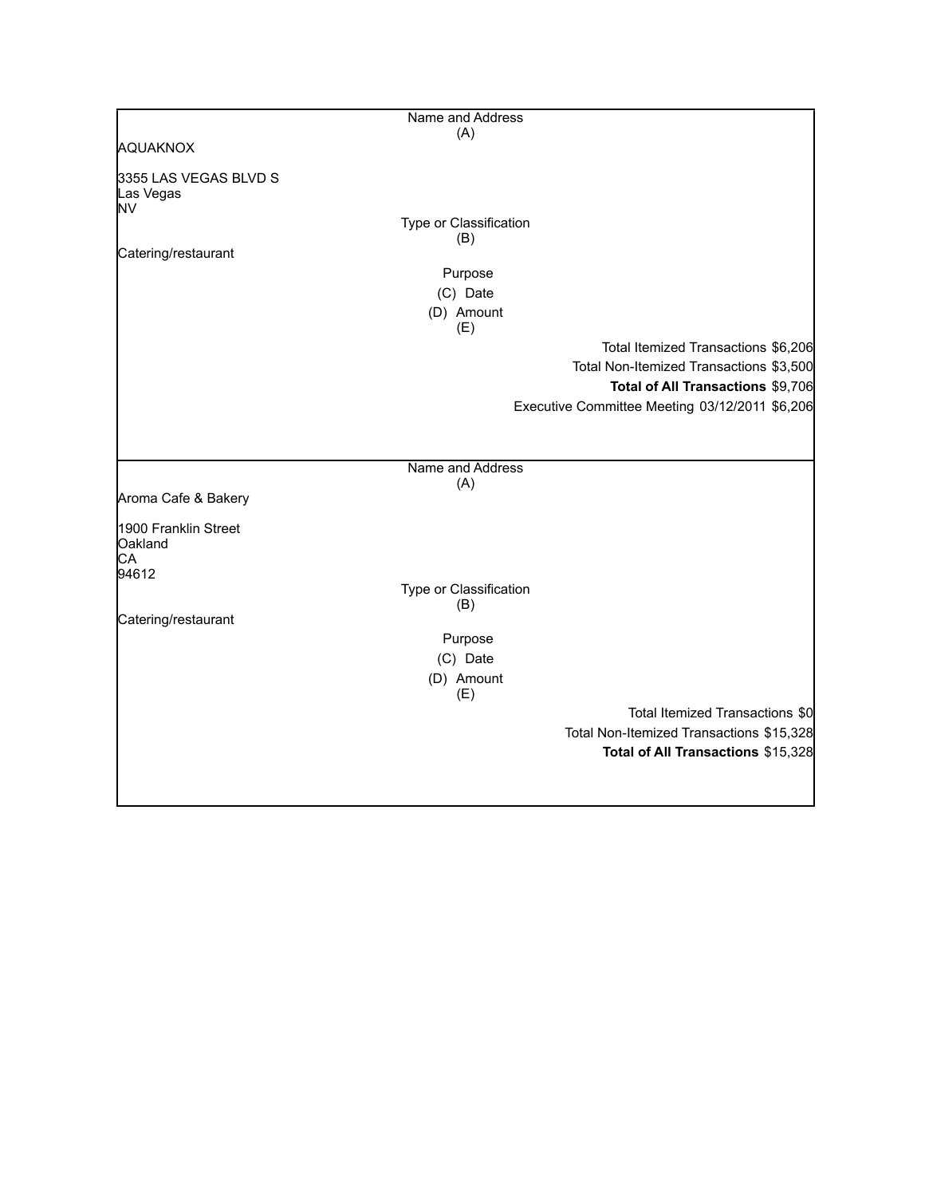|                                          | Name and Address       |                                                |
|------------------------------------------|------------------------|------------------------------------------------|
|                                          | (A)                    |                                                |
| AQUAKNOX                                 |                        |                                                |
| 3355 LAS VEGAS BLVD S<br>Las Vegas<br>NV |                        |                                                |
|                                          | Type or Classification |                                                |
|                                          | (B)                    |                                                |
| Catering/restaurant                      |                        |                                                |
|                                          | Purpose                |                                                |
|                                          | (C) Date               |                                                |
|                                          | (D) Amount<br>(E)      |                                                |
|                                          |                        | Total Itemized Transactions \$6,206            |
|                                          |                        | Total Non-Itemized Transactions \$3,500        |
|                                          |                        | Total of All Transactions \$9,706              |
|                                          |                        | Executive Committee Meeting 03/12/2011 \$6,206 |
|                                          |                        |                                                |
|                                          | Name and Address       |                                                |
| Aroma Cafe & Bakery                      | (A)                    |                                                |
| 1900 Franklin Street<br>Oakland          |                        |                                                |
| СA<br>94612                              |                        |                                                |
|                                          | Type or Classification |                                                |
|                                          | (B)                    |                                                |
| Catering/restaurant                      |                        |                                                |
|                                          | Purpose                |                                                |
|                                          | (C) Date               |                                                |
|                                          | (D) Amount<br>(E)      |                                                |
|                                          |                        | Total Itemized Transactions \$0                |
|                                          |                        | Total Non-Itemized Transactions \$15,328       |
|                                          |                        | Total of All Transactions \$15,328             |
|                                          |                        |                                                |
|                                          |                        |                                                |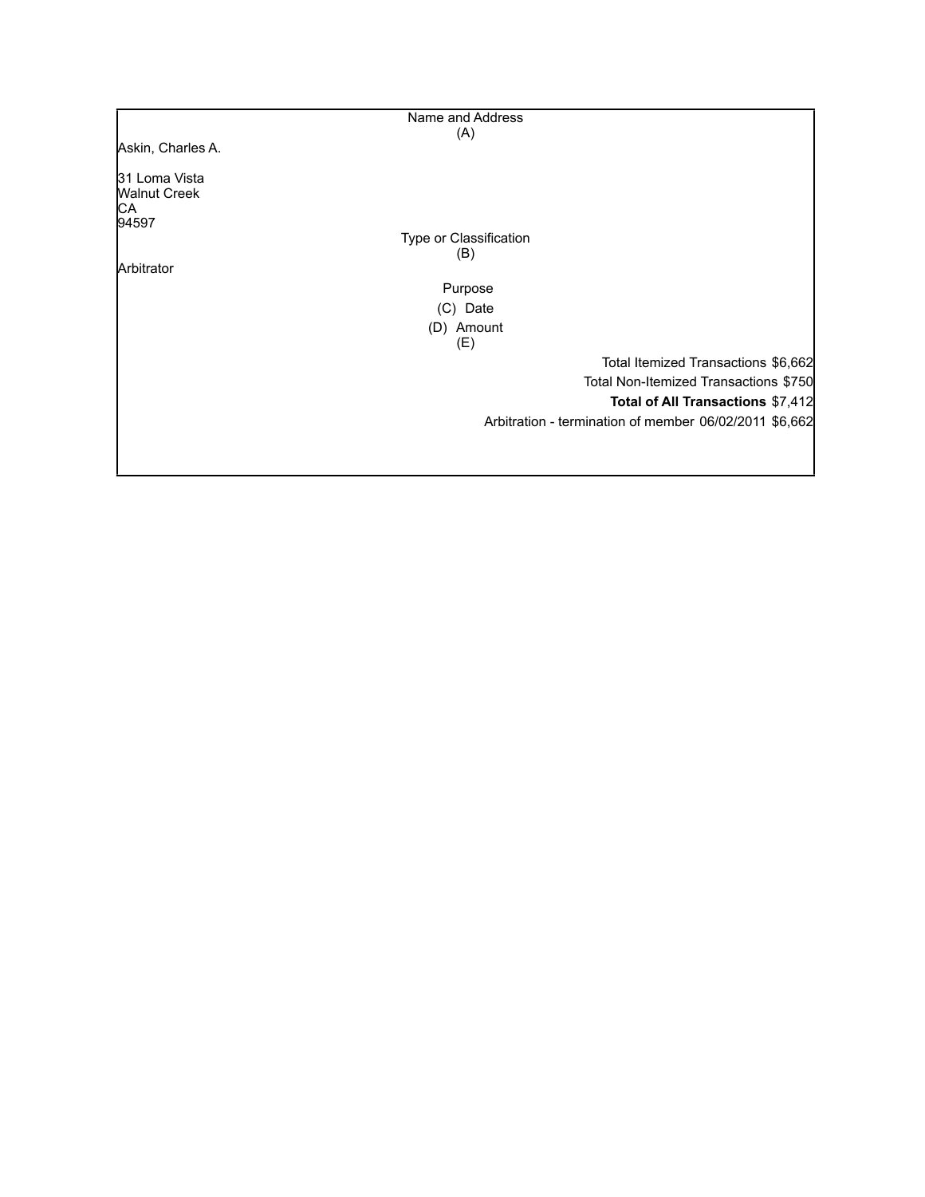|                                                      | Name and Address       |                                                        |
|------------------------------------------------------|------------------------|--------------------------------------------------------|
|                                                      | (A)                    |                                                        |
| Askin, Charles A.                                    |                        |                                                        |
| 31 Loma Vista<br><b>Walnut Creek</b><br>IСA<br>94597 |                        |                                                        |
|                                                      | Type or Classification |                                                        |
|                                                      | (B)                    |                                                        |
| Arbitrator                                           |                        |                                                        |
|                                                      | Purpose                |                                                        |
|                                                      | (C) Date               |                                                        |
|                                                      | (D) Amount             |                                                        |
|                                                      | (E)                    |                                                        |
|                                                      |                        | Total Itemized Transactions \$6,662                    |
|                                                      |                        | Total Non-Itemized Transactions \$750                  |
|                                                      |                        | Total of All Transactions \$7,412                      |
|                                                      |                        | Arbitration - termination of member 06/02/2011 \$6,662 |
|                                                      |                        |                                                        |
|                                                      |                        |                                                        |
|                                                      |                        |                                                        |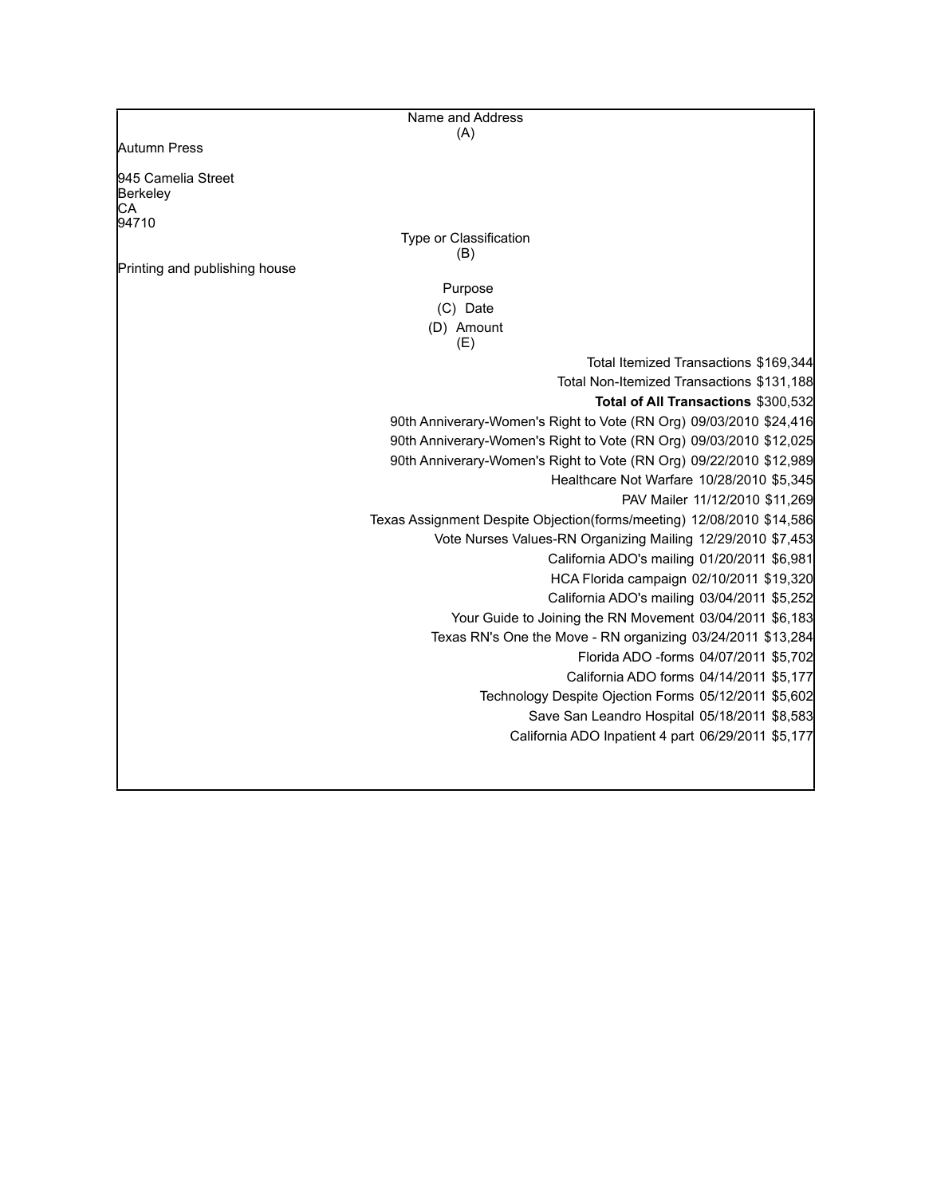| Name and Address                                                      |
|-----------------------------------------------------------------------|
| (A)                                                                   |
| Autumn Press                                                          |
| 945 Camelia Street                                                    |
| Berkeley                                                              |
| CА<br>94710                                                           |
| Type or Classification                                                |
| (B)                                                                   |
| Printing and publishing house                                         |
| Purpose                                                               |
| (C) Date                                                              |
| (D) Amount<br>(E)                                                     |
| Total Itemized Transactions \$169,344                                 |
| Total Non-Itemized Transactions \$131,188                             |
| Total of All Transactions \$300,532                                   |
| 90th Anniverary-Women's Right to Vote (RN Org) 09/03/2010 \$24,416    |
| 90th Anniverary-Women's Right to Vote (RN Org) 09/03/2010 \$12,025    |
| 90th Anniverary-Women's Right to Vote (RN Org) 09/22/2010 \$12,989    |
| Healthcare Not Warfare 10/28/2010 \$5,345                             |
| PAV Mailer 11/12/2010 \$11,269                                        |
| Texas Assignment Despite Objection(forms/meeting) 12/08/2010 \$14,586 |
| Vote Nurses Values-RN Organizing Mailing 12/29/2010 \$7,453           |
| California ADO's mailing 01/20/2011 \$6,981                           |
| HCA Florida campaign 02/10/2011 \$19,320                              |
| California ADO's mailing 03/04/2011 \$5,252                           |
| Your Guide to Joining the RN Movement 03/04/2011 \$6,183              |
| Texas RN's One the Move - RN organizing 03/24/2011 \$13,284           |
| Florida ADO -forms 04/07/2011 \$5,702                                 |
| California ADO forms 04/14/2011 \$5,177                               |
| Technology Despite Ojection Forms 05/12/2011 \$5,602                  |
| Save San Leandro Hospital 05/18/2011 \$8,583                          |
| California ADO Inpatient 4 part 06/29/2011 \$5,177                    |
|                                                                       |
|                                                                       |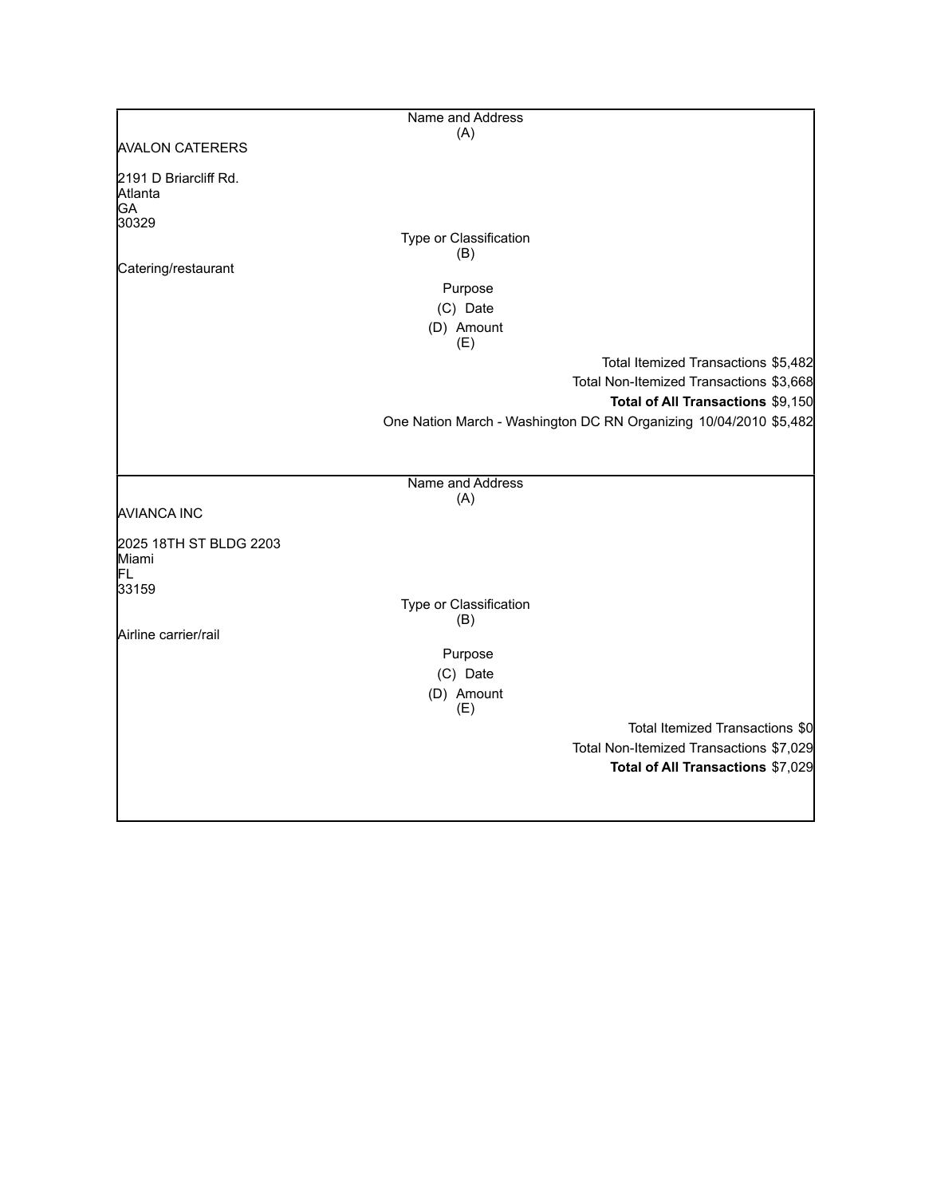|                                               | Name and Address              |                                                                   |
|-----------------------------------------------|-------------------------------|-------------------------------------------------------------------|
|                                               | (A)                           |                                                                   |
| <b>AVALON CATERERS</b>                        |                               |                                                                   |
| 2191 D Briarcliff Rd.<br>Atlanta<br><b>GA</b> |                               |                                                                   |
| 30329                                         |                               |                                                                   |
|                                               | Type or Classification        |                                                                   |
| Catering/restaurant                           | (B)                           |                                                                   |
|                                               | Purpose                       |                                                                   |
|                                               | (C) Date                      |                                                                   |
|                                               |                               |                                                                   |
|                                               | (D) Amount<br>(E)             |                                                                   |
|                                               |                               | Total Itemized Transactions \$5,482                               |
|                                               |                               | Total Non-Itemized Transactions \$3,668                           |
|                                               |                               | Total of All Transactions \$9,150                                 |
|                                               |                               | One Nation March - Washington DC RN Organizing 10/04/2010 \$5,482 |
|                                               |                               |                                                                   |
|                                               |                               |                                                                   |
|                                               | Name and Address              |                                                                   |
|                                               | (A)                           |                                                                   |
| <b>AVIANCA INC</b>                            |                               |                                                                   |
| 2025 18TH ST BLDG 2203                        |                               |                                                                   |
| Miami                                         |                               |                                                                   |
| lFL.                                          |                               |                                                                   |
| 33159                                         |                               |                                                                   |
|                                               | Type or Classification<br>(B) |                                                                   |
| Airline carrier/rail                          |                               |                                                                   |
|                                               | Purpose                       |                                                                   |
|                                               | (C) Date                      |                                                                   |
|                                               | (D) Amount                    |                                                                   |
|                                               | (E)                           |                                                                   |
|                                               |                               | Total Itemized Transactions \$0                                   |
|                                               |                               | Total Non-Itemized Transactions \$7,029                           |
|                                               |                               | Total of All Transactions \$7,029                                 |
|                                               |                               |                                                                   |
|                                               |                               |                                                                   |
|                                               |                               |                                                                   |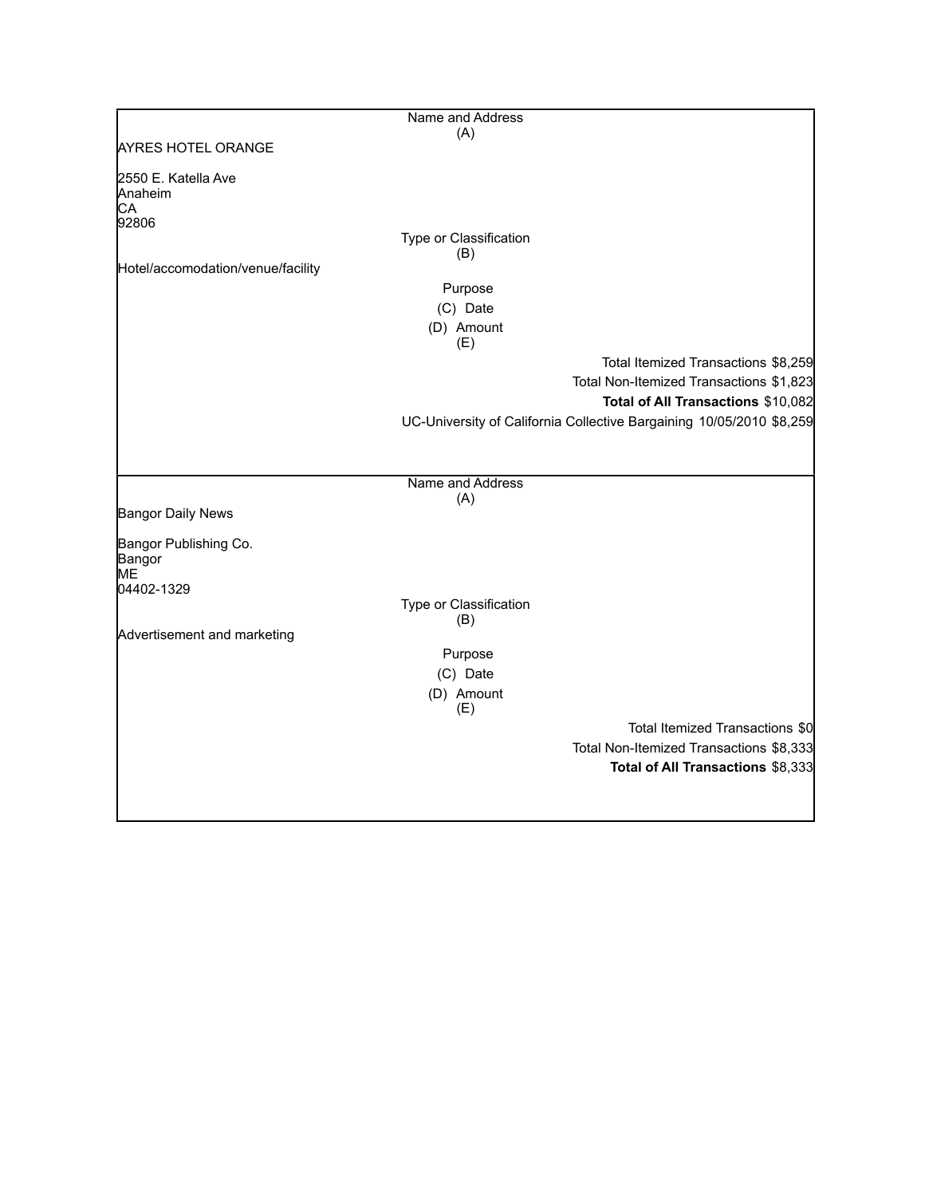|                                      | Name and Address              |                                                                      |
|--------------------------------------|-------------------------------|----------------------------------------------------------------------|
|                                      | (A)                           |                                                                      |
| <b>AYRES HOTEL ORANGE</b>            |                               |                                                                      |
| 2550 E. Katella Ave<br>Anaheim<br>CA |                               |                                                                      |
| 92806                                |                               |                                                                      |
|                                      | Type or Classification<br>(B) |                                                                      |
| Hotel/accomodation/venue/facility    |                               |                                                                      |
|                                      | Purpose                       |                                                                      |
|                                      | (C) Date                      |                                                                      |
|                                      | (D) Amount<br>(E)             |                                                                      |
|                                      |                               | Total Itemized Transactions \$8,259                                  |
|                                      |                               | Total Non-Itemized Transactions \$1,823                              |
|                                      |                               | Total of All Transactions \$10,082                                   |
|                                      |                               | UC-University of California Collective Bargaining 10/05/2010 \$8,259 |
|                                      |                               |                                                                      |
|                                      |                               |                                                                      |
|                                      | Name and Address              |                                                                      |
|                                      | (A)                           |                                                                      |
| <b>Bangor Daily News</b>             |                               |                                                                      |
| Bangor Publishing Co.                |                               |                                                                      |
| Bangor                               |                               |                                                                      |
| MЕ<br>04402-1329                     |                               |                                                                      |
|                                      | Type or Classification        |                                                                      |
|                                      | (B)                           |                                                                      |
| Advertisement and marketing          |                               |                                                                      |
|                                      | Purpose                       |                                                                      |
|                                      | (C) Date                      |                                                                      |
|                                      | (D) Amount<br>(E)             |                                                                      |
|                                      |                               | Total Itemized Transactions \$0                                      |
|                                      |                               | Total Non-Itemized Transactions \$8,333                              |
|                                      |                               | Total of All Transactions \$8,333                                    |
|                                      |                               |                                                                      |
|                                      |                               |                                                                      |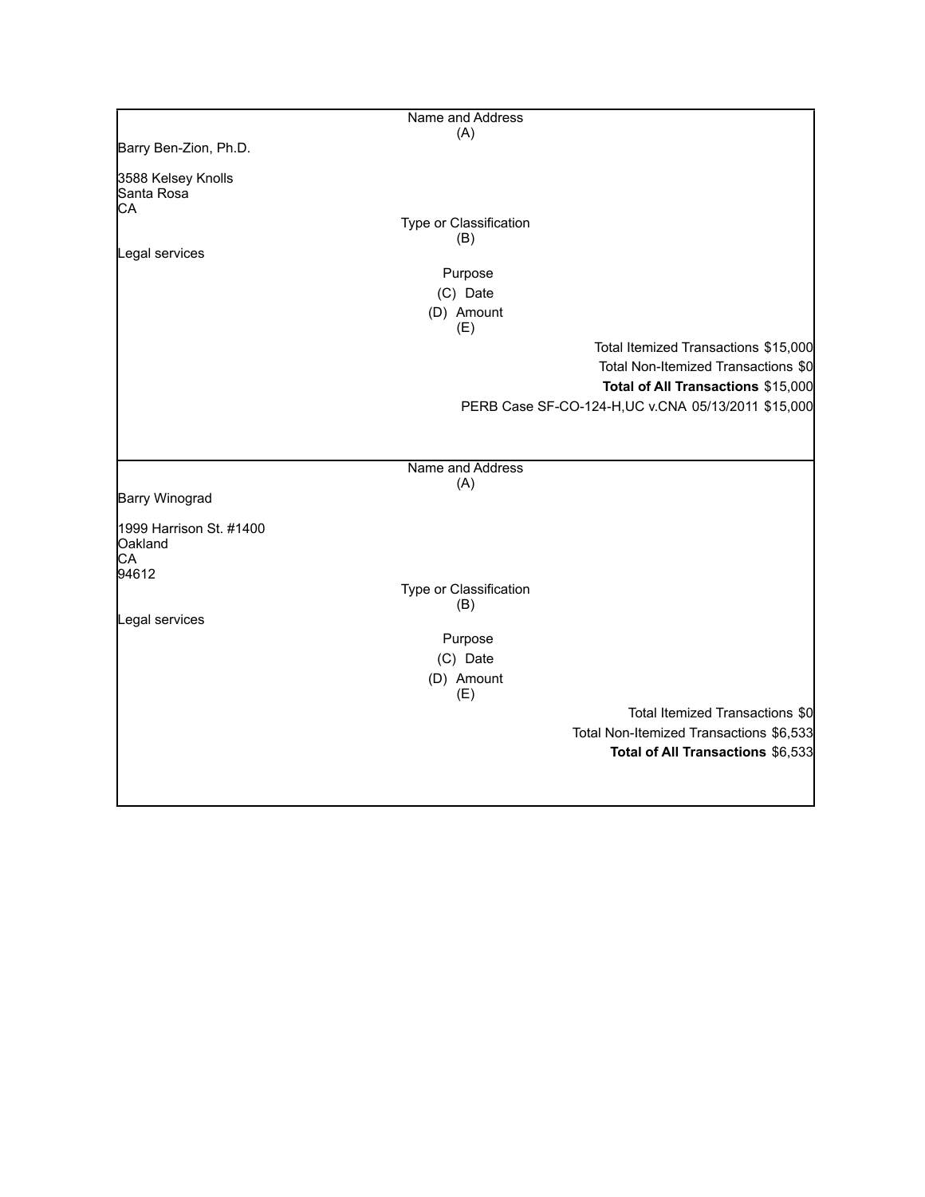|                         | Name and Address       |                                                     |
|-------------------------|------------------------|-----------------------------------------------------|
|                         | (A)                    |                                                     |
| Barry Ben-Zion, Ph.D.   |                        |                                                     |
| 3588 Kelsey Knolls      |                        |                                                     |
| Santa Rosa              |                        |                                                     |
| CA                      |                        |                                                     |
|                         | Type or Classification |                                                     |
|                         | (B)                    |                                                     |
| Legal services          |                        |                                                     |
|                         | Purpose                |                                                     |
|                         | (C) Date               |                                                     |
|                         | (D) Amount             |                                                     |
|                         | (E)                    |                                                     |
|                         |                        | Total Itemized Transactions \$15,000                |
|                         |                        | Total Non-Itemized Transactions \$0                 |
|                         |                        | Total of All Transactions \$15,000                  |
|                         |                        |                                                     |
|                         |                        | PERB Case SF-CO-124-H, UC v.CNA 05/13/2011 \$15,000 |
|                         |                        |                                                     |
|                         |                        |                                                     |
|                         | Name and Address       |                                                     |
|                         | (A)                    |                                                     |
| <b>Barry Winograd</b>   |                        |                                                     |
| 1999 Harrison St. #1400 |                        |                                                     |
| Oakland                 |                        |                                                     |
| CA                      |                        |                                                     |
| 94612                   |                        |                                                     |
|                         | Type or Classification |                                                     |
|                         | (B)                    |                                                     |
| Legal services          |                        |                                                     |
|                         | Purpose                |                                                     |
|                         | (C) Date               |                                                     |
|                         | (D) Amount             |                                                     |
|                         | (E)                    |                                                     |
|                         |                        | Total Itemized Transactions \$0                     |
|                         |                        | Total Non-Itemized Transactions \$6,533             |
|                         |                        | Total of All Transactions \$6,533                   |
|                         |                        |                                                     |
|                         |                        |                                                     |
|                         |                        |                                                     |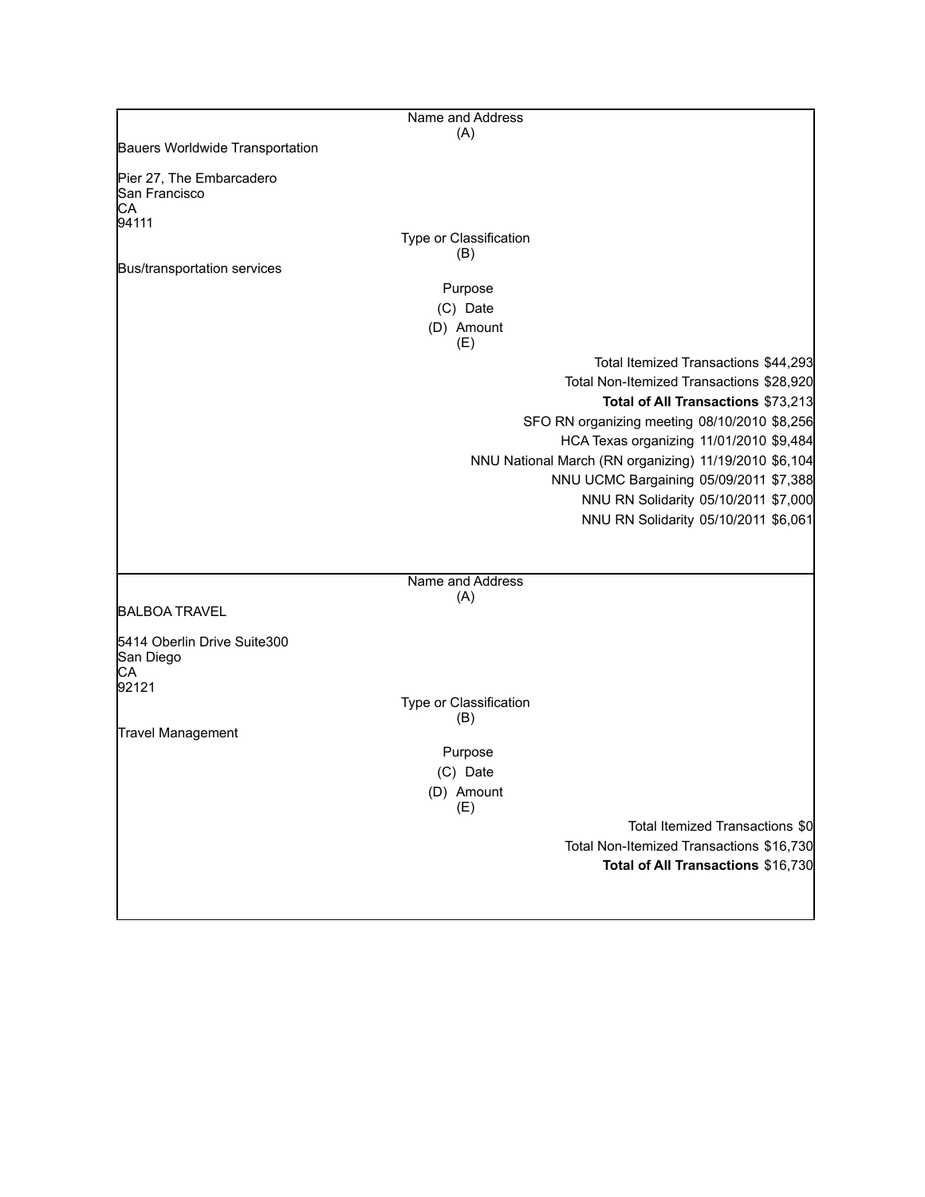|                                                 | Name and Address              |                                                       |
|-------------------------------------------------|-------------------------------|-------------------------------------------------------|
|                                                 | (A)                           |                                                       |
| Bauers Worldwide Transportation                 |                               |                                                       |
| Pier 27, The Embarcadero<br>San Francisco<br>CA |                               |                                                       |
| 94111                                           |                               |                                                       |
|                                                 | Type or Classification<br>(B) |                                                       |
| Bus/transportation services                     |                               |                                                       |
|                                                 | Purpose                       |                                                       |
|                                                 | (C) Date                      |                                                       |
|                                                 | (D) Amount<br>(E)             |                                                       |
|                                                 |                               | Total Itemized Transactions \$44,293                  |
|                                                 |                               | Total Non-Itemized Transactions \$28,920              |
|                                                 |                               | Total of All Transactions \$73,213                    |
|                                                 |                               | SFO RN organizing meeting 08/10/2010 \$8,256          |
|                                                 |                               | HCA Texas organizing 11/01/2010 \$9,484               |
|                                                 |                               | NNU National March (RN organizing) 11/19/2010 \$6,104 |
|                                                 |                               | NNU UCMC Bargaining 05/09/2011 \$7,388                |
|                                                 |                               | NNU RN Solidarity 05/10/2011 \$7,000                  |
|                                                 |                               | NNU RN Solidarity 05/10/2011 \$6,061                  |
|                                                 |                               |                                                       |
|                                                 | Name and Address              |                                                       |
|                                                 | (A)                           |                                                       |
| <b>BALBOA TRAVEL</b>                            |                               |                                                       |
| 5414 Oberlin Drive Suite300                     |                               |                                                       |
| San Diego<br>СA                                 |                               |                                                       |
| 92121                                           | Type or Classification        |                                                       |
|                                                 | (B)                           |                                                       |
| Travel Management                               |                               |                                                       |
|                                                 | Purpose                       |                                                       |
|                                                 | (C) Date                      |                                                       |
|                                                 | (D) Amount<br>(E)             |                                                       |
|                                                 |                               | Total Itemized Transactions \$0                       |
|                                                 |                               | Total Non-Itemized Transactions \$16,730              |
|                                                 |                               | Total of All Transactions \$16,730                    |
|                                                 |                               |                                                       |
|                                                 |                               |                                                       |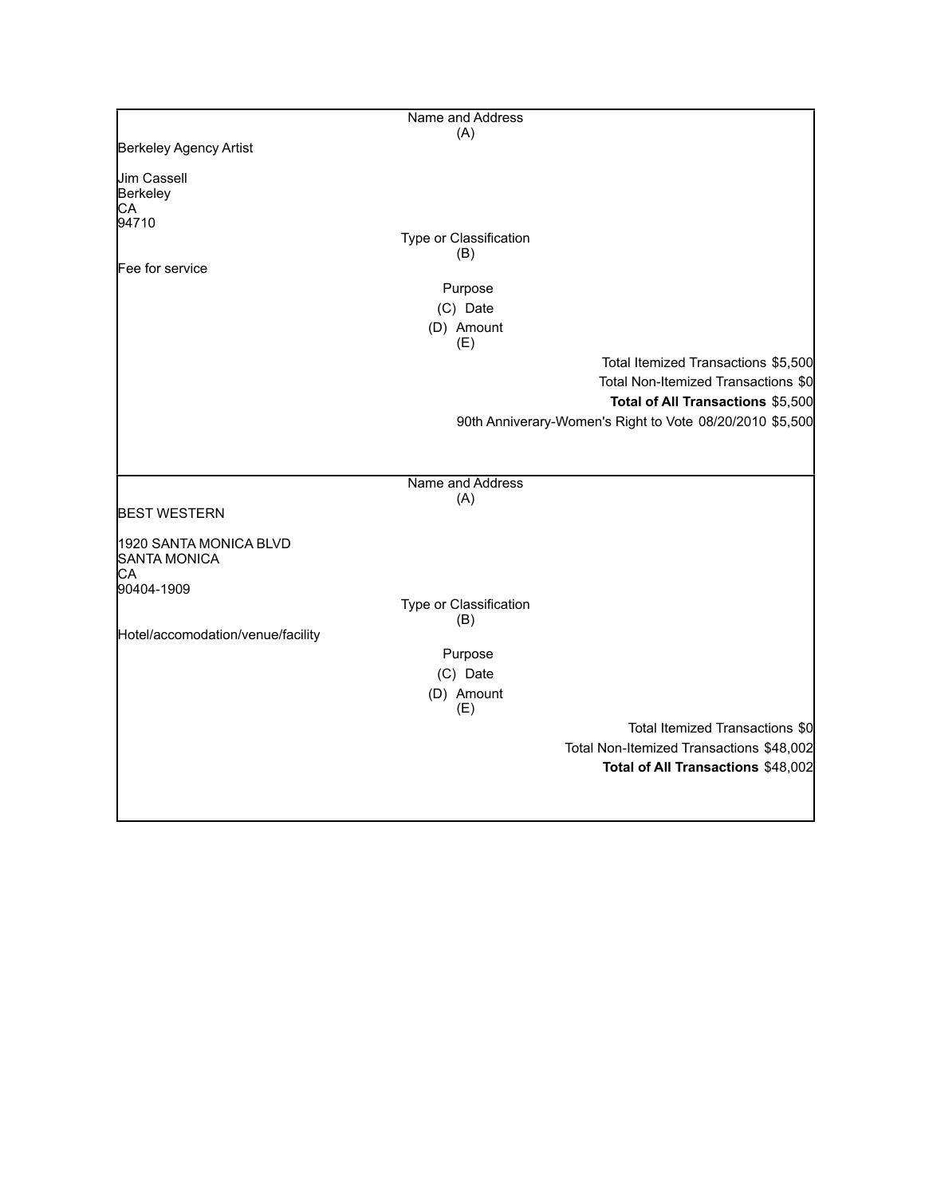|                                                     | Name and Address              |                                                          |
|-----------------------------------------------------|-------------------------------|----------------------------------------------------------|
|                                                     | (A)                           |                                                          |
| Berkeley Agency Artist                              |                               |                                                          |
| <b>Jim Cassell</b><br>Berkeley<br>СA                |                               |                                                          |
| 94710                                               |                               |                                                          |
|                                                     | Type or Classification<br>(B) |                                                          |
| Fee for service                                     |                               |                                                          |
|                                                     | Purpose                       |                                                          |
|                                                     | (C) Date                      |                                                          |
|                                                     | (D) Amount<br>(E)             |                                                          |
|                                                     |                               | Total Itemized Transactions \$5,500                      |
|                                                     |                               | Total Non-Itemized Transactions \$0                      |
|                                                     |                               | Total of All Transactions \$5,500                        |
|                                                     |                               | 90th Anniverary-Women's Right to Vote 08/20/2010 \$5,500 |
|                                                     |                               |                                                          |
|                                                     |                               |                                                          |
|                                                     | Name and Address<br>(A)       |                                                          |
| <b>BEST WESTERN</b>                                 |                               |                                                          |
| 1920 SANTA MONICA BLVD<br><b>SANTA MONICA</b><br>СA |                               |                                                          |
| 90404-1909                                          | Type or Classification        |                                                          |
|                                                     | (B)                           |                                                          |
| Hotel/accomodation/venue/facility                   |                               |                                                          |
|                                                     | Purpose                       |                                                          |
|                                                     | (C) Date                      |                                                          |
|                                                     | (D) Amount<br>(E)             |                                                          |
|                                                     |                               | Total Itemized Transactions \$0                          |
|                                                     |                               | Total Non-Itemized Transactions \$48,002                 |
|                                                     |                               | Total of All Transactions \$48,002                       |
|                                                     |                               |                                                          |
|                                                     |                               |                                                          |
|                                                     |                               |                                                          |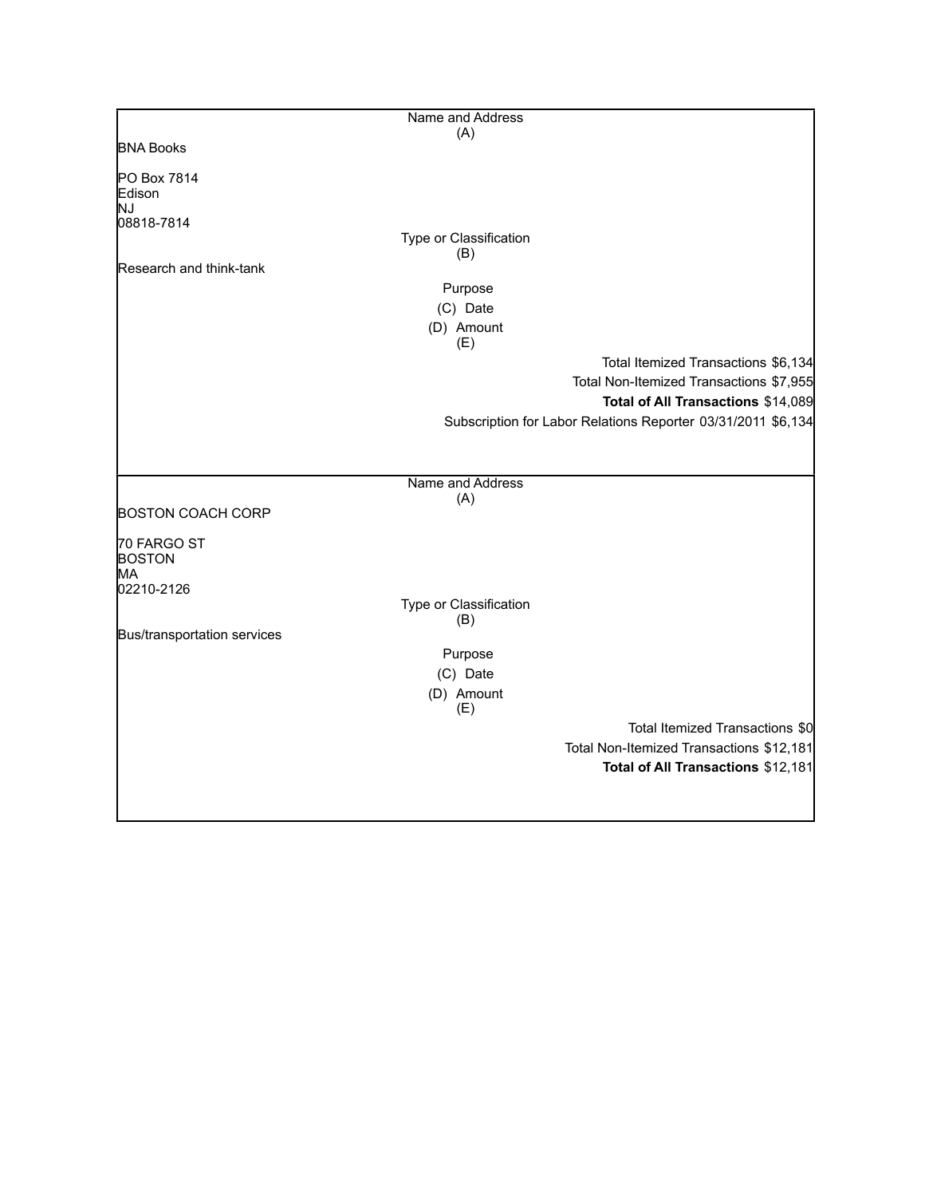|                             | Name and Address              |                                                              |
|-----------------------------|-------------------------------|--------------------------------------------------------------|
|                             | (A)                           |                                                              |
| <b>BNA Books</b>            |                               |                                                              |
| PO Box 7814<br>Edison       |                               |                                                              |
| ΙNJ                         |                               |                                                              |
| 08818-7814                  | Type or Classification        |                                                              |
|                             | (B)                           |                                                              |
| Research and think-tank     |                               |                                                              |
|                             | Purpose                       |                                                              |
|                             | (C) Date                      |                                                              |
|                             |                               |                                                              |
|                             | (D) Amount<br>(E)             |                                                              |
|                             |                               | Total Itemized Transactions \$6,134                          |
|                             |                               | Total Non-Itemized Transactions \$7,955                      |
|                             |                               | Total of All Transactions \$14,089                           |
|                             |                               | Subscription for Labor Relations Reporter 03/31/2011 \$6,134 |
|                             |                               |                                                              |
|                             | Name and Address              |                                                              |
|                             | (A)                           |                                                              |
| <b>BOSTON COACH CORP</b>    |                               |                                                              |
| 70 FARGO ST                 |                               |                                                              |
| <b>BOSTON</b>               |                               |                                                              |
| MA                          |                               |                                                              |
| 02210-2126                  |                               |                                                              |
|                             | Type or Classification<br>(B) |                                                              |
| Bus/transportation services |                               |                                                              |
|                             | Purpose                       |                                                              |
|                             |                               |                                                              |
|                             | (C) Date                      |                                                              |
|                             | (D) Amount<br>(E)             |                                                              |
|                             |                               | Total Itemized Transactions \$0                              |
|                             |                               | Total Non-Itemized Transactions \$12,181                     |
|                             |                               | Total of All Transactions \$12,181                           |
|                             |                               |                                                              |
|                             |                               |                                                              |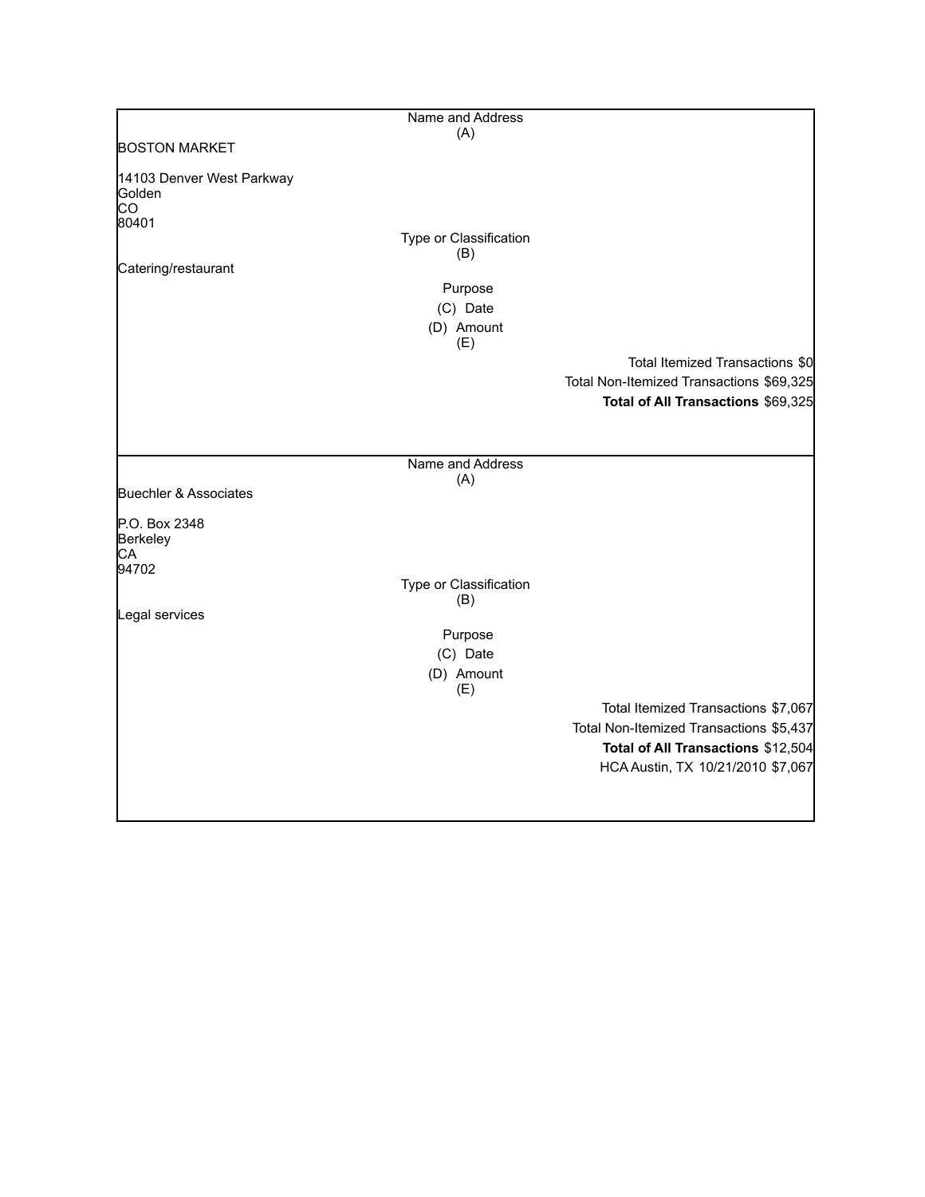|                                           | Name and Address              |                                          |
|-------------------------------------------|-------------------------------|------------------------------------------|
|                                           | (A)                           |                                          |
| <b>BOSTON MARKET</b>                      |                               |                                          |
| 14103 Denver West Parkway<br>Golden<br>CO |                               |                                          |
| 80401                                     | Type or Classification        |                                          |
| Catering/restaurant                       | (B)                           |                                          |
|                                           | Purpose                       |                                          |
|                                           | (C) Date                      |                                          |
|                                           | (D) Amount                    |                                          |
|                                           | (E)                           |                                          |
|                                           |                               | Total Itemized Transactions \$0          |
|                                           |                               | Total Non-Itemized Transactions \$69,325 |
|                                           |                               | Total of All Transactions \$69,325       |
|                                           |                               |                                          |
|                                           |                               |                                          |
|                                           | Name and Address              |                                          |
|                                           | (A)                           |                                          |
| Buechler & Associates                     |                               |                                          |
| P.O. Box 2348<br>Berkeley<br>CA           |                               |                                          |
| 94702                                     |                               |                                          |
|                                           | Type or Classification<br>(B) |                                          |
| Legal services                            |                               |                                          |
|                                           | Purpose                       |                                          |
|                                           | (C) Date                      |                                          |
|                                           | (D) Amount<br>(E)             |                                          |
|                                           |                               | Total Itemized Transactions \$7,067      |
|                                           |                               | Total Non-Itemized Transactions \$5,437  |
|                                           |                               | Total of All Transactions \$12,504       |
|                                           |                               | HCA Austin, TX 10/21/2010 \$7,067        |
|                                           |                               |                                          |
|                                           |                               |                                          |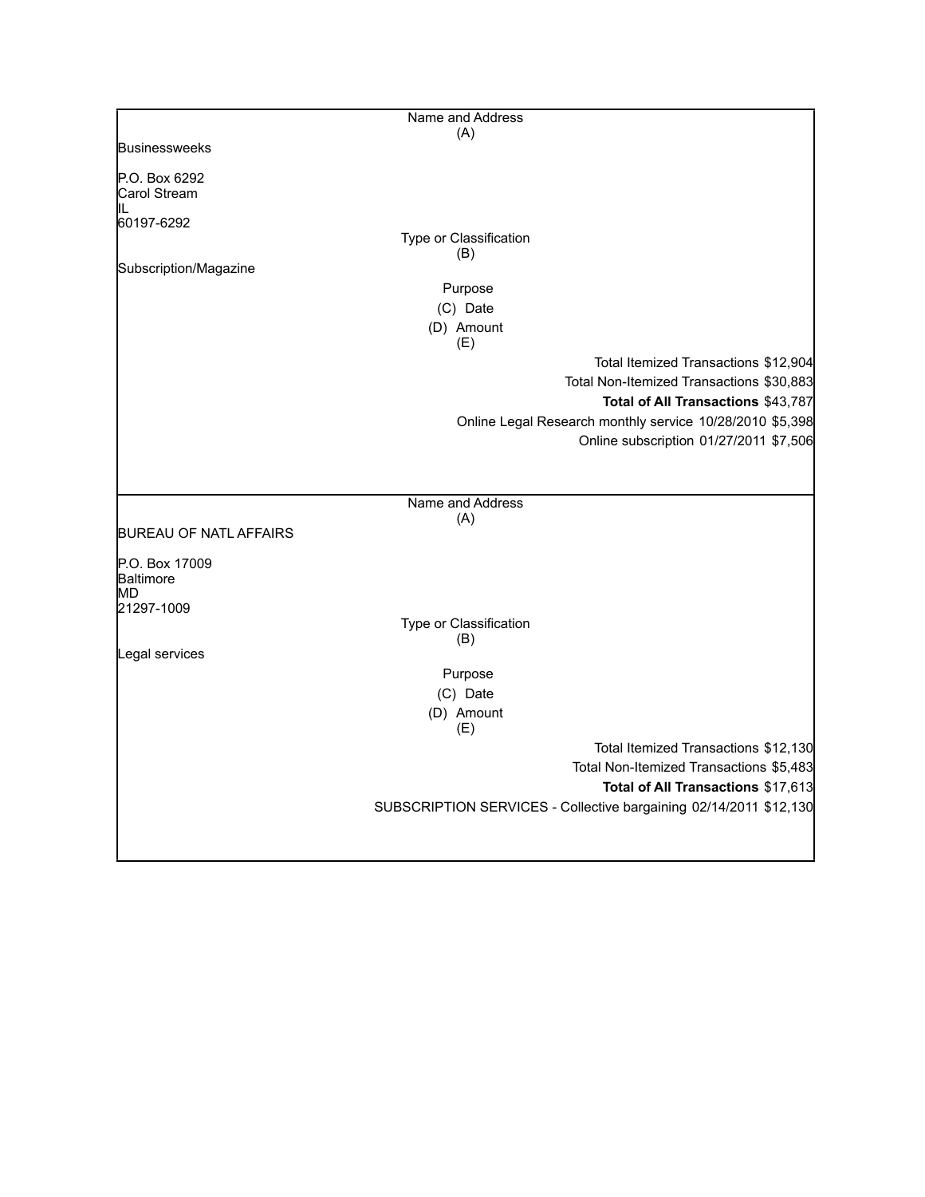|                               | Name and Address                                                  |
|-------------------------------|-------------------------------------------------------------------|
|                               | (A)                                                               |
| <b>Businessweeks</b>          |                                                                   |
| P.O. Box 6292                 |                                                                   |
| Carol Stream                  |                                                                   |
| IL                            |                                                                   |
| 60197-6292                    |                                                                   |
|                               | Type or Classification                                            |
| Subscription/Magazine         | (B)                                                               |
|                               |                                                                   |
|                               | Purpose                                                           |
|                               | (C) Date                                                          |
|                               | (D) Amount                                                        |
|                               | (E)                                                               |
|                               | Total Itemized Transactions \$12,904                              |
|                               | Total Non-Itemized Transactions \$30,883                          |
|                               | Total of All Transactions \$43,787                                |
|                               | Online Legal Research monthly service 10/28/2010 \$5,398          |
|                               | Online subscription 01/27/2011 \$7,506                            |
|                               |                                                                   |
|                               |                                                                   |
|                               | Name and Address                                                  |
|                               | (A)                                                               |
| <b>BUREAU OF NATL AFFAIRS</b> |                                                                   |
| P.O. Box 17009                |                                                                   |
| Baltimore                     |                                                                   |
| MD                            |                                                                   |
| 21297-1009                    |                                                                   |
|                               | Type or Classification<br>(B)                                     |
| Legal services                |                                                                   |
|                               | Purpose                                                           |
|                               |                                                                   |
|                               | (C) Date                                                          |
|                               | (D) Amount<br>(E)                                                 |
|                               | Total Itemized Transactions \$12,130                              |
|                               | Total Non-Itemized Transactions \$5,483                           |
|                               | Total of All Transactions \$17,613                                |
|                               | SUBSCRIPTION SERVICES - Collective bargaining 02/14/2011 \$12,130 |
|                               |                                                                   |
|                               |                                                                   |
|                               |                                                                   |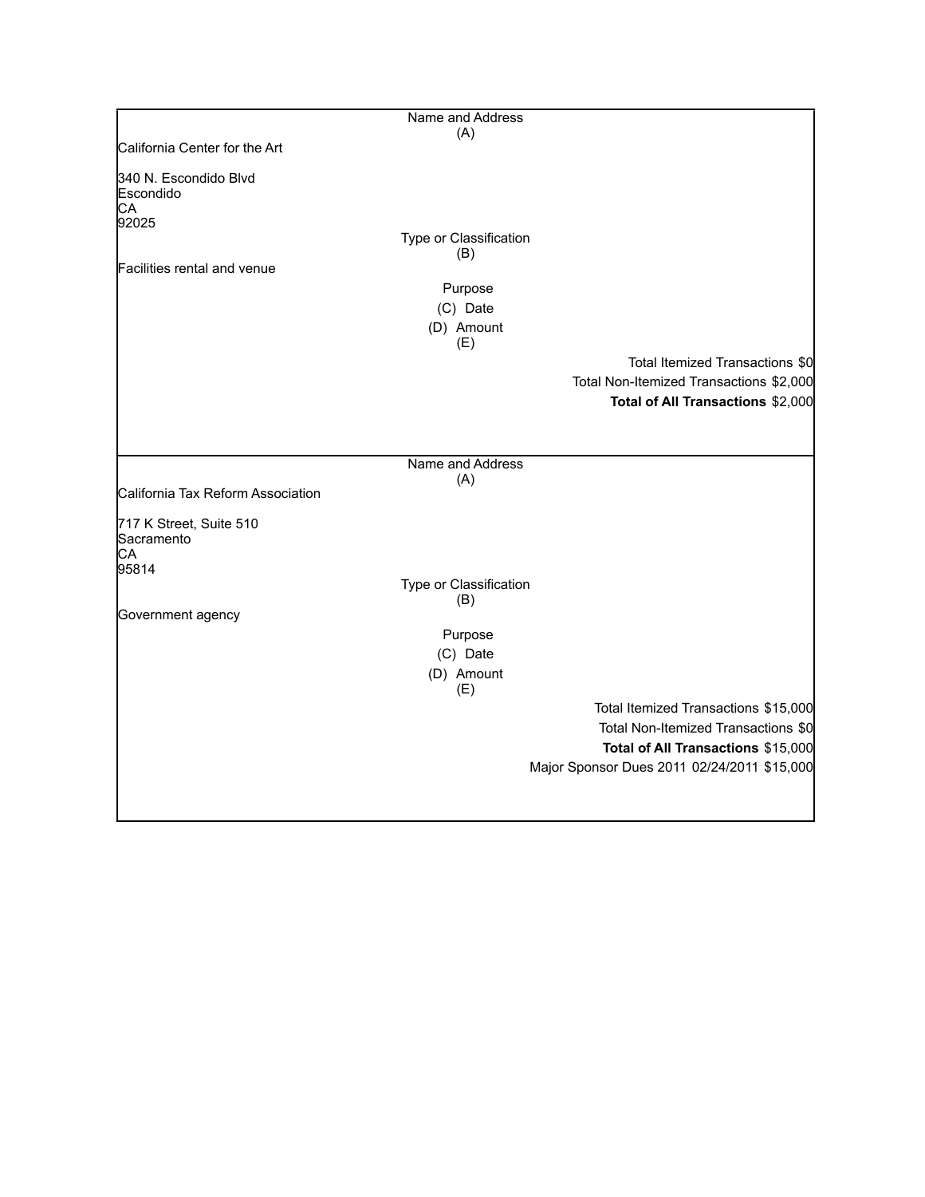|                                          | Name and Address              |                                             |
|------------------------------------------|-------------------------------|---------------------------------------------|
|                                          | (A)                           |                                             |
| California Center for the Art            |                               |                                             |
| 340 N. Escondido Blvd<br>Escondido<br>CA |                               |                                             |
| 92025                                    |                               |                                             |
|                                          | Type or Classification<br>(B) |                                             |
| Facilities rental and venue              |                               |                                             |
|                                          | Purpose                       |                                             |
|                                          | (C) Date                      |                                             |
|                                          | (D) Amount<br>(E)             |                                             |
|                                          |                               | Total Itemized Transactions \$0             |
|                                          |                               | Total Non-Itemized Transactions \$2,000     |
|                                          |                               | Total of All Transactions \$2,000           |
|                                          |                               |                                             |
|                                          |                               |                                             |
|                                          | Name and Address              |                                             |
| California Tax Reform Association        | (A)                           |                                             |
|                                          |                               |                                             |
| 717 K Street, Suite 510<br>Sacramento    |                               |                                             |
| СA<br>95814                              |                               |                                             |
|                                          | Type or Classification<br>(B) |                                             |
| Government agency                        |                               |                                             |
|                                          | Purpose                       |                                             |
|                                          | (C) Date                      |                                             |
|                                          | (D) Amount<br>(E)             |                                             |
|                                          |                               | Total Itemized Transactions \$15,000        |
|                                          |                               | Total Non-Itemized Transactions \$0         |
|                                          |                               | Total of All Transactions \$15,000          |
|                                          |                               | Major Sponsor Dues 2011 02/24/2011 \$15,000 |
|                                          |                               |                                             |
|                                          |                               |                                             |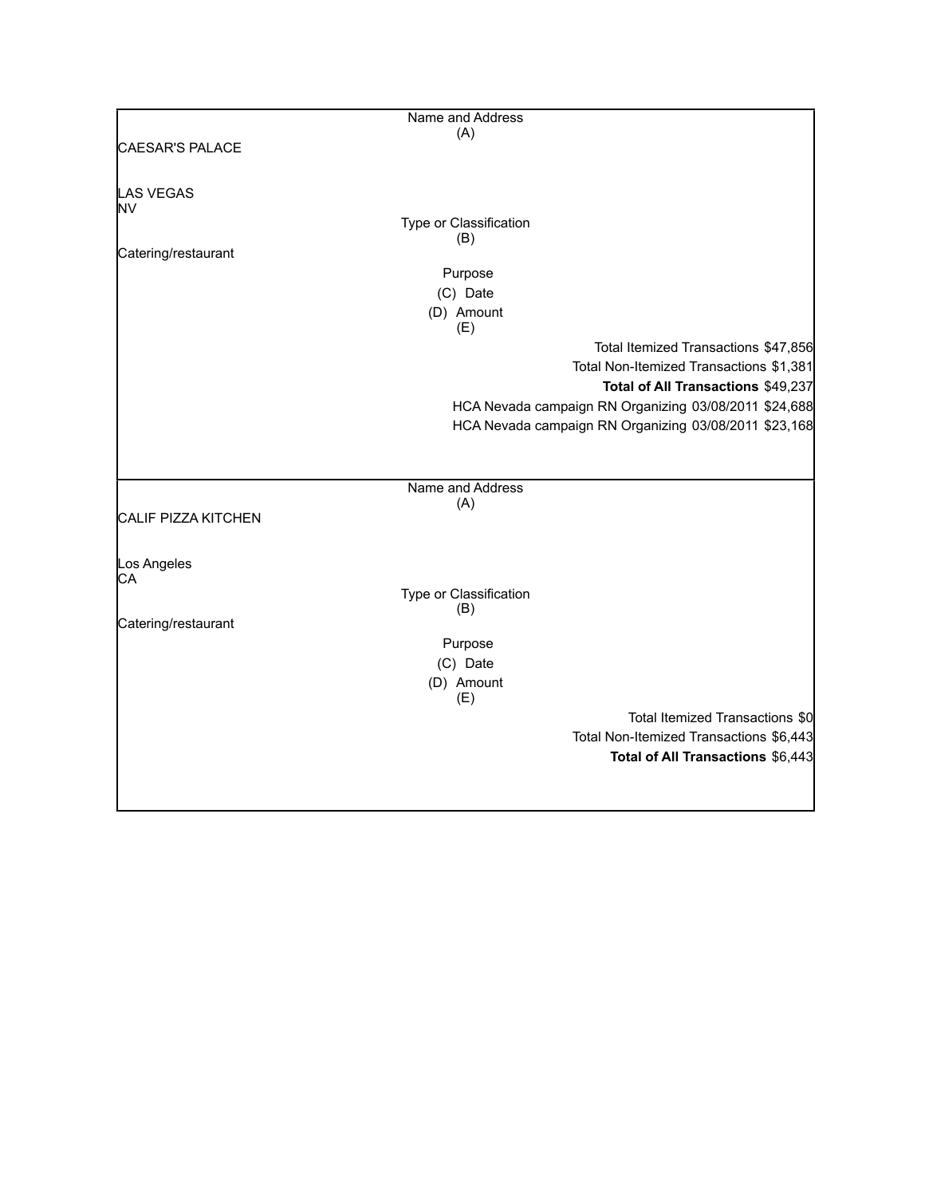|                            | Name and Address       |                                                       |
|----------------------------|------------------------|-------------------------------------------------------|
|                            | (A)                    |                                                       |
| CAESAR'S PALACE            |                        |                                                       |
| LAS VEGAS                  |                        |                                                       |
| NV                         |                        |                                                       |
|                            | Type or Classification |                                                       |
|                            | (B)                    |                                                       |
| Catering/restaurant        |                        |                                                       |
|                            | Purpose                |                                                       |
|                            | (C) Date               |                                                       |
|                            | (D) Amount             |                                                       |
|                            | (E)                    |                                                       |
|                            |                        | Total Itemized Transactions \$47,856                  |
|                            |                        | Total Non-Itemized Transactions \$1,381               |
|                            |                        | Total of All Transactions \$49,237                    |
|                            |                        | HCA Nevada campaign RN Organizing 03/08/2011 \$24,688 |
|                            |                        | HCA Nevada campaign RN Organizing 03/08/2011 \$23,168 |
|                            |                        |                                                       |
|                            |                        |                                                       |
|                            | Name and Address       |                                                       |
|                            | (A)                    |                                                       |
| <b>CALIF PIZZA KITCHEN</b> |                        |                                                       |
|                            |                        |                                                       |
|                            |                        |                                                       |
| Los Angeles<br>СA          |                        |                                                       |
|                            | Type or Classification |                                                       |
|                            | (B)                    |                                                       |
| Catering/restaurant        |                        |                                                       |
|                            | Purpose                |                                                       |
|                            | (C) Date               |                                                       |
|                            | (D) Amount             |                                                       |
|                            | (E)                    |                                                       |
|                            |                        | Total Itemized Transactions \$0                       |
|                            |                        | Total Non-Itemized Transactions \$6,443               |
|                            |                        | Total of All Transactions \$6,443                     |
|                            |                        |                                                       |
|                            |                        |                                                       |
|                            |                        |                                                       |

L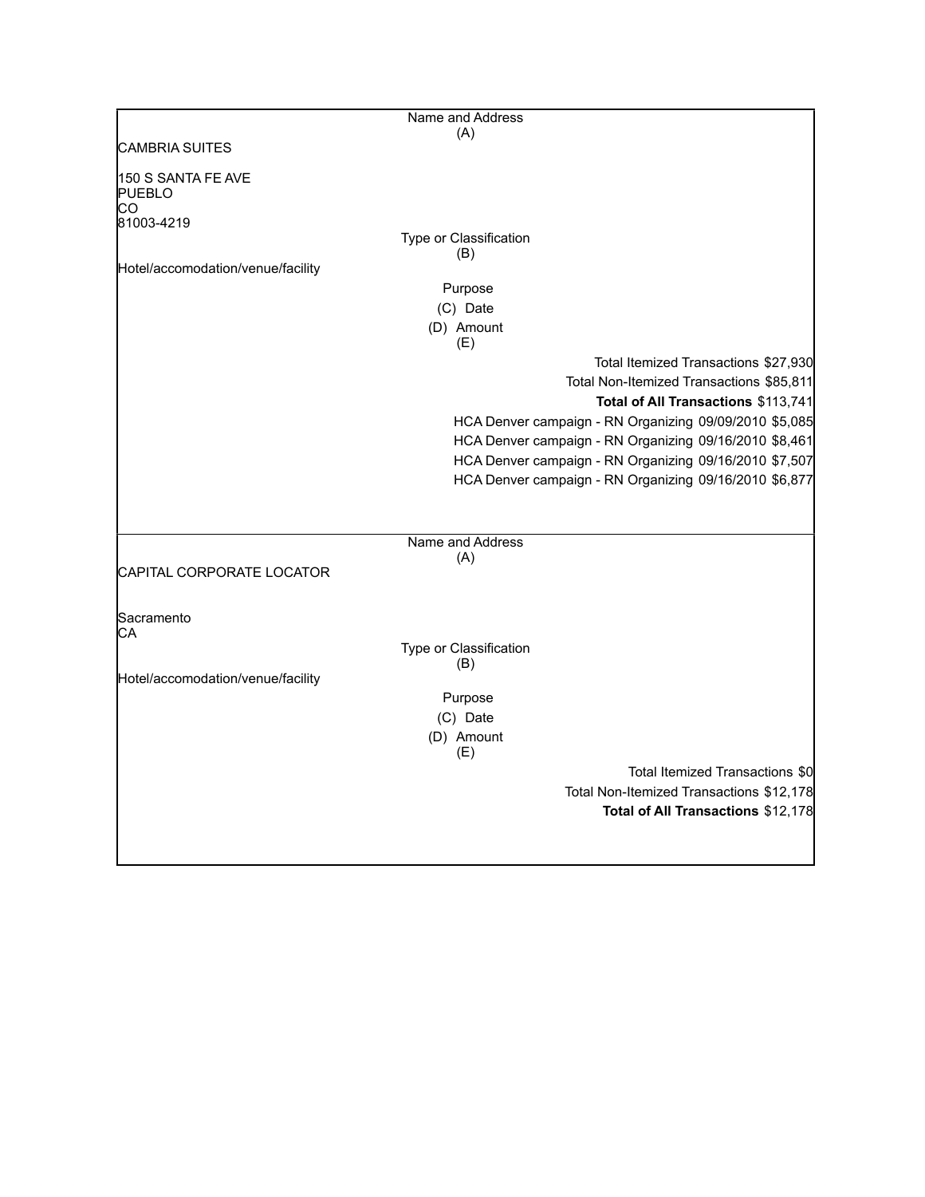|                                           | Name and Address                                       |
|-------------------------------------------|--------------------------------------------------------|
|                                           | (A)                                                    |
| <b>CAMBRIA SUITES</b>                     |                                                        |
| 150 S SANTA FE AVE<br><b>PUEBLO</b><br>CО |                                                        |
| 81003-4219                                |                                                        |
|                                           | Type or Classification<br>(B)                          |
| Hotel/accomodation/venue/facility         |                                                        |
|                                           | Purpose                                                |
|                                           | (C) Date                                               |
|                                           | (D) Amount<br>(E)                                      |
|                                           | Total Itemized Transactions \$27,930                   |
|                                           | Total Non-Itemized Transactions \$85,811               |
|                                           | Total of All Transactions \$113,741                    |
|                                           | HCA Denver campaign - RN Organizing 09/09/2010 \$5,085 |
|                                           | HCA Denver campaign - RN Organizing 09/16/2010 \$8,461 |
|                                           | HCA Denver campaign - RN Organizing 09/16/2010 \$7,507 |
|                                           | HCA Denver campaign - RN Organizing 09/16/2010 \$6,877 |
|                                           |                                                        |
|                                           |                                                        |
|                                           | Name and Address                                       |
|                                           | (A)                                                    |
| CAPITAL CORPORATE LOCATOR                 |                                                        |
|                                           |                                                        |
| Sacramento<br>CА                          |                                                        |
|                                           | Type or Classification                                 |
| Hotel/accomodation/venue/facility         | (B)                                                    |
|                                           | Purpose                                                |
|                                           | (C) Date                                               |
|                                           | (D) Amount                                             |
|                                           | (E)                                                    |
|                                           | Total Itemized Transactions \$0                        |
|                                           | Total Non-Itemized Transactions \$12,178               |
|                                           | Total of All Transactions \$12,178                     |
|                                           |                                                        |
|                                           |                                                        |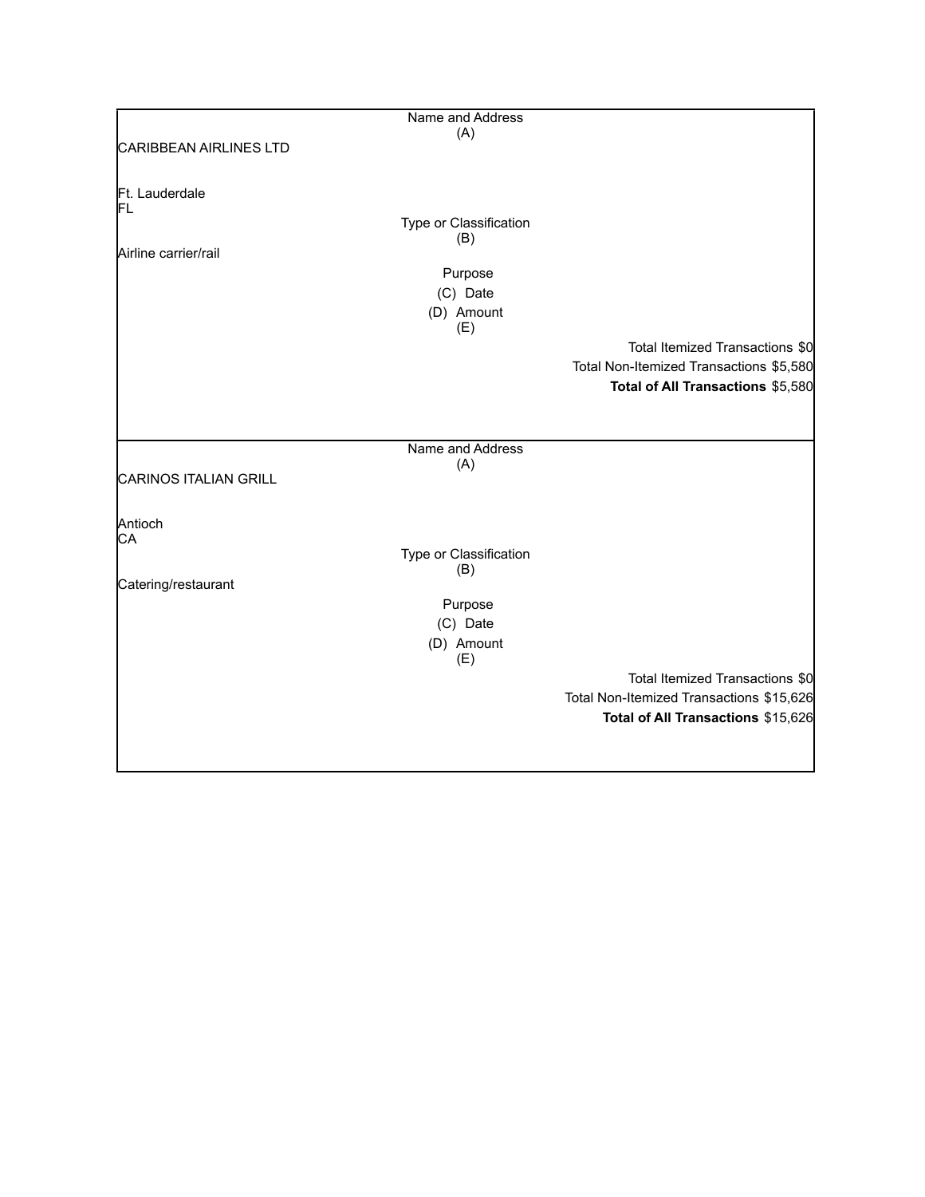|                               | Name and Address              |                                          |
|-------------------------------|-------------------------------|------------------------------------------|
|                               | (A)                           |                                          |
| <b>CARIBBEAN AIRLINES LTD</b> |                               |                                          |
|                               |                               |                                          |
|                               |                               |                                          |
| Ft. Lauderdale                |                               |                                          |
| FL                            |                               |                                          |
|                               | Type or Classification<br>(B) |                                          |
| Airline carrier/rail          |                               |                                          |
|                               |                               |                                          |
|                               | Purpose                       |                                          |
|                               | (C) Date                      |                                          |
|                               | (D) Amount                    |                                          |
|                               | (E)                           |                                          |
|                               |                               | Total Itemized Transactions \$0          |
|                               |                               | Total Non-Itemized Transactions \$5,580  |
|                               |                               | Total of All Transactions \$5,580        |
|                               |                               |                                          |
|                               |                               |                                          |
|                               |                               |                                          |
|                               | Name and Address              |                                          |
|                               | (A)                           |                                          |
| <b>CARINOS ITALIAN GRILL</b>  |                               |                                          |
|                               |                               |                                          |
| Antioch                       |                               |                                          |
| СA                            |                               |                                          |
|                               | Type or Classification        |                                          |
|                               | (B)                           |                                          |
| Catering/restaurant           |                               |                                          |
|                               | Purpose                       |                                          |
|                               |                               |                                          |
|                               | (C) Date                      |                                          |
|                               | (D) Amount                    |                                          |
|                               | (E)                           |                                          |
|                               |                               | Total Itemized Transactions \$0          |
|                               |                               | Total Non-Itemized Transactions \$15,626 |
|                               |                               | Total of All Transactions \$15,626       |
|                               |                               |                                          |
|                               |                               |                                          |
|                               |                               |                                          |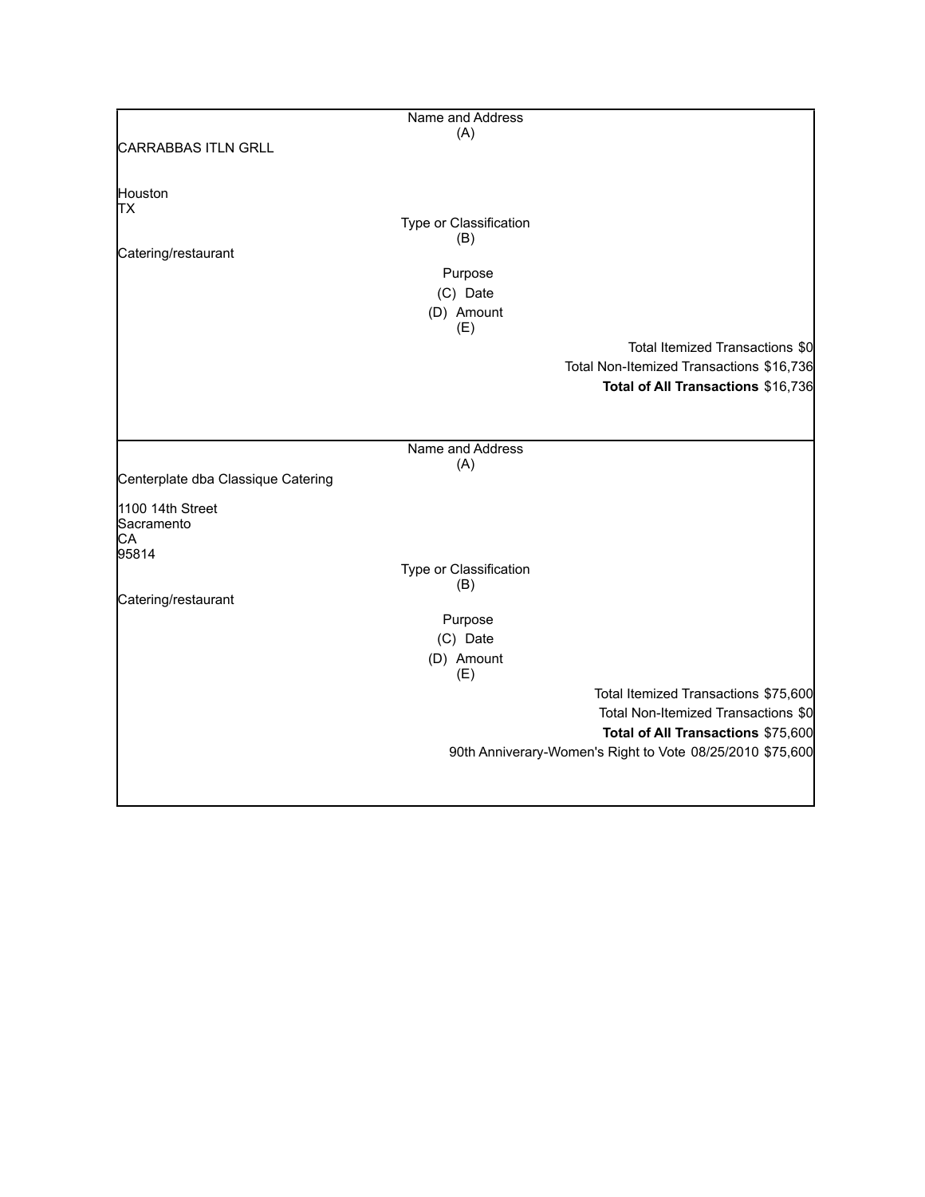|                                    | Name and Address       |                                                           |
|------------------------------------|------------------------|-----------------------------------------------------------|
|                                    | (A)                    |                                                           |
| <b>CARRABBAS ITLN GRLL</b>         |                        |                                                           |
|                                    |                        |                                                           |
| Houston                            |                        |                                                           |
| TХ                                 |                        |                                                           |
|                                    | Type or Classification |                                                           |
|                                    | (B)                    |                                                           |
| Catering/restaurant                |                        |                                                           |
|                                    | Purpose                |                                                           |
|                                    | (C) Date               |                                                           |
|                                    | (D) Amount             |                                                           |
|                                    | (E)                    |                                                           |
|                                    |                        | Total Itemized Transactions \$0                           |
|                                    |                        | Total Non-Itemized Transactions \$16,736                  |
|                                    |                        |                                                           |
|                                    |                        | Total of All Transactions \$16,736                        |
|                                    |                        |                                                           |
|                                    |                        |                                                           |
|                                    | Name and Address       |                                                           |
|                                    | (A)                    |                                                           |
| Centerplate dba Classique Catering |                        |                                                           |
| 1100 14th Street                   |                        |                                                           |
| Sacramento                         |                        |                                                           |
| CA                                 |                        |                                                           |
| 95814                              |                        |                                                           |
|                                    | Type or Classification |                                                           |
|                                    | (B)                    |                                                           |
| Catering/restaurant                |                        |                                                           |
|                                    | Purpose                |                                                           |
|                                    | (C) Date               |                                                           |
|                                    | (D) Amount             |                                                           |
|                                    | (E)                    |                                                           |
|                                    |                        | Total Itemized Transactions \$75,600                      |
|                                    |                        | Total Non-Itemized Transactions \$0                       |
|                                    |                        | Total of All Transactions \$75,600                        |
|                                    |                        | 90th Anniverary-Women's Right to Vote 08/25/2010 \$75,600 |
|                                    |                        |                                                           |
|                                    |                        |                                                           |
|                                    |                        |                                                           |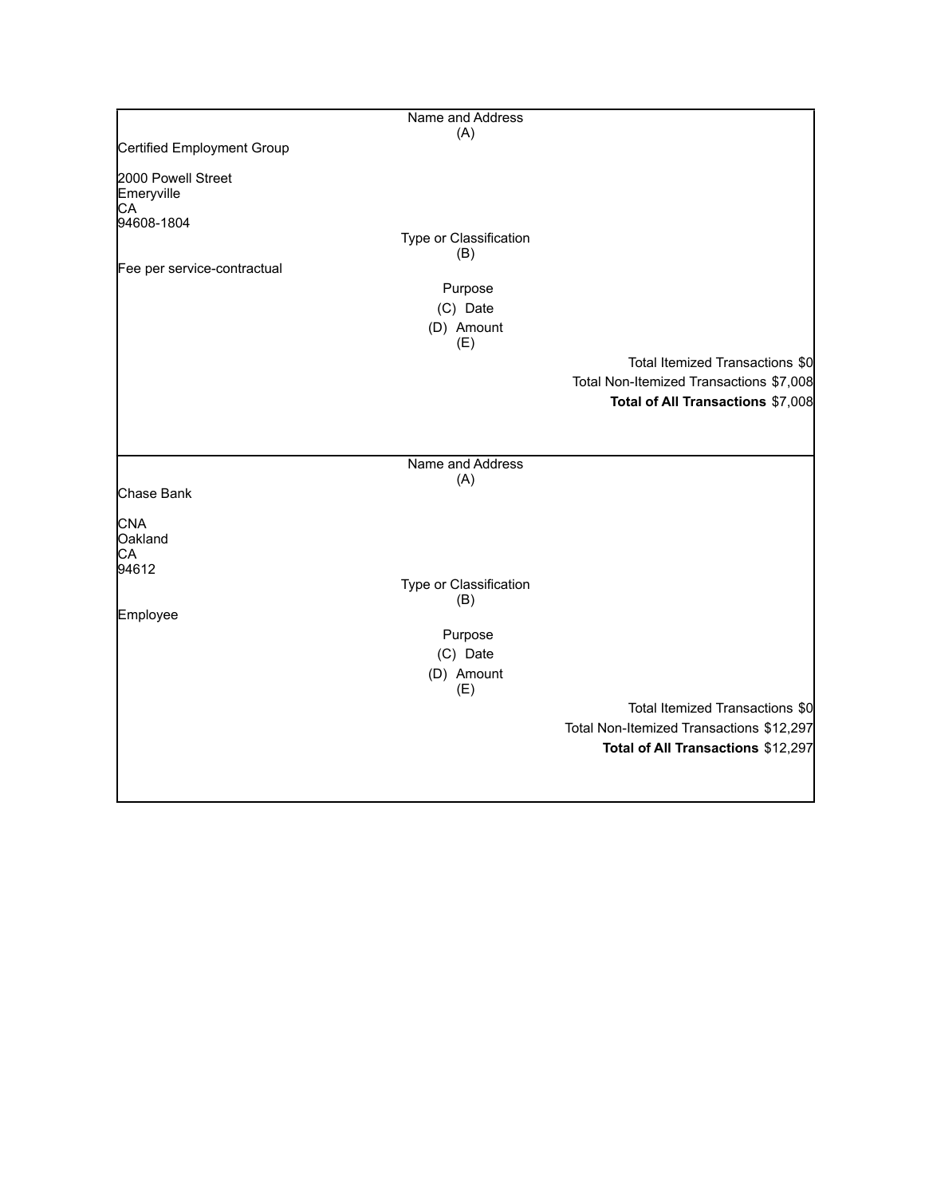|                                                      | Name and Address              |                                          |
|------------------------------------------------------|-------------------------------|------------------------------------------|
| Certified Employment Group                           | (A)                           |                                          |
|                                                      |                               |                                          |
| 2000 Powell Street<br>Emeryville<br>CA<br>94608-1804 | Type or Classification        |                                          |
|                                                      | (B)                           |                                          |
| Fee per service-contractual                          |                               |                                          |
|                                                      | Purpose                       |                                          |
|                                                      | (C) Date                      |                                          |
|                                                      | (D) Amount<br>(E)             |                                          |
|                                                      |                               | Total Itemized Transactions \$0          |
|                                                      |                               | Total Non-Itemized Transactions \$7,008  |
|                                                      |                               | Total of All Transactions \$7,008        |
|                                                      |                               |                                          |
|                                                      | Name and Address              |                                          |
| Chase Bank                                           | (A)                           |                                          |
| <b>CNA</b><br>Oakland<br>СA                          |                               |                                          |
| 94612                                                | Type or Classification<br>(B) |                                          |
| Employee                                             |                               |                                          |
|                                                      | Purpose                       |                                          |
|                                                      | (C) Date                      |                                          |
|                                                      | (D) Amount<br>(E)             |                                          |
|                                                      |                               | Total Itemized Transactions \$0          |
|                                                      |                               | Total Non-Itemized Transactions \$12,297 |
|                                                      |                               | Total of All Transactions \$12,297       |
|                                                      |                               |                                          |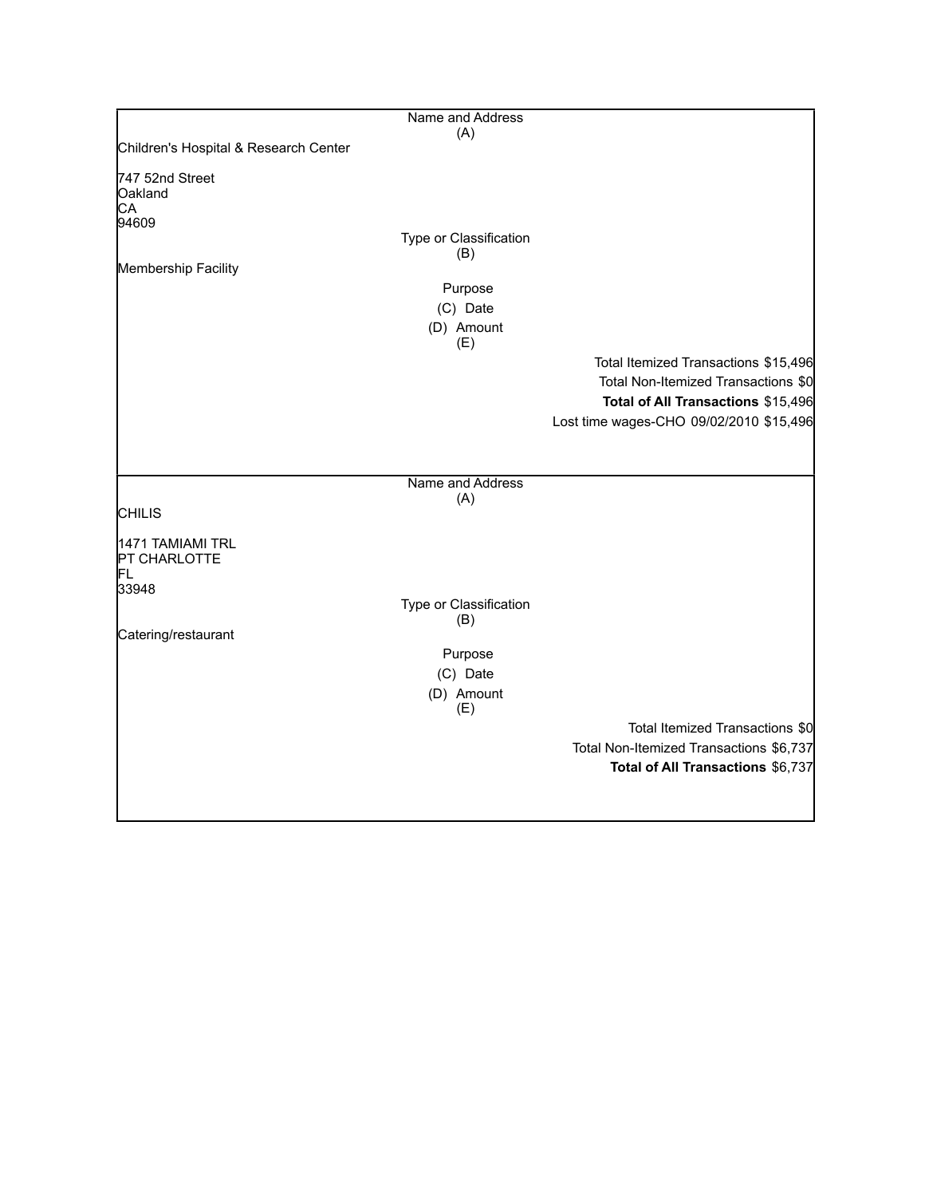|                                       | Name and Address       |                                         |
|---------------------------------------|------------------------|-----------------------------------------|
| Children's Hospital & Research Center | (A)                    |                                         |
|                                       |                        |                                         |
| 747 52nd Street                       |                        |                                         |
| Oakland<br>CA                         |                        |                                         |
| 94609                                 |                        |                                         |
|                                       | Type or Classification |                                         |
| Membership Facility                   | (B)                    |                                         |
|                                       | Purpose                |                                         |
|                                       | (C) Date               |                                         |
|                                       | (D) Amount             |                                         |
|                                       | (E)                    |                                         |
|                                       |                        | Total Itemized Transactions \$15,496    |
|                                       |                        | Total Non-Itemized Transactions \$0     |
|                                       |                        | Total of All Transactions \$15,496      |
|                                       |                        | Lost time wages-CHO 09/02/2010 \$15,496 |
|                                       |                        |                                         |
|                                       |                        |                                         |
|                                       | Name and Address       |                                         |
|                                       | (A)                    |                                         |
| <b>CHILIS</b>                         |                        |                                         |
| 1471 TAMIAMI TRL                      |                        |                                         |
| PT CHARLOTTE                          |                        |                                         |
| FL.                                   |                        |                                         |
| 33948                                 | Type or Classification |                                         |
|                                       | (B)                    |                                         |
| Catering/restaurant                   |                        |                                         |
|                                       | Purpose                |                                         |
|                                       | (C) Date               |                                         |
|                                       | (D) Amount             |                                         |
|                                       | (E)                    |                                         |
|                                       |                        | Total Itemized Transactions \$0         |
|                                       |                        | Total Non-Itemized Transactions \$6,737 |
|                                       |                        | Total of All Transactions \$6,737       |
|                                       |                        |                                         |
|                                       |                        |                                         |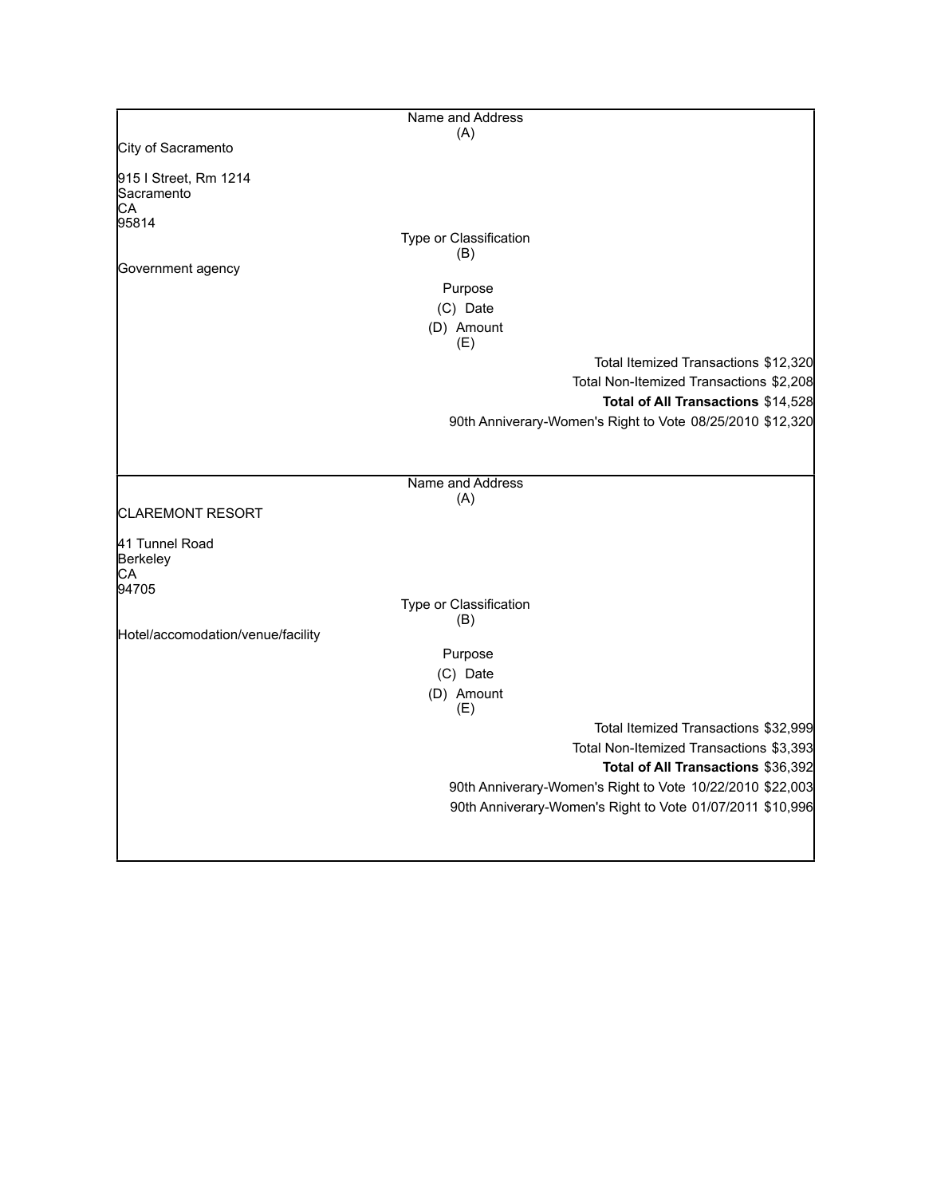|                                                    | Name and Address                                          |
|----------------------------------------------------|-----------------------------------------------------------|
|                                                    | (A)                                                       |
| City of Sacramento                                 |                                                           |
| 915   Street, Rm 1214<br>Sacramento<br>CА<br>95814 |                                                           |
|                                                    | Type or Classification                                    |
|                                                    | (B)                                                       |
| Government agency                                  |                                                           |
|                                                    | Purpose                                                   |
|                                                    | (C) Date                                                  |
|                                                    | (D) Amount<br>(E)                                         |
|                                                    | Total Itemized Transactions \$12,320                      |
|                                                    | Total Non-Itemized Transactions \$2,208                   |
|                                                    | Total of All Transactions \$14,528                        |
|                                                    | 90th Anniverary-Women's Right to Vote 08/25/2010 \$12,320 |
|                                                    |                                                           |
|                                                    |                                                           |
|                                                    | Name and Address                                          |
|                                                    | (A)                                                       |
| <b>CLAREMONT RESORT</b>                            |                                                           |
| 41 Tunnel Road<br>Berkeley<br>СA                   |                                                           |
| 94705                                              |                                                           |
|                                                    | Type or Classification<br>(B)                             |
| Hotel/accomodation/venue/facility                  |                                                           |
|                                                    | Purpose                                                   |
|                                                    | (C) Date                                                  |
|                                                    | (D) Amount<br>(E)                                         |
|                                                    | Total Itemized Transactions \$32,999                      |
|                                                    | Total Non-Itemized Transactions \$3,393                   |
|                                                    | Total of All Transactions \$36,392                        |
|                                                    | 90th Anniverary-Women's Right to Vote 10/22/2010 \$22,003 |
|                                                    | 90th Anniverary-Women's Right to Vote 01/07/2011 \$10,996 |
|                                                    |                                                           |
|                                                    |                                                           |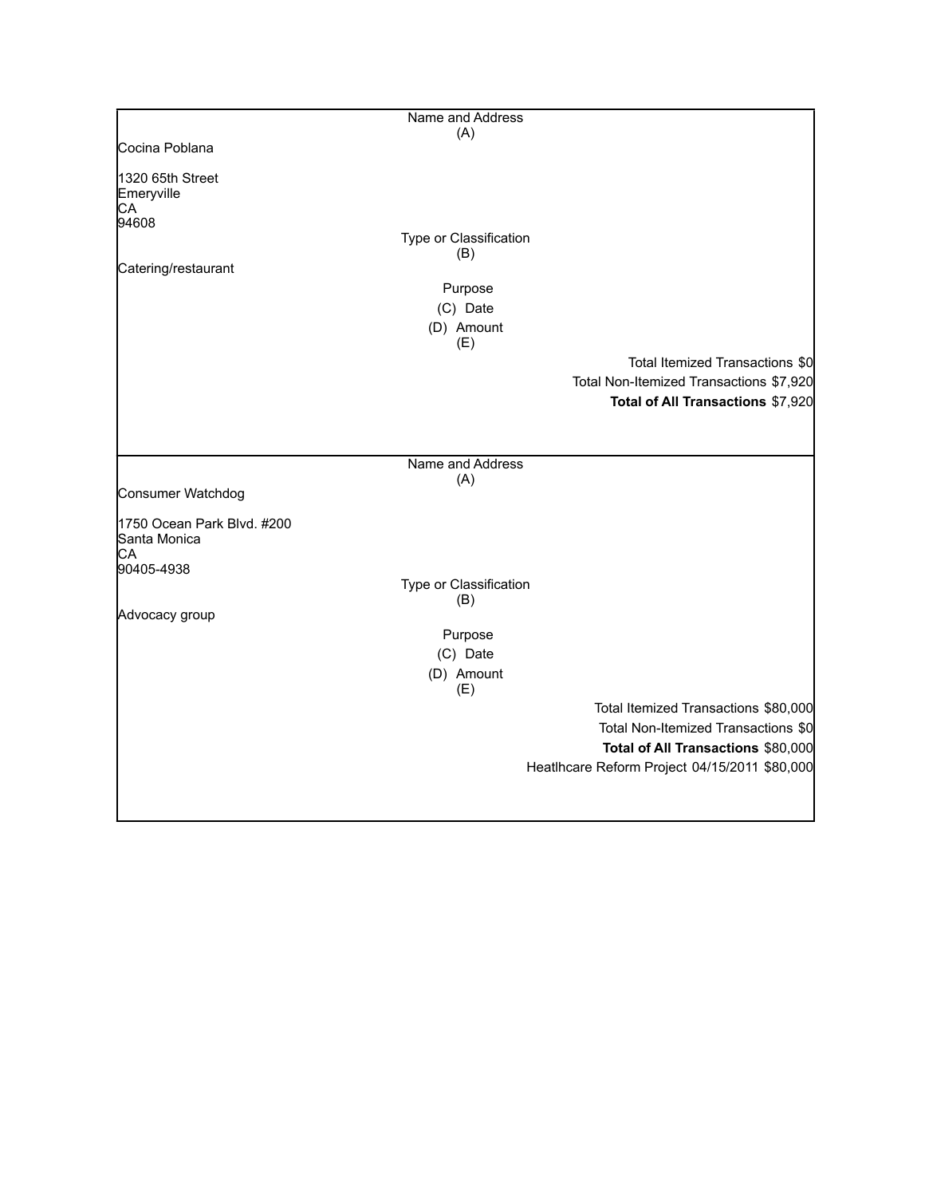|                            | Name and Address       |                                               |
|----------------------------|------------------------|-----------------------------------------------|
|                            | (A)                    |                                               |
| Cocina Poblana             |                        |                                               |
| 1320 65th Street           |                        |                                               |
| Emeryville                 |                        |                                               |
| CA                         |                        |                                               |
| 94608                      |                        |                                               |
|                            | Type or Classification |                                               |
|                            | (B)                    |                                               |
| Catering/restaurant        |                        |                                               |
|                            | Purpose                |                                               |
|                            | (C) Date               |                                               |
|                            |                        |                                               |
|                            | (D) Amount             |                                               |
|                            | (E)                    |                                               |
|                            |                        | Total Itemized Transactions \$0               |
|                            |                        | Total Non-Itemized Transactions \$7,920       |
|                            |                        | Total of All Transactions \$7,920             |
|                            |                        |                                               |
|                            |                        |                                               |
|                            |                        |                                               |
|                            | Name and Address       |                                               |
|                            | (A)                    |                                               |
| Consumer Watchdog          |                        |                                               |
|                            |                        |                                               |
| 1750 Ocean Park Blvd. #200 |                        |                                               |
| Santa Monica<br>CA         |                        |                                               |
| 90405-4938                 |                        |                                               |
|                            | Type or Classification |                                               |
|                            | (B)                    |                                               |
| Advocacy group             |                        |                                               |
|                            | Purpose                |                                               |
|                            |                        |                                               |
|                            | (C) Date               |                                               |
|                            | (D) Amount             |                                               |
|                            | (E)                    |                                               |
|                            |                        | Total Itemized Transactions \$80,000          |
|                            |                        | Total Non-Itemized Transactions \$0           |
|                            |                        | Total of All Transactions \$80,000            |
|                            |                        |                                               |
|                            |                        | Heatlhcare Reform Project 04/15/2011 \$80,000 |
|                            |                        |                                               |
|                            |                        |                                               |
|                            |                        |                                               |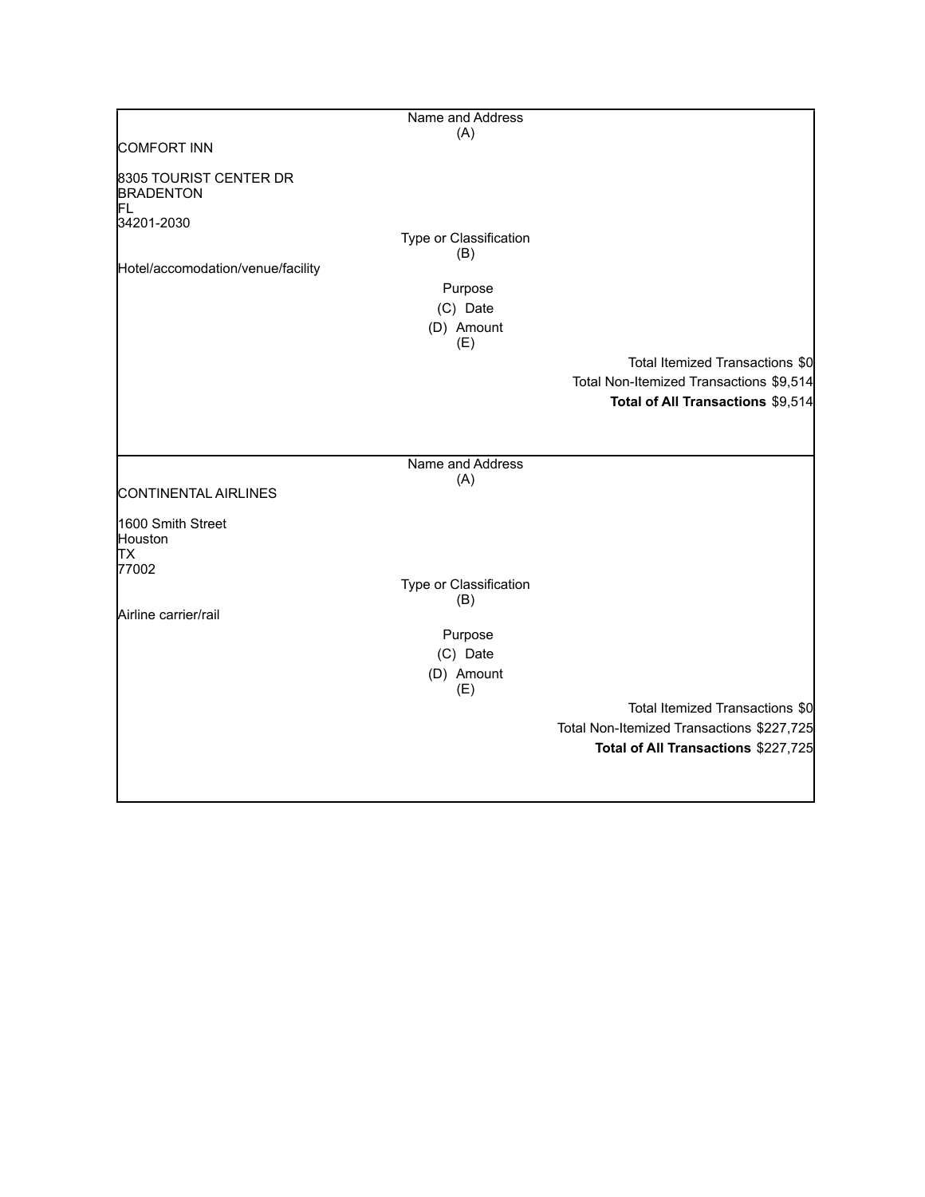|                                                  | Name and Address              |                                                                              |
|--------------------------------------------------|-------------------------------|------------------------------------------------------------------------------|
|                                                  | (A)                           |                                                                              |
| COMFORT INN                                      |                               |                                                                              |
| 8305 TOURIST CENTER DR<br><b>BRADENTON</b><br>FL |                               |                                                                              |
| 34201-2030                                       | Type or Classification<br>(B) |                                                                              |
| Hotel/accomodation/venue/facility                |                               |                                                                              |
|                                                  | Purpose                       |                                                                              |
|                                                  | (C) Date                      |                                                                              |
|                                                  | (D) Amount                    |                                                                              |
|                                                  | (E)                           |                                                                              |
|                                                  |                               | Total Itemized Transactions \$0                                              |
|                                                  |                               | Total Non-Itemized Transactions \$9,514<br>Total of All Transactions \$9,514 |
|                                                  |                               |                                                                              |
|                                                  |                               |                                                                              |
|                                                  | Name and Address              |                                                                              |
|                                                  | (A)                           |                                                                              |
| CONTINENTAL AIRLINES                             |                               |                                                                              |
| 1600 Smith Street                                |                               |                                                                              |
| Houston                                          |                               |                                                                              |
| lТX                                              |                               |                                                                              |
| 77002                                            | Type or Classification        |                                                                              |
|                                                  | (B)                           |                                                                              |
| Airline carrier/rail                             |                               |                                                                              |
|                                                  | Purpose                       |                                                                              |
|                                                  | (C) Date                      |                                                                              |
|                                                  | (D) Amount                    |                                                                              |
|                                                  | (E)                           | Total Itemized Transactions \$0                                              |
|                                                  |                               | Total Non-Itemized Transactions \$227,725                                    |
|                                                  |                               | Total of All Transactions \$227,725                                          |
|                                                  |                               |                                                                              |
|                                                  |                               |                                                                              |
|                                                  |                               |                                                                              |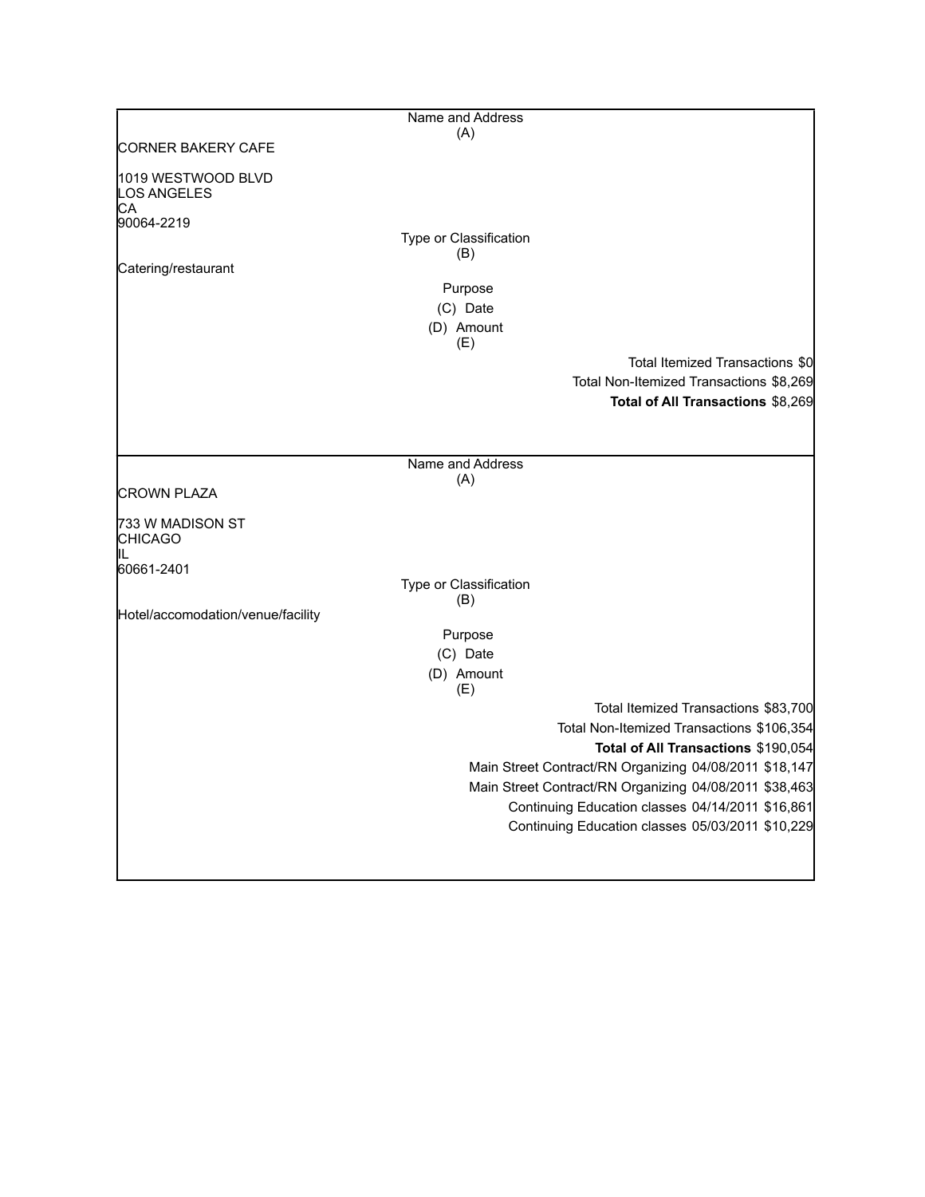|                                                | Name and Address              |                                                        |
|------------------------------------------------|-------------------------------|--------------------------------------------------------|
|                                                | (A)                           |                                                        |
| <b>CORNER BAKERY CAFE</b>                      |                               |                                                        |
| 1019 WESTWOOD BLVD<br><b>LOS ANGELES</b><br>СA |                               |                                                        |
| 90064-2219                                     |                               |                                                        |
|                                                | Type or Classification        |                                                        |
|                                                | (B)                           |                                                        |
| Catering/restaurant                            | Purpose                       |                                                        |
|                                                | (C) Date                      |                                                        |
|                                                | (D) Amount                    |                                                        |
|                                                | (E)                           |                                                        |
|                                                |                               | Total Itemized Transactions \$0                        |
|                                                |                               | Total Non-Itemized Transactions \$8,269                |
|                                                |                               | Total of All Transactions \$8,269                      |
|                                                |                               |                                                        |
|                                                |                               |                                                        |
|                                                | Name and Address              |                                                        |
|                                                | (A)                           |                                                        |
| <b>CROWN PLAZA</b>                             |                               |                                                        |
| 733 W MADISON ST<br><b>CHICAGO</b><br>IL       |                               |                                                        |
| 60661-2401                                     |                               |                                                        |
|                                                | Type or Classification<br>(B) |                                                        |
| Hotel/accomodation/venue/facility              |                               |                                                        |
|                                                | Purpose                       |                                                        |
|                                                | (C) Date                      |                                                        |
|                                                | (D) Amount<br>(E)             |                                                        |
|                                                |                               | Total Itemized Transactions \$83,700                   |
|                                                |                               | Total Non-Itemized Transactions \$106,354              |
|                                                |                               | Total of All Transactions \$190,054                    |
|                                                |                               | Main Street Contract/RN Organizing 04/08/2011 \$18,147 |
|                                                |                               | Main Street Contract/RN Organizing 04/08/2011 \$38,463 |
|                                                |                               | Continuing Education classes 04/14/2011 \$16,861       |
|                                                |                               | Continuing Education classes 05/03/2011 \$10,229       |
|                                                |                               |                                                        |
|                                                |                               |                                                        |

 $\mathbf l$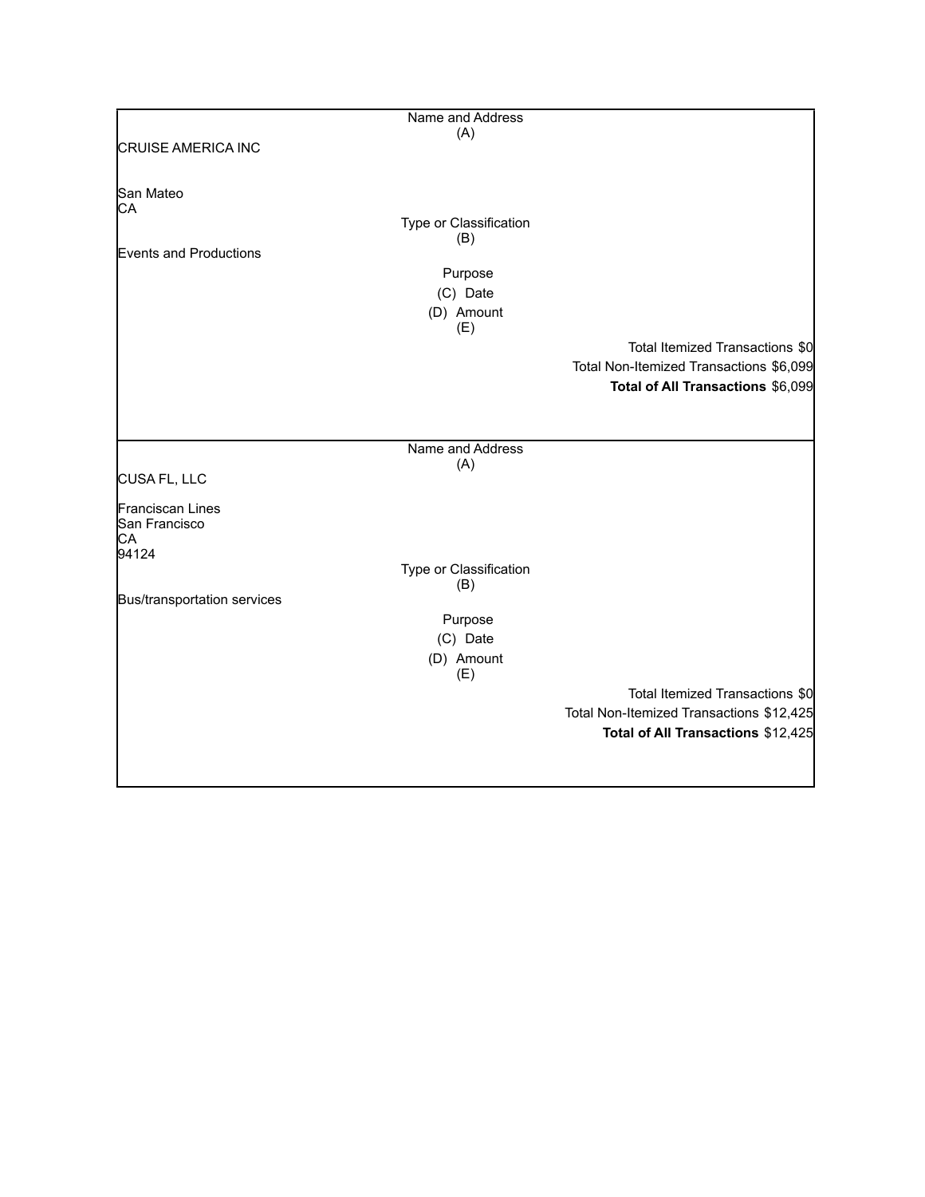|                             | Name and Address       |                                          |
|-----------------------------|------------------------|------------------------------------------|
|                             | (A)                    |                                          |
| <b>CRUISE AMERICA INC</b>   |                        |                                          |
|                             |                        |                                          |
|                             |                        |                                          |
| San Mateo                   |                        |                                          |
| СA                          |                        |                                          |
|                             | Type or Classification |                                          |
|                             | (B)                    |                                          |
| Events and Productions      |                        |                                          |
|                             | Purpose                |                                          |
|                             | (C) Date               |                                          |
|                             |                        |                                          |
|                             | (D) Amount             |                                          |
|                             | (E)                    |                                          |
|                             |                        | Total Itemized Transactions \$0          |
|                             |                        | Total Non-Itemized Transactions \$6,099  |
|                             |                        | Total of All Transactions \$6,099        |
|                             |                        |                                          |
|                             |                        |                                          |
|                             |                        |                                          |
|                             | Name and Address       |                                          |
|                             | (A)                    |                                          |
| CUSA FL, LLC                |                        |                                          |
|                             |                        |                                          |
| Franciscan Lines            |                        |                                          |
| San Francisco               |                        |                                          |
| CA                          |                        |                                          |
| 94124                       |                        |                                          |
|                             | Type or Classification |                                          |
|                             | (B)                    |                                          |
| Bus/transportation services |                        |                                          |
|                             | Purpose                |                                          |
|                             | (C) Date               |                                          |
|                             | (D) Amount             |                                          |
|                             | (E)                    |                                          |
|                             |                        |                                          |
|                             |                        | Total Itemized Transactions \$0          |
|                             |                        | Total Non-Itemized Transactions \$12,425 |
|                             |                        | Total of All Transactions \$12,425       |
|                             |                        |                                          |
|                             |                        |                                          |
|                             |                        |                                          |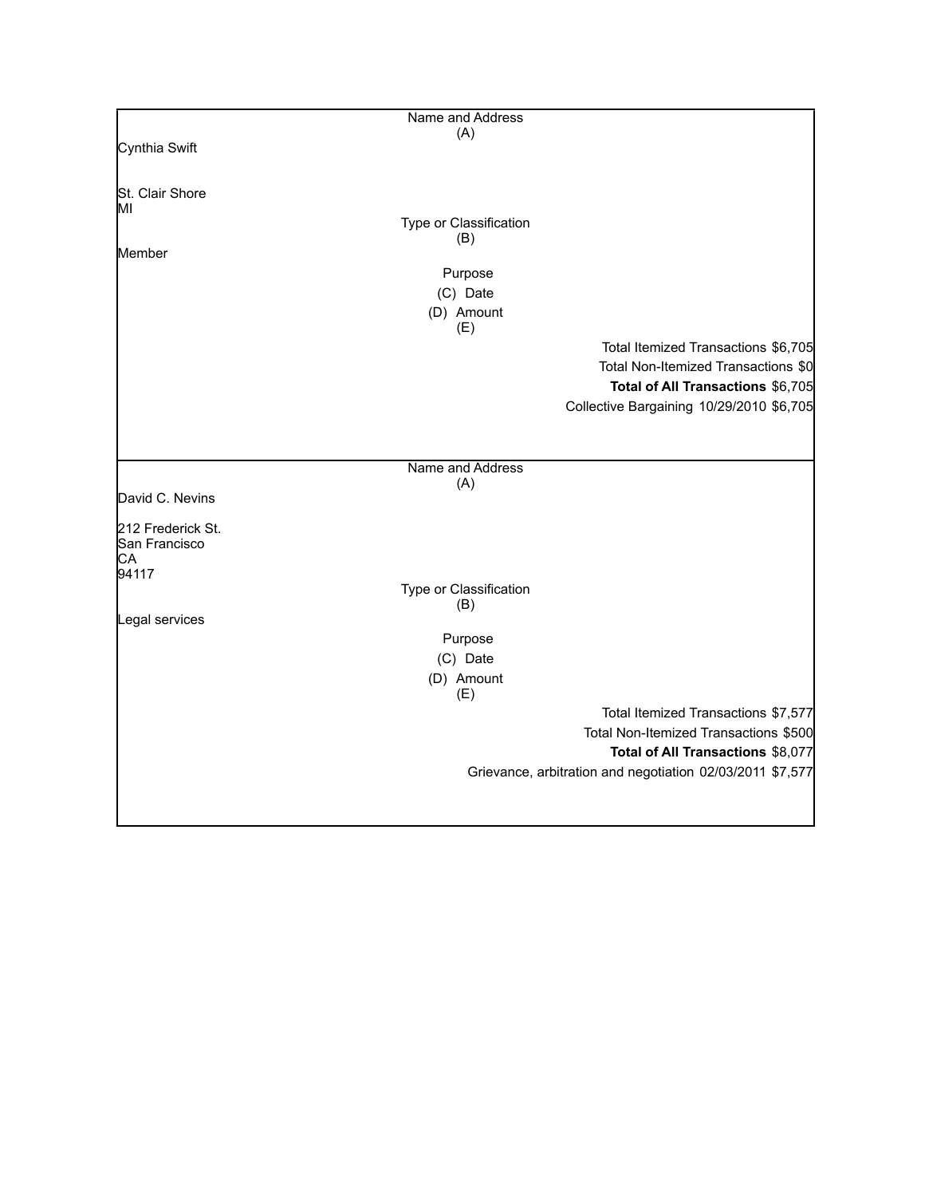|                   | Name and Address       |                                                           |
|-------------------|------------------------|-----------------------------------------------------------|
|                   | (A)                    |                                                           |
| Cynthia Swift     |                        |                                                           |
|                   |                        |                                                           |
| St. Clair Shore   |                        |                                                           |
| IМI               |                        |                                                           |
|                   | Type or Classification |                                                           |
|                   | (B)                    |                                                           |
| Member            |                        |                                                           |
|                   |                        |                                                           |
|                   | Purpose                |                                                           |
|                   | (C) Date               |                                                           |
|                   | (D) Amount             |                                                           |
|                   | (E)                    |                                                           |
|                   |                        |                                                           |
|                   |                        | Total Itemized Transactions \$6,705                       |
|                   |                        | Total Non-Itemized Transactions \$0                       |
|                   |                        | Total of All Transactions \$6,705                         |
|                   |                        | Collective Bargaining 10/29/2010 \$6,705                  |
|                   |                        |                                                           |
|                   |                        |                                                           |
|                   |                        |                                                           |
|                   | Name and Address       |                                                           |
|                   | (A)                    |                                                           |
| David C. Nevins   |                        |                                                           |
|                   |                        |                                                           |
| 212 Frederick St. |                        |                                                           |
| San Francisco     |                        |                                                           |
| СA                |                        |                                                           |
| 94117             |                        |                                                           |
|                   | Type or Classification |                                                           |
|                   | (B)                    |                                                           |
| Legal services    |                        |                                                           |
|                   | Purpose                |                                                           |
|                   | (C) Date               |                                                           |
|                   |                        |                                                           |
|                   | (D) Amount             |                                                           |
|                   | (E)                    |                                                           |
|                   |                        | Total Itemized Transactions \$7,577                       |
|                   |                        | Total Non-Itemized Transactions \$500                     |
|                   |                        | Total of All Transactions \$8,077                         |
|                   |                        |                                                           |
|                   |                        | Grievance, arbitration and negotiation 02/03/2011 \$7,577 |
|                   |                        |                                                           |
|                   |                        |                                                           |
|                   |                        |                                                           |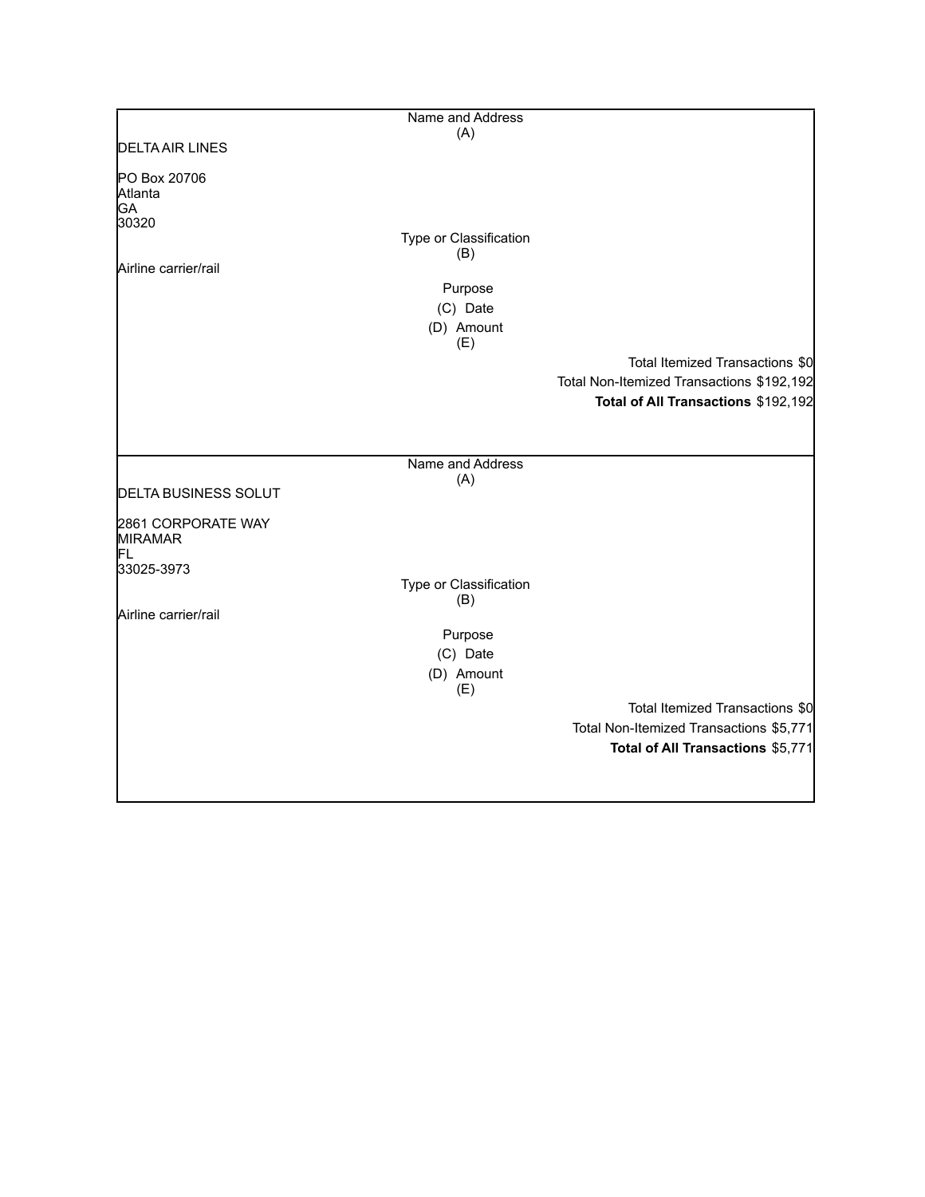|                                            | Name and Address              |                                           |
|--------------------------------------------|-------------------------------|-------------------------------------------|
|                                            | (A)                           |                                           |
| <b>DELTA AIR LINES</b>                     |                               |                                           |
| PO Box 20706<br>Atlanta<br>GA<br>30320     |                               |                                           |
|                                            | Type or Classification<br>(B) |                                           |
| Airline carrier/rail                       |                               |                                           |
|                                            | Purpose                       |                                           |
|                                            | (C) Date                      |                                           |
|                                            | (D) Amount                    |                                           |
|                                            | (E)                           | Total Itemized Transactions \$0           |
|                                            |                               | Total Non-Itemized Transactions \$192,192 |
|                                            |                               | Total of All Transactions \$192,192       |
|                                            |                               |                                           |
|                                            | Name and Address              |                                           |
|                                            | (A)                           |                                           |
| <b>DELTA BUSINESS SOLUT</b>                |                               |                                           |
| 2861 CORPORATE WAY<br><b>MIRAMAR</b><br>FL |                               |                                           |
| 33025-3973                                 |                               |                                           |
|                                            | Type or Classification        |                                           |
| Airline carrier/rail                       | (B)                           |                                           |
|                                            | Purpose                       |                                           |
|                                            | (C) Date                      |                                           |
|                                            | (D) Amount                    |                                           |
|                                            | (E)                           |                                           |
|                                            |                               | Total Itemized Transactions \$0           |
|                                            |                               | Total Non-Itemized Transactions \$5,771   |
|                                            |                               | Total of All Transactions \$5,771         |
|                                            |                               |                                           |
|                                            |                               |                                           |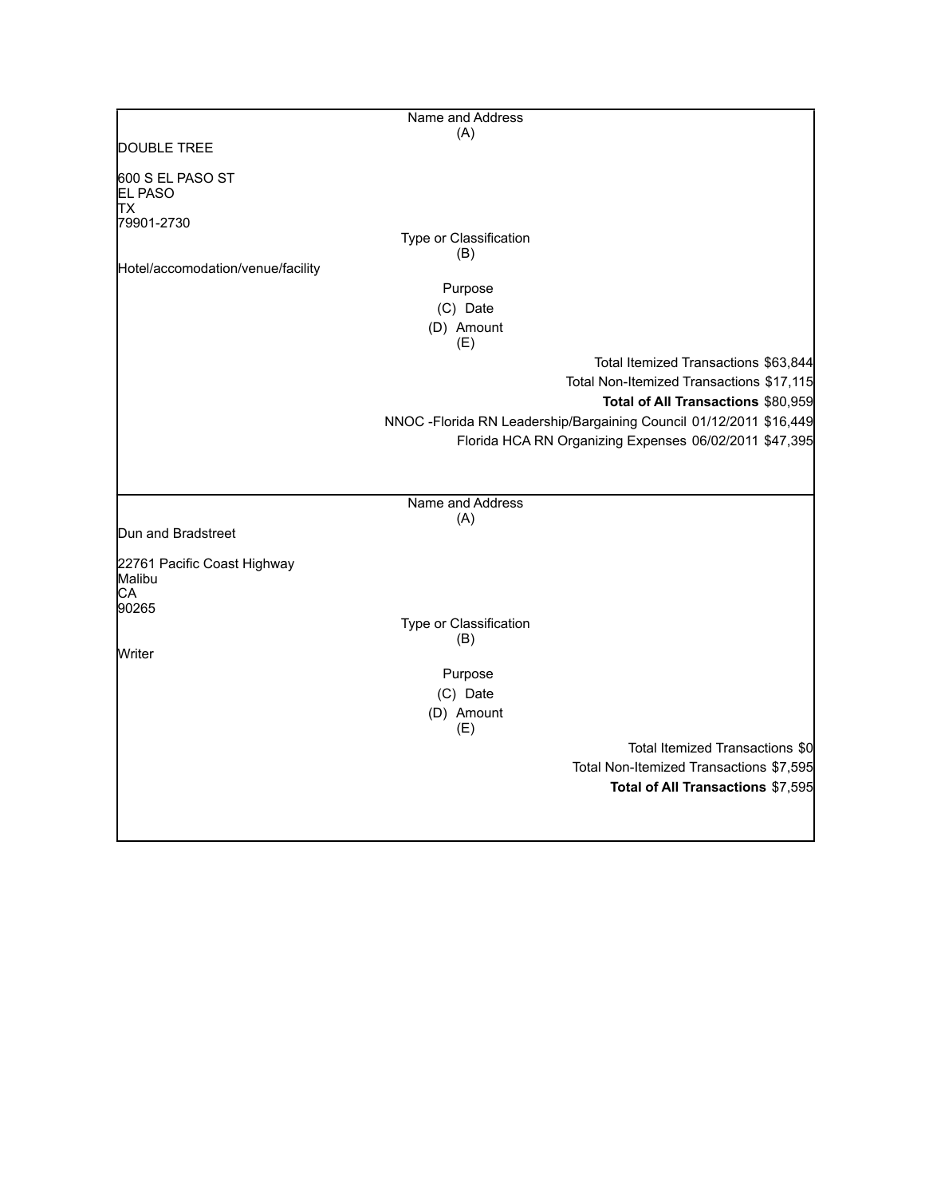|                                       | Name and Address              |                                                                     |
|---------------------------------------|-------------------------------|---------------------------------------------------------------------|
|                                       | (A)                           |                                                                     |
| DOUBLE TREE                           |                               |                                                                     |
| 600 S EL PASO ST<br><b>EL PASO</b>    |                               |                                                                     |
| TХ                                    |                               |                                                                     |
| 79901-2730                            |                               |                                                                     |
|                                       | Type or Classification        |                                                                     |
| Hotel/accomodation/venue/facility     | (B)                           |                                                                     |
|                                       | Purpose                       |                                                                     |
|                                       | (C) Date                      |                                                                     |
|                                       | (D) Amount                    |                                                                     |
|                                       | (E)                           |                                                                     |
|                                       |                               | Total Itemized Transactions \$63,844                                |
|                                       |                               | Total Non-Itemized Transactions \$17,115                            |
|                                       |                               | Total of All Transactions \$80,959                                  |
|                                       |                               | NNOC - Florida RN Leadership/Bargaining Council 01/12/2011 \$16,449 |
|                                       |                               | Florida HCA RN Organizing Expenses 06/02/2011 \$47,395              |
|                                       |                               |                                                                     |
|                                       |                               |                                                                     |
|                                       | Name and Address              |                                                                     |
|                                       | (A)                           |                                                                     |
| Dun and Bradstreet                    |                               |                                                                     |
| 22761 Pacific Coast Highway<br>Malibu |                               |                                                                     |
| CA                                    |                               |                                                                     |
| 90265                                 |                               |                                                                     |
|                                       | Type or Classification<br>(B) |                                                                     |
| Writer                                |                               |                                                                     |
|                                       | Purpose                       |                                                                     |
|                                       | (C) Date                      |                                                                     |
|                                       | (D) Amount                    |                                                                     |
|                                       | (E)                           |                                                                     |
|                                       |                               | Total Itemized Transactions \$0                                     |
|                                       |                               | Total Non-Itemized Transactions \$7,595                             |
|                                       |                               | Total of All Transactions \$7,595                                   |
|                                       |                               |                                                                     |
|                                       |                               |                                                                     |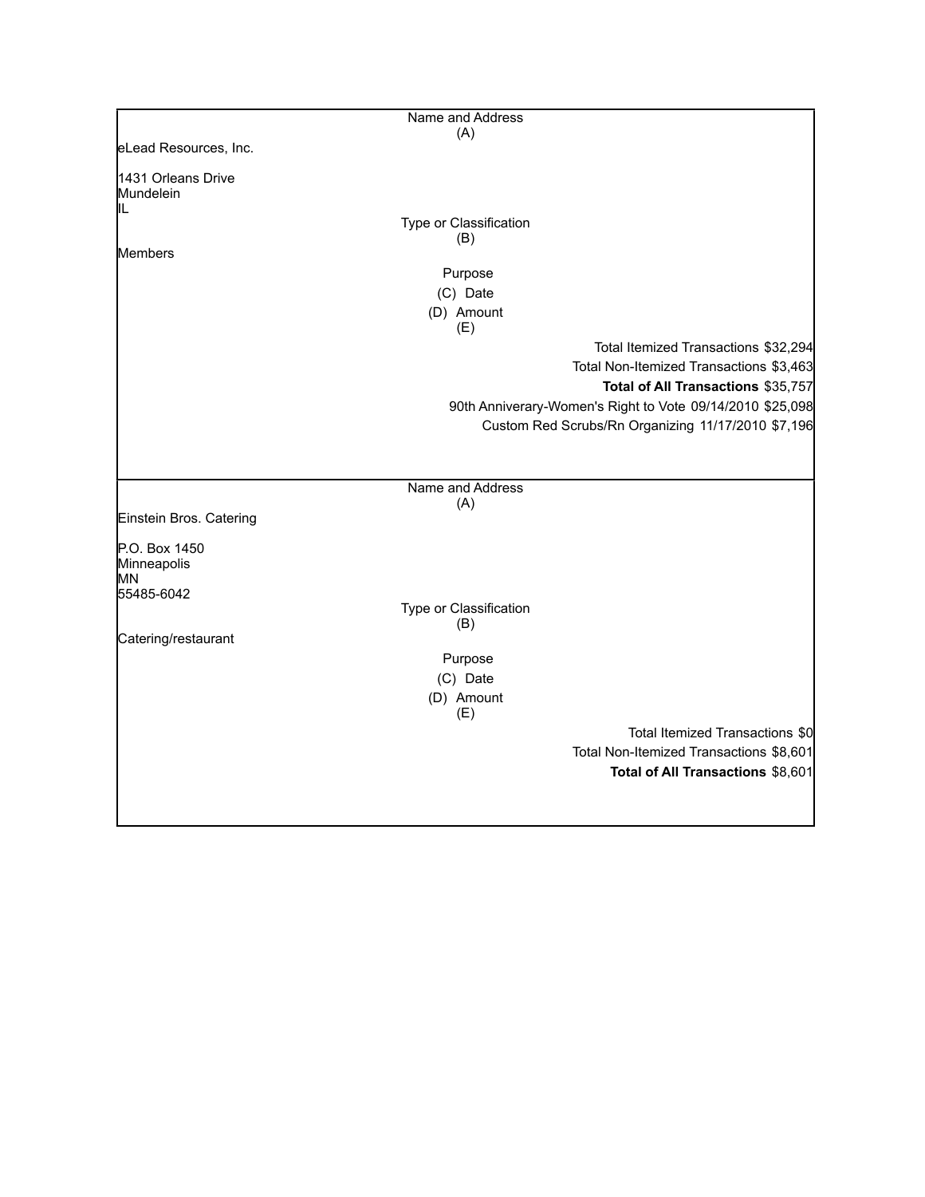|                                 | Name and Address              |                                                           |
|---------------------------------|-------------------------------|-----------------------------------------------------------|
|                                 | (A)                           |                                                           |
| eLead Resources, Inc.           |                               |                                                           |
| 1431 Orleans Drive<br>Mundelein |                               |                                                           |
| IIL                             | Type or Classification        |                                                           |
|                                 | (B)                           |                                                           |
| <b>Members</b>                  |                               |                                                           |
|                                 | Purpose                       |                                                           |
|                                 | (C) Date                      |                                                           |
|                                 | (D) Amount<br>(E)             |                                                           |
|                                 |                               | Total Itemized Transactions \$32,294                      |
|                                 |                               | Total Non-Itemized Transactions \$3,463                   |
|                                 |                               | Total of All Transactions \$35,757                        |
|                                 |                               | 90th Anniverary-Women's Right to Vote 09/14/2010 \$25,098 |
|                                 |                               | Custom Red Scrubs/Rn Organizing 11/17/2010 \$7,196        |
|                                 |                               |                                                           |
|                                 |                               |                                                           |
|                                 | Name and Address              |                                                           |
|                                 | (A)                           |                                                           |
| Einstein Bros. Catering         |                               |                                                           |
| P.O. Box 1450                   |                               |                                                           |
| Minneapolis                     |                               |                                                           |
| MN                              |                               |                                                           |
| 55485-6042                      |                               |                                                           |
|                                 | Type or Classification<br>(B) |                                                           |
| Catering/restaurant             |                               |                                                           |
|                                 | Purpose                       |                                                           |
|                                 | (C) Date                      |                                                           |
|                                 | (D) Amount                    |                                                           |
|                                 | (E)                           |                                                           |
|                                 |                               | Total Itemized Transactions \$0                           |
|                                 |                               | Total Non-Itemized Transactions \$8,601                   |
|                                 |                               | Total of All Transactions \$8,601                         |
|                                 |                               |                                                           |
|                                 |                               |                                                           |
|                                 |                               |                                                           |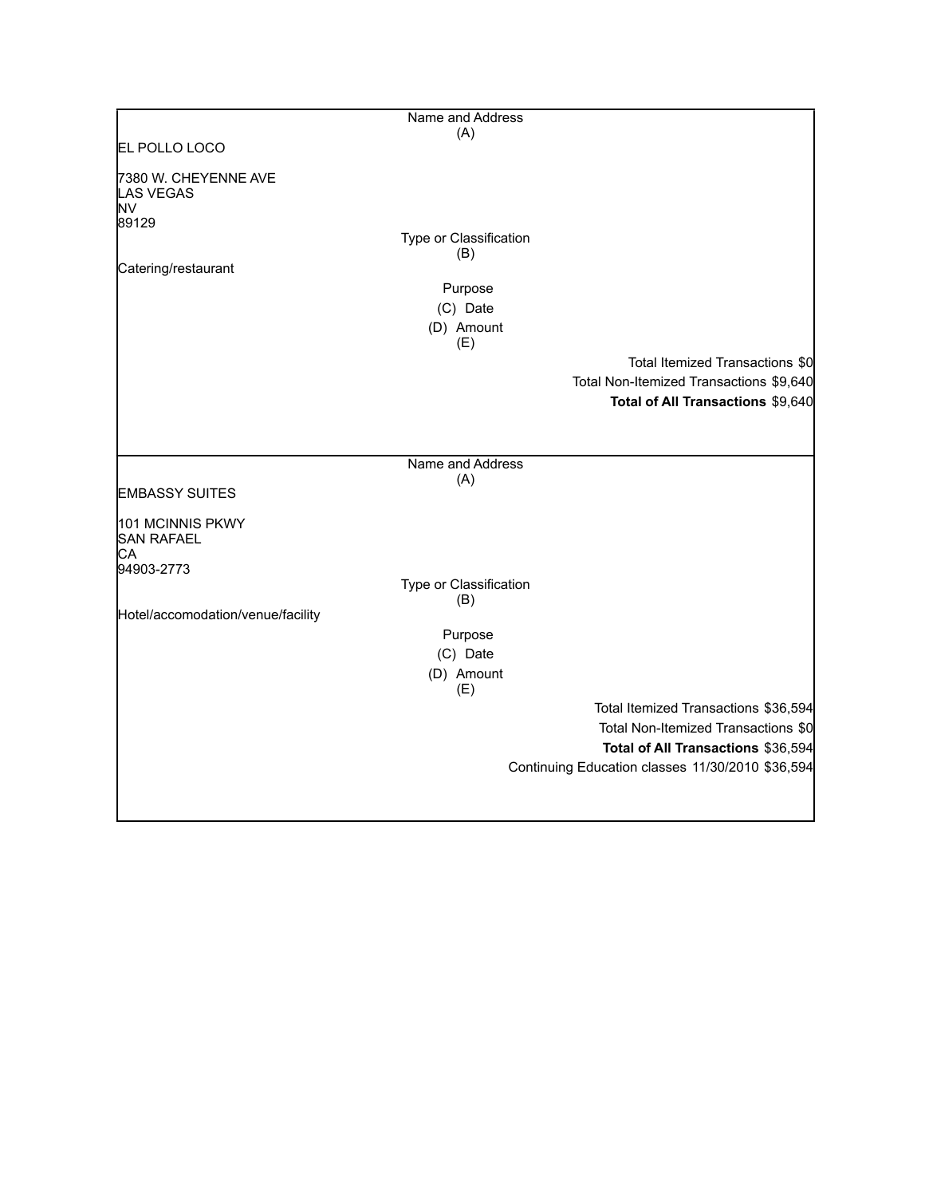|                                         | Name and Address              |                                                  |
|-----------------------------------------|-------------------------------|--------------------------------------------------|
|                                         | (A)                           |                                                  |
| EL POLLO LOCO                           |                               |                                                  |
| 7380 W. CHEYENNE AVE<br>LAS VEGAS<br>NV |                               |                                                  |
| 89129                                   |                               |                                                  |
|                                         | Type or Classification<br>(B) |                                                  |
| Catering/restaurant                     |                               |                                                  |
|                                         | Purpose                       |                                                  |
|                                         | (C) Date                      |                                                  |
|                                         | (D) Amount                    |                                                  |
|                                         | (E)                           |                                                  |
|                                         |                               | Total Itemized Transactions \$0                  |
|                                         |                               | Total Non-Itemized Transactions \$9,640          |
|                                         |                               | Total of All Transactions \$9,640                |
|                                         |                               |                                                  |
|                                         |                               |                                                  |
|                                         | Name and Address              |                                                  |
|                                         | (A)                           |                                                  |
| <b>EMBASSY SUITES</b>                   |                               |                                                  |
| 101 MCINNIS PKWY<br><b>SAN RAFAEL</b>   |                               |                                                  |
| СA                                      |                               |                                                  |
| 94903-2773                              | Type or Classification        |                                                  |
|                                         | (B)                           |                                                  |
| Hotel/accomodation/venue/facility       |                               |                                                  |
|                                         | Purpose                       |                                                  |
|                                         | (C) Date                      |                                                  |
|                                         | (D) Amount                    |                                                  |
|                                         | (E)                           |                                                  |
|                                         |                               | Total Itemized Transactions \$36,594             |
|                                         |                               | Total Non-Itemized Transactions \$0              |
|                                         |                               | Total of All Transactions \$36,594               |
|                                         |                               | Continuing Education classes 11/30/2010 \$36,594 |
|                                         |                               |                                                  |
|                                         |                               |                                                  |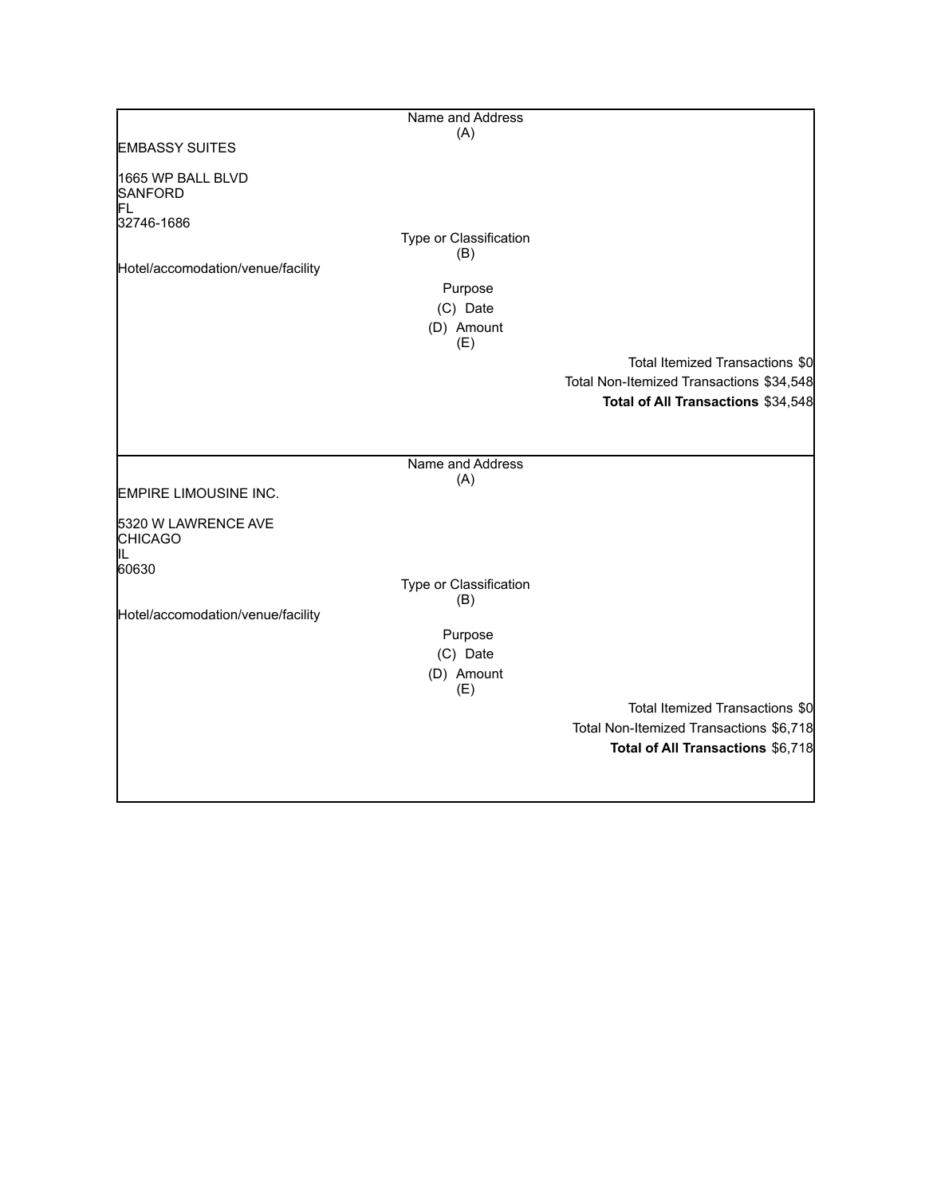|                                             | Name and Address        |                                          |
|---------------------------------------------|-------------------------|------------------------------------------|
|                                             | (A)                     |                                          |
| <b>EMBASSY SUITES</b>                       |                         |                                          |
| 1665 WP BALL BLVD<br><b>SANFORD</b><br>FL   |                         |                                          |
| 32746-1686                                  |                         |                                          |
|                                             | Type or Classification  |                                          |
| Hotel/accomodation/venue/facility           | (B)                     |                                          |
|                                             | Purpose                 |                                          |
|                                             | (C) Date                |                                          |
|                                             | (D) Amount              |                                          |
|                                             | (E)                     |                                          |
|                                             |                         | Total Itemized Transactions \$0          |
|                                             |                         | Total Non-Itemized Transactions \$34,548 |
|                                             |                         | Total of All Transactions \$34,548       |
|                                             |                         |                                          |
|                                             |                         |                                          |
|                                             | Name and Address<br>(A) |                                          |
| EMPIRE LIMOUSINE INC.                       |                         |                                          |
| 5320 W LAWRENCE AVE<br><b>CHICAGO</b><br>IL |                         |                                          |
| 60630                                       |                         |                                          |
|                                             | Type or Classification  |                                          |
| Hotel/accomodation/venue/facility           | (B)                     |                                          |
|                                             | Purpose                 |                                          |
|                                             | (C) Date                |                                          |
|                                             | (D) Amount              |                                          |
|                                             | (E)                     |                                          |
|                                             |                         | Total Itemized Transactions \$0          |
|                                             |                         | Total Non-Itemized Transactions \$6,718  |
|                                             |                         | Total of All Transactions \$6,718        |
|                                             |                         |                                          |
|                                             |                         |                                          |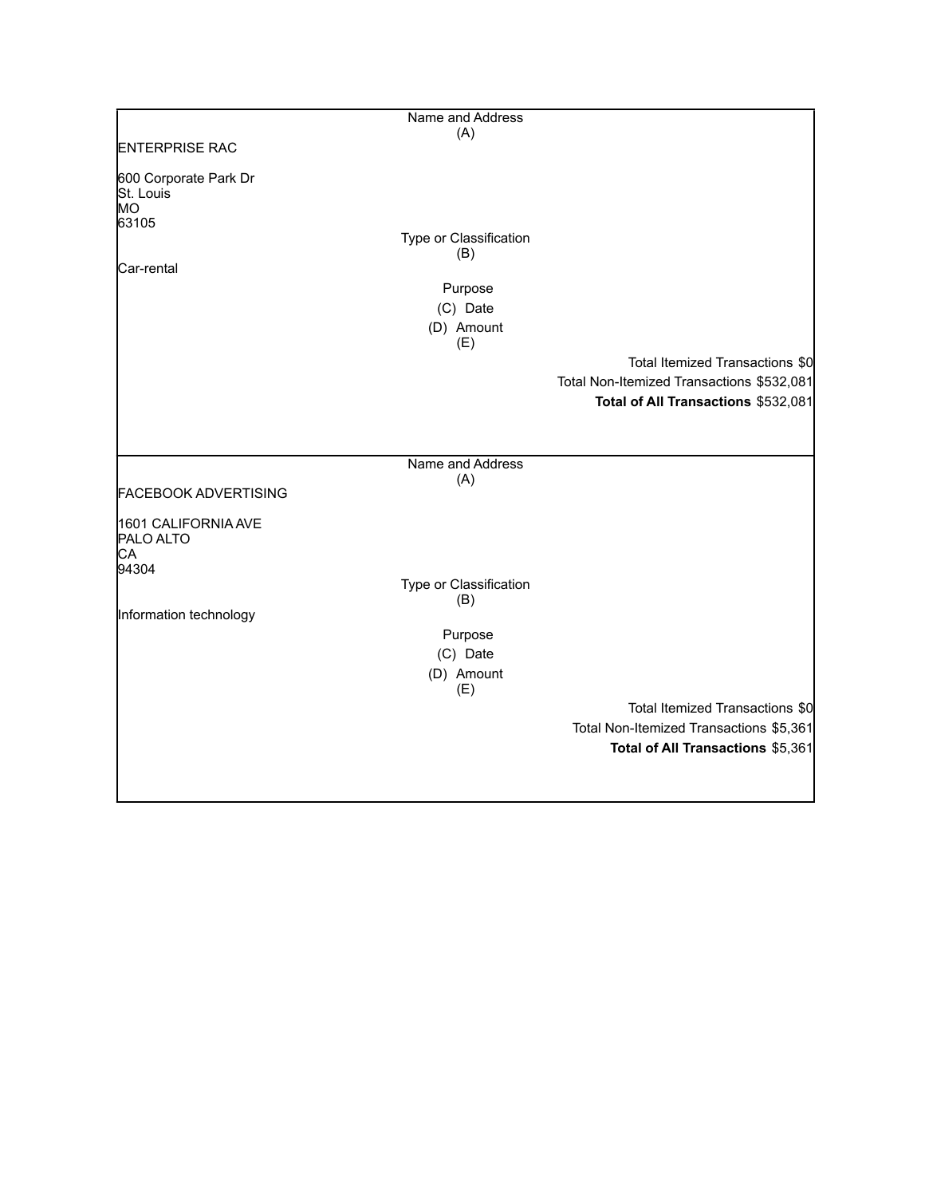|                                                                 | Name and Address                                                          |                                                                                                                     |
|-----------------------------------------------------------------|---------------------------------------------------------------------------|---------------------------------------------------------------------------------------------------------------------|
| <b>ENTERPRISE RAC</b>                                           | (A)                                                                       |                                                                                                                     |
|                                                                 |                                                                           |                                                                                                                     |
| 600 Corporate Park Dr<br>St. Louis<br>MO<br>63105<br>Car-rental | Type or Classification<br>(B)<br>Purpose<br>(C) Date<br>(D) Amount<br>(E) | Total Itemized Transactions \$0<br>Total Non-Itemized Transactions \$532,081<br>Total of All Transactions \$532,081 |
|                                                                 |                                                                           |                                                                                                                     |
|                                                                 |                                                                           |                                                                                                                     |
|                                                                 | Name and Address                                                          |                                                                                                                     |
| <b>FACEBOOK ADVERTISING</b>                                     | (A)                                                                       |                                                                                                                     |
|                                                                 |                                                                           |                                                                                                                     |
| 1601 CALIFORNIA AVE<br>PALO ALTO<br>CA<br>94304                 |                                                                           |                                                                                                                     |
|                                                                 | Type or Classification                                                    |                                                                                                                     |
| Information technology                                          | (B)                                                                       |                                                                                                                     |
|                                                                 | Purpose                                                                   |                                                                                                                     |
|                                                                 | (C) Date                                                                  |                                                                                                                     |
|                                                                 | (D) Amount<br>(E)                                                         |                                                                                                                     |
|                                                                 |                                                                           | Total Itemized Transactions \$0                                                                                     |
|                                                                 |                                                                           | Total Non-Itemized Transactions \$5,361                                                                             |
|                                                                 |                                                                           | Total of All Transactions \$5,361                                                                                   |
|                                                                 |                                                                           |                                                                                                                     |
|                                                                 |                                                                           |                                                                                                                     |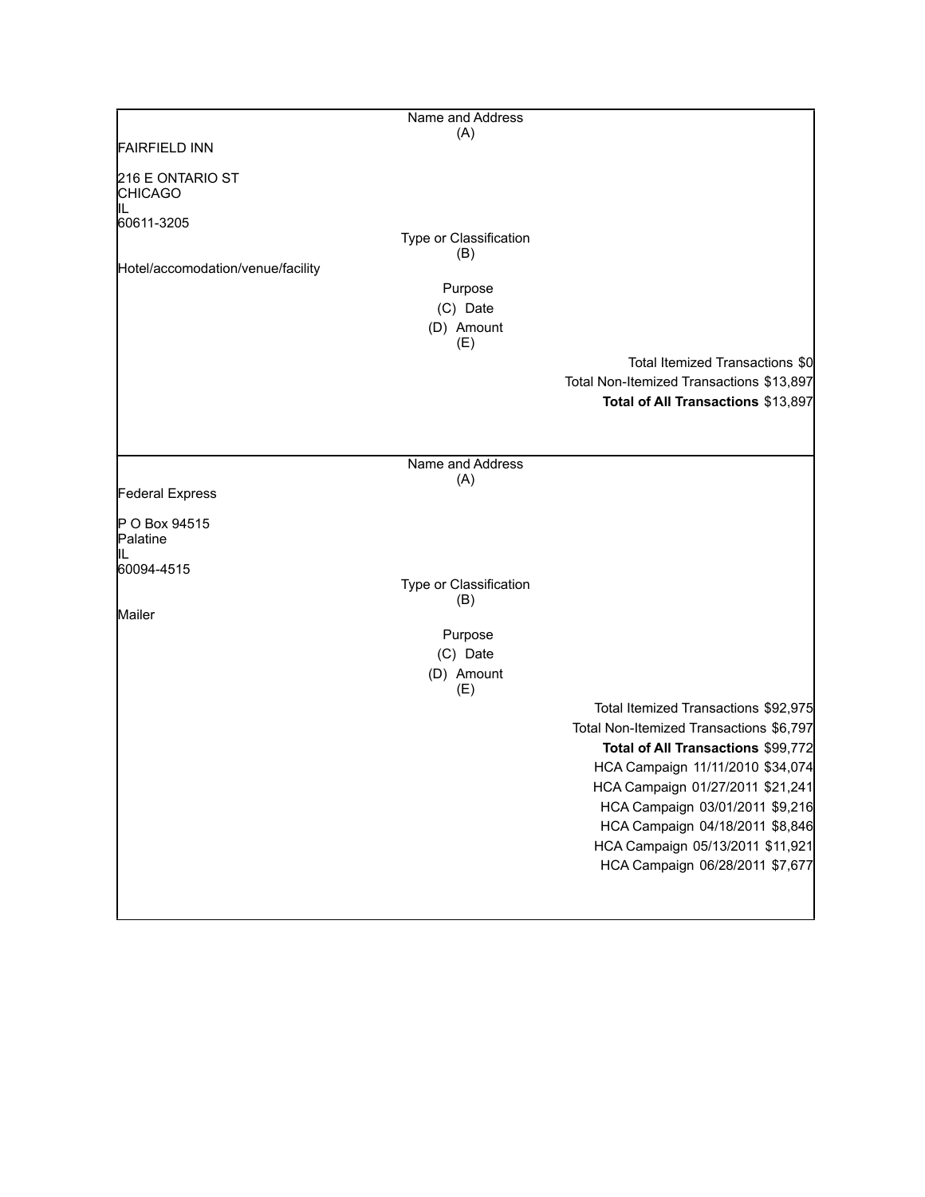| Name and Address       |                                                                                                      |
|------------------------|------------------------------------------------------------------------------------------------------|
|                        |                                                                                                      |
|                        |                                                                                                      |
|                        |                                                                                                      |
|                        |                                                                                                      |
| Type or Classification |                                                                                                      |
|                        |                                                                                                      |
| Purpose                |                                                                                                      |
| (C) Date               |                                                                                                      |
|                        |                                                                                                      |
|                        | Total Itemized Transactions \$0                                                                      |
|                        | Total Non-Itemized Transactions \$13,897                                                             |
|                        | Total of All Transactions \$13,897                                                                   |
|                        |                                                                                                      |
|                        |                                                                                                      |
| (A)                    |                                                                                                      |
|                        |                                                                                                      |
|                        |                                                                                                      |
|                        |                                                                                                      |
|                        |                                                                                                      |
| (B)                    |                                                                                                      |
|                        |                                                                                                      |
|                        |                                                                                                      |
| (D) Amount<br>(E)      |                                                                                                      |
|                        | Total Itemized Transactions \$92,975                                                                 |
|                        | Total Non-Itemized Transactions \$6,797                                                              |
|                        | Total of All Transactions \$99,772                                                                   |
|                        | HCA Campaign 11/11/2010 \$34,074<br>HCA Campaign 01/27/2011 \$21,241                                 |
|                        | HCA Campaign 03/01/2011 \$9,216                                                                      |
|                        | HCA Campaign 04/18/2011 \$8,846                                                                      |
|                        | HCA Campaign 05/13/2011 \$11,921                                                                     |
|                        | HCA Campaign 06/28/2011 \$7,677                                                                      |
|                        |                                                                                                      |
|                        | (A)<br>(B)<br>(D) Amount<br>(E)<br>Name and Address<br>Type or Classification<br>Purpose<br>(C) Date |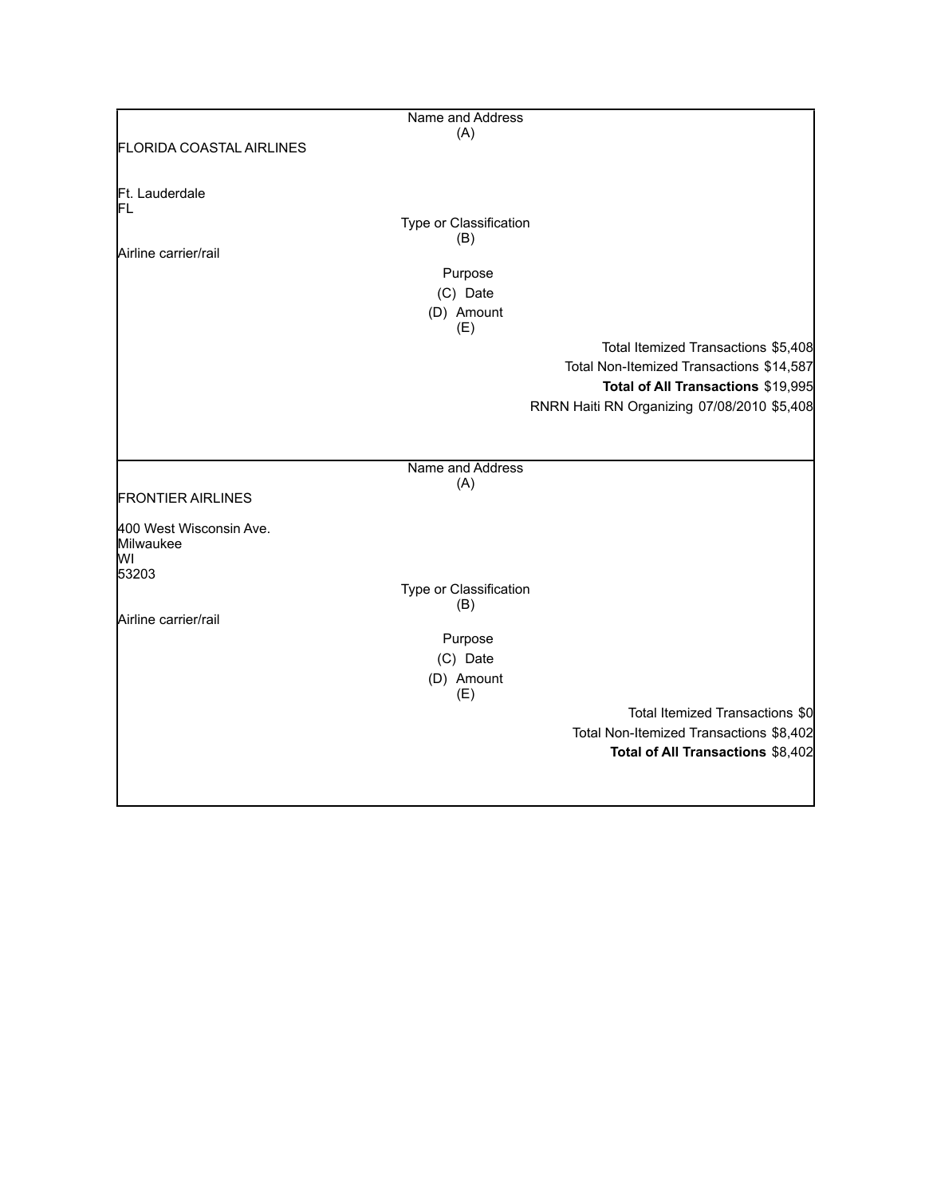|                                 | Name and Address       |                                             |
|---------------------------------|------------------------|---------------------------------------------|
|                                 | (A)                    |                                             |
| <b>FLORIDA COASTAL AIRLINES</b> |                        |                                             |
|                                 |                        |                                             |
|                                 |                        |                                             |
| Ft. Lauderdale<br>ΙFL           |                        |                                             |
|                                 | Type or Classification |                                             |
|                                 | (B)                    |                                             |
| Airline carrier/rail            |                        |                                             |
|                                 | Purpose                |                                             |
|                                 | (C) Date               |                                             |
|                                 | (D) Amount             |                                             |
|                                 | (E)                    |                                             |
|                                 |                        | Total Itemized Transactions \$5,408         |
|                                 |                        | Total Non-Itemized Transactions \$14,587    |
|                                 |                        |                                             |
|                                 |                        | Total of All Transactions \$19,995          |
|                                 |                        | RNRN Haiti RN Organizing 07/08/2010 \$5,408 |
|                                 |                        |                                             |
|                                 |                        |                                             |
|                                 | Name and Address       |                                             |
|                                 | (A)                    |                                             |
| <b>FRONTIER AIRLINES</b>        |                        |                                             |
| 400 West Wisconsin Ave.         |                        |                                             |
| Milwaukee                       |                        |                                             |
| lwı                             |                        |                                             |
| 53203                           |                        |                                             |
|                                 | Type or Classification |                                             |
| Airline carrier/rail            | (B)                    |                                             |
|                                 |                        |                                             |
|                                 | Purpose                |                                             |
|                                 | (C) Date               |                                             |
|                                 | (D) Amount             |                                             |
|                                 | (E)                    |                                             |
|                                 |                        | Total Itemized Transactions \$0             |
|                                 |                        | Total Non-Itemized Transactions \$8,402     |
|                                 |                        | Total of All Transactions \$8,402           |
|                                 |                        |                                             |
|                                 |                        |                                             |
|                                 |                        |                                             |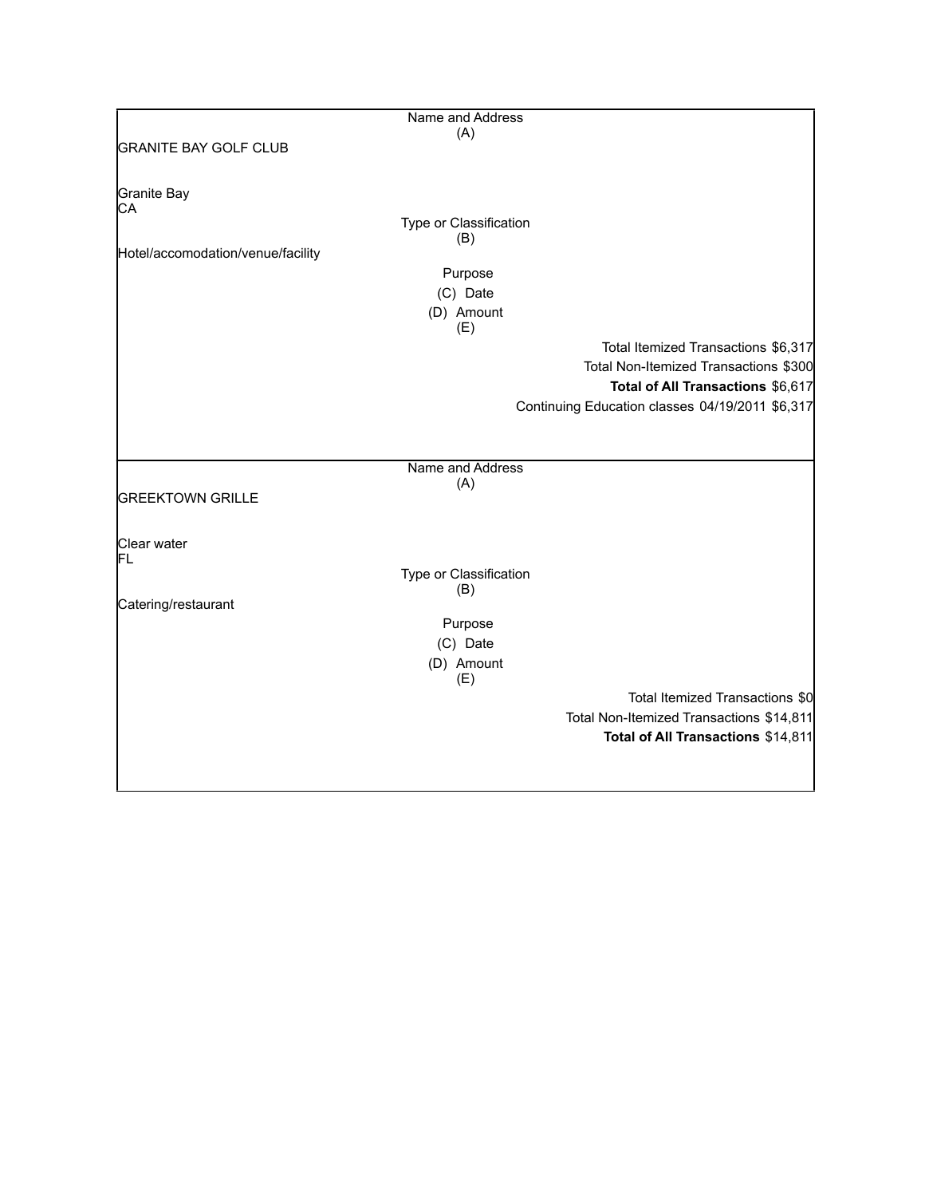|                                   | Name and Address              |                                                 |
|-----------------------------------|-------------------------------|-------------------------------------------------|
|                                   | (A)                           |                                                 |
| <b>GRANITE BAY GOLF CLUB</b>      |                               |                                                 |
|                                   |                               |                                                 |
| Granite Bay                       |                               |                                                 |
| СA                                |                               |                                                 |
|                                   | Type or Classification<br>(B) |                                                 |
| Hotel/accomodation/venue/facility |                               |                                                 |
|                                   | Purpose                       |                                                 |
|                                   | (C) Date                      |                                                 |
|                                   | (D) Amount                    |                                                 |
|                                   | (E)                           |                                                 |
|                                   |                               | Total Itemized Transactions \$6,317             |
|                                   |                               | Total Non-Itemized Transactions \$300           |
|                                   |                               | Total of All Transactions \$6,617               |
|                                   |                               | Continuing Education classes 04/19/2011 \$6,317 |
|                                   |                               |                                                 |
|                                   |                               |                                                 |
|                                   | Name and Address              |                                                 |
|                                   | (A)                           |                                                 |
| <b>GREEKTOWN GRILLE</b>           |                               |                                                 |
|                                   |                               |                                                 |
| Clear water                       |                               |                                                 |
| FL                                |                               |                                                 |
|                                   | Type or Classification        |                                                 |
|                                   | (B)                           |                                                 |
| Catering/restaurant               |                               |                                                 |
|                                   | Purpose                       |                                                 |
|                                   | (C) Date                      |                                                 |
|                                   | (D) Amount<br>(E)             |                                                 |
|                                   |                               | Total Itemized Transactions \$0                 |
|                                   |                               |                                                 |
|                                   |                               | Total Non-Itemized Transactions \$14,811        |
|                                   |                               | Total of All Transactions \$14,811              |
|                                   |                               |                                                 |
|                                   |                               |                                                 |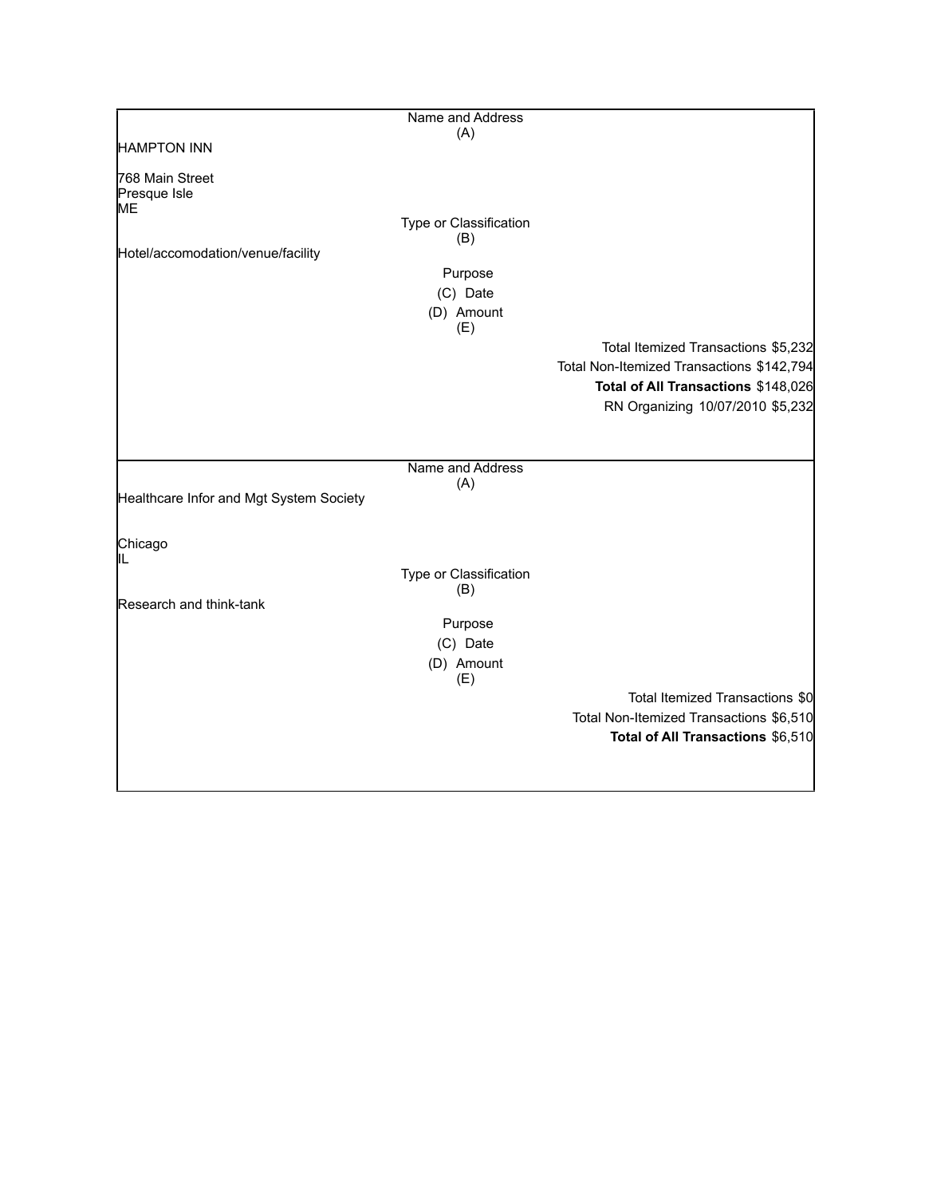|                                         | Name and Address              |                                           |
|-----------------------------------------|-------------------------------|-------------------------------------------|
|                                         | (A)                           |                                           |
| <b>HAMPTON INN</b>                      |                               |                                           |
| 768 Main Street                         |                               |                                           |
| Presque Isle                            |                               |                                           |
| ME                                      |                               |                                           |
|                                         | Type or Classification        |                                           |
| Hotel/accomodation/venue/facility       | (B)                           |                                           |
|                                         | Purpose                       |                                           |
|                                         | (C) Date                      |                                           |
|                                         |                               |                                           |
|                                         | (D) Amount<br>(E)             |                                           |
|                                         |                               | Total Itemized Transactions \$5,232       |
|                                         |                               | Total Non-Itemized Transactions \$142,794 |
|                                         |                               |                                           |
|                                         |                               | Total of All Transactions \$148,026       |
|                                         |                               | RN Organizing 10/07/2010 \$5,232          |
|                                         |                               |                                           |
|                                         |                               |                                           |
|                                         | Name and Address              |                                           |
| Healthcare Infor and Mgt System Society | (A)                           |                                           |
|                                         |                               |                                           |
|                                         |                               |                                           |
| Chicago                                 |                               |                                           |
|                                         |                               |                                           |
|                                         | Type or Classification<br>(B) |                                           |
| Research and think-tank                 |                               |                                           |
|                                         | Purpose                       |                                           |
|                                         | (C) Date                      |                                           |
|                                         | (D) Amount                    |                                           |
|                                         | (E)                           |                                           |
|                                         |                               | Total Itemized Transactions \$0           |
|                                         |                               | Total Non-Itemized Transactions \$6,510   |
|                                         |                               | Total of All Transactions \$6,510         |
|                                         |                               |                                           |
|                                         |                               |                                           |
|                                         |                               |                                           |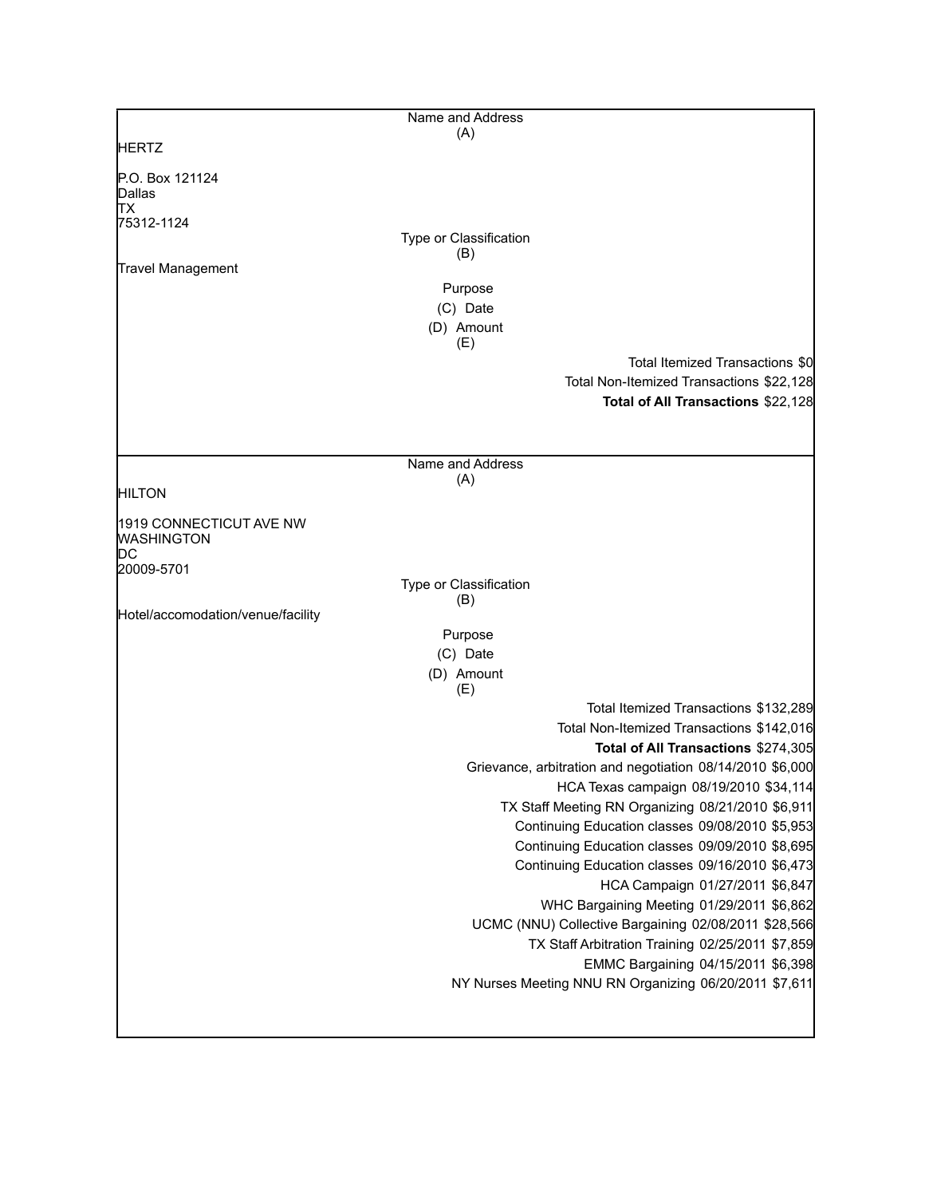|                                   | Name and Address              |                                                           |
|-----------------------------------|-------------------------------|-----------------------------------------------------------|
| <b>HERTZ</b>                      | (A)                           |                                                           |
|                                   |                               |                                                           |
| P.O. Box 121124<br>Dallas         |                               |                                                           |
| ΠX                                |                               |                                                           |
| 75312-1124                        |                               |                                                           |
|                                   | Type or Classification        |                                                           |
| Travel Management                 | (B)                           |                                                           |
|                                   | Purpose                       |                                                           |
|                                   | (C) Date                      |                                                           |
|                                   | (D) Amount                    |                                                           |
|                                   | (E)                           |                                                           |
|                                   |                               | Total Itemized Transactions \$0                           |
|                                   |                               | Total Non-Itemized Transactions \$22,128                  |
|                                   |                               | Total of All Transactions \$22,128                        |
|                                   |                               |                                                           |
|                                   |                               |                                                           |
|                                   | Name and Address              |                                                           |
|                                   | (A)                           |                                                           |
| <b>HILTON</b>                     |                               |                                                           |
| 1919 CONNECTICUT AVE NW           |                               |                                                           |
| <b>WASHINGTON</b>                 |                               |                                                           |
| DС                                |                               |                                                           |
| 20009-5701                        |                               |                                                           |
|                                   | Type or Classification<br>(B) |                                                           |
| Hotel/accomodation/venue/facility |                               |                                                           |
|                                   | Purpose                       |                                                           |
|                                   | (C) Date                      |                                                           |
|                                   | (D) Amount                    |                                                           |
|                                   | (E)                           |                                                           |
|                                   |                               | Total Itemized Transactions \$132,289                     |
|                                   |                               | Total Non-Itemized Transactions \$142,016                 |
|                                   |                               | Total of All Transactions \$274,305                       |
|                                   |                               | Grievance, arbitration and negotiation 08/14/2010 \$6,000 |
|                                   |                               | HCA Texas campaign 08/19/2010 \$34,114                    |
|                                   |                               | TX Staff Meeting RN Organizing 08/21/2010 \$6,911         |
|                                   |                               | Continuing Education classes 09/08/2010 \$5,953           |
|                                   |                               | Continuing Education classes 09/09/2010 \$8,695           |
|                                   |                               | Continuing Education classes 09/16/2010 \$6,473           |
|                                   |                               | HCA Campaign 01/27/2011 \$6,847                           |
|                                   |                               | WHC Bargaining Meeting 01/29/2011 \$6,862                 |
|                                   |                               | UCMC (NNU) Collective Bargaining 02/08/2011 \$28,566      |
|                                   |                               | TX Staff Arbitration Training 02/25/2011 \$7,859          |
|                                   |                               | EMMC Bargaining 04/15/2011 \$6,398                        |
|                                   |                               | NY Nurses Meeting NNU RN Organizing 06/20/2011 \$7,611    |
|                                   |                               |                                                           |
|                                   |                               |                                                           |
|                                   |                               |                                                           |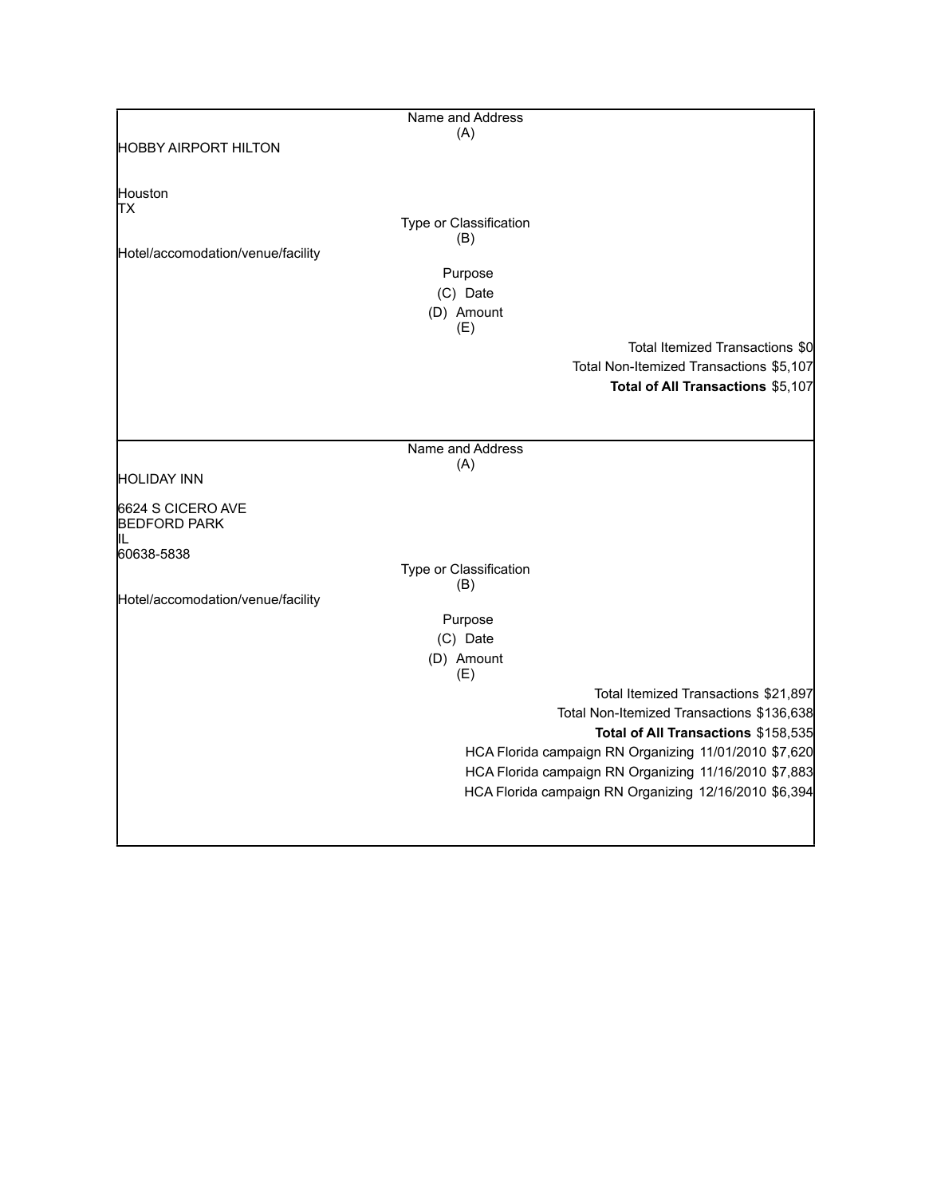|                                   | Name and Address        |                                                       |
|-----------------------------------|-------------------------|-------------------------------------------------------|
|                                   | (A)                     |                                                       |
| <b>HOBBY AIRPORT HILTON</b>       |                         |                                                       |
|                                   |                         |                                                       |
| Houston                           |                         |                                                       |
| ТX                                | Type or Classification  |                                                       |
|                                   | (B)                     |                                                       |
| Hotel/accomodation/venue/facility |                         |                                                       |
|                                   | Purpose                 |                                                       |
|                                   | (C) Date                |                                                       |
|                                   | (D) Amount              |                                                       |
|                                   | (E)                     |                                                       |
|                                   |                         | Total Itemized Transactions \$0                       |
|                                   |                         | Total Non-Itemized Transactions \$5,107               |
|                                   |                         | Total of All Transactions \$5,107                     |
|                                   |                         |                                                       |
|                                   |                         |                                                       |
|                                   | Name and Address<br>(A) |                                                       |
| <b>HOLIDAY INN</b>                |                         |                                                       |
| 6624 S CICERO AVE                 |                         |                                                       |
| <b>BEDFORD PARK</b>               |                         |                                                       |
| IL                                |                         |                                                       |
| 60638-5838                        | Type or Classification  |                                                       |
|                                   | (B)                     |                                                       |
| Hotel/accomodation/venue/facility |                         |                                                       |
|                                   | Purpose                 |                                                       |
|                                   | (C) Date                |                                                       |
|                                   | (D) Amount              |                                                       |
|                                   | (E)                     |                                                       |
|                                   |                         | Total Itemized Transactions \$21,897                  |
|                                   |                         | Total Non-Itemized Transactions \$136,638             |
|                                   |                         | Total of All Transactions \$158,535                   |
|                                   |                         | HCA Florida campaign RN Organizing 11/01/2010 \$7,620 |
|                                   |                         | HCA Florida campaign RN Organizing 11/16/2010 \$7,883 |
|                                   |                         | HCA Florida campaign RN Organizing 12/16/2010 \$6,394 |
|                                   |                         |                                                       |
|                                   |                         |                                                       |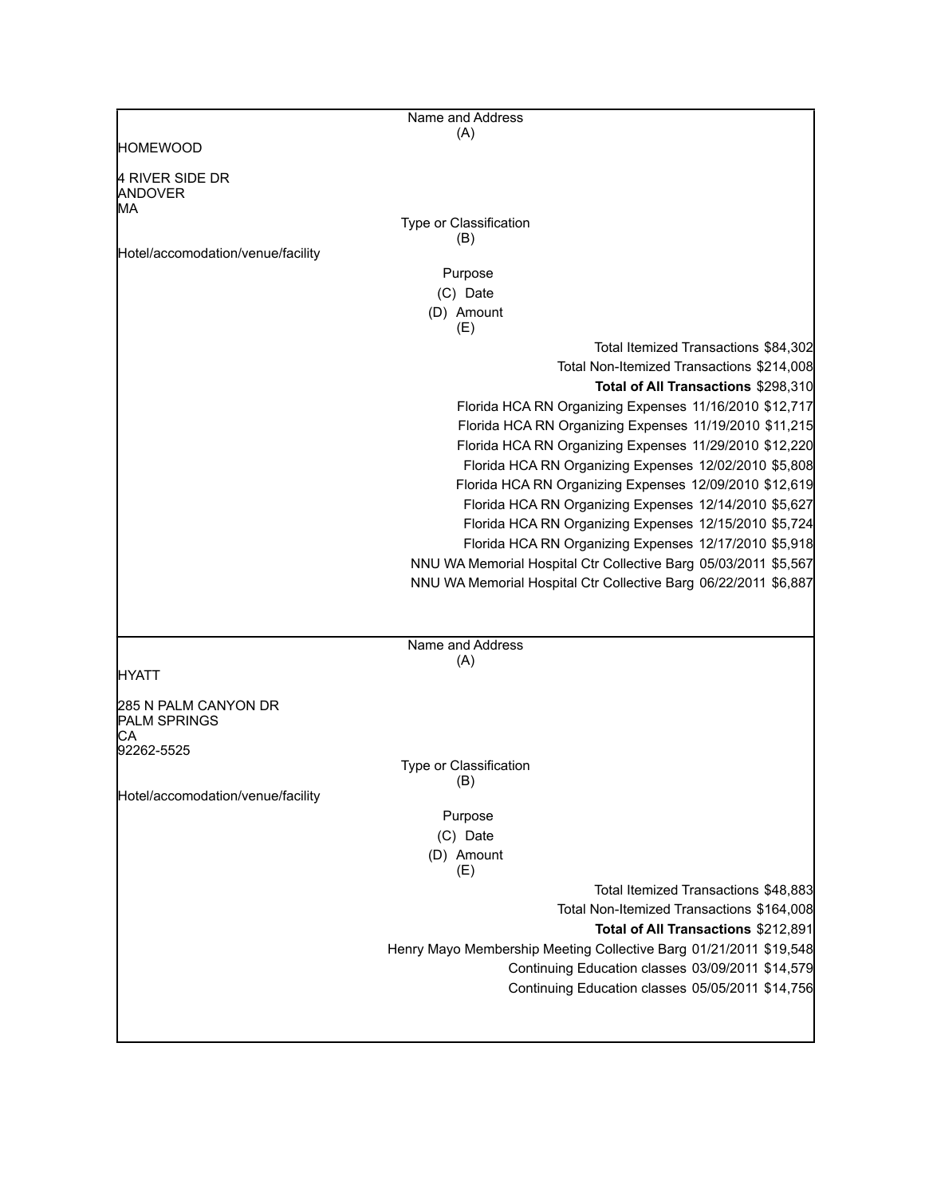|                                      | Name and Address                                                                                                      |
|--------------------------------------|-----------------------------------------------------------------------------------------------------------------------|
|                                      | (A)                                                                                                                   |
| HOMEWOOD                             |                                                                                                                       |
| 4 RIVER SIDE DR<br>ANDOVER<br>MA     |                                                                                                                       |
|                                      | Type or Classification                                                                                                |
| Hotel/accomodation/venue/facility    | (B)                                                                                                                   |
|                                      | Purpose                                                                                                               |
|                                      | (C) Date                                                                                                              |
|                                      | (D) Amount<br>(E)                                                                                                     |
|                                      | Total Itemized Transactions \$84,302                                                                                  |
|                                      | Total Non-Itemized Transactions \$214,008                                                                             |
|                                      | Total of All Transactions \$298,310                                                                                   |
|                                      | Florida HCA RN Organizing Expenses 11/16/2010 \$12,717                                                                |
|                                      | Florida HCA RN Organizing Expenses 11/19/2010 \$11,215                                                                |
|                                      | Florida HCA RN Organizing Expenses 11/29/2010 \$12,220                                                                |
|                                      | Florida HCA RN Organizing Expenses 12/02/2010 \$5,808                                                                 |
|                                      | Florida HCA RN Organizing Expenses 12/09/2010 \$12,619                                                                |
|                                      | Florida HCA RN Organizing Expenses 12/14/2010 \$5,627                                                                 |
|                                      | Florida HCA RN Organizing Expenses 12/15/2010 \$5,724                                                                 |
|                                      | Florida HCA RN Organizing Expenses 12/17/2010 \$5,918                                                                 |
|                                      | NNU WA Memorial Hospital Ctr Collective Barg 05/03/2011 \$5,567                                                       |
|                                      | NNU WA Memorial Hospital Ctr Collective Barg 06/22/2011 \$6,887                                                       |
|                                      |                                                                                                                       |
|                                      |                                                                                                                       |
|                                      | Name and Address<br>(A)                                                                                               |
| HYATT                                |                                                                                                                       |
| 285 N PALM CANYON DR<br>PALM SPRINGS |                                                                                                                       |
| СA                                   |                                                                                                                       |
| 92262-5525                           | Type or Classification                                                                                                |
|                                      | (B)                                                                                                                   |
| Hotel/accomodation/venue/facility    |                                                                                                                       |
|                                      | Purpose                                                                                                               |
|                                      | (C) Date                                                                                                              |
|                                      | (D) Amount                                                                                                            |
|                                      | (E)                                                                                                                   |
|                                      | Total Itemized Transactions \$48,883                                                                                  |
|                                      | Total Non-Itemized Transactions \$164,008<br>Total of All Transactions \$212,891                                      |
|                                      |                                                                                                                       |
|                                      | Henry Mayo Membership Meeting Collective Barg 01/21/2011 \$19,548<br>Continuing Education classes 03/09/2011 \$14,579 |
|                                      | Continuing Education classes 05/05/2011 \$14,756                                                                      |
|                                      |                                                                                                                       |
|                                      |                                                                                                                       |
|                                      |                                                                                                                       |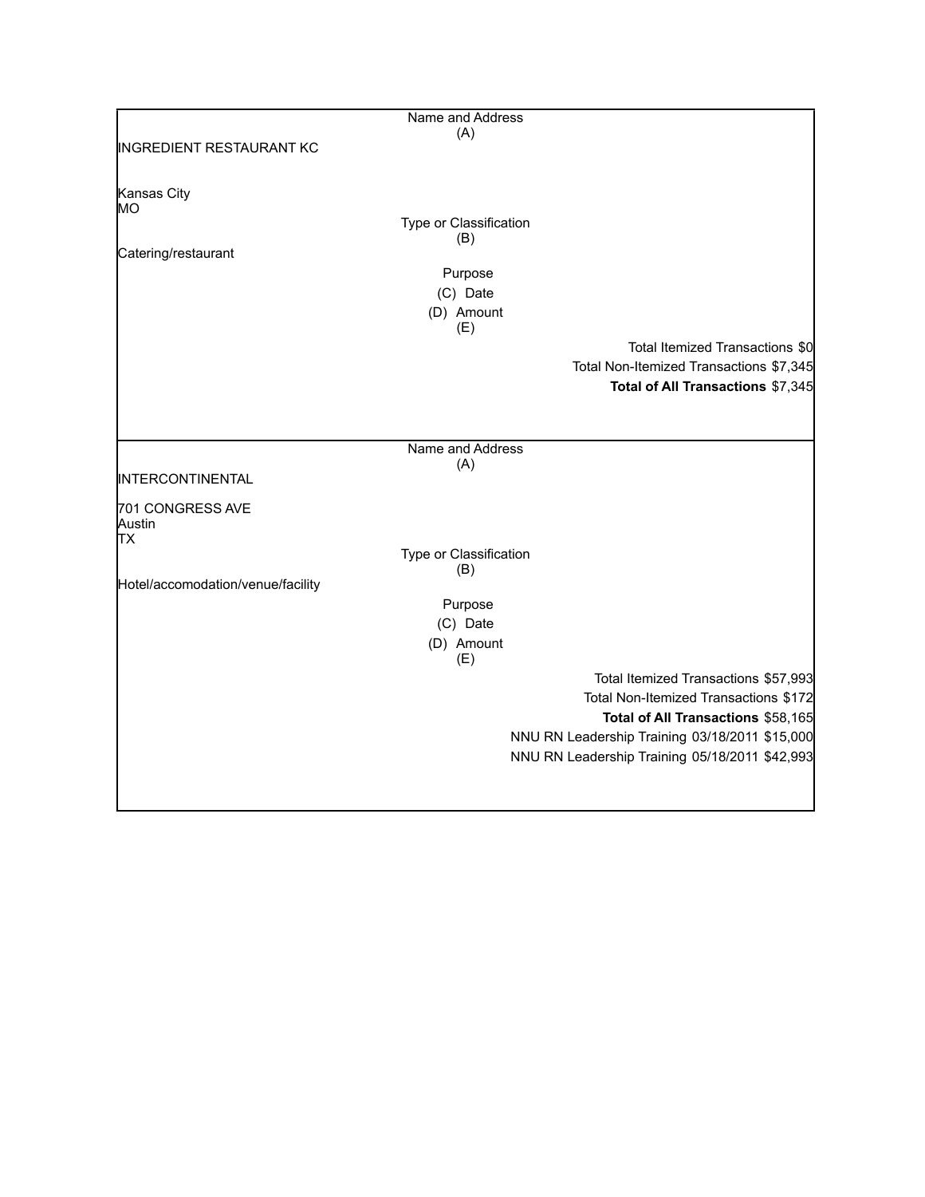|                                   | Name and Address       |                                                |
|-----------------------------------|------------------------|------------------------------------------------|
|                                   | (A)                    |                                                |
| INGREDIENT RESTAURANT KC          |                        |                                                |
| Kansas City                       |                        |                                                |
| MO                                |                        |                                                |
|                                   | Type or Classification |                                                |
|                                   | (B)                    |                                                |
| Catering/restaurant               |                        |                                                |
|                                   | Purpose                |                                                |
|                                   | (C) Date               |                                                |
|                                   | (D) Amount             |                                                |
|                                   | (E)                    |                                                |
|                                   |                        | Total Itemized Transactions \$0                |
|                                   |                        | Total Non-Itemized Transactions \$7,345        |
|                                   |                        | Total of All Transactions \$7,345              |
|                                   |                        |                                                |
|                                   |                        |                                                |
|                                   | Name and Address       |                                                |
|                                   | (A)                    |                                                |
| INTERCONTINENTAL                  |                        |                                                |
|                                   |                        |                                                |
| 701 CONGRESS AVE<br>Austin        |                        |                                                |
| ТX                                |                        |                                                |
|                                   | Type or Classification |                                                |
|                                   | (B)                    |                                                |
| Hotel/accomodation/venue/facility |                        |                                                |
|                                   | Purpose                |                                                |
|                                   | (C) Date               |                                                |
|                                   | (D) Amount             |                                                |
|                                   | (E)                    |                                                |
|                                   |                        | Total Itemized Transactions \$57,993           |
|                                   |                        | Total Non-Itemized Transactions \$172          |
|                                   |                        | Total of All Transactions \$58,165             |
|                                   |                        | NNU RN Leadership Training 03/18/2011 \$15,000 |
|                                   |                        | NNU RN Leadership Training 05/18/2011 \$42,993 |
|                                   |                        |                                                |
|                                   |                        |                                                |
|                                   |                        |                                                |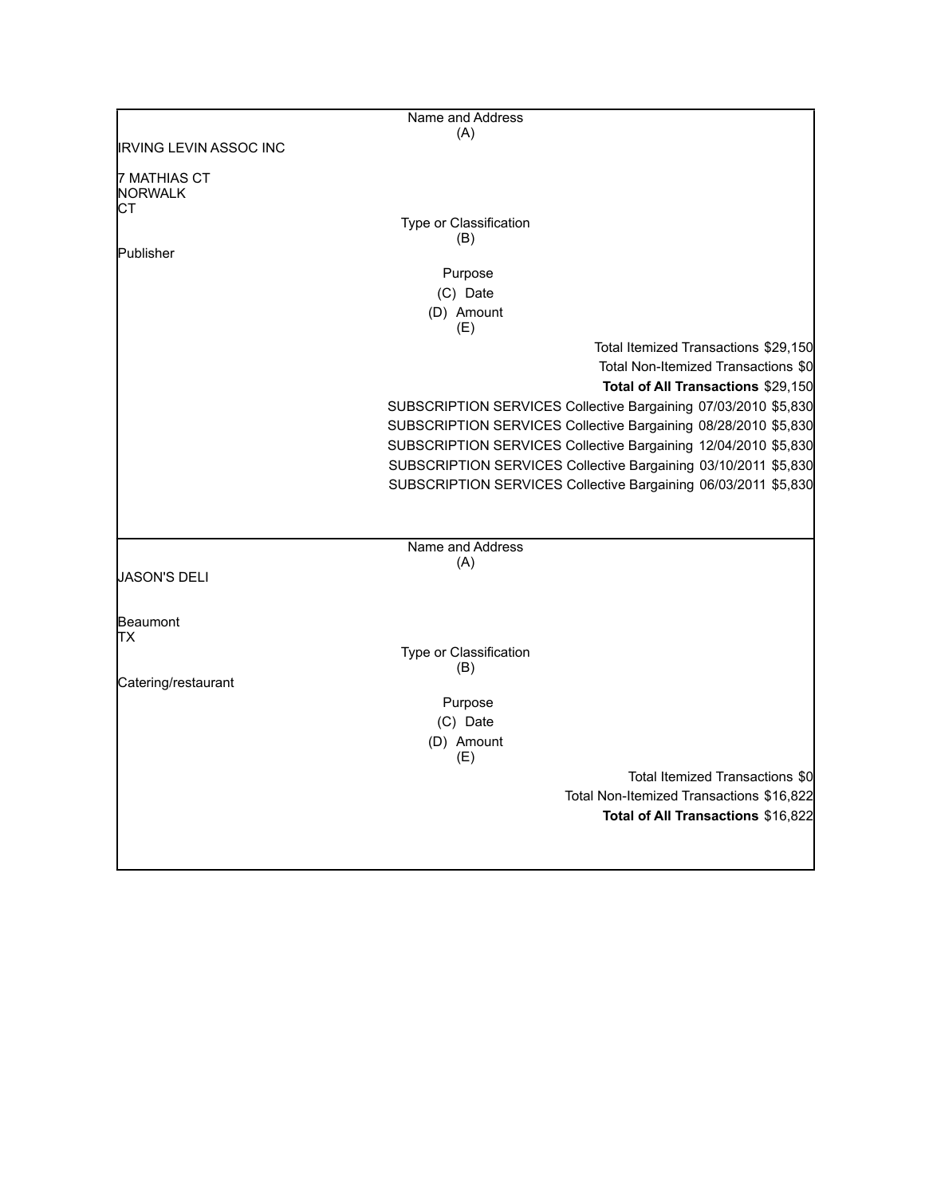|                                      | Name and Address        |                                                                |
|--------------------------------------|-------------------------|----------------------------------------------------------------|
|                                      | (A)                     |                                                                |
| <b>IRVING LEVIN ASSOC INC</b>        |                         |                                                                |
| 7 MATHIAS CT<br><b>NORWALK</b><br>СT |                         |                                                                |
|                                      | Type or Classification  |                                                                |
|                                      | (B)                     |                                                                |
| Publisher                            |                         |                                                                |
|                                      | Purpose                 |                                                                |
|                                      | (C) Date                |                                                                |
|                                      | (D) Amount              |                                                                |
|                                      | (E)                     |                                                                |
|                                      |                         | Total Itemized Transactions \$29,150                           |
|                                      |                         | Total Non-Itemized Transactions \$0                            |
|                                      |                         | Total of All Transactions \$29,150                             |
|                                      |                         | SUBSCRIPTION SERVICES Collective Bargaining 07/03/2010 \$5,830 |
|                                      |                         | SUBSCRIPTION SERVICES Collective Bargaining 08/28/2010 \$5,830 |
|                                      |                         | SUBSCRIPTION SERVICES Collective Bargaining 12/04/2010 \$5,830 |
|                                      |                         | SUBSCRIPTION SERVICES Collective Bargaining 03/10/2011 \$5,830 |
|                                      |                         | SUBSCRIPTION SERVICES Collective Bargaining 06/03/2011 \$5,830 |
|                                      |                         |                                                                |
|                                      |                         |                                                                |
|                                      |                         |                                                                |
|                                      | Name and Address<br>(A) |                                                                |
| JASON'S DELI                         |                         |                                                                |
|                                      |                         |                                                                |
|                                      |                         |                                                                |
| Beaumont<br>TХ                       |                         |                                                                |
|                                      | Type or Classification  |                                                                |
|                                      | (B)                     |                                                                |
| Catering/restaurant                  |                         |                                                                |
|                                      | Purpose                 |                                                                |
|                                      | (C) Date                |                                                                |
|                                      | (D) Amount              |                                                                |
|                                      | (E)                     |                                                                |
|                                      |                         | Total Itemized Transactions \$0                                |
|                                      |                         | Total Non-Itemized Transactions \$16,822                       |
|                                      |                         | Total of All Transactions \$16,822                             |
|                                      |                         |                                                                |
|                                      |                         |                                                                |
|                                      |                         |                                                                |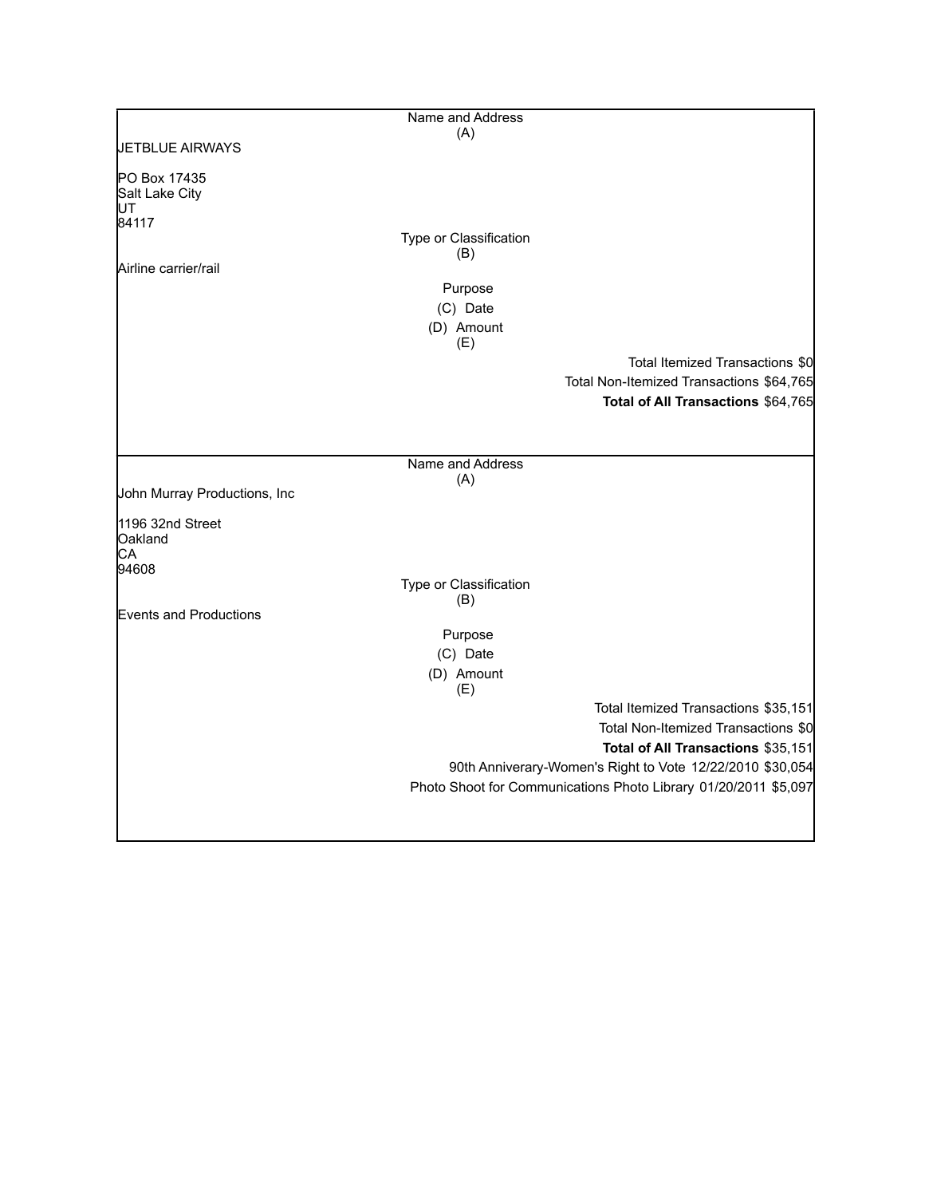|                              | Name and Address              |                                                                 |
|------------------------------|-------------------------------|-----------------------------------------------------------------|
|                              | (A)                           |                                                                 |
| <b>JETBLUE AIRWAYS</b>       |                               |                                                                 |
| PO Box 17435                 |                               |                                                                 |
| Salt Lake City               |                               |                                                                 |
| UT<br>84117                  |                               |                                                                 |
|                              | Type or Classification        |                                                                 |
|                              | (B)                           |                                                                 |
| Airline carrier/rail         |                               |                                                                 |
|                              | Purpose                       |                                                                 |
|                              | (C) Date                      |                                                                 |
|                              | (D) Amount<br>(E)             |                                                                 |
|                              |                               | Total Itemized Transactions \$0                                 |
|                              |                               | Total Non-Itemized Transactions \$64,765                        |
|                              |                               | Total of All Transactions \$64,765                              |
|                              |                               |                                                                 |
|                              |                               |                                                                 |
|                              | Name and Address              |                                                                 |
|                              | (A)                           |                                                                 |
| John Murray Productions, Inc |                               |                                                                 |
| 1196 32nd Street             |                               |                                                                 |
| Oakland                      |                               |                                                                 |
| CA                           |                               |                                                                 |
| 94608                        |                               |                                                                 |
|                              | Type or Classification<br>(B) |                                                                 |
| Events and Productions       |                               |                                                                 |
|                              | Purpose                       |                                                                 |
|                              | (C) Date                      |                                                                 |
|                              | (D) Amount                    |                                                                 |
|                              | (E)                           |                                                                 |
|                              |                               | Total Itemized Transactions \$35,151                            |
|                              |                               | Total Non-Itemized Transactions \$0                             |
|                              |                               | Total of All Transactions \$35,151                              |
|                              |                               | 90th Anniverary-Women's Right to Vote 12/22/2010 \$30,054       |
|                              |                               | Photo Shoot for Communications Photo Library 01/20/2011 \$5,097 |
|                              |                               |                                                                 |
|                              |                               |                                                                 |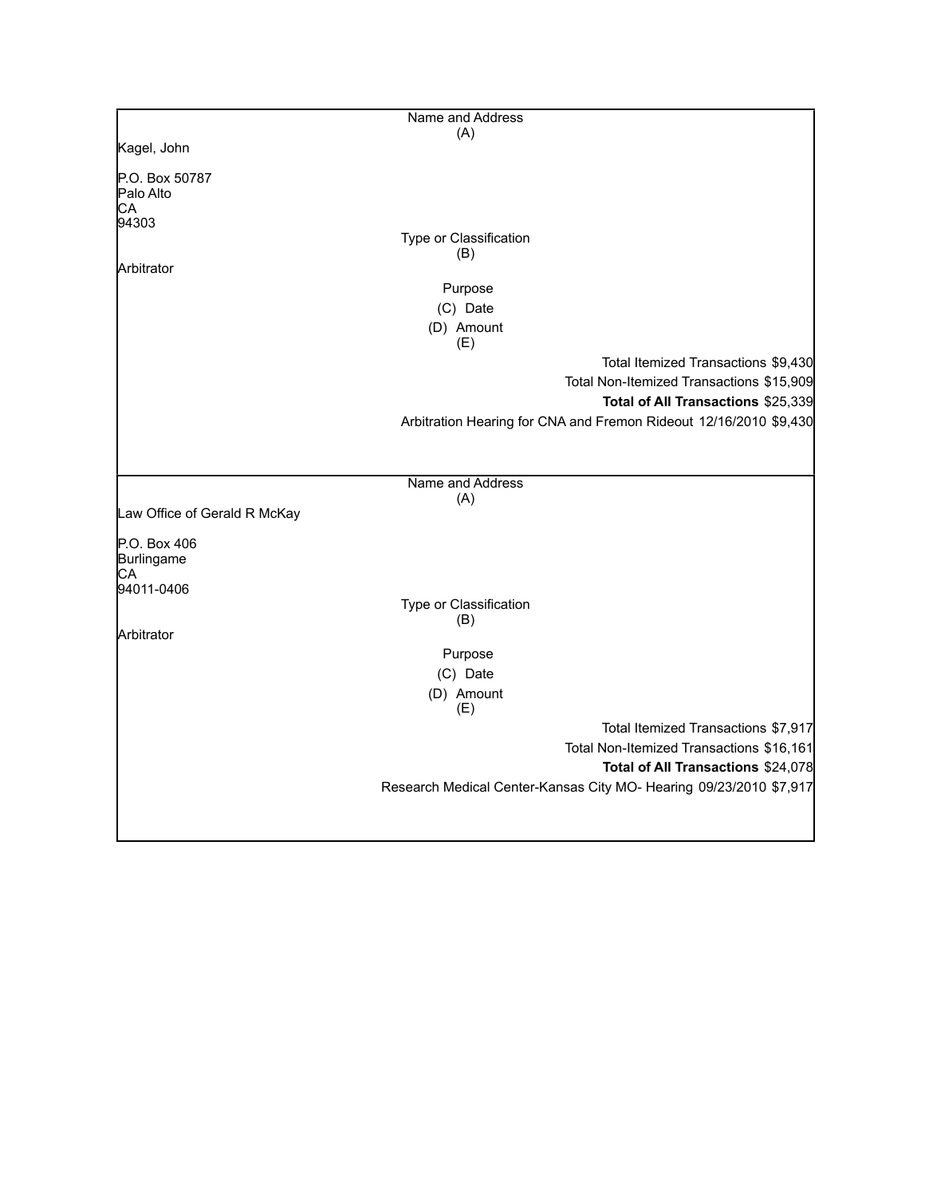|                              | Name and Address                                                   |  |
|------------------------------|--------------------------------------------------------------------|--|
|                              | (A)                                                                |  |
| Kagel, John                  |                                                                    |  |
| P.O. Box 50787               |                                                                    |  |
| Palo Alto                    |                                                                    |  |
| СA                           |                                                                    |  |
| 94303                        |                                                                    |  |
|                              | Type or Classification                                             |  |
| Arbitrator                   | (B)                                                                |  |
|                              | Purpose                                                            |  |
|                              | (C) Date                                                           |  |
|                              |                                                                    |  |
|                              | (D) Amount<br>(E)                                                  |  |
|                              | Total Itemized Transactions \$9,430                                |  |
|                              | Total Non-Itemized Transactions \$15,909                           |  |
|                              | Total of All Transactions \$25,339                                 |  |
|                              | Arbitration Hearing for CNA and Fremon Rideout 12/16/2010 \$9,430  |  |
|                              |                                                                    |  |
|                              |                                                                    |  |
|                              | Name and Address                                                   |  |
|                              | (A)                                                                |  |
| Law Office of Gerald R McKay |                                                                    |  |
|                              |                                                                    |  |
| P.O. Box 406                 |                                                                    |  |
| Burlingame<br>СA             |                                                                    |  |
| 94011-0406                   |                                                                    |  |
|                              | Type or Classification                                             |  |
|                              | (B)                                                                |  |
| Arbitrator                   |                                                                    |  |
|                              | Purpose                                                            |  |
|                              | (C) Date                                                           |  |
|                              | (D) Amount                                                         |  |
|                              | (E)                                                                |  |
|                              | Total Itemized Transactions \$7,917                                |  |
|                              | Total Non-Itemized Transactions \$16,161                           |  |
|                              | Total of All Transactions \$24,078                                 |  |
|                              | Research Medical Center-Kansas City MO- Hearing 09/23/2010 \$7,917 |  |
|                              |                                                                    |  |
|                              |                                                                    |  |
|                              |                                                                    |  |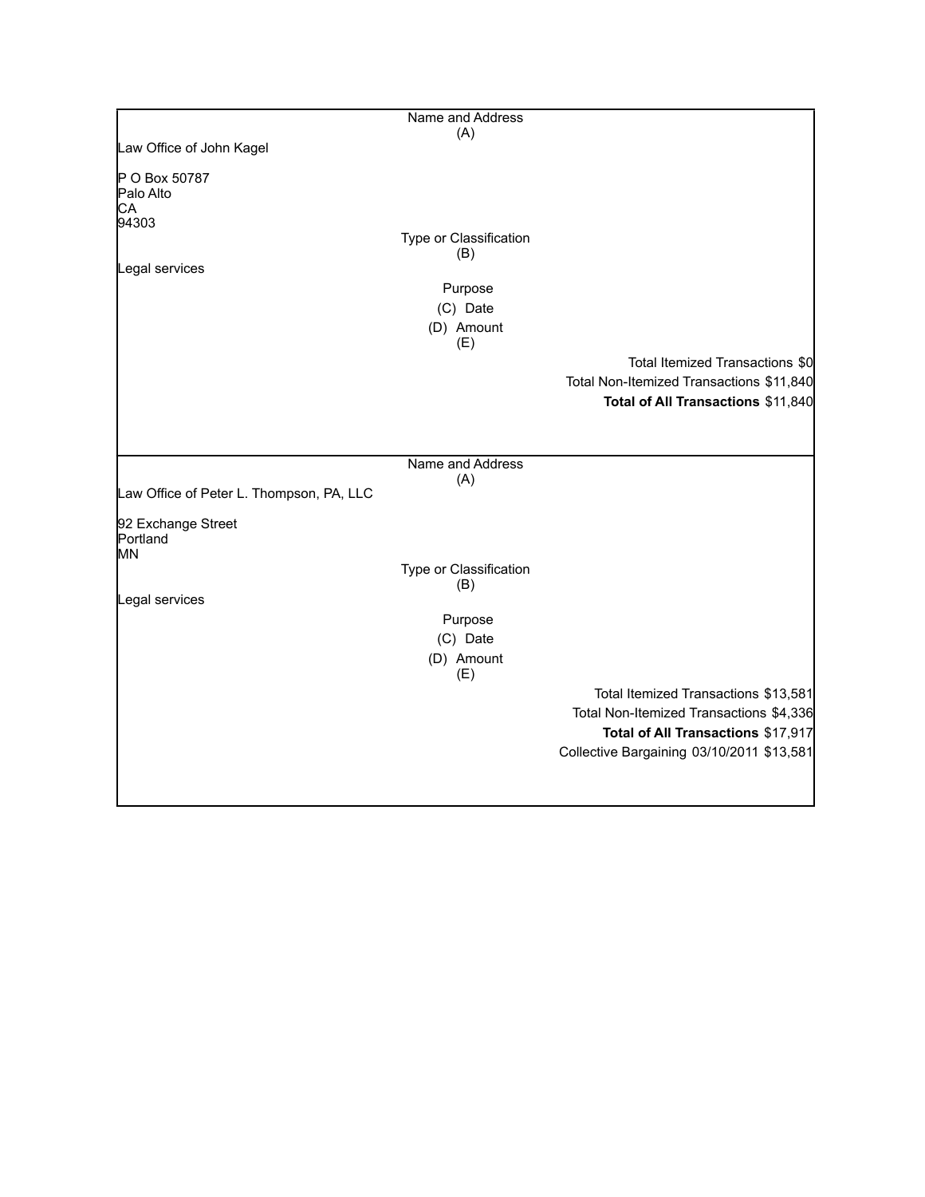|                                          | Name and Address              |                                           |
|------------------------------------------|-------------------------------|-------------------------------------------|
|                                          | (A)                           |                                           |
| Law Office of John Kagel                 |                               |                                           |
| P O Box 50787<br>Palo Alto<br>CA         |                               |                                           |
| 94303                                    |                               |                                           |
|                                          | Type or Classification<br>(B) |                                           |
| Legal services                           |                               |                                           |
|                                          | Purpose<br>(C) Date           |                                           |
|                                          | (D) Amount                    |                                           |
|                                          | (E)                           |                                           |
|                                          |                               | Total Itemized Transactions \$0           |
|                                          |                               | Total Non-Itemized Transactions \$11,840  |
|                                          |                               | Total of All Transactions \$11,840        |
|                                          |                               |                                           |
|                                          |                               |                                           |
|                                          | Name and Address              |                                           |
|                                          | (A)                           |                                           |
| Law Office of Peter L. Thompson, PA, LLC |                               |                                           |
| 92 Exchange Street<br>Portland<br>IMN.   |                               |                                           |
|                                          | Type or Classification<br>(B) |                                           |
| Legal services                           |                               |                                           |
|                                          | Purpose                       |                                           |
|                                          | (C) Date                      |                                           |
|                                          | (D) Amount<br>(E)             |                                           |
|                                          |                               | Total Itemized Transactions \$13,581      |
|                                          |                               | Total Non-Itemized Transactions \$4,336   |
|                                          |                               | Total of All Transactions \$17,917        |
|                                          |                               | Collective Bargaining 03/10/2011 \$13,581 |
|                                          |                               |                                           |
|                                          |                               |                                           |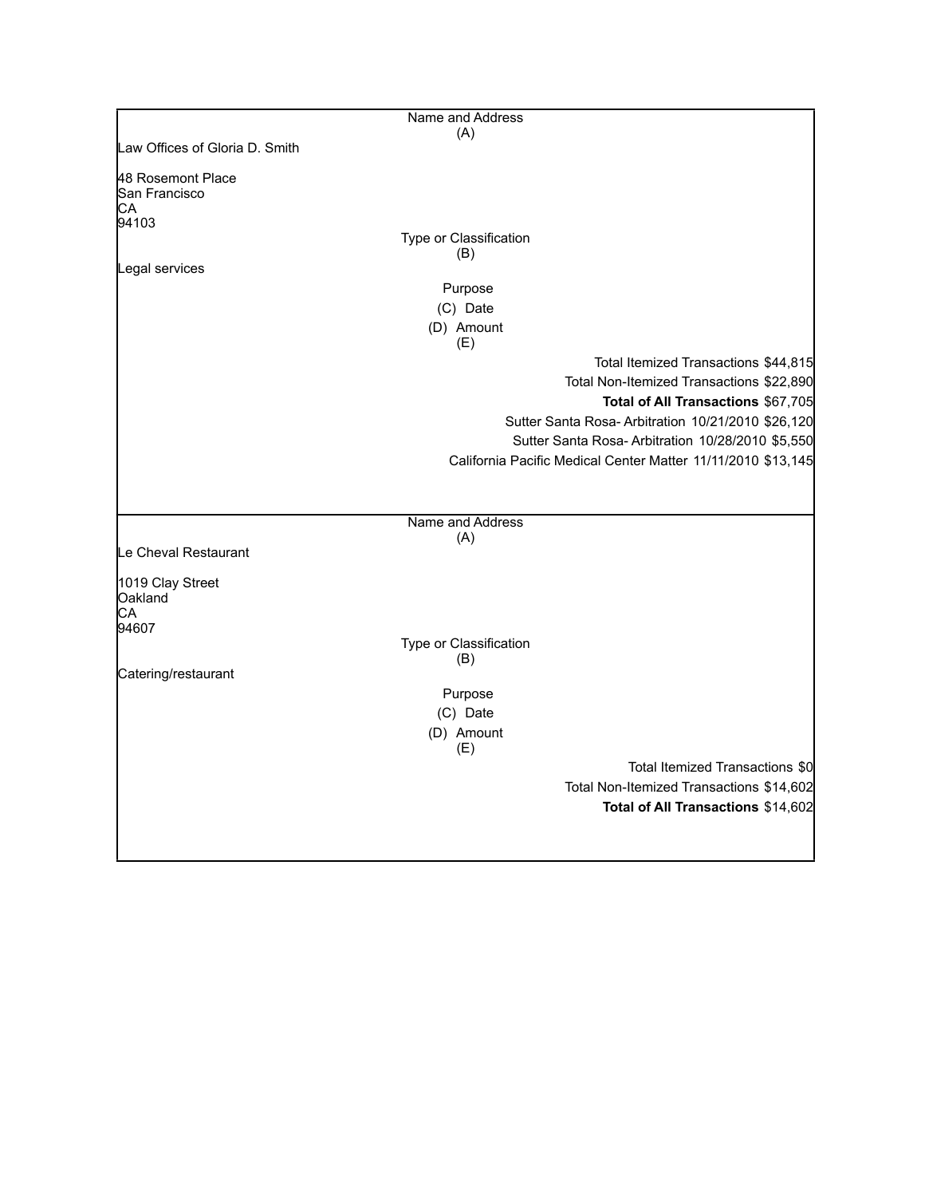|                                            | Name and Address                                             |
|--------------------------------------------|--------------------------------------------------------------|
|                                            | (A)                                                          |
| Law Offices of Gloria D. Smith             |                                                              |
| 48 Rosemont Place<br>San Francisco<br>CА   |                                                              |
| 94103                                      | Type or Classification                                       |
|                                            | (B)                                                          |
| Legal services                             |                                                              |
|                                            | Purpose                                                      |
|                                            | (C) Date                                                     |
|                                            | (D) Amount<br>(E)                                            |
|                                            | Total Itemized Transactions \$44,815                         |
|                                            | Total Non-Itemized Transactions \$22,890                     |
|                                            | Total of All Transactions \$67,705                           |
|                                            | Sutter Santa Rosa-Arbitration 10/21/2010 \$26,120            |
|                                            | Sutter Santa Rosa-Arbitration 10/28/2010 \$5,550             |
|                                            | California Pacific Medical Center Matter 11/11/2010 \$13,145 |
|                                            | Name and Address                                             |
|                                            | (A)                                                          |
| Le Cheval Restaurant                       |                                                              |
| 1019 Clay Street<br>Oakland<br>СA<br>94607 |                                                              |
|                                            | Type or Classification                                       |
|                                            | (B)                                                          |
| Catering/restaurant                        |                                                              |
|                                            | Purpose                                                      |
|                                            | (C) Date                                                     |
|                                            | (D) Amount<br>(E)                                            |
|                                            | Total Itemized Transactions \$0                              |
|                                            | Total Non-Itemized Transactions \$14,602                     |
|                                            | Total of All Transactions \$14,602                           |
|                                            |                                                              |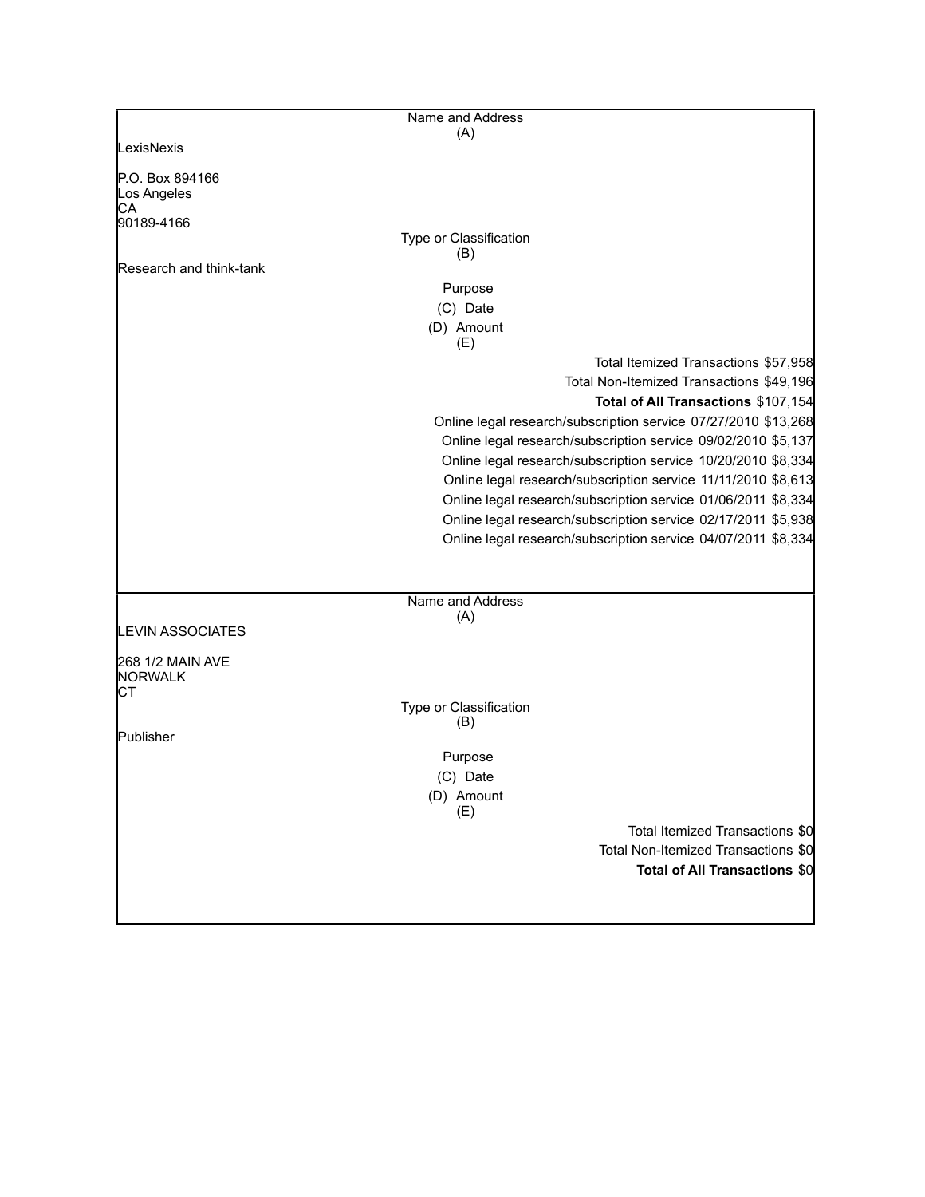|                                      | Name and Address                                               |
|--------------------------------------|----------------------------------------------------------------|
|                                      | (A)                                                            |
| LexisNexis                           |                                                                |
| P.O. Box 894166<br>Los Angeles<br>CА |                                                                |
| 90189-4166                           |                                                                |
|                                      | Type or Classification<br>(B)                                  |
| Research and think-tank              |                                                                |
|                                      | Purpose                                                        |
|                                      | (C) Date                                                       |
|                                      | (D) Amount<br>(E)                                              |
|                                      | Total Itemized Transactions \$57,958                           |
|                                      | Total Non-Itemized Transactions \$49,196                       |
|                                      | Total of All Transactions \$107,154                            |
|                                      | Online legal research/subscription service 07/27/2010 \$13,268 |
|                                      | Online legal research/subscription service 09/02/2010 \$5,137  |
|                                      | Online legal research/subscription service 10/20/2010 \$8,334  |
|                                      | Online legal research/subscription service 11/11/2010 \$8,613  |
|                                      | Online legal research/subscription service 01/06/2011 \$8,334  |
|                                      | Online legal research/subscription service 02/17/2011 \$5,938  |
|                                      | Online legal research/subscription service 04/07/2011 \$8,334  |
|                                      |                                                                |
|                                      | Name and Address                                               |
| <b>LEVIN ASSOCIATES</b>              | (A)                                                            |
| 268 1/2 MAIN AVE<br><b>NORWALK</b>   |                                                                |
| СT                                   |                                                                |
|                                      | Type or Classification<br>(B)                                  |
| Publisher                            |                                                                |
|                                      | Purpose                                                        |
|                                      | (C) Date                                                       |
|                                      | (D) Amount<br>(E)                                              |
|                                      | Total Itemized Transactions \$0                                |
|                                      | Total Non-Itemized Transactions \$0                            |
|                                      | <b>Total of All Transactions \$0</b>                           |
|                                      |                                                                |
|                                      |                                                                |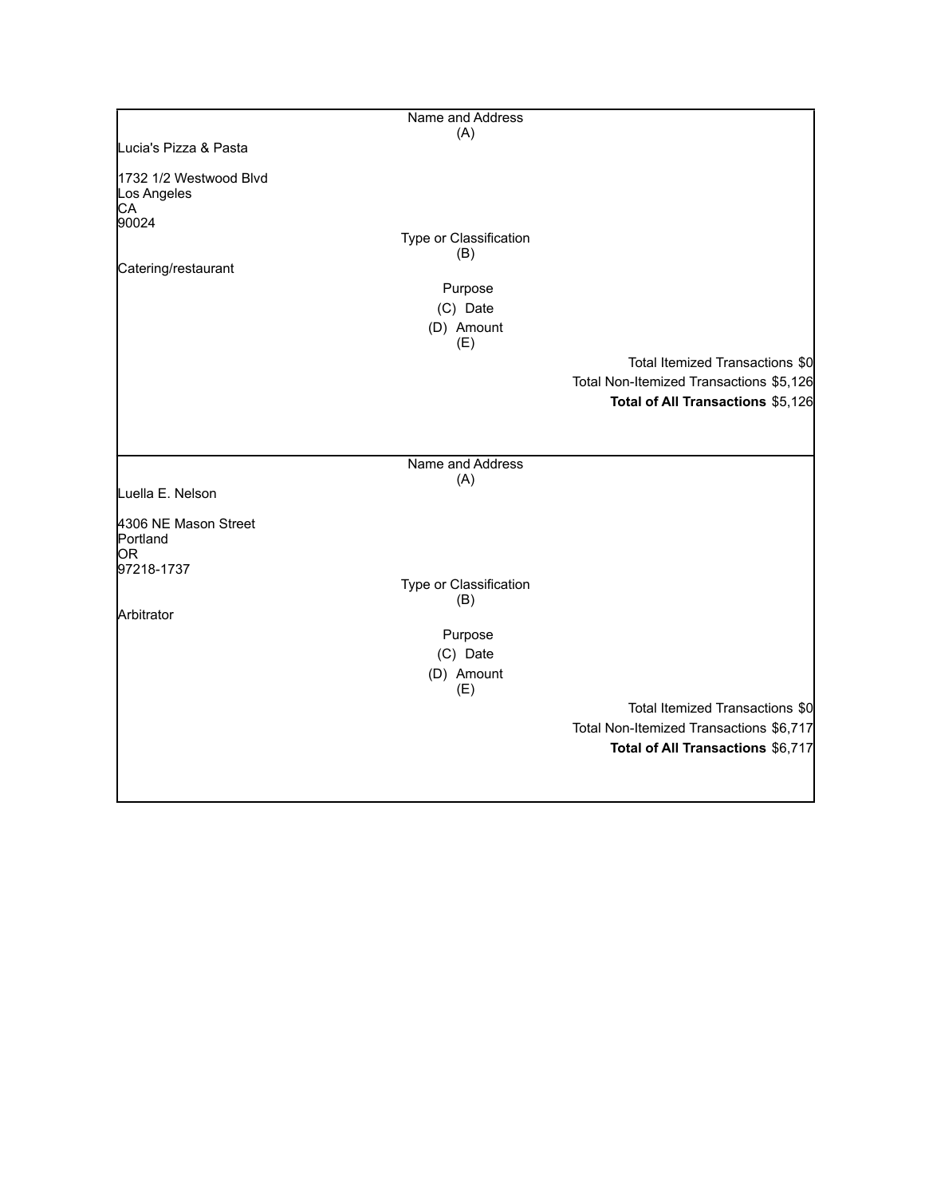|                                                      | Name and Address              |                                         |
|------------------------------------------------------|-------------------------------|-----------------------------------------|
|                                                      | (A)                           |                                         |
| Lucia's Pizza & Pasta                                |                               |                                         |
| 1732 1/2 Westwood Blvd<br>Los Angeles<br>CA<br>90024 |                               |                                         |
|                                                      | Type or Classification<br>(B) |                                         |
| Catering/restaurant                                  |                               |                                         |
|                                                      | Purpose                       |                                         |
|                                                      | (C) Date                      |                                         |
|                                                      | (D) Amount                    |                                         |
|                                                      | (E)                           | Total Itemized Transactions \$0         |
|                                                      |                               | Total Non-Itemized Transactions \$5,126 |
|                                                      |                               | Total of All Transactions \$5,126       |
|                                                      |                               |                                         |
|                                                      | Name and Address              |                                         |
| Luella E. Nelson                                     | (A)                           |                                         |
| 4306 NE Mason Street<br>Portland<br>lOR              |                               |                                         |
| 97218-1737                                           |                               |                                         |
|                                                      | Type or Classification        |                                         |
| Arbitrator                                           | (B)                           |                                         |
|                                                      | Purpose                       |                                         |
|                                                      | (C) Date                      |                                         |
|                                                      | (D) Amount<br>(E)             |                                         |
|                                                      |                               | Total Itemized Transactions \$0         |
|                                                      |                               | Total Non-Itemized Transactions \$6,717 |
|                                                      |                               | Total of All Transactions \$6,717       |
|                                                      |                               |                                         |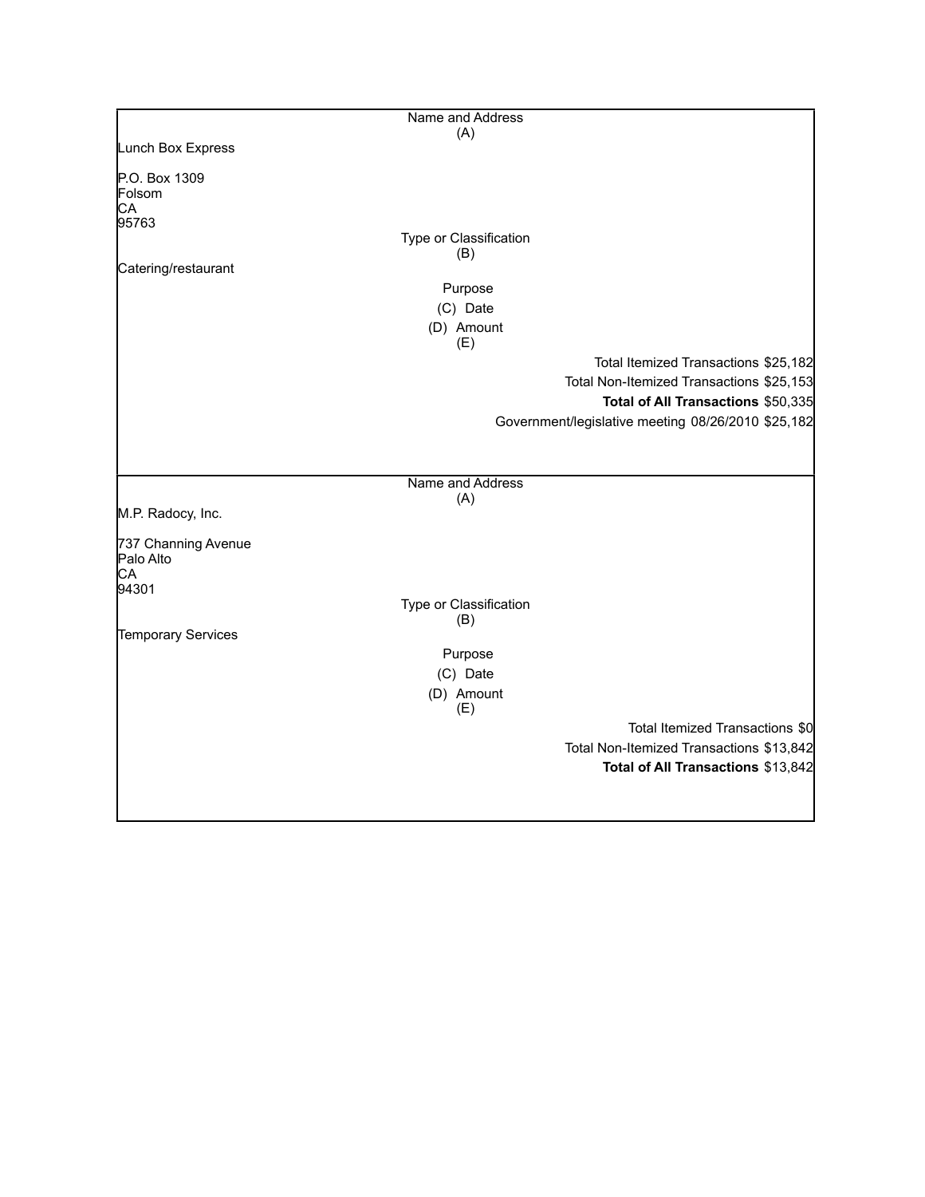|                                  | Name and Address       |                                                    |
|----------------------------------|------------------------|----------------------------------------------------|
|                                  | (A)                    |                                                    |
| Lunch Box Express                |                        |                                                    |
| P.O. Box 1309<br>Folsom          |                        |                                                    |
| CA                               |                        |                                                    |
| 95763                            |                        |                                                    |
|                                  | Type or Classification |                                                    |
| Catering/restaurant              | (B)                    |                                                    |
|                                  | Purpose                |                                                    |
|                                  | (C) Date               |                                                    |
|                                  |                        |                                                    |
|                                  | (D) Amount<br>(E)      |                                                    |
|                                  |                        | Total Itemized Transactions \$25,182               |
|                                  |                        | Total Non-Itemized Transactions \$25,153           |
|                                  |                        | Total of All Transactions \$50,335                 |
|                                  |                        |                                                    |
|                                  |                        | Government/legislative meeting 08/26/2010 \$25,182 |
|                                  |                        |                                                    |
|                                  | Name and Address       |                                                    |
|                                  | (A)                    |                                                    |
| M.P. Radocy, Inc.                |                        |                                                    |
| 737 Channing Avenue<br>Palo Alto |                        |                                                    |
| CA                               |                        |                                                    |
| 94301                            |                        |                                                    |
|                                  | Type or Classification |                                                    |
| Temporary Services               | (B)                    |                                                    |
|                                  | Purpose                |                                                    |
|                                  |                        |                                                    |
|                                  | (C) Date               |                                                    |
|                                  | (D) Amount<br>(E)      |                                                    |
|                                  |                        | Total Itemized Transactions \$0                    |
|                                  |                        | Total Non-Itemized Transactions \$13,842           |
|                                  |                        | Total of All Transactions \$13,842                 |
|                                  |                        |                                                    |
|                                  |                        |                                                    |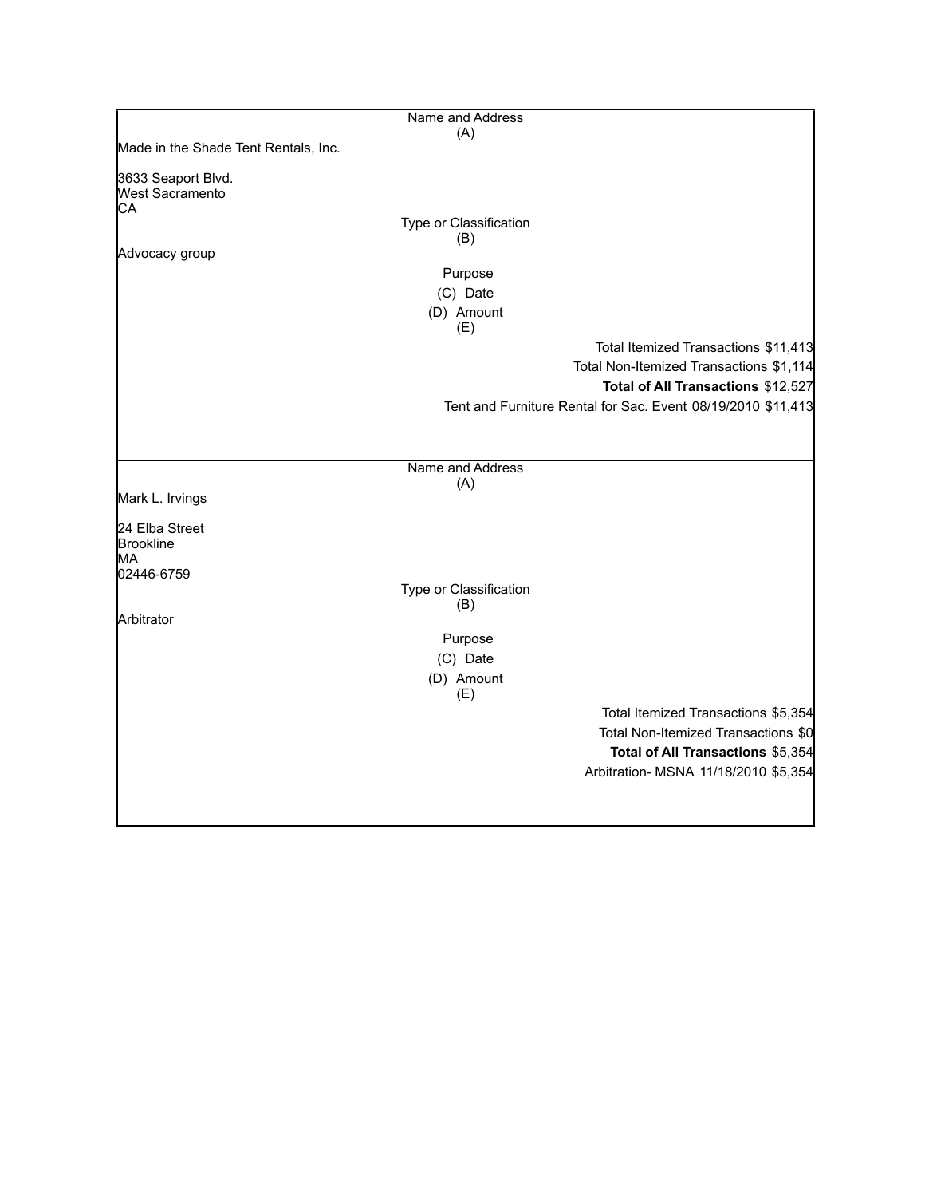|                                                    | Name and Address       |                                                              |
|----------------------------------------------------|------------------------|--------------------------------------------------------------|
|                                                    | (A)                    |                                                              |
| Made in the Shade Tent Rentals, Inc.               |                        |                                                              |
| 3633 Seaport Blvd.<br><b>West Sacramento</b><br>СA |                        |                                                              |
|                                                    | Type or Classification |                                                              |
|                                                    | (B)                    |                                                              |
| Advocacy group                                     |                        |                                                              |
|                                                    | Purpose                |                                                              |
|                                                    | (C) Date<br>(D) Amount |                                                              |
|                                                    | (E)                    |                                                              |
|                                                    |                        | Total Itemized Transactions \$11,413                         |
|                                                    |                        | Total Non-Itemized Transactions \$1,114                      |
|                                                    |                        | Total of All Transactions \$12,527                           |
|                                                    |                        | Tent and Furniture Rental for Sac. Event 08/19/2010 \$11,413 |
|                                                    |                        |                                                              |
|                                                    |                        |                                                              |
|                                                    | Name and Address       |                                                              |
|                                                    | (A)                    |                                                              |
| Mark L. Irvings                                    |                        |                                                              |
| 24 Elba Street                                     |                        |                                                              |
| Brookline<br>MA                                    |                        |                                                              |
| 02446-6759                                         |                        |                                                              |
|                                                    | Type or Classification |                                                              |
| Arbitrator                                         | (B)                    |                                                              |
|                                                    | Purpose                |                                                              |
|                                                    | (C) Date               |                                                              |
|                                                    | (D) Amount             |                                                              |
|                                                    | (E)                    |                                                              |
|                                                    |                        | Total Itemized Transactions \$5,354                          |
|                                                    |                        | Total Non-Itemized Transactions \$0                          |
|                                                    |                        | Total of All Transactions \$5,354                            |
|                                                    |                        | Arbitration- MSNA 11/18/2010 \$5,354                         |
|                                                    |                        |                                                              |
|                                                    |                        |                                                              |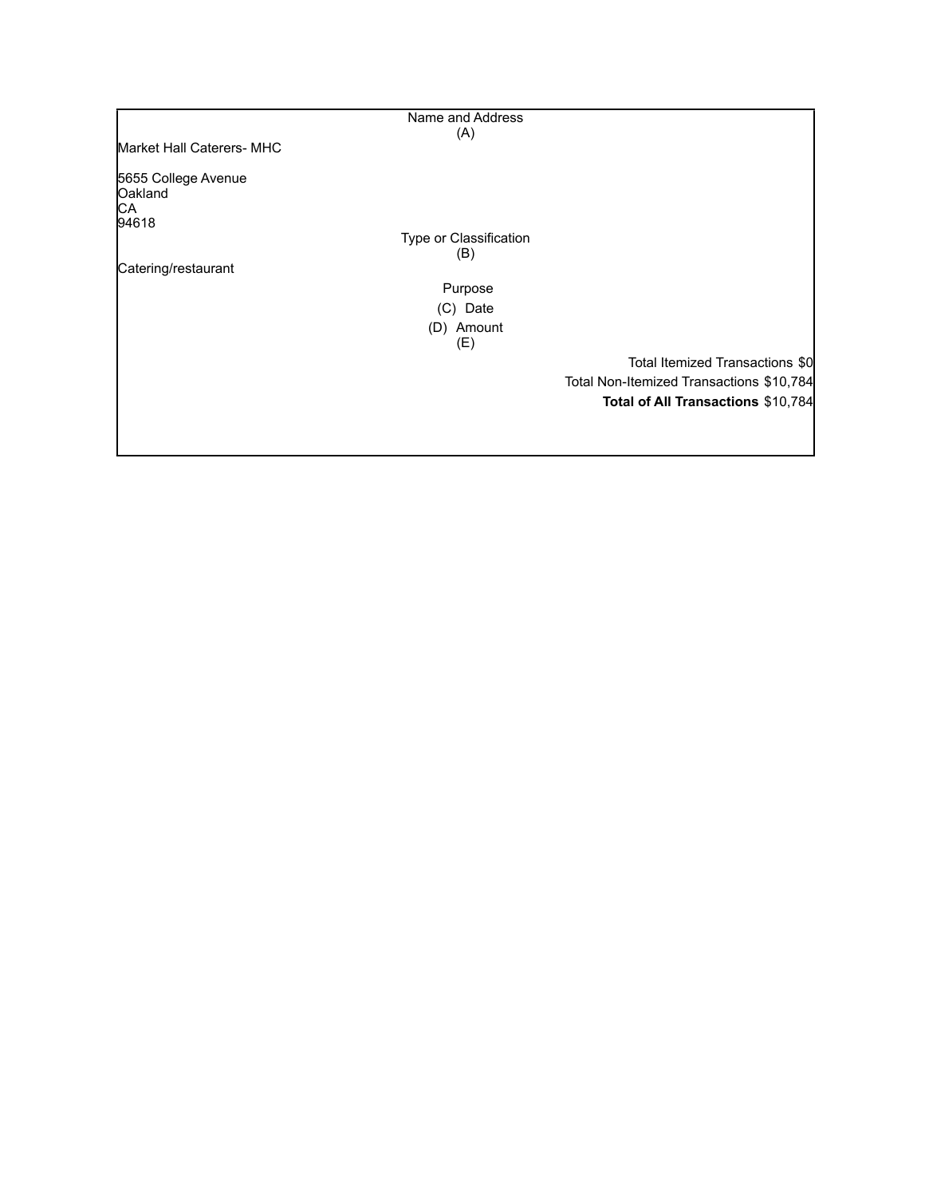|                                      | Name and Address              |                                          |
|--------------------------------------|-------------------------------|------------------------------------------|
|                                      | (A)                           |                                          |
| <b>Market Hall Caterers- MHC</b>     |                               |                                          |
| 5655 College Avenue<br>Oakland<br>CA |                               |                                          |
| 94618                                |                               |                                          |
|                                      | Type or Classification<br>(B) |                                          |
| Catering/restaurant                  |                               |                                          |
|                                      | Purpose                       |                                          |
|                                      | (C) Date                      |                                          |
|                                      | (D) Amount<br>(E)             |                                          |
|                                      |                               | Total Itemized Transactions \$0          |
|                                      |                               | Total Non-Itemized Transactions \$10,784 |
|                                      |                               | Total of All Transactions \$10,784       |
|                                      |                               |                                          |
|                                      |                               |                                          |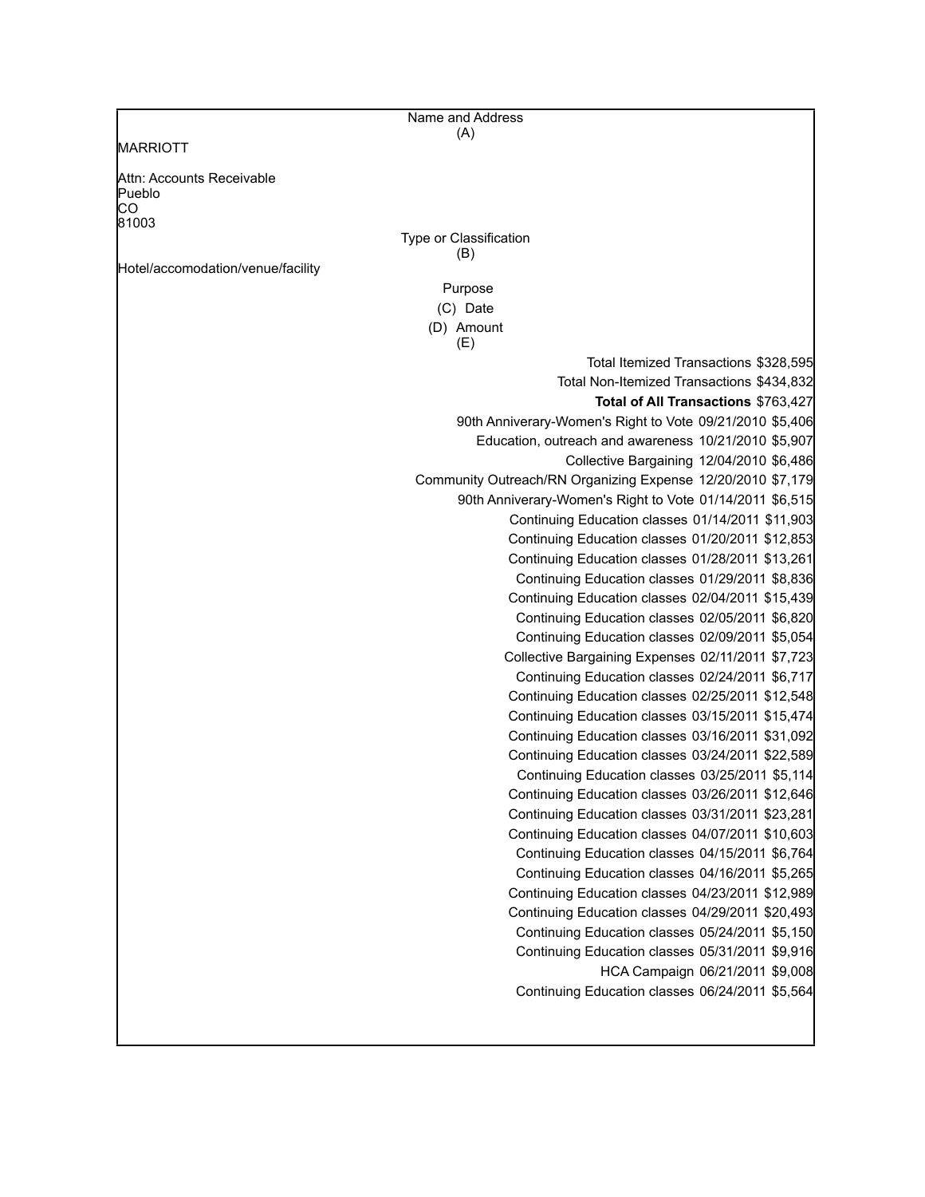|                                   | Name and Address                                            |
|-----------------------------------|-------------------------------------------------------------|
| <b>MARRIOTT</b>                   | (A)                                                         |
|                                   |                                                             |
| Attn: Accounts Receivable         |                                                             |
| Pueblo                            |                                                             |
| CO                                |                                                             |
| 81003                             | Type or Classification                                      |
|                                   | (B)                                                         |
| Hotel/accomodation/venue/facility |                                                             |
|                                   | Purpose                                                     |
|                                   | (C) Date                                                    |
|                                   | (D) Amount<br>(E)                                           |
|                                   | Total Itemized Transactions \$328,595                       |
|                                   | Total Non-Itemized Transactions \$434,832                   |
|                                   | Total of All Transactions \$763,427                         |
|                                   | 90th Anniverary-Women's Right to Vote 09/21/2010 \$5,406    |
|                                   | Education, outreach and awareness 10/21/2010 \$5,907        |
|                                   | Collective Bargaining 12/04/2010 \$6,486                    |
|                                   | Community Outreach/RN Organizing Expense 12/20/2010 \$7,179 |
|                                   | 90th Anniverary-Women's Right to Vote 01/14/2011 \$6,515    |
|                                   | Continuing Education classes 01/14/2011 \$11,903            |
|                                   | Continuing Education classes 01/20/2011 \$12,853            |
|                                   | Continuing Education classes 01/28/2011 \$13,261            |
|                                   | Continuing Education classes 01/29/2011 \$8,836             |
|                                   | Continuing Education classes 02/04/2011 \$15,439            |
|                                   | Continuing Education classes 02/05/2011 \$6,820             |
|                                   | Continuing Education classes 02/09/2011 \$5,054             |
|                                   | Collective Bargaining Expenses 02/11/2011 \$7,723           |
|                                   | Continuing Education classes 02/24/2011 \$6,717             |
|                                   | Continuing Education classes 02/25/2011 \$12,548            |
|                                   | Continuing Education classes 03/15/2011 \$15,474            |
|                                   | Continuing Education classes 03/16/2011 \$31,092            |
|                                   | Continuing Education classes 03/24/2011 \$22,589            |
|                                   | Continuing Education classes 03/25/2011 \$5,114             |
|                                   | Continuing Education classes 03/26/2011 \$12,646            |
|                                   | Continuing Education classes 03/31/2011 \$23,281            |
|                                   | Continuing Education classes 04/07/2011 \$10,603            |
|                                   | Continuing Education classes 04/15/2011 \$6,764             |
|                                   | Continuing Education classes 04/16/2011 \$5,265             |
|                                   | Continuing Education classes 04/23/2011 \$12,989            |
|                                   | Continuing Education classes 04/29/2011 \$20,493            |
|                                   | Continuing Education classes 05/24/2011 \$5,150             |
|                                   | Continuing Education classes 05/31/2011 \$9,916             |
|                                   |                                                             |
|                                   | HCA Campaign 06/21/2011 \$9,008                             |
|                                   | Continuing Education classes 06/24/2011 \$5,564             |
|                                   |                                                             |
|                                   |                                                             |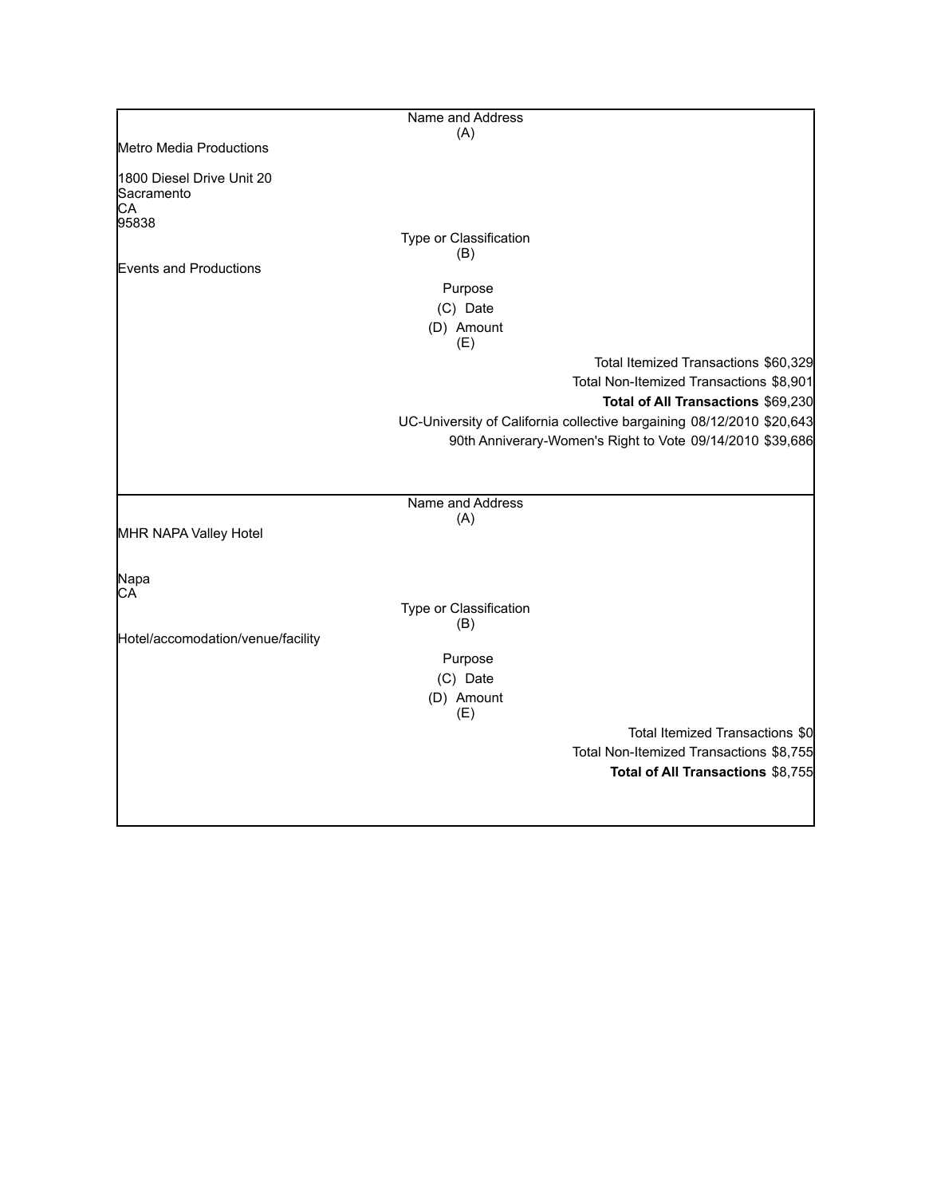|                                               | Name and Address              |                                                                       |
|-----------------------------------------------|-------------------------------|-----------------------------------------------------------------------|
|                                               | (A)                           |                                                                       |
| Metro Media Productions                       |                               |                                                                       |
| 1800 Diesel Drive Unit 20<br>Sacramento<br>CA |                               |                                                                       |
| 95838                                         |                               |                                                                       |
|                                               | Type or Classification<br>(B) |                                                                       |
| Events and Productions                        |                               |                                                                       |
|                                               | Purpose                       |                                                                       |
|                                               | (C) Date                      |                                                                       |
|                                               | (D) Amount<br>(E)             |                                                                       |
|                                               |                               | Total Itemized Transactions \$60,329                                  |
|                                               |                               | Total Non-Itemized Transactions \$8,901                               |
|                                               |                               | Total of All Transactions \$69,230                                    |
|                                               |                               | UC-University of California collective bargaining 08/12/2010 \$20,643 |
|                                               |                               | 90th Anniverary-Women's Right to Vote 09/14/2010 \$39,686             |
|                                               |                               |                                                                       |
|                                               |                               |                                                                       |
|                                               | Name and Address              |                                                                       |
|                                               | (A)                           |                                                                       |
| MHR NAPA Valley Hotel                         |                               |                                                                       |
|                                               |                               |                                                                       |
| Napa                                          |                               |                                                                       |
| CA                                            |                               |                                                                       |
|                                               | Type or Classification<br>(B) |                                                                       |
| Hotel/accomodation/venue/facility             |                               |                                                                       |
|                                               | Purpose                       |                                                                       |
|                                               | (C) Date                      |                                                                       |
|                                               | (D) Amount                    |                                                                       |
|                                               | (E)                           |                                                                       |
|                                               |                               | Total Itemized Transactions \$0                                       |
|                                               |                               | Total Non-Itemized Transactions \$8,755                               |
|                                               |                               | Total of All Transactions \$8,755                                     |
|                                               |                               |                                                                       |
|                                               |                               |                                                                       |
|                                               |                               |                                                                       |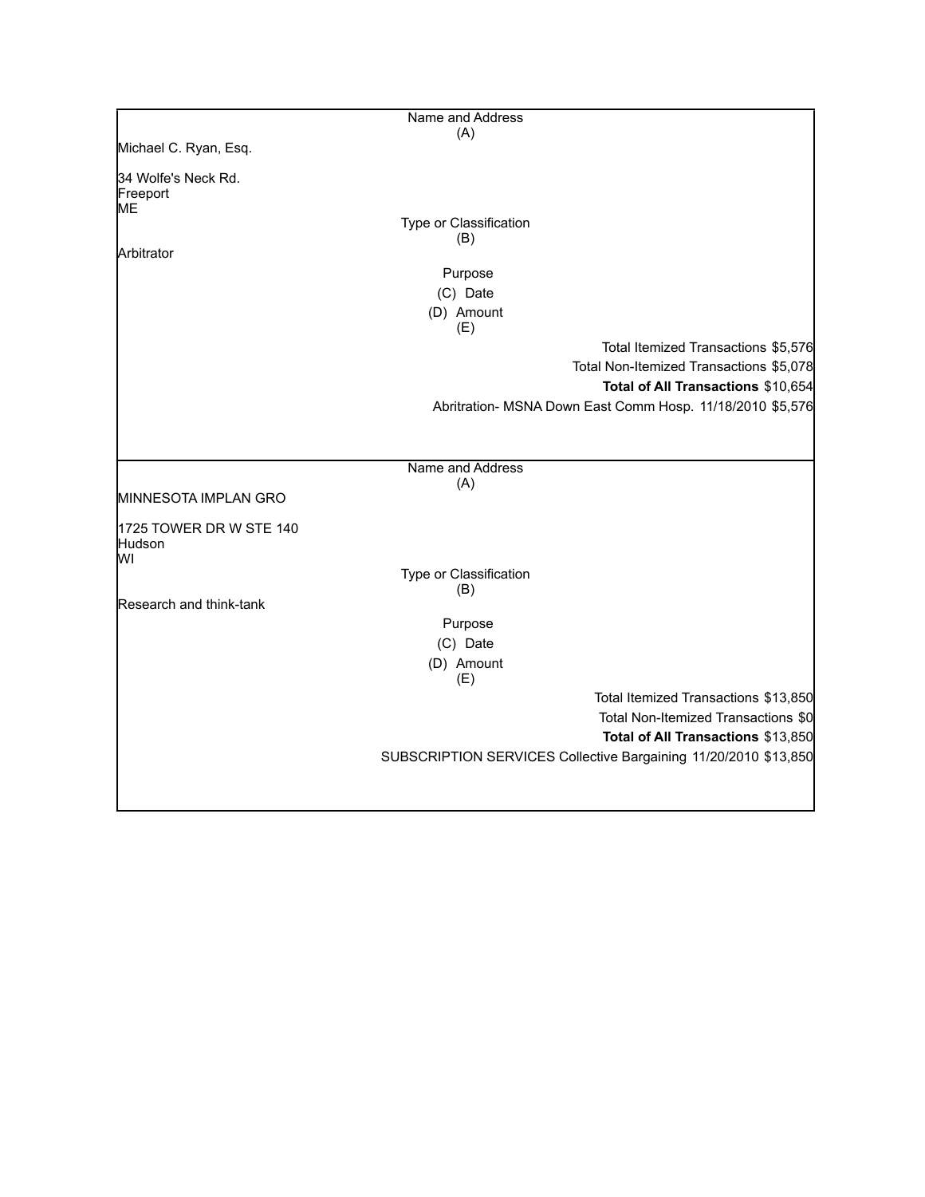|                         | Name and Address       |                                                                 |
|-------------------------|------------------------|-----------------------------------------------------------------|
|                         | (A)                    |                                                                 |
| Michael C. Ryan, Esq.   |                        |                                                                 |
| 34 Wolfe's Neck Rd.     |                        |                                                                 |
| Freeport                |                        |                                                                 |
| ME                      | Type or Classification |                                                                 |
|                         | (B)                    |                                                                 |
| Arbitrator              |                        |                                                                 |
|                         | Purpose                |                                                                 |
|                         | (C) Date               |                                                                 |
|                         | (D) Amount             |                                                                 |
|                         | (E)                    |                                                                 |
|                         |                        | Total Itemized Transactions \$5,576                             |
|                         |                        | Total Non-Itemized Transactions \$5,078                         |
|                         |                        | Total of All Transactions \$10,654                              |
|                         |                        | Abritration- MSNA Down East Comm Hosp. 11/18/2010 \$5,576       |
|                         |                        |                                                                 |
|                         |                        |                                                                 |
|                         | Name and Address       |                                                                 |
| MINNESOTA IMPLAN GRO    | (A)                    |                                                                 |
|                         |                        |                                                                 |
| 1725 TOWER DR W STE 140 |                        |                                                                 |
| Hudson<br>lwı           |                        |                                                                 |
|                         | Type or Classification |                                                                 |
|                         | (B)                    |                                                                 |
| Research and think-tank |                        |                                                                 |
|                         | Purpose                |                                                                 |
|                         | (C) Date               |                                                                 |
|                         | (D) Amount             |                                                                 |
|                         | (E)                    |                                                                 |
|                         |                        | Total Itemized Transactions \$13,850                            |
|                         |                        | Total Non-Itemized Transactions \$0                             |
|                         |                        | Total of All Transactions \$13,850                              |
|                         |                        | SUBSCRIPTION SERVICES Collective Bargaining 11/20/2010 \$13,850 |
|                         |                        |                                                                 |
|                         |                        |                                                                 |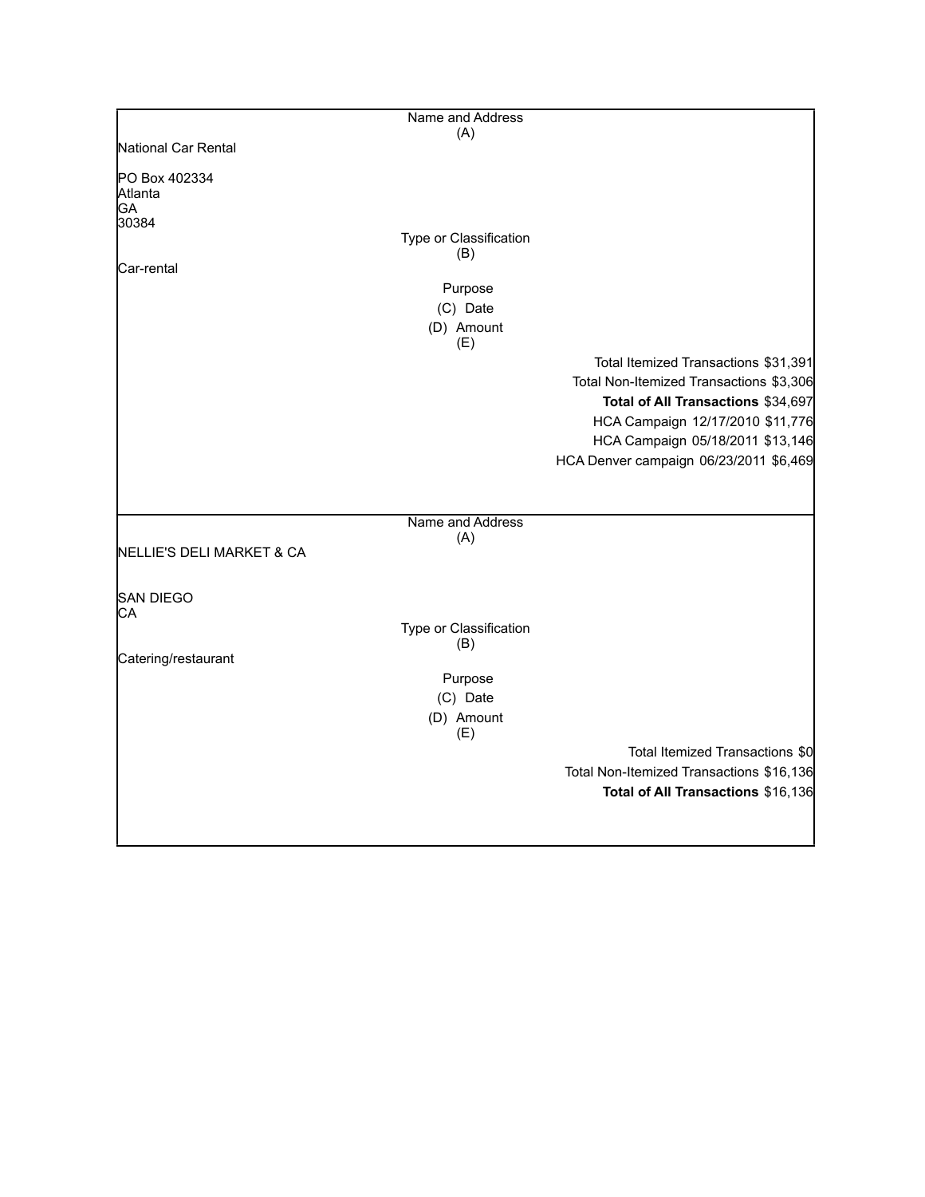|                                         | Name and Address       |                                          |
|-----------------------------------------|------------------------|------------------------------------------|
|                                         | (A)                    |                                          |
| National Car Rental                     |                        |                                          |
| PO Box 402334<br>Atlanta<br>GA<br>30384 |                        |                                          |
|                                         | Type or Classification |                                          |
|                                         | (B)                    |                                          |
| lCar-rental                             |                        |                                          |
|                                         | Purpose                |                                          |
|                                         | (C) Date               |                                          |
|                                         | (D) Amount             |                                          |
|                                         | (E)                    |                                          |
|                                         |                        | Total Itemized Transactions \$31,391     |
|                                         |                        | Total Non-Itemized Transactions \$3,306  |
|                                         |                        | Total of All Transactions \$34,697       |
|                                         |                        | HCA Campaign 12/17/2010 \$11,776         |
|                                         |                        | HCA Campaign 05/18/2011 \$13,146         |
|                                         |                        | HCA Denver campaign 06/23/2011 \$6,469   |
|                                         |                        |                                          |
|                                         |                        |                                          |
|                                         | Name and Address       |                                          |
|                                         | (A)                    |                                          |
| NELLIE'S DELI MARKET & CA               |                        |                                          |
|                                         |                        |                                          |
| <b>SAN DIEGO</b>                        |                        |                                          |
| CA                                      |                        |                                          |
|                                         | Type or Classification |                                          |
| Catering/restaurant                     | (B)                    |                                          |
|                                         | Purpose                |                                          |
|                                         | (C) Date               |                                          |
|                                         | (D) Amount             |                                          |
|                                         | (E)                    |                                          |
|                                         |                        | Total Itemized Transactions \$0          |
|                                         |                        | Total Non-Itemized Transactions \$16,136 |
|                                         |                        | Total of All Transactions \$16,136       |
|                                         |                        |                                          |
|                                         |                        |                                          |
|                                         |                        |                                          |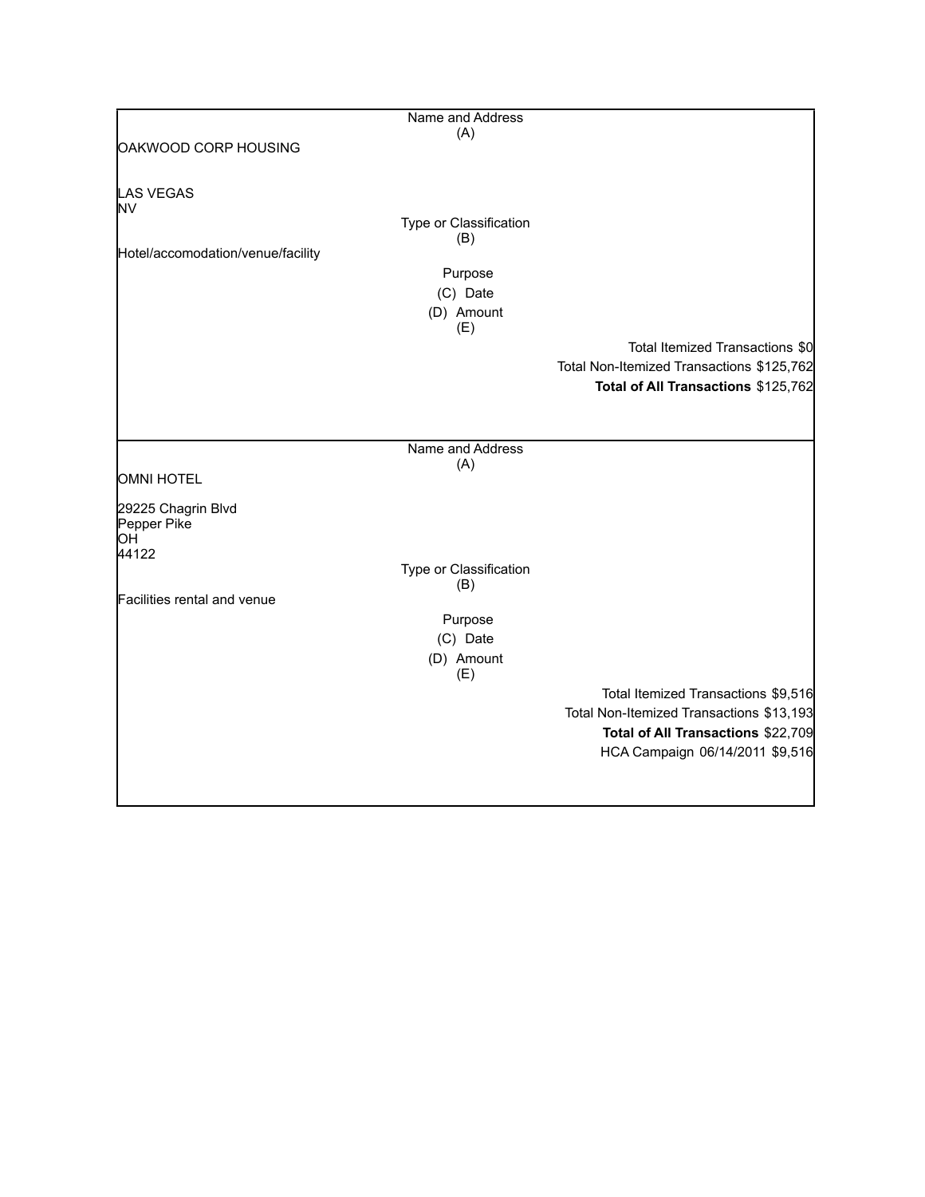|                                   | Name and Address       |                                           |
|-----------------------------------|------------------------|-------------------------------------------|
|                                   | (A)                    |                                           |
| OAKWOOD CORP HOUSING              |                        |                                           |
|                                   |                        |                                           |
|                                   |                        |                                           |
| <b>LAS VEGAS</b>                  |                        |                                           |
| ΝV                                |                        |                                           |
|                                   | Type or Classification |                                           |
|                                   | (B)                    |                                           |
| Hotel/accomodation/venue/facility |                        |                                           |
|                                   | Purpose                |                                           |
|                                   | (C) Date               |                                           |
|                                   | (D) Amount             |                                           |
|                                   | (E)                    |                                           |
|                                   |                        | Total Itemized Transactions \$0           |
|                                   |                        |                                           |
|                                   |                        | Total Non-Itemized Transactions \$125,762 |
|                                   |                        | Total of All Transactions \$125,762       |
|                                   |                        |                                           |
|                                   |                        |                                           |
|                                   | Name and Address       |                                           |
|                                   | (A)                    |                                           |
| OMNI HOTEL                        |                        |                                           |
|                                   |                        |                                           |
| 29225 Chagrin Blvd                |                        |                                           |
| Pepper Pike                       |                        |                                           |
| ЮH                                |                        |                                           |
| 44122                             |                        |                                           |
|                                   | Type or Classification |                                           |
| Facilities rental and venue       | (B)                    |                                           |
|                                   |                        |                                           |
|                                   | Purpose                |                                           |
|                                   | (C) Date               |                                           |
|                                   | (D) Amount             |                                           |
|                                   | (E)                    |                                           |
|                                   |                        | Total Itemized Transactions \$9,516       |
|                                   |                        | Total Non-Itemized Transactions \$13,193  |
|                                   |                        | Total of All Transactions \$22,709        |
|                                   |                        |                                           |
|                                   |                        | HCA Campaign 06/14/2011 \$9,516           |
|                                   |                        |                                           |
|                                   |                        |                                           |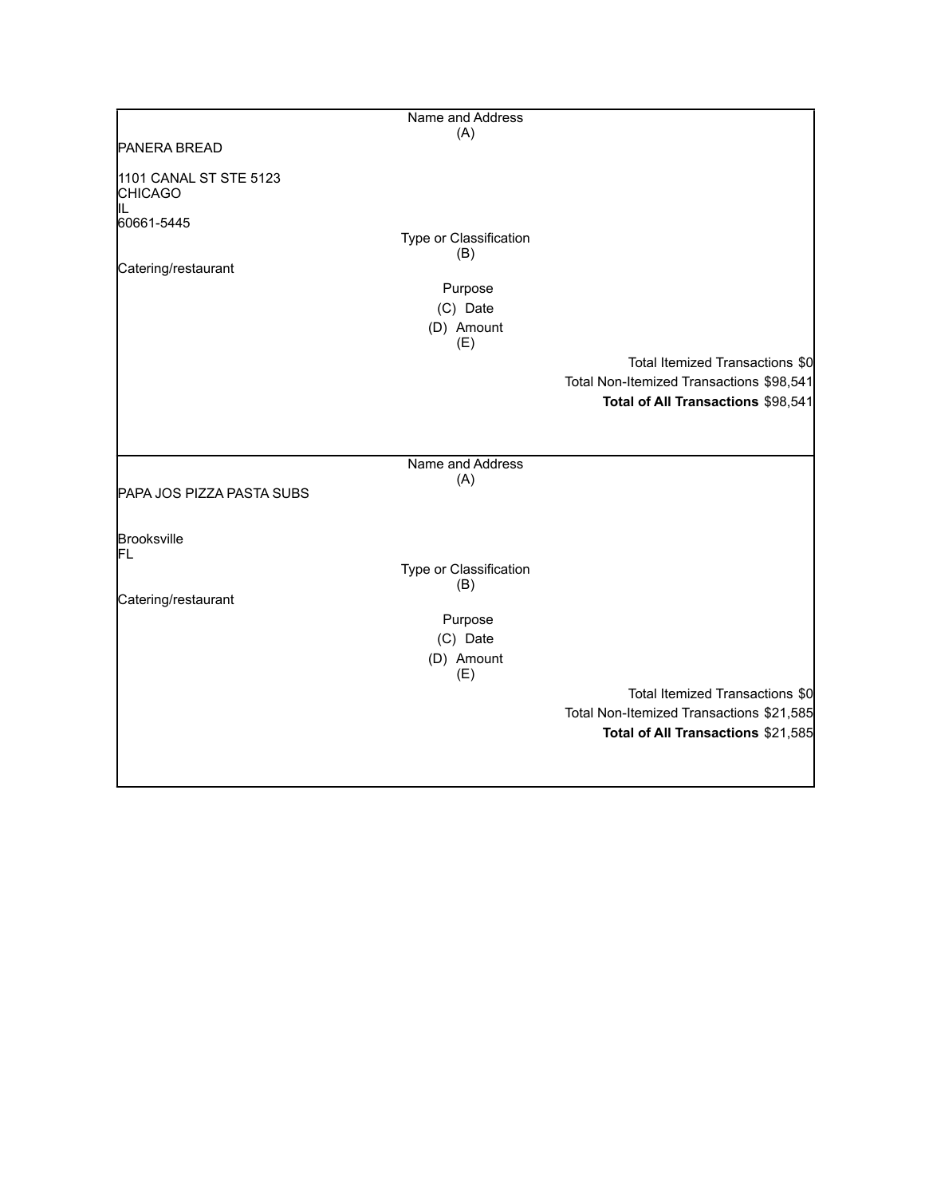|                                                | Name and Address              |                                          |
|------------------------------------------------|-------------------------------|------------------------------------------|
|                                                | (A)                           |                                          |
| <b>PANERA BREAD</b>                            |                               |                                          |
| 1101 CANAL ST STE 5123<br><b>CHICAGO</b><br>IL |                               |                                          |
| 60661-5445                                     |                               |                                          |
|                                                | Type or Classification        |                                          |
| Catering/restaurant                            | (B)                           |                                          |
|                                                | Purpose                       |                                          |
|                                                | (C) Date                      |                                          |
|                                                | (D) Amount<br>(E)             |                                          |
|                                                |                               | Total Itemized Transactions \$0          |
|                                                |                               | Total Non-Itemized Transactions \$98,541 |
|                                                |                               | Total of All Transactions \$98,541       |
|                                                |                               |                                          |
|                                                | Name and Address              |                                          |
| PAPA JOS PIZZA PASTA SUBS                      | (A)                           |                                          |
|                                                |                               |                                          |
| Brooksville<br>FL                              |                               |                                          |
|                                                | Type or Classification<br>(B) |                                          |
| Catering/restaurant                            |                               |                                          |
|                                                | Purpose                       |                                          |
|                                                | (C) Date                      |                                          |
|                                                | (D) Amount<br>(E)             |                                          |
|                                                |                               | Total Itemized Transactions \$0          |
|                                                |                               | Total Non-Itemized Transactions \$21,585 |
|                                                |                               | Total of All Transactions \$21,585       |
|                                                |                               |                                          |
|                                                |                               |                                          |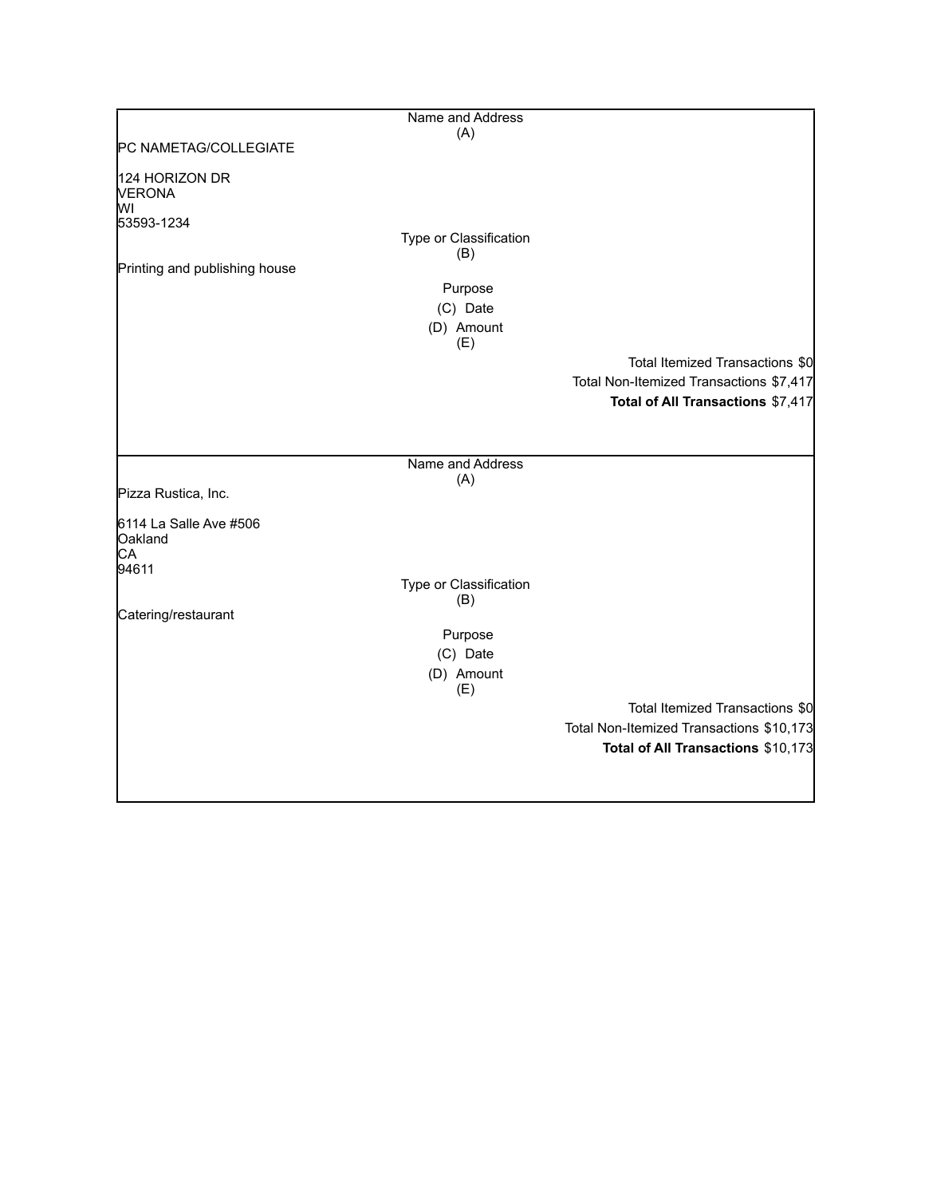|                                                     | Name and Address              |                                          |
|-----------------------------------------------------|-------------------------------|------------------------------------------|
| PC NAMETAG/COLLEGIATE                               | (A)                           |                                          |
|                                                     |                               |                                          |
| 124 HORIZON DR<br><b>VERONA</b><br>MI<br>53593-1234 |                               |                                          |
|                                                     | Type or Classification<br>(B) |                                          |
| Printing and publishing house                       |                               |                                          |
|                                                     | Purpose                       |                                          |
|                                                     | (C) Date                      |                                          |
|                                                     | (D) Amount<br>(E)             |                                          |
|                                                     |                               | Total Itemized Transactions \$0          |
|                                                     |                               | Total Non-Itemized Transactions \$7,417  |
|                                                     |                               | Total of All Transactions \$7,417        |
|                                                     |                               |                                          |
|                                                     | Name and Address<br>(A)       |                                          |
| Pizza Rustica, Inc.                                 |                               |                                          |
| 6114 La Salle Ave #506<br>Oakland<br>CA             |                               |                                          |
| 94611                                               | Type or Classification        |                                          |
|                                                     | (B)                           |                                          |
| Catering/restaurant                                 |                               |                                          |
|                                                     | Purpose                       |                                          |
|                                                     | (C) Date<br>(D) Amount        |                                          |
|                                                     | (E)                           |                                          |
|                                                     |                               | Total Itemized Transactions \$0          |
|                                                     |                               | Total Non-Itemized Transactions \$10,173 |
|                                                     |                               | Total of All Transactions \$10,173       |
|                                                     |                               |                                          |
|                                                     |                               |                                          |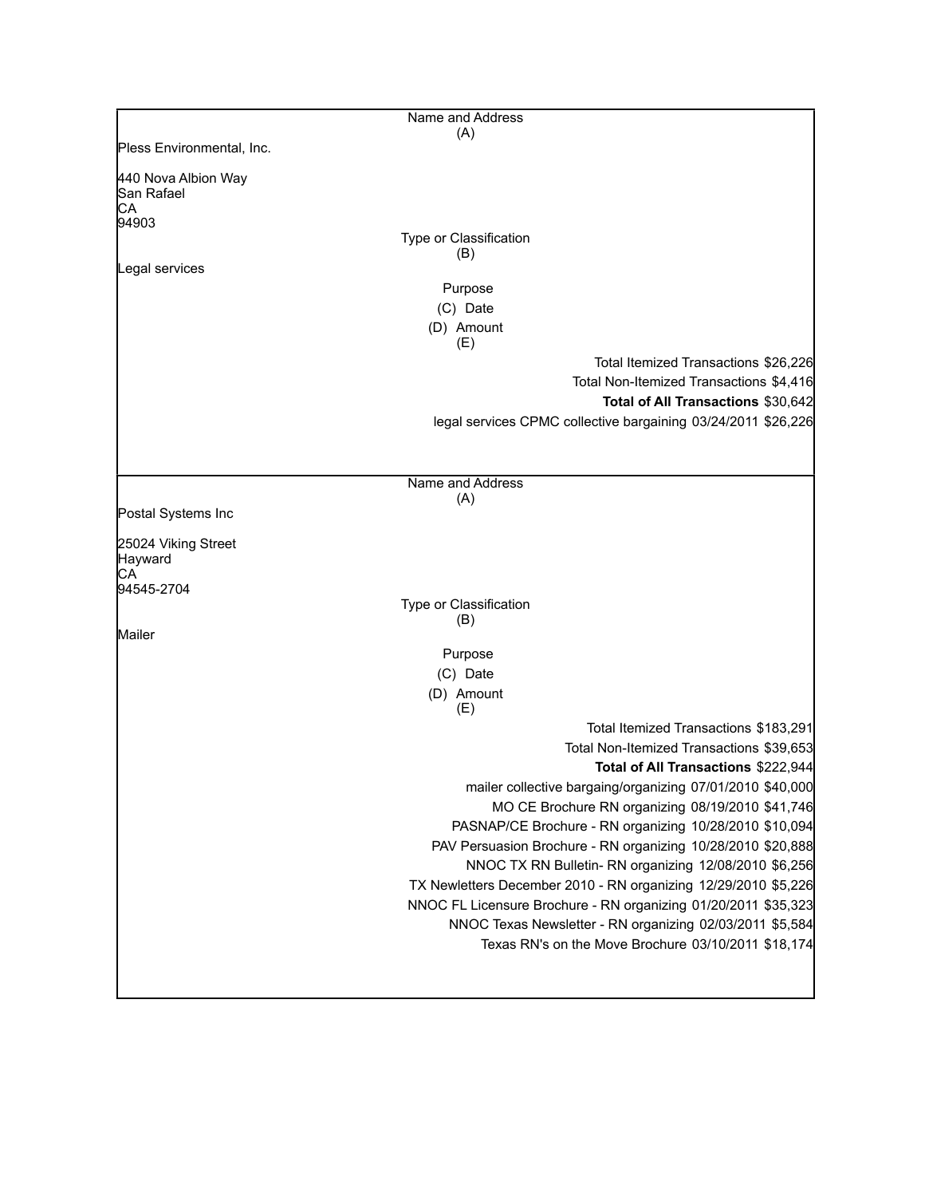|                                                  | Name and Address                                               |
|--------------------------------------------------|----------------------------------------------------------------|
|                                                  | (A)                                                            |
| Pless Environmental, Inc.                        |                                                                |
| 440 Nova Albion Way<br>San Rafael<br>СA<br>94903 |                                                                |
|                                                  | Type or Classification                                         |
|                                                  | (B)                                                            |
| Legal services                                   |                                                                |
|                                                  | Purpose                                                        |
|                                                  | (C) Date                                                       |
|                                                  | (D) Amount                                                     |
|                                                  | (E)<br>Total Itemized Transactions \$26,226                    |
|                                                  | Total Non-Itemized Transactions \$4,416                        |
|                                                  | Total of All Transactions \$30,642                             |
|                                                  | legal services CPMC collective bargaining 03/24/2011 \$26,226  |
|                                                  |                                                                |
|                                                  |                                                                |
|                                                  | Name and Address<br>(A)                                        |
| Postal Systems Inc                               |                                                                |
|                                                  |                                                                |
| 25024 Viking Street<br>Hayward<br>CА             |                                                                |
| 94545-2704                                       |                                                                |
|                                                  | Type or Classification                                         |
| Mailer                                           | (B)                                                            |
|                                                  | Purpose                                                        |
|                                                  | (C) Date                                                       |
|                                                  | (D) Amount                                                     |
|                                                  | (E)                                                            |
|                                                  | Total Itemized Transactions \$183,291                          |
|                                                  | Total Non-Itemized Transactions \$39,653                       |
|                                                  | Total of All Transactions \$222,944                            |
|                                                  | mailer collective bargaing/organizing 07/01/2010 \$40,000      |
|                                                  | MO CE Brochure RN organizing 08/19/2010 \$41,746               |
|                                                  | PASNAP/CE Brochure - RN organizing 10/28/2010 \$10,094         |
|                                                  | PAV Persuasion Brochure - RN organizing 10/28/2010 \$20,888    |
|                                                  | NNOC TX RN Bulletin- RN organizing 12/08/2010 \$6,256          |
|                                                  | TX Newletters December 2010 - RN organizing 12/29/2010 \$5,226 |
|                                                  | NNOC FL Licensure Brochure - RN organizing 01/20/2011 \$35,323 |
|                                                  | NNOC Texas Newsletter - RN organizing 02/03/2011 \$5,584       |
|                                                  | Texas RN's on the Move Brochure 03/10/2011 \$18,174            |
|                                                  |                                                                |
|                                                  |                                                                |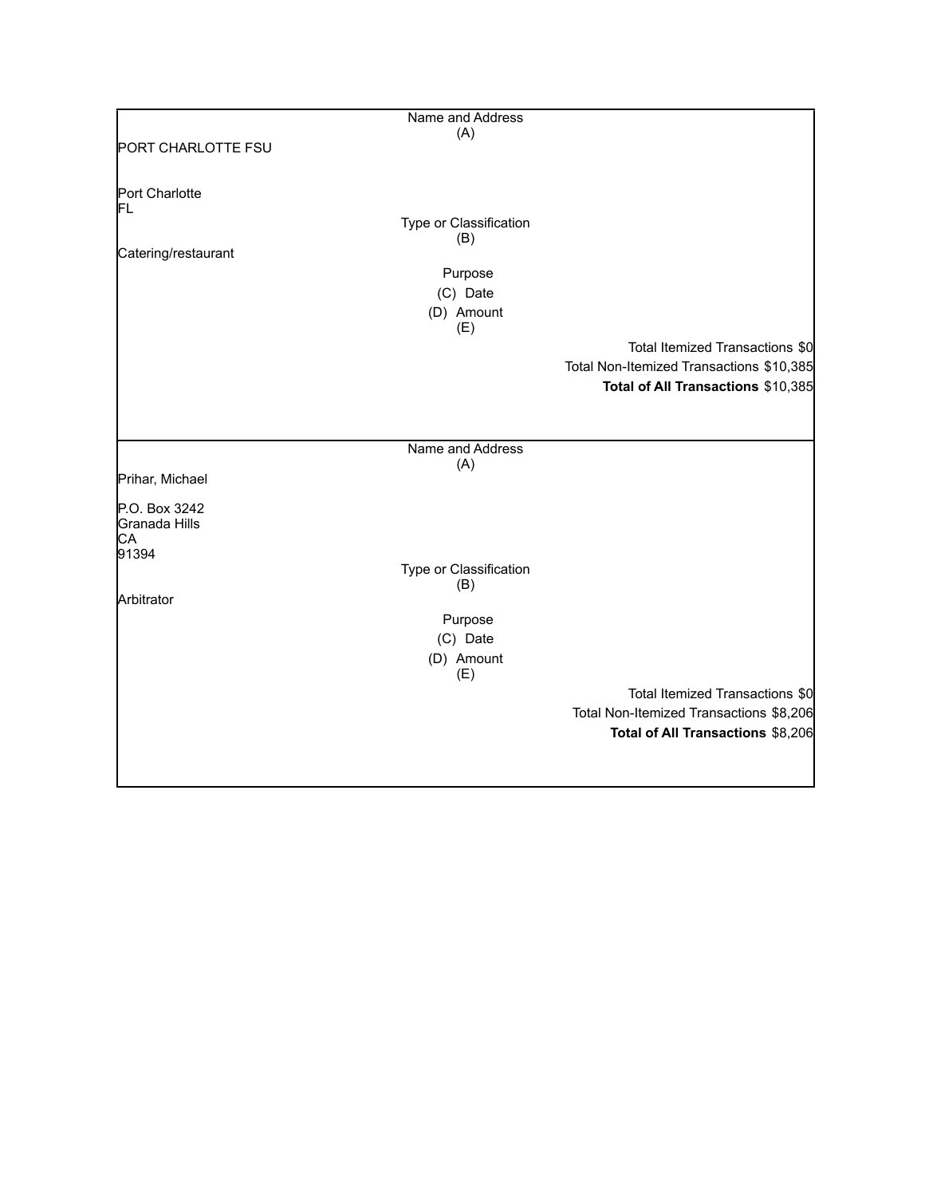|                     | Name and Address              |                                          |
|---------------------|-------------------------------|------------------------------------------|
|                     | (A)                           |                                          |
| PORT CHARLOTTE FSU  |                               |                                          |
|                     |                               |                                          |
| Port Charlotte      |                               |                                          |
| FL                  |                               |                                          |
|                     | Type or Classification<br>(B) |                                          |
| Catering/restaurant |                               |                                          |
|                     | Purpose                       |                                          |
|                     | (C) Date                      |                                          |
|                     | (D) Amount                    |                                          |
|                     | (E)                           |                                          |
|                     |                               | Total Itemized Transactions \$0          |
|                     |                               | Total Non-Itemized Transactions \$10,385 |
|                     |                               | Total of All Transactions \$10,385       |
|                     |                               |                                          |
|                     |                               |                                          |
|                     | Name and Address              |                                          |
|                     | (A)                           |                                          |
| Prihar, Michael     |                               |                                          |
| P.O. Box 3242       |                               |                                          |
| Granada Hills       |                               |                                          |
| CA                  |                               |                                          |
| 91394               | Type or Classification        |                                          |
|                     | (B)                           |                                          |
| Arbitrator          |                               |                                          |
|                     | Purpose                       |                                          |
|                     | (C) Date                      |                                          |
|                     | (D) Amount                    |                                          |
|                     | (E)                           |                                          |
|                     |                               | Total Itemized Transactions \$0          |
|                     |                               | Total Non-Itemized Transactions \$8,206  |
|                     |                               | Total of All Transactions \$8,206        |
|                     |                               |                                          |
|                     |                               |                                          |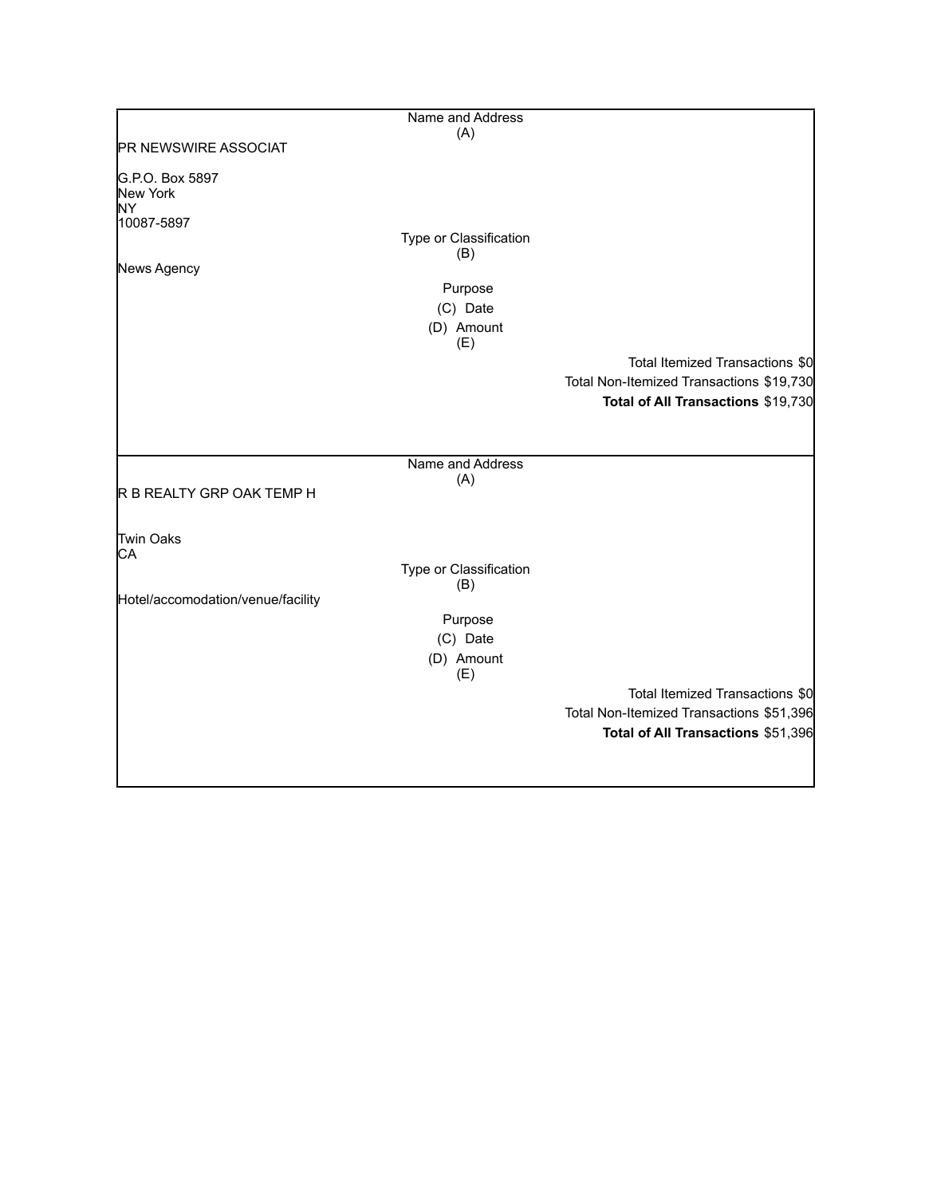|                                   | Name and Address       |                                          |
|-----------------------------------|------------------------|------------------------------------------|
|                                   | (A)                    |                                          |
| <b>PR NEWSWIRE ASSOCIAT</b>       |                        |                                          |
| G.P.O. Box 5897                   |                        |                                          |
| New York                          |                        |                                          |
| NY.                               |                        |                                          |
| 10087-5897                        | Type or Classification |                                          |
|                                   | (B)                    |                                          |
| News Agency                       |                        |                                          |
|                                   | Purpose                |                                          |
|                                   | (C) Date               |                                          |
|                                   | (D) Amount             |                                          |
|                                   | (E)                    |                                          |
|                                   |                        | Total Itemized Transactions \$0          |
|                                   |                        | Total Non-Itemized Transactions \$19,730 |
|                                   |                        | Total of All Transactions \$19,730       |
|                                   |                        |                                          |
|                                   |                        |                                          |
|                                   | Name and Address       |                                          |
|                                   | (A)                    |                                          |
| R B REALTY GRP OAK TEMP H         |                        |                                          |
|                                   |                        |                                          |
| Twin Oaks                         |                        |                                          |
| СA                                |                        |                                          |
|                                   | Type or Classification |                                          |
|                                   | (B)                    |                                          |
| Hotel/accomodation/venue/facility |                        |                                          |
|                                   | Purpose                |                                          |
|                                   | (C) Date               |                                          |
|                                   | (D) Amount             |                                          |
|                                   | (E)                    |                                          |
|                                   |                        | Total Itemized Transactions \$0          |
|                                   |                        | Total Non-Itemized Transactions \$51,396 |
|                                   |                        | Total of All Transactions \$51,396       |
|                                   |                        |                                          |
|                                   |                        |                                          |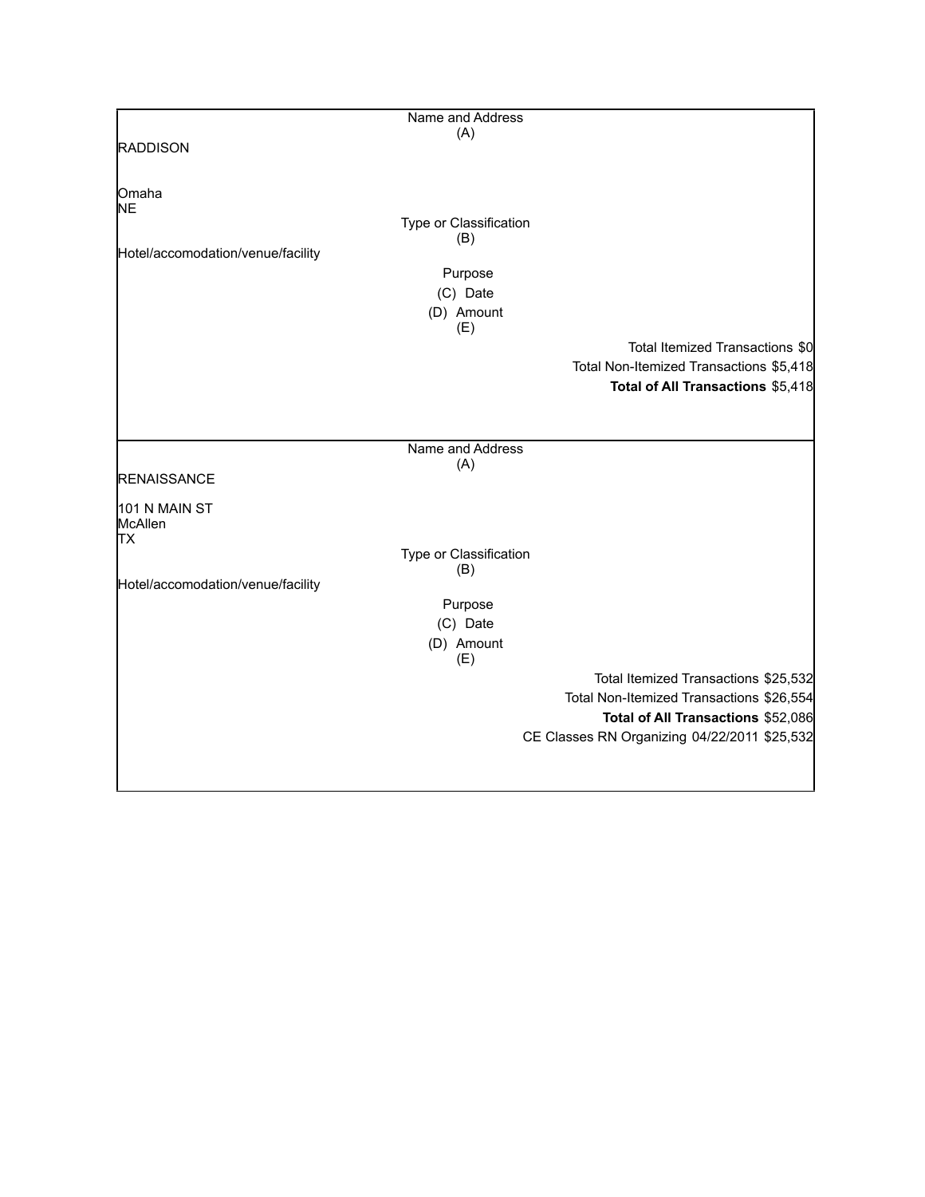|                                   | Name and Address       |                                              |
|-----------------------------------|------------------------|----------------------------------------------|
|                                   | (A)                    |                                              |
| <b>RADDISON</b>                   |                        |                                              |
|                                   |                        |                                              |
|                                   |                        |                                              |
| Omaha                             |                        |                                              |
| <b>NE</b>                         | Type or Classification |                                              |
|                                   | (B)                    |                                              |
| Hotel/accomodation/venue/facility |                        |                                              |
|                                   | Purpose                |                                              |
|                                   | (C) Date               |                                              |
|                                   | (D) Amount             |                                              |
|                                   | (E)                    |                                              |
|                                   |                        | Total Itemized Transactions \$0              |
|                                   |                        |                                              |
|                                   |                        | Total Non-Itemized Transactions \$5,418      |
|                                   |                        | Total of All Transactions \$5,418            |
|                                   |                        |                                              |
|                                   |                        |                                              |
|                                   | Name and Address       |                                              |
|                                   | (A)                    |                                              |
| <b>RENAISSANCE</b>                |                        |                                              |
| 101 N MAIN ST                     |                        |                                              |
| McAllen                           |                        |                                              |
| <b>TX</b>                         |                        |                                              |
|                                   | Type or Classification |                                              |
|                                   | (B)                    |                                              |
| Hotel/accomodation/venue/facility |                        |                                              |
|                                   | Purpose                |                                              |
|                                   | (C) Date               |                                              |
|                                   | (D) Amount             |                                              |
|                                   | (E)                    |                                              |
|                                   |                        | Total Itemized Transactions \$25,532         |
|                                   |                        | Total Non-Itemized Transactions \$26,554     |
|                                   |                        | Total of All Transactions \$52,086           |
|                                   |                        | CE Classes RN Organizing 04/22/2011 \$25,532 |
|                                   |                        |                                              |
|                                   |                        |                                              |
|                                   |                        |                                              |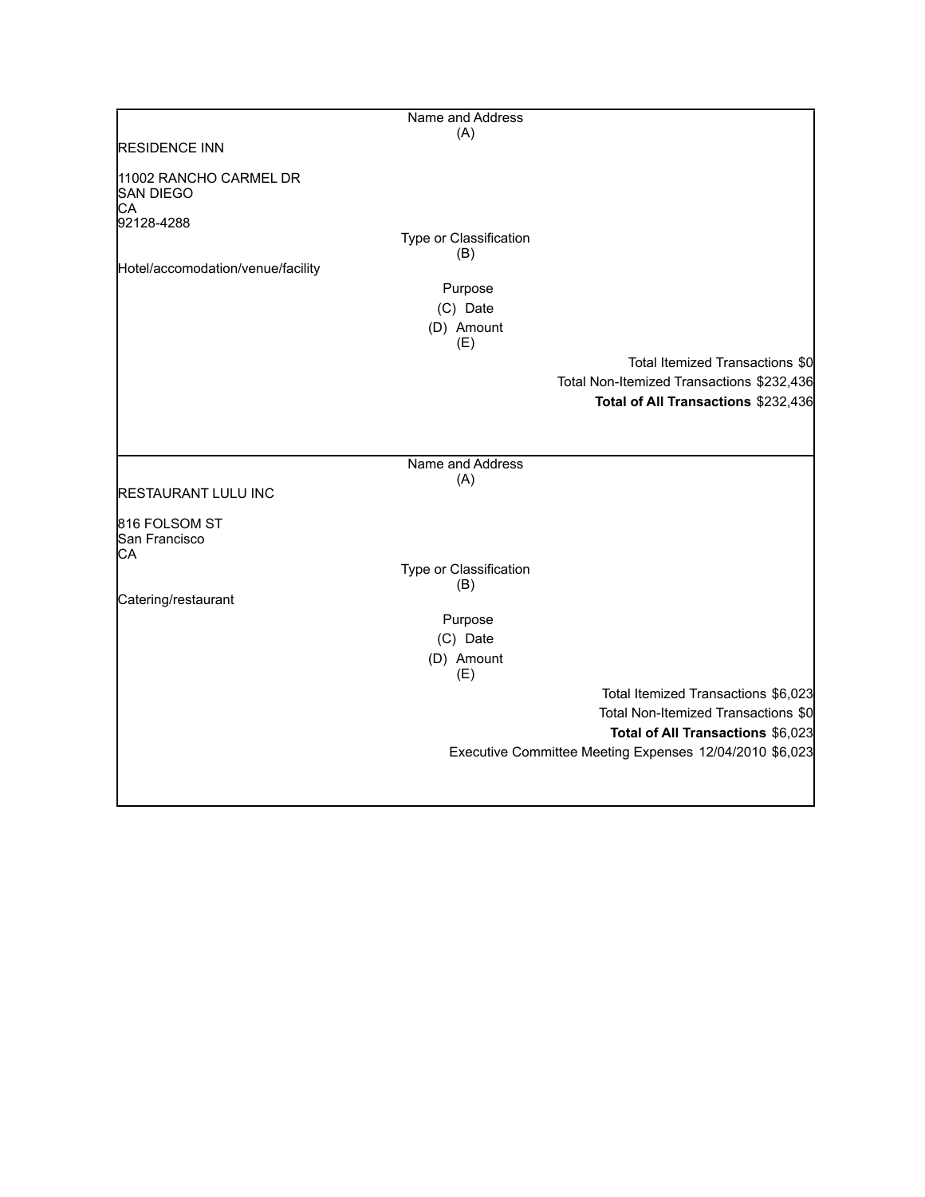|                                                  | Name and Address       |                                                         |
|--------------------------------------------------|------------------------|---------------------------------------------------------|
|                                                  | (A)                    |                                                         |
| <b>RESIDENCE INN</b>                             |                        |                                                         |
| 11002 RANCHO CARMEL DR<br><b>SAN DIEGO</b><br>СA |                        |                                                         |
| 92128-4288                                       | Type or Classification |                                                         |
|                                                  | (B)                    |                                                         |
| Hotel/accomodation/venue/facility                |                        |                                                         |
|                                                  | Purpose                |                                                         |
|                                                  | (C) Date               |                                                         |
|                                                  | (D) Amount             |                                                         |
|                                                  | (E)                    |                                                         |
|                                                  |                        | Total Itemized Transactions \$0                         |
|                                                  |                        | Total Non-Itemized Transactions \$232,436               |
|                                                  |                        | Total of All Transactions \$232,436                     |
|                                                  |                        |                                                         |
|                                                  |                        |                                                         |
|                                                  | Name and Address       |                                                         |
| <b>RESTAURANT LULU INC</b>                       | (A)                    |                                                         |
|                                                  |                        |                                                         |
| 816 FOLSOM ST<br>San Francisco<br>CА             |                        |                                                         |
|                                                  | Type or Classification |                                                         |
|                                                  | (B)                    |                                                         |
| Catering/restaurant                              |                        |                                                         |
|                                                  | Purpose                |                                                         |
|                                                  | (C) Date               |                                                         |
|                                                  | (D) Amount<br>(E)      |                                                         |
|                                                  |                        | Total Itemized Transactions \$6,023                     |
|                                                  |                        | Total Non-Itemized Transactions \$0                     |
|                                                  |                        | Total of All Transactions \$6,023                       |
|                                                  |                        | Executive Committee Meeting Expenses 12/04/2010 \$6,023 |
|                                                  |                        |                                                         |
|                                                  |                        |                                                         |
|                                                  |                        |                                                         |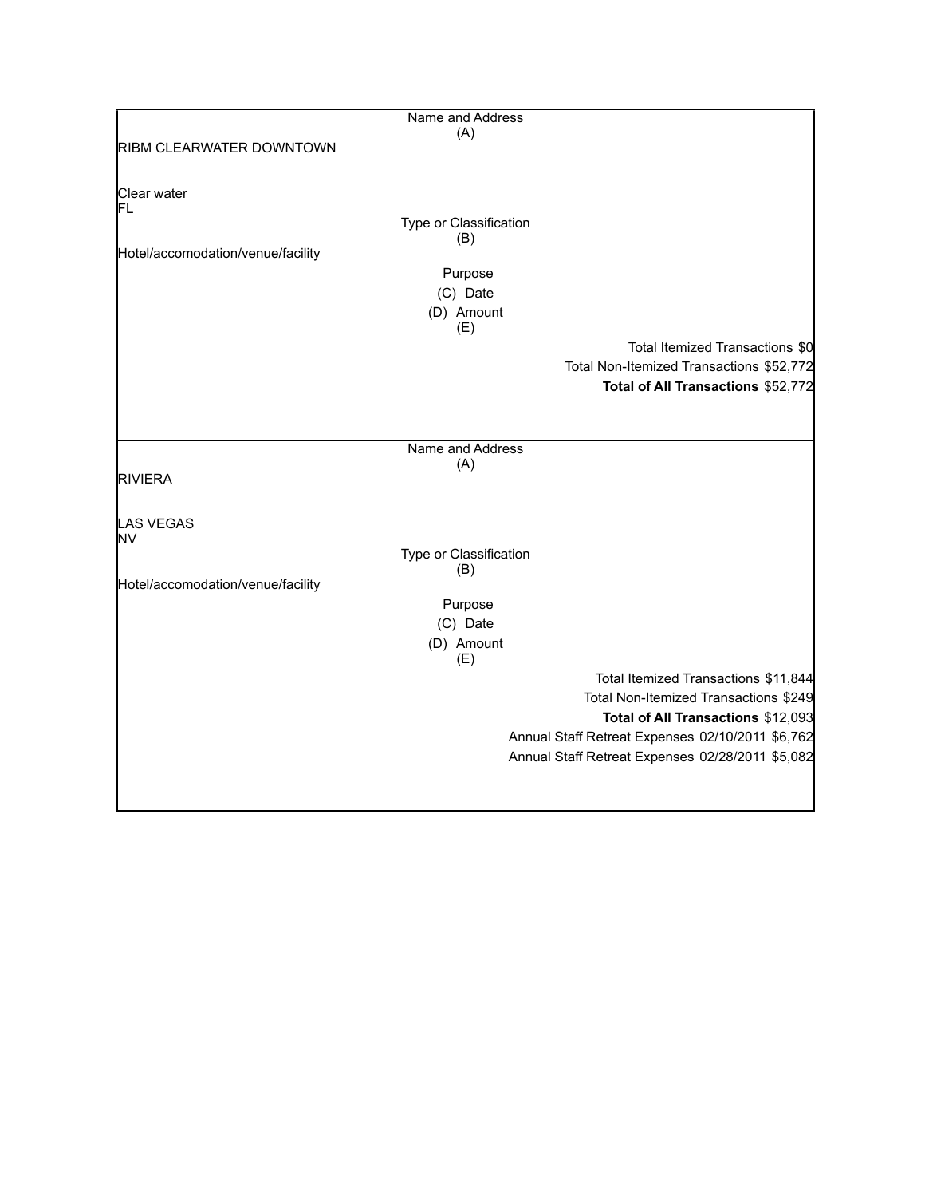|                                   | Name and Address       |                                                  |
|-----------------------------------|------------------------|--------------------------------------------------|
|                                   | (A)                    |                                                  |
| <b>RIBM CLEARWATER DOWNTOWN</b>   |                        |                                                  |
| Clear water                       |                        |                                                  |
| IΕL                               |                        |                                                  |
|                                   | Type or Classification |                                                  |
|                                   | (B)                    |                                                  |
| Hotel/accomodation/venue/facility |                        |                                                  |
|                                   | Purpose                |                                                  |
|                                   | (C) Date               |                                                  |
|                                   | (D) Amount             |                                                  |
|                                   | (E)                    |                                                  |
|                                   |                        | Total Itemized Transactions \$0                  |
|                                   |                        | Total Non-Itemized Transactions \$52,772         |
|                                   |                        | Total of All Transactions \$52,772               |
|                                   |                        |                                                  |
|                                   |                        |                                                  |
|                                   | Name and Address       |                                                  |
|                                   | (A)                    |                                                  |
| <b>RIVIERA</b>                    |                        |                                                  |
|                                   |                        |                                                  |
| LAS VEGAS                         |                        |                                                  |
| lNV                               | Type or Classification |                                                  |
|                                   | (B)                    |                                                  |
| Hotel/accomodation/venue/facility |                        |                                                  |
|                                   | Purpose                |                                                  |
|                                   | (C) Date               |                                                  |
|                                   | (D) Amount             |                                                  |
|                                   | (E)                    |                                                  |
|                                   |                        | Total Itemized Transactions \$11,844             |
|                                   |                        | Total Non-Itemized Transactions \$249            |
|                                   |                        | Total of All Transactions \$12,093               |
|                                   |                        | Annual Staff Retreat Expenses 02/10/2011 \$6,762 |
|                                   |                        |                                                  |
|                                   |                        | Annual Staff Retreat Expenses 02/28/2011 \$5,082 |
|                                   |                        |                                                  |
|                                   |                        |                                                  |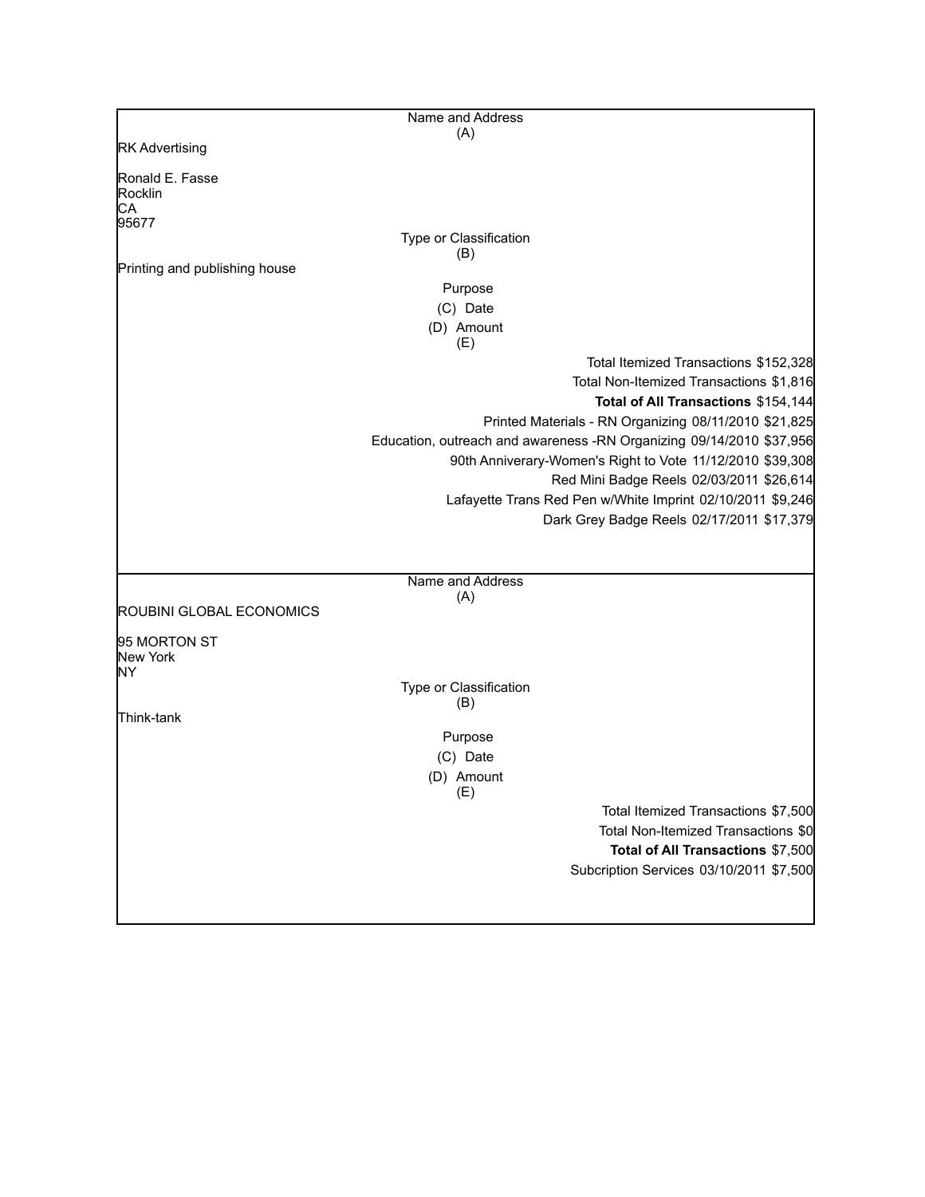|                               | Name and Address                         |                                                                                                                                                                                                                                                                                                                                                                                                                                                                              |
|-------------------------------|------------------------------------------|------------------------------------------------------------------------------------------------------------------------------------------------------------------------------------------------------------------------------------------------------------------------------------------------------------------------------------------------------------------------------------------------------------------------------------------------------------------------------|
|                               | (A)                                      |                                                                                                                                                                                                                                                                                                                                                                                                                                                                              |
| <b>RK Advertising</b>         |                                          |                                                                                                                                                                                                                                                                                                                                                                                                                                                                              |
| Ronald E. Fasse<br>Rocklin    |                                          |                                                                                                                                                                                                                                                                                                                                                                                                                                                                              |
| СA<br>95677                   |                                          |                                                                                                                                                                                                                                                                                                                                                                                                                                                                              |
|                               | Type or Classification<br>(B)            |                                                                                                                                                                                                                                                                                                                                                                                                                                                                              |
| Printing and publishing house |                                          |                                                                                                                                                                                                                                                                                                                                                                                                                                                                              |
|                               | Purpose                                  |                                                                                                                                                                                                                                                                                                                                                                                                                                                                              |
|                               | (C) Date                                 |                                                                                                                                                                                                                                                                                                                                                                                                                                                                              |
|                               | (D) Amount<br>(E)                        |                                                                                                                                                                                                                                                                                                                                                                                                                                                                              |
| ROUBINI GLOBAL ECONOMICS      | Name and Address<br>(A)                  | Total Itemized Transactions \$152,328<br>Total Non-Itemized Transactions \$1,816<br>Total of All Transactions \$154,144<br>Printed Materials - RN Organizing 08/11/2010 \$21,825<br>Education, outreach and awareness -RN Organizing 09/14/2010 \$37,956<br>90th Anniverary-Women's Right to Vote 11/12/2010 \$39,308<br>Red Mini Badge Reels 02/03/2011 \$26,614<br>Lafayette Trans Red Pen w/White Imprint 02/10/2011 \$9,246<br>Dark Grey Badge Reels 02/17/2011 \$17,379 |
| 95 MORTON ST<br>New York      |                                          |                                                                                                                                                                                                                                                                                                                                                                                                                                                                              |
| lΝY                           | Type or Classification<br>(B)            |                                                                                                                                                                                                                                                                                                                                                                                                                                                                              |
| Think-tank                    | Purpose<br>(C) Date<br>(D) Amount<br>(E) |                                                                                                                                                                                                                                                                                                                                                                                                                                                                              |
|                               |                                          | Total Itemized Transactions \$7,500<br>Total Non-Itemized Transactions \$0<br>Total of All Transactions \$7,500<br>Subcription Services 03/10/2011 \$7,500                                                                                                                                                                                                                                                                                                                   |
|                               |                                          |                                                                                                                                                                                                                                                                                                                                                                                                                                                                              |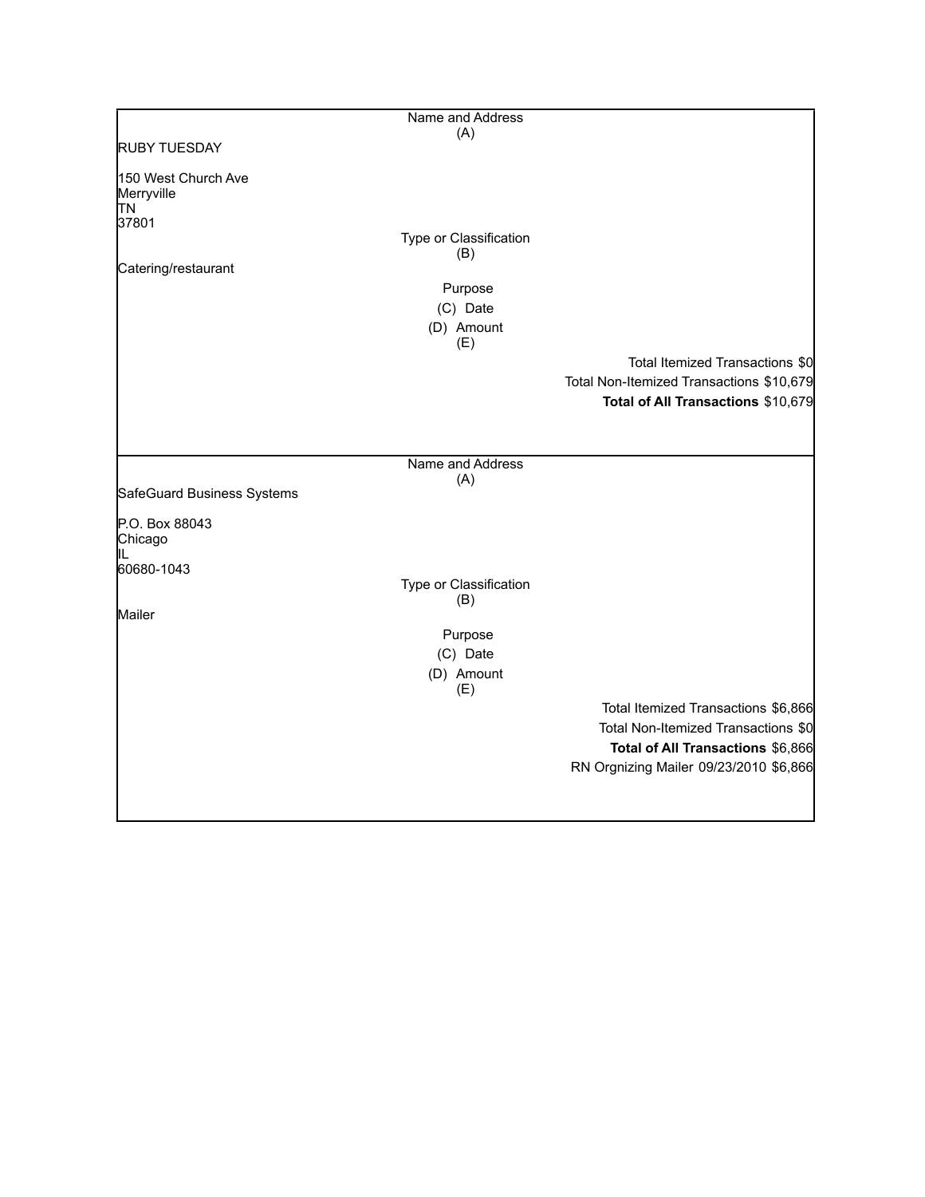|                                          | Name and Address              |                                          |
|------------------------------------------|-------------------------------|------------------------------------------|
|                                          | (A)                           |                                          |
| <b>RUBY TUESDAY</b>                      |                               |                                          |
| 150 West Church Ave<br>Merryville<br>ļΤN |                               |                                          |
| 37801                                    |                               |                                          |
|                                          | Type or Classification<br>(B) |                                          |
| Catering/restaurant                      |                               |                                          |
|                                          | Purpose                       |                                          |
|                                          | (C) Date                      |                                          |
|                                          | (D) Amount<br>(E)             |                                          |
|                                          |                               | Total Itemized Transactions \$0          |
|                                          |                               | Total Non-Itemized Transactions \$10,679 |
|                                          |                               | Total of All Transactions \$10,679       |
|                                          |                               |                                          |
|                                          |                               |                                          |
|                                          | Name and Address              |                                          |
|                                          | (A)                           |                                          |
| SafeGuard Business Systems               |                               |                                          |
| P.O. Box 88043<br>Chicago                |                               |                                          |
| 60680-1043                               |                               |                                          |
|                                          | Type or Classification<br>(B) |                                          |
| Mailer                                   |                               |                                          |
|                                          | Purpose                       |                                          |
|                                          | (C) Date                      |                                          |
|                                          | (D) Amount<br>(E)             |                                          |
|                                          |                               | Total Itemized Transactions \$6,866      |
|                                          |                               | Total Non-Itemized Transactions \$0      |
|                                          |                               | Total of All Transactions \$6,866        |
|                                          |                               | RN Orgnizing Mailer 09/23/2010 \$6,866   |
|                                          |                               |                                          |
|                                          |                               |                                          |
|                                          |                               |                                          |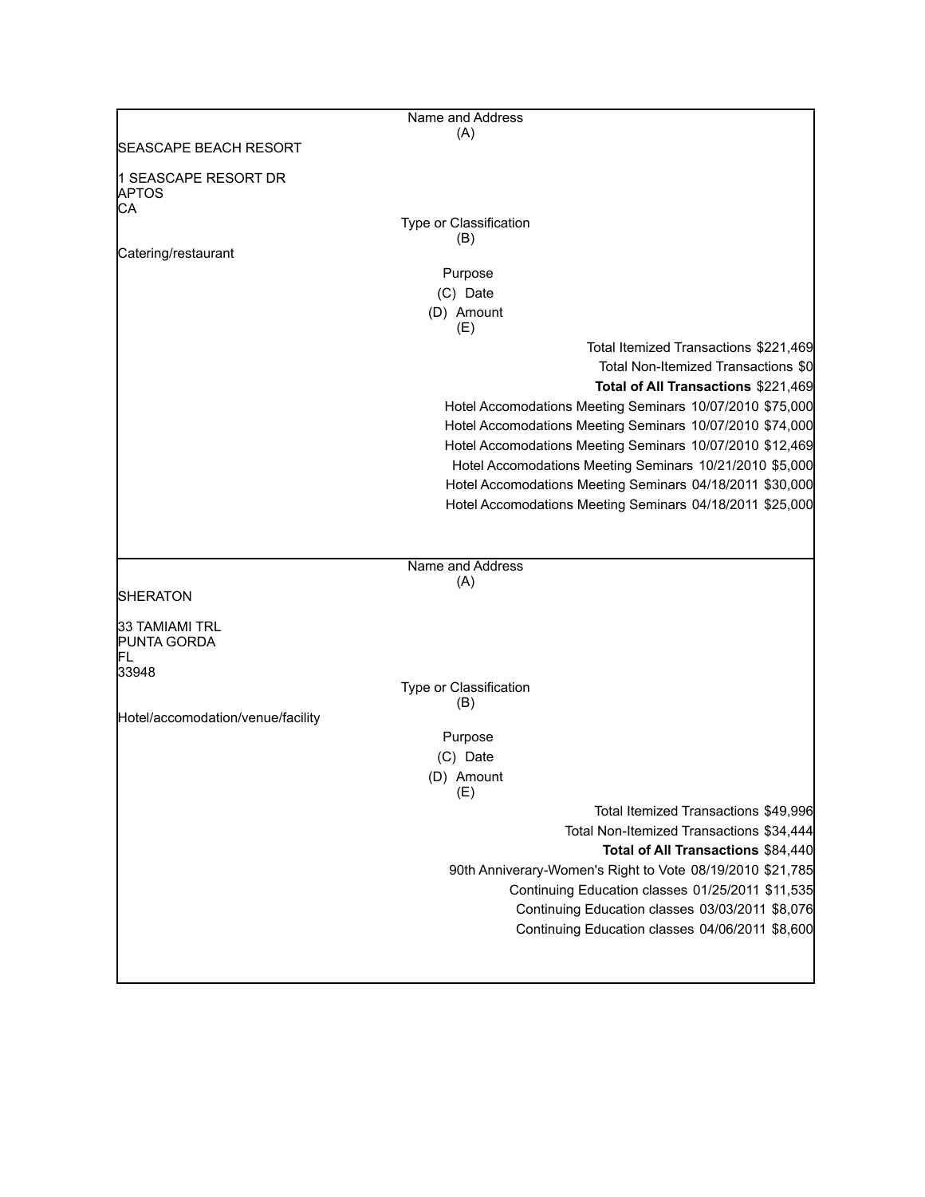|                                      | Name and Address                                                                                              |
|--------------------------------------|---------------------------------------------------------------------------------------------------------------|
| <b>SEASCAPE BEACH RESORT</b>         | (A)                                                                                                           |
| 1 SEASCAPE RESORT DR<br><b>APTOS</b> |                                                                                                               |
| СA                                   |                                                                                                               |
|                                      | Type or Classification<br>(B)                                                                                 |
| Catering/restaurant                  |                                                                                                               |
|                                      | Purpose                                                                                                       |
|                                      | (C) Date                                                                                                      |
|                                      | (D) Amount<br>(E)                                                                                             |
|                                      | Total Itemized Transactions \$221,469                                                                         |
|                                      | Total Non-Itemized Transactions \$0                                                                           |
|                                      | Total of All Transactions \$221,469                                                                           |
|                                      | Hotel Accomodations Meeting Seminars 10/07/2010 \$75,000                                                      |
|                                      | Hotel Accomodations Meeting Seminars 10/07/2010 \$74,000                                                      |
|                                      | Hotel Accomodations Meeting Seminars 10/07/2010 \$12,469                                                      |
|                                      | Hotel Accomodations Meeting Seminars 10/21/2010 \$5,000                                                       |
|                                      | Hotel Accomodations Meeting Seminars 04/18/2011 \$30,000                                                      |
|                                      | Hotel Accomodations Meeting Seminars 04/18/2011 \$25,000                                                      |
|                                      |                                                                                                               |
|                                      | Name and Address                                                                                              |
|                                      | (A)                                                                                                           |
| SHERATON                             |                                                                                                               |
| 33 TAMIAMI TRL<br><b>PUNTA GORDA</b> |                                                                                                               |
| lfl<br>33948                         |                                                                                                               |
|                                      | Type or Classification                                                                                        |
| Hotel/accomodation/venue/facility    | (B)                                                                                                           |
|                                      | Purpose                                                                                                       |
|                                      | (C) Date                                                                                                      |
|                                      | (D) Amount                                                                                                    |
|                                      | (E)                                                                                                           |
|                                      | Total Itemized Transactions \$49,996                                                                          |
|                                      | Total Non-Itemized Transactions \$34,444                                                                      |
|                                      | Total of All Transactions \$84,440                                                                            |
|                                      | 90th Anniverary-Women's Right to Vote 08/19/2010 \$21,785<br>Continuing Education classes 01/25/2011 \$11,535 |
|                                      | Continuing Education classes 03/03/2011 \$8,076                                                               |
|                                      | Continuing Education classes 04/06/2011 \$8,600                                                               |
|                                      |                                                                                                               |
|                                      |                                                                                                               |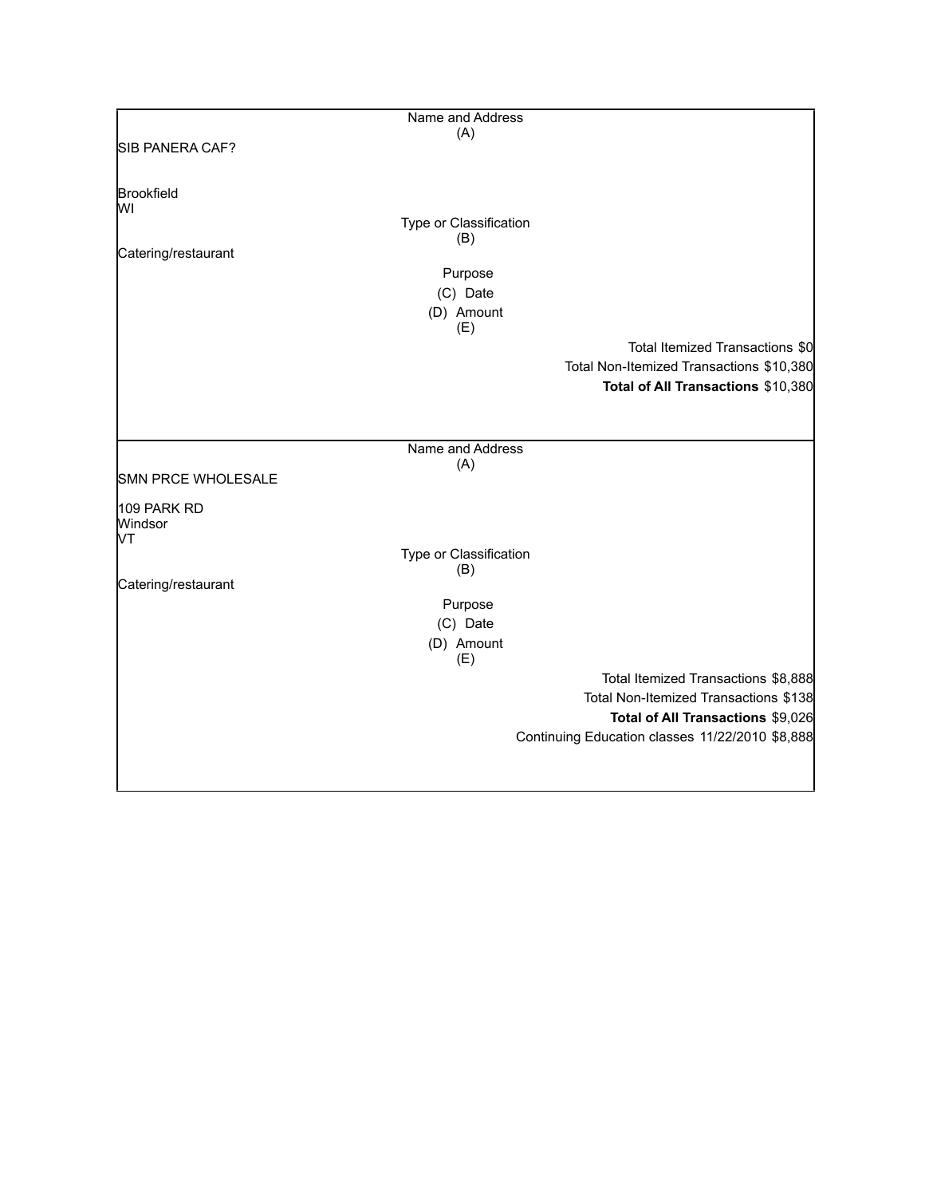|                     | Name and Address       |                                                 |
|---------------------|------------------------|-------------------------------------------------|
|                     | (A)                    |                                                 |
| SIB PANERA CAF?     |                        |                                                 |
|                     |                        |                                                 |
|                     |                        |                                                 |
| Brookfield<br>lw١   |                        |                                                 |
|                     | Type or Classification |                                                 |
|                     | (B)                    |                                                 |
| Catering/restaurant |                        |                                                 |
|                     | Purpose                |                                                 |
|                     | (C) Date               |                                                 |
|                     | (D) Amount             |                                                 |
|                     | (E)                    |                                                 |
|                     |                        | Total Itemized Transactions \$0                 |
|                     |                        | Total Non-Itemized Transactions \$10,380        |
|                     |                        | Total of All Transactions \$10,380              |
|                     |                        |                                                 |
|                     |                        |                                                 |
|                     |                        |                                                 |
|                     | Name and Address       |                                                 |
| SMN PRCE WHOLESALE  | (A)                    |                                                 |
|                     |                        |                                                 |
| 109 PARK RD         |                        |                                                 |
| Windsor             |                        |                                                 |
| lМ                  |                        |                                                 |
|                     | Type or Classification |                                                 |
| Catering/restaurant | (B)                    |                                                 |
|                     |                        |                                                 |
|                     | Purpose                |                                                 |
|                     | (C) Date               |                                                 |
|                     | (D) Amount             |                                                 |
|                     | (E)                    |                                                 |
|                     |                        | Total Itemized Transactions \$8,888             |
|                     |                        | Total Non-Itemized Transactions \$138           |
|                     |                        | Total of All Transactions \$9,026               |
|                     |                        | Continuing Education classes 11/22/2010 \$8,888 |
|                     |                        |                                                 |
|                     |                        |                                                 |
|                     |                        |                                                 |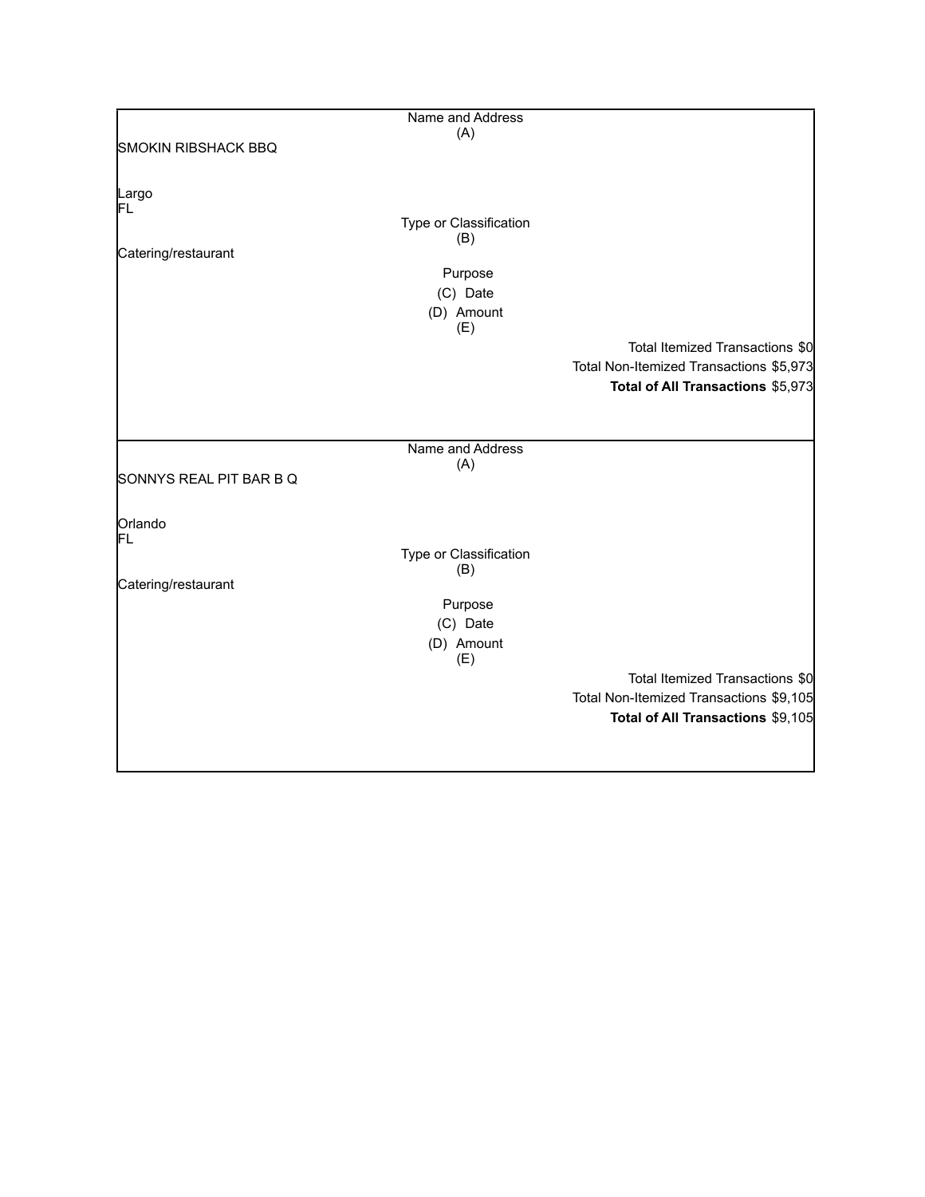|                            | Name and Address              |                                         |
|----------------------------|-------------------------------|-----------------------------------------|
|                            | (A)                           |                                         |
| <b>SMOKIN RIBSHACK BBQ</b> |                               |                                         |
|                            |                               |                                         |
|                            |                               |                                         |
| Largo                      |                               |                                         |
| FL                         |                               |                                         |
|                            | Type or Classification<br>(B) |                                         |
| Catering/restaurant        |                               |                                         |
|                            | Purpose                       |                                         |
|                            |                               |                                         |
|                            | (C) Date                      |                                         |
|                            | (D) Amount                    |                                         |
|                            | (E)                           |                                         |
|                            |                               | Total Itemized Transactions \$0         |
|                            |                               | Total Non-Itemized Transactions \$5,973 |
|                            |                               | Total of All Transactions \$5,973       |
|                            |                               |                                         |
|                            |                               |                                         |
|                            |                               |                                         |
|                            | Name and Address              |                                         |
| SONNYS REAL PIT BAR B Q    | (A)                           |                                         |
|                            |                               |                                         |
|                            |                               |                                         |
| Orlando                    |                               |                                         |
| FL                         |                               |                                         |
|                            | Type or Classification        |                                         |
|                            | (B)                           |                                         |
| Catering/restaurant        |                               |                                         |
|                            | Purpose                       |                                         |
|                            | (C) Date                      |                                         |
|                            | (D) Amount                    |                                         |
|                            | (E)                           |                                         |
|                            |                               | Total Itemized Transactions \$0         |
|                            |                               | Total Non-Itemized Transactions \$9,105 |
|                            |                               |                                         |
|                            |                               | Total of All Transactions \$9,105       |
|                            |                               |                                         |
|                            |                               |                                         |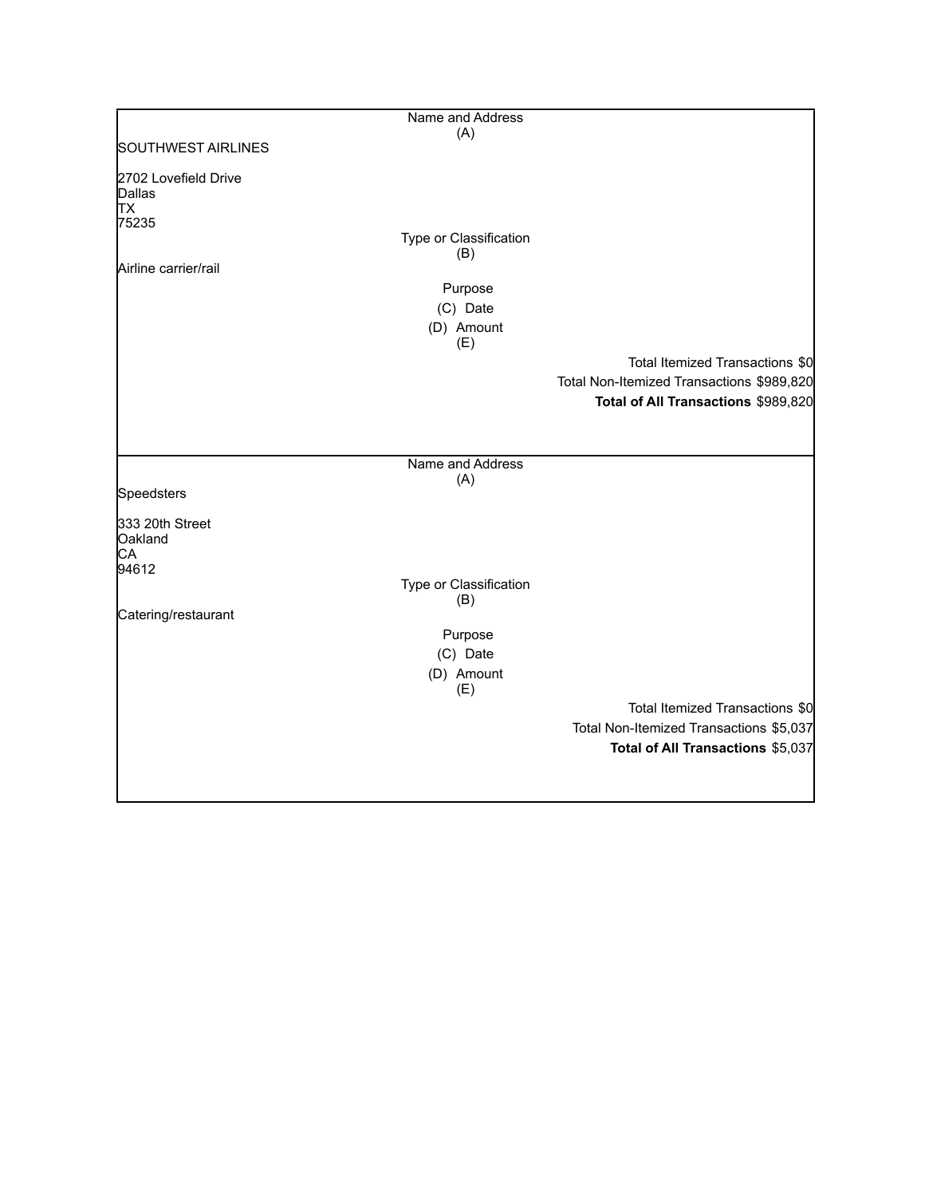|                                                                       | Name and Address                                                          |                                                                                  |
|-----------------------------------------------------------------------|---------------------------------------------------------------------------|----------------------------------------------------------------------------------|
|                                                                       | (A)                                                                       |                                                                                  |
| <b>SOUTHWEST AIRLINES</b>                                             |                                                                           |                                                                                  |
| 2702 Lovefield Drive<br>Dallas<br>TХ<br>75235<br>Airline carrier/rail | Type or Classification<br>(B)<br>Purpose<br>(C) Date<br>(D) Amount<br>(E) | Total Itemized Transactions \$0                                                  |
|                                                                       |                                                                           | Total Non-Itemized Transactions \$989,820<br>Total of All Transactions \$989,820 |
| Speedsters<br>333 20th Street<br>Oakland<br>СA<br>94612               | Name and Address<br>(A)                                                   |                                                                                  |
|                                                                       | Type or Classification<br>(B)                                             |                                                                                  |
| Catering/restaurant                                                   | Purpose<br>(C) Date<br>(D) Amount<br>(E)                                  | Total Itemized Transactions \$0                                                  |
|                                                                       |                                                                           | Total Non-Itemized Transactions \$5,037<br>Total of All Transactions \$5,037     |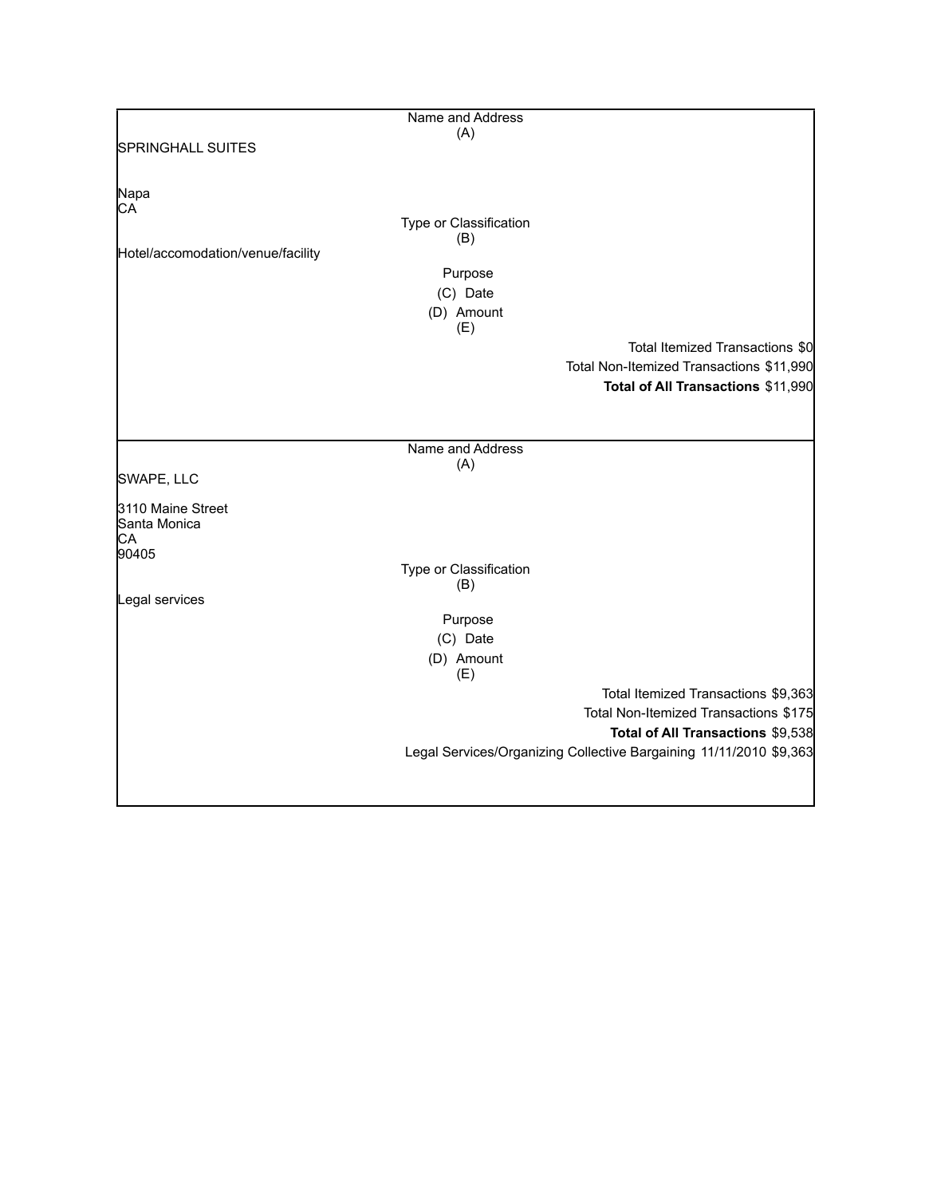|                                   | Name and Address              |                                                                    |
|-----------------------------------|-------------------------------|--------------------------------------------------------------------|
|                                   | (A)                           |                                                                    |
| <b>SPRINGHALL SUITES</b>          |                               |                                                                    |
|                                   |                               |                                                                    |
| Napa                              |                               |                                                                    |
| CA                                | Type or Classification        |                                                                    |
|                                   | (B)                           |                                                                    |
| Hotel/accomodation/venue/facility |                               |                                                                    |
|                                   | Purpose                       |                                                                    |
|                                   | (C) Date                      |                                                                    |
|                                   | (D) Amount                    |                                                                    |
|                                   | (E)                           |                                                                    |
|                                   |                               | Total Itemized Transactions \$0                                    |
|                                   |                               | Total Non-Itemized Transactions \$11,990                           |
|                                   |                               | Total of All Transactions \$11,990                                 |
|                                   |                               |                                                                    |
|                                   |                               |                                                                    |
|                                   | Name and Address              |                                                                    |
|                                   | (A)                           |                                                                    |
| SWAPE, LLC                        |                               |                                                                    |
| 3110 Maine Street                 |                               |                                                                    |
| Santa Monica                      |                               |                                                                    |
| СA                                |                               |                                                                    |
| 90405                             |                               |                                                                    |
|                                   | Type or Classification<br>(B) |                                                                    |
| Legal services                    |                               |                                                                    |
|                                   | Purpose                       |                                                                    |
|                                   | (C) Date                      |                                                                    |
|                                   | (D) Amount                    |                                                                    |
|                                   | (E)                           |                                                                    |
|                                   |                               | Total Itemized Transactions \$9,363                                |
|                                   |                               | Total Non-Itemized Transactions \$175                              |
|                                   |                               | Total of All Transactions \$9,538                                  |
|                                   |                               | Legal Services/Organizing Collective Bargaining 11/11/2010 \$9,363 |
|                                   |                               |                                                                    |
|                                   |                               |                                                                    |
|                                   |                               |                                                                    |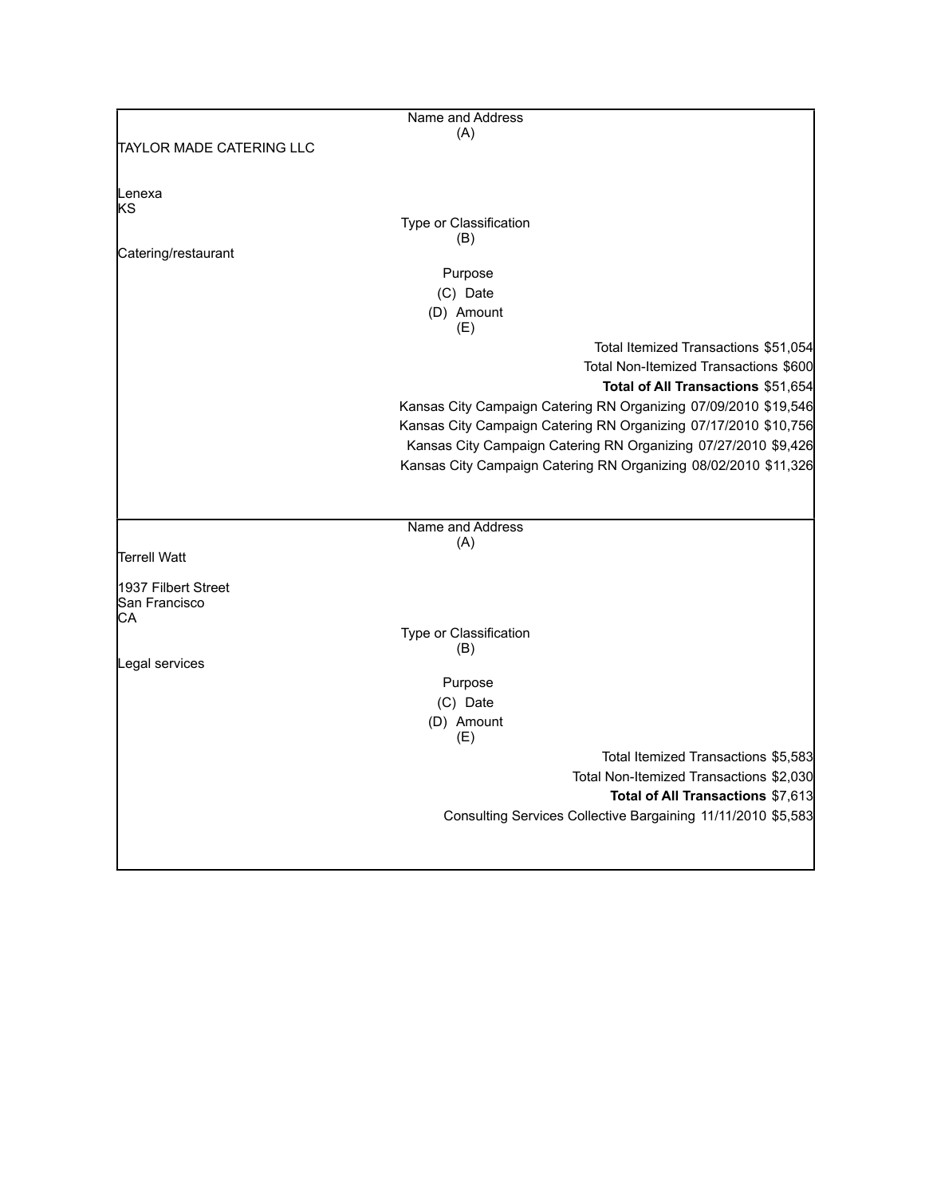|                          | Name and Address                                                |
|--------------------------|-----------------------------------------------------------------|
|                          | (A)                                                             |
| TAYLOR MADE CATERING LLC |                                                                 |
|                          |                                                                 |
| Lenexa<br>ks             |                                                                 |
|                          | Type or Classification                                          |
|                          | (B)                                                             |
| Catering/restaurant      |                                                                 |
|                          | Purpose                                                         |
|                          | (C) Date                                                        |
|                          | (D) Amount                                                      |
|                          | (E)                                                             |
|                          | Total Itemized Transactions \$51,054                            |
|                          | Total Non-Itemized Transactions \$600                           |
|                          | Total of All Transactions \$51,654                              |
|                          | Kansas City Campaign Catering RN Organizing 07/09/2010 \$19,546 |
|                          | Kansas City Campaign Catering RN Organizing 07/17/2010 \$10,756 |
|                          | Kansas City Campaign Catering RN Organizing 07/27/2010 \$9,426  |
|                          | Kansas City Campaign Catering RN Organizing 08/02/2010 \$11,326 |
|                          |                                                                 |
|                          |                                                                 |
|                          | Name and Address                                                |
|                          | (A)                                                             |
| <b>Terrell Watt</b>      |                                                                 |
| 1937 Filbert Street      |                                                                 |
| San Francisco            |                                                                 |
| CА                       |                                                                 |
|                          | Type or Classification                                          |
| Legal services           | (B)                                                             |
|                          |                                                                 |
|                          | Purpose                                                         |
|                          | (C) Date                                                        |
|                          | (D) Amount<br>(E)                                               |
|                          | Total Itemized Transactions \$5,583                             |
|                          |                                                                 |
|                          | Total Non-Itemized Transactions \$2,030                         |
|                          | Total of All Transactions \$7,613                               |
|                          | Consulting Services Collective Bargaining 11/11/2010 \$5,583    |
|                          |                                                                 |
|                          |                                                                 |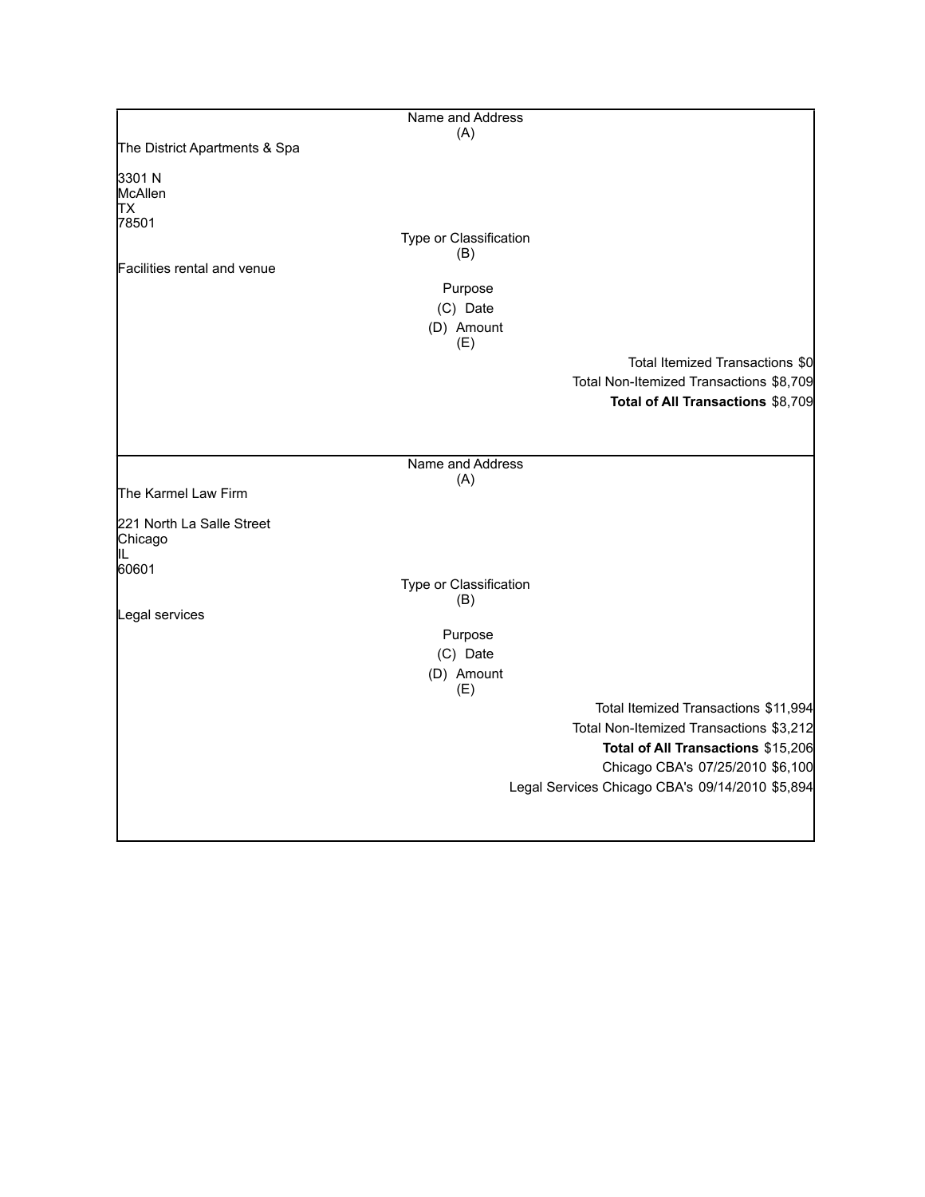|                               | Name and Address        |                                                 |
|-------------------------------|-------------------------|-------------------------------------------------|
| The District Apartments & Spa | (A)                     |                                                 |
|                               |                         |                                                 |
| 3301 N                        |                         |                                                 |
| McAllen<br><b>TX</b>          |                         |                                                 |
| 78501                         |                         |                                                 |
|                               | Type or Classification  |                                                 |
|                               | (B)                     |                                                 |
| Facilities rental and venue   |                         |                                                 |
|                               | Purpose                 |                                                 |
|                               | (C) Date                |                                                 |
|                               | (D) Amount              |                                                 |
|                               | (E)                     |                                                 |
|                               |                         | Total Itemized Transactions \$0                 |
|                               |                         | Total Non-Itemized Transactions \$8,709         |
|                               |                         | Total of All Transactions \$8,709               |
|                               |                         |                                                 |
|                               |                         |                                                 |
|                               | Name and Address<br>(A) |                                                 |
| The Karmel Law Firm           |                         |                                                 |
|                               |                         |                                                 |
| 221 North La Salle Street     |                         |                                                 |
| Chicago<br>IL.                |                         |                                                 |
| 60601                         |                         |                                                 |
|                               | Type or Classification  |                                                 |
| Legal services                | (B)                     |                                                 |
|                               |                         |                                                 |
|                               | Purpose                 |                                                 |
|                               | (C) Date                |                                                 |
|                               | (D) Amount<br>(E)       |                                                 |
|                               |                         | Total Itemized Transactions \$11,994            |
|                               |                         | Total Non-Itemized Transactions \$3,212         |
|                               |                         | Total of All Transactions \$15,206              |
|                               |                         | Chicago CBA's 07/25/2010 \$6,100                |
|                               |                         | Legal Services Chicago CBA's 09/14/2010 \$5,894 |
|                               |                         |                                                 |
|                               |                         |                                                 |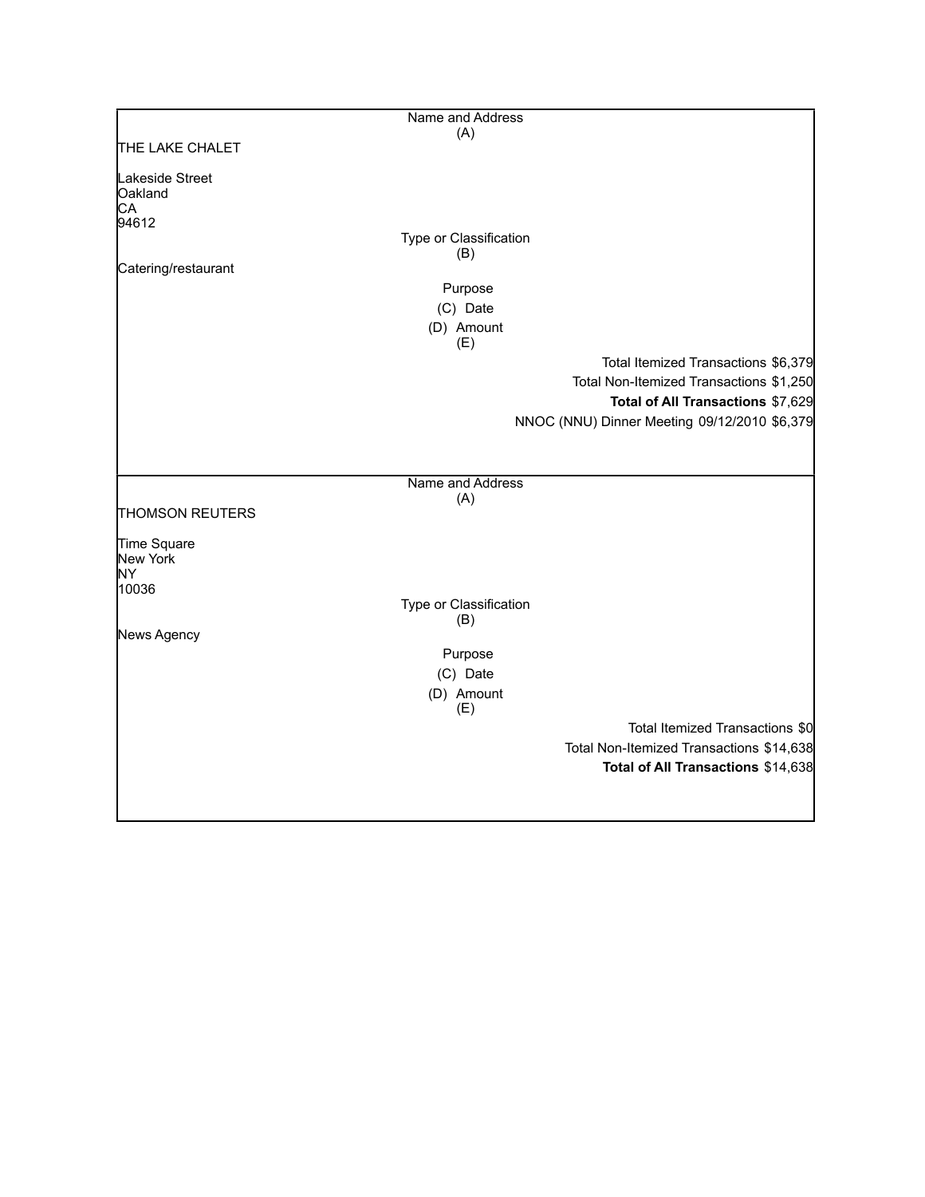|                                  | Name and Address       |                                              |
|----------------------------------|------------------------|----------------------------------------------|
|                                  | (A)                    |                                              |
| THE LAKE CHALET                  |                        |                                              |
| Lakeside Street<br>Oakland<br>СA |                        |                                              |
| 94612                            |                        |                                              |
|                                  | Type or Classification |                                              |
|                                  | (B)                    |                                              |
| Catering/restaurant              |                        |                                              |
|                                  | Purpose                |                                              |
|                                  | (C) Date               |                                              |
|                                  | (D) Amount<br>(E)      |                                              |
|                                  |                        | Total Itemized Transactions \$6,379          |
|                                  |                        | Total Non-Itemized Transactions \$1,250      |
|                                  |                        | Total of All Transactions \$7,629            |
|                                  |                        | NNOC (NNU) Dinner Meeting 09/12/2010 \$6,379 |
|                                  |                        |                                              |
|                                  |                        |                                              |
|                                  | Name and Address       |                                              |
|                                  | (A)                    |                                              |
| <b>THOMSON REUTERS</b>           |                        |                                              |
| Time Square                      |                        |                                              |
| New York                         |                        |                                              |
| ΝY                               |                        |                                              |
| 10036                            | Type or Classification |                                              |
|                                  | (B)                    |                                              |
| News Agency                      |                        |                                              |
|                                  | Purpose                |                                              |
|                                  | (C) Date               |                                              |
|                                  | (D) Amount<br>(E)      |                                              |
|                                  |                        | Total Itemized Transactions \$0              |
|                                  |                        | Total Non-Itemized Transactions \$14,638     |
|                                  |                        | Total of All Transactions \$14,638           |
|                                  |                        |                                              |
|                                  |                        |                                              |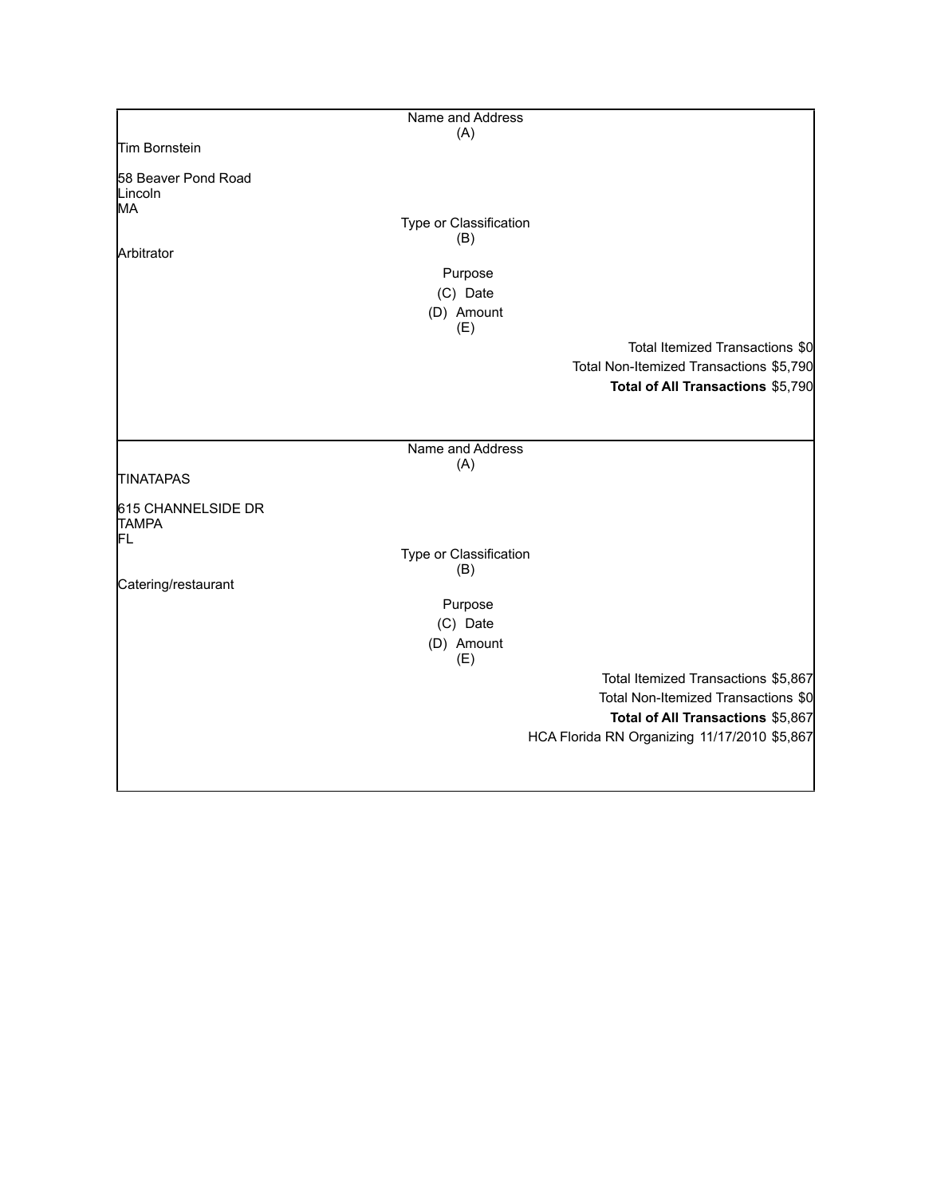|                                               | Name and Address       |                                              |
|-----------------------------------------------|------------------------|----------------------------------------------|
|                                               | (A)                    |                                              |
| Tim Bornstein                                 |                        |                                              |
| 58 Beaver Pond Road<br>Lincoln<br><b>I</b> MA |                        |                                              |
|                                               | Type or Classification |                                              |
|                                               | (B)                    |                                              |
| Arbitrator                                    |                        |                                              |
|                                               | Purpose                |                                              |
|                                               | (C) Date<br>(D) Amount |                                              |
|                                               | (E)                    |                                              |
|                                               |                        | Total Itemized Transactions \$0              |
|                                               |                        | Total Non-Itemized Transactions \$5,790      |
|                                               |                        | Total of All Transactions \$5,790            |
|                                               |                        |                                              |
|                                               |                        |                                              |
|                                               | Name and Address       |                                              |
| <b>TINATAPAS</b>                              | (A)                    |                                              |
| 615 CHANNELSIDE DR<br><b>TAMPA</b><br>FL      |                        |                                              |
|                                               | Type or Classification |                                              |
|                                               | (B)                    |                                              |
| Catering/restaurant                           |                        |                                              |
|                                               | Purpose<br>(C) Date    |                                              |
|                                               | (D) Amount             |                                              |
|                                               | (E)                    |                                              |
|                                               |                        | Total Itemized Transactions \$5,867          |
|                                               |                        | Total Non-Itemized Transactions \$0          |
|                                               |                        | Total of All Transactions \$5,867            |
|                                               |                        | HCA Florida RN Organizing 11/17/2010 \$5,867 |
|                                               |                        |                                              |
|                                               |                        |                                              |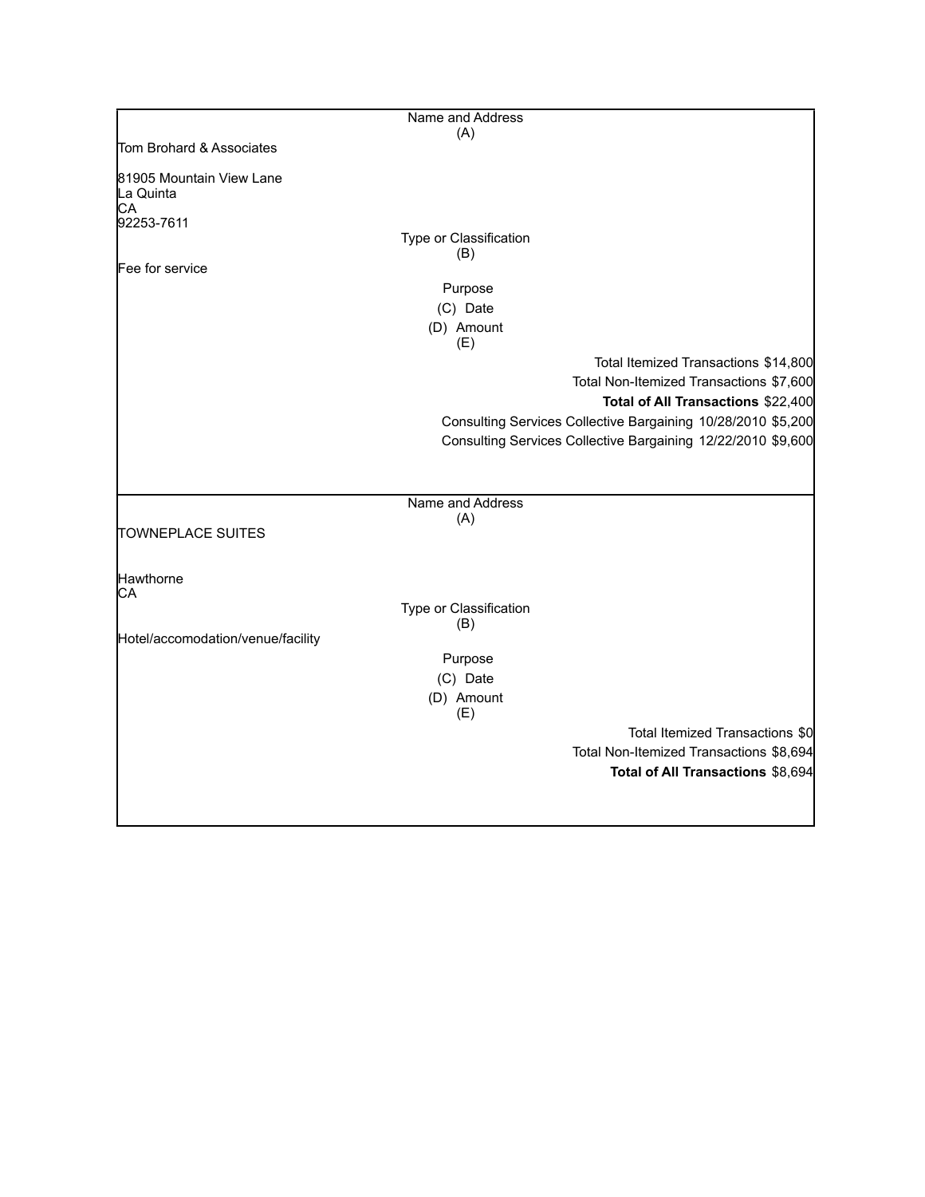|                                             | Name and Address              |                                                              |
|---------------------------------------------|-------------------------------|--------------------------------------------------------------|
|                                             | (A)                           |                                                              |
| Tom Brohard & Associates                    |                               |                                                              |
| 81905 Mountain View Lane<br>La Quinta<br>CA |                               |                                                              |
| 92253-7611                                  |                               |                                                              |
|                                             | Type or Classification<br>(B) |                                                              |
| Fee for service                             |                               |                                                              |
|                                             | Purpose                       |                                                              |
|                                             | (C) Date                      |                                                              |
|                                             | (D) Amount<br>(E)             |                                                              |
|                                             |                               | Total Itemized Transactions \$14,800                         |
|                                             |                               | Total Non-Itemized Transactions \$7,600                      |
|                                             |                               | Total of All Transactions \$22,400                           |
|                                             |                               | Consulting Services Collective Bargaining 10/28/2010 \$5,200 |
|                                             |                               | Consulting Services Collective Bargaining 12/22/2010 \$9,600 |
|                                             |                               |                                                              |
|                                             |                               |                                                              |
|                                             | Name and Address              |                                                              |
|                                             | (A)                           |                                                              |
| <b>TOWNEPLACE SUITES</b>                    |                               |                                                              |
|                                             |                               |                                                              |
| Hawthorne                                   |                               |                                                              |
| CA                                          |                               |                                                              |
|                                             | Type or Classification<br>(B) |                                                              |
| Hotel/accomodation/venue/facility           |                               |                                                              |
|                                             | Purpose                       |                                                              |
|                                             | (C) Date                      |                                                              |
|                                             | (D) Amount                    |                                                              |
|                                             | (E)                           |                                                              |
|                                             |                               | Total Itemized Transactions \$0                              |
|                                             |                               | Total Non-Itemized Transactions \$8,694                      |
|                                             |                               | Total of All Transactions \$8,694                            |
|                                             |                               |                                                              |
|                                             |                               |                                                              |
|                                             |                               |                                                              |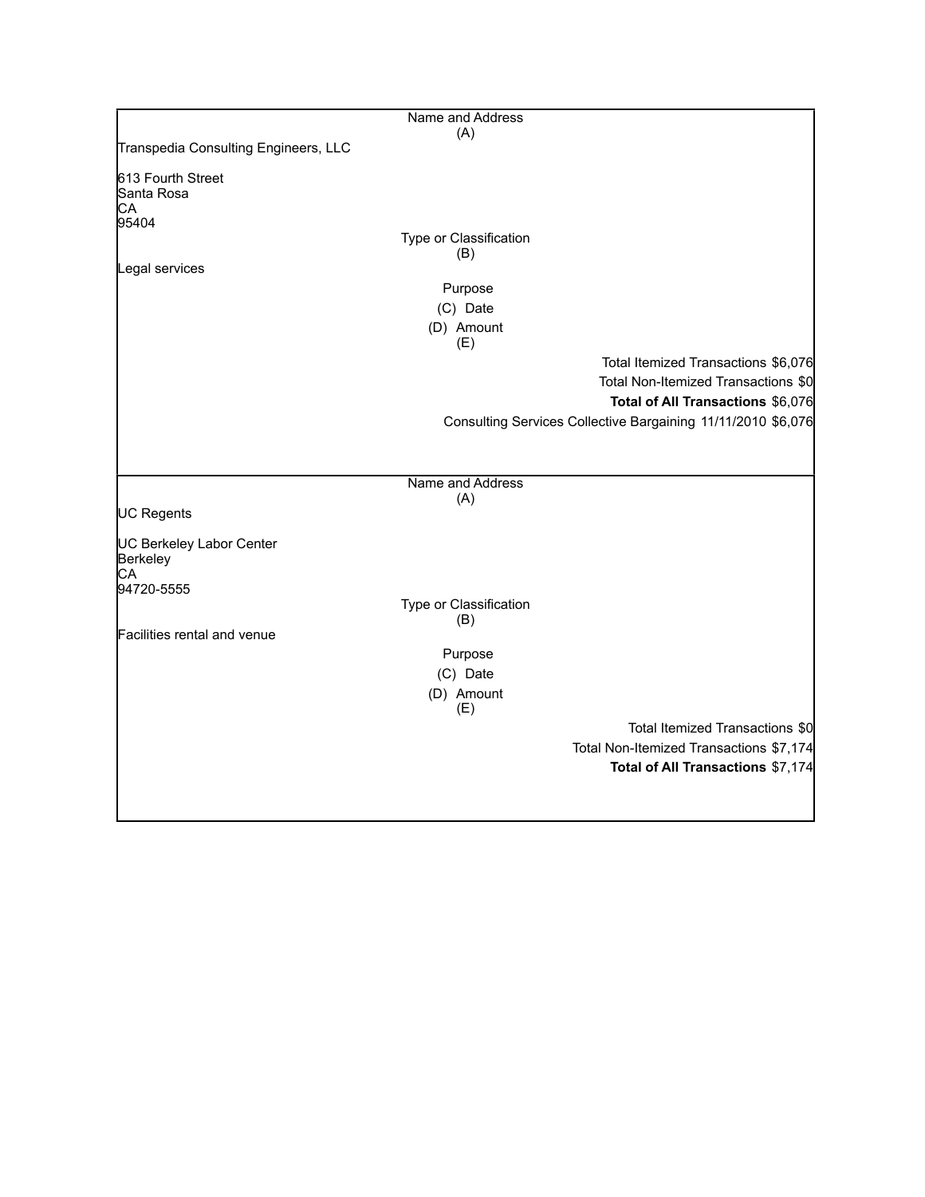|                                      | Name and Address       |                                                              |
|--------------------------------------|------------------------|--------------------------------------------------------------|
|                                      | (A)                    |                                                              |
| Transpedia Consulting Engineers, LLC |                        |                                                              |
| 613 Fourth Street                    |                        |                                                              |
| Santa Rosa                           |                        |                                                              |
| CA<br>95404                          |                        |                                                              |
|                                      | Type or Classification |                                                              |
|                                      | (B)                    |                                                              |
| Legal services                       |                        |                                                              |
|                                      | Purpose                |                                                              |
|                                      | (C) Date               |                                                              |
|                                      | (D) Amount<br>(E)      |                                                              |
|                                      |                        | Total Itemized Transactions \$6,076                          |
|                                      |                        | Total Non-Itemized Transactions \$0                          |
|                                      |                        | Total of All Transactions \$6,076                            |
|                                      |                        | Consulting Services Collective Bargaining 11/11/2010 \$6,076 |
|                                      |                        |                                                              |
|                                      |                        |                                                              |
|                                      | Name and Address       |                                                              |
| UC Regents                           | (A)                    |                                                              |
|                                      |                        |                                                              |
| <b>UC Berkeley Labor Center</b>      |                        |                                                              |
| Berkeley                             |                        |                                                              |
| CA<br>94720-5555                     |                        |                                                              |
|                                      | Type or Classification |                                                              |
|                                      | (B)                    |                                                              |
| Facilities rental and venue          |                        |                                                              |
|                                      | Purpose                |                                                              |
|                                      | (C) Date               |                                                              |
|                                      | (D) Amount<br>(E)      |                                                              |
|                                      |                        | Total Itemized Transactions \$0                              |
|                                      |                        | Total Non-Itemized Transactions \$7,174                      |
|                                      |                        | Total of All Transactions \$7,174                            |
|                                      |                        |                                                              |
|                                      |                        |                                                              |
|                                      |                        |                                                              |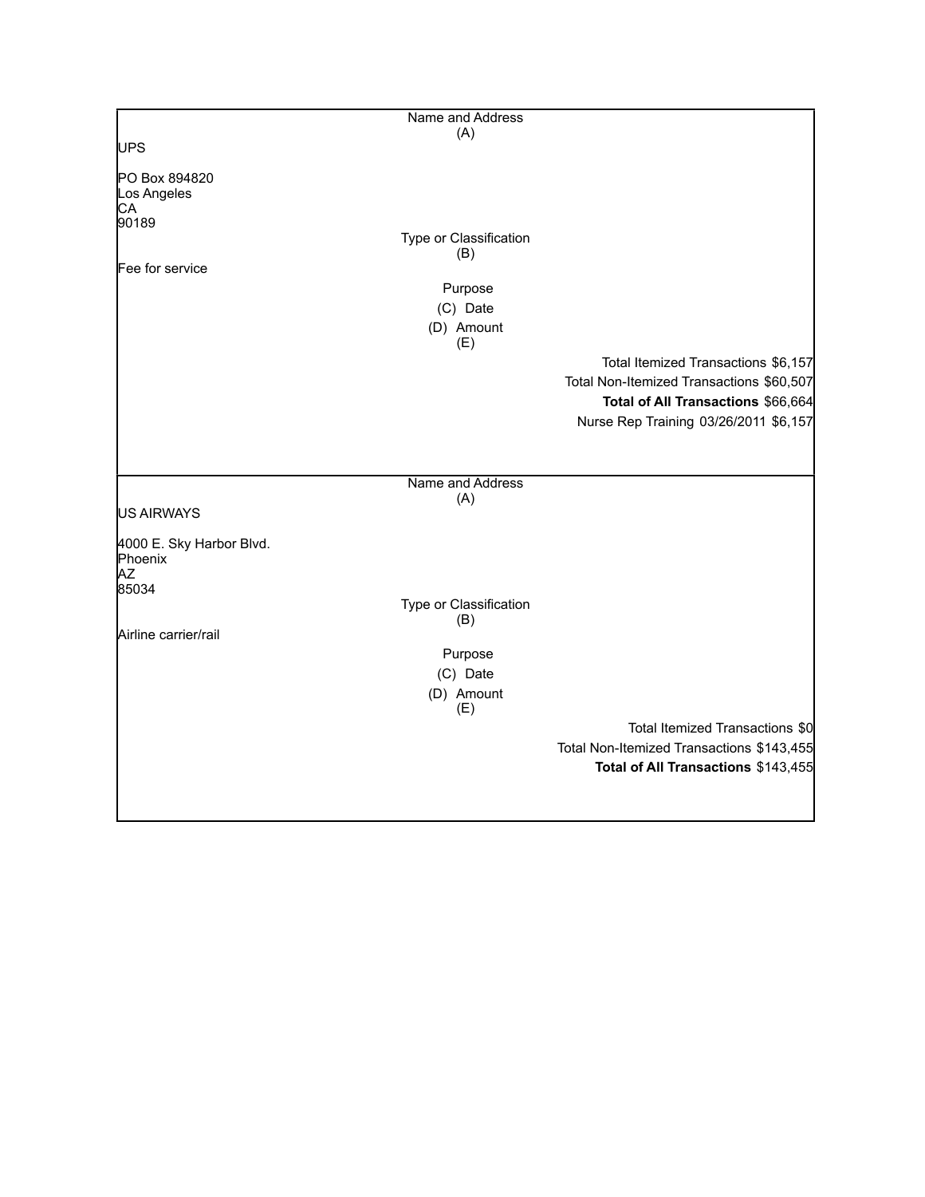|                                     | Name and Address              |                                                                                 |
|-------------------------------------|-------------------------------|---------------------------------------------------------------------------------|
|                                     | (A)                           |                                                                                 |
| <b>UPS</b>                          |                               |                                                                                 |
| PO Box 894820<br>Los Angeles<br>CA  |                               |                                                                                 |
| 90189                               |                               |                                                                                 |
|                                     | Type or Classification<br>(B) |                                                                                 |
| Fee for service                     |                               |                                                                                 |
|                                     | Purpose                       |                                                                                 |
|                                     | (C) Date                      |                                                                                 |
|                                     | (D) Amount                    |                                                                                 |
|                                     | (E)                           |                                                                                 |
|                                     |                               | Total Itemized Transactions \$6,157<br>Total Non-Itemized Transactions \$60,507 |
|                                     |                               | Total of All Transactions \$66,664                                              |
|                                     |                               | Nurse Rep Training 03/26/2011 \$6,157                                           |
|                                     |                               |                                                                                 |
|                                     |                               |                                                                                 |
|                                     | Name and Address              |                                                                                 |
|                                     | (A)                           |                                                                                 |
| US AIRWAYS                          |                               |                                                                                 |
| 4000 E. Sky Harbor Blvd.<br>Phoenix |                               |                                                                                 |
| AZ                                  |                               |                                                                                 |
| 85034                               |                               |                                                                                 |
|                                     | Type or Classification        |                                                                                 |
| Airline carrier/rail                | (B)                           |                                                                                 |
|                                     | Purpose                       |                                                                                 |
|                                     | (C) Date                      |                                                                                 |
|                                     | (D) Amount                    |                                                                                 |
|                                     | (E)                           |                                                                                 |
|                                     |                               | Total Itemized Transactions \$0                                                 |
|                                     |                               | Total Non-Itemized Transactions \$143,455                                       |
|                                     |                               | Total of All Transactions \$143,455                                             |
|                                     |                               |                                                                                 |
|                                     |                               |                                                                                 |
|                                     |                               |                                                                                 |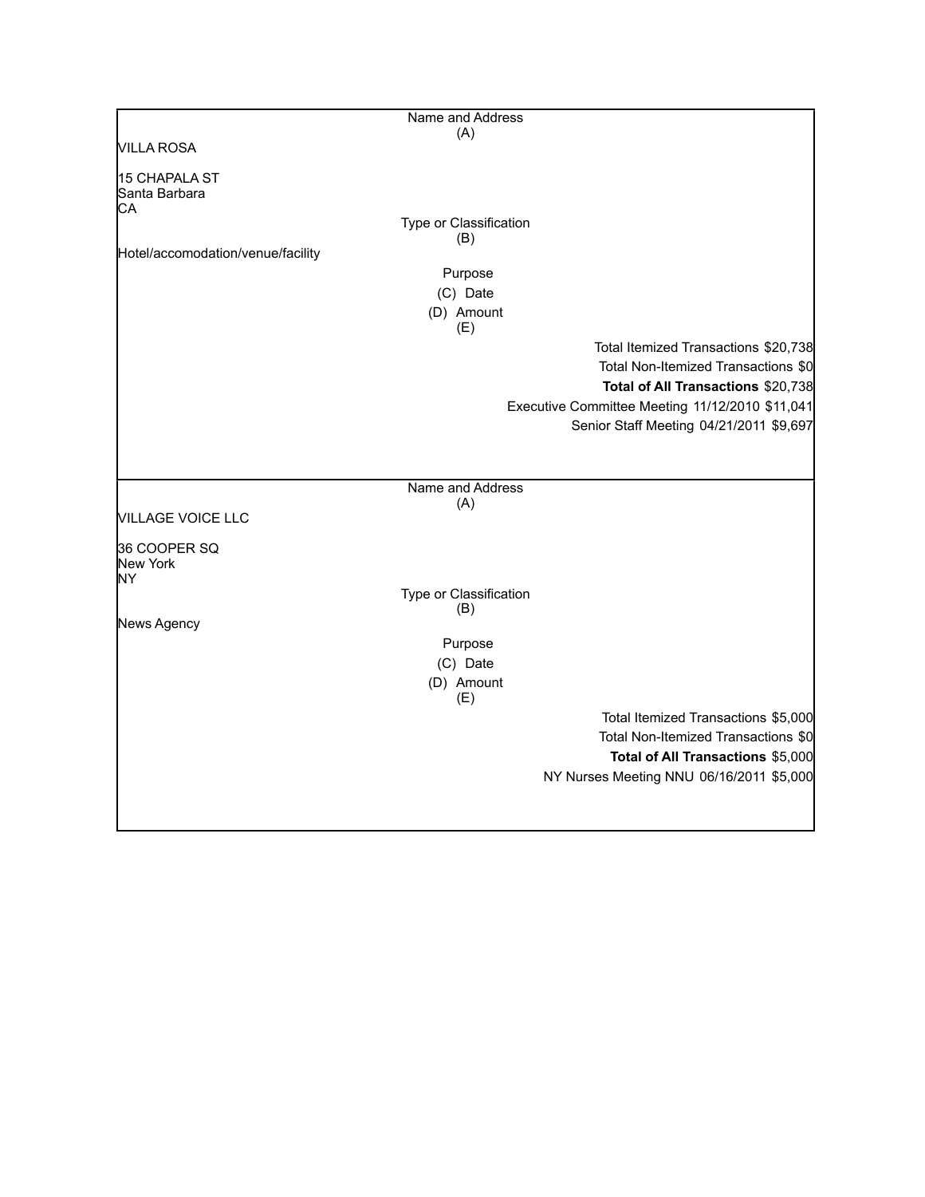|                                             | Name and Address              |                                                 |
|---------------------------------------------|-------------------------------|-------------------------------------------------|
| <b>VILLA ROSA</b>                           | (A)                           |                                                 |
|                                             |                               |                                                 |
| <b>15 CHAPALA ST</b><br>Santa Barbara<br>CА |                               |                                                 |
|                                             | Type or Classification        |                                                 |
|                                             | (B)                           |                                                 |
| Hotel/accomodation/venue/facility           |                               |                                                 |
|                                             | Purpose                       |                                                 |
|                                             | (C) Date                      |                                                 |
|                                             | (D) Amount<br>(E)             |                                                 |
|                                             |                               | Total Itemized Transactions \$20,738            |
|                                             |                               | Total Non-Itemized Transactions \$0             |
|                                             |                               | Total of All Transactions \$20,738              |
|                                             |                               | Executive Committee Meeting 11/12/2010 \$11,041 |
|                                             |                               | Senior Staff Meeting 04/21/2011 \$9,697         |
|                                             |                               |                                                 |
|                                             |                               |                                                 |
|                                             | Name and Address              |                                                 |
|                                             | (A)                           |                                                 |
| <b>VILLAGE VOICE LLC</b>                    |                               |                                                 |
| 36 COOPER SQ                                |                               |                                                 |
| New York                                    |                               |                                                 |
| NY                                          |                               |                                                 |
|                                             | Type or Classification<br>(B) |                                                 |
| News Agency                                 |                               |                                                 |
|                                             | Purpose                       |                                                 |
|                                             | (C) Date                      |                                                 |
|                                             | (D) Amount                    |                                                 |
|                                             | (E)                           |                                                 |
|                                             |                               | Total Itemized Transactions \$5,000             |
|                                             |                               | Total Non-Itemized Transactions \$0             |
|                                             |                               | Total of All Transactions \$5,000               |
|                                             |                               | NY Nurses Meeting NNU 06/16/2011 \$5,000        |
|                                             |                               |                                                 |
|                                             |                               |                                                 |
|                                             |                               |                                                 |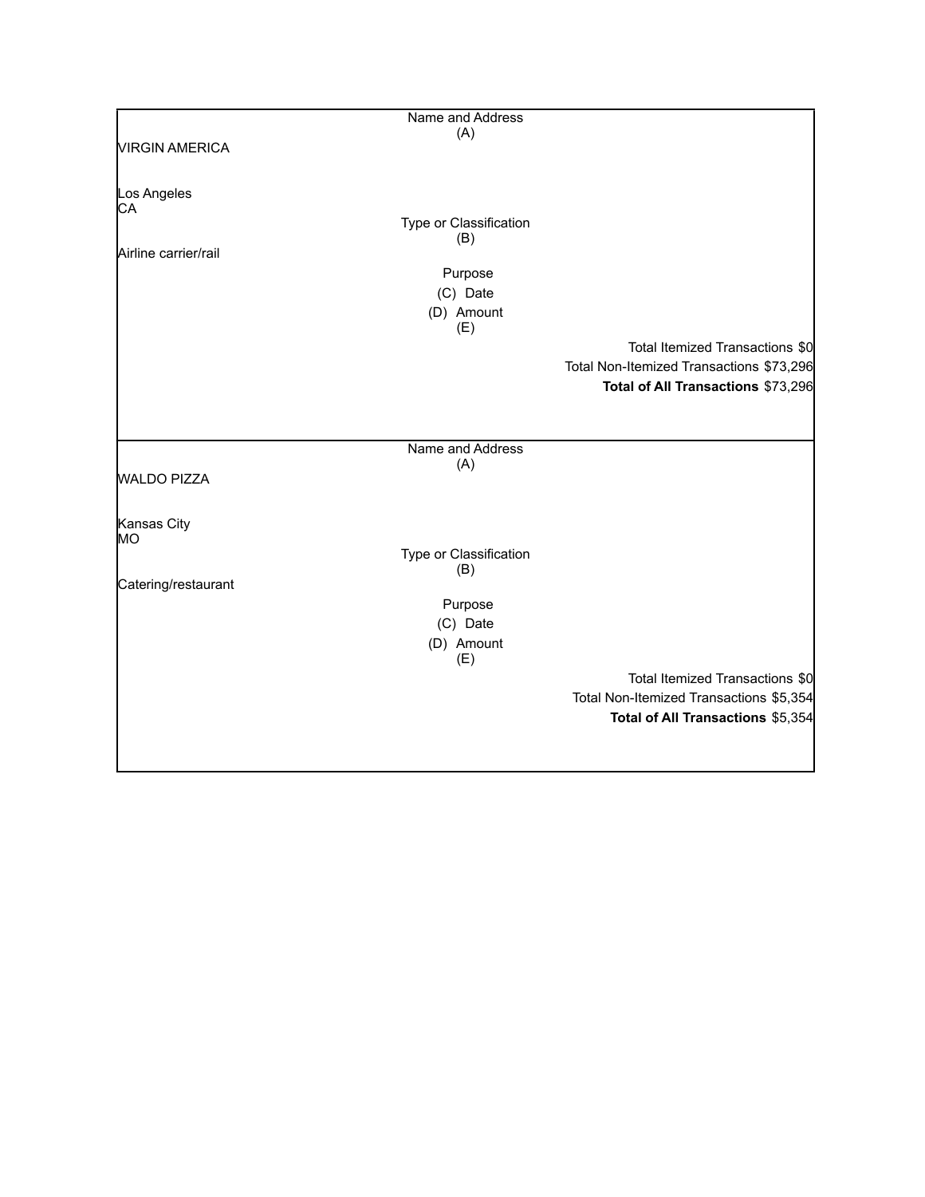|                       | Name and Address              |                                          |
|-----------------------|-------------------------------|------------------------------------------|
|                       | (A)                           |                                          |
| <b>VIRGIN AMERICA</b> |                               |                                          |
| Los Angeles           |                               |                                          |
| CA                    |                               |                                          |
|                       | Type or Classification<br>(B) |                                          |
| Airline carrier/rail  |                               |                                          |
|                       | Purpose                       |                                          |
|                       | (C) Date                      |                                          |
|                       | (D) Amount                    |                                          |
|                       | (E)                           |                                          |
|                       |                               | Total Itemized Transactions \$0          |
|                       |                               | Total Non-Itemized Transactions \$73,296 |
|                       |                               | Total of All Transactions \$73,296       |
|                       |                               |                                          |
|                       |                               |                                          |
|                       | Name and Address              |                                          |
| <b>WALDO PIZZA</b>    | (A)                           |                                          |
|                       |                               |                                          |
| Kansas City           |                               |                                          |
| MO                    |                               |                                          |
|                       | Type or Classification        |                                          |
| Catering/restaurant   | (B)                           |                                          |
|                       | Purpose                       |                                          |
|                       | (C) Date                      |                                          |
|                       | (D) Amount                    |                                          |
|                       | (E)                           |                                          |
|                       |                               | Total Itemized Transactions \$0          |
|                       |                               | Total Non-Itemized Transactions \$5,354  |
|                       |                               | Total of All Transactions \$5,354        |
|                       |                               |                                          |
|                       |                               |                                          |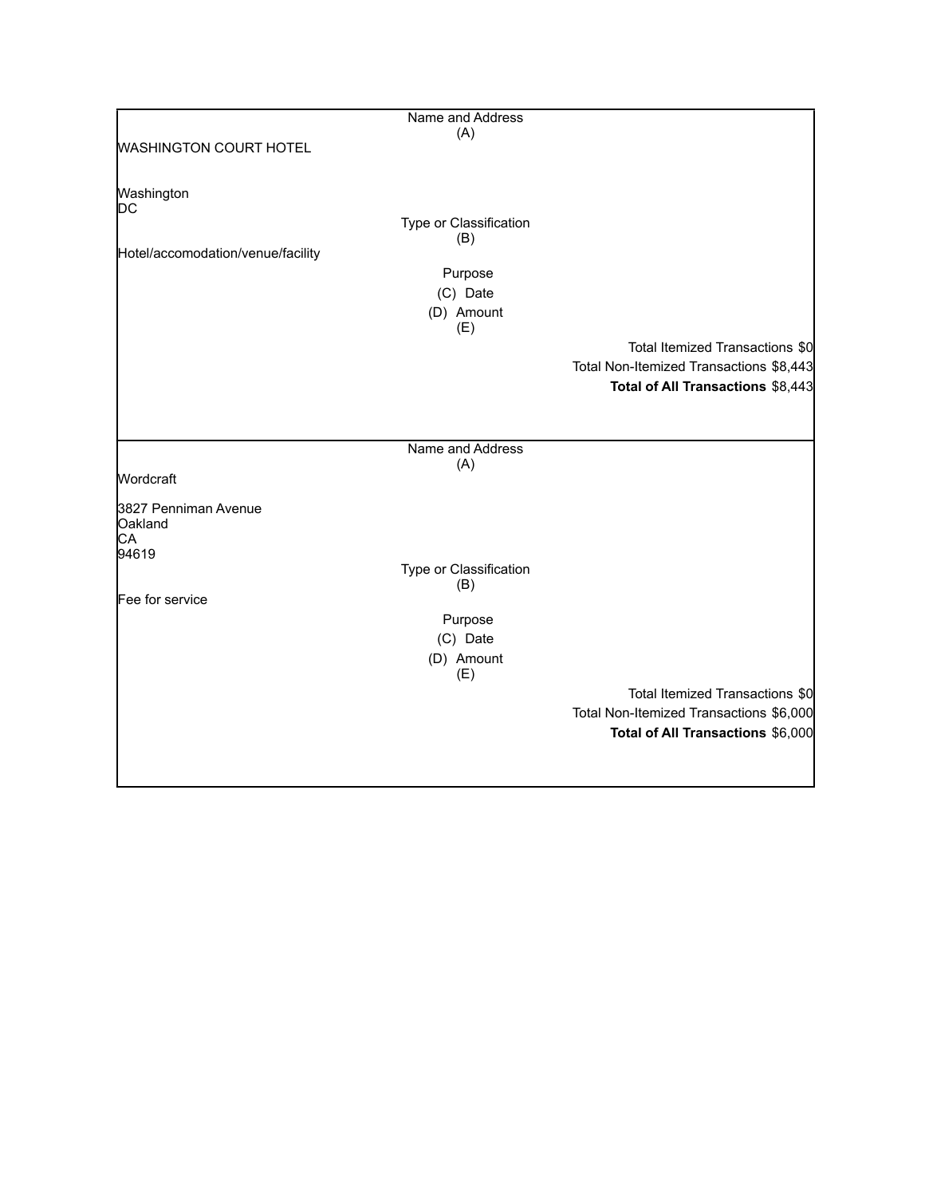|                                   | Name and Address       |                                         |
|-----------------------------------|------------------------|-----------------------------------------|
|                                   | (A)                    |                                         |
| <b>WASHINGTON COURT HOTEL</b>     |                        |                                         |
|                                   |                        |                                         |
| Washington                        |                        |                                         |
| DC                                |                        |                                         |
|                                   | Type or Classification |                                         |
|                                   | (B)                    |                                         |
| Hotel/accomodation/venue/facility |                        |                                         |
|                                   | Purpose                |                                         |
|                                   | (C) Date               |                                         |
|                                   |                        |                                         |
|                                   | (D) Amount<br>(E)      |                                         |
|                                   |                        | Total Itemized Transactions \$0         |
|                                   |                        |                                         |
|                                   |                        | Total Non-Itemized Transactions \$8,443 |
|                                   |                        | Total of All Transactions \$8,443       |
|                                   |                        |                                         |
|                                   |                        |                                         |
|                                   | Name and Address       |                                         |
|                                   | (A)                    |                                         |
| Wordcraft                         |                        |                                         |
|                                   |                        |                                         |
| 3827 Penniman Avenue<br>Oakland   |                        |                                         |
| CA                                |                        |                                         |
| 94619                             |                        |                                         |
|                                   | Type or Classification |                                         |
|                                   | (B)                    |                                         |
| Fee for service                   |                        |                                         |
|                                   | Purpose                |                                         |
|                                   | (C) Date               |                                         |
|                                   | (D) Amount             |                                         |
|                                   | (E)                    |                                         |
|                                   |                        | Total Itemized Transactions \$0         |
|                                   |                        | Total Non-Itemized Transactions \$6,000 |
|                                   |                        |                                         |
|                                   |                        | Total of All Transactions \$6,000       |
|                                   |                        |                                         |
|                                   |                        |                                         |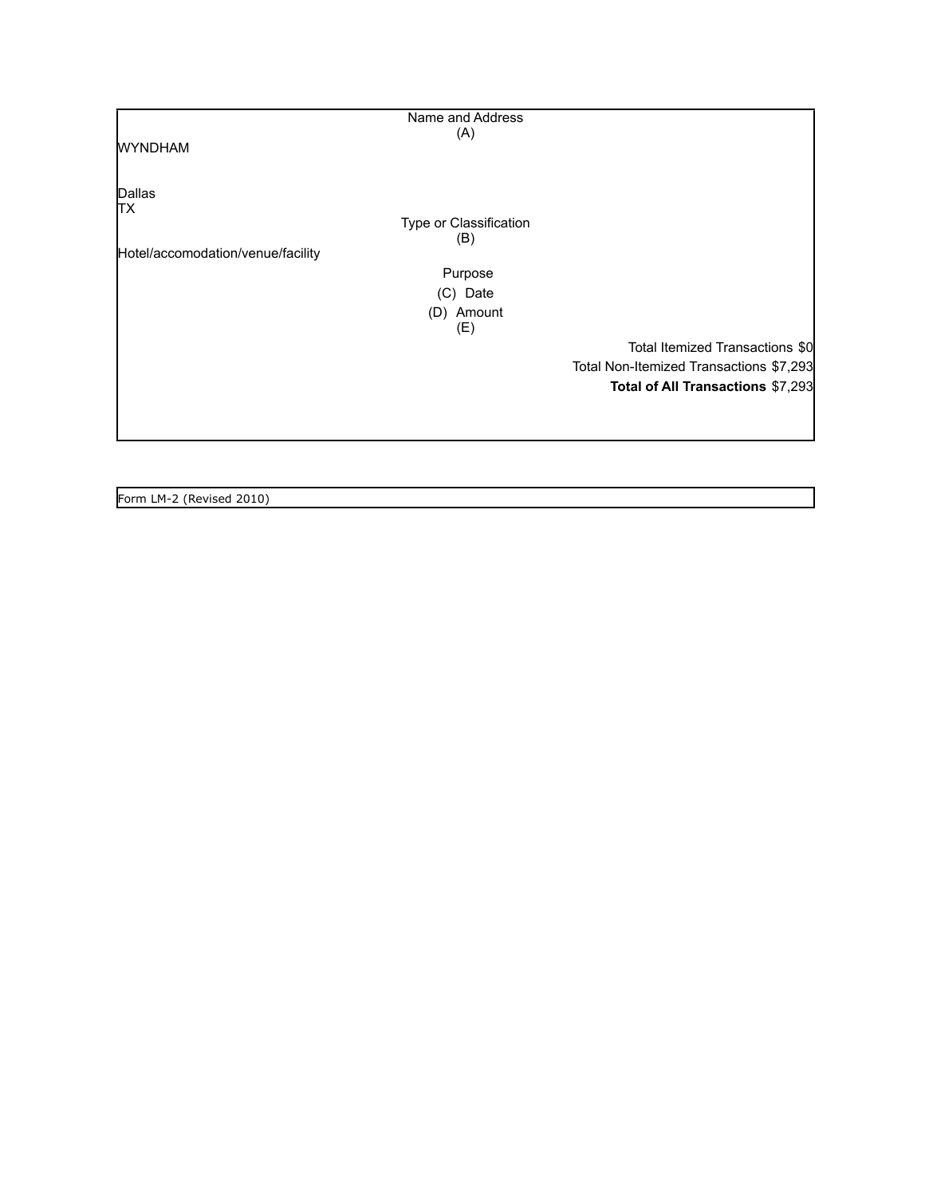| Name and Address                  |                                         |
|-----------------------------------|-----------------------------------------|
| (A)                               |                                         |
| <b>WYNDHAM</b>                    |                                         |
|                                   |                                         |
|                                   |                                         |
| Dallas                            |                                         |
| TХ                                |                                         |
| Type or Classification            |                                         |
| (B)                               |                                         |
| Hotel/accomodation/venue/facility |                                         |
| Purpose                           |                                         |
| (C) Date                          |                                         |
| (D) Amount                        |                                         |
| (E)                               |                                         |
|                                   | Total Itemized Transactions \$0         |
|                                   | Total Non-Itemized Transactions \$7,293 |
|                                   | Total of All Transactions \$7,293       |
|                                   |                                         |
|                                   |                                         |
|                                   |                                         |
|                                   |                                         |

Form LM-2 (Revised 2010)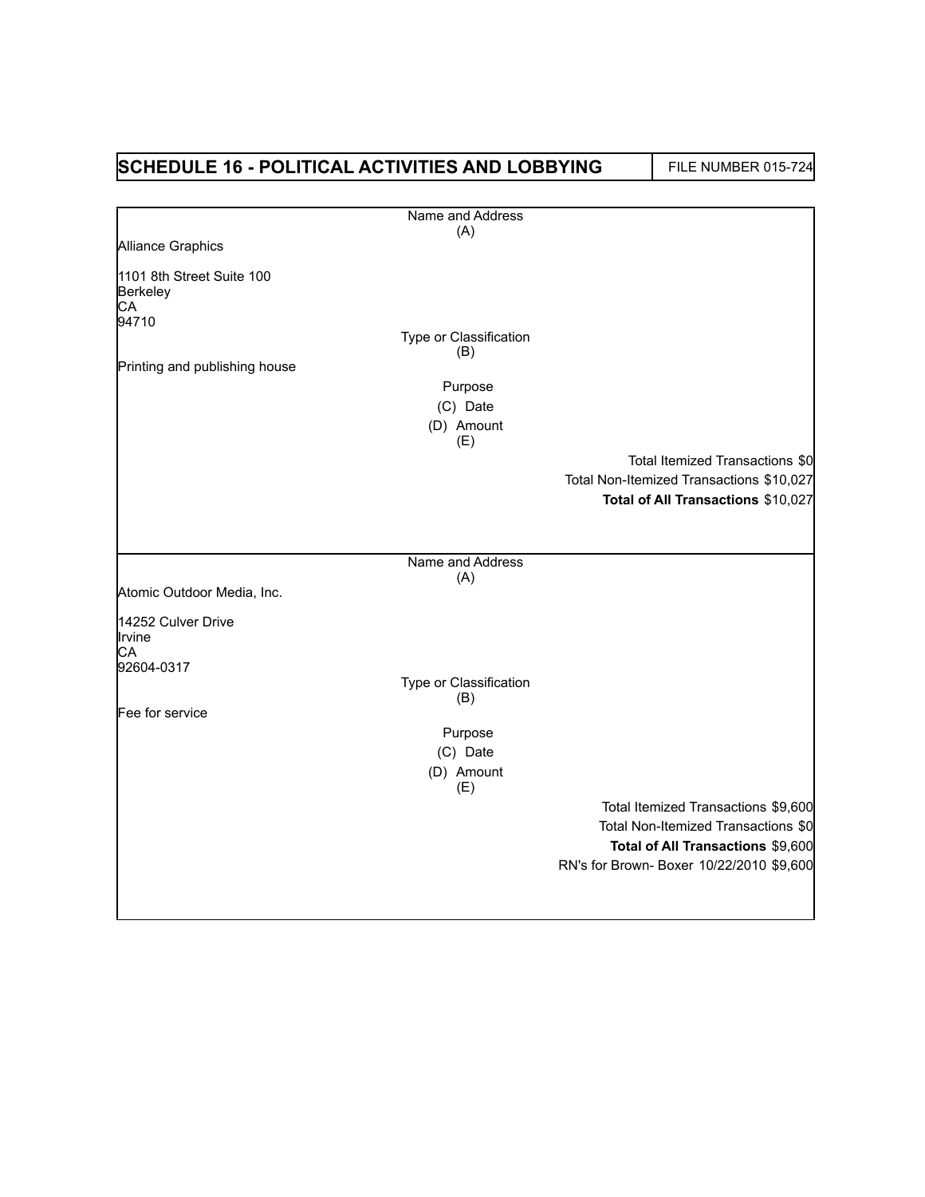## **SCHEDULE 16 - POLITICAL ACTIVITIES AND LOBBYING** FILE NUMBER 015-724

|                                             | Name and Address              |                                          |
|---------------------------------------------|-------------------------------|------------------------------------------|
|                                             | (A)                           |                                          |
| Alliance Graphics                           |                               |                                          |
| 1101 8th Street Suite 100<br>Berkeley<br>CA |                               |                                          |
| 94710                                       |                               |                                          |
|                                             | Type or Classification<br>(B) |                                          |
| Printing and publishing house               |                               |                                          |
|                                             | Purpose                       |                                          |
|                                             | (C) Date                      |                                          |
|                                             | (D) Amount<br>(E)             |                                          |
|                                             |                               | Total Itemized Transactions \$0          |
|                                             |                               | Total Non-Itemized Transactions \$10,027 |
|                                             |                               | Total of All Transactions \$10,027       |
|                                             |                               |                                          |
|                                             | Name and Address              |                                          |
|                                             | (A)                           |                                          |
| Atomic Outdoor Media, Inc.                  |                               |                                          |
| 14252 Culver Drive<br>Irvine<br>CA          |                               |                                          |
| 92604-0317                                  |                               |                                          |
|                                             | Type or Classification<br>(B) |                                          |
| Fee for service                             |                               |                                          |
|                                             | Purpose                       |                                          |
|                                             | (C) Date                      |                                          |
|                                             | (D) Amount<br>(E)             |                                          |
|                                             |                               | Total Itemized Transactions \$9,600      |
|                                             |                               | Total Non-Itemized Transactions \$0      |
|                                             |                               | Total of All Transactions \$9,600        |
|                                             |                               | RN's for Brown- Boxer 10/22/2010 \$9,600 |
|                                             |                               |                                          |
|                                             |                               |                                          |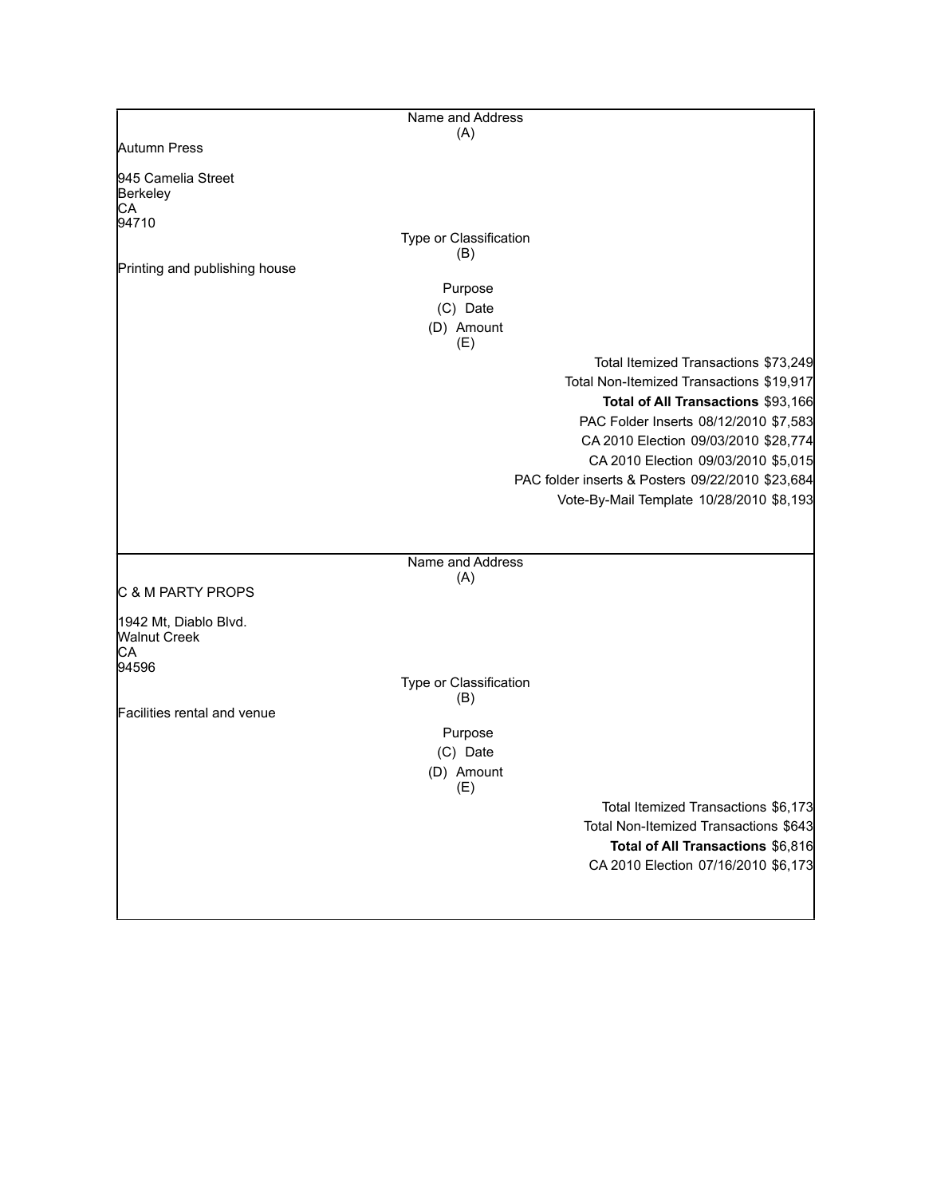|                                              | Name and Address              |                                                  |
|----------------------------------------------|-------------------------------|--------------------------------------------------|
|                                              | (A)                           |                                                  |
| Autumn Press                                 |                               |                                                  |
| 945 Camelia Street<br>Berkeley               |                               |                                                  |
| СA<br>94710                                  |                               |                                                  |
|                                              | Type or Classification<br>(B) |                                                  |
| Printing and publishing house                |                               |                                                  |
|                                              | Purpose                       |                                                  |
|                                              | (C) Date                      |                                                  |
|                                              | (D) Amount<br>(E)             |                                                  |
|                                              |                               | Total Itemized Transactions \$73,249             |
|                                              |                               | Total Non-Itemized Transactions \$19,917         |
|                                              |                               | Total of All Transactions \$93,166               |
|                                              |                               | PAC Folder Inserts 08/12/2010 \$7,583            |
|                                              |                               | CA 2010 Election 09/03/2010 \$28,774             |
|                                              |                               | CA 2010 Election 09/03/2010 \$5,015              |
|                                              |                               | PAC folder inserts & Posters 09/22/2010 \$23,684 |
|                                              |                               | Vote-By-Mail Template 10/28/2010 \$8,193         |
|                                              |                               |                                                  |
|                                              | Name and Address              |                                                  |
|                                              | (A)                           |                                                  |
| C & M PARTY PROPS                            |                               |                                                  |
| 1942 Mt, Diablo Blvd.<br><b>Walnut Creek</b> |                               |                                                  |
| CA                                           |                               |                                                  |
| 94596                                        |                               |                                                  |
|                                              | Type or Classification<br>(B) |                                                  |
| Facilities rental and venue                  |                               |                                                  |
|                                              | Purpose                       |                                                  |
|                                              | (C) Date                      |                                                  |
|                                              | (D) Amount<br>(E)             |                                                  |
|                                              |                               | Total Itemized Transactions \$6,173              |
|                                              |                               | Total Non-Itemized Transactions \$643            |
|                                              |                               | Total of All Transactions \$6,816                |
|                                              |                               | CA 2010 Election 07/16/2010 \$6,173              |
|                                              |                               |                                                  |
|                                              |                               |                                                  |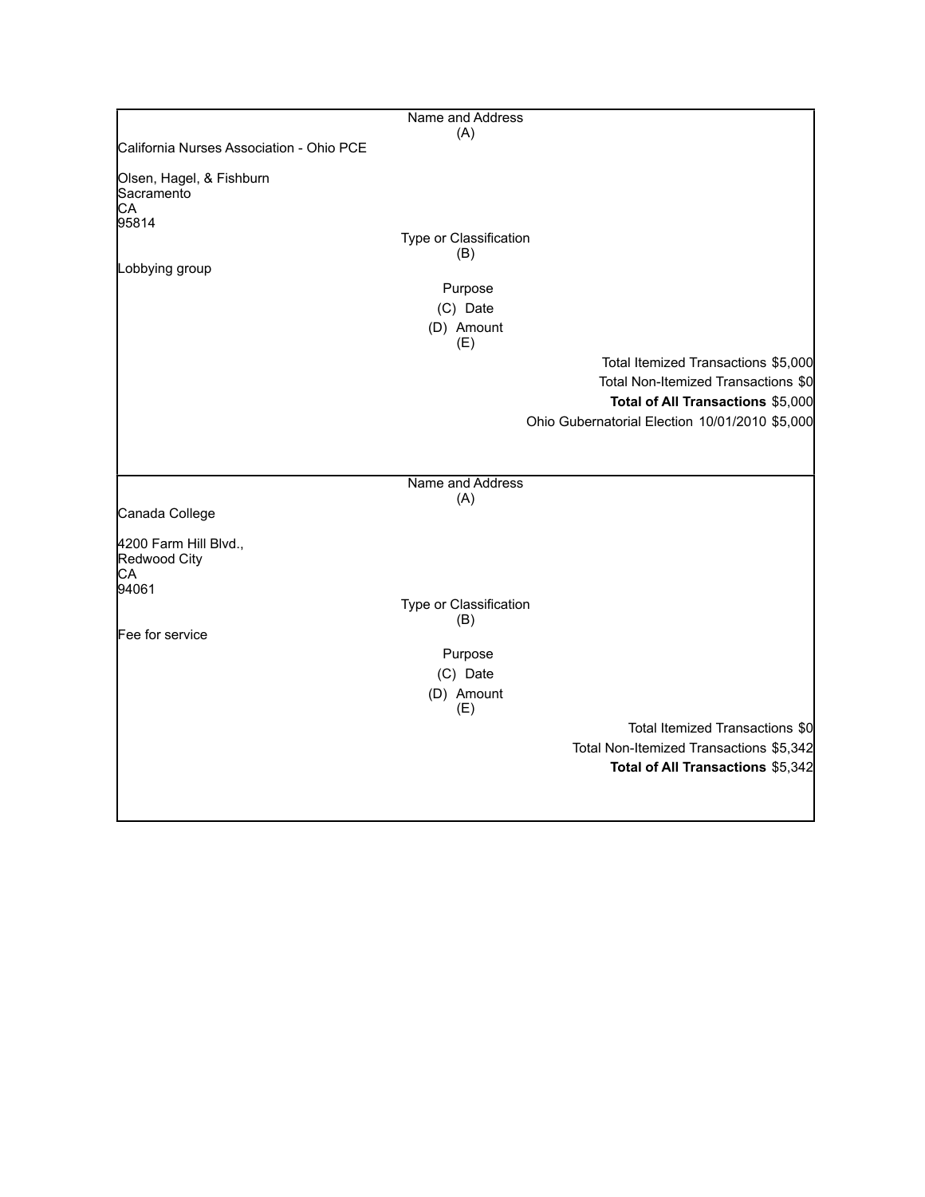|                                                      | Name and Address              |                                                                                                                 |
|------------------------------------------------------|-------------------------------|-----------------------------------------------------------------------------------------------------------------|
| California Nurses Association - Ohio PCE             | (A)                           |                                                                                                                 |
| Olsen, Hagel, & Fishburn<br>Sacramento<br>CA         |                               |                                                                                                                 |
| 95814                                                |                               |                                                                                                                 |
|                                                      | Type or Classification<br>(B) |                                                                                                                 |
| Lobbying group                                       |                               |                                                                                                                 |
|                                                      | Purpose                       |                                                                                                                 |
|                                                      | (C) Date                      |                                                                                                                 |
|                                                      | (D) Amount<br>(E)             |                                                                                                                 |
|                                                      |                               | Total Itemized Transactions \$5,000<br>Total Non-Itemized Transactions \$0<br>Total of All Transactions \$5,000 |
|                                                      |                               | Ohio Gubernatorial Election 10/01/2010 \$5,000                                                                  |
|                                                      | Name and Address              |                                                                                                                 |
| Canada College                                       | (A)                           |                                                                                                                 |
| 4200 Farm Hill Blvd.,<br>Redwood City<br>CA<br>94061 |                               |                                                                                                                 |
|                                                      | Type or Classification<br>(B) |                                                                                                                 |
| Fee for service                                      |                               |                                                                                                                 |
|                                                      | Purpose<br>(C) Date           |                                                                                                                 |
|                                                      | (D) Amount<br>(E)             |                                                                                                                 |
|                                                      |                               | Total Itemized Transactions \$0                                                                                 |
|                                                      |                               | Total Non-Itemized Transactions \$5,342                                                                         |
|                                                      |                               | Total of All Transactions \$5,342                                                                               |
|                                                      |                               |                                                                                                                 |
|                                                      |                               |                                                                                                                 |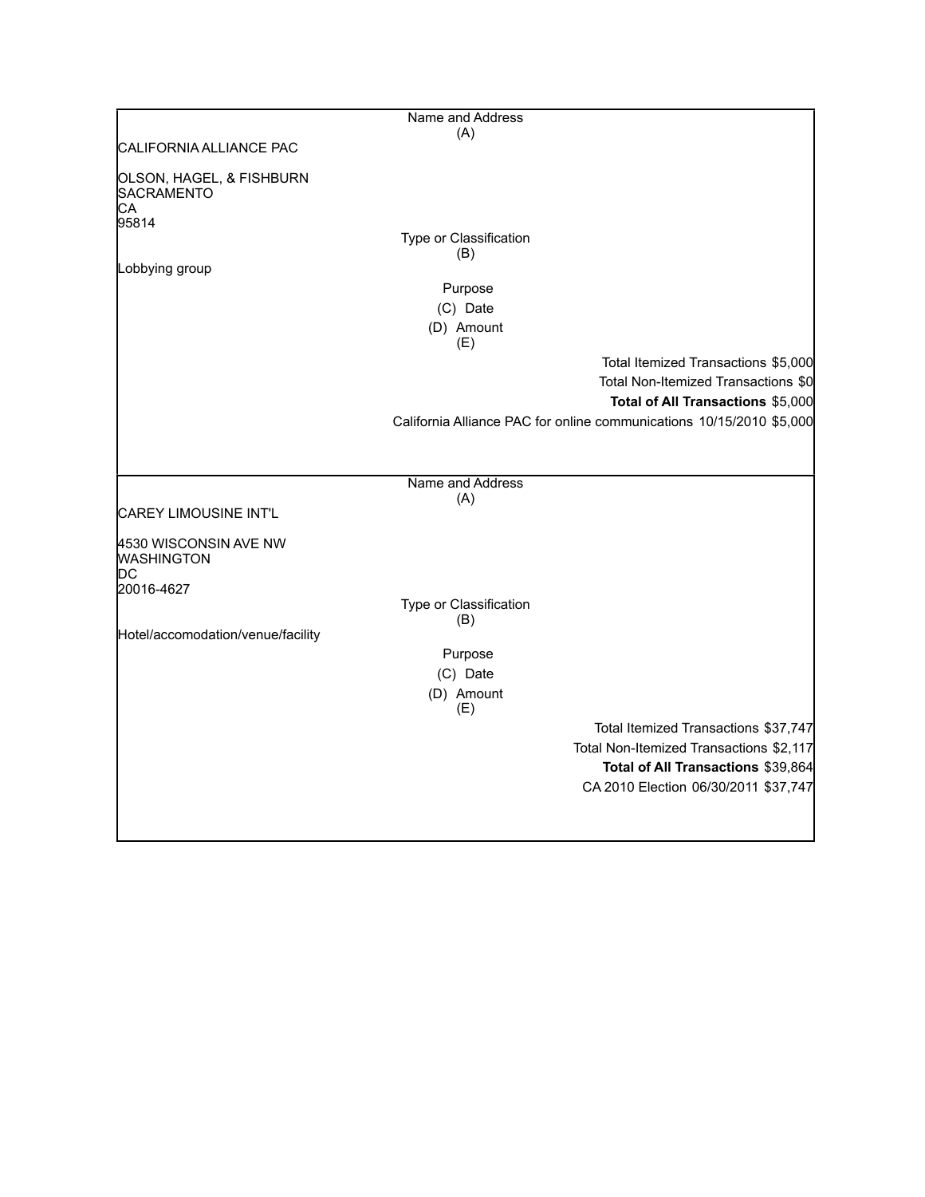|                                                                | Name and Address        |                                                                                                                                                                                         |
|----------------------------------------------------------------|-------------------------|-----------------------------------------------------------------------------------------------------------------------------------------------------------------------------------------|
|                                                                | (A)                     |                                                                                                                                                                                         |
| ICALIFORNIA ALLIANCE PAC                                       |                         |                                                                                                                                                                                         |
| OLSON, HAGEL, & FISHBURN<br>SACRAMENTO<br>CA<br>95814          |                         |                                                                                                                                                                                         |
|                                                                | Type or Classification  |                                                                                                                                                                                         |
| Lobbying group                                                 | (B)                     |                                                                                                                                                                                         |
|                                                                | Purpose                 |                                                                                                                                                                                         |
|                                                                | (C) Date                |                                                                                                                                                                                         |
|                                                                | (D) Amount              |                                                                                                                                                                                         |
|                                                                | (E)                     |                                                                                                                                                                                         |
|                                                                |                         | Total Itemized Transactions \$5,000<br>Total Non-Itemized Transactions \$0<br>Total of All Transactions \$5,000<br>California Alliance PAC for online communications 10/15/2010 \$5,000 |
|                                                                |                         |                                                                                                                                                                                         |
| <b>CAREY LIMOUSINE INT'L</b>                                   | Name and Address<br>(A) |                                                                                                                                                                                         |
| 4530 WISCONSIN AVE NW<br><b>WASHINGTON</b><br>DС<br>20016-4627 |                         |                                                                                                                                                                                         |
|                                                                | Type or Classification  |                                                                                                                                                                                         |
|                                                                | (B)                     |                                                                                                                                                                                         |
| Hotel/accomodation/venue/facility                              | Purpose                 |                                                                                                                                                                                         |
|                                                                | (C) Date                |                                                                                                                                                                                         |
|                                                                | (D) Amount<br>(E)       |                                                                                                                                                                                         |
|                                                                |                         | Total Itemized Transactions \$37,747                                                                                                                                                    |
|                                                                |                         | Total Non-Itemized Transactions \$2,117                                                                                                                                                 |
|                                                                |                         | Total of All Transactions \$39,864                                                                                                                                                      |
|                                                                |                         | CA 2010 Election 06/30/2011 \$37,747                                                                                                                                                    |
|                                                                |                         |                                                                                                                                                                                         |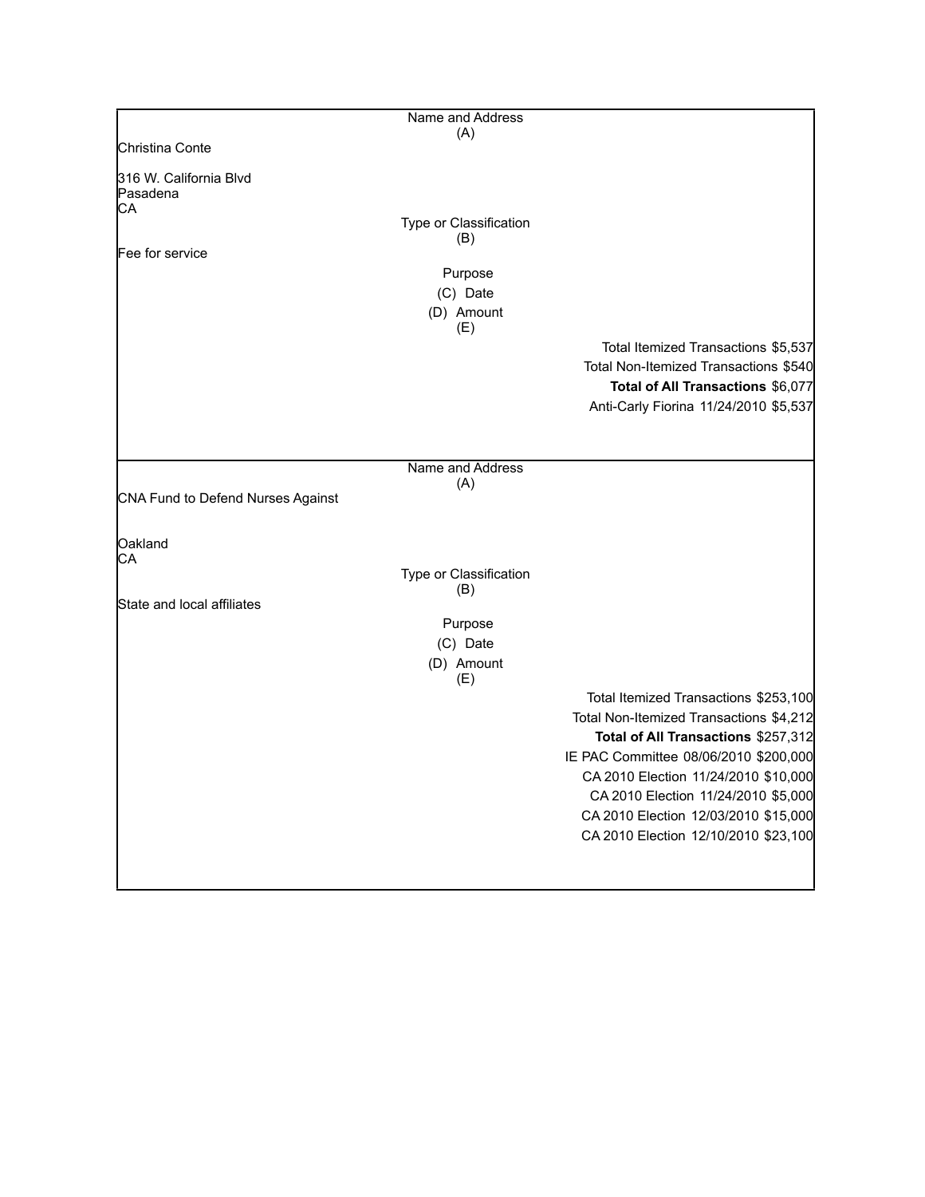|                                          | Name and Address        |                                         |
|------------------------------------------|-------------------------|-----------------------------------------|
|                                          | (A)                     |                                         |
| Christina Conte                          |                         |                                         |
| 316 W. California Blvd<br>Pasadena<br>CA |                         |                                         |
|                                          | Type or Classification  |                                         |
|                                          | (B)                     |                                         |
| Fee for service                          |                         |                                         |
|                                          | Purpose                 |                                         |
|                                          | (C) Date                |                                         |
|                                          | (D) Amount<br>(E)       |                                         |
|                                          |                         | Total Itemized Transactions \$5,537     |
|                                          |                         | Total Non-Itemized Transactions \$540   |
|                                          |                         | Total of All Transactions \$6,077       |
|                                          |                         | Anti-Carly Fiorina 11/24/2010 \$5,537   |
|                                          |                         |                                         |
|                                          |                         |                                         |
|                                          | Name and Address<br>(A) |                                         |
| CNA Fund to Defend Nurses Against        |                         |                                         |
|                                          |                         |                                         |
| Oakland                                  |                         |                                         |
| CA                                       | Type or Classification  |                                         |
|                                          | (B)                     |                                         |
| State and local affiliates               |                         |                                         |
|                                          | Purpose                 |                                         |
|                                          | (C) Date                |                                         |
|                                          | (D) Amount<br>(E)       |                                         |
|                                          |                         | Total Itemized Transactions \$253,100   |
|                                          |                         | Total Non-Itemized Transactions \$4,212 |
|                                          |                         | Total of All Transactions \$257,312     |
|                                          |                         | IE PAC Committee 08/06/2010 \$200,000   |
|                                          |                         | CA 2010 Election 11/24/2010 \$10,000    |
|                                          |                         | CA 2010 Election 11/24/2010 \$5,000     |
|                                          |                         | CA 2010 Election 12/03/2010 \$15,000    |
|                                          |                         | CA 2010 Election 12/10/2010 \$23,100    |
|                                          |                         |                                         |
|                                          |                         |                                         |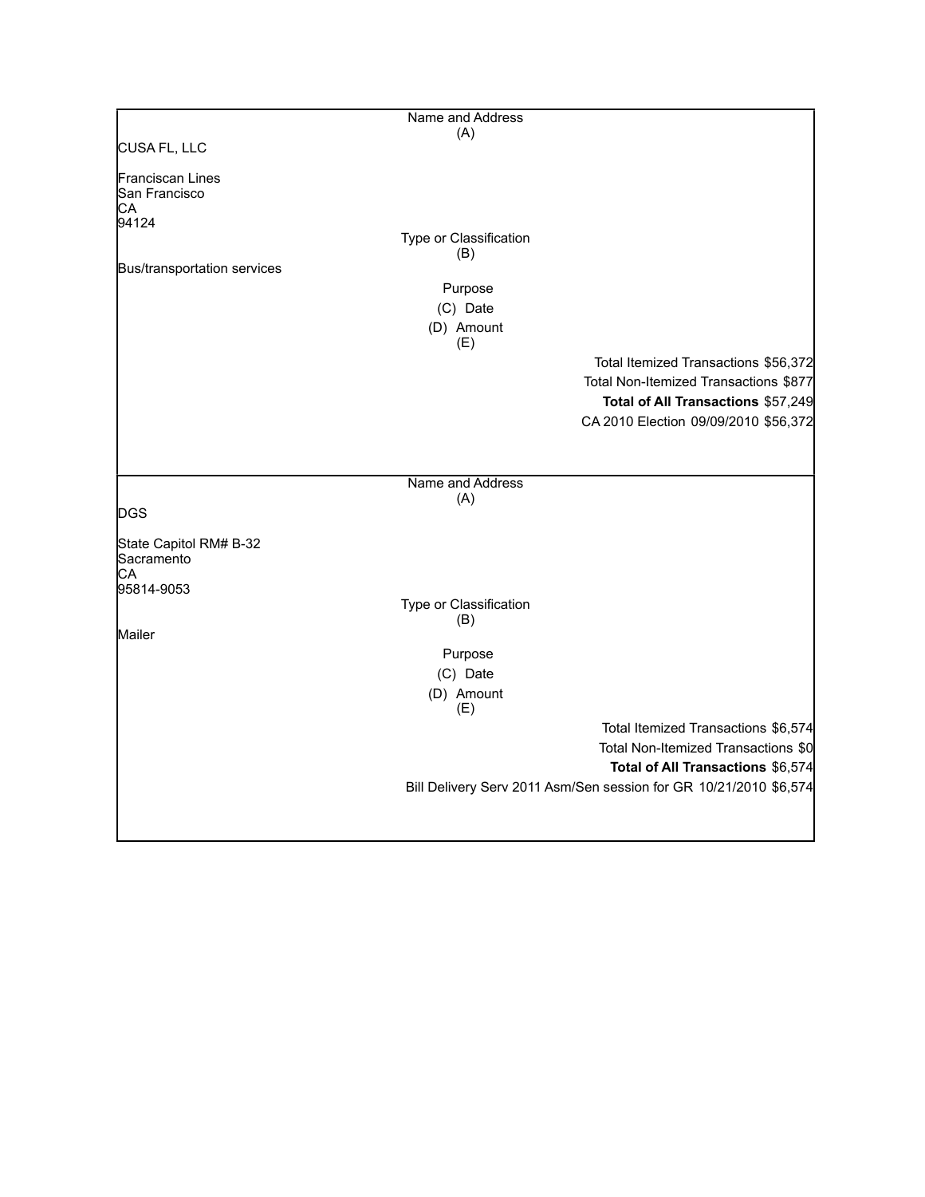|                                            | Name and Address              |                                                                   |
|--------------------------------------------|-------------------------------|-------------------------------------------------------------------|
|                                            | (A)                           |                                                                   |
| CUSA FL, LLC                               |                               |                                                                   |
| Franciscan Lines<br>San Francisco<br>CА    |                               |                                                                   |
| 94124                                      |                               |                                                                   |
|                                            | Type or Classification<br>(B) |                                                                   |
| Bus/transportation services                |                               |                                                                   |
|                                            | Purpose                       |                                                                   |
|                                            | (C) Date                      |                                                                   |
|                                            | (D) Amount<br>(E)             |                                                                   |
|                                            |                               | Total Itemized Transactions \$56,372                              |
|                                            |                               | Total Non-Itemized Transactions \$877                             |
|                                            |                               | Total of All Transactions \$57,249                                |
|                                            |                               | CA 2010 Election 09/09/2010 \$56,372                              |
|                                            |                               |                                                                   |
|                                            | Name and Address              |                                                                   |
|                                            | (A)                           |                                                                   |
| <b>DGS</b>                                 |                               |                                                                   |
| State Capitol RM# B-32<br>Sacramento<br>СA |                               |                                                                   |
| 95814-9053                                 |                               |                                                                   |
|                                            | Type or Classification<br>(B) |                                                                   |
| Mailer                                     |                               |                                                                   |
|                                            | Purpose                       |                                                                   |
|                                            | (C) Date                      |                                                                   |
|                                            | (D) Amount<br>(E)             |                                                                   |
|                                            |                               | Total Itemized Transactions \$6,574                               |
|                                            |                               | Total Non-Itemized Transactions \$0                               |
|                                            |                               | Total of All Transactions \$6,574                                 |
|                                            |                               | Bill Delivery Serv 2011 Asm/Sen session for GR 10/21/2010 \$6,574 |
|                                            |                               |                                                                   |
|                                            |                               |                                                                   |
|                                            |                               |                                                                   |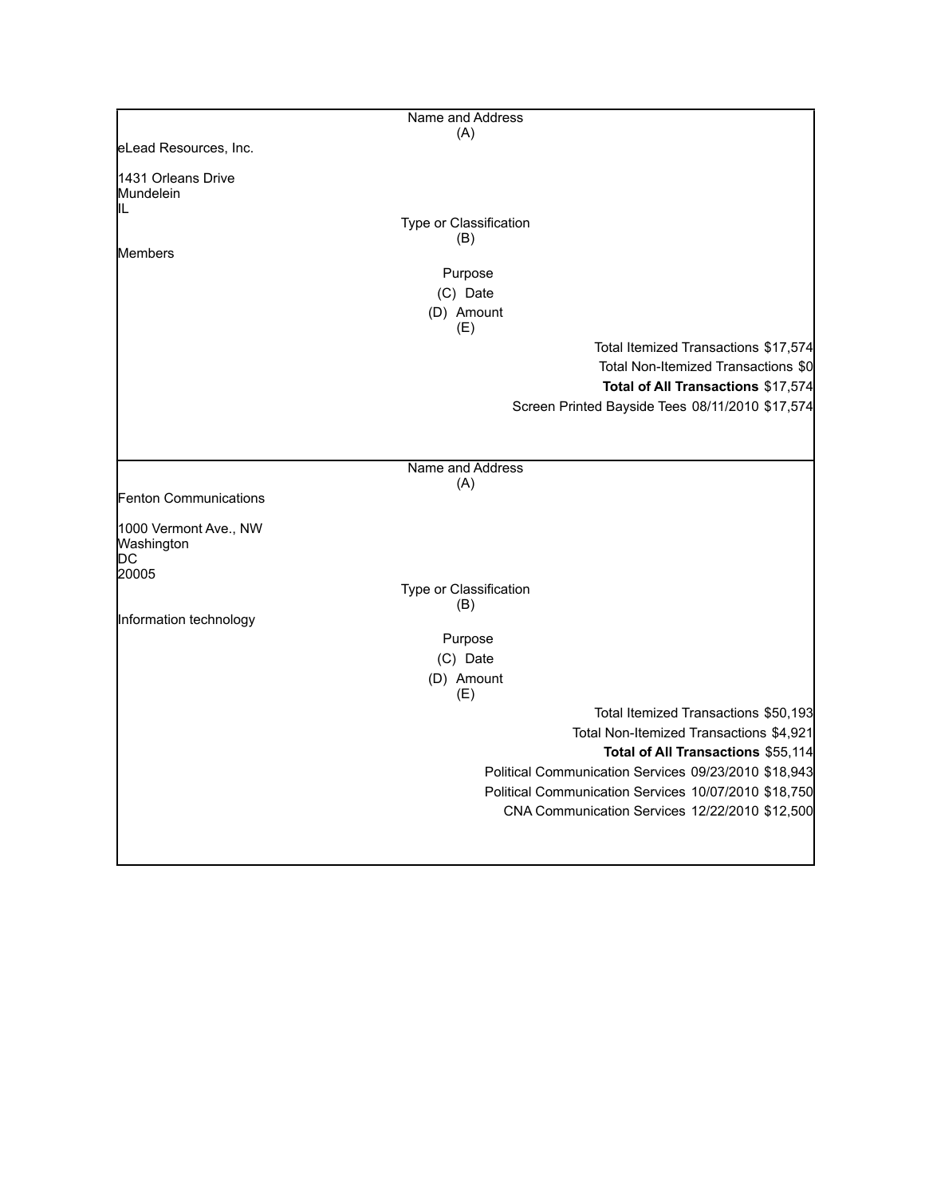|                                       | Name and Address       |                                                      |
|---------------------------------------|------------------------|------------------------------------------------------|
|                                       | (A)                    |                                                      |
| eLead Resources, Inc.                 |                        |                                                      |
| 1431 Orleans Drive<br>Mundelein<br>IL |                        |                                                      |
|                                       | Type or Classification |                                                      |
|                                       | (B)                    |                                                      |
| Members                               | Purpose                |                                                      |
|                                       | (C) Date               |                                                      |
|                                       | (D) Amount             |                                                      |
|                                       | (E)                    |                                                      |
|                                       |                        | Total Itemized Transactions \$17,574                 |
|                                       |                        | Total Non-Itemized Transactions \$0                  |
|                                       |                        | Total of All Transactions \$17,574                   |
|                                       |                        | Screen Printed Bayside Tees 08/11/2010 \$17,574      |
|                                       |                        |                                                      |
|                                       |                        |                                                      |
|                                       | Name and Address       |                                                      |
| Fenton Communications                 | (A)                    |                                                      |
|                                       |                        |                                                      |
| 1000 Vermont Ave., NW                 |                        |                                                      |
| Washington<br>DС                      |                        |                                                      |
| 20005                                 |                        |                                                      |
|                                       | Type or Classification |                                                      |
| Information technology                | (B)                    |                                                      |
|                                       | Purpose                |                                                      |
|                                       | (C) Date               |                                                      |
|                                       | (D) Amount             |                                                      |
|                                       | (E)                    |                                                      |
|                                       |                        | Total Itemized Transactions \$50,193                 |
|                                       |                        | Total Non-Itemized Transactions \$4,921              |
|                                       |                        | Total of All Transactions \$55,114                   |
|                                       |                        | Political Communication Services 09/23/2010 \$18,943 |
|                                       |                        | Political Communication Services 10/07/2010 \$18,750 |
|                                       |                        | CNA Communication Services 12/22/2010 \$12,500       |
|                                       |                        |                                                      |
|                                       |                        |                                                      |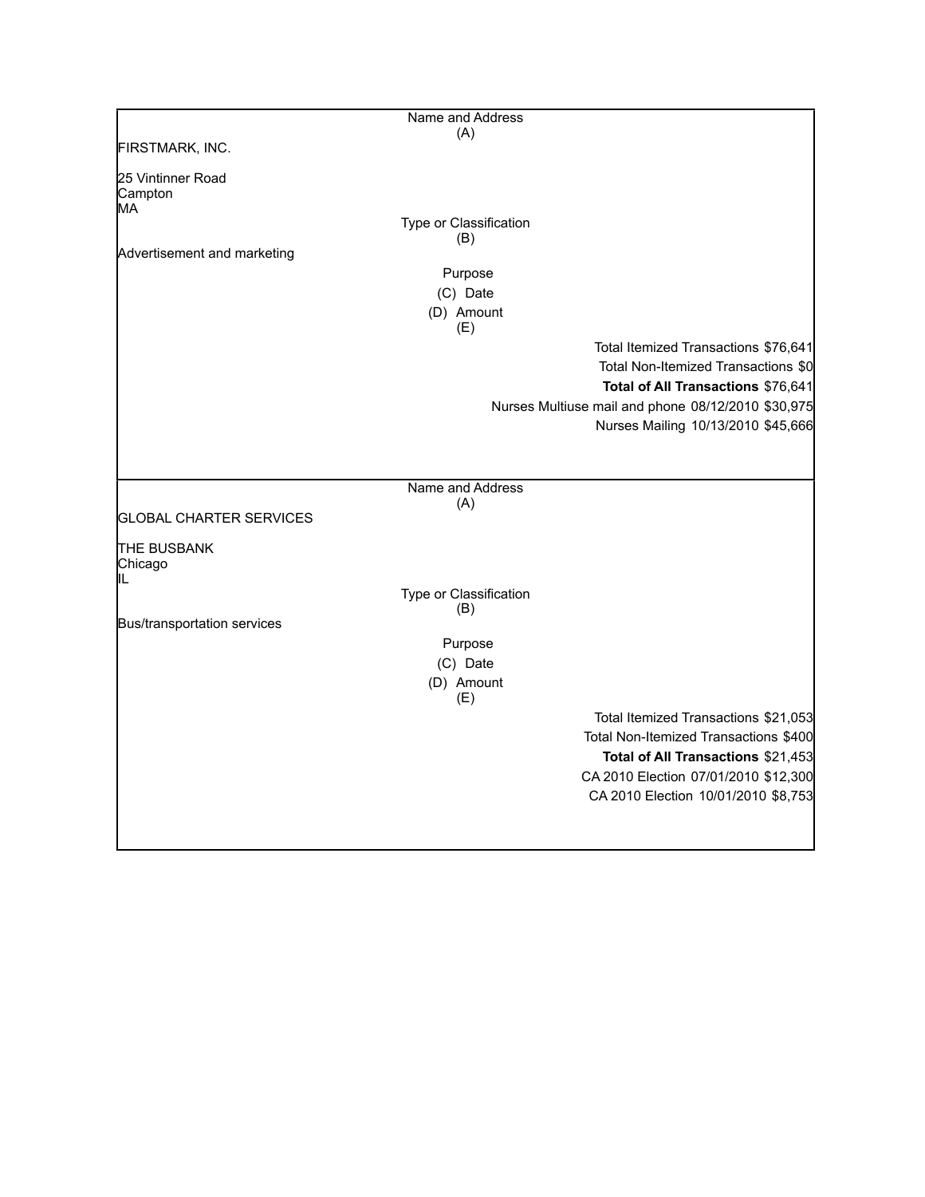|                                     | Name and Address       |                                                    |
|-------------------------------------|------------------------|----------------------------------------------------|
| FIRSTMARK, INC.                     | (A)                    |                                                    |
|                                     |                        |                                                    |
| 25 Vintinner Road<br>Campton<br>MA  |                        |                                                    |
|                                     | Type or Classification |                                                    |
|                                     | (B)                    |                                                    |
| Advertisement and marketing         | Purpose                |                                                    |
|                                     | (C) Date               |                                                    |
|                                     | (D) Amount             |                                                    |
|                                     | (E)                    |                                                    |
|                                     |                        | Total Itemized Transactions \$76,641               |
|                                     |                        | Total Non-Itemized Transactions \$0                |
|                                     |                        | Total of All Transactions \$76,641                 |
|                                     |                        | Nurses Multiuse mail and phone 08/12/2010 \$30,975 |
|                                     |                        | Nurses Mailing 10/13/2010 \$45,666                 |
|                                     |                        |                                                    |
|                                     |                        |                                                    |
|                                     | Name and Address       |                                                    |
| <b>GLOBAL CHARTER SERVICES</b>      | (A)                    |                                                    |
|                                     |                        |                                                    |
| <b>THE BUSBANK</b><br>Chicago<br>IL |                        |                                                    |
|                                     | Type or Classification |                                                    |
|                                     | (B)                    |                                                    |
| Bus/transportation services         |                        |                                                    |
|                                     | Purpose                |                                                    |
|                                     | (C) Date               |                                                    |
|                                     | (D) Amount<br>(E)      |                                                    |
|                                     |                        | Total Itemized Transactions \$21,053               |
|                                     |                        | Total Non-Itemized Transactions \$400              |
|                                     |                        | Total of All Transactions \$21,453                 |
|                                     |                        | CA 2010 Election 07/01/2010 \$12,300               |
|                                     |                        | CA 2010 Election 10/01/2010 \$8,753                |
|                                     |                        |                                                    |
|                                     |                        |                                                    |

 $\mathbf{I}$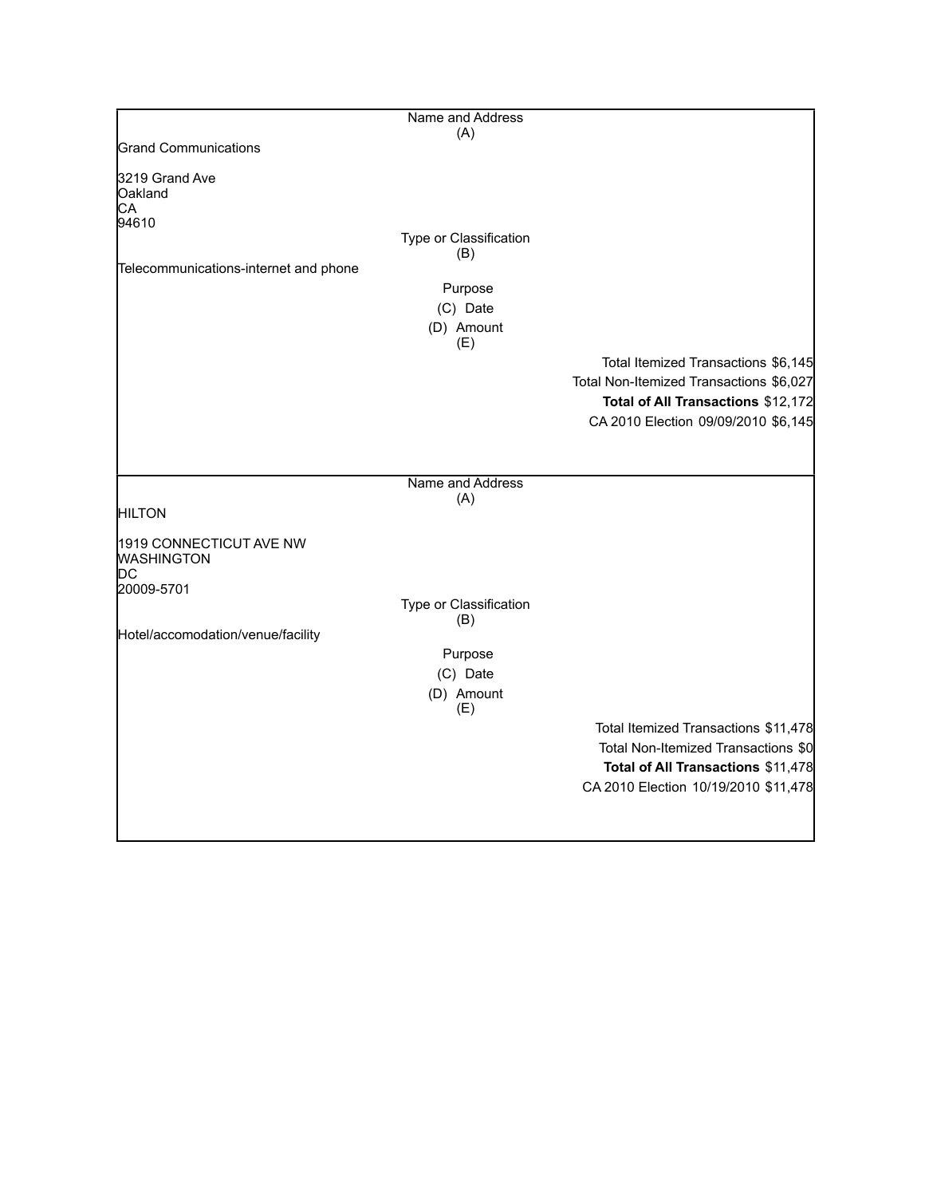|                                              | Name and Address       |                                         |
|----------------------------------------------|------------------------|-----------------------------------------|
|                                              | (A)                    |                                         |
| <b>Grand Communications</b>                  |                        |                                         |
| 3219 Grand Ave                               |                        |                                         |
| Oakland                                      |                        |                                         |
| СA                                           |                        |                                         |
| 94610                                        | Type or Classification |                                         |
|                                              | (B)                    |                                         |
| Telecommunications-internet and phone        |                        |                                         |
|                                              | Purpose                |                                         |
|                                              | (C) Date               |                                         |
|                                              | (D) Amount             |                                         |
|                                              | (E)                    |                                         |
|                                              |                        | Total Itemized Transactions \$6,145     |
|                                              |                        | Total Non-Itemized Transactions \$6,027 |
|                                              |                        | Total of All Transactions \$12,172      |
|                                              |                        | CA 2010 Election 09/09/2010 \$6,145     |
|                                              |                        |                                         |
|                                              |                        |                                         |
|                                              | Name and Address       |                                         |
|                                              | (A)                    |                                         |
| <b>HILTON</b>                                |                        |                                         |
|                                              |                        |                                         |
| 1919 CONNECTICUT AVE NW<br><b>WASHINGTON</b> |                        |                                         |
| IDС                                          |                        |                                         |
| 20009-5701                                   |                        |                                         |
|                                              | Type or Classification |                                         |
|                                              | (B)                    |                                         |
| Hotel/accomodation/venue/facility            |                        |                                         |
|                                              | Purpose                |                                         |
|                                              | (C) Date               |                                         |
|                                              | (D) Amount             |                                         |
|                                              | (E)                    |                                         |
|                                              |                        | Total Itemized Transactions \$11,478    |
|                                              |                        | Total Non-Itemized Transactions \$0     |
|                                              |                        | Total of All Transactions \$11,478      |
|                                              |                        | CA 2010 Election 10/19/2010 \$11,478    |
|                                              |                        |                                         |
|                                              |                        |                                         |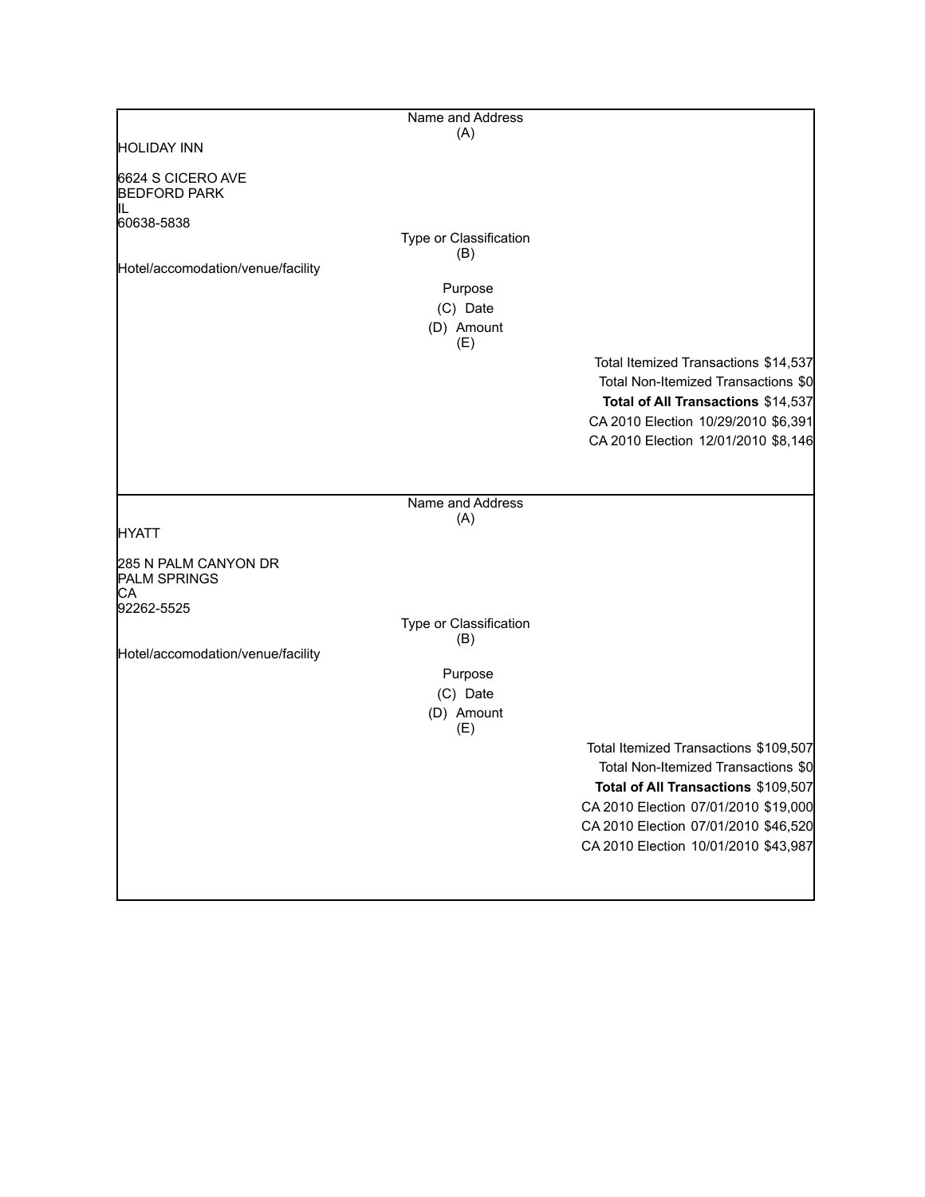|                                                                 | Name and Address                                |                                                                                                                                                                                                                                             |
|-----------------------------------------------------------------|-------------------------------------------------|---------------------------------------------------------------------------------------------------------------------------------------------------------------------------------------------------------------------------------------------|
| <b>HOLIDAY INN</b>                                              | (A)                                             |                                                                                                                                                                                                                                             |
| 6624 S CICERO AVE<br><b>BEDFORD PARK</b>                        |                                                 |                                                                                                                                                                                                                                             |
| 60638-5838<br>Hotel/accomodation/venue/facility                 | Type or Classification<br>(B)                   |                                                                                                                                                                                                                                             |
|                                                                 | Purpose<br>(C) Date<br>(D) Amount<br>(E)        |                                                                                                                                                                                                                                             |
|                                                                 |                                                 | Total Itemized Transactions \$14,537<br>Total Non-Itemized Transactions \$0<br>Total of All Transactions \$14,537<br>CA 2010 Election 10/29/2010 \$6,391<br>CA 2010 Election 12/01/2010 \$8,146                                             |
|                                                                 | Name and Address                                |                                                                                                                                                                                                                                             |
| <b>HYATT</b>                                                    | (A)                                             |                                                                                                                                                                                                                                             |
| 285 N PALM CANYON DR<br><b>PALM SPRINGS</b><br>CА<br>92262-5525 | Type or Classification                          |                                                                                                                                                                                                                                             |
| Hotel/accomodation/venue/facility                               | (B)<br>Purpose<br>(C) Date<br>(D) Amount<br>(E) |                                                                                                                                                                                                                                             |
|                                                                 |                                                 | Total Itemized Transactions \$109,507<br>Total Non-Itemized Transactions \$0<br>Total of All Transactions \$109,507<br>CA 2010 Election 07/01/2010 \$19,000<br>CA 2010 Election 07/01/2010 \$46,520<br>CA 2010 Election 10/01/2010 \$43,987 |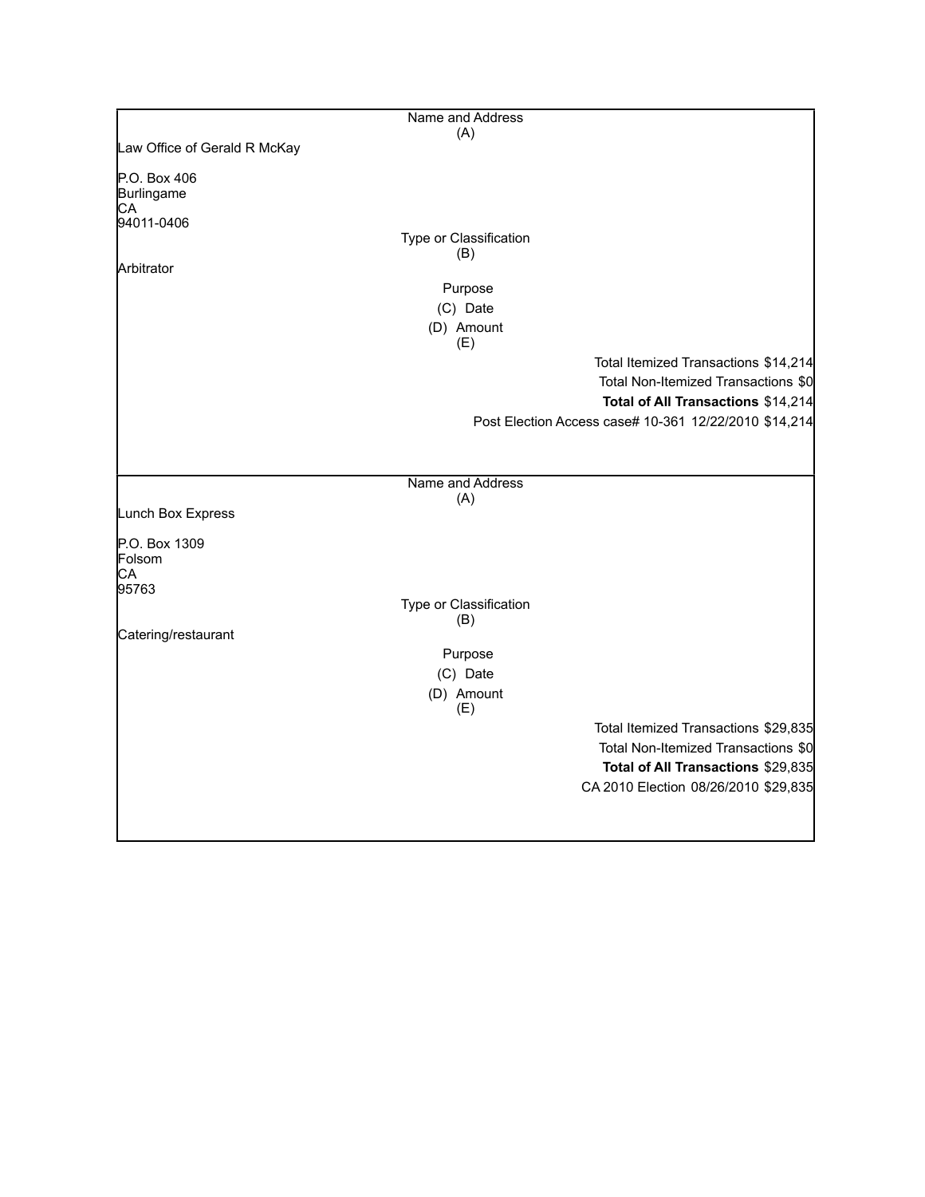|                              | Name and Address       |                                                       |
|------------------------------|------------------------|-------------------------------------------------------|
|                              | (A)                    |                                                       |
| Law Office of Gerald R McKay |                        |                                                       |
| P.O. Box 406                 |                        |                                                       |
| Burlingame                   |                        |                                                       |
| CA                           |                        |                                                       |
| 94011-0406                   | Type or Classification |                                                       |
|                              | (B)                    |                                                       |
| Arbitrator                   |                        |                                                       |
|                              | Purpose                |                                                       |
|                              | (C) Date               |                                                       |
|                              | (D) Amount             |                                                       |
|                              | (E)                    |                                                       |
|                              |                        | Total Itemized Transactions \$14,214                  |
|                              |                        | Total Non-Itemized Transactions \$0                   |
|                              |                        | Total of All Transactions \$14,214                    |
|                              |                        | Post Election Access case# 10-361 12/22/2010 \$14,214 |
|                              |                        |                                                       |
|                              |                        |                                                       |
|                              | Name and Address       |                                                       |
|                              | (A)                    |                                                       |
| Lunch Box Express            |                        |                                                       |
|                              |                        |                                                       |
| P.O. Box 1309<br>Folsom      |                        |                                                       |
| СA                           |                        |                                                       |
| 95763                        |                        |                                                       |
|                              | Type or Classification |                                                       |
| Catering/restaurant          | (B)                    |                                                       |
|                              | Purpose                |                                                       |
|                              |                        |                                                       |
|                              | (C) Date               |                                                       |
|                              | (D) Amount<br>(E)      |                                                       |
|                              |                        | Total Itemized Transactions \$29,835                  |
|                              |                        | Total Non-Itemized Transactions \$0                   |
|                              |                        |                                                       |
|                              |                        | Total of All Transactions \$29,835                    |
|                              |                        | CA 2010 Election 08/26/2010 \$29,835                  |
|                              |                        |                                                       |
|                              |                        |                                                       |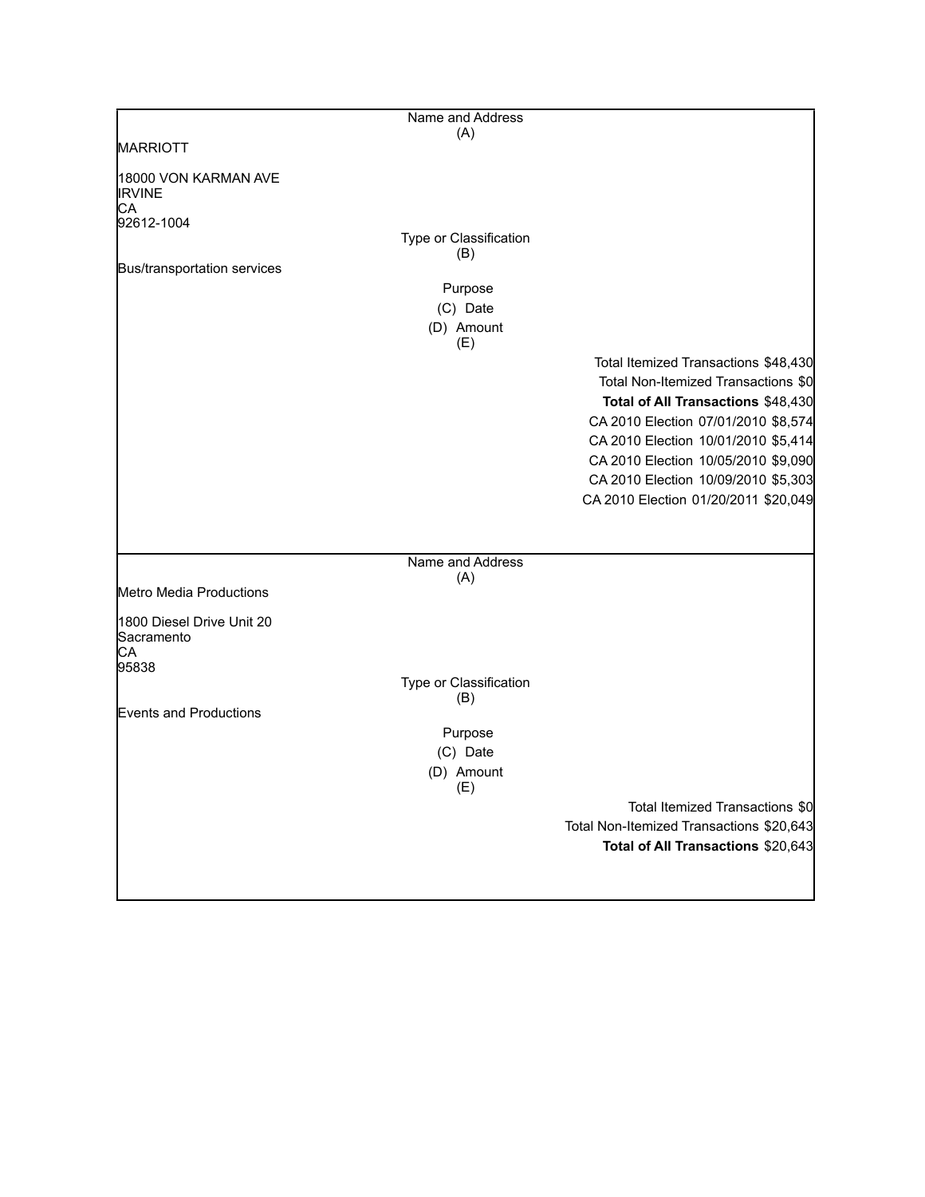|                                         | Name and Address              |                                          |
|-----------------------------------------|-------------------------------|------------------------------------------|
|                                         | (A)                           |                                          |
| <b>MARRIOTT</b>                         |                               |                                          |
| 18000 VON KARMAN AVE<br><b>IRVINE</b>   |                               |                                          |
| IСA<br>92612-1004                       |                               |                                          |
|                                         | Type or Classification        |                                          |
|                                         | (B)                           |                                          |
| Bus/transportation services             |                               |                                          |
|                                         | Purpose                       |                                          |
|                                         | (C) Date                      |                                          |
|                                         | (D) Amount<br>(E)             |                                          |
|                                         |                               | Total Itemized Transactions \$48,430     |
|                                         |                               | Total Non-Itemized Transactions \$0      |
|                                         |                               | Total of All Transactions \$48,430       |
|                                         |                               | CA 2010 Election 07/01/2010 \$8,574      |
|                                         |                               | CA 2010 Election 10/01/2010 \$5,414      |
|                                         |                               | CA 2010 Election 10/05/2010 \$9,090      |
|                                         |                               | CA 2010 Election 10/09/2010 \$5,303      |
|                                         |                               | CA 2010 Election 01/20/2011 \$20,049     |
|                                         |                               |                                          |
|                                         |                               |                                          |
|                                         | Name and Address              |                                          |
| Metro Media Productions                 | (A)                           |                                          |
|                                         |                               |                                          |
| 1800 Diesel Drive Unit 20<br>Sacramento |                               |                                          |
| IСA                                     |                               |                                          |
| 95838                                   |                               |                                          |
|                                         | Type or Classification<br>(B) |                                          |
| Events and Productions                  |                               |                                          |
|                                         | Purpose                       |                                          |
|                                         | (C) Date                      |                                          |
|                                         | (D) Amount                    |                                          |
|                                         | (E)                           |                                          |
|                                         |                               | Total Itemized Transactions \$0          |
|                                         |                               | Total Non-Itemized Transactions \$20,643 |
|                                         |                               | Total of All Transactions \$20,643       |
|                                         |                               |                                          |
|                                         |                               |                                          |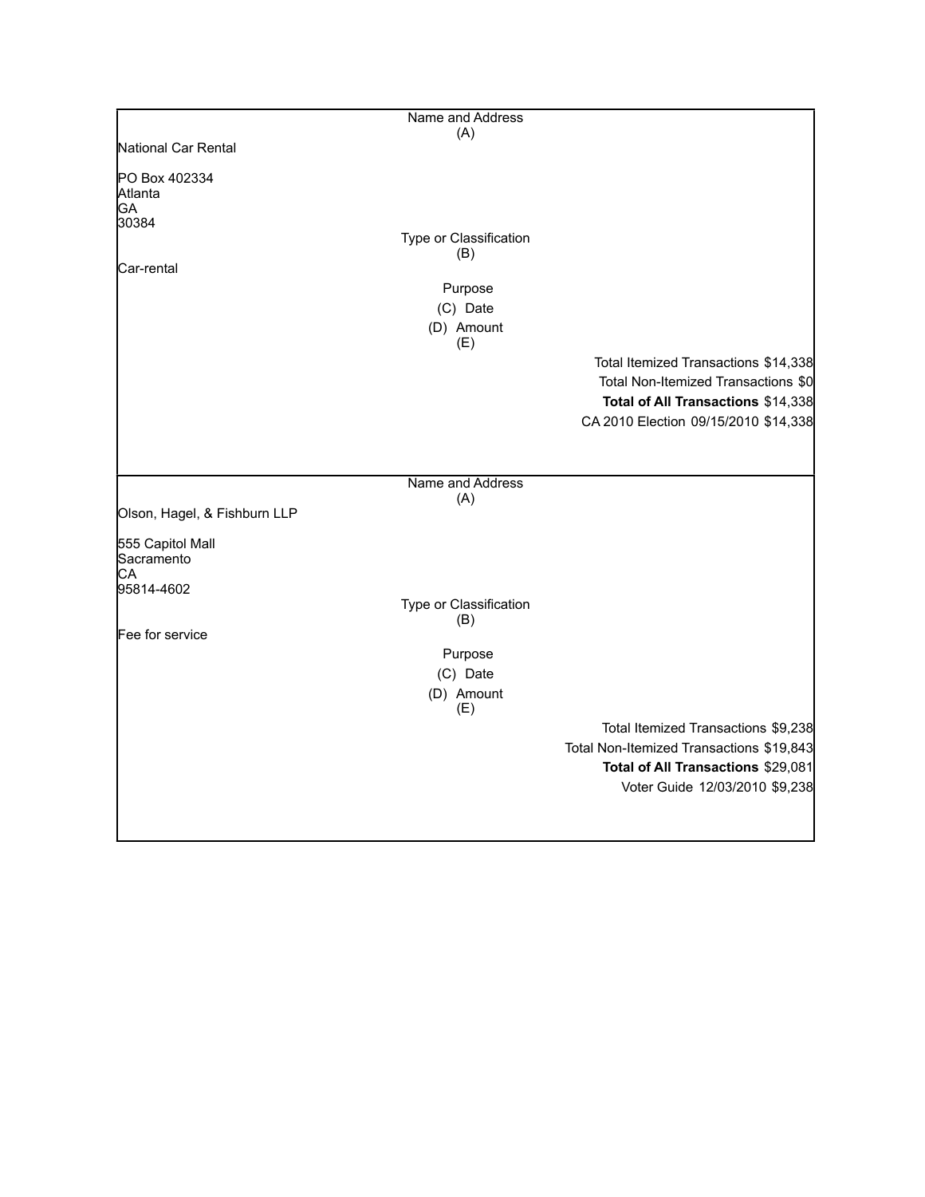|                              | Name and Address              |                                          |
|------------------------------|-------------------------------|------------------------------------------|
|                              | (A)                           |                                          |
| National Car Rental          |                               |                                          |
| PO Box 402334                |                               |                                          |
| Atlanta                      |                               |                                          |
| GA                           |                               |                                          |
| 30384                        |                               |                                          |
|                              | Type or Classification<br>(B) |                                          |
| Car-rental                   |                               |                                          |
|                              | Purpose                       |                                          |
|                              | (C) Date                      |                                          |
|                              |                               |                                          |
|                              | (D) Amount<br>(E)             |                                          |
|                              |                               | Total Itemized Transactions \$14,338     |
|                              |                               | Total Non-Itemized Transactions \$0      |
|                              |                               | Total of All Transactions \$14,338       |
|                              |                               | CA 2010 Election 09/15/2010 \$14,338     |
|                              |                               |                                          |
|                              |                               |                                          |
|                              | Name and Address              |                                          |
| Olson, Hagel, & Fishburn LLP | (A)                           |                                          |
|                              |                               |                                          |
| 555 Capitol Mall             |                               |                                          |
| Sacramento                   |                               |                                          |
| СA                           |                               |                                          |
| 95814-4602                   |                               |                                          |
|                              | Type or Classification        |                                          |
| Fee for service              | (B)                           |                                          |
|                              |                               |                                          |
|                              | Purpose                       |                                          |
|                              | (C) Date                      |                                          |
|                              | (D) Amount                    |                                          |
|                              | (E)                           |                                          |
|                              |                               | Total Itemized Transactions \$9,238      |
|                              |                               | Total Non-Itemized Transactions \$19,843 |
|                              |                               | Total of All Transactions \$29,081       |
|                              |                               | Voter Guide 12/03/2010 \$9,238           |
|                              |                               |                                          |
|                              |                               |                                          |
|                              |                               |                                          |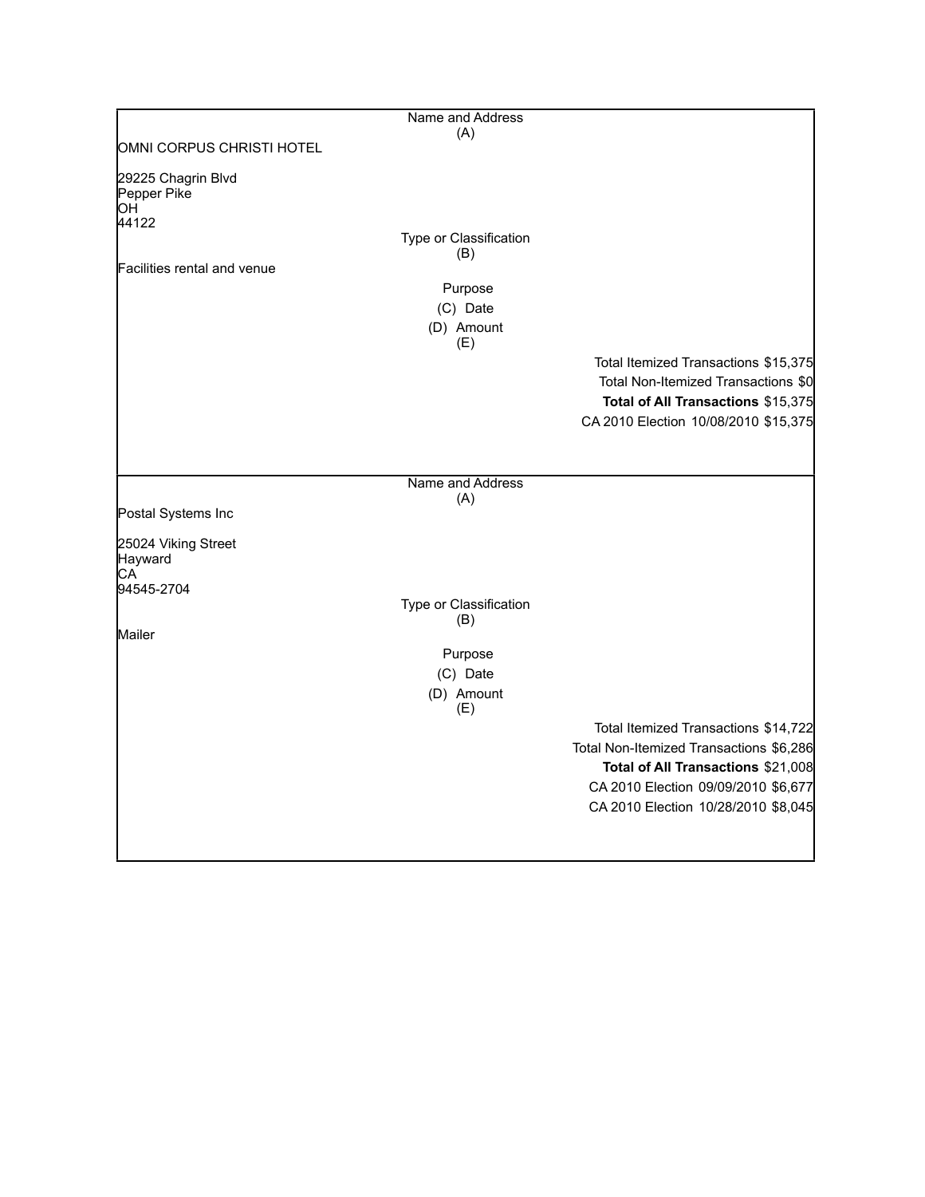|                                         | Name and Address              |                                         |
|-----------------------------------------|-------------------------------|-----------------------------------------|
| OMNI CORPUS CHRISTI HOTEL               | (A)                           |                                         |
|                                         |                               |                                         |
| 29225 Chagrin Blvd<br>Pepper Pike<br>ЮH |                               |                                         |
| 44122                                   | Type or Classification        |                                         |
|                                         | (B)                           |                                         |
| Facilities rental and venue             |                               |                                         |
|                                         | Purpose                       |                                         |
|                                         | (C) Date                      |                                         |
|                                         | (D) Amount<br>(E)             |                                         |
|                                         |                               | Total Itemized Transactions \$15,375    |
|                                         |                               | Total Non-Itemized Transactions \$0     |
|                                         |                               | Total of All Transactions \$15,375      |
|                                         |                               | CA 2010 Election 10/08/2010 \$15,375    |
|                                         |                               |                                         |
|                                         |                               |                                         |
|                                         | Name and Address              |                                         |
| Postal Systems Inc                      | (A)                           |                                         |
| 25024 Viking Street<br>Hayward          |                               |                                         |
| СA<br>94545-2704                        |                               |                                         |
|                                         | Type or Classification<br>(B) |                                         |
| Mailer                                  |                               |                                         |
|                                         | Purpose                       |                                         |
|                                         | (C) Date                      |                                         |
|                                         | (D) Amount<br>(E)             |                                         |
|                                         |                               | Total Itemized Transactions \$14,722    |
|                                         |                               | Total Non-Itemized Transactions \$6,286 |
|                                         |                               | Total of All Transactions \$21,008      |
|                                         |                               | CA 2010 Election 09/09/2010 \$6,677     |
|                                         |                               | CA 2010 Election 10/28/2010 \$8,045     |
|                                         |                               |                                         |
|                                         |                               |                                         |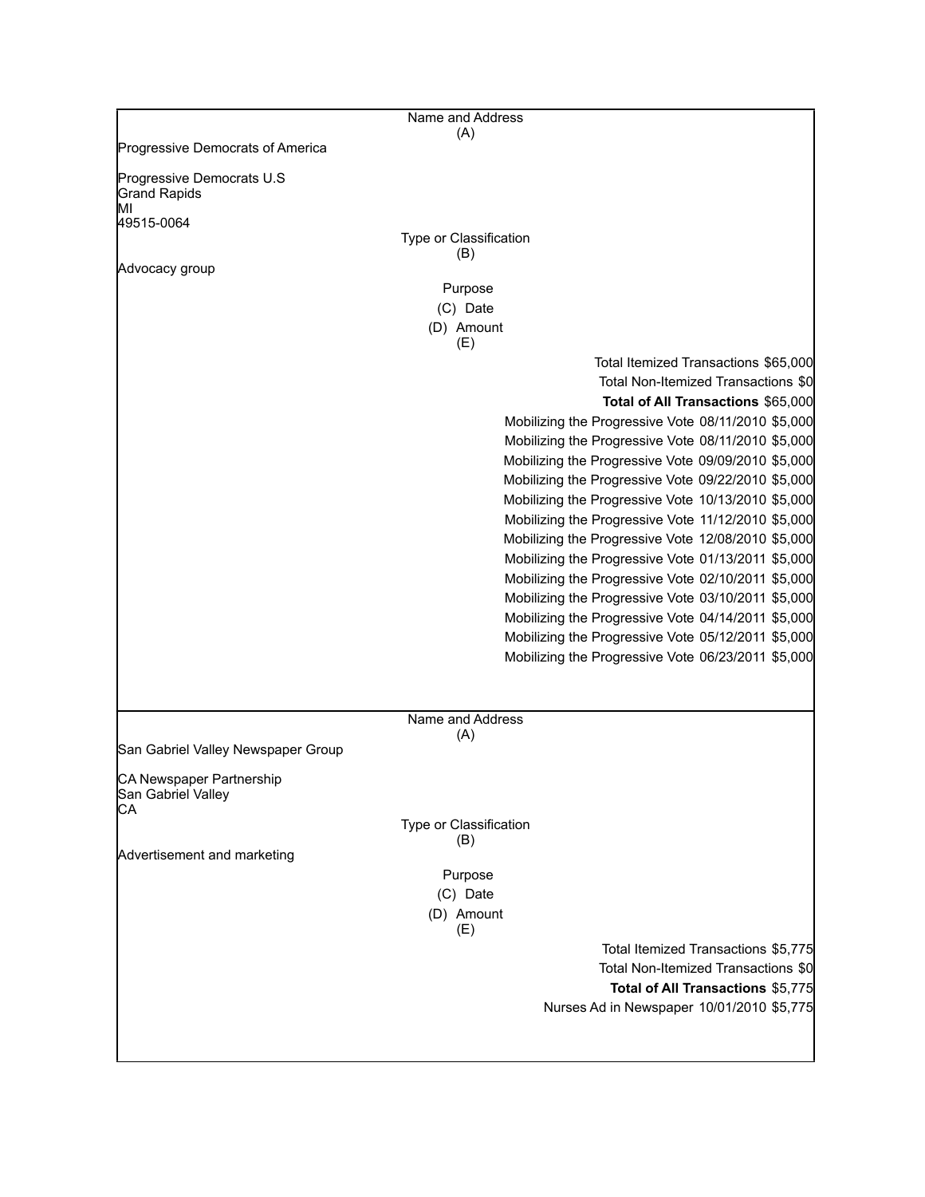|                                                                      | Name and Address                                                                                                  |
|----------------------------------------------------------------------|-------------------------------------------------------------------------------------------------------------------|
| Progressive Democrats of America                                     | (A)                                                                                                               |
| Progressive Democrats U.S<br><b>Grand Rapids</b><br>MI<br>49515-0064 | Type or Classification                                                                                            |
|                                                                      | (B)                                                                                                               |
| Advocacy group                                                       |                                                                                                                   |
|                                                                      | Purpose                                                                                                           |
|                                                                      | (C) Date                                                                                                          |
|                                                                      | (D) Amount<br>(E)                                                                                                 |
|                                                                      | Total Itemized Transactions \$65,000<br>Total Non-Itemized Transactions \$0<br>Total of All Transactions \$65,000 |
|                                                                      | Mobilizing the Progressive Vote 08/11/2010 \$5,000                                                                |
|                                                                      | Mobilizing the Progressive Vote 08/11/2010 \$5,000                                                                |
|                                                                      | Mobilizing the Progressive Vote 09/09/2010 \$5,000                                                                |
|                                                                      | Mobilizing the Progressive Vote 09/22/2010 \$5,000                                                                |
|                                                                      | Mobilizing the Progressive Vote 10/13/2010 \$5,000                                                                |
|                                                                      | Mobilizing the Progressive Vote 11/12/2010 \$5,000                                                                |
|                                                                      | Mobilizing the Progressive Vote 12/08/2010 \$5,000                                                                |
|                                                                      | Mobilizing the Progressive Vote 01/13/2011 \$5,000                                                                |
|                                                                      | Mobilizing the Progressive Vote 02/10/2011 \$5,000                                                                |
|                                                                      | Mobilizing the Progressive Vote 03/10/2011 \$5,000                                                                |
|                                                                      | Mobilizing the Progressive Vote 04/14/2011 \$5,000                                                                |
|                                                                      | Mobilizing the Progressive Vote 05/12/2011 \$5,000                                                                |
|                                                                      | Mobilizing the Progressive Vote 06/23/2011 \$5,000                                                                |
|                                                                      |                                                                                                                   |
|                                                                      |                                                                                                                   |
|                                                                      | Name and Address                                                                                                  |
| San Gabriel Valley Newspaper Group                                   | (A)                                                                                                               |
| CA Newspaper Partnership<br>San Gabriel Valley                       |                                                                                                                   |
| CА                                                                   | Type or Classification                                                                                            |
|                                                                      | (B)                                                                                                               |
| Advertisement and marketing                                          |                                                                                                                   |
|                                                                      | Purpose                                                                                                           |
|                                                                      | (C) Date                                                                                                          |
|                                                                      | (D) Amount<br>(E)                                                                                                 |
|                                                                      | Total Itemized Transactions \$5,775                                                                               |
|                                                                      | Total Non-Itemized Transactions \$0                                                                               |
|                                                                      | Total of All Transactions \$5,775                                                                                 |
|                                                                      | Nurses Ad in Newspaper 10/01/2010 \$5,775                                                                         |
|                                                                      |                                                                                                                   |
|                                                                      |                                                                                                                   |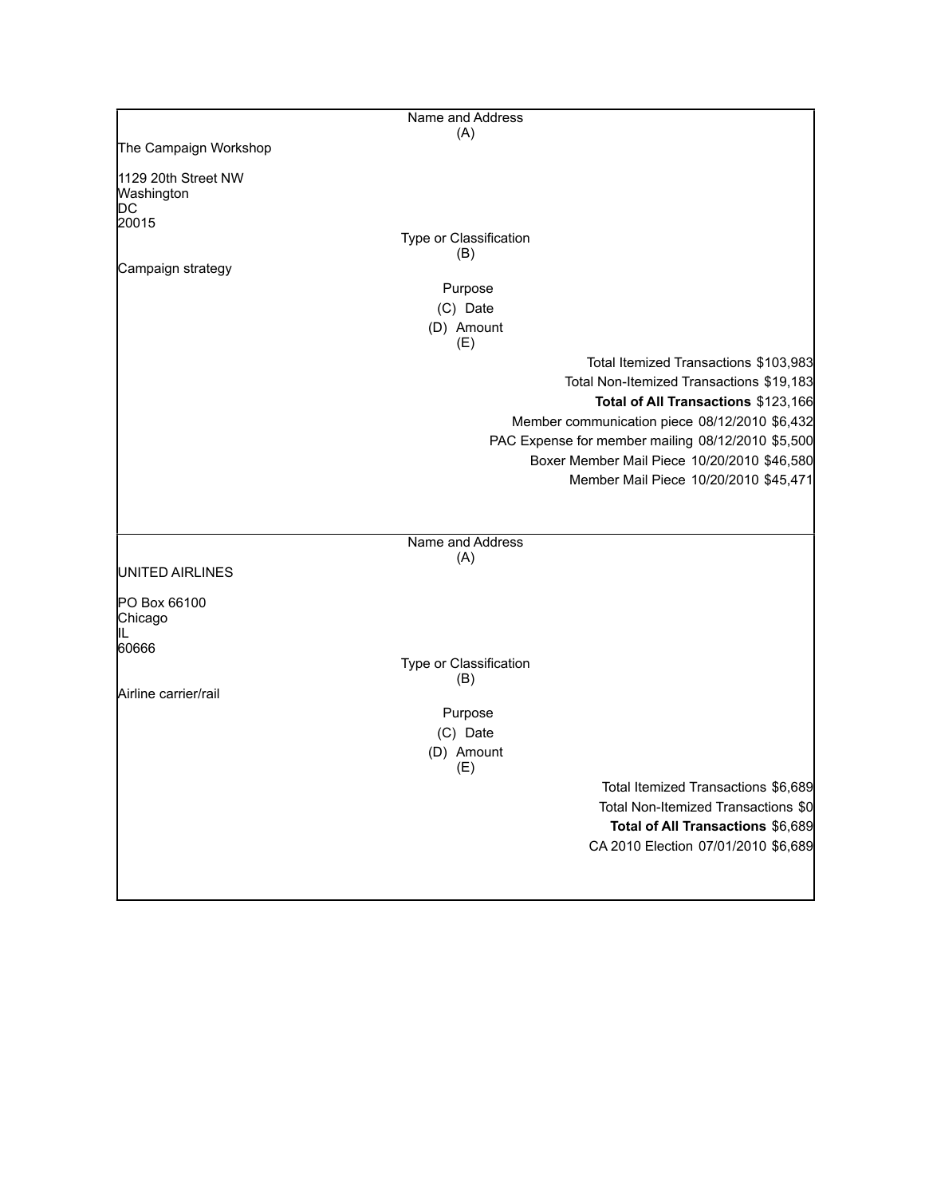|                                          | Name and Address              |                                                                                                  |
|------------------------------------------|-------------------------------|--------------------------------------------------------------------------------------------------|
|                                          | (A)                           |                                                                                                  |
| The Campaign Workshop                    |                               |                                                                                                  |
| 1129 20th Street NW<br>Washington<br>IDС |                               |                                                                                                  |
| 20015                                    |                               |                                                                                                  |
|                                          | Type or Classification        |                                                                                                  |
| Campaign strategy                        | (B)                           |                                                                                                  |
|                                          | Purpose                       |                                                                                                  |
|                                          | (C) Date                      |                                                                                                  |
|                                          | (D) Amount                    |                                                                                                  |
|                                          | (E)                           |                                                                                                  |
|                                          |                               | Total Itemized Transactions \$103,983                                                            |
|                                          |                               | Total Non-Itemized Transactions \$19,183                                                         |
|                                          |                               | Total of All Transactions \$123,166                                                              |
|                                          |                               | Member communication piece 08/12/2010 \$6,432                                                    |
|                                          |                               | PAC Expense for member mailing 08/12/2010 \$5,500<br>Boxer Member Mail Piece 10/20/2010 \$46,580 |
|                                          |                               | Member Mail Piece 10/20/2010 \$45,471                                                            |
|                                          |                               |                                                                                                  |
|                                          |                               |                                                                                                  |
|                                          | Name and Address              |                                                                                                  |
|                                          | (A)                           |                                                                                                  |
| UNITED AIRLINES                          |                               |                                                                                                  |
| PO Box 66100<br>Chicago                  |                               |                                                                                                  |
| IIL<br>60666                             |                               |                                                                                                  |
|                                          | Type or Classification<br>(B) |                                                                                                  |
| Airline carrier/rail                     |                               |                                                                                                  |
|                                          | Purpose                       |                                                                                                  |
|                                          | (C) Date                      |                                                                                                  |
|                                          | (D) Amount                    |                                                                                                  |
|                                          | (E)                           |                                                                                                  |
|                                          |                               | Total Itemized Transactions \$6,689<br>Total Non-Itemized Transactions \$0                       |
|                                          |                               | Total of All Transactions \$6,689                                                                |
|                                          |                               | CA 2010 Election 07/01/2010 \$6,689                                                              |
|                                          |                               |                                                                                                  |
|                                          |                               |                                                                                                  |
|                                          |                               |                                                                                                  |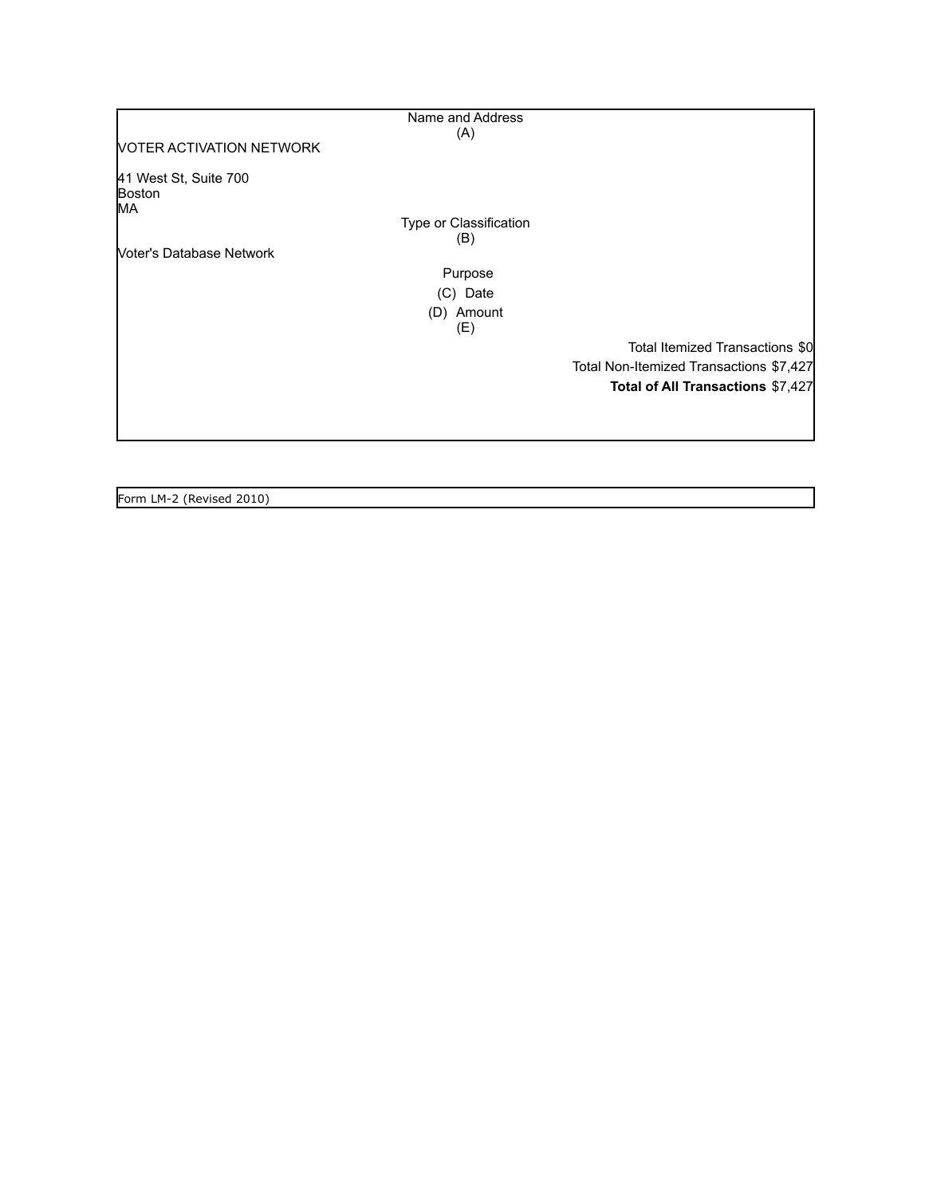|                                       | Name and Address       |                                         |
|---------------------------------------|------------------------|-----------------------------------------|
|                                       | (A)                    |                                         |
| <b>NOTER ACTIVATION NETWORK</b>       |                        |                                         |
| 41 West St, Suite 700<br>Boston<br>МA |                        |                                         |
|                                       | Type or Classification |                                         |
|                                       | (B)                    |                                         |
| Noter's Database Network              |                        |                                         |
|                                       | Purpose                |                                         |
|                                       | (C) Date               |                                         |
|                                       | (D) Amount             |                                         |
|                                       | (E)                    |                                         |
|                                       |                        | Total Itemized Transactions \$0         |
|                                       |                        | Total Non-Itemized Transactions \$7,427 |
|                                       |                        | Total of All Transactions \$7,427       |
|                                       |                        |                                         |
|                                       |                        |                                         |
|                                       |                        |                                         |

Form LM-2 (Revised 2010)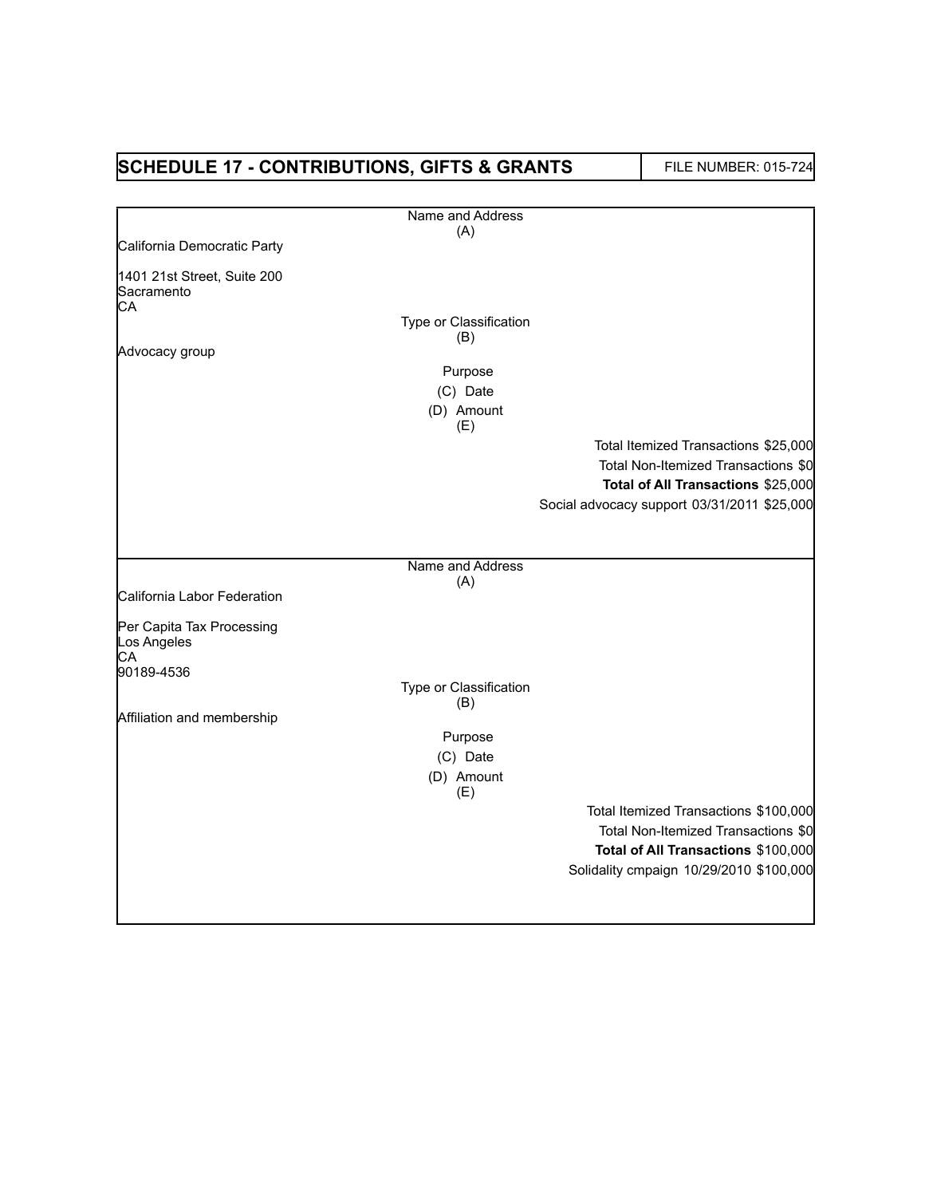| <b>SCHEDULE 17 - CONTRIBUTIONS, GIFTS &amp; GRANTS</b>       |                        | <b>FILE NUMBER: 015-724</b>                 |
|--------------------------------------------------------------|------------------------|---------------------------------------------|
|                                                              | Name and Address       |                                             |
|                                                              | (A)                    |                                             |
| California Democratic Party                                  |                        |                                             |
| 1401 21st Street, Suite 200<br>Sacramento                    |                        |                                             |
| СA                                                           | Type or Classification |                                             |
|                                                              | (B)                    |                                             |
| Advocacy group                                               |                        |                                             |
|                                                              | Purpose                |                                             |
|                                                              | (C) Date               |                                             |
|                                                              | (D) Amount<br>(E)      |                                             |
|                                                              |                        | Total Itemized Transactions \$25,000        |
|                                                              |                        | Total Non-Itemized Transactions \$0         |
|                                                              |                        | Total of All Transactions \$25,000          |
|                                                              |                        | Social advocacy support 03/31/2011 \$25,000 |
|                                                              |                        |                                             |
|                                                              | Name and Address       |                                             |
| California Labor Federation                                  | (A)                    |                                             |
| Per Capita Tax Processing<br>Los Angeles<br>СA<br>90189-4536 |                        |                                             |
|                                                              | Type or Classification |                                             |
|                                                              | (B)                    |                                             |
| Affiliation and membership                                   |                        |                                             |
|                                                              | Purpose                |                                             |
|                                                              | (C) Date               |                                             |
|                                                              | (D) Amount<br>(E)      |                                             |
|                                                              |                        | Total Itemized Transactions \$100,000       |
|                                                              |                        | Total Non-Itemized Transactions \$0         |
|                                                              |                        | Total of All Transactions \$100,000         |
|                                                              |                        | Solidality cmpaign 10/29/2010 \$100,000     |
|                                                              |                        |                                             |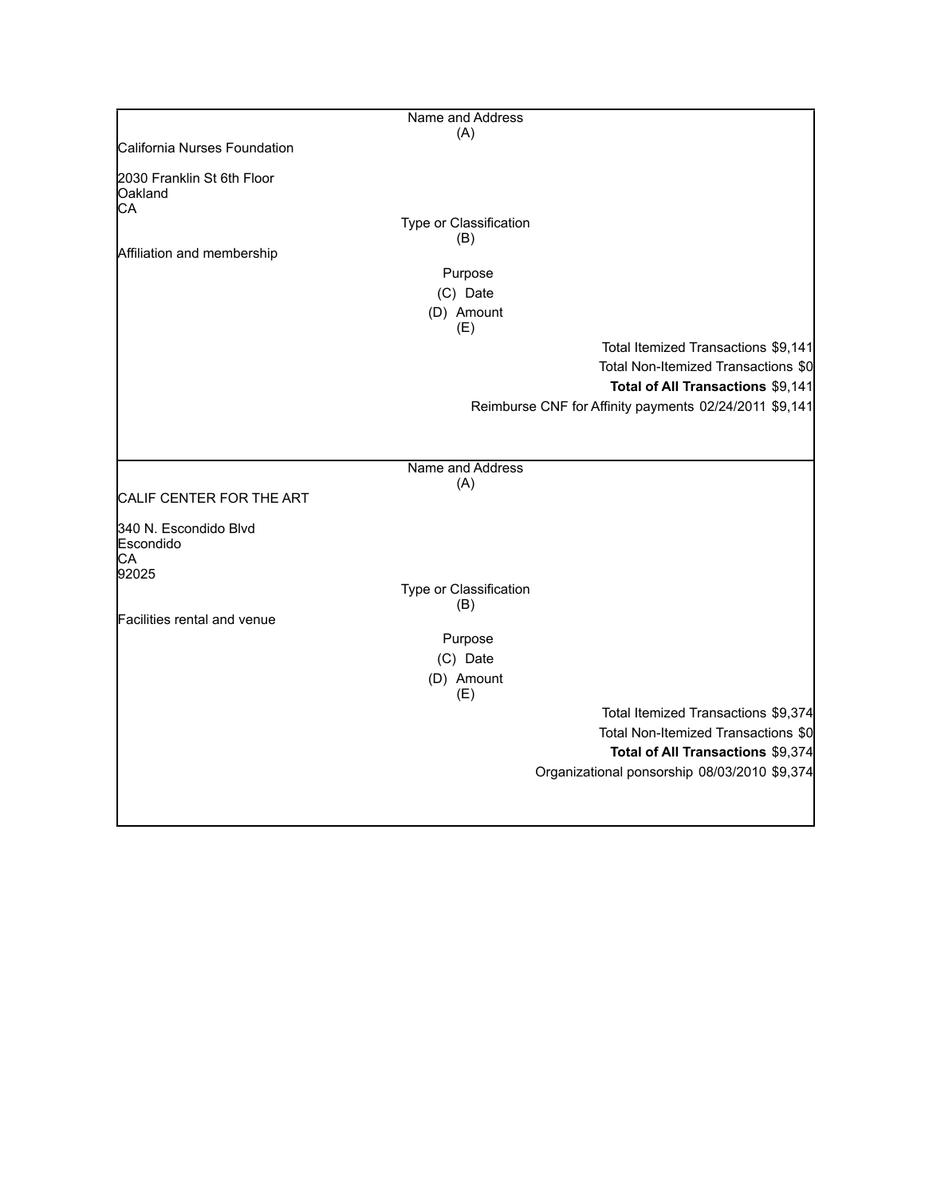|                                             | Name and Address        |                                                        |
|---------------------------------------------|-------------------------|--------------------------------------------------------|
|                                             | (A)                     |                                                        |
| California Nurses Foundation                |                         |                                                        |
| 2030 Franklin St 6th Floor<br>Oakland<br>CA |                         |                                                        |
|                                             | Type or Classification  |                                                        |
|                                             | (B)                     |                                                        |
| Affiliation and membership                  |                         |                                                        |
|                                             | Purpose                 |                                                        |
|                                             | (C) Date                |                                                        |
|                                             | (D) Amount<br>(E)       |                                                        |
|                                             |                         | Total Itemized Transactions \$9,141                    |
|                                             |                         | Total Non-Itemized Transactions \$0                    |
|                                             |                         | Total of All Transactions \$9,141                      |
|                                             |                         | Reimburse CNF for Affinity payments 02/24/2011 \$9,141 |
|                                             |                         |                                                        |
|                                             |                         |                                                        |
|                                             |                         |                                                        |
|                                             | Name and Address<br>(A) |                                                        |
| CALIF CENTER FOR THE ART                    |                         |                                                        |
| 340 N. Escondido Blvd<br>Escondido          |                         |                                                        |
| CА<br>92025                                 |                         |                                                        |
|                                             | Type or Classification  |                                                        |
|                                             | (B)                     |                                                        |
| Facilities rental and venue                 |                         |                                                        |
|                                             | Purpose                 |                                                        |
|                                             | (C) Date                |                                                        |
|                                             | (D) Amount              |                                                        |
|                                             | (E)                     |                                                        |
|                                             |                         | Total Itemized Transactions \$9,374                    |
|                                             |                         | Total Non-Itemized Transactions \$0                    |
|                                             |                         | Total of All Transactions \$9,374                      |
|                                             |                         | Organizational ponsorship 08/03/2010 \$9,374           |
|                                             |                         |                                                        |
|                                             |                         |                                                        |
|                                             |                         |                                                        |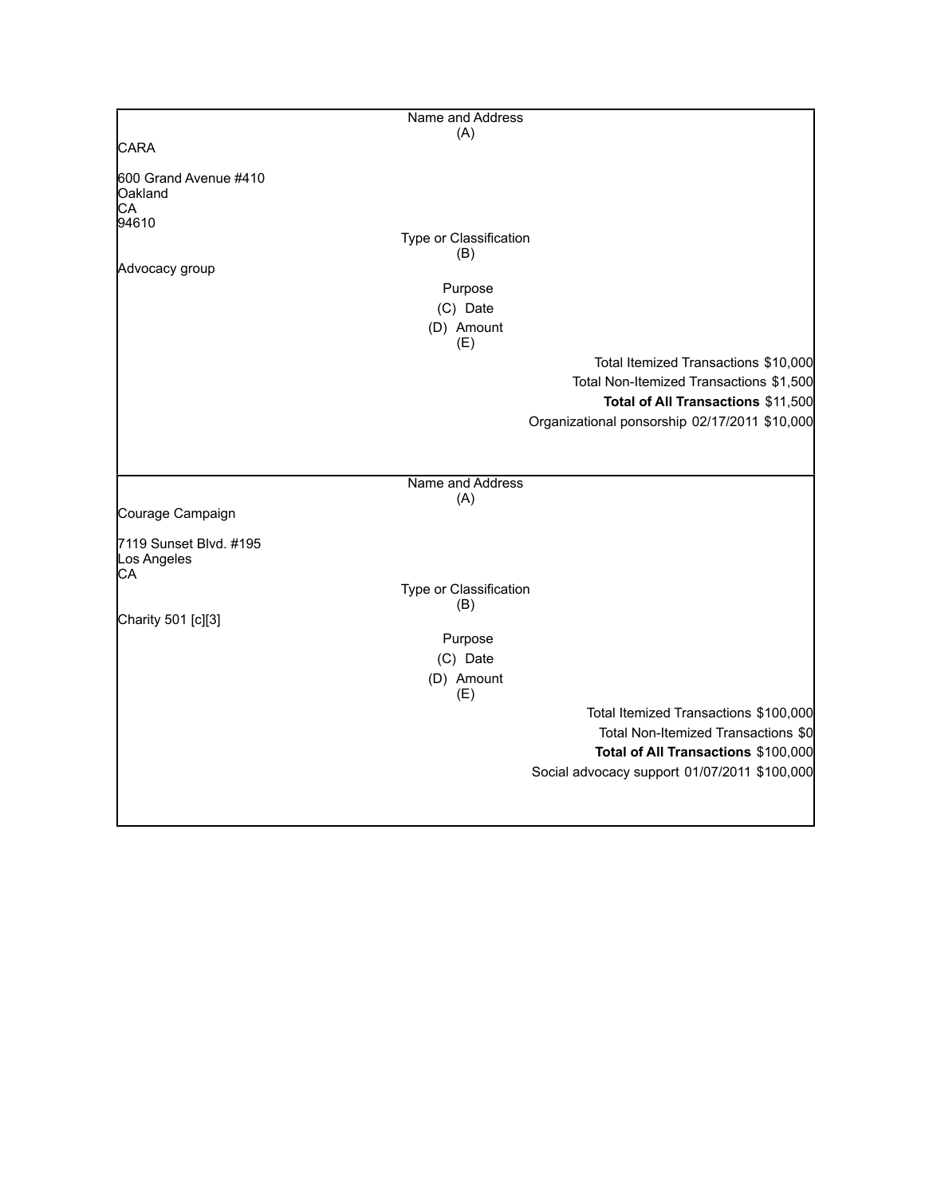|                                        | Name and Address              |                                               |
|----------------------------------------|-------------------------------|-----------------------------------------------|
|                                        | (A)                           |                                               |
| <b>CARA</b>                            |                               |                                               |
| 600 Grand Avenue #410<br>Oakland<br>СA |                               |                                               |
| 94610                                  |                               |                                               |
|                                        | Type or Classification        |                                               |
|                                        | (B)                           |                                               |
| Advocacy group                         |                               |                                               |
|                                        | Purpose                       |                                               |
|                                        | (C) Date                      |                                               |
|                                        | (D) Amount<br>(E)             |                                               |
|                                        |                               | Total Itemized Transactions \$10,000          |
|                                        |                               | Total Non-Itemized Transactions \$1,500       |
|                                        |                               | Total of All Transactions \$11,500            |
|                                        |                               | Organizational ponsorship 02/17/2011 \$10,000 |
|                                        |                               |                                               |
|                                        | Name and Address              |                                               |
|                                        | (A)                           |                                               |
| Courage Campaign                       |                               |                                               |
| 7119 Sunset Blvd. #195<br>Los Angeles  |                               |                                               |
| CA                                     |                               |                                               |
|                                        | Type or Classification<br>(B) |                                               |
| Charity 501 [c][3]                     |                               |                                               |
|                                        | Purpose                       |                                               |
|                                        | (C) Date                      |                                               |
|                                        | (D) Amount                    |                                               |
|                                        | (E)                           |                                               |
|                                        |                               | Total Itemized Transactions \$100,000         |
|                                        |                               | Total Non-Itemized Transactions \$0           |
|                                        |                               | Total of All Transactions \$100,000           |
|                                        |                               | Social advocacy support 01/07/2011 \$100,000  |
|                                        |                               |                                               |
|                                        |                               |                                               |
|                                        |                               |                                               |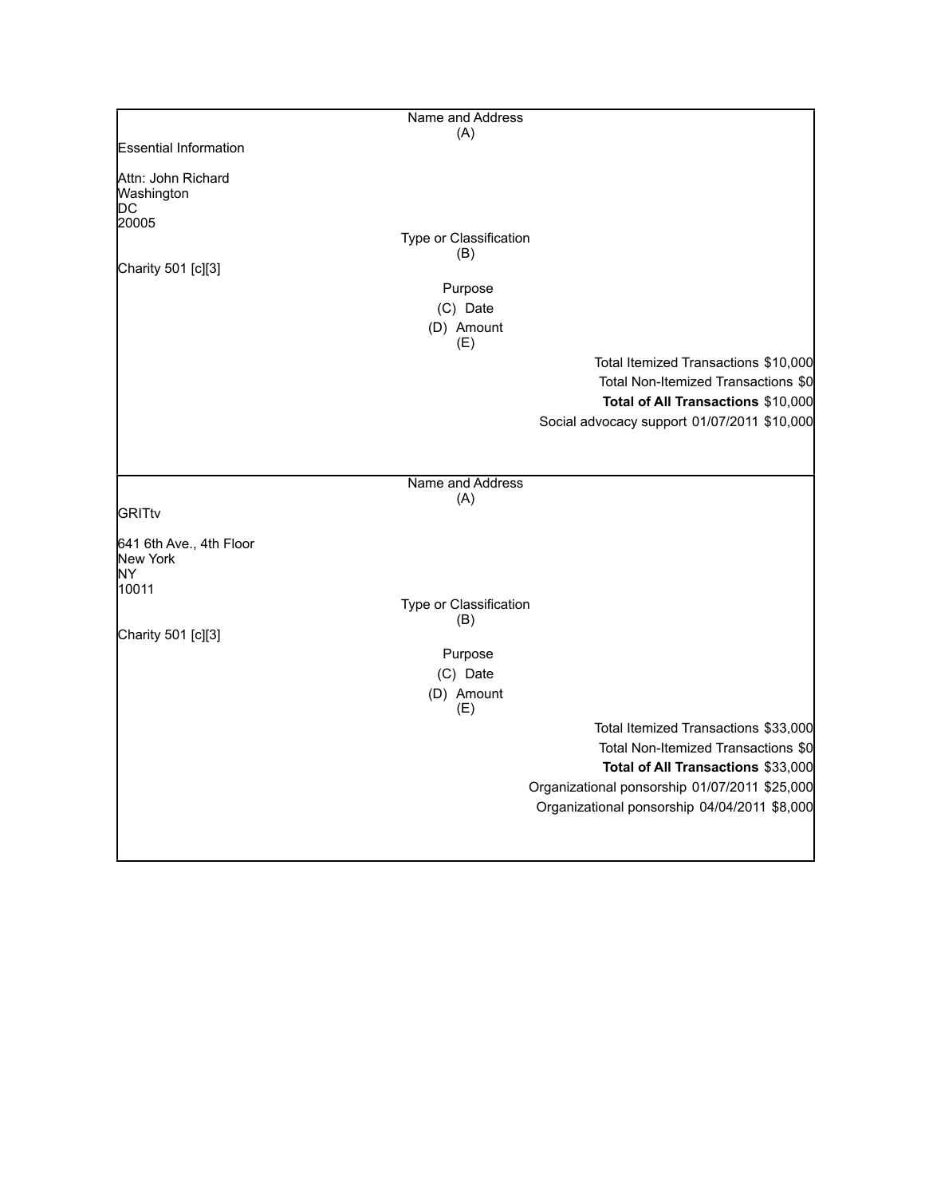|                                                 | Name and Address              |                                                                             |
|-------------------------------------------------|-------------------------------|-----------------------------------------------------------------------------|
|                                                 | (A)                           |                                                                             |
| <b>Essential Information</b>                    |                               |                                                                             |
| Attn: John Richard<br>Washington<br>DС<br>20005 | Type or Classification        |                                                                             |
|                                                 | (B)                           |                                                                             |
| Charity 501 [c][3]                              |                               |                                                                             |
|                                                 | Purpose                       |                                                                             |
|                                                 | (C) Date                      |                                                                             |
|                                                 | (D) Amount                    |                                                                             |
|                                                 | (E)                           |                                                                             |
|                                                 |                               | Total Itemized Transactions \$10,000<br>Total Non-Itemized Transactions \$0 |
|                                                 |                               | Total of All Transactions \$10,000                                          |
|                                                 |                               | Social advocacy support 01/07/2011 \$10,000                                 |
|                                                 |                               |                                                                             |
|                                                 |                               |                                                                             |
|                                                 | Name and Address              |                                                                             |
| <b>GRITtv</b>                                   | (A)                           |                                                                             |
|                                                 |                               |                                                                             |
| 641 6th Ave., 4th Floor<br>New York<br>NY       |                               |                                                                             |
| 10011                                           |                               |                                                                             |
|                                                 | Type or Classification<br>(B) |                                                                             |
| Charity 501 [c][3]                              |                               |                                                                             |
|                                                 | Purpose                       |                                                                             |
|                                                 | (C) Date                      |                                                                             |
|                                                 | (D) Amount<br>(E)             |                                                                             |
|                                                 |                               | Total Itemized Transactions \$33,000                                        |
|                                                 |                               | Total Non-Itemized Transactions \$0                                         |
|                                                 |                               | Total of All Transactions \$33,000                                          |
|                                                 |                               | Organizational ponsorship 01/07/2011 \$25,000                               |
|                                                 |                               | Organizational ponsorship 04/04/2011 \$8,000                                |
|                                                 |                               |                                                                             |
|                                                 |                               |                                                                             |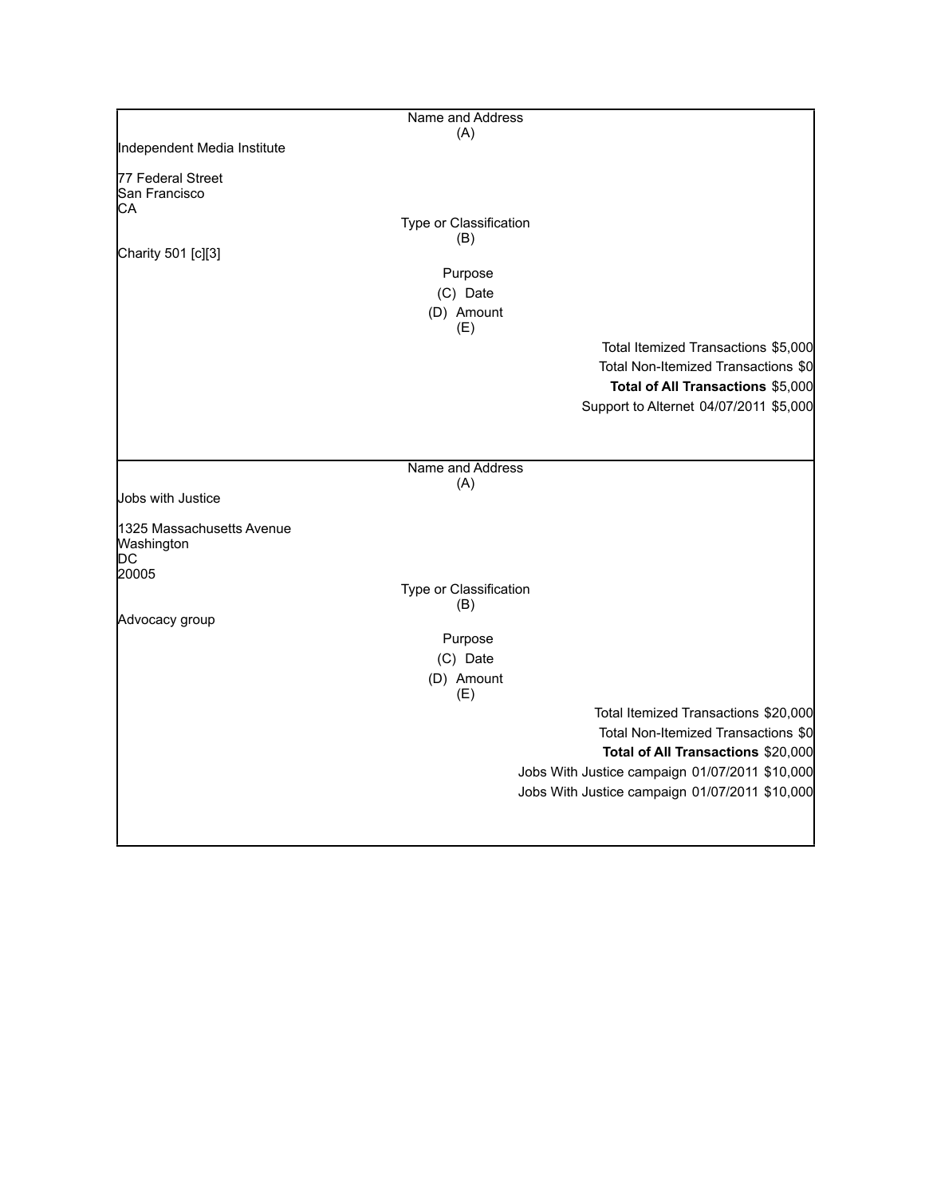|                                         | Name and Address              |                                                |
|-----------------------------------------|-------------------------------|------------------------------------------------|
| Independent Media Institute             | (A)                           |                                                |
|                                         |                               |                                                |
| 77 Federal Street<br>San Francisco      |                               |                                                |
| CА                                      |                               |                                                |
|                                         | Type or Classification        |                                                |
| Charity 501 [c][3]                      | (B)                           |                                                |
|                                         | Purpose                       |                                                |
|                                         | (C) Date                      |                                                |
|                                         | (D) Amount<br>(E)             |                                                |
|                                         |                               | Total Itemized Transactions \$5,000            |
|                                         |                               | Total Non-Itemized Transactions \$0            |
|                                         |                               | Total of All Transactions \$5,000              |
|                                         |                               | Support to Alternet 04/07/2011 \$5,000         |
|                                         |                               |                                                |
|                                         |                               |                                                |
|                                         | Name and Address<br>(A)       |                                                |
| Jobs with Justice                       |                               |                                                |
| 1325 Massachusetts Avenue<br>Washington |                               |                                                |
| DС                                      |                               |                                                |
| 20005                                   |                               |                                                |
|                                         | Type or Classification<br>(B) |                                                |
| Advocacy group                          |                               |                                                |
|                                         | Purpose                       |                                                |
|                                         | (C) Date                      |                                                |
|                                         | (D) Amount<br>(E)             |                                                |
|                                         |                               | Total Itemized Transactions \$20,000           |
|                                         |                               | Total Non-Itemized Transactions \$0            |
|                                         |                               | Total of All Transactions \$20,000             |
|                                         |                               | Jobs With Justice campaign 01/07/2011 \$10,000 |
|                                         |                               | Jobs With Justice campaign 01/07/2011 \$10,000 |
|                                         |                               |                                                |
|                                         |                               |                                                |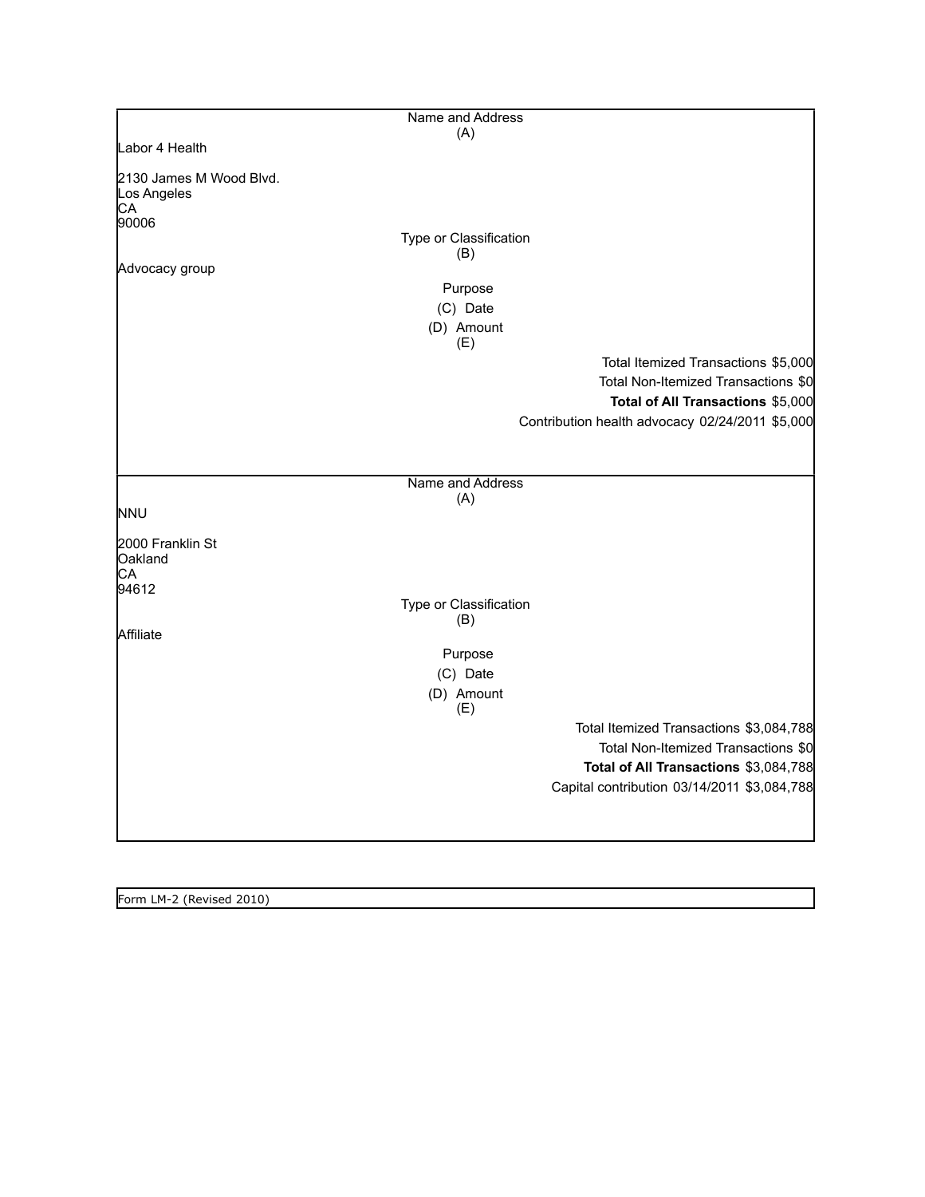|                                              | Name and Address              |                                                 |
|----------------------------------------------|-------------------------------|-------------------------------------------------|
|                                              | (A)                           |                                                 |
| Labor 4 Health                               |                               |                                                 |
| 2130 James M Wood Blvd.<br>Los Angeles<br>CA |                               |                                                 |
| 90006                                        |                               |                                                 |
|                                              | Type or Classification<br>(B) |                                                 |
| Advocacy group                               |                               |                                                 |
|                                              | Purpose                       |                                                 |
|                                              | (C) Date                      |                                                 |
|                                              | (D) Amount<br>(E)             |                                                 |
|                                              |                               | Total Itemized Transactions \$5,000             |
|                                              |                               | Total Non-Itemized Transactions \$0             |
|                                              |                               | Total of All Transactions \$5,000               |
|                                              |                               | Contribution health advocacy 02/24/2011 \$5,000 |
|                                              |                               |                                                 |
|                                              | Name and Address              |                                                 |
|                                              | (A)                           |                                                 |
| <b>NNU</b>                                   |                               |                                                 |
| 2000 Franklin St<br>Oakland<br>CA            |                               |                                                 |
| 94612                                        | Type or Classification        |                                                 |
|                                              | (B)                           |                                                 |
| Affiliate                                    |                               |                                                 |
|                                              | Purpose                       |                                                 |
|                                              | (C) Date                      |                                                 |
|                                              | (D) Amount                    |                                                 |
|                                              | (E)                           |                                                 |
|                                              |                               | Total Itemized Transactions \$3,084,788         |
|                                              |                               | Total Non-Itemized Transactions \$0             |
|                                              |                               | Total of All Transactions \$3,084,788           |
|                                              |                               | Capital contribution 03/14/2011 \$3,084,788     |
|                                              |                               |                                                 |
|                                              |                               |                                                 |

Form LM-2 (Revised 2010)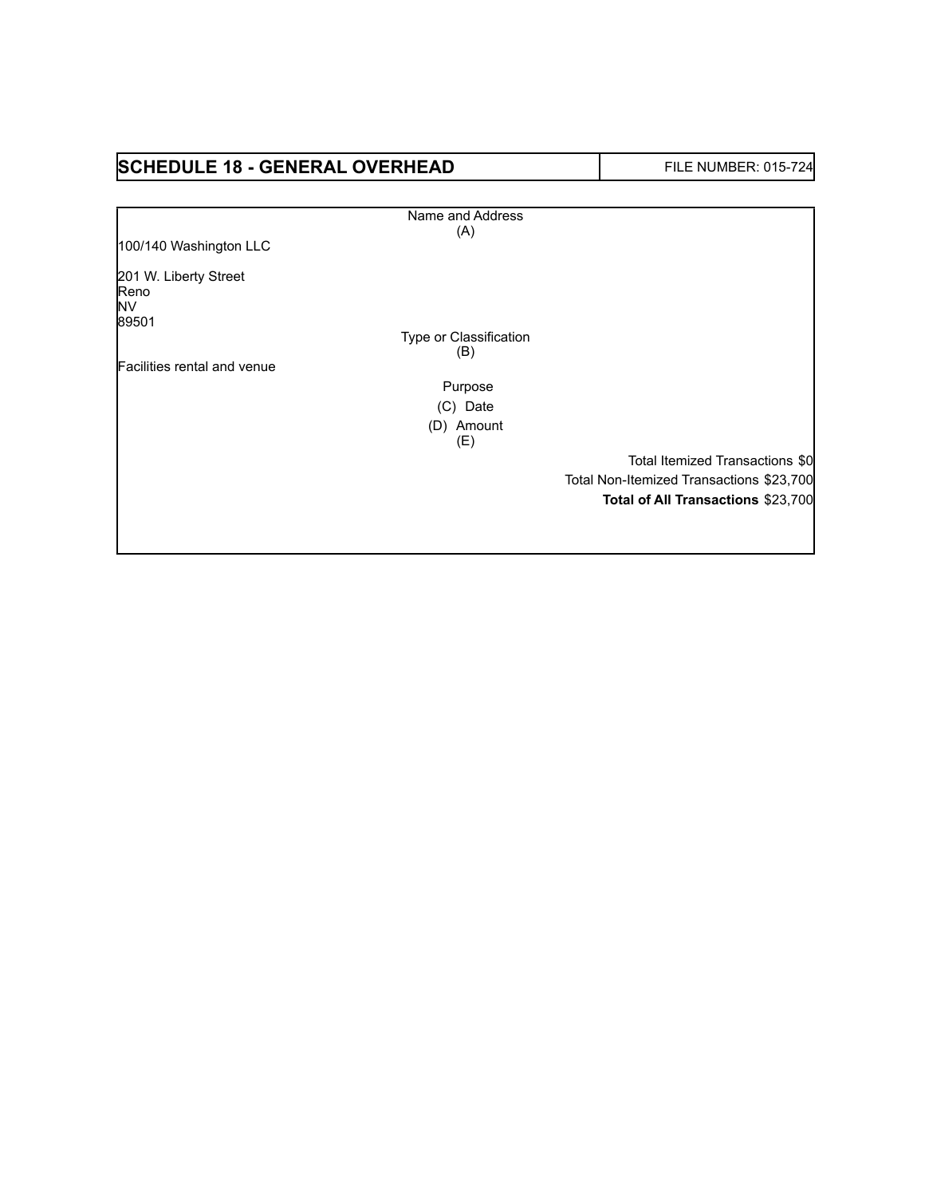## **SCHEDULE 18 - GENERAL OVERHEAD** FILE NUMBER: 015-724

|                                     | Name and Address       |                                          |
|-------------------------------------|------------------------|------------------------------------------|
|                                     | (A)                    |                                          |
| 100/140 Washington LLC              |                        |                                          |
| 201 W. Liberty Street<br>Reno<br>NV |                        |                                          |
| 89501                               |                        |                                          |
|                                     | Type or Classification |                                          |
| Facilities rental and venue         | (B)                    |                                          |
|                                     | Purpose                |                                          |
|                                     | (C) Date               |                                          |
|                                     | (D) Amount             |                                          |
|                                     | (E)                    |                                          |
|                                     |                        | Total Itemized Transactions \$0          |
|                                     |                        | Total Non-Itemized Transactions \$23,700 |
|                                     |                        | Total of All Transactions \$23,700       |
|                                     |                        |                                          |
|                                     |                        |                                          |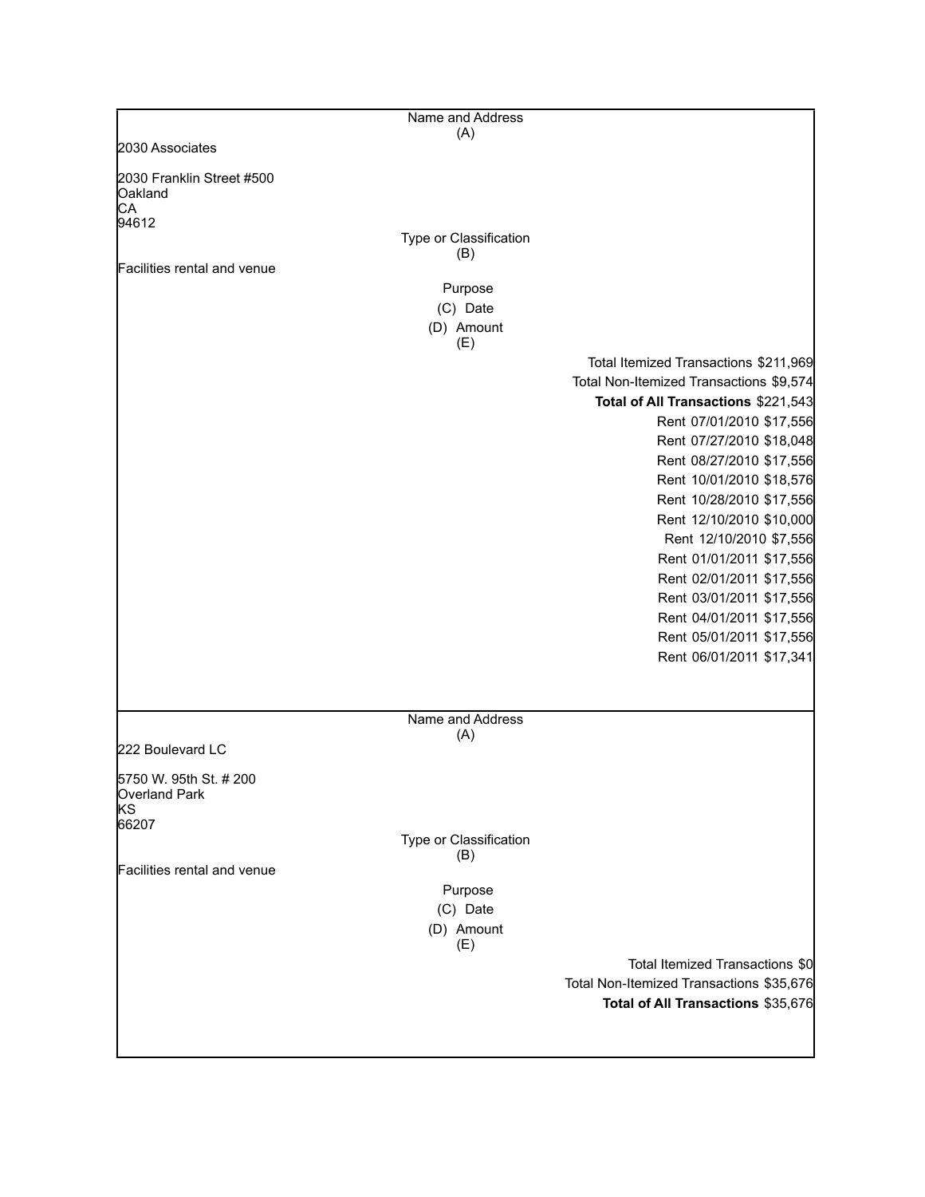|                                                   | Name and Address              |                                                      |
|---------------------------------------------------|-------------------------------|------------------------------------------------------|
|                                                   | (A)                           |                                                      |
| 2030 Associates                                   |                               |                                                      |
| 2030 Franklin Street #500<br><b>Oakland</b><br>CA |                               |                                                      |
| 94612                                             |                               |                                                      |
|                                                   | Type or Classification<br>(B) |                                                      |
| Facilities rental and venue                       |                               |                                                      |
|                                                   | Purpose                       |                                                      |
|                                                   | (C) Date                      |                                                      |
|                                                   | (D) Amount<br>(E)             |                                                      |
|                                                   |                               | Total Itemized Transactions \$211,969                |
|                                                   |                               | Total Non-Itemized Transactions \$9,574              |
|                                                   |                               | Total of All Transactions \$221,543                  |
|                                                   |                               | Rent 07/01/2010 \$17,556                             |
|                                                   |                               | Rent 07/27/2010 \$18,048                             |
|                                                   |                               | Rent 08/27/2010 \$17,556                             |
|                                                   |                               | Rent 10/01/2010 \$18,576                             |
|                                                   |                               | Rent 10/28/2010 \$17,556                             |
|                                                   |                               | Rent 12/10/2010 \$10,000                             |
|                                                   |                               | Rent 12/10/2010 \$7,556                              |
|                                                   |                               | Rent 01/01/2011 \$17,556                             |
|                                                   |                               | Rent 02/01/2011 \$17,556                             |
|                                                   |                               | Rent 03/01/2011 \$17,556                             |
|                                                   |                               | Rent 04/01/2011 \$17,556                             |
|                                                   |                               | Rent 05/01/2011 \$17,556<br>Rent 06/01/2011 \$17,341 |
|                                                   |                               |                                                      |
|                                                   |                               |                                                      |
|                                                   | Name and Address<br>(A)       |                                                      |
| 222 Boulevard LC                                  |                               |                                                      |
| 5750 W. 95th St. # 200                            |                               |                                                      |
| Overland Park                                     |                               |                                                      |
| ΚS<br>66207                                       |                               |                                                      |
|                                                   | Type or Classification        |                                                      |
|                                                   | (B)                           |                                                      |
| Facilities rental and venue                       |                               |                                                      |
|                                                   | Purpose                       |                                                      |
|                                                   | (C) Date<br>(D) Amount        |                                                      |
|                                                   | (E)                           |                                                      |
|                                                   |                               | Total Itemized Transactions \$0                      |
|                                                   |                               | Total Non-Itemized Transactions \$35,676             |
|                                                   |                               | Total of All Transactions \$35,676                   |
|                                                   |                               |                                                      |
|                                                   |                               |                                                      |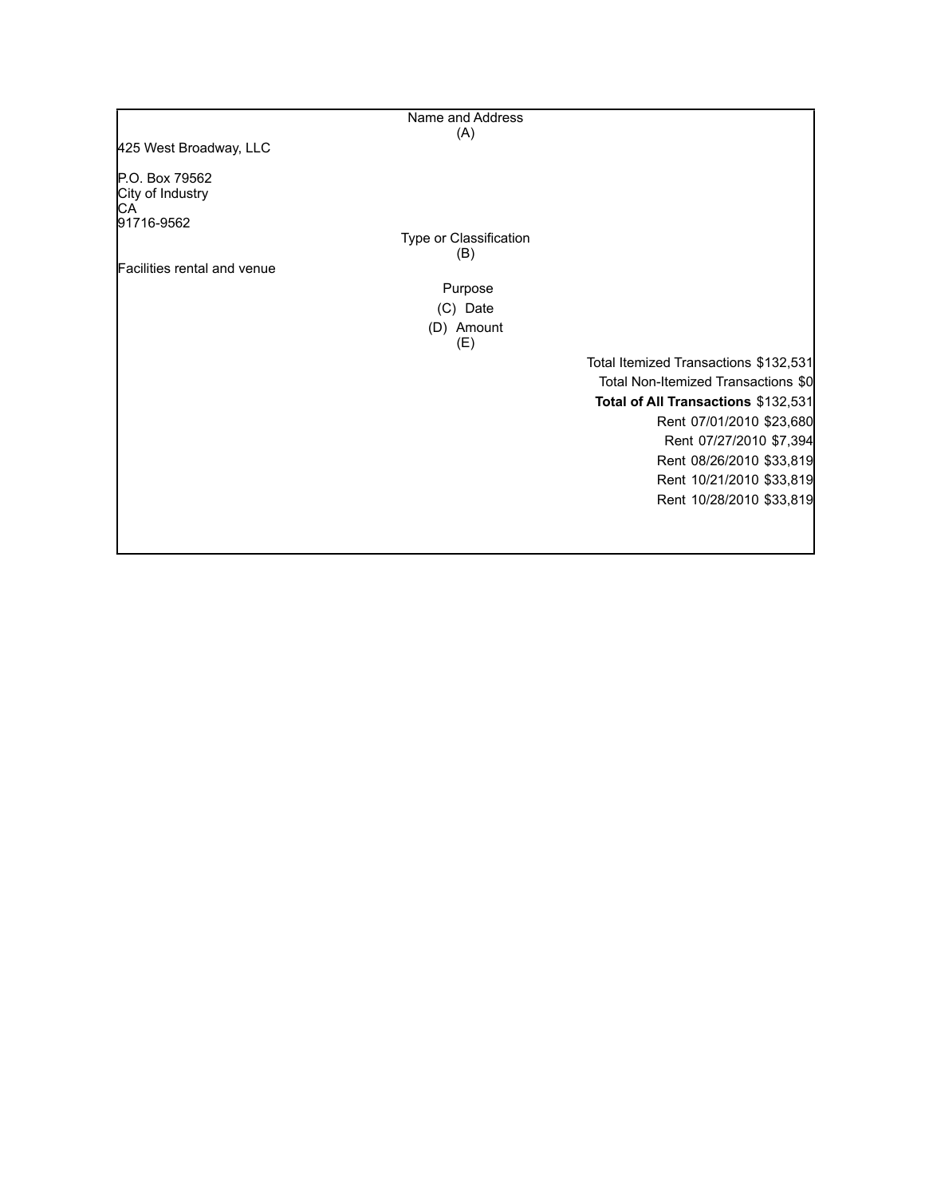|                             | Name and Address                      |
|-----------------------------|---------------------------------------|
|                             | (A)                                   |
| 425 West Broadway, LLC      |                                       |
| P.O. Box 79562              |                                       |
| City of Industry<br>CА      |                                       |
| 91716-9562                  |                                       |
|                             | Type or Classification                |
|                             | (B)                                   |
| Facilities rental and venue |                                       |
|                             | Purpose                               |
|                             | (C) Date                              |
|                             | (D) Amount<br>(E)                     |
|                             | Total Itemized Transactions \$132,531 |
|                             | Total Non-Itemized Transactions \$0   |
|                             | Total of All Transactions \$132,531   |
|                             | Rent 07/01/2010 \$23,680              |
|                             | Rent 07/27/2010 \$7,394               |
|                             | Rent 08/26/2010 \$33,819              |
|                             | Rent 10/21/2010 \$33,819              |
|                             | Rent 10/28/2010 \$33,819              |
|                             |                                       |
|                             |                                       |
|                             |                                       |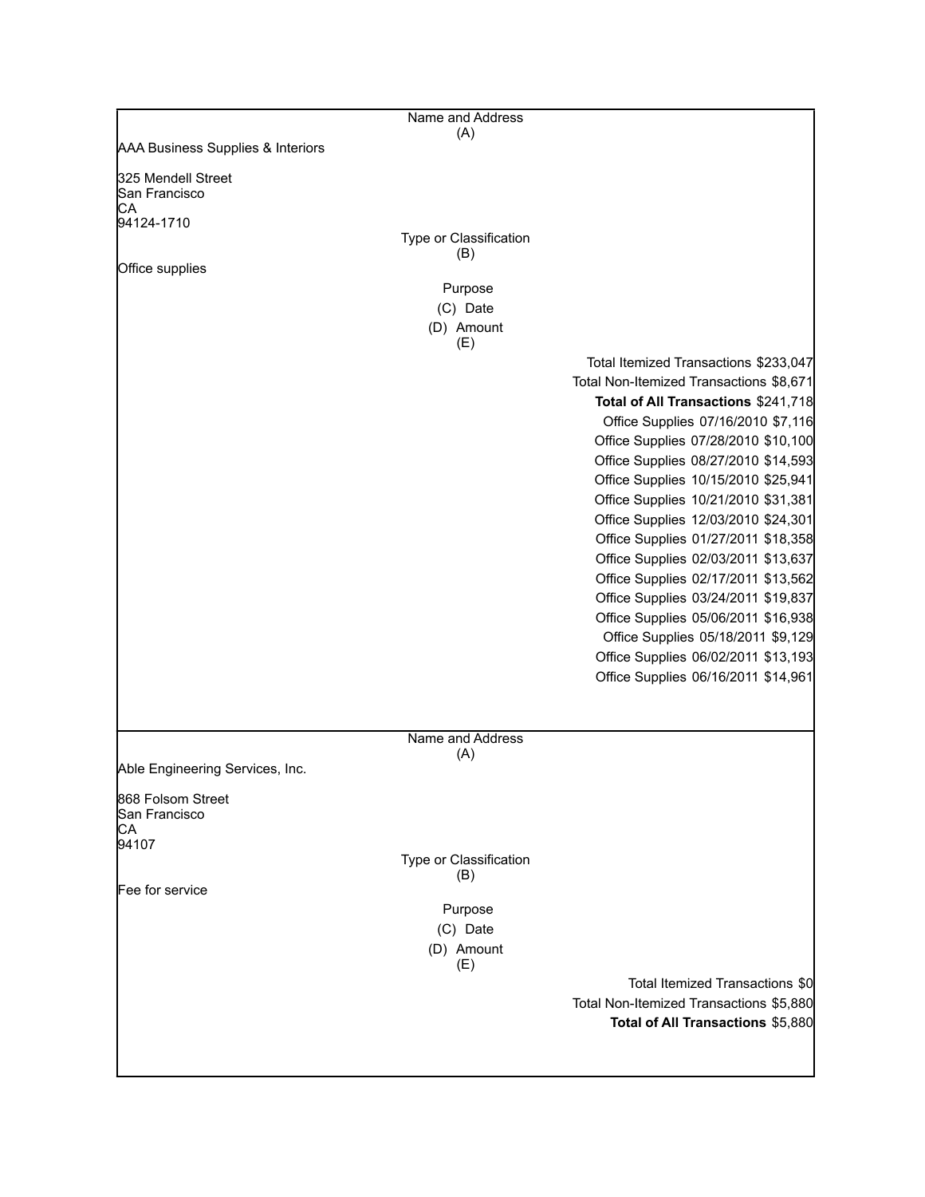|                                            | Name and Address<br>(A) |                                         |
|--------------------------------------------|-------------------------|-----------------------------------------|
| AAA Business Supplies & Interiors          |                         |                                         |
| 325 Mendell Street<br>lSan Francisco<br>CА |                         |                                         |
| 94124-1710                                 |                         |                                         |
|                                            | Type or Classification  |                                         |
|                                            | (B)                     |                                         |
| Office supplies                            |                         |                                         |
|                                            | Purpose                 |                                         |
|                                            | (C) Date                |                                         |
|                                            | (D) Amount<br>(E)       |                                         |
|                                            |                         | Total Itemized Transactions \$233,047   |
|                                            |                         | Total Non-Itemized Transactions \$8,671 |
|                                            |                         | Total of All Transactions \$241,718     |
|                                            |                         | Office Supplies 07/16/2010 \$7,116      |
|                                            |                         | Office Supplies 07/28/2010 \$10,100     |
|                                            |                         | Office Supplies 08/27/2010 \$14,593     |
|                                            |                         | Office Supplies 10/15/2010 \$25,941     |
|                                            |                         | Office Supplies 10/21/2010 \$31,381     |
|                                            |                         | Office Supplies 12/03/2010 \$24,301     |
|                                            |                         | Office Supplies 01/27/2011 \$18,358     |
|                                            |                         | Office Supplies 02/03/2011 \$13,637     |
|                                            |                         | Office Supplies 02/17/2011 \$13,562     |
|                                            |                         | Office Supplies 03/24/2011 \$19,837     |
|                                            |                         | Office Supplies 05/06/2011 \$16,938     |
|                                            |                         | Office Supplies 05/18/2011 \$9,129      |
|                                            |                         | Office Supplies 06/02/2011 \$13,193     |
|                                            |                         | Office Supplies 06/16/2011 \$14,961     |
|                                            |                         |                                         |
|                                            | Name and Address<br>(A) |                                         |
| Able Engineering Services, Inc.            |                         |                                         |
|                                            |                         |                                         |
| 868 Folsom Street<br>San Francisco<br>CА   |                         |                                         |
| 94107                                      |                         |                                         |
|                                            | Type or Classification  |                                         |
| Fee for service                            | (B)                     |                                         |
|                                            | Purpose                 |                                         |
|                                            | (C) Date                |                                         |
|                                            | (D) Amount<br>(E)       |                                         |
|                                            |                         | Total Itemized Transactions \$0         |
|                                            |                         | Total Non-Itemized Transactions \$5,880 |
|                                            |                         | Total of All Transactions \$5,880       |
|                                            |                         |                                         |
|                                            |                         |                                         |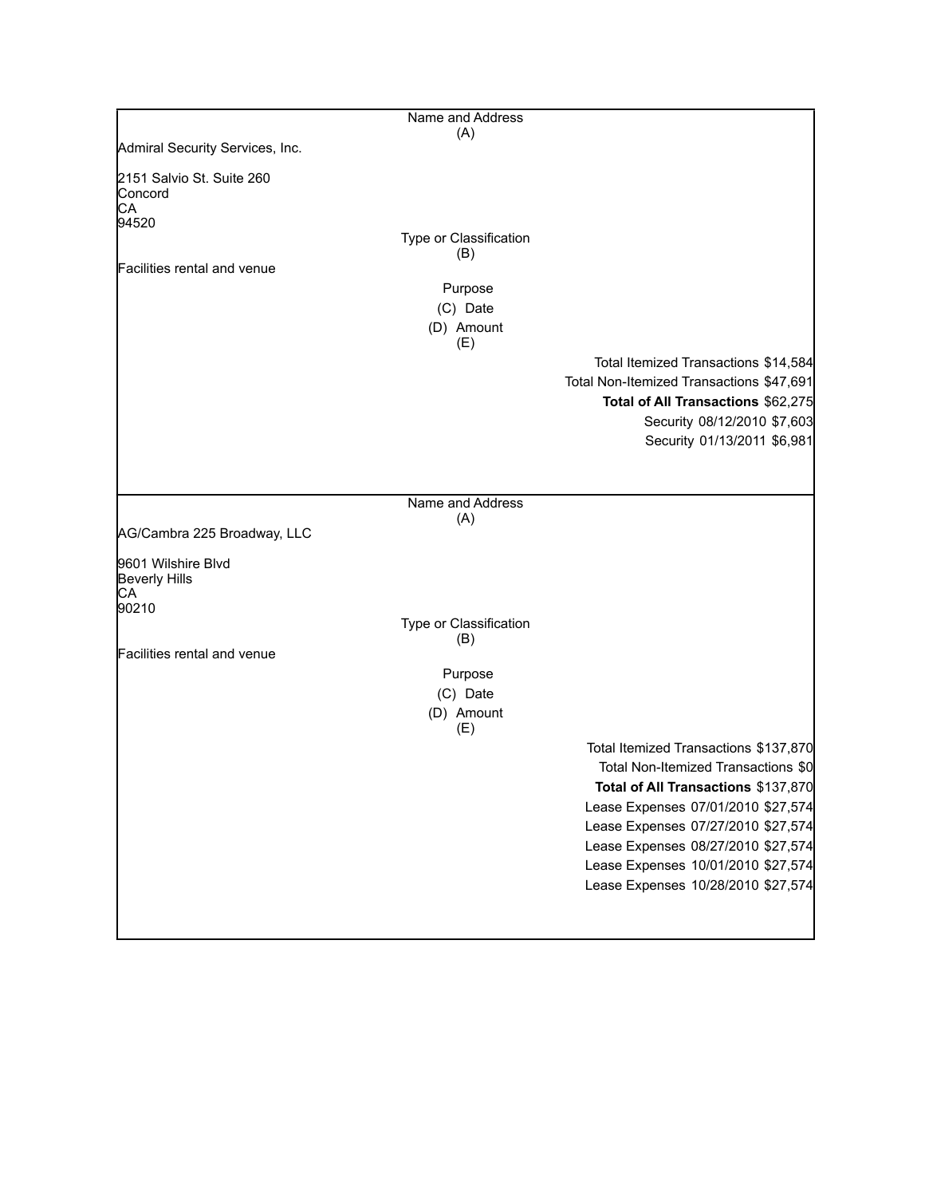|                                            | Name and Address       |                                                                          |
|--------------------------------------------|------------------------|--------------------------------------------------------------------------|
| Admiral Security Services, Inc.            | (A)                    |                                                                          |
| 2151 Salvio St. Suite 260<br>Concord<br>СA |                        |                                                                          |
| 94520                                      | Type or Classification |                                                                          |
| Facilities rental and venue                | (B)                    |                                                                          |
|                                            | Purpose                |                                                                          |
|                                            | (C) Date               |                                                                          |
|                                            | (D) Amount<br>(E)      |                                                                          |
|                                            |                        | Total Itemized Transactions \$14,584                                     |
|                                            |                        | Total Non-Itemized Transactions \$47,691                                 |
|                                            |                        | Total of All Transactions \$62,275                                       |
|                                            |                        | Security 08/12/2010 \$7,603<br>Security 01/13/2011 \$6,981               |
|                                            |                        |                                                                          |
|                                            |                        |                                                                          |
|                                            | Name and Address       |                                                                          |
| AG/Cambra 225 Broadway, LLC                | (A)                    |                                                                          |
| 9601 Wilshire Blvd                         |                        |                                                                          |
| <b>Beverly Hills</b><br>CА                 |                        |                                                                          |
| 90210                                      |                        |                                                                          |
|                                            | Type or Classification |                                                                          |
| Facilities rental and venue                | (B)                    |                                                                          |
|                                            | Purpose                |                                                                          |
|                                            | (C) Date               |                                                                          |
|                                            | (D) Amount<br>(E)      |                                                                          |
|                                            |                        | Total Itemized Transactions \$137,870                                    |
|                                            |                        | Total Non-Itemized Transactions \$0                                      |
|                                            |                        | Total of All Transactions \$137,870                                      |
|                                            |                        | Lease Expenses 07/01/2010 \$27,574                                       |
|                                            |                        | Lease Expenses 07/27/2010 \$27,574<br>Lease Expenses 08/27/2010 \$27,574 |
|                                            |                        | Lease Expenses 10/01/2010 \$27,574                                       |
|                                            |                        | Lease Expenses 10/28/2010 \$27,574                                       |
|                                            |                        |                                                                          |
|                                            |                        |                                                                          |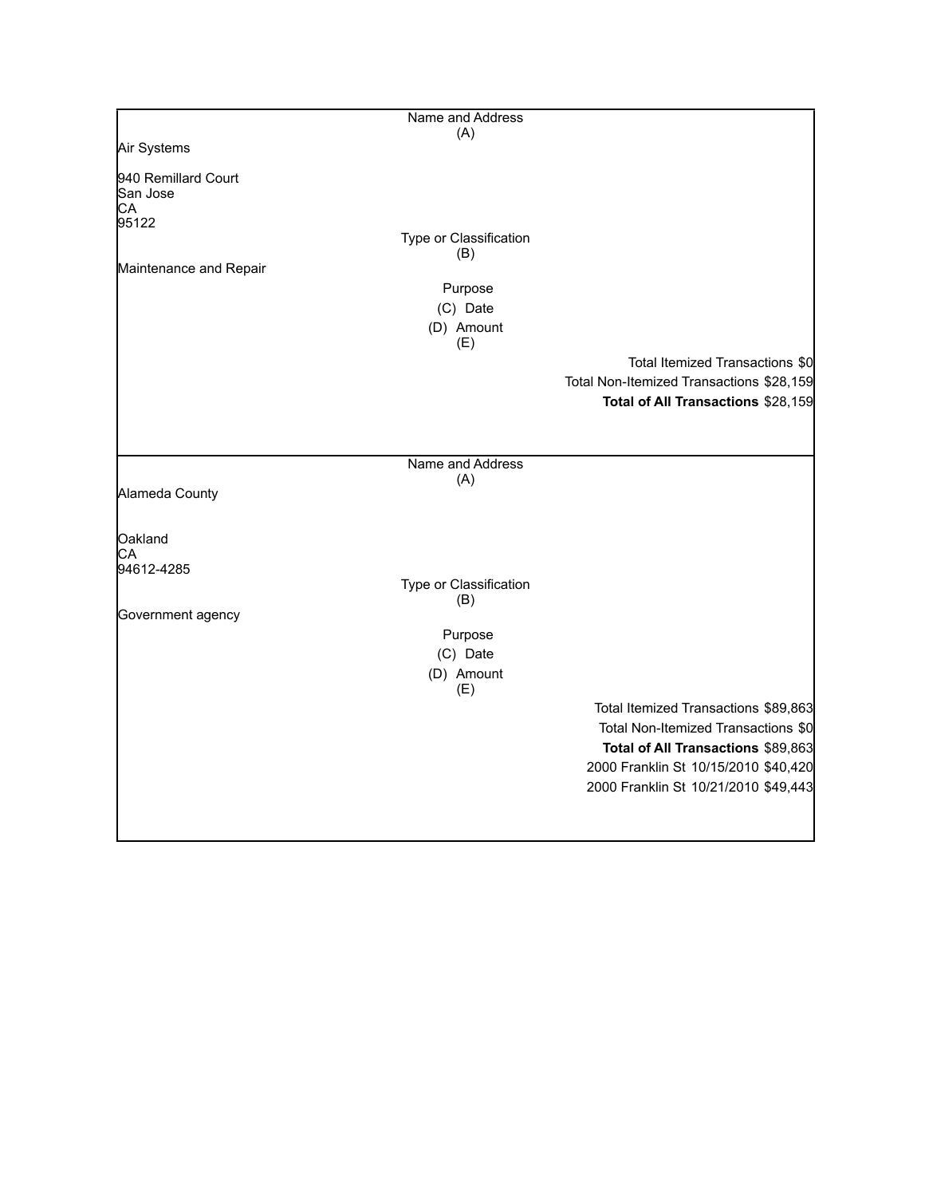|                                                | Name and Address              |                                          |
|------------------------------------------------|-------------------------------|------------------------------------------|
|                                                | (A)                           |                                          |
| Air Systems                                    |                               |                                          |
| 940 Remillard Court<br>San Jose<br>CA<br>95122 |                               |                                          |
|                                                | Type or Classification        |                                          |
| Maintenance and Repair                         | (B)                           |                                          |
|                                                | Purpose                       |                                          |
|                                                | (C) Date                      |                                          |
|                                                | (D) Amount                    |                                          |
|                                                | (E)                           |                                          |
|                                                |                               | Total Itemized Transactions \$0          |
|                                                |                               | Total Non-Itemized Transactions \$28,159 |
|                                                |                               | Total of All Transactions \$28,159       |
|                                                |                               |                                          |
|                                                |                               |                                          |
|                                                | Name and Address              |                                          |
| Alameda County                                 | (A)                           |                                          |
|                                                |                               |                                          |
| Oakland                                        |                               |                                          |
| СA                                             |                               |                                          |
| 94612-4285                                     |                               |                                          |
|                                                | Type or Classification<br>(B) |                                          |
| Government agency                              |                               |                                          |
|                                                | Purpose                       |                                          |
|                                                | (C) Date                      |                                          |
|                                                | (D) Amount                    |                                          |
|                                                | (E)                           |                                          |
|                                                |                               | Total Itemized Transactions \$89,863     |
|                                                |                               | Total Non-Itemized Transactions \$0      |
|                                                |                               | Total of All Transactions \$89,863       |
|                                                |                               | 2000 Franklin St 10/15/2010 \$40,420     |
|                                                |                               | 2000 Franklin St 10/21/2010 \$49,443     |
|                                                |                               |                                          |
|                                                |                               |                                          |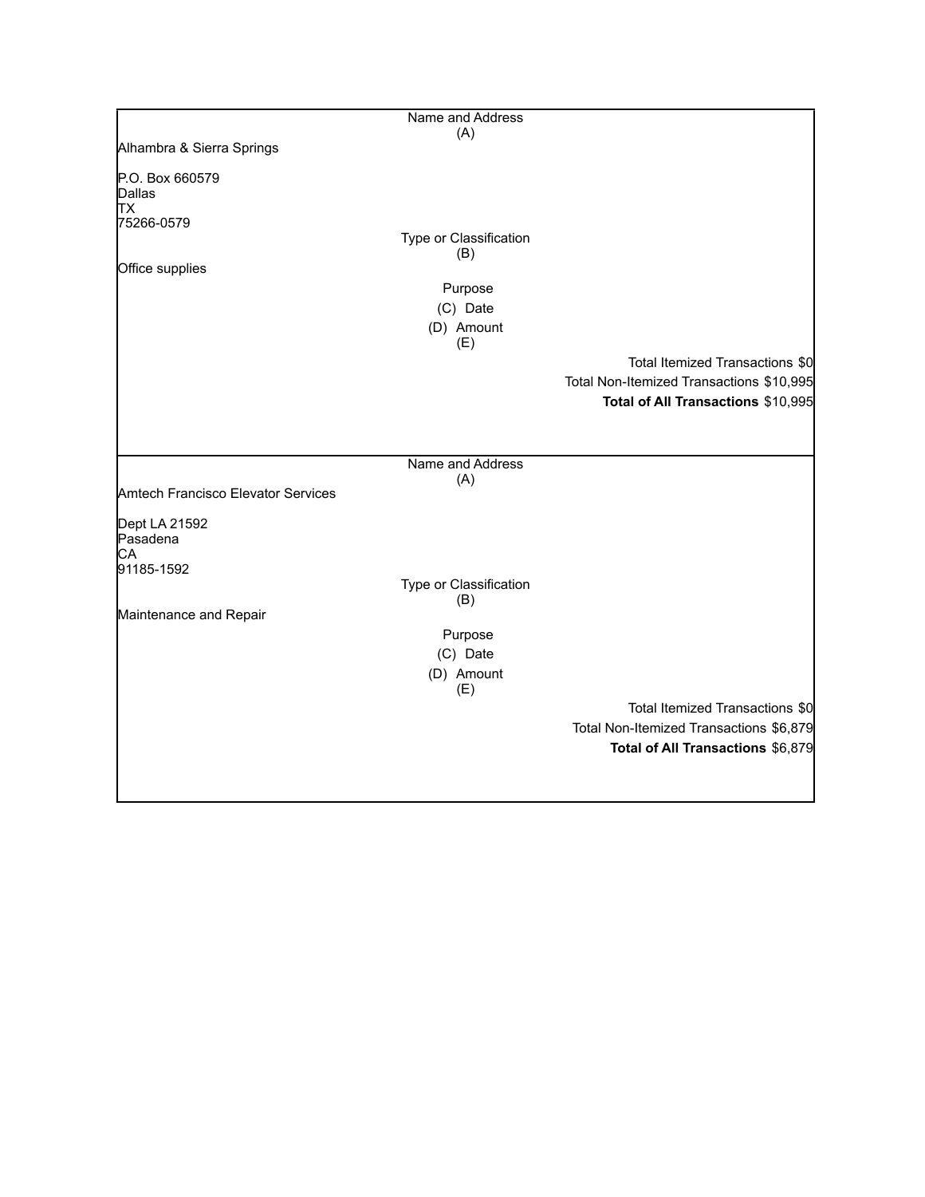|                                    | Name and Address              |                                          |
|------------------------------------|-------------------------------|------------------------------------------|
| Alhambra & Sierra Springs          | (A)                           |                                          |
|                                    |                               |                                          |
| P.O. Box 660579<br>Dallas          |                               |                                          |
| TХ                                 |                               |                                          |
| 75266-0579                         |                               |                                          |
|                                    | Type or Classification        |                                          |
| Office supplies                    | (B)                           |                                          |
|                                    | Purpose                       |                                          |
|                                    | (C) Date                      |                                          |
|                                    | (D) Amount                    |                                          |
|                                    | (E)                           |                                          |
|                                    |                               | Total Itemized Transactions \$0          |
|                                    |                               | Total Non-Itemized Transactions \$10,995 |
|                                    |                               | Total of All Transactions \$10,995       |
|                                    |                               |                                          |
|                                    |                               |                                          |
|                                    | Name and Address<br>(A)       |                                          |
| Amtech Francisco Elevator Services |                               |                                          |
|                                    |                               |                                          |
| Dept LA 21592<br>Pasadena          |                               |                                          |
| СA                                 |                               |                                          |
| 91185-1592                         |                               |                                          |
|                                    | Type or Classification<br>(B) |                                          |
| Maintenance and Repair             |                               |                                          |
|                                    | Purpose                       |                                          |
|                                    | (C) Date                      |                                          |
|                                    | (D) Amount                    |                                          |
|                                    | (E)                           |                                          |
|                                    |                               | Total Itemized Transactions \$0          |
|                                    |                               | Total Non-Itemized Transactions \$6,879  |
|                                    |                               | Total of All Transactions \$6,879        |
|                                    |                               |                                          |
|                                    |                               |                                          |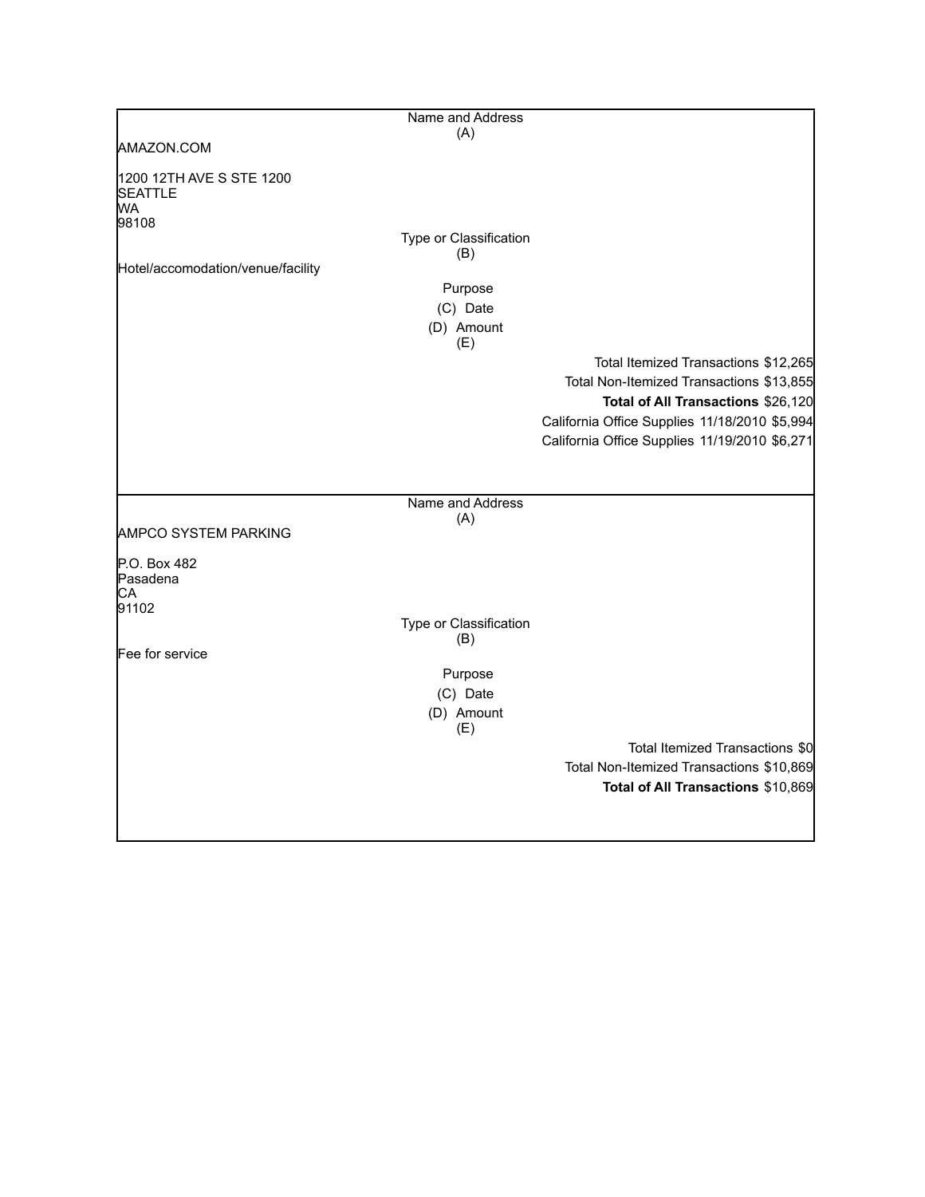|                                                                  | Name and Address       |                                                                                                                                                                                                                          |
|------------------------------------------------------------------|------------------------|--------------------------------------------------------------------------------------------------------------------------------------------------------------------------------------------------------------------------|
|                                                                  | (A)                    |                                                                                                                                                                                                                          |
| AMAZON.COM                                                       |                        |                                                                                                                                                                                                                          |
| 1200 12TH AVE S STE 1200<br><b>SEATTLE</b><br><b>WA</b><br>98108 |                        |                                                                                                                                                                                                                          |
|                                                                  | Type or Classification |                                                                                                                                                                                                                          |
| Hotel/accomodation/venue/facility                                | (B)                    |                                                                                                                                                                                                                          |
|                                                                  | Purpose                |                                                                                                                                                                                                                          |
|                                                                  | (C) Date               |                                                                                                                                                                                                                          |
|                                                                  | (D) Amount             |                                                                                                                                                                                                                          |
|                                                                  | (E)                    |                                                                                                                                                                                                                          |
|                                                                  |                        | Total Itemized Transactions \$12,265<br>Total Non-Itemized Transactions \$13,855<br>Total of All Transactions \$26,120<br>California Office Supplies 11/18/2010 \$5,994<br>California Office Supplies 11/19/2010 \$6,271 |
|                                                                  |                        |                                                                                                                                                                                                                          |
|                                                                  | Name and Address       |                                                                                                                                                                                                                          |
| <b>AMPCO SYSTEM PARKING</b>                                      | (A)                    |                                                                                                                                                                                                                          |
| P.O. Box 482<br>lPasadena<br>СA<br>91102                         |                        |                                                                                                                                                                                                                          |
|                                                                  | Type or Classification |                                                                                                                                                                                                                          |
|                                                                  | (B)                    |                                                                                                                                                                                                                          |
| Fee for service                                                  |                        |                                                                                                                                                                                                                          |
|                                                                  | Purpose                |                                                                                                                                                                                                                          |
|                                                                  | (C) Date               |                                                                                                                                                                                                                          |
|                                                                  | (D) Amount<br>(E)      |                                                                                                                                                                                                                          |
|                                                                  |                        | Total Itemized Transactions \$0                                                                                                                                                                                          |
|                                                                  |                        | Total Non-Itemized Transactions \$10,869                                                                                                                                                                                 |
|                                                                  |                        | Total of All Transactions \$10,869                                                                                                                                                                                       |
|                                                                  |                        |                                                                                                                                                                                                                          |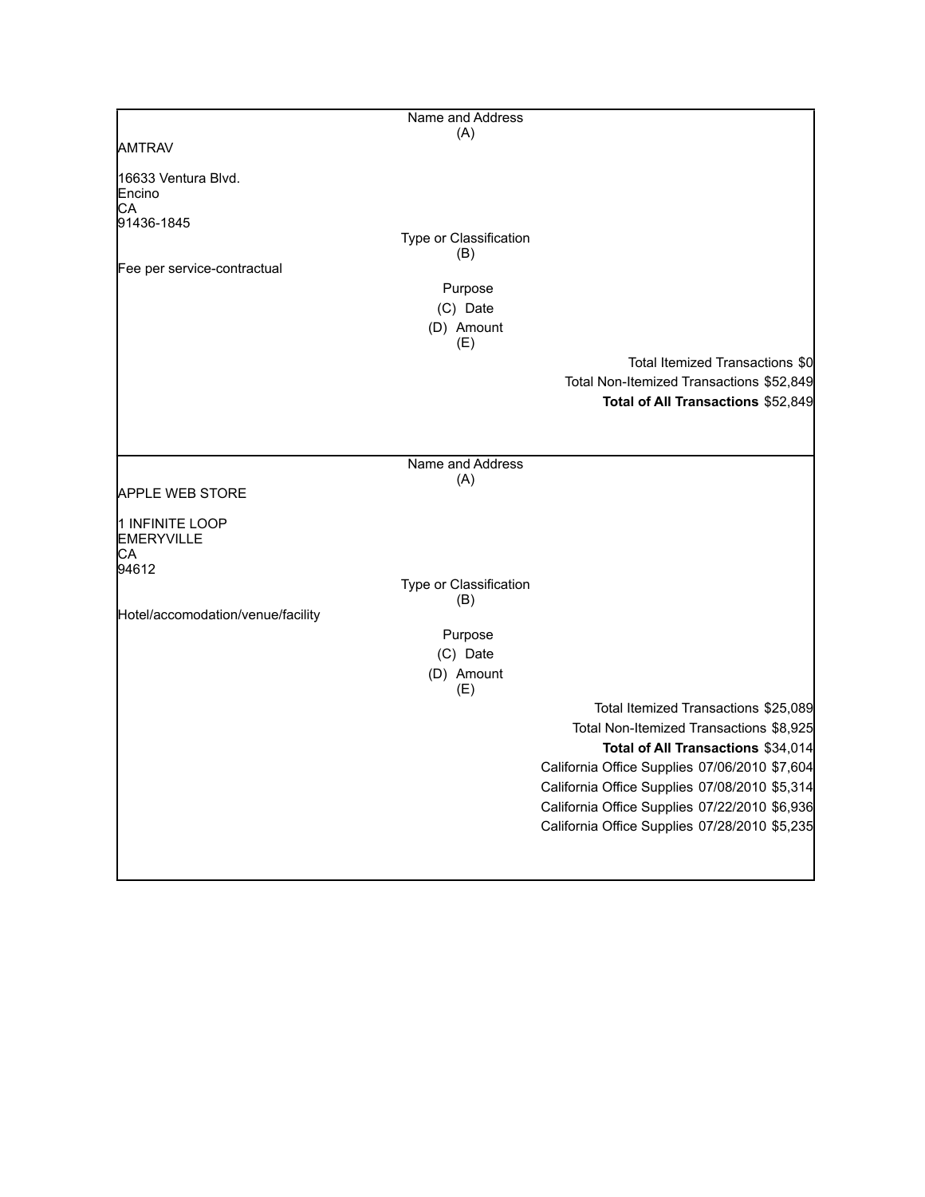|                                     | Name and Address       |                                               |
|-------------------------------------|------------------------|-----------------------------------------------|
|                                     | (A)                    |                                               |
| AMTRAV                              |                        |                                               |
| 16633 Ventura Blvd.<br>Encino<br>СA |                        |                                               |
| 91436-1845                          |                        |                                               |
|                                     | Type or Classification |                                               |
| Fee per service-contractual         | (B)                    |                                               |
|                                     | Purpose                |                                               |
|                                     | (C) Date               |                                               |
|                                     | (D) Amount             |                                               |
|                                     | (E)                    |                                               |
|                                     |                        | Total Itemized Transactions \$0               |
|                                     |                        | Total Non-Itemized Transactions \$52,849      |
|                                     |                        | Total of All Transactions \$52,849            |
|                                     |                        |                                               |
|                                     |                        |                                               |
|                                     | Name and Address       |                                               |
|                                     | (A)                    |                                               |
| <b>APPLE WEB STORE</b>              |                        |                                               |
| 1 INFINITE LOOP                     |                        |                                               |
| <b>EMERYVILLE</b>                   |                        |                                               |
| CA                                  |                        |                                               |
| 94612                               | Type or Classification |                                               |
|                                     | (B)                    |                                               |
| Hotel/accomodation/venue/facility   |                        |                                               |
|                                     | Purpose                |                                               |
|                                     | (C) Date               |                                               |
|                                     | (D) Amount<br>(E)      |                                               |
|                                     |                        | Total Itemized Transactions \$25,089          |
|                                     |                        | Total Non-Itemized Transactions \$8,925       |
|                                     |                        | Total of All Transactions \$34,014            |
|                                     |                        | California Office Supplies 07/06/2010 \$7,604 |
|                                     |                        | California Office Supplies 07/08/2010 \$5,314 |
|                                     |                        | California Office Supplies 07/22/2010 \$6,936 |
|                                     |                        | California Office Supplies 07/28/2010 \$5,235 |
|                                     |                        |                                               |
|                                     |                        |                                               |

L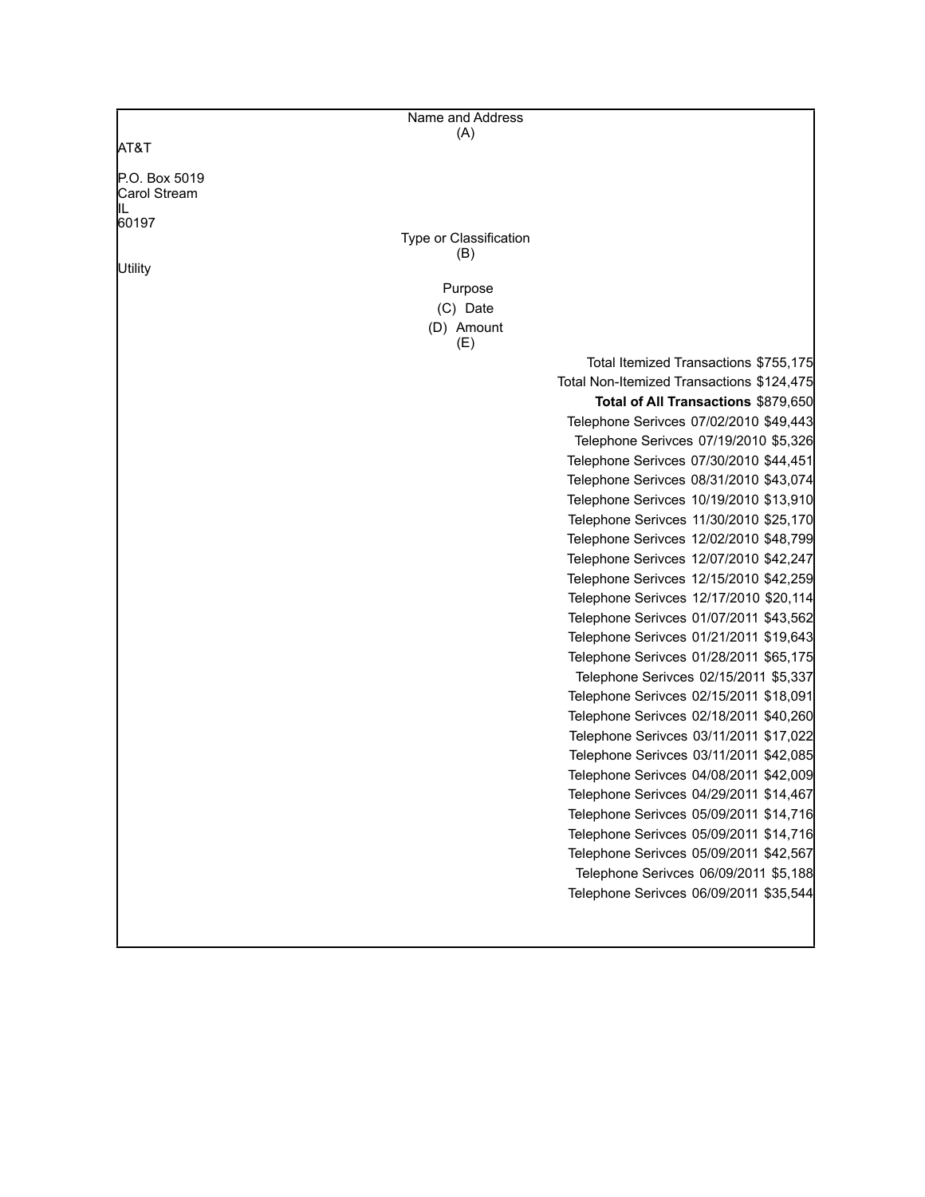|                     | Name and Address       |                                           |
|---------------------|------------------------|-------------------------------------------|
| AT&T                | (A)                    |                                           |
|                     |                        |                                           |
| P.O. Box 5019       |                        |                                           |
| Carol Stream<br>IIL |                        |                                           |
| 60197               |                        |                                           |
|                     | Type or Classification |                                           |
|                     | (B)                    |                                           |
| Utility             | Purpose                |                                           |
|                     | (C) Date               |                                           |
|                     | (D) Amount             |                                           |
|                     | (E)                    |                                           |
|                     |                        | Total Itemized Transactions \$755,175     |
|                     |                        | Total Non-Itemized Transactions \$124,475 |
|                     |                        | Total of All Transactions \$879,650       |
|                     |                        | Telephone Serivces 07/02/2010 \$49,443    |
|                     |                        | Telephone Serivces 07/19/2010 \$5,326     |
|                     |                        | Telephone Serivces 07/30/2010 \$44,451    |
|                     |                        | Telephone Serivces 08/31/2010 \$43,074    |
|                     |                        | Telephone Serivces 10/19/2010 \$13,910    |
|                     |                        | Telephone Serivces 11/30/2010 \$25,170    |
|                     |                        | Telephone Serivces 12/02/2010 \$48,799    |
|                     |                        | Telephone Serivces 12/07/2010 \$42,247    |
|                     |                        | Telephone Serivces 12/15/2010 \$42,259    |
|                     |                        | Telephone Serivces 12/17/2010 \$20,114    |
|                     |                        | Telephone Serivces 01/07/2011 \$43,562    |
|                     |                        | Telephone Serivces 01/21/2011 \$19,643    |
|                     |                        | Telephone Serivces 01/28/2011 \$65,175    |
|                     |                        | Telephone Serivces 02/15/2011 \$5,337     |
|                     |                        | Telephone Serivces 02/15/2011 \$18,091    |
|                     |                        | Telephone Serivces 02/18/2011 \$40,260    |
|                     |                        | Telephone Serivces 03/11/2011 \$17,022    |
|                     |                        | Telephone Serivces 03/11/2011 \$42,085    |
|                     |                        | Telephone Serivces 04/08/2011 \$42,009    |
|                     |                        | Telephone Serivces 04/29/2011 \$14,467    |
|                     |                        | Telephone Serivces 05/09/2011 \$14,716    |
|                     |                        | Telephone Serivces 05/09/2011 \$14,716    |
|                     |                        | Telephone Serivces 05/09/2011 \$42,567    |
|                     |                        | Telephone Serivces 06/09/2011 \$5,188     |
|                     |                        | Telephone Serivces 06/09/2011 \$35,544    |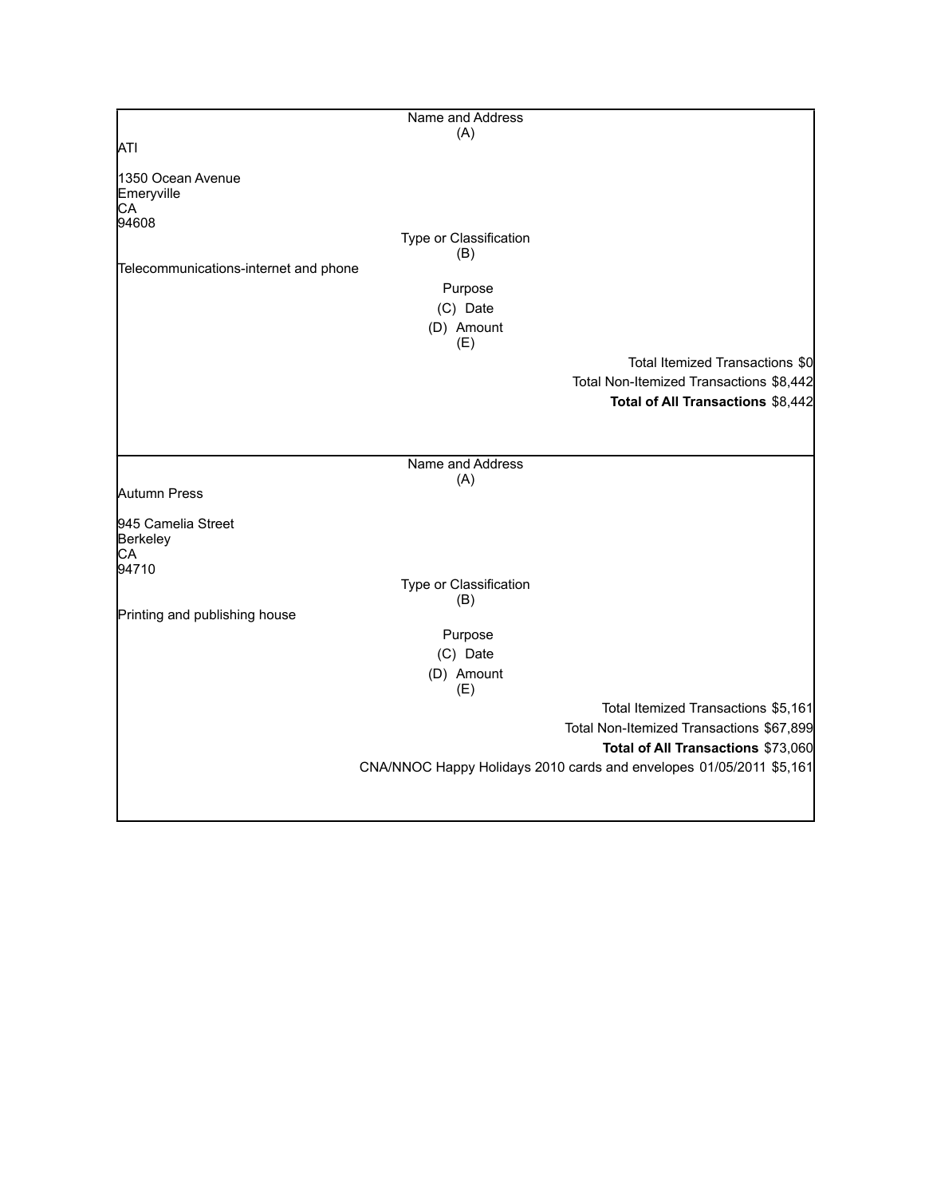|                                       | Name and Address              |                                                                     |
|---------------------------------------|-------------------------------|---------------------------------------------------------------------|
|                                       | (A)                           |                                                                     |
| <b>ATI</b>                            |                               |                                                                     |
|                                       |                               |                                                                     |
| 1350 Ocean Avenue                     |                               |                                                                     |
| Emeryville                            |                               |                                                                     |
| CA                                    |                               |                                                                     |
| 94608                                 |                               |                                                                     |
|                                       | Type or Classification<br>(B) |                                                                     |
| Telecommunications-internet and phone |                               |                                                                     |
|                                       | Purpose                       |                                                                     |
|                                       |                               |                                                                     |
|                                       | (C) Date                      |                                                                     |
|                                       | (D) Amount                    |                                                                     |
|                                       | (E)                           |                                                                     |
|                                       |                               | Total Itemized Transactions \$0                                     |
|                                       |                               | Total Non-Itemized Transactions \$8,442                             |
|                                       |                               | Total of All Transactions \$8,442                                   |
|                                       |                               |                                                                     |
|                                       |                               |                                                                     |
|                                       |                               |                                                                     |
|                                       | Name and Address              |                                                                     |
| Autumn Press                          | (A)                           |                                                                     |
|                                       |                               |                                                                     |
| 945 Camelia Street                    |                               |                                                                     |
| Berkeley                              |                               |                                                                     |
| CА                                    |                               |                                                                     |
| 94710                                 |                               |                                                                     |
|                                       | Type or Classification        |                                                                     |
|                                       | (B)                           |                                                                     |
| Printing and publishing house         |                               |                                                                     |
|                                       | Purpose                       |                                                                     |
|                                       | (C) Date                      |                                                                     |
|                                       | (D) Amount                    |                                                                     |
|                                       | (E)                           |                                                                     |
|                                       |                               | Total Itemized Transactions \$5,161                                 |
|                                       |                               | Total Non-Itemized Transactions \$67,899                            |
|                                       |                               |                                                                     |
|                                       |                               | Total of All Transactions \$73,060                                  |
|                                       |                               | CNA/NNOC Happy Holidays 2010 cards and envelopes 01/05/2011 \$5,161 |
|                                       |                               |                                                                     |
|                                       |                               |                                                                     |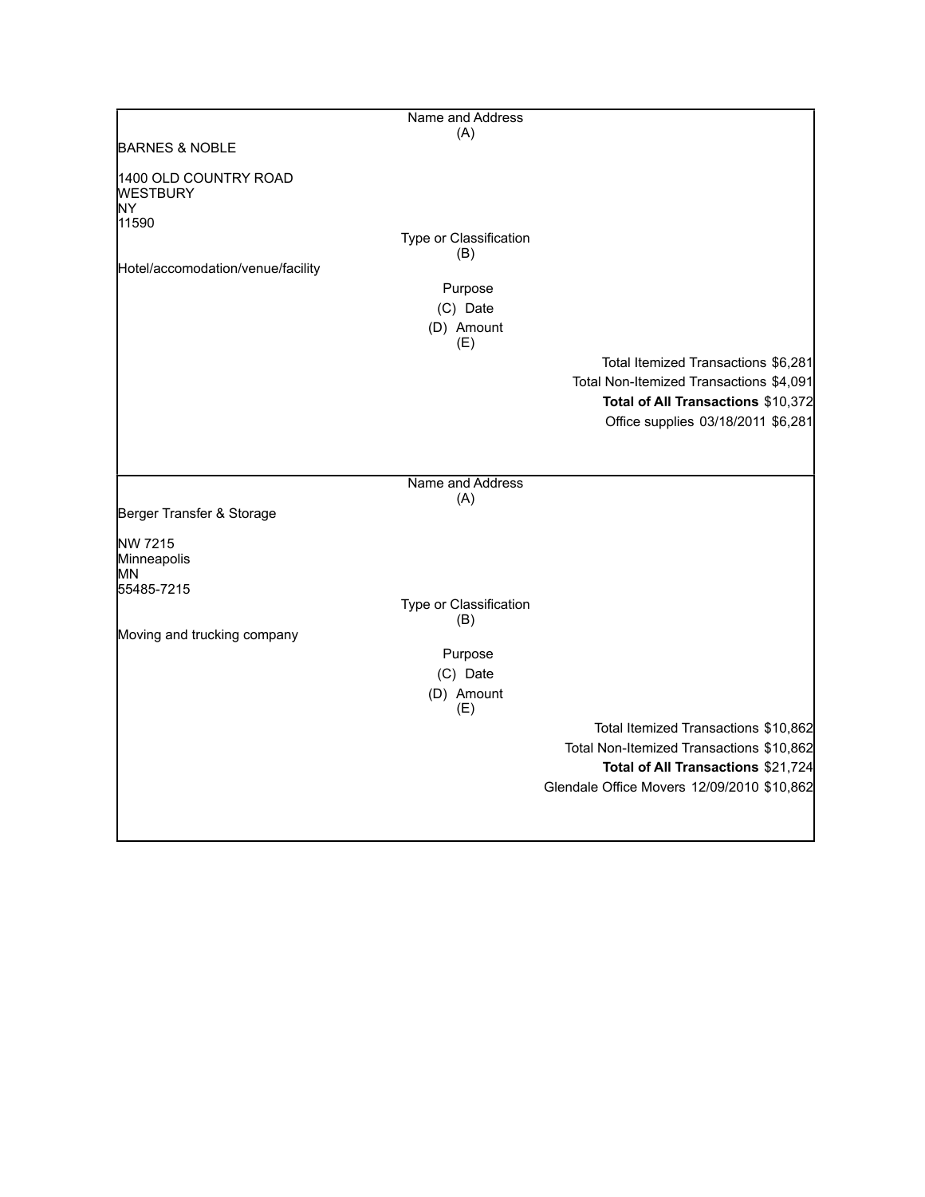|                                                          | Name and Address       |                                            |
|----------------------------------------------------------|------------------------|--------------------------------------------|
|                                                          | (A)                    |                                            |
| <b>BARNES &amp; NOBLE</b>                                |                        |                                            |
| 1400 OLD COUNTRY ROAD<br><b>WESTBURY</b><br>İΝY<br>11590 |                        |                                            |
|                                                          | Type or Classification |                                            |
| Hotel/accomodation/venue/facility                        | (B)                    |                                            |
|                                                          | Purpose                |                                            |
|                                                          | (C) Date               |                                            |
|                                                          | (D) Amount             |                                            |
|                                                          | (E)                    |                                            |
|                                                          |                        | Total Itemized Transactions \$6,281        |
|                                                          |                        | Total Non-Itemized Transactions \$4,091    |
|                                                          |                        | Total of All Transactions \$10,372         |
|                                                          |                        | Office supplies 03/18/2011 \$6,281         |
|                                                          |                        |                                            |
|                                                          |                        |                                            |
|                                                          | Name and Address       |                                            |
| Berger Transfer & Storage                                | (A)                    |                                            |
|                                                          |                        |                                            |
| NW 7215<br>Minneapolis<br>МN<br>55485-7215               |                        |                                            |
|                                                          | Type or Classification |                                            |
|                                                          | (B)                    |                                            |
| Moving and trucking company                              |                        |                                            |
|                                                          | Purpose                |                                            |
|                                                          | (C) Date               |                                            |
|                                                          | (D) Amount<br>(E)      |                                            |
|                                                          |                        | Total Itemized Transactions \$10,862       |
|                                                          |                        | Total Non-Itemized Transactions \$10,862   |
|                                                          |                        | Total of All Transactions \$21,724         |
|                                                          |                        | Glendale Office Movers 12/09/2010 \$10,862 |
|                                                          |                        |                                            |
|                                                          |                        |                                            |
|                                                          |                        |                                            |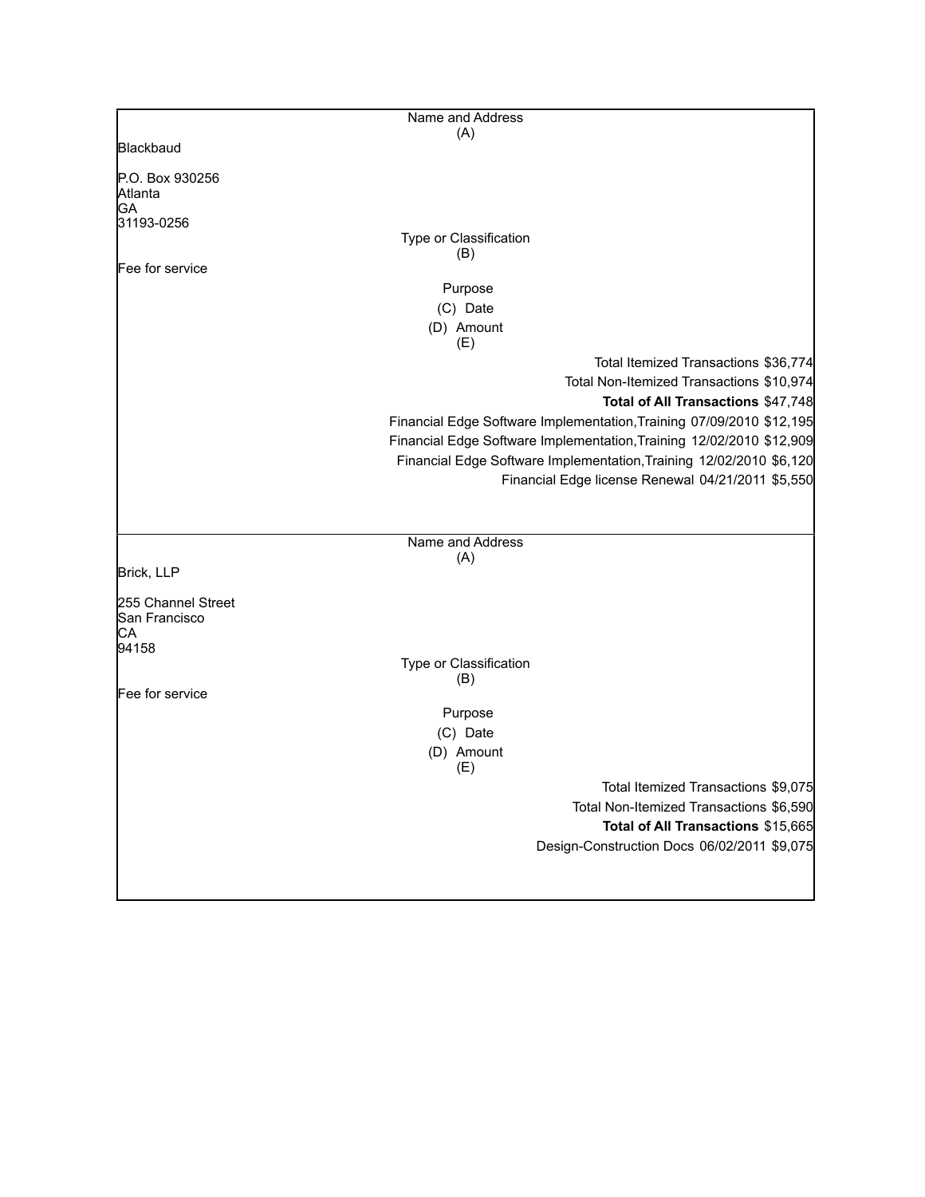|                                  | Name and Address                                                               |  |
|----------------------------------|--------------------------------------------------------------------------------|--|
|                                  | (A)                                                                            |  |
| Blackbaud                        |                                                                                |  |
| P.O. Box 930256<br>Atlanta<br>GA |                                                                                |  |
| 31193-0256                       |                                                                                |  |
|                                  | Type or Classification<br>(B)                                                  |  |
| Fee for service                  |                                                                                |  |
|                                  | Purpose                                                                        |  |
|                                  | (C) Date                                                                       |  |
|                                  | (D) Amount<br>(E)                                                              |  |
|                                  | Total Itemized Transactions \$36,774                                           |  |
|                                  | Total Non-Itemized Transactions \$10,974<br>Total of All Transactions \$47,748 |  |
|                                  | Financial Edge Software Implementation, Training 07/09/2010 \$12,195           |  |
|                                  | Financial Edge Software Implementation, Training 12/02/2010 \$12,909           |  |
|                                  | Financial Edge Software Implementation, Training 12/02/2010 \$6,120            |  |
|                                  | Financial Edge license Renewal 04/21/2011 \$5,550                              |  |
|                                  |                                                                                |  |
|                                  |                                                                                |  |
|                                  | Name and Address<br>(A)                                                        |  |
| Brick, LLP                       |                                                                                |  |
| 255 Channel Street               |                                                                                |  |
| San Francisco                    |                                                                                |  |
| CА<br>94158                      |                                                                                |  |
|                                  | Type or Classification<br>(B)                                                  |  |
| Fee for service                  |                                                                                |  |
|                                  | Purpose                                                                        |  |
|                                  | (C) Date                                                                       |  |
|                                  | (D) Amount<br>(E)                                                              |  |
|                                  | Total Itemized Transactions \$9,075                                            |  |
|                                  | Total Non-Itemized Transactions \$6,590                                        |  |
|                                  | Total of All Transactions \$15,665                                             |  |
|                                  | Design-Construction Docs 06/02/2011 \$9,075                                    |  |
|                                  |                                                                                |  |
|                                  |                                                                                |  |

 $\mathbf{I}$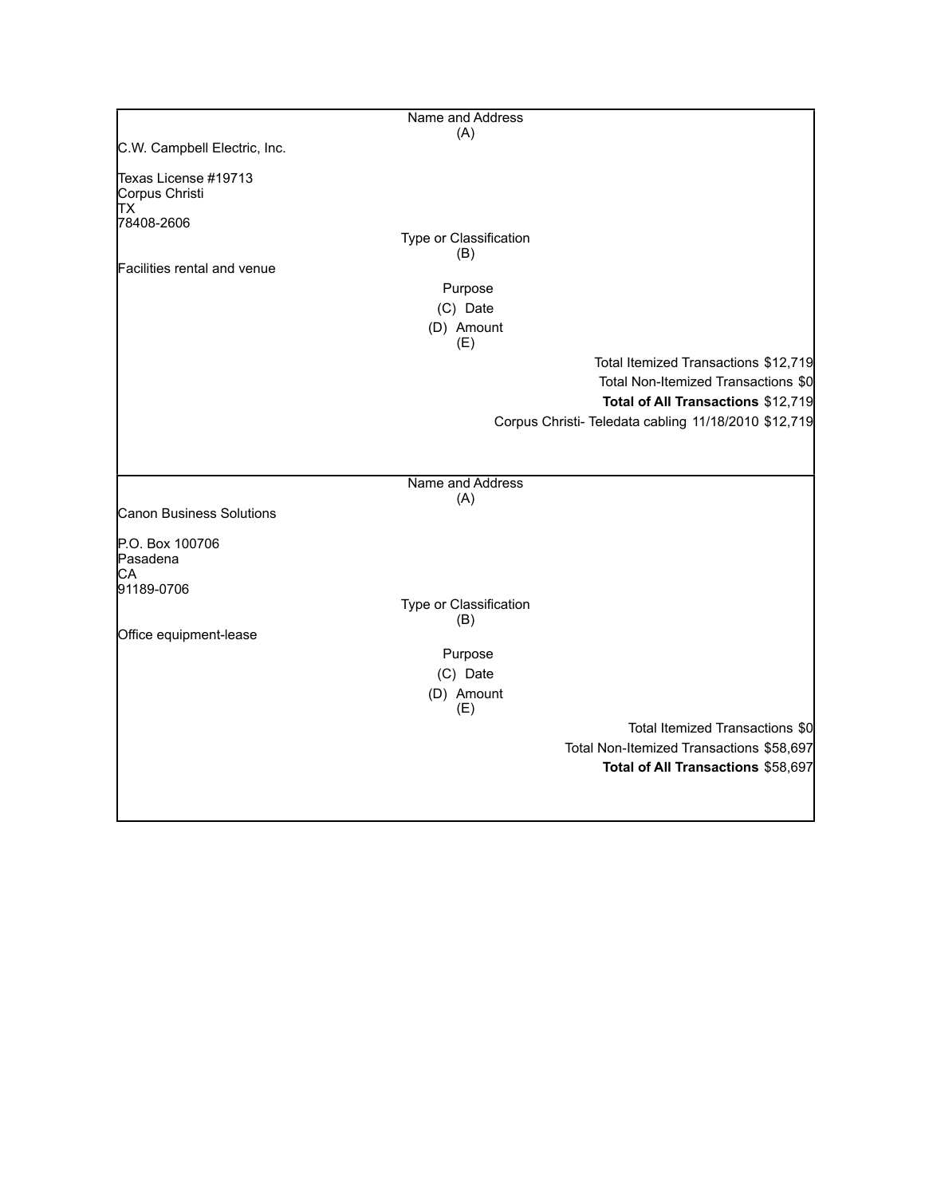|                                        | Name and Address       |                                                      |
|----------------------------------------|------------------------|------------------------------------------------------|
|                                        | (A)                    |                                                      |
| C.W. Campbell Electric, Inc.           |                        |                                                      |
| Texas License #19713<br>Corpus Christi |                        |                                                      |
| lТX<br>78408-2606                      |                        |                                                      |
|                                        | Type or Classification |                                                      |
|                                        | (B)                    |                                                      |
| Facilities rental and venue            |                        |                                                      |
|                                        | Purpose                |                                                      |
|                                        | (C) Date               |                                                      |
|                                        | (D) Amount<br>(E)      |                                                      |
|                                        |                        | Total Itemized Transactions \$12,719                 |
|                                        |                        | Total Non-Itemized Transactions \$0                  |
|                                        |                        | Total of All Transactions \$12,719                   |
|                                        |                        | Corpus Christi- Teledata cabling 11/18/2010 \$12,719 |
|                                        |                        |                                                      |
|                                        |                        |                                                      |
|                                        | Name and Address       |                                                      |
| <b>Canon Business Solutions</b>        | (A)                    |                                                      |
|                                        |                        |                                                      |
| P.O. Box 100706                        |                        |                                                      |
| Pasadena                               |                        |                                                      |
| СA<br>91189-0706                       |                        |                                                      |
|                                        | Type or Classification |                                                      |
|                                        | (B)                    |                                                      |
| Office equipment-lease                 |                        |                                                      |
|                                        | Purpose                |                                                      |
|                                        | (C) Date               |                                                      |
|                                        | (D) Amount<br>(E)      |                                                      |
|                                        |                        | Total Itemized Transactions \$0                      |
|                                        |                        | Total Non-Itemized Transactions \$58,697             |
|                                        |                        | Total of All Transactions \$58,697                   |
|                                        |                        |                                                      |
|                                        |                        |                                                      |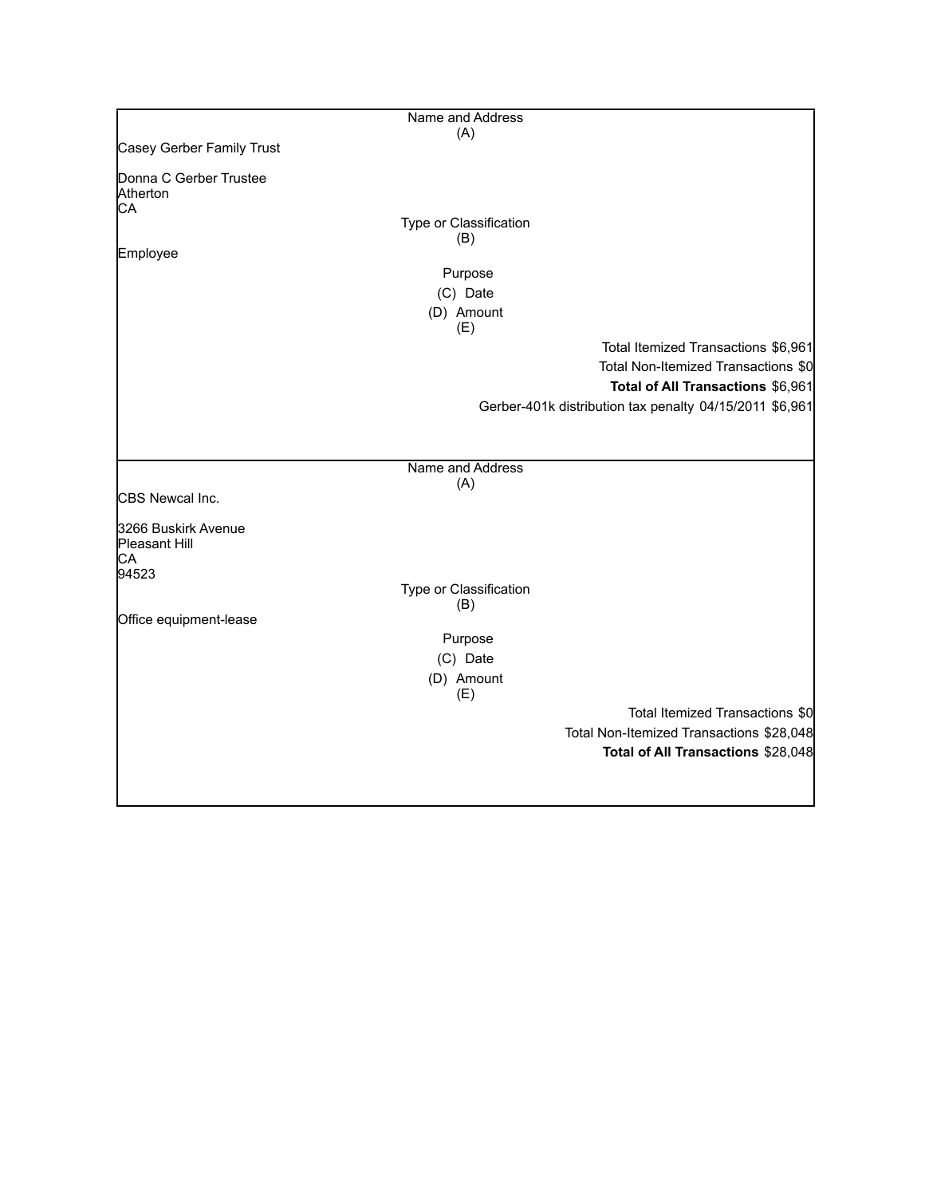|                           | Name and Address              |                                                         |
|---------------------------|-------------------------------|---------------------------------------------------------|
|                           | (A)                           |                                                         |
| Casey Gerber Family Trust |                               |                                                         |
| Donna C Gerber Trustee    |                               |                                                         |
| Atherton                  |                               |                                                         |
| CA                        |                               |                                                         |
|                           | Type or Classification<br>(B) |                                                         |
| Employee                  |                               |                                                         |
|                           | Purpose                       |                                                         |
|                           | (C) Date                      |                                                         |
|                           | (D) Amount                    |                                                         |
|                           | (E)                           |                                                         |
|                           |                               | Total Itemized Transactions \$6,961                     |
|                           |                               | Total Non-Itemized Transactions \$0                     |
|                           |                               | Total of All Transactions \$6,961                       |
|                           |                               | Gerber-401k distribution tax penalty 04/15/2011 \$6,961 |
|                           |                               |                                                         |
|                           |                               |                                                         |
|                           |                               |                                                         |
|                           | Name and Address<br>(A)       |                                                         |
| CBS Newcal Inc.           |                               |                                                         |
|                           |                               |                                                         |
| 3266 Buskirk Avenue       |                               |                                                         |
| Pleasant Hill<br>CA       |                               |                                                         |
| 94523                     |                               |                                                         |
|                           | Type or Classification        |                                                         |
|                           | (B)                           |                                                         |
| Office equipment-lease    |                               |                                                         |
|                           | Purpose                       |                                                         |
|                           | (C) Date                      |                                                         |
|                           | (D) Amount                    |                                                         |
|                           | (E)                           |                                                         |
|                           |                               | Total Itemized Transactions \$0                         |
|                           |                               | Total Non-Itemized Transactions \$28,048                |
|                           |                               | Total of All Transactions \$28,048                      |
|                           |                               |                                                         |
|                           |                               |                                                         |
|                           |                               |                                                         |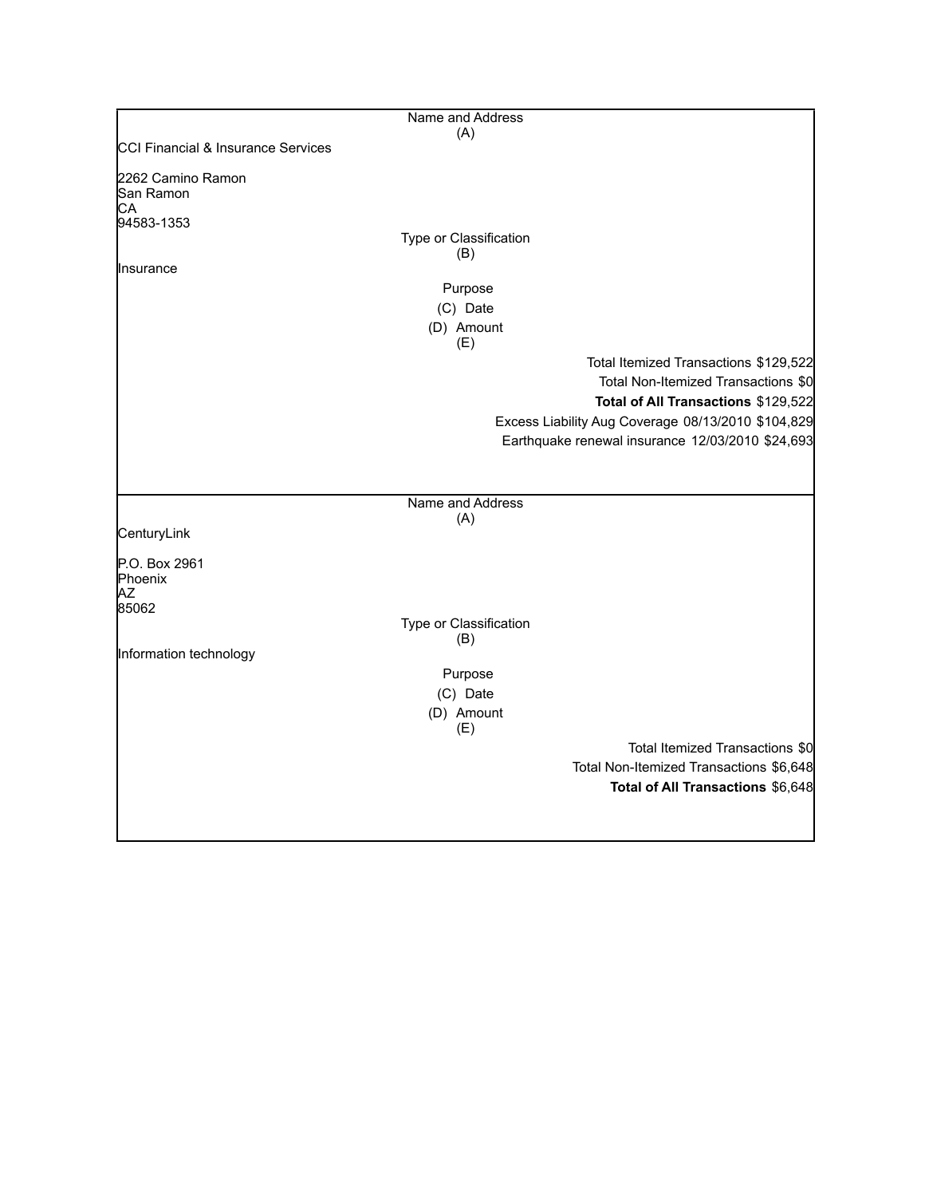|                                    | Name and Address       |                                                    |
|------------------------------------|------------------------|----------------------------------------------------|
|                                    | (A)                    |                                                    |
| CCI Financial & Insurance Services |                        |                                                    |
| 2262 Camino Ramon                  |                        |                                                    |
| San Ramon                          |                        |                                                    |
| СA                                 |                        |                                                    |
| 94583-1353                         | Type or Classification |                                                    |
|                                    | (B)                    |                                                    |
| <b>Insurance</b>                   |                        |                                                    |
|                                    | Purpose                |                                                    |
|                                    | (C) Date               |                                                    |
|                                    | (D) Amount             |                                                    |
|                                    | (E)                    |                                                    |
|                                    |                        | Total Itemized Transactions \$129,522              |
|                                    |                        | Total Non-Itemized Transactions \$0                |
|                                    |                        | Total of All Transactions \$129,522                |
|                                    |                        | Excess Liability Aug Coverage 08/13/2010 \$104,829 |
|                                    |                        | Earthquake renewal insurance 12/03/2010 \$24,693   |
|                                    |                        |                                                    |
|                                    |                        |                                                    |
|                                    | Name and Address       |                                                    |
|                                    | (A)                    |                                                    |
| CenturyLink                        |                        |                                                    |
| P.O. Box 2961                      |                        |                                                    |
| Phoenix                            |                        |                                                    |
| ΑZ                                 |                        |                                                    |
| 85062                              |                        |                                                    |
|                                    | Type or Classification |                                                    |
| Information technology             | (B)                    |                                                    |
|                                    | Purpose                |                                                    |
|                                    | (C) Date               |                                                    |
|                                    |                        |                                                    |
|                                    | (D) Amount<br>(E)      |                                                    |
|                                    |                        | Total Itemized Transactions \$0                    |
|                                    |                        | Total Non-Itemized Transactions \$6,648            |
|                                    |                        | Total of All Transactions \$6,648                  |
|                                    |                        |                                                    |
|                                    |                        |                                                    |
|                                    |                        |                                                    |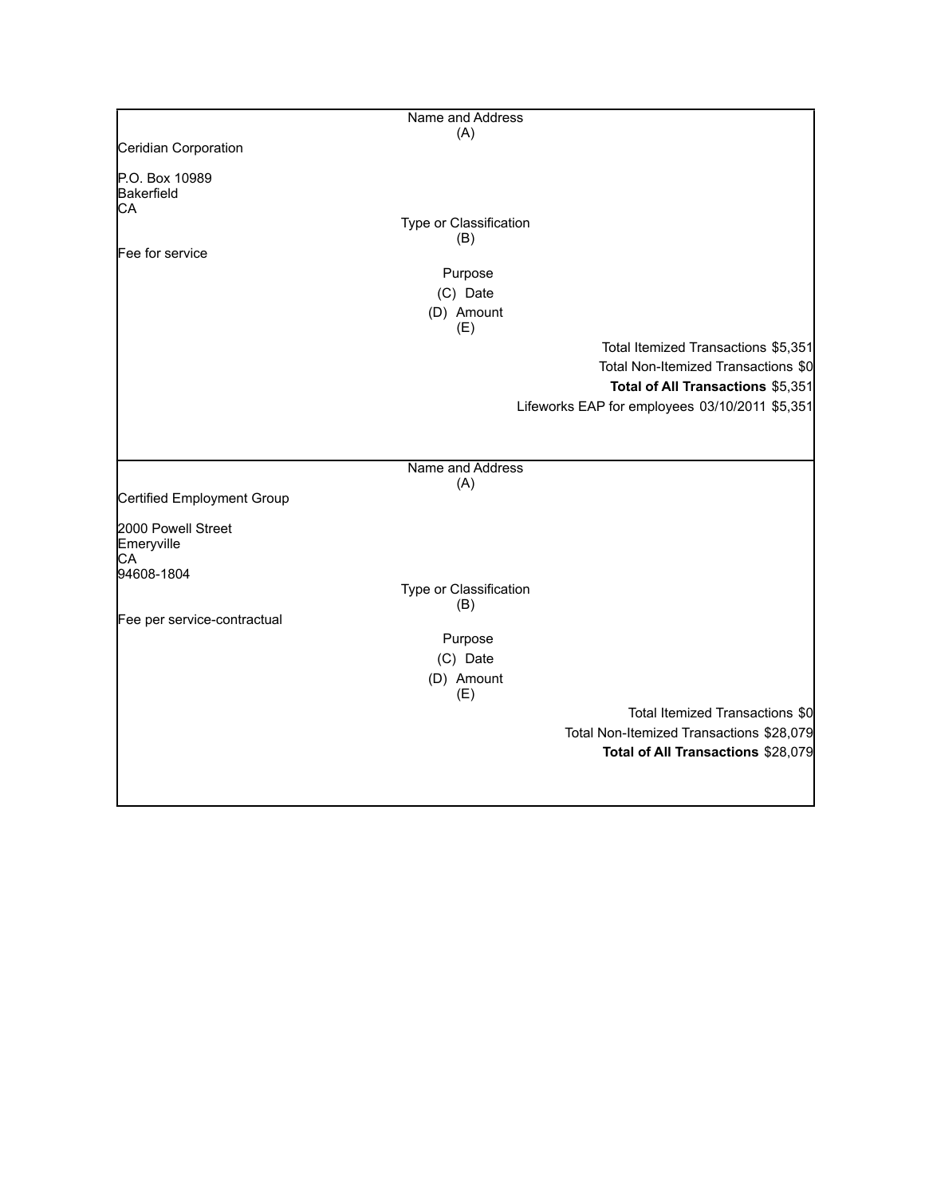|                             | Name and Address       |                                                |
|-----------------------------|------------------------|------------------------------------------------|
|                             | (A)                    |                                                |
| Ceridian Corporation        |                        |                                                |
| P.O. Box 10989              |                        |                                                |
| Bakerfield                  |                        |                                                |
| CA                          |                        |                                                |
|                             | Type or Classification |                                                |
| Fee for service             | (B)                    |                                                |
|                             |                        |                                                |
|                             | Purpose                |                                                |
|                             | (C) Date               |                                                |
|                             | (D) Amount             |                                                |
|                             | (E)                    |                                                |
|                             |                        | Total Itemized Transactions \$5,351            |
|                             |                        | Total Non-Itemized Transactions \$0            |
|                             |                        | Total of All Transactions \$5,351              |
|                             |                        | Lifeworks EAP for employees 03/10/2011 \$5,351 |
|                             |                        |                                                |
|                             |                        |                                                |
|                             | Name and Address       |                                                |
|                             | (A)                    |                                                |
| Certified Employment Group  |                        |                                                |
|                             |                        |                                                |
| 2000 Powell Street          |                        |                                                |
| Emeryville                  |                        |                                                |
| СA<br>94608-1804            |                        |                                                |
|                             | Type or Classification |                                                |
|                             | (B)                    |                                                |
| Fee per service-contractual |                        |                                                |
|                             | Purpose                |                                                |
|                             | (C) Date               |                                                |
|                             | (D) Amount             |                                                |
|                             | (E)                    |                                                |
|                             |                        | Total Itemized Transactions \$0                |
|                             |                        | Total Non-Itemized Transactions \$28,079       |
|                             |                        | Total of All Transactions \$28,079             |
|                             |                        |                                                |
|                             |                        |                                                |
|                             |                        |                                                |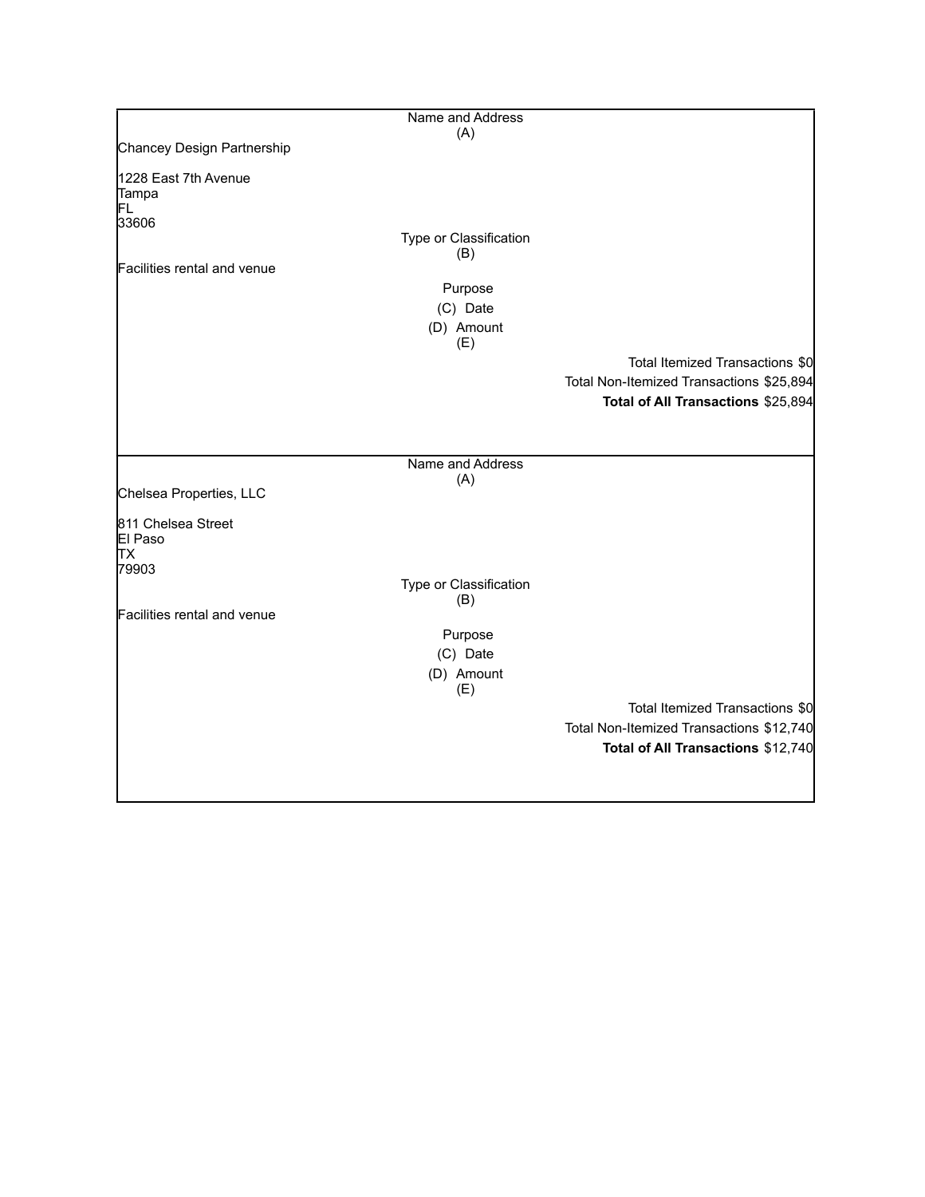|                                                                             | Name and Address                                                          |                                                                                                                   |
|-----------------------------------------------------------------------------|---------------------------------------------------------------------------|-------------------------------------------------------------------------------------------------------------------|
| Chancey Design Partnership                                                  | (A)                                                                       |                                                                                                                   |
| 1228 East 7th Avenue<br>Tampa<br>FL<br>33606<br>Facilities rental and venue | Type or Classification<br>(B)<br>Purpose<br>(C) Date<br>(D) Amount<br>(E) | Total Itemized Transactions \$0<br>Total Non-Itemized Transactions \$25,894<br>Total of All Transactions \$25,894 |
| Chelsea Properties, LLC                                                     | Name and Address<br>(A)                                                   |                                                                                                                   |
| 811 Chelsea Street<br>El Paso<br>TХ<br>79903                                | Type or Classification                                                    |                                                                                                                   |
| Facilities rental and venue                                                 | (B)<br>Purpose<br>(C) Date<br>(D) Amount<br>(E)                           |                                                                                                                   |
|                                                                             |                                                                           | Total Itemized Transactions \$0<br>Total Non-Itemized Transactions \$12,740<br>Total of All Transactions \$12,740 |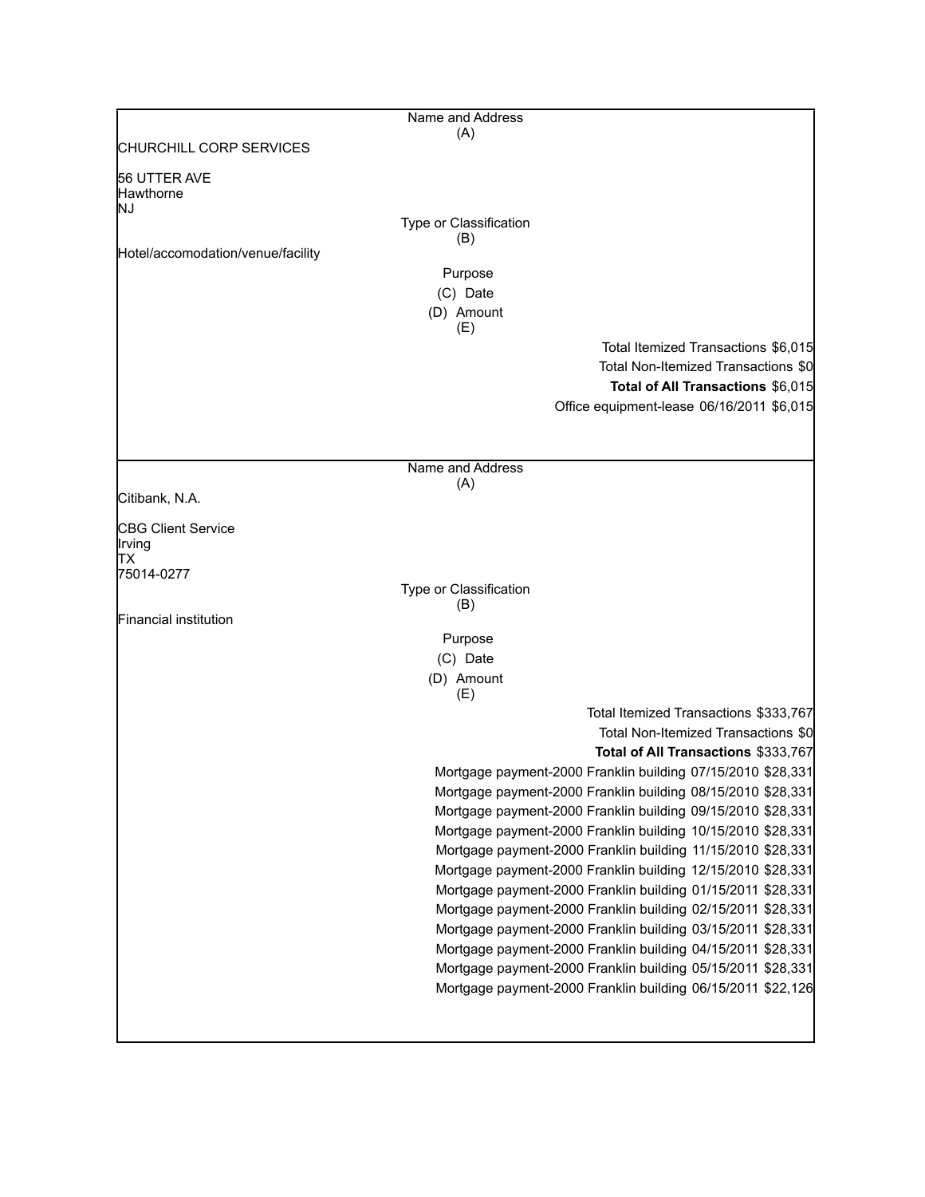|                                        | Name and Address                                                                                                           |
|----------------------------------------|----------------------------------------------------------------------------------------------------------------------------|
|                                        | (A)                                                                                                                        |
| CHURCHILL CORP SERVICES                |                                                                                                                            |
| 56 UTTER AVE<br><b>Hawthorne</b><br>NJ |                                                                                                                            |
|                                        | Type or Classification                                                                                                     |
| Hotel/accomodation/venue/facility      | (B)                                                                                                                        |
|                                        | Purpose                                                                                                                    |
|                                        | (C) Date                                                                                                                   |
|                                        | (D) Amount                                                                                                                 |
|                                        | (E)<br>Total Itemized Transactions \$6,015                                                                                 |
|                                        | Total Non-Itemized Transactions \$0                                                                                        |
|                                        | Total of All Transactions \$6,015                                                                                          |
|                                        | Office equipment-lease 06/16/2011 \$6,015                                                                                  |
|                                        |                                                                                                                            |
|                                        |                                                                                                                            |
|                                        | Name and Address                                                                                                           |
| Citibank, N.A.                         | (A)                                                                                                                        |
|                                        |                                                                                                                            |
| CBG Client Service<br>Irving<br>TХ     |                                                                                                                            |
| 75014-0277                             |                                                                                                                            |
|                                        | Type or Classification<br>(B)                                                                                              |
| Financial institution                  |                                                                                                                            |
|                                        | Purpose                                                                                                                    |
|                                        | (C) Date                                                                                                                   |
|                                        | (D) Amount                                                                                                                 |
|                                        | (E)<br>Total Itemized Transactions \$333,767                                                                               |
|                                        | Total Non-Itemized Transactions \$0                                                                                        |
|                                        | Total of All Transactions \$333,767                                                                                        |
|                                        | Mortgage payment-2000 Franklin building 07/15/2010 \$28,331                                                                |
|                                        | Mortgage payment-2000 Franklin building 08/15/2010 \$28,331                                                                |
|                                        | Mortgage payment-2000 Franklin building 09/15/2010 \$28,331                                                                |
|                                        | Mortgage payment-2000 Franklin building 10/15/2010 \$28,331                                                                |
|                                        | Mortgage payment-2000 Franklin building 11/15/2010 \$28,331                                                                |
|                                        | Mortgage payment-2000 Franklin building 12/15/2010 \$28,331                                                                |
|                                        | Mortgage payment-2000 Franklin building 01/15/2011 \$28,331<br>Mortgage payment-2000 Franklin building 02/15/2011 \$28,331 |
|                                        | Mortgage payment-2000 Franklin building 03/15/2011 \$28,331                                                                |
|                                        | Mortgage payment-2000 Franklin building 04/15/2011 \$28,331                                                                |
|                                        | Mortgage payment-2000 Franklin building 05/15/2011 \$28,331                                                                |
|                                        | Mortgage payment-2000 Franklin building 06/15/2011 \$22,126                                                                |
|                                        |                                                                                                                            |
|                                        |                                                                                                                            |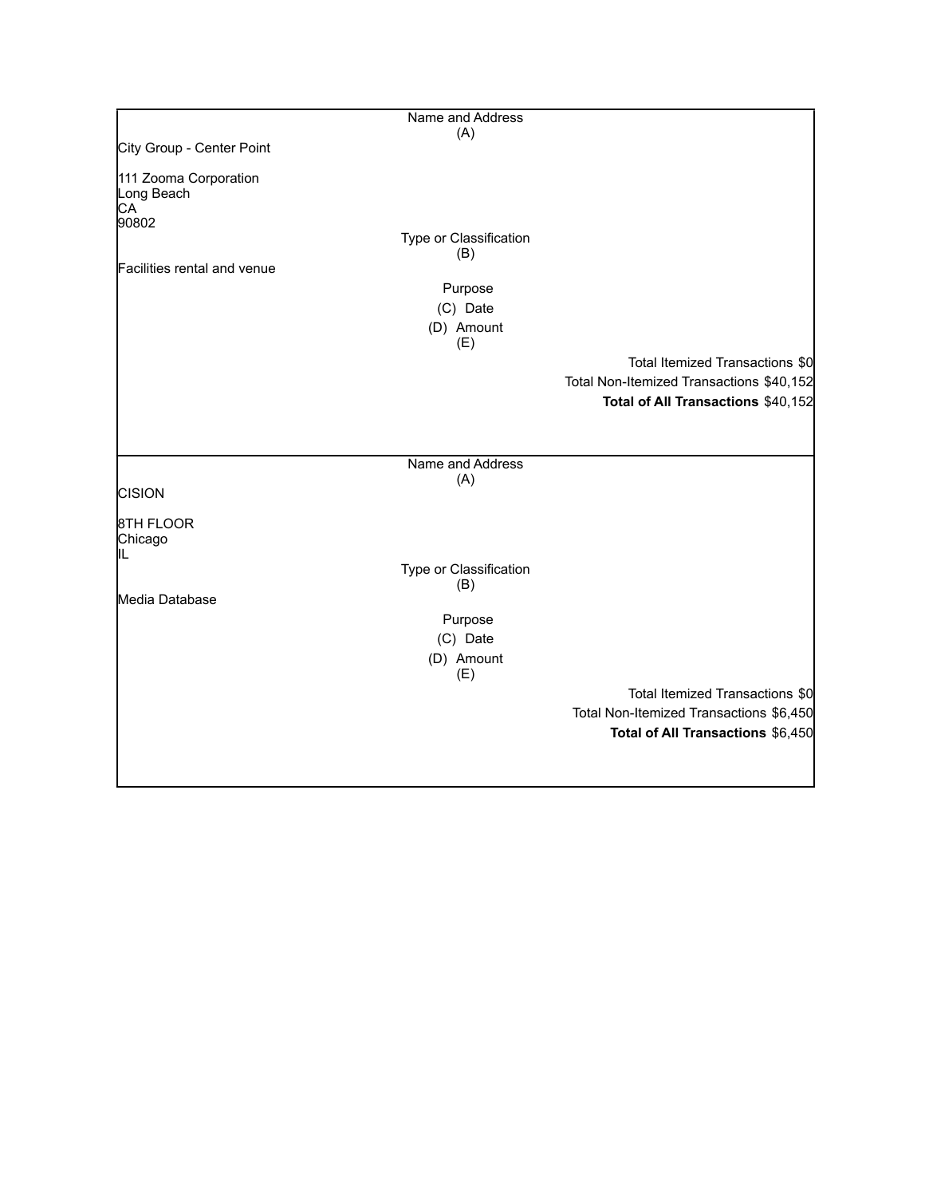|                                                    | Name and Address       |                                          |
|----------------------------------------------------|------------------------|------------------------------------------|
| City Group - Center Point                          | (A)                    |                                          |
|                                                    |                        |                                          |
| 111 Zooma Corporation<br>Long Beach<br>CA<br>90802 |                        |                                          |
|                                                    | Type or Classification |                                          |
|                                                    | (B)                    |                                          |
| Facilities rental and venue                        |                        |                                          |
|                                                    | Purpose                |                                          |
|                                                    | (C) Date               |                                          |
|                                                    | (D) Amount<br>(E)      |                                          |
|                                                    |                        | Total Itemized Transactions \$0          |
|                                                    |                        | Total Non-Itemized Transactions \$40,152 |
|                                                    |                        | Total of All Transactions \$40,152       |
|                                                    |                        |                                          |
|                                                    |                        |                                          |
|                                                    | Name and Address       |                                          |
|                                                    | (A)                    |                                          |
| <b>CISION</b>                                      |                        |                                          |
| 8TH FLOOR<br>Chicago                               |                        |                                          |
| IIL                                                | Type or Classification |                                          |
|                                                    | (B)                    |                                          |
| Media Database                                     |                        |                                          |
|                                                    | Purpose                |                                          |
|                                                    | (C) Date               |                                          |
|                                                    | (D) Amount<br>(E)      |                                          |
|                                                    |                        | Total Itemized Transactions \$0          |
|                                                    |                        | Total Non-Itemized Transactions \$6,450  |
|                                                    |                        | Total of All Transactions \$6,450        |
|                                                    |                        |                                          |
|                                                    |                        |                                          |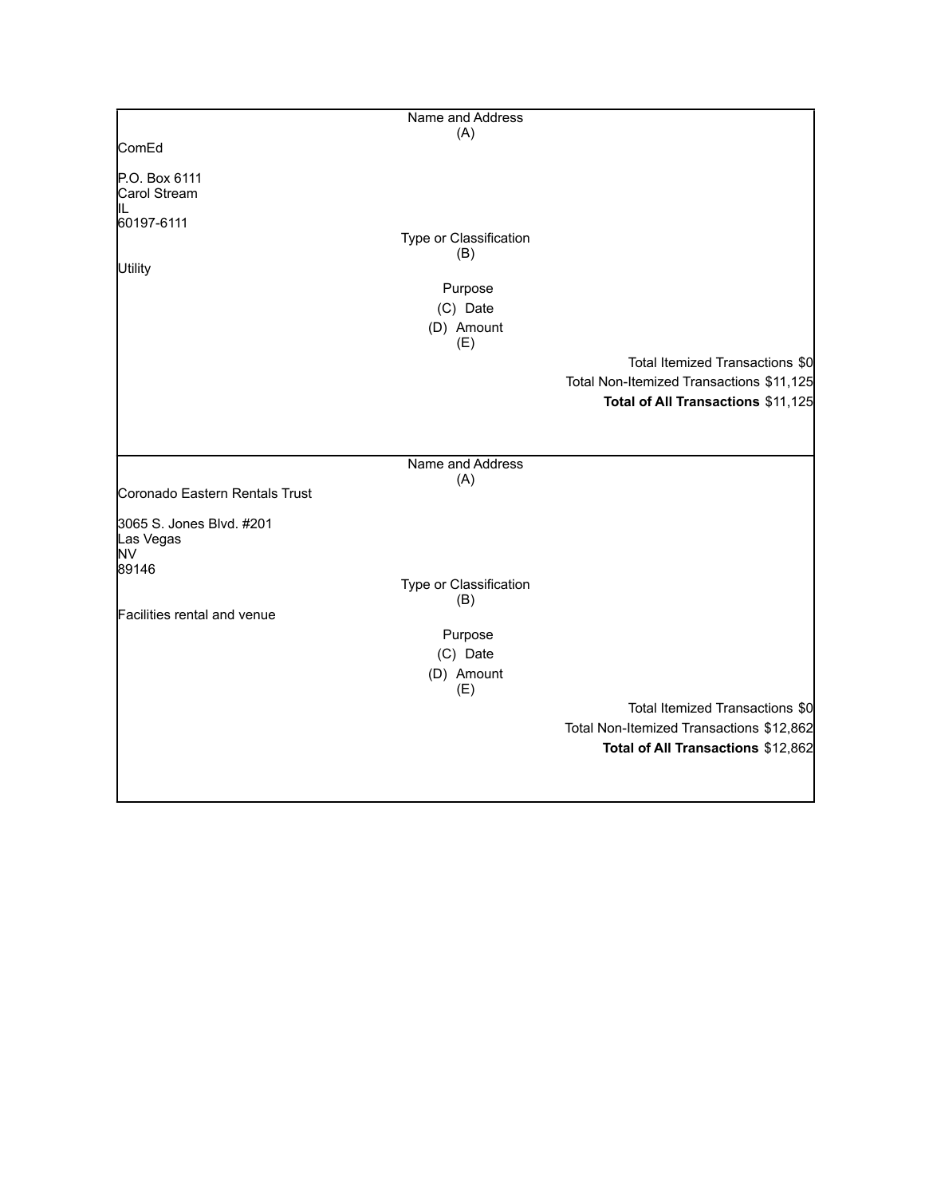|                                                             | Name and Address                                     |                                                                                                                   |
|-------------------------------------------------------------|------------------------------------------------------|-------------------------------------------------------------------------------------------------------------------|
|                                                             | (A)                                                  |                                                                                                                   |
| ComEd                                                       |                                                      |                                                                                                                   |
| P.O. Box 6111<br>Carol Stream                               |                                                      |                                                                                                                   |
| IIL<br>60197-6111<br><b>Utility</b>                         | Type or Classification<br>(B)<br>Purpose<br>(C) Date |                                                                                                                   |
|                                                             | (D) Amount                                           |                                                                                                                   |
|                                                             | (E)                                                  | Total Itemized Transactions \$0<br>Total Non-Itemized Transactions \$11,125<br>Total of All Transactions \$11,125 |
|                                                             | Name and Address                                     |                                                                                                                   |
| Coronado Eastern Rentals Trust                              | (A)                                                  |                                                                                                                   |
| 3065 S. Jones Blvd. #201<br>Las Vegas<br><b>NV</b><br>89146 |                                                      |                                                                                                                   |
|                                                             | Type or Classification                               |                                                                                                                   |
| Facilities rental and venue                                 | (B)<br>Purpose                                       |                                                                                                                   |
|                                                             | (C) Date<br>(D) Amount<br>(E)                        |                                                                                                                   |
|                                                             |                                                      | Total Itemized Transactions \$0<br>Total Non-Itemized Transactions \$12,862<br>Total of All Transactions \$12,862 |
|                                                             |                                                      |                                                                                                                   |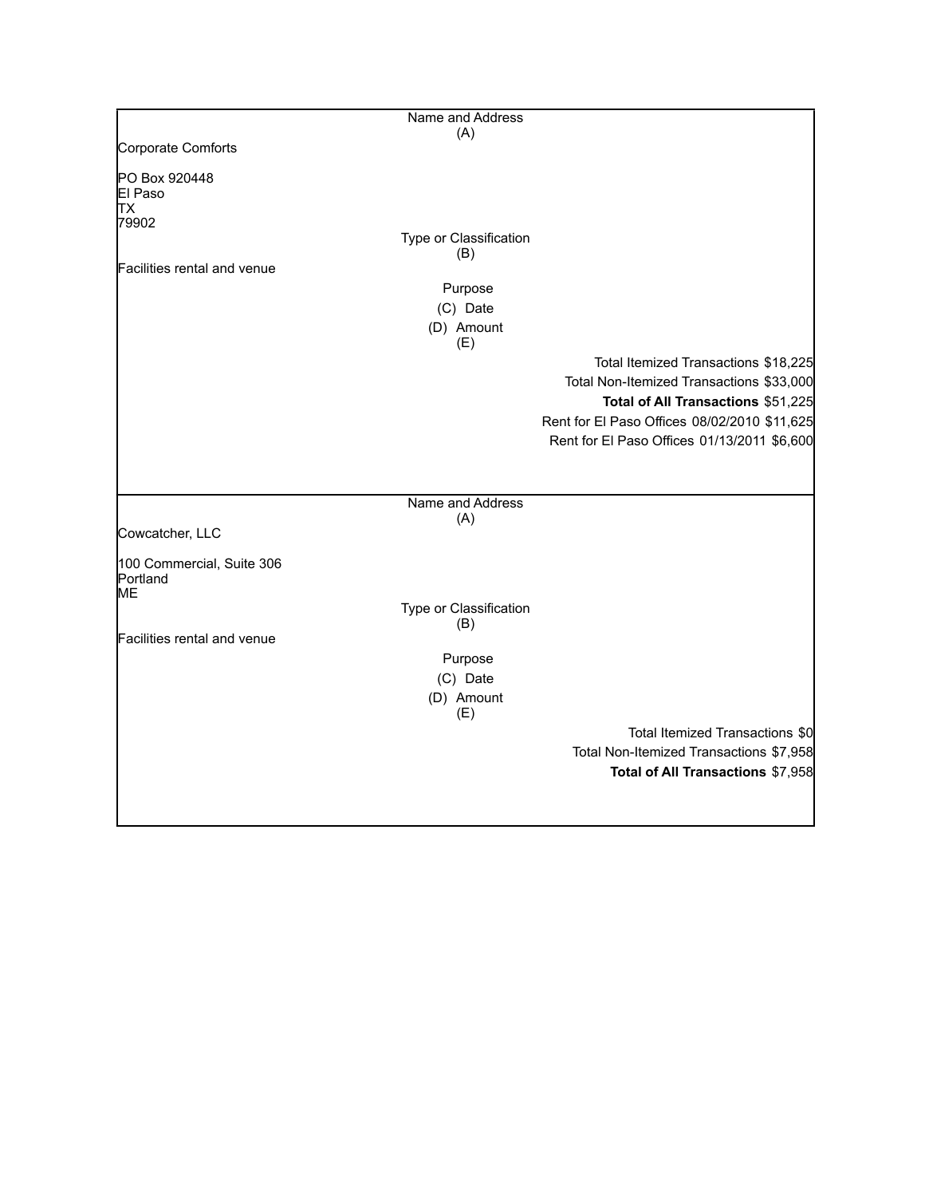|                             | Name and Address       |                                              |
|-----------------------------|------------------------|----------------------------------------------|
|                             | (A)                    |                                              |
| Corporate Comforts          |                        |                                              |
| PO Box 920448               |                        |                                              |
| El Paso                     |                        |                                              |
| TХ                          |                        |                                              |
| 79902                       |                        |                                              |
|                             | Type or Classification |                                              |
| Facilities rental and venue | (B)                    |                                              |
|                             |                        |                                              |
|                             | Purpose                |                                              |
|                             | (C) Date               |                                              |
|                             | (D) Amount             |                                              |
|                             | (E)                    |                                              |
|                             |                        | Total Itemized Transactions \$18,225         |
|                             |                        | Total Non-Itemized Transactions \$33,000     |
|                             |                        | Total of All Transactions \$51,225           |
|                             |                        | Rent for El Paso Offices 08/02/2010 \$11,625 |
|                             |                        |                                              |
|                             |                        | Rent for El Paso Offices 01/13/2011 \$6,600  |
|                             |                        |                                              |
|                             |                        |                                              |
|                             | Name and Address       |                                              |
|                             | (A)                    |                                              |
| Cowcatcher, LLC             |                        |                                              |
| 100 Commercial, Suite 306   |                        |                                              |
| Portland                    |                        |                                              |
| MЕ                          |                        |                                              |
|                             | Type or Classification |                                              |
|                             | (B)                    |                                              |
| Facilities rental and venue |                        |                                              |
|                             | Purpose                |                                              |
|                             | (C) Date               |                                              |
|                             | (D) Amount             |                                              |
|                             | (E)                    |                                              |
|                             |                        | Total Itemized Transactions \$0              |
|                             |                        | Total Non-Itemized Transactions \$7,958      |
|                             |                        | Total of All Transactions \$7,958            |
|                             |                        |                                              |
|                             |                        |                                              |
|                             |                        |                                              |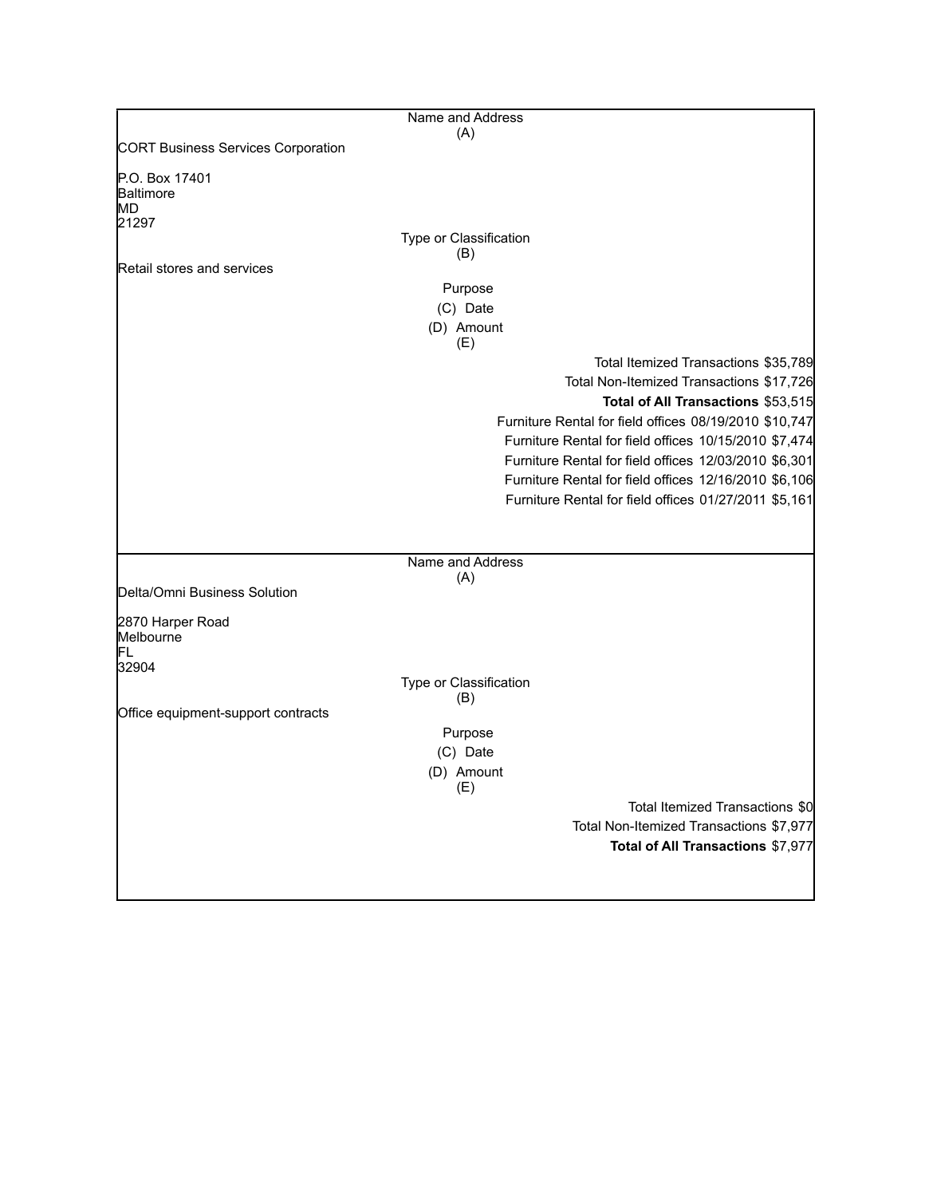|                                           | Name and Address                                       |  |
|-------------------------------------------|--------------------------------------------------------|--|
| <b>CORT Business Services Corporation</b> | (A)                                                    |  |
|                                           |                                                        |  |
| P.O. Box 17401<br>Baltimore               |                                                        |  |
| MD.                                       |                                                        |  |
| 21297                                     |                                                        |  |
|                                           | Type or Classification                                 |  |
| Retail stores and services                | (B)                                                    |  |
|                                           | Purpose                                                |  |
|                                           | (C) Date                                               |  |
|                                           | (D) Amount                                             |  |
|                                           | (E)                                                    |  |
|                                           | Total Itemized Transactions \$35,789                   |  |
|                                           | Total Non-Itemized Transactions \$17,726               |  |
|                                           | Total of All Transactions \$53,515                     |  |
|                                           | Furniture Rental for field offices 08/19/2010 \$10,747 |  |
|                                           | Furniture Rental for field offices 10/15/2010 \$7,474  |  |
|                                           | Furniture Rental for field offices 12/03/2010 \$6,301  |  |
|                                           | Furniture Rental for field offices 12/16/2010 \$6,106  |  |
|                                           | Furniture Rental for field offices 01/27/2011 \$5,161  |  |
|                                           |                                                        |  |
|                                           |                                                        |  |
|                                           | Name and Address<br>(A)                                |  |
| Delta/Omni Business Solution              |                                                        |  |
|                                           |                                                        |  |
| 2870 Harper Road<br>Melbourne             |                                                        |  |
| FL                                        |                                                        |  |
| 32904                                     |                                                        |  |
|                                           | Type or Classification<br>(B)                          |  |
| Office equipment-support contracts        |                                                        |  |
|                                           | Purpose                                                |  |
|                                           | (C) Date                                               |  |
|                                           | (D) Amount                                             |  |
|                                           | (E)                                                    |  |
|                                           | Total Itemized Transactions \$0                        |  |
|                                           | Total Non-Itemized Transactions \$7,977                |  |
|                                           | Total of All Transactions \$7,977                      |  |
|                                           |                                                        |  |
|                                           |                                                        |  |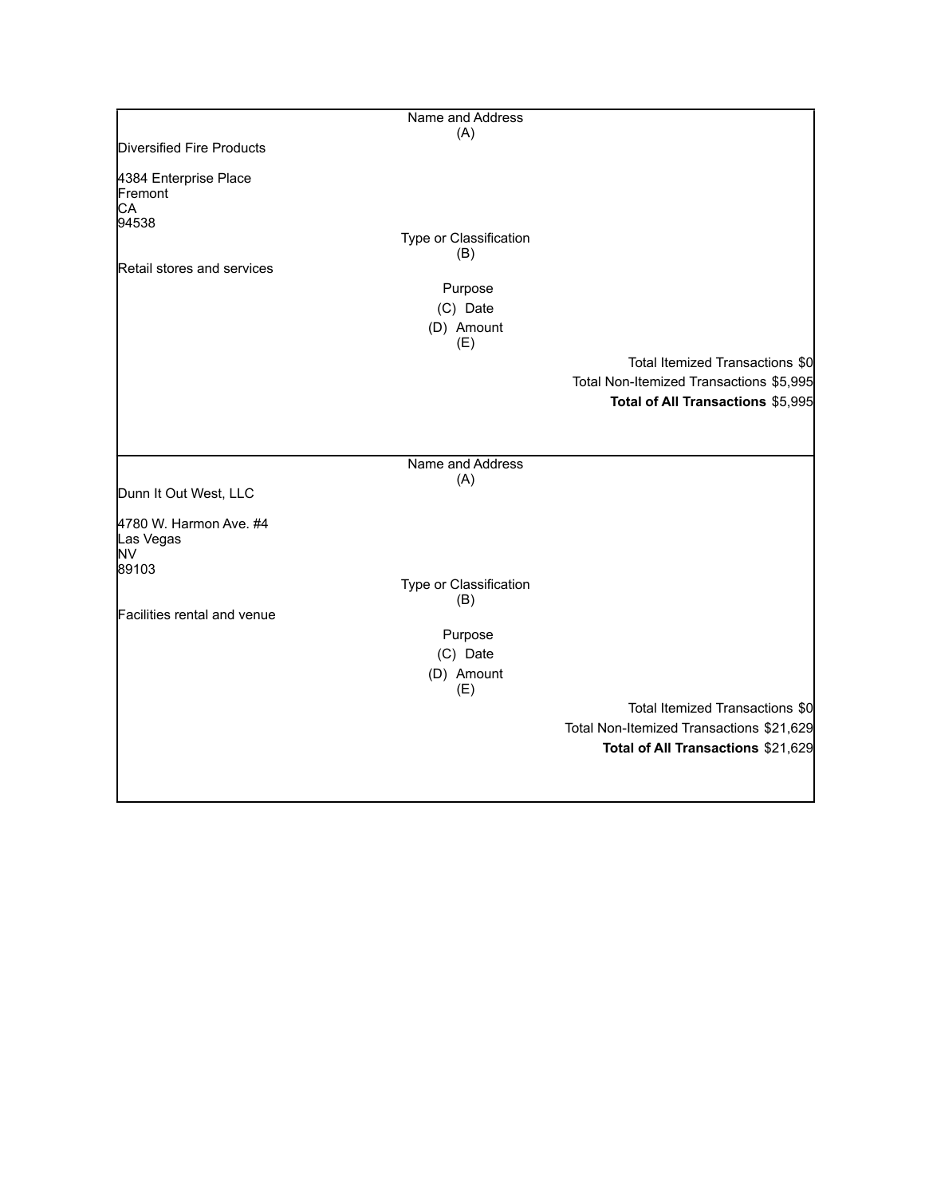|                                                    | Name and Address              |                                          |
|----------------------------------------------------|-------------------------------|------------------------------------------|
|                                                    | (A)                           |                                          |
| Diversified Fire Products                          |                               |                                          |
| 4384 Enterprise Place<br>Fremont<br>CA<br>94538    |                               |                                          |
|                                                    | Type or Classification<br>(B) |                                          |
| Retail stores and services                         |                               |                                          |
|                                                    | Purpose                       |                                          |
|                                                    | (C) Date                      |                                          |
|                                                    | (D) Amount<br>(E)             |                                          |
|                                                    |                               | Total Itemized Transactions \$0          |
|                                                    |                               | Total Non-Itemized Transactions \$5,995  |
|                                                    |                               | Total of All Transactions \$5,995        |
|                                                    |                               |                                          |
|                                                    | Name and Address              |                                          |
| Dunn It Out West, LLC                              | (A)                           |                                          |
| 4780 W. Harmon Ave. #4<br>Las Vegas<br>NV<br>89103 |                               |                                          |
|                                                    | Type or Classification        |                                          |
|                                                    | (B)                           |                                          |
| Facilities rental and venue                        |                               |                                          |
|                                                    | Purpose                       |                                          |
|                                                    | (C) Date                      |                                          |
|                                                    | (D) Amount<br>(E)             |                                          |
|                                                    |                               | Total Itemized Transactions \$0          |
|                                                    |                               | Total Non-Itemized Transactions \$21,629 |
|                                                    |                               | Total of All Transactions \$21,629       |
|                                                    |                               |                                          |
|                                                    |                               |                                          |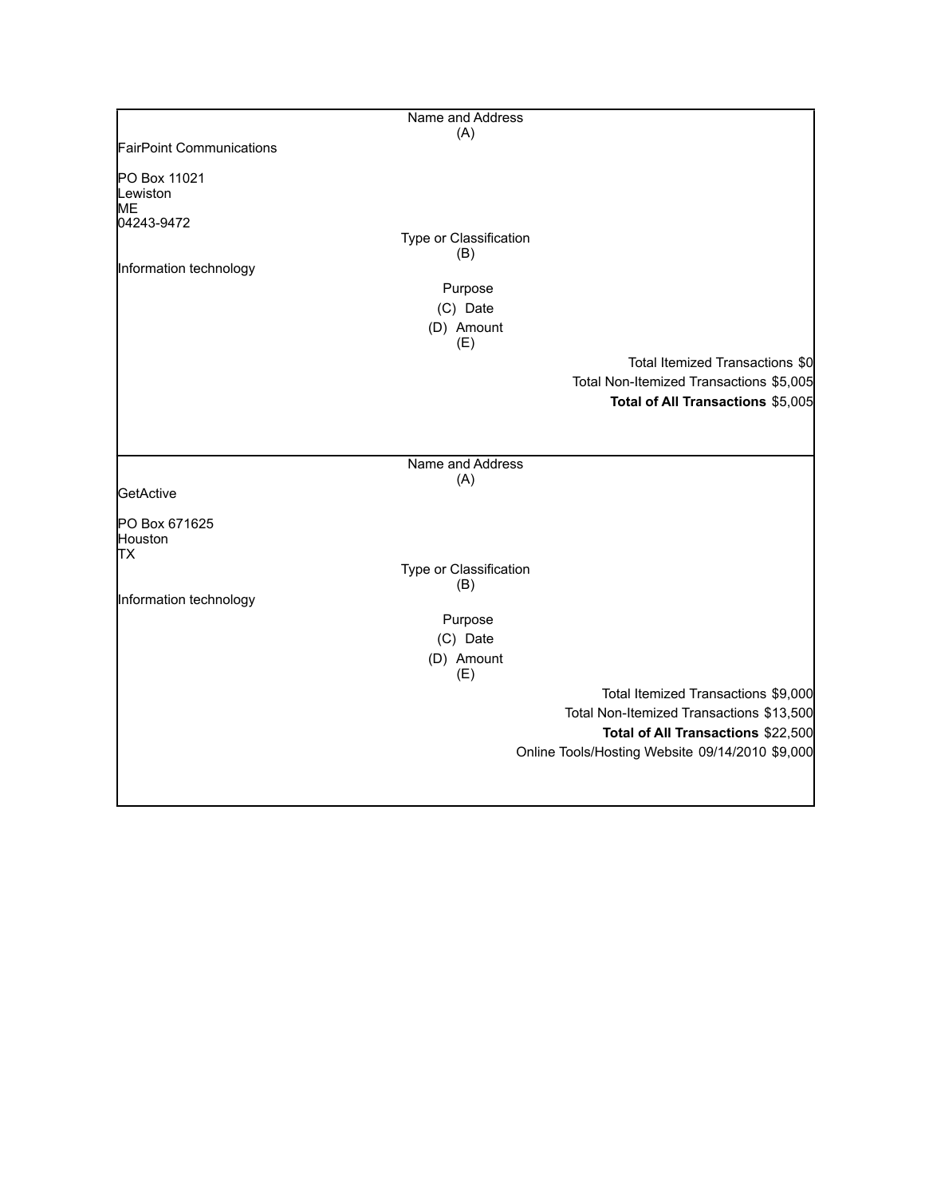|                                 | Name and Address       |                                                 |
|---------------------------------|------------------------|-------------------------------------------------|
|                                 | (A)                    |                                                 |
| <b>FairPoint Communications</b> |                        |                                                 |
| PO Box 11021                    |                        |                                                 |
| Lewiston                        |                        |                                                 |
| <b>ME</b>                       |                        |                                                 |
| 04243-9472                      |                        |                                                 |
|                                 | Type or Classification |                                                 |
| Information technology          | (B)                    |                                                 |
|                                 |                        |                                                 |
|                                 | Purpose                |                                                 |
|                                 | (C) Date               |                                                 |
|                                 | (D) Amount<br>(E)      |                                                 |
|                                 |                        | Total Itemized Transactions \$0                 |
|                                 |                        | Total Non-Itemized Transactions \$5,005         |
|                                 |                        | Total of All Transactions \$5,005               |
|                                 |                        |                                                 |
|                                 |                        |                                                 |
|                                 | Name and Address       |                                                 |
|                                 | (A)                    |                                                 |
| GetActive                       |                        |                                                 |
|                                 |                        |                                                 |
| PO Box 671625<br>Houston        |                        |                                                 |
| ТX                              |                        |                                                 |
|                                 | Type or Classification |                                                 |
|                                 | (B)                    |                                                 |
| Information technology          |                        |                                                 |
|                                 | Purpose                |                                                 |
|                                 | (C) Date               |                                                 |
|                                 | (D) Amount             |                                                 |
|                                 | (E)                    |                                                 |
|                                 |                        | Total Itemized Transactions \$9,000             |
|                                 |                        | Total Non-Itemized Transactions \$13,500        |
|                                 |                        | Total of All Transactions \$22,500              |
|                                 |                        | Online Tools/Hosting Website 09/14/2010 \$9,000 |
|                                 |                        |                                                 |
|                                 |                        |                                                 |
|                                 |                        |                                                 |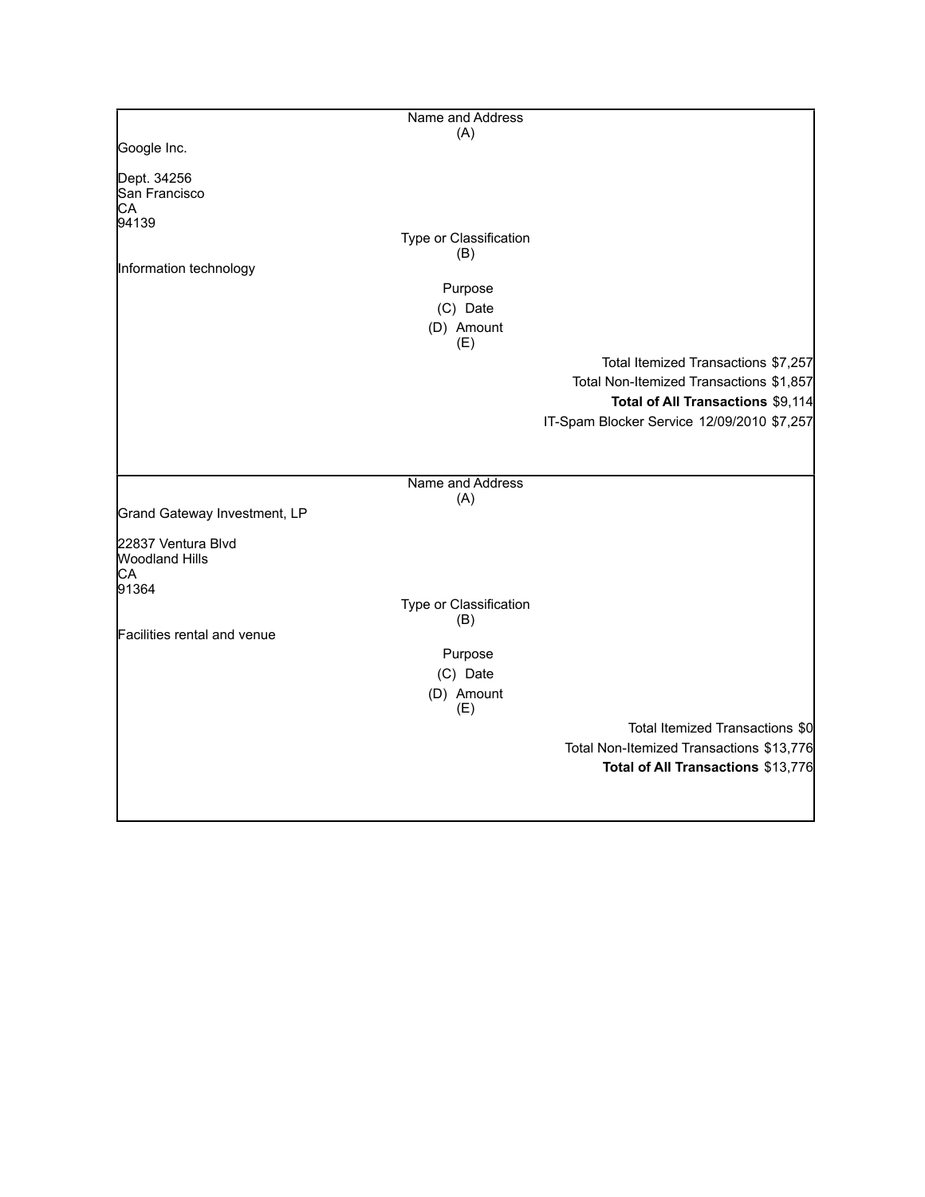|                                                            | Name and Address              |                                            |
|------------------------------------------------------------|-------------------------------|--------------------------------------------|
|                                                            | (A)                           |                                            |
| Google Inc.                                                |                               |                                            |
| Dept. 34256<br>San Francisco<br>CA                         |                               |                                            |
| 94139                                                      |                               |                                            |
|                                                            | Type or Classification<br>(B) |                                            |
| Information technology                                     |                               |                                            |
|                                                            | Purpose<br>(C) Date           |                                            |
|                                                            | (D) Amount                    |                                            |
|                                                            | (E)                           |                                            |
|                                                            |                               | Total Itemized Transactions \$7,257        |
|                                                            |                               | Total Non-Itemized Transactions \$1,857    |
|                                                            |                               | Total of All Transactions \$9,114          |
|                                                            |                               | IT-Spam Blocker Service 12/09/2010 \$7,257 |
|                                                            |                               |                                            |
|                                                            | Name and Address              |                                            |
| Grand Gateway Investment, LP                               | (A)                           |                                            |
| 22837 Ventura Blvd<br><b>Woodland Hills</b><br>СA<br>91364 |                               |                                            |
|                                                            | Type or Classification<br>(B) |                                            |
| Facilities rental and venue                                |                               |                                            |
|                                                            | Purpose                       |                                            |
|                                                            | (C) Date                      |                                            |
|                                                            | (D) Amount<br>(E)             |                                            |
|                                                            |                               | Total Itemized Transactions \$0            |
|                                                            |                               | Total Non-Itemized Transactions \$13,776   |
|                                                            |                               | Total of All Transactions \$13,776         |
|                                                            |                               |                                            |
|                                                            |                               |                                            |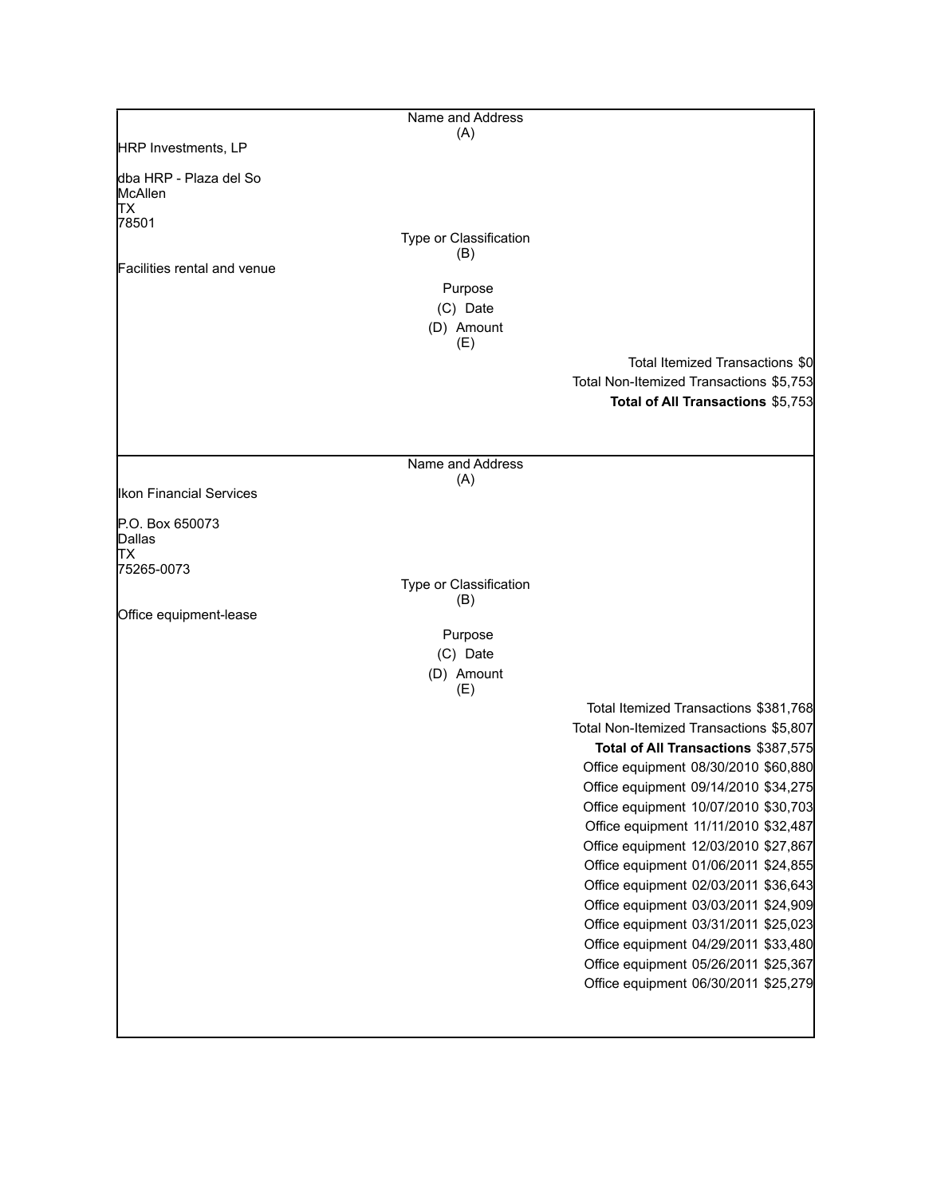|                                          | Name and Address              |                                                                              |
|------------------------------------------|-------------------------------|------------------------------------------------------------------------------|
| HRP Investments, LP                      | (A)                           |                                                                              |
|                                          |                               |                                                                              |
| dba HRP - Plaza del So<br>McAllen<br>lТX |                               |                                                                              |
| 78501                                    |                               |                                                                              |
|                                          | Type or Classification<br>(B) |                                                                              |
| Facilities rental and venue              |                               |                                                                              |
|                                          | Purpose<br>(C) Date           |                                                                              |
|                                          | (D) Amount                    |                                                                              |
|                                          | (E)                           |                                                                              |
|                                          |                               | Total Itemized Transactions \$0                                              |
|                                          |                               | Total Non-Itemized Transactions \$5,753                                      |
|                                          |                               | Total of All Transactions \$5,753                                            |
|                                          |                               |                                                                              |
|                                          | Name and Address              |                                                                              |
| Ikon Financial Services                  | (A)                           |                                                                              |
| P.O. Box 650073<br>Dallas                |                               |                                                                              |
| TХ<br>75265-0073                         |                               |                                                                              |
|                                          | Type or Classification        |                                                                              |
|                                          | (B)                           |                                                                              |
| Office equipment-lease                   | Purpose                       |                                                                              |
|                                          | (C) Date                      |                                                                              |
|                                          | (D) Amount                    |                                                                              |
|                                          | (E)                           |                                                                              |
|                                          |                               | Total Itemized Transactions \$381,768                                        |
|                                          |                               | Total Non-Itemized Transactions \$5,807                                      |
|                                          |                               | Total of All Transactions \$387,575                                          |
|                                          |                               | Office equipment 08/30/2010 \$60,880<br>Office equipment 09/14/2010 \$34,275 |
|                                          |                               | Office equipment 10/07/2010 \$30,703                                         |
|                                          |                               | Office equipment 11/11/2010 \$32,487                                         |
|                                          |                               | Office equipment 12/03/2010 \$27,867                                         |
|                                          |                               | Office equipment 01/06/2011 \$24,855                                         |
|                                          |                               | Office equipment 02/03/2011 \$36,643                                         |
|                                          |                               | Office equipment 03/03/2011 \$24,909                                         |
|                                          |                               | Office equipment 03/31/2011 \$25,023                                         |
|                                          |                               | Office equipment 04/29/2011 \$33,480                                         |
|                                          |                               | Office equipment 05/26/2011 \$25,367                                         |
|                                          |                               | Office equipment 06/30/2011 \$25,279                                         |
|                                          |                               |                                                                              |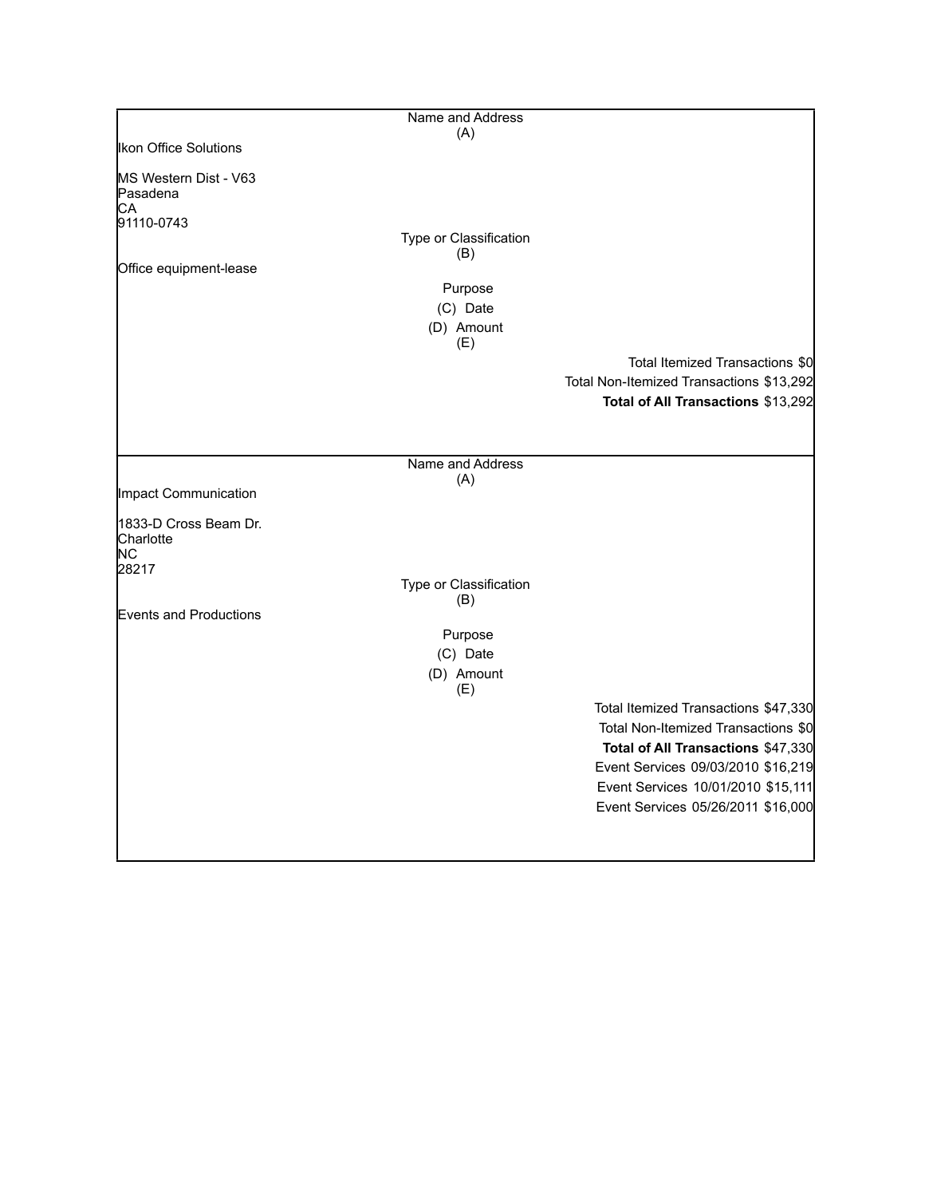|                                                       | Name and Address       |                                                                                                                                                                                                                                     |
|-------------------------------------------------------|------------------------|-------------------------------------------------------------------------------------------------------------------------------------------------------------------------------------------------------------------------------------|
|                                                       | (A)                    |                                                                                                                                                                                                                                     |
| <b>Ikon Office Solutions</b>                          |                        |                                                                                                                                                                                                                                     |
| MS Western Dist - V63<br>Pasadena<br>СA<br>91110-0743 |                        |                                                                                                                                                                                                                                     |
|                                                       | Type or Classification |                                                                                                                                                                                                                                     |
| Office equipment-lease                                | (B)                    |                                                                                                                                                                                                                                     |
|                                                       | Purpose                |                                                                                                                                                                                                                                     |
|                                                       | (C) Date               |                                                                                                                                                                                                                                     |
|                                                       | (D) Amount             |                                                                                                                                                                                                                                     |
|                                                       | (E)                    |                                                                                                                                                                                                                                     |
|                                                       |                        | Total Itemized Transactions \$0                                                                                                                                                                                                     |
|                                                       |                        | Total Non-Itemized Transactions \$13,292                                                                                                                                                                                            |
|                                                       |                        | Total of All Transactions \$13,292                                                                                                                                                                                                  |
|                                                       |                        |                                                                                                                                                                                                                                     |
|                                                       |                        |                                                                                                                                                                                                                                     |
|                                                       | Name and Address       |                                                                                                                                                                                                                                     |
| Impact Communication                                  | (A)                    |                                                                                                                                                                                                                                     |
|                                                       |                        |                                                                                                                                                                                                                                     |
| 1833-D Cross Beam Dr.<br>Charlotte<br>ΝC<br>28217     |                        |                                                                                                                                                                                                                                     |
|                                                       | Type or Classification |                                                                                                                                                                                                                                     |
| Events and Productions                                | (B)                    |                                                                                                                                                                                                                                     |
|                                                       | Purpose                |                                                                                                                                                                                                                                     |
|                                                       | (C) Date               |                                                                                                                                                                                                                                     |
|                                                       | (D) Amount             |                                                                                                                                                                                                                                     |
|                                                       | (E)                    |                                                                                                                                                                                                                                     |
|                                                       |                        | Total Itemized Transactions \$47,330<br>Total Non-Itemized Transactions \$0<br>Total of All Transactions \$47,330<br>Event Services 09/03/2010 \$16,219<br>Event Services 10/01/2010 \$15,111<br>Event Services 05/26/2011 \$16,000 |
|                                                       |                        |                                                                                                                                                                                                                                     |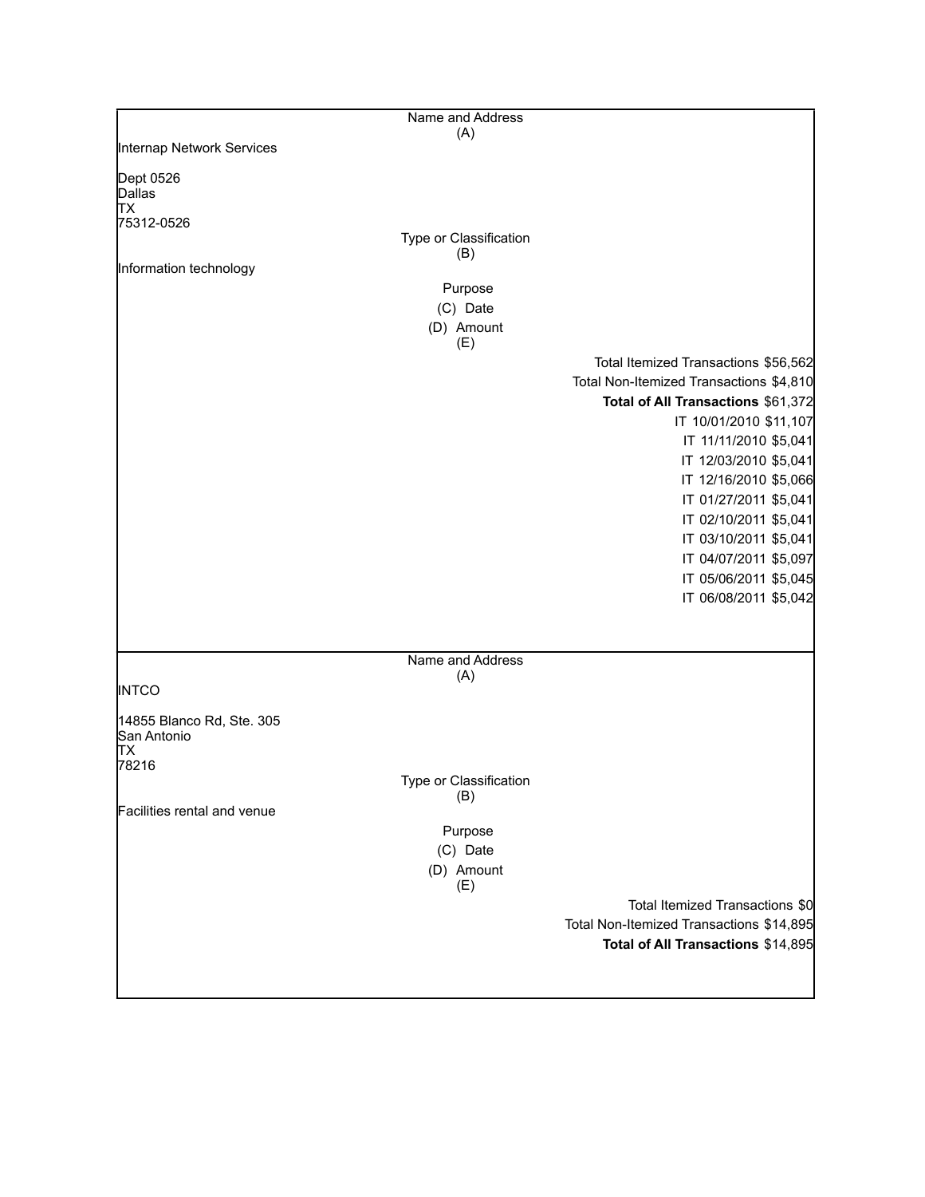|                             | Name and Address       |                                          |
|-----------------------------|------------------------|------------------------------------------|
|                             | (A)                    |                                          |
| Internap Network Services   |                        |                                          |
| Dept 0526                   |                        |                                          |
| Dallas                      |                        |                                          |
| lТX                         |                        |                                          |
| 75312-0526                  |                        |                                          |
|                             | Type or Classification |                                          |
|                             | (B)                    |                                          |
| Information technology      |                        |                                          |
|                             | Purpose                |                                          |
|                             |                        |                                          |
|                             | (C) Date               |                                          |
|                             | (D) Amount             |                                          |
|                             | (E)                    |                                          |
|                             |                        | Total Itemized Transactions \$56,562     |
|                             |                        | Total Non-Itemized Transactions \$4,810  |
|                             |                        | Total of All Transactions \$61,372       |
|                             |                        |                                          |
|                             |                        | IT 10/01/2010 \$11,107                   |
|                             |                        | IT 11/11/2010 \$5,041                    |
|                             |                        | IT 12/03/2010 \$5,041                    |
|                             |                        | IT 12/16/2010 \$5,066                    |
|                             |                        |                                          |
|                             |                        | IT 01/27/2011 \$5,041                    |
|                             |                        | IT 02/10/2011 \$5,041                    |
|                             |                        | IT 03/10/2011 \$5,041                    |
|                             |                        | IT 04/07/2011 \$5,097                    |
|                             |                        |                                          |
|                             |                        | IT 05/06/2011 \$5,045                    |
|                             |                        | IT 06/08/2011 \$5,042                    |
|                             |                        |                                          |
|                             |                        |                                          |
|                             | Name and Address       |                                          |
|                             | (A)                    |                                          |
| <b>INTCO</b>                |                        |                                          |
| 14855 Blanco Rd, Ste. 305   |                        |                                          |
| San Antonio                 |                        |                                          |
| IТX                         |                        |                                          |
| 78216                       |                        |                                          |
|                             | Type or Classification |                                          |
|                             | (B)                    |                                          |
| Facilities rental and venue |                        |                                          |
|                             | Purpose                |                                          |
|                             |                        |                                          |
|                             | (C) Date               |                                          |
|                             | (D) Amount             |                                          |
|                             | (E)                    |                                          |
|                             |                        | Total Itemized Transactions \$0          |
|                             |                        | Total Non-Itemized Transactions \$14,895 |
|                             |                        | Total of All Transactions \$14,895       |
|                             |                        |                                          |
|                             |                        |                                          |
|                             |                        |                                          |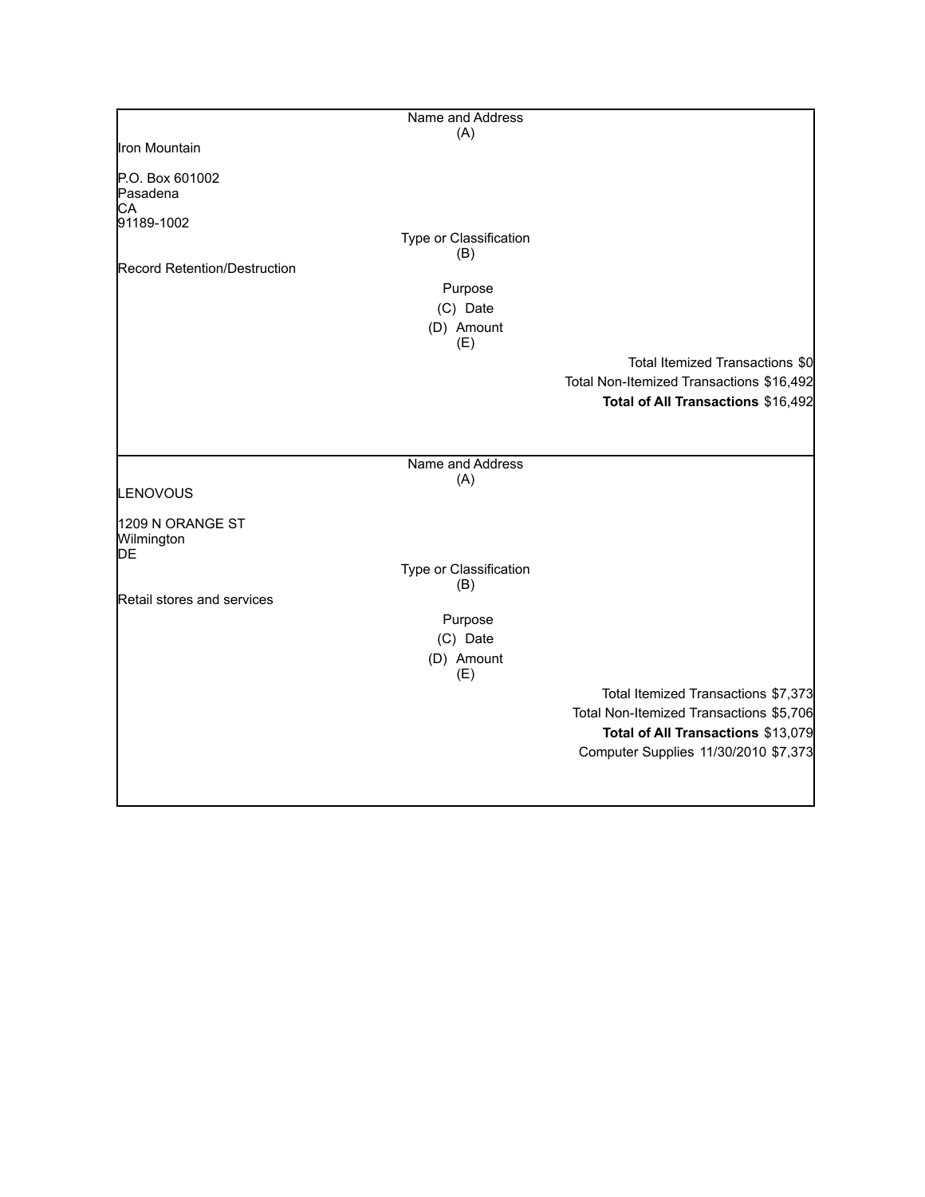|                                                 | Name and Address              |                                          |
|-------------------------------------------------|-------------------------------|------------------------------------------|
|                                                 | (A)                           |                                          |
| Iron Mountain                                   |                               |                                          |
| P.O. Box 601002<br>Pasadena<br>CA<br>91189-1002 |                               |                                          |
|                                                 | Type or Classification        |                                          |
| Record Retention/Destruction                    | (B)                           |                                          |
|                                                 | Purpose                       |                                          |
|                                                 | (C) Date                      |                                          |
|                                                 | (D) Amount                    |                                          |
|                                                 | (E)                           |                                          |
|                                                 |                               | Total Itemized Transactions \$0          |
|                                                 |                               | Total Non-Itemized Transactions \$16,492 |
|                                                 |                               | Total of All Transactions \$16,492       |
|                                                 |                               |                                          |
|                                                 |                               |                                          |
|                                                 | Name and Address              |                                          |
| LENOVOUS                                        | (A)                           |                                          |
|                                                 |                               |                                          |
| 1209 N ORANGE ST<br>Wilmington<br>DE            |                               |                                          |
|                                                 | Type or Classification<br>(B) |                                          |
| Retail stores and services                      |                               |                                          |
|                                                 | Purpose                       |                                          |
|                                                 | (C) Date                      |                                          |
|                                                 | (D) Amount<br>(E)             |                                          |
|                                                 |                               | Total Itemized Transactions \$7,373      |
|                                                 |                               | Total Non-Itemized Transactions \$5,706  |
|                                                 |                               | Total of All Transactions \$13,079       |
|                                                 |                               | Computer Supplies 11/30/2010 \$7,373     |
|                                                 |                               |                                          |
|                                                 |                               |                                          |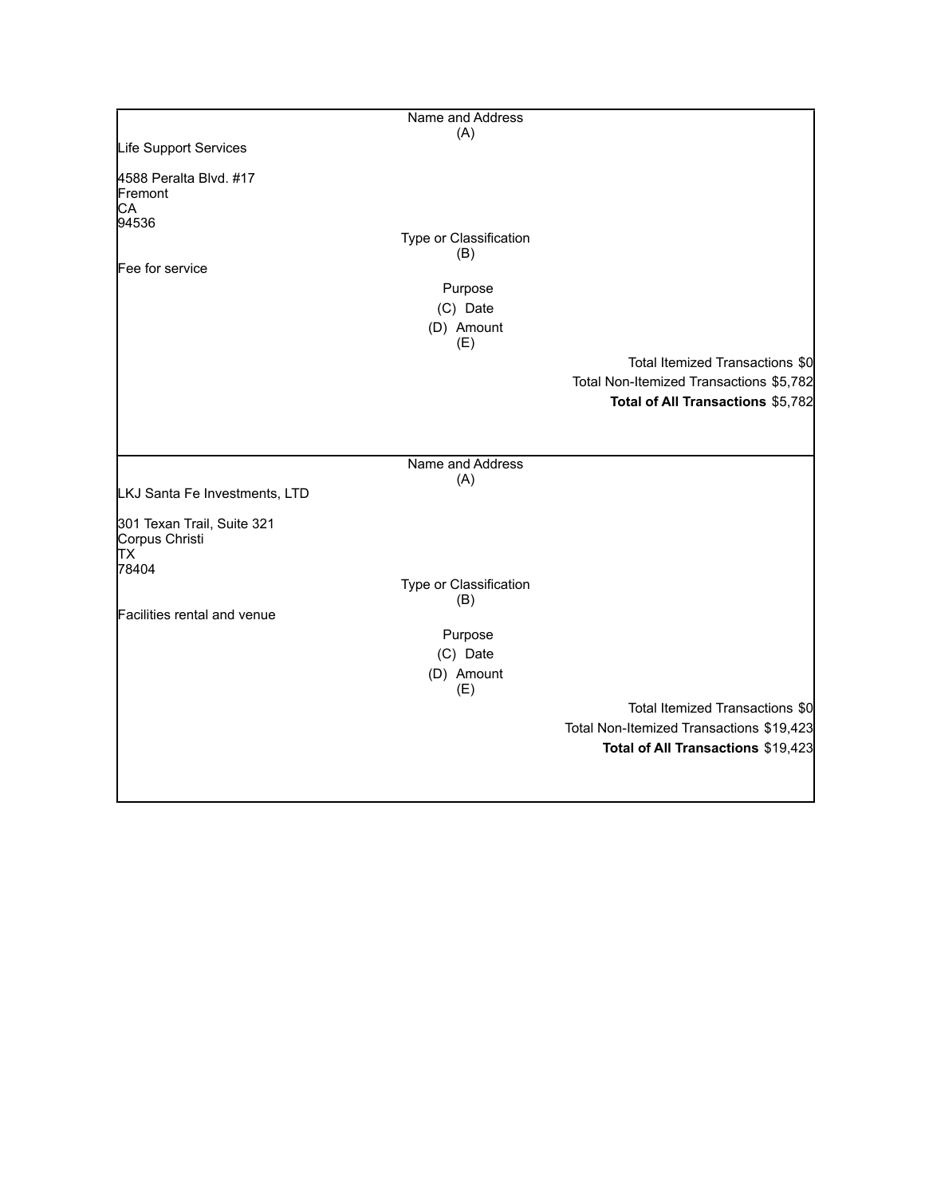|                                                             | Name and Address              |                                          |
|-------------------------------------------------------------|-------------------------------|------------------------------------------|
|                                                             | (A)                           |                                          |
| Life Support Services                                       |                               |                                          |
| 4588 Peralta Blvd. #17<br><b>Fremont</b><br>CА              |                               |                                          |
| 94536                                                       | Type or Classification<br>(B) |                                          |
| Fee for service                                             |                               |                                          |
|                                                             | Purpose                       |                                          |
|                                                             | (C) Date                      |                                          |
|                                                             | (D) Amount<br>(E)             |                                          |
|                                                             |                               | Total Itemized Transactions \$0          |
|                                                             |                               | Total Non-Itemized Transactions \$5,782  |
|                                                             |                               | Total of All Transactions \$5,782        |
|                                                             |                               |                                          |
|                                                             | Name and Address              |                                          |
| LKJ Santa Fe Investments, LTD                               | (A)                           |                                          |
| 301 Texan Trail, Suite 321<br>Corpus Christi<br>TХ<br>78404 |                               |                                          |
|                                                             | Type or Classification        |                                          |
|                                                             | (B)                           |                                          |
| Facilities rental and venue                                 |                               |                                          |
|                                                             | Purpose                       |                                          |
|                                                             | (C) Date                      |                                          |
|                                                             | (D) Amount<br>(E)             |                                          |
|                                                             |                               | Total Itemized Transactions \$0          |
|                                                             |                               | Total Non-Itemized Transactions \$19,423 |
|                                                             |                               | Total of All Transactions \$19,423       |
|                                                             |                               |                                          |
|                                                             |                               |                                          |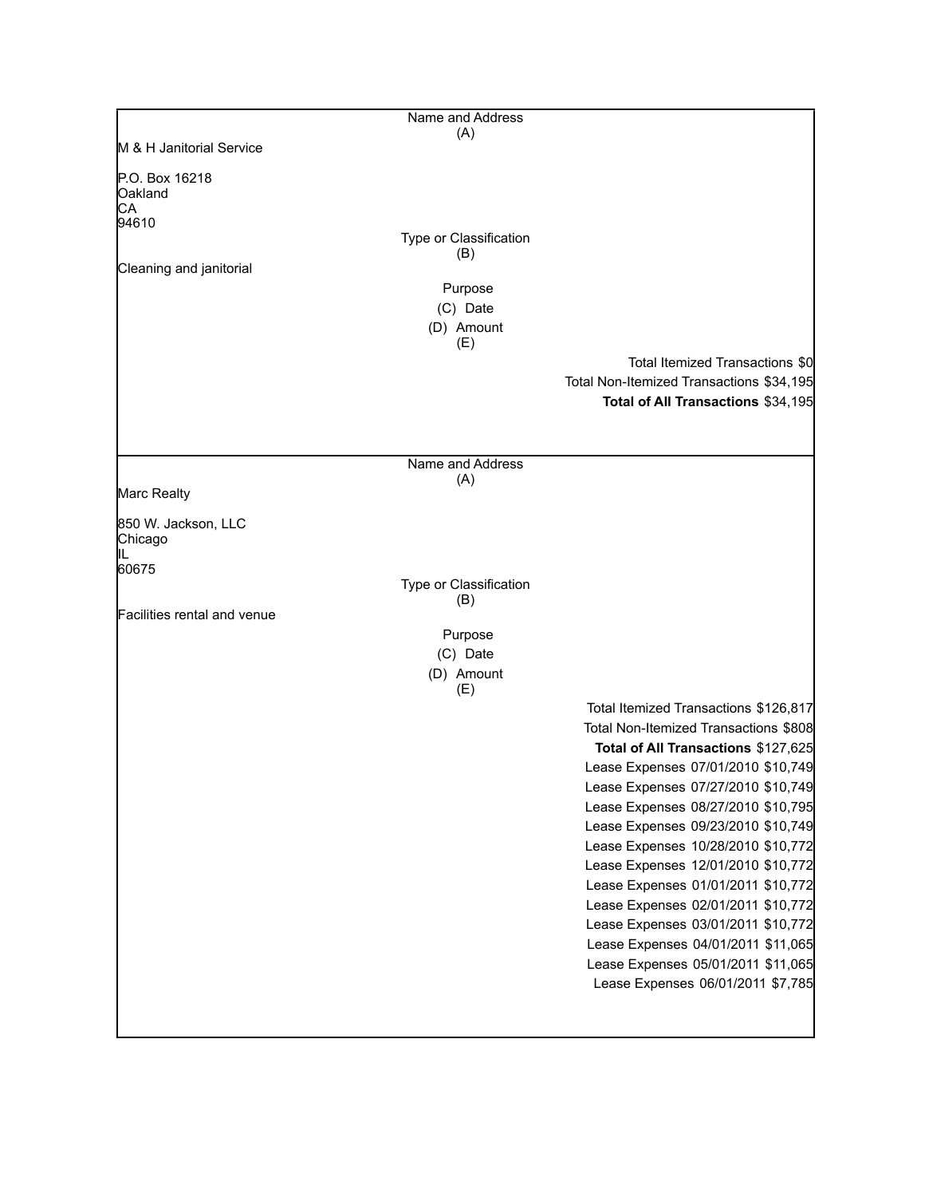| Name and Address              |                                                                                                                                                                                                                                                                                                                                                                                                                                                                                                                                                                                              |
|-------------------------------|----------------------------------------------------------------------------------------------------------------------------------------------------------------------------------------------------------------------------------------------------------------------------------------------------------------------------------------------------------------------------------------------------------------------------------------------------------------------------------------------------------------------------------------------------------------------------------------------|
| (A)                           |                                                                                                                                                                                                                                                                                                                                                                                                                                                                                                                                                                                              |
|                               |                                                                                                                                                                                                                                                                                                                                                                                                                                                                                                                                                                                              |
|                               |                                                                                                                                                                                                                                                                                                                                                                                                                                                                                                                                                                                              |
|                               |                                                                                                                                                                                                                                                                                                                                                                                                                                                                                                                                                                                              |
| Type or Classification<br>(B) |                                                                                                                                                                                                                                                                                                                                                                                                                                                                                                                                                                                              |
|                               |                                                                                                                                                                                                                                                                                                                                                                                                                                                                                                                                                                                              |
|                               |                                                                                                                                                                                                                                                                                                                                                                                                                                                                                                                                                                                              |
| (D) Amount                    |                                                                                                                                                                                                                                                                                                                                                                                                                                                                                                                                                                                              |
|                               | Total Itemized Transactions \$0                                                                                                                                                                                                                                                                                                                                                                                                                                                                                                                                                              |
|                               | Total Non-Itemized Transactions \$34,195                                                                                                                                                                                                                                                                                                                                                                                                                                                                                                                                                     |
|                               | Total of All Transactions \$34,195                                                                                                                                                                                                                                                                                                                                                                                                                                                                                                                                                           |
|                               |                                                                                                                                                                                                                                                                                                                                                                                                                                                                                                                                                                                              |
| Name and Address              |                                                                                                                                                                                                                                                                                                                                                                                                                                                                                                                                                                                              |
|                               |                                                                                                                                                                                                                                                                                                                                                                                                                                                                                                                                                                                              |
|                               |                                                                                                                                                                                                                                                                                                                                                                                                                                                                                                                                                                                              |
|                               |                                                                                                                                                                                                                                                                                                                                                                                                                                                                                                                                                                                              |
|                               |                                                                                                                                                                                                                                                                                                                                                                                                                                                                                                                                                                                              |
|                               |                                                                                                                                                                                                                                                                                                                                                                                                                                                                                                                                                                                              |
| Purpose                       |                                                                                                                                                                                                                                                                                                                                                                                                                                                                                                                                                                                              |
| (C) Date                      |                                                                                                                                                                                                                                                                                                                                                                                                                                                                                                                                                                                              |
|                               |                                                                                                                                                                                                                                                                                                                                                                                                                                                                                                                                                                                              |
|                               | Total Itemized Transactions \$126,817<br>Total Non-Itemized Transactions \$808<br>Total of All Transactions \$127,625<br>Lease Expenses 07/01/2010 \$10,749<br>Lease Expenses 07/27/2010 \$10,749<br>Lease Expenses 08/27/2010 \$10,795<br>Lease Expenses 09/23/2010 \$10,749<br>Lease Expenses 10/28/2010 \$10,772<br>Lease Expenses 12/01/2010 \$10,772<br>Lease Expenses 01/01/2011 \$10,772<br>Lease Expenses 02/01/2011 \$10,772<br>Lease Expenses 03/01/2011 \$10,772<br>Lease Expenses 04/01/2011 \$11,065<br>Lease Expenses 05/01/2011 \$11,065<br>Lease Expenses 06/01/2011 \$7,785 |
|                               | Purpose<br>(C) Date<br>(E)<br>(A)<br>Type or Classification<br>(B)<br>(D) Amount<br>(E)                                                                                                                                                                                                                                                                                                                                                                                                                                                                                                      |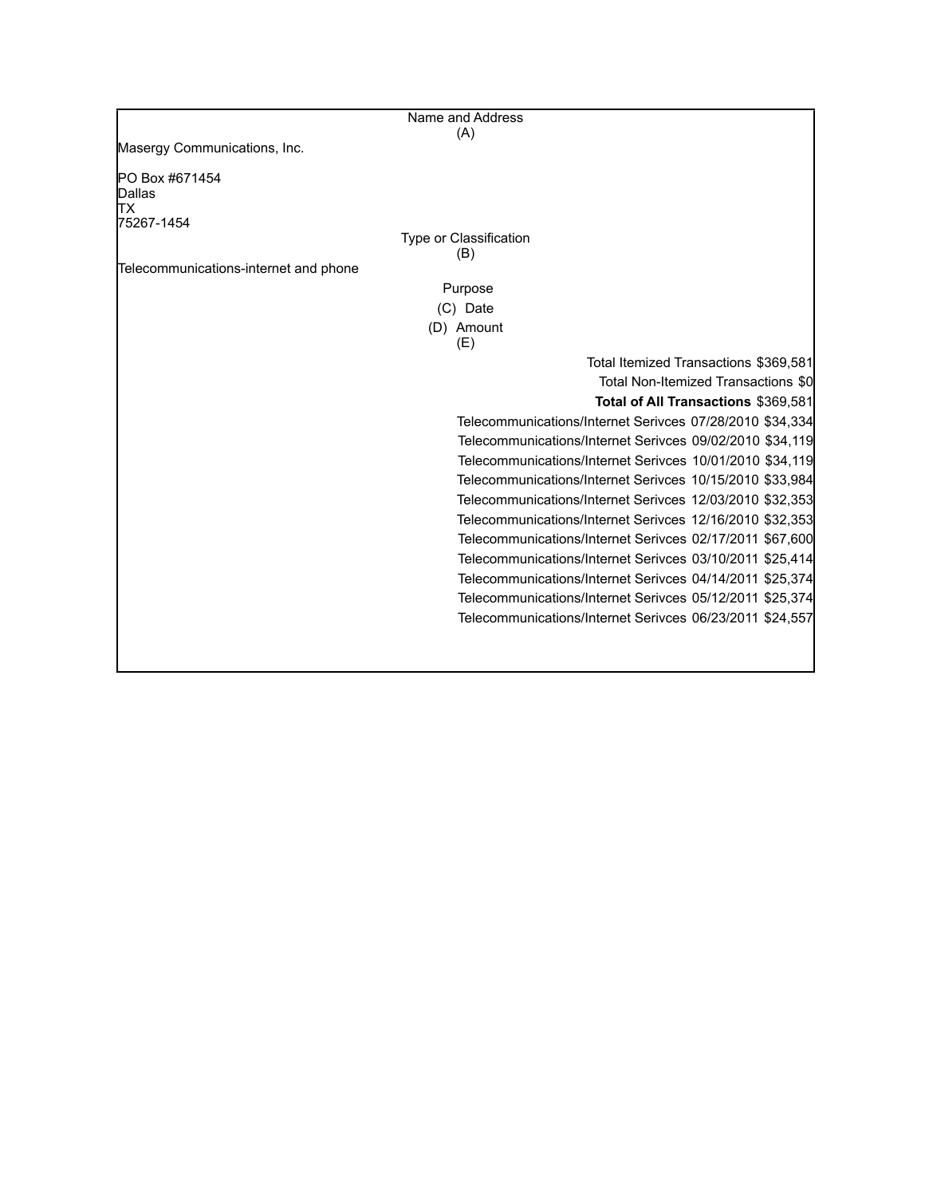|                                       | Name and Address                                         |
|---------------------------------------|----------------------------------------------------------|
|                                       | (A)                                                      |
| Masergy Communications, Inc.          |                                                          |
| PO Box #671454                        |                                                          |
| Dallas                                |                                                          |
| ТX                                    |                                                          |
| 75267-1454                            | Type or Classification                                   |
|                                       | (B)                                                      |
| Telecommunications-internet and phone |                                                          |
|                                       | Purpose                                                  |
|                                       | (C) Date                                                 |
|                                       | (D) Amount                                               |
|                                       | (E)                                                      |
|                                       | Total Itemized Transactions \$369,581                    |
|                                       | Total Non-Itemized Transactions \$0                      |
|                                       | Total of All Transactions \$369,581                      |
|                                       | Telecommunications/Internet Serivces 07/28/2010 \$34,334 |
|                                       | Telecommunications/Internet Serivces 09/02/2010 \$34,119 |
|                                       | Telecommunications/Internet Serivces 10/01/2010 \$34,119 |
|                                       | Telecommunications/Internet Serivces 10/15/2010 \$33,984 |
|                                       | Telecommunications/Internet Serivces 12/03/2010 \$32,353 |
|                                       | Telecommunications/Internet Serivces 12/16/2010 \$32,353 |
|                                       | Telecommunications/Internet Serivces 02/17/2011 \$67,600 |
|                                       | Telecommunications/Internet Serivces 03/10/2011 \$25,414 |
|                                       | Telecommunications/Internet Serivces 04/14/2011 \$25,374 |
|                                       | Telecommunications/Internet Serivces 05/12/2011 \$25,374 |
|                                       | Telecommunications/Internet Serivces 06/23/2011 \$24,557 |
|                                       |                                                          |
|                                       |                                                          |
|                                       |                                                          |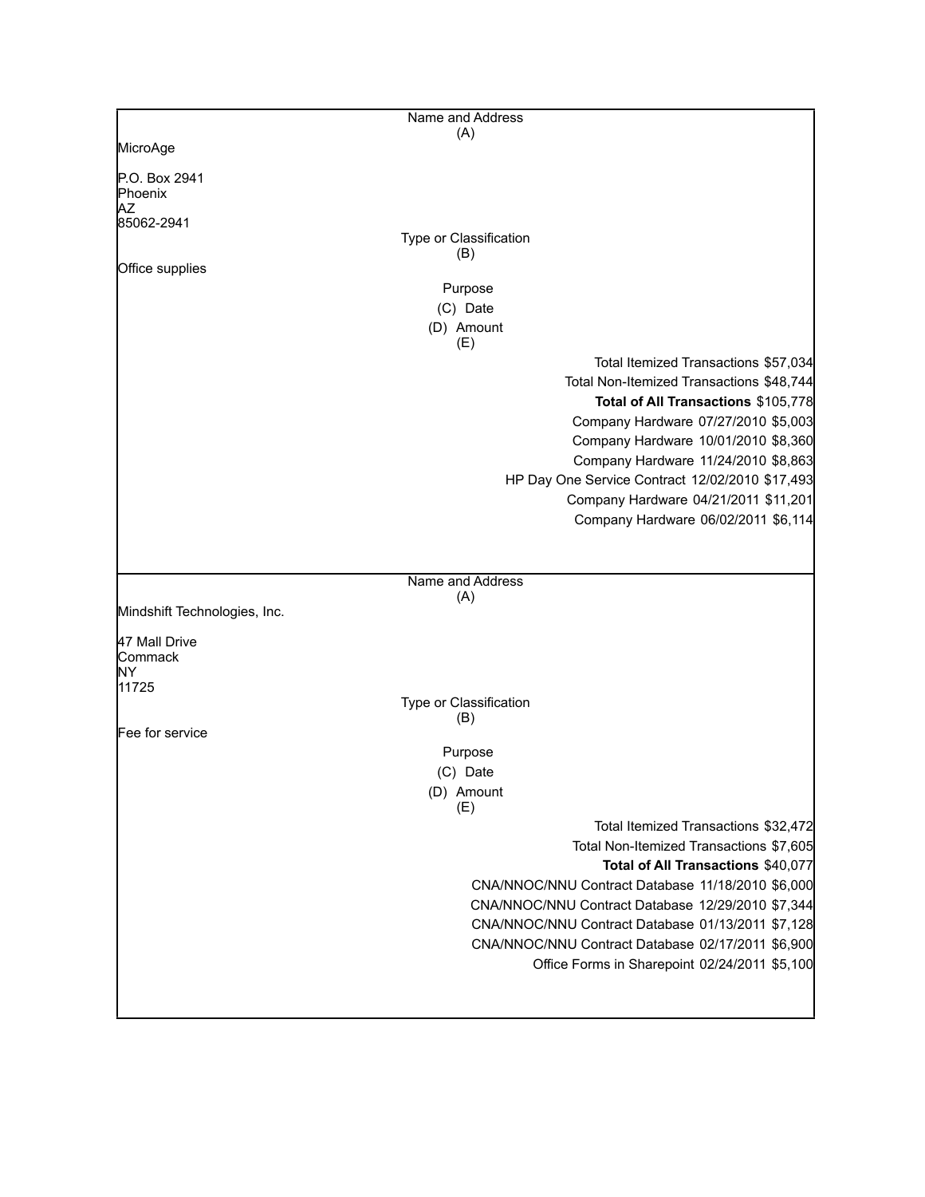|                                | Name and Address                                                                                                      |
|--------------------------------|-----------------------------------------------------------------------------------------------------------------------|
|                                | (A)                                                                                                                   |
| MicroAge                       |                                                                                                                       |
| P.O. Box 2941<br>Phoenix<br>ΑZ |                                                                                                                       |
| 85062-2941                     |                                                                                                                       |
|                                | Type or Classification                                                                                                |
|                                | (B)                                                                                                                   |
| Office supplies                |                                                                                                                       |
|                                | Purpose                                                                                                               |
|                                | (C) Date<br>(D) Amount<br>(E)                                                                                         |
|                                | Total Itemized Transactions \$57,034                                                                                  |
|                                | Total Non-Itemized Transactions \$48,744<br>Total of All Transactions \$105,778                                       |
|                                | Company Hardware 07/27/2010 \$5,003<br>Company Hardware 10/01/2010 \$8,360<br>Company Hardware 11/24/2010 \$8,863     |
|                                | HP Day One Service Contract 12/02/2010 \$17,493                                                                       |
|                                | Company Hardware 04/21/2011 \$11,201                                                                                  |
|                                | Company Hardware 06/02/2011 \$6,114                                                                                   |
|                                |                                                                                                                       |
|                                | Name and Address                                                                                                      |
| Mindshift Technologies, Inc.   | (A)                                                                                                                   |
| 47 Mall Drive<br>Commack       |                                                                                                                       |
| NΥ<br>11725                    |                                                                                                                       |
|                                | Type or Classification<br>(B)                                                                                         |
| Fee for service                |                                                                                                                       |
|                                | Purpose                                                                                                               |
|                                | (C) Date                                                                                                              |
|                                | (D) Amount<br>(E)                                                                                                     |
|                                | Total Itemized Transactions \$32,472<br>Total Non-Itemized Transactions \$7,605<br>Total of All Transactions \$40,077 |
|                                | CNA/NNOC/NNU Contract Database 11/18/2010 \$6,000                                                                     |
|                                | CNA/NNOC/NNU Contract Database 12/29/2010 \$7,344                                                                     |
|                                | CNA/NNOC/NNU Contract Database 01/13/2011 \$7,128                                                                     |
|                                | CNA/NNOC/NNU Contract Database 02/17/2011 \$6,900<br>Office Forms in Sharepoint 02/24/2011 \$5,100                    |
|                                |                                                                                                                       |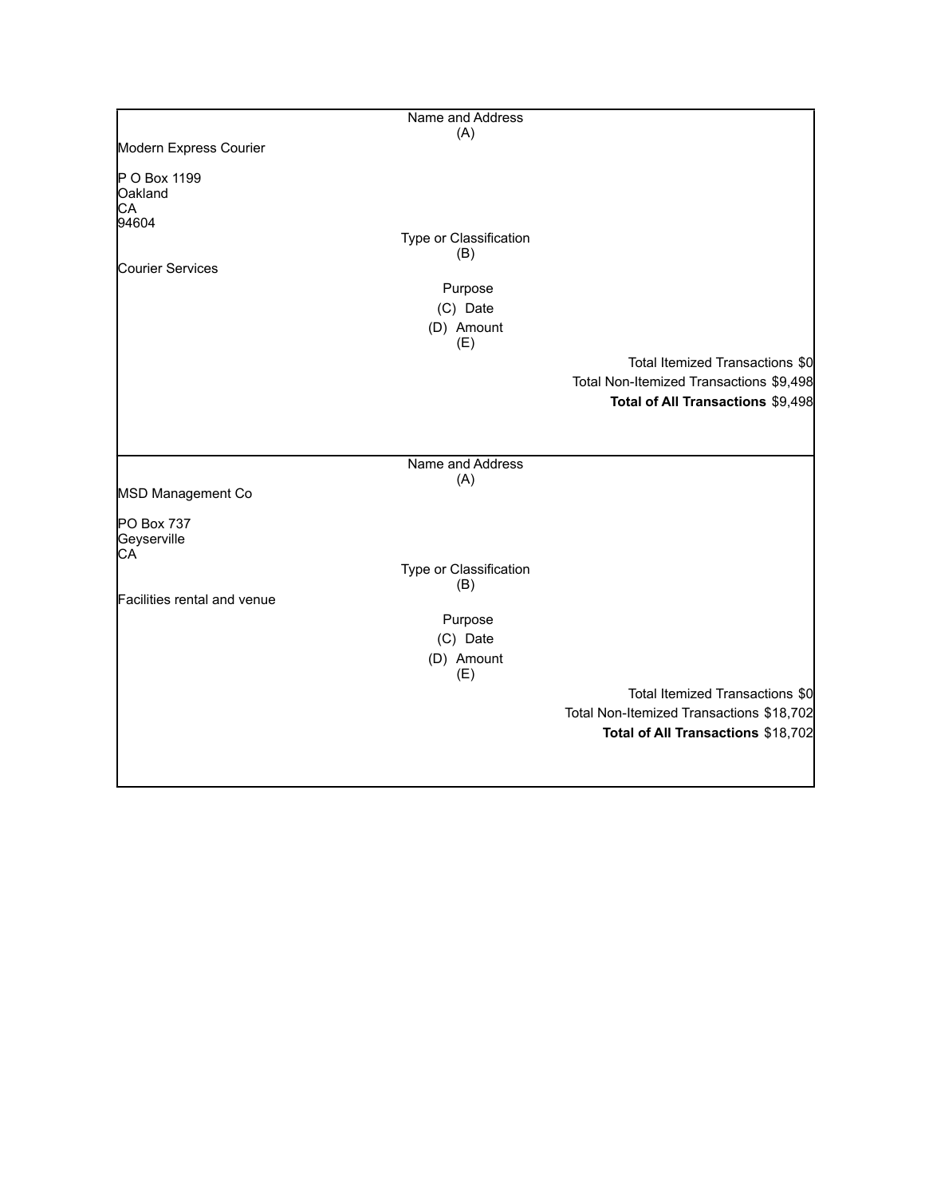|                             | Name and Address       |                                          |
|-----------------------------|------------------------|------------------------------------------|
|                             | (A)                    |                                          |
| Modern Express Courier      |                        |                                          |
| P O Box 1199                |                        |                                          |
| Oakland                     |                        |                                          |
| CA                          |                        |                                          |
| 94604                       |                        |                                          |
|                             | Type or Classification |                                          |
| Courier Services            | (B)                    |                                          |
|                             |                        |                                          |
|                             | Purpose                |                                          |
|                             | (C) Date               |                                          |
|                             | (D) Amount<br>(E)      |                                          |
|                             |                        | Total Itemized Transactions \$0          |
|                             |                        | Total Non-Itemized Transactions \$9,498  |
|                             |                        | Total of All Transactions \$9,498        |
|                             |                        |                                          |
|                             |                        |                                          |
|                             | Name and Address       |                                          |
|                             | (A)                    |                                          |
| MSD Management Co           |                        |                                          |
| PO Box 737                  |                        |                                          |
| Geyserville                 |                        |                                          |
| CA                          |                        |                                          |
|                             | Type or Classification |                                          |
|                             | (B)                    |                                          |
| Facilities rental and venue |                        |                                          |
|                             | Purpose                |                                          |
|                             | (C) Date               |                                          |
|                             | (D) Amount             |                                          |
|                             | (E)                    |                                          |
|                             |                        | Total Itemized Transactions \$0          |
|                             |                        | Total Non-Itemized Transactions \$18,702 |
|                             |                        | Total of All Transactions \$18,702       |
|                             |                        |                                          |
|                             |                        |                                          |
|                             |                        |                                          |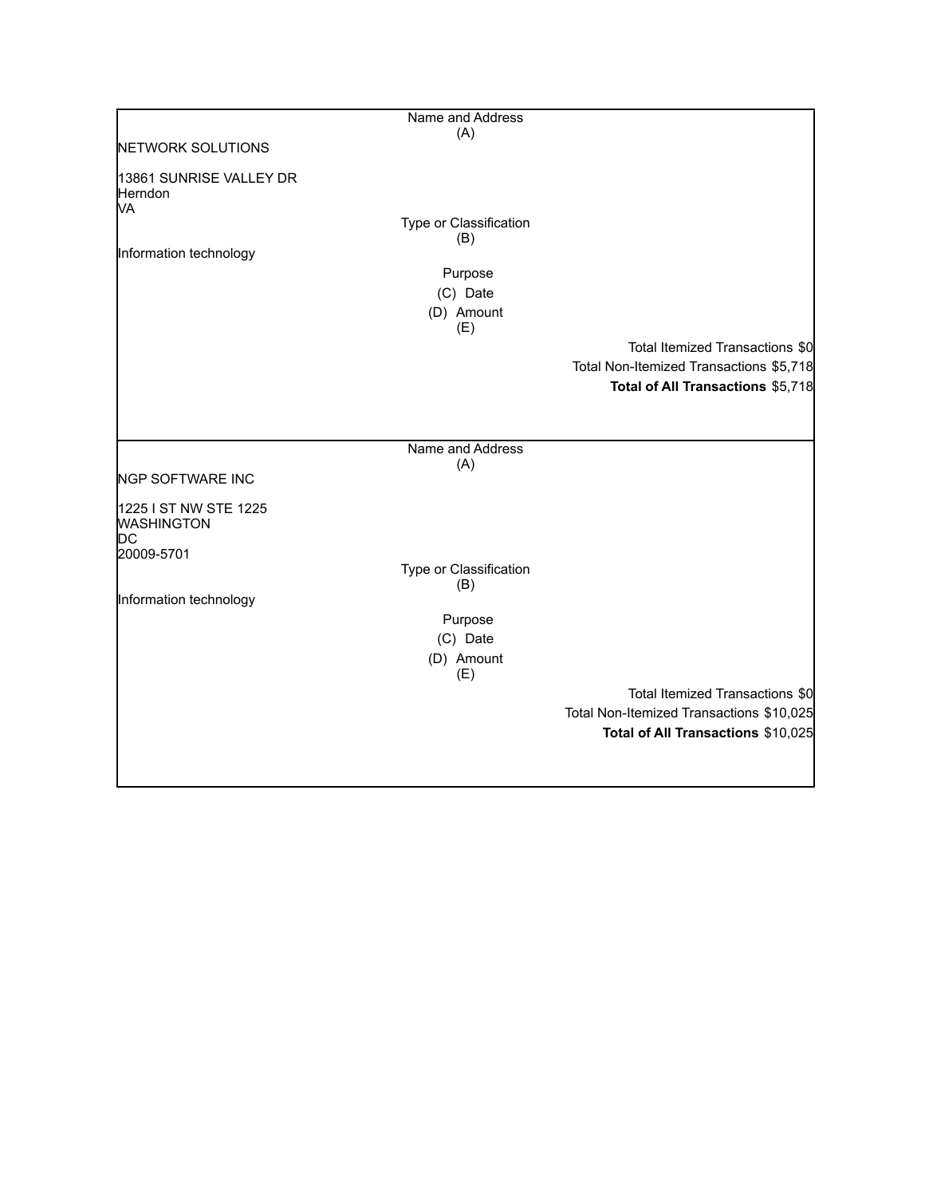|                                                  | Name and Address              |                                          |
|--------------------------------------------------|-------------------------------|------------------------------------------|
|                                                  | (A)                           |                                          |
| NETWORK SOLUTIONS                                |                               |                                          |
| 13861 SUNRISE VALLEY DR<br>Herndon<br>MА         |                               |                                          |
|                                                  | Type or Classification        |                                          |
|                                                  | (B)                           |                                          |
| Information technology                           |                               |                                          |
|                                                  | Purpose                       |                                          |
|                                                  | (C) Date                      |                                          |
|                                                  | (D) Amount                    |                                          |
|                                                  | (E)                           |                                          |
|                                                  |                               | Total Itemized Transactions \$0          |
|                                                  |                               | Total Non-Itemized Transactions \$5,718  |
|                                                  |                               | Total of All Transactions \$5,718        |
|                                                  |                               |                                          |
|                                                  |                               |                                          |
|                                                  | Name and Address              |                                          |
| <b>NGP SOFTWARE INC</b>                          | (A)                           |                                          |
| 1225 I ST NW STE 1225<br><b>WASHINGTON</b><br>DC |                               |                                          |
| 20009-5701                                       |                               |                                          |
|                                                  | Type or Classification<br>(B) |                                          |
| Information technology                           |                               |                                          |
|                                                  | Purpose                       |                                          |
|                                                  | (C) Date                      |                                          |
|                                                  | (D) Amount<br>(E)             |                                          |
|                                                  |                               | Total Itemized Transactions \$0          |
|                                                  |                               | Total Non-Itemized Transactions \$10,025 |
|                                                  |                               | Total of All Transactions \$10,025       |
|                                                  |                               |                                          |
|                                                  |                               |                                          |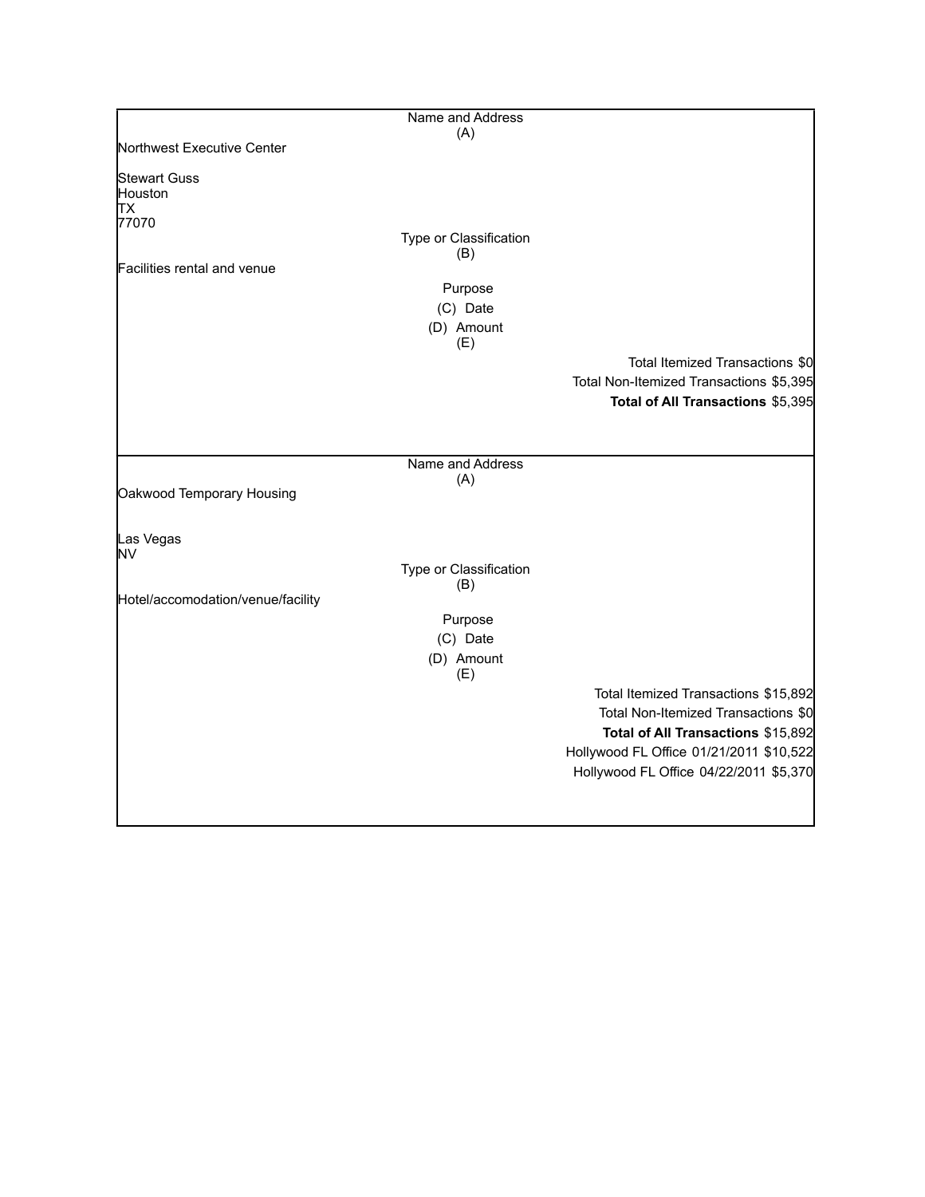| Name and Address |                                                                                                                                                            |
|------------------|------------------------------------------------------------------------------------------------------------------------------------------------------------|
|                  |                                                                                                                                                            |
|                  |                                                                                                                                                            |
|                  |                                                                                                                                                            |
|                  |                                                                                                                                                            |
|                  |                                                                                                                                                            |
|                  |                                                                                                                                                            |
|                  |                                                                                                                                                            |
|                  |                                                                                                                                                            |
|                  |                                                                                                                                                            |
|                  |                                                                                                                                                            |
|                  | Total Itemized Transactions \$0                                                                                                                            |
|                  | Total Non-Itemized Transactions \$5,395                                                                                                                    |
|                  | Total of All Transactions \$5,395                                                                                                                          |
|                  |                                                                                                                                                            |
|                  |                                                                                                                                                            |
|                  |                                                                                                                                                            |
|                  |                                                                                                                                                            |
|                  |                                                                                                                                                            |
|                  |                                                                                                                                                            |
|                  |                                                                                                                                                            |
|                  |                                                                                                                                                            |
|                  |                                                                                                                                                            |
| Purpose          |                                                                                                                                                            |
| (C) Date         |                                                                                                                                                            |
| (E)              |                                                                                                                                                            |
|                  | Total Itemized Transactions \$15,892                                                                                                                       |
|                  | Total Non-Itemized Transactions \$0                                                                                                                        |
|                  | Total of All Transactions \$15,892                                                                                                                         |
|                  | Hollywood FL Office 01/21/2011 \$10,522                                                                                                                    |
|                  | Hollywood FL Office 04/22/2011 \$5,370                                                                                                                     |
|                  |                                                                                                                                                            |
|                  | (A)<br>Type or Classification<br>(B)<br>Purpose<br>(C) Date<br>(D) Amount<br>(E)<br>Name and Address<br>(A)<br>Type or Classification<br>(B)<br>(D) Amount |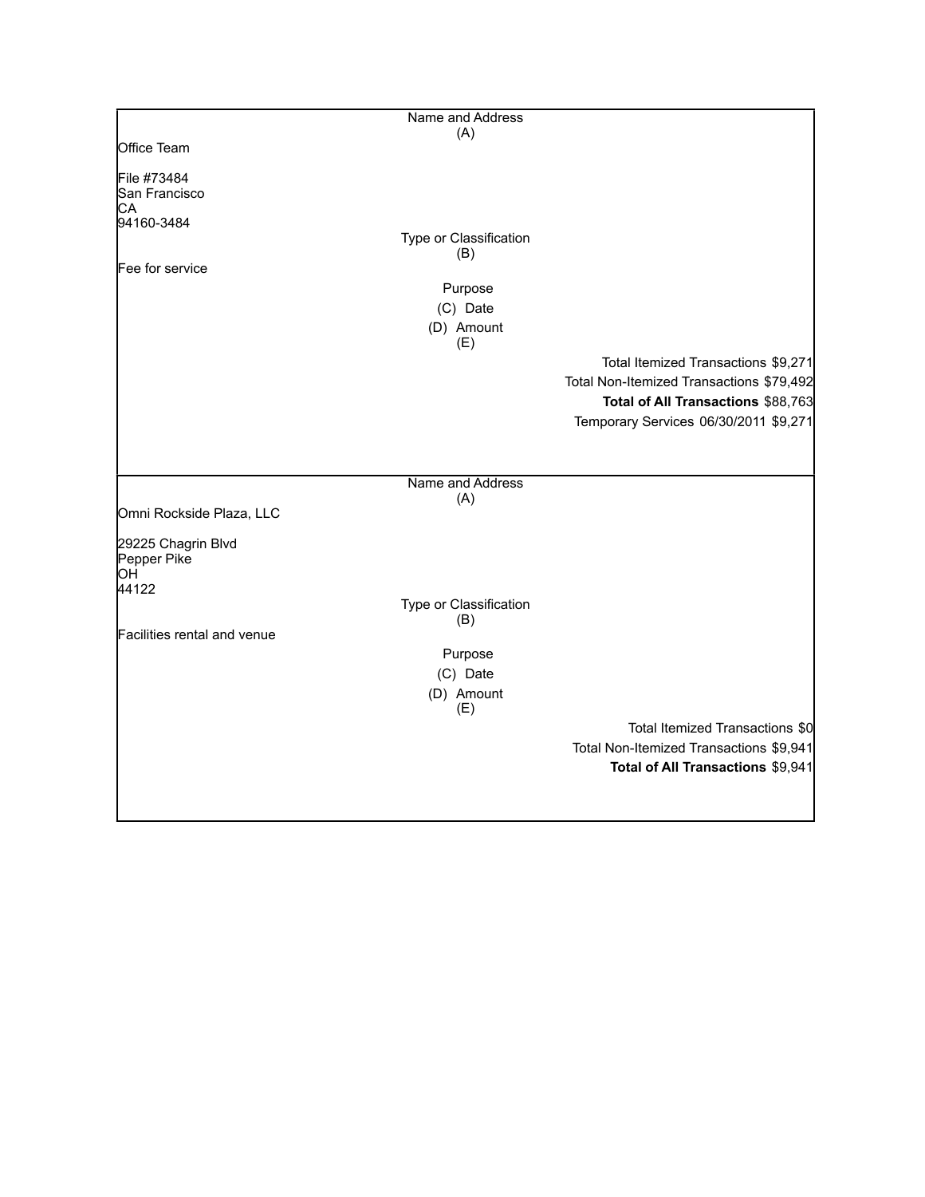|                             | Name and Address       |                                          |
|-----------------------------|------------------------|------------------------------------------|
|                             | (A)                    |                                          |
| Office Team                 |                        |                                          |
| File #73484                 |                        |                                          |
| San Francisco               |                        |                                          |
| CА                          |                        |                                          |
| 94160-3484                  |                        |                                          |
|                             | Type or Classification |                                          |
|                             | (B)                    |                                          |
| Fee for service             |                        |                                          |
|                             | Purpose                |                                          |
|                             | (C) Date               |                                          |
|                             | (D) Amount<br>(E)      |                                          |
|                             |                        | Total Itemized Transactions \$9,271      |
|                             |                        | Total Non-Itemized Transactions \$79,492 |
|                             |                        | Total of All Transactions \$88,763       |
|                             |                        |                                          |
|                             |                        | Temporary Services 06/30/2011 \$9,271    |
|                             |                        |                                          |
|                             | Name and Address       |                                          |
|                             | (A)                    |                                          |
| Omni Rockside Plaza, LLC    |                        |                                          |
| 29225 Chagrin Blvd          |                        |                                          |
| Pepper Pike                 |                        |                                          |
| ЮH                          |                        |                                          |
| 44122                       |                        |                                          |
|                             | Type or Classification |                                          |
| Facilities rental and venue | (B)                    |                                          |
|                             |                        |                                          |
|                             | Purpose                |                                          |
|                             | (C) Date               |                                          |
|                             | (D) Amount<br>(E)      |                                          |
|                             |                        | Total Itemized Transactions \$0          |
|                             |                        | Total Non-Itemized Transactions \$9,941  |
|                             |                        | Total of All Transactions \$9,941        |
|                             |                        |                                          |
|                             |                        |                                          |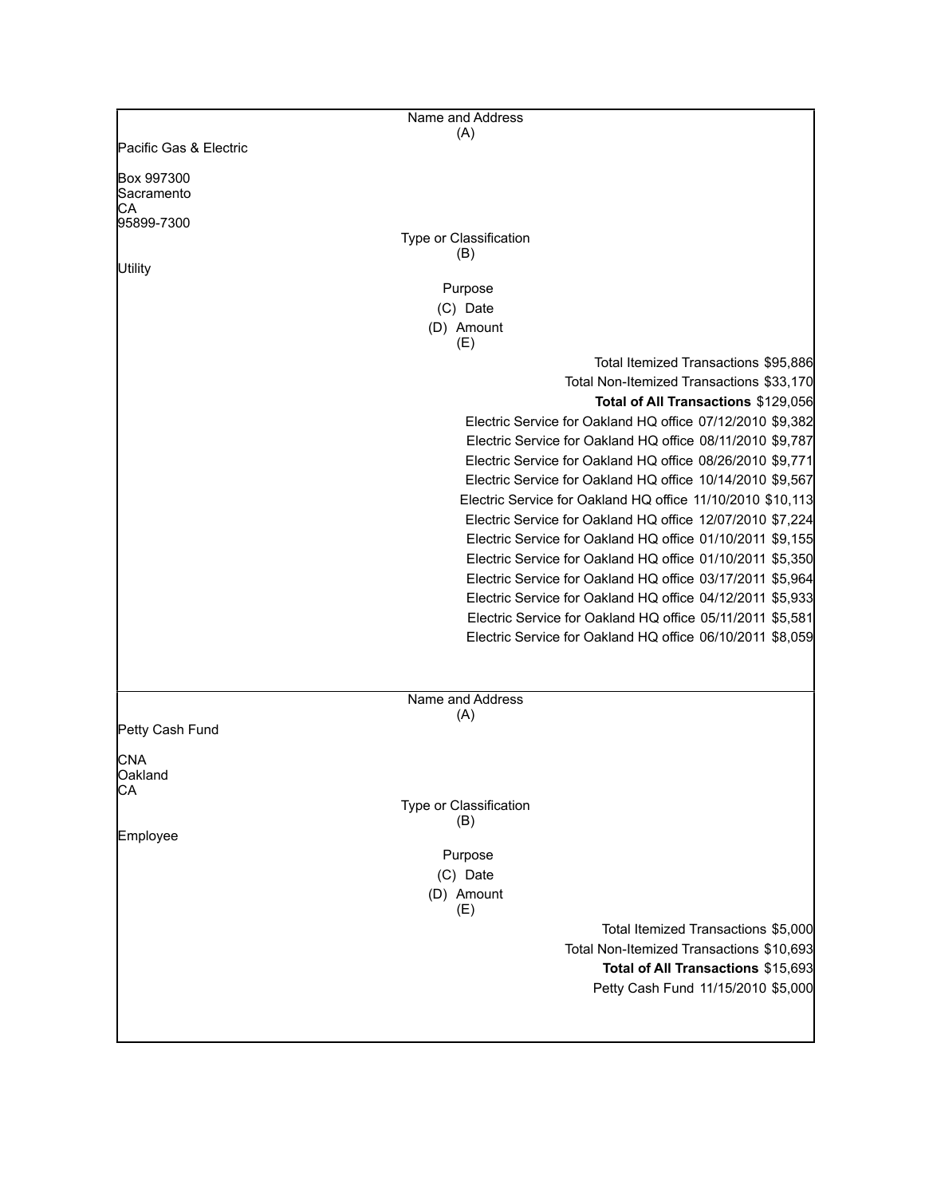|                                | Name and Address       |                                                            |
|--------------------------------|------------------------|------------------------------------------------------------|
|                                | (A)                    |                                                            |
| Pacific Gas & Electric         |                        |                                                            |
| Box 997300<br>Sacramento<br>CА |                        |                                                            |
| 95899-7300                     |                        |                                                            |
|                                | Type or Classification |                                                            |
| Utility                        | (B)                    |                                                            |
|                                | Purpose                |                                                            |
|                                | (C) Date               |                                                            |
|                                | (D) Amount<br>(E)      |                                                            |
|                                |                        | Total Itemized Transactions \$95,886                       |
|                                |                        | Total Non-Itemized Transactions \$33,170                   |
|                                |                        | Total of All Transactions \$129,056                        |
|                                |                        | Electric Service for Oakland HQ office 07/12/2010 \$9,382  |
|                                |                        | Electric Service for Oakland HQ office 08/11/2010 \$9,787  |
|                                |                        | Electric Service for Oakland HQ office 08/26/2010 \$9,771  |
|                                |                        | Electric Service for Oakland HQ office 10/14/2010 \$9,567  |
|                                |                        | Electric Service for Oakland HQ office 11/10/2010 \$10,113 |
|                                |                        | Electric Service for Oakland HQ office 12/07/2010 \$7,224  |
|                                |                        | Electric Service for Oakland HQ office 01/10/2011 \$9,155  |
|                                |                        | Electric Service for Oakland HQ office 01/10/2011 \$5,350  |
|                                |                        | Electric Service for Oakland HQ office 03/17/2011 \$5,964  |
|                                |                        | Electric Service for Oakland HQ office 04/12/2011 \$5,933  |
|                                |                        | Electric Service for Oakland HQ office 05/11/2011 \$5,581  |
|                                |                        | Electric Service for Oakland HQ office 06/10/2011 \$8,059  |
|                                |                        |                                                            |
|                                | Name and Address       |                                                            |
|                                | (A)                    |                                                            |
| Petty Cash Fund                |                        |                                                            |
| <b>CNA</b>                     |                        |                                                            |
| Oakland                        |                        |                                                            |
| IСA                            |                        |                                                            |
|                                | Type or Classification |                                                            |
| Employee                       | (B)                    |                                                            |
|                                | Purpose                |                                                            |
|                                | (C) Date               |                                                            |
|                                | (D) Amount             |                                                            |
|                                | (E)                    |                                                            |
|                                |                        | Total Itemized Transactions \$5,000                        |
|                                |                        | Total Non-Itemized Transactions \$10,693                   |
|                                |                        | Total of All Transactions \$15,693                         |
|                                |                        | Petty Cash Fund 11/15/2010 \$5,000                         |
|                                |                        |                                                            |
|                                |                        |                                                            |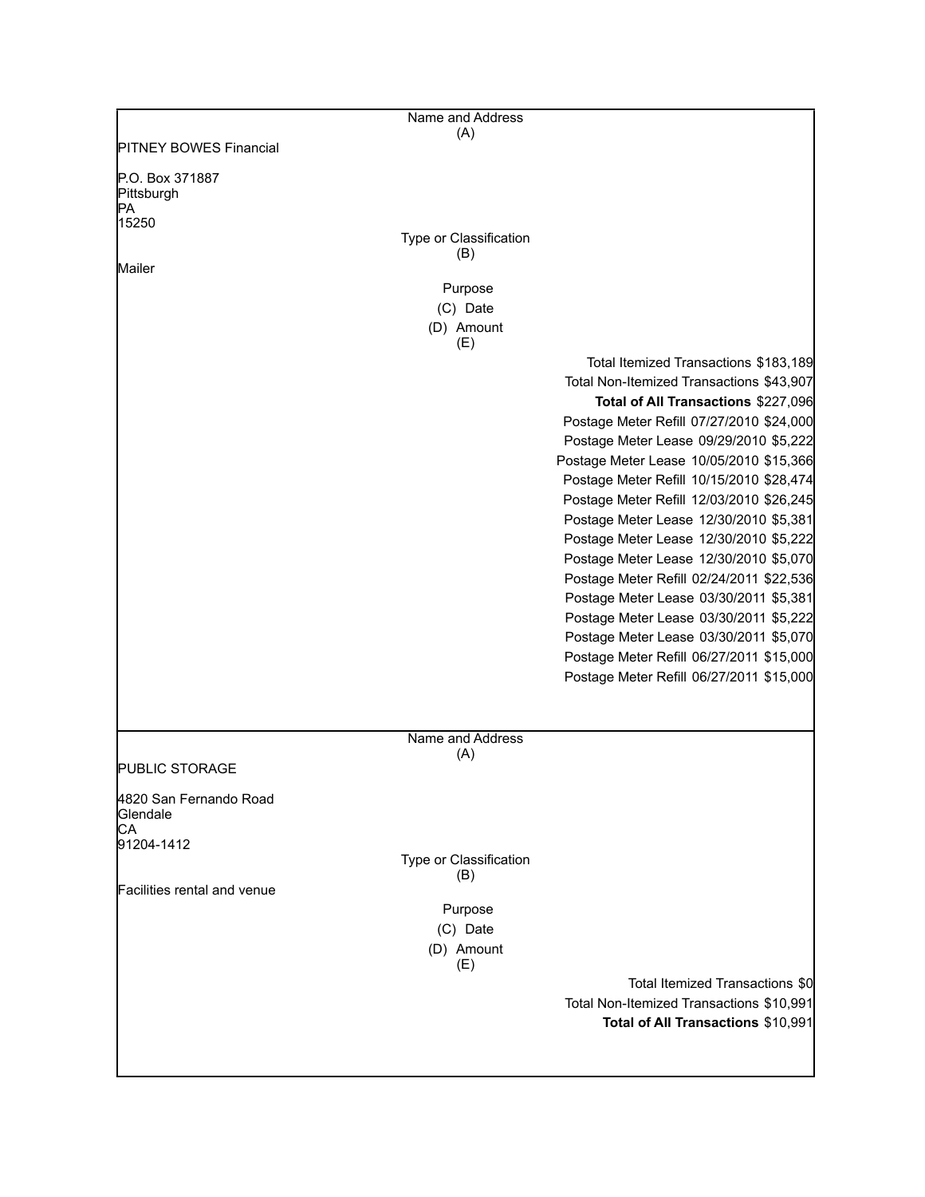|                                          | Name and Address              |                                                                                     |
|------------------------------------------|-------------------------------|-------------------------------------------------------------------------------------|
| <b>PITNEY BOWES Financial</b>            | (A)                           |                                                                                     |
|                                          |                               |                                                                                     |
| P.O. Box 371887<br>Pittsburgh<br>IPA.    |                               |                                                                                     |
| 15250                                    |                               |                                                                                     |
|                                          | Type or Classification        |                                                                                     |
| Mailer                                   | (B)                           |                                                                                     |
|                                          | Purpose                       |                                                                                     |
|                                          | (C) Date                      |                                                                                     |
|                                          | (D) Amount<br>(E)             |                                                                                     |
|                                          |                               | Total Itemized Transactions \$183,189                                               |
|                                          |                               | Total Non-Itemized Transactions \$43,907                                            |
|                                          |                               | Total of All Transactions \$227,096                                                 |
|                                          |                               | Postage Meter Refill 07/27/2010 \$24,000                                            |
|                                          |                               | Postage Meter Lease 09/29/2010 \$5,222                                              |
|                                          |                               | Postage Meter Lease 10/05/2010 \$15,366<br>Postage Meter Refill 10/15/2010 \$28,474 |
|                                          |                               | Postage Meter Refill 12/03/2010 \$26,245                                            |
|                                          |                               | Postage Meter Lease 12/30/2010 \$5,381                                              |
|                                          |                               | Postage Meter Lease 12/30/2010 \$5,222                                              |
|                                          |                               | Postage Meter Lease 12/30/2010 \$5,070                                              |
|                                          |                               | Postage Meter Refill 02/24/2011 \$22,536                                            |
|                                          |                               | Postage Meter Lease 03/30/2011 \$5,381                                              |
|                                          |                               | Postage Meter Lease 03/30/2011 \$5,222<br>Postage Meter Lease 03/30/2011 \$5,070    |
|                                          |                               | Postage Meter Refill 06/27/2011 \$15,000                                            |
|                                          |                               | Postage Meter Refill 06/27/2011 \$15,000                                            |
|                                          |                               |                                                                                     |
|                                          | Name and Address              |                                                                                     |
| <b>PUBLIC STORAGE</b>                    | (A)                           |                                                                                     |
|                                          |                               |                                                                                     |
| 4820 San Fernando Road<br>Glendale<br>СA |                               |                                                                                     |
| 91204-1412                               |                               |                                                                                     |
|                                          | Type or Classification<br>(B) |                                                                                     |
| Facilities rental and venue              |                               |                                                                                     |
|                                          | Purpose                       |                                                                                     |
|                                          | (C) Date<br>(D) Amount<br>(E) |                                                                                     |
|                                          |                               | Total Itemized Transactions \$0                                                     |
|                                          |                               | Total Non-Itemized Transactions \$10,991                                            |
|                                          |                               | Total of All Transactions \$10,991                                                  |
|                                          |                               |                                                                                     |
|                                          |                               |                                                                                     |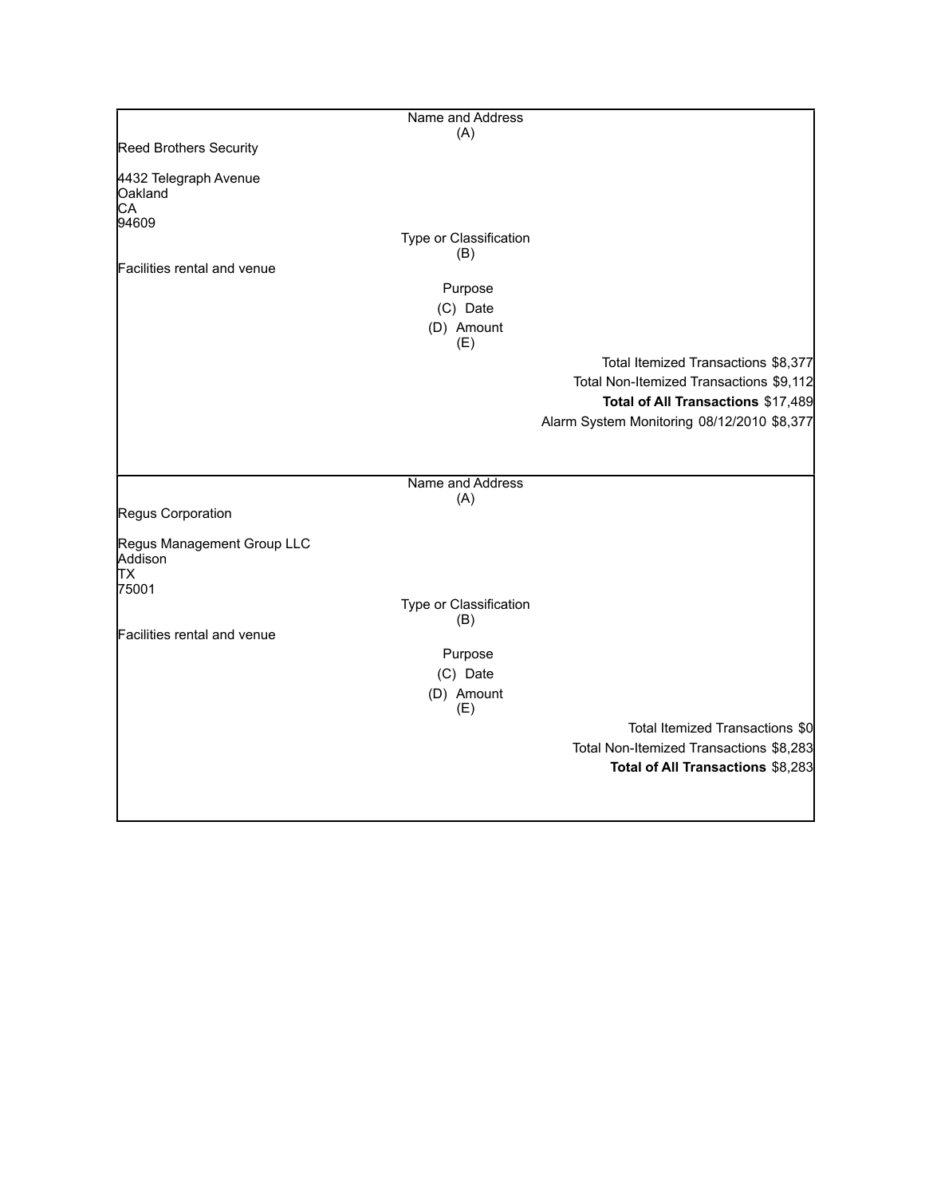|                                        | Name and Address              |                                            |
|----------------------------------------|-------------------------------|--------------------------------------------|
|                                        | (A)                           |                                            |
| <b>Reed Brothers Security</b>          |                               |                                            |
| 4432 Telegraph Avenue<br>Oakland<br>CA |                               |                                            |
| 94609                                  |                               |                                            |
|                                        | Type or Classification<br>(B) |                                            |
| Facilities rental and venue            |                               |                                            |
|                                        | Purpose                       |                                            |
|                                        | (C) Date                      |                                            |
|                                        | (D) Amount<br>(E)             |                                            |
|                                        |                               | Total Itemized Transactions \$8,377        |
|                                        |                               | Total Non-Itemized Transactions \$9,112    |
|                                        |                               | Total of All Transactions \$17,489         |
|                                        |                               | Alarm System Monitoring 08/12/2010 \$8,377 |
|                                        |                               |                                            |
|                                        |                               |                                            |
|                                        | Name and Address              |                                            |
| Regus Corporation                      | (A)                           |                                            |
|                                        |                               |                                            |
| Regus Management Group LLC<br>Addison  |                               |                                            |
| lТX                                    |                               |                                            |
| 75001                                  |                               |                                            |
|                                        | Type or Classification<br>(B) |                                            |
| Facilities rental and venue            |                               |                                            |
|                                        | Purpose                       |                                            |
|                                        | (C) Date                      |                                            |
|                                        | (D) Amount                    |                                            |
|                                        | (E)                           |                                            |
|                                        |                               | Total Itemized Transactions \$0            |
|                                        |                               | Total Non-Itemized Transactions \$8,283    |
|                                        |                               | Total of All Transactions \$8,283          |
|                                        |                               |                                            |
|                                        |                               |                                            |
|                                        |                               |                                            |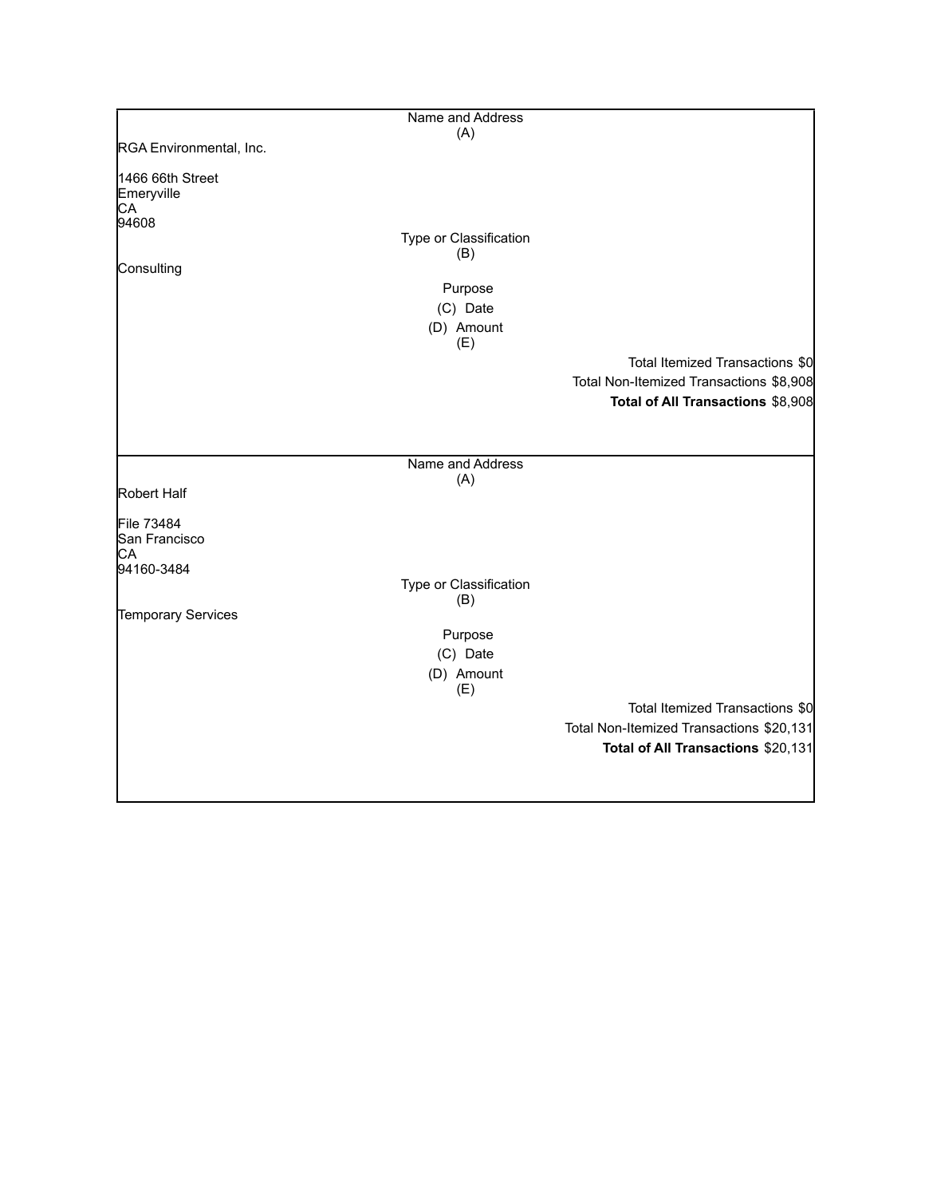|                                      | Name and Address       |                                          |
|--------------------------------------|------------------------|------------------------------------------|
|                                      | (A)                    |                                          |
| RGA Environmental, Inc.              |                        |                                          |
| 1466 66th Street<br>Emeryville<br>CA |                        |                                          |
| 94608                                |                        |                                          |
|                                      | Type or Classification |                                          |
| Consulting                           | (B)                    |                                          |
|                                      | Purpose                |                                          |
|                                      | (C) Date               |                                          |
|                                      | (D) Amount             |                                          |
|                                      | (E)                    |                                          |
|                                      |                        | Total Itemized Transactions \$0          |
|                                      |                        | Total Non-Itemized Transactions \$8,908  |
|                                      |                        | Total of All Transactions \$8,908        |
|                                      |                        |                                          |
|                                      |                        |                                          |
|                                      | Name and Address       |                                          |
| Robert Half                          | (A)                    |                                          |
|                                      |                        |                                          |
| File 73484                           |                        |                                          |
| San Francisco                        |                        |                                          |
| CA<br>94160-3484                     |                        |                                          |
|                                      | Type or Classification |                                          |
|                                      | (B)                    |                                          |
| Temporary Services                   |                        |                                          |
|                                      | Purpose                |                                          |
|                                      | (C) Date               |                                          |
|                                      | (D) Amount<br>(E)      |                                          |
|                                      |                        | Total Itemized Transactions \$0          |
|                                      |                        | Total Non-Itemized Transactions \$20,131 |
|                                      |                        | Total of All Transactions \$20,131       |
|                                      |                        |                                          |
|                                      |                        |                                          |
|                                      |                        |                                          |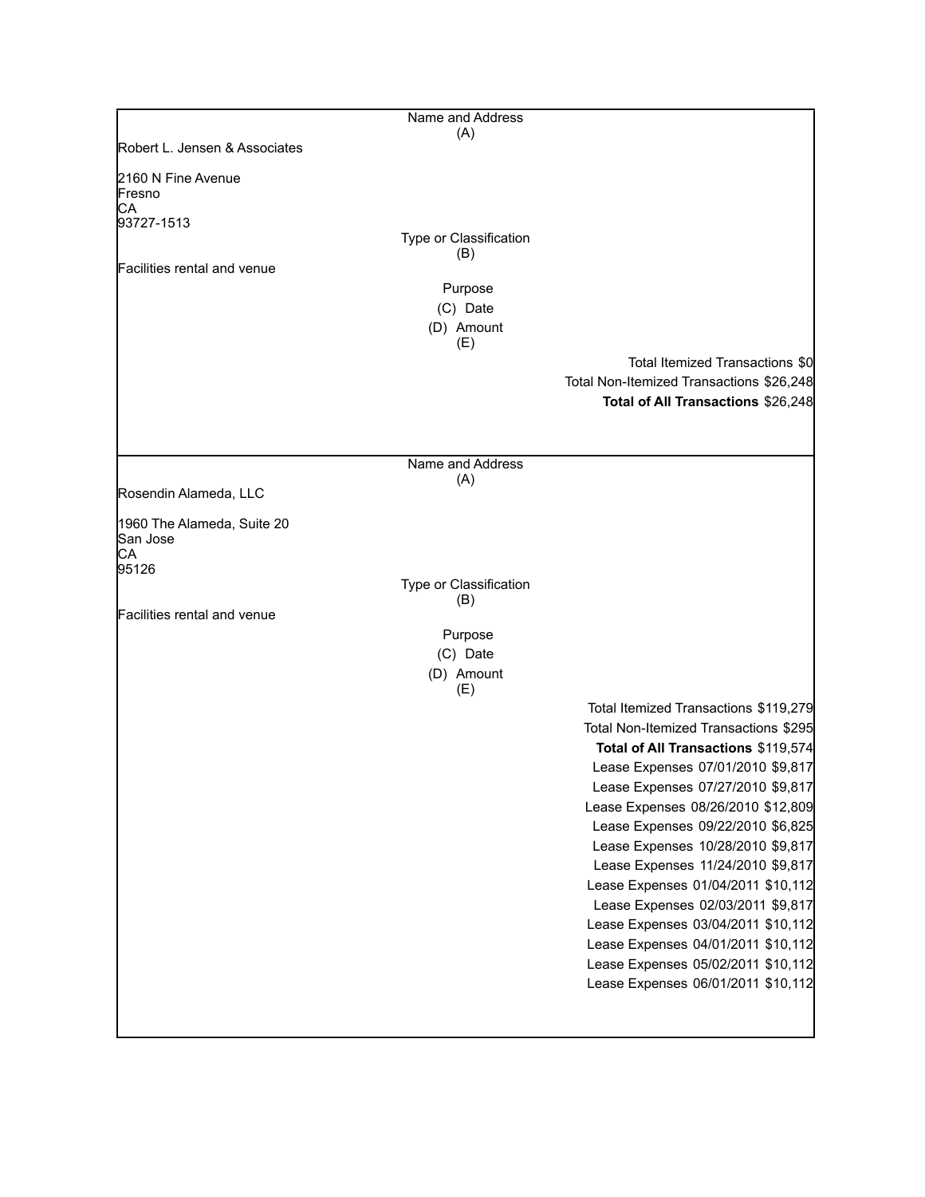| Name and Address        |                                                                                                                                                                                                                                                                                                                                                                                                                                                                                                                                                                                         |
|-------------------------|-----------------------------------------------------------------------------------------------------------------------------------------------------------------------------------------------------------------------------------------------------------------------------------------------------------------------------------------------------------------------------------------------------------------------------------------------------------------------------------------------------------------------------------------------------------------------------------------|
|                         |                                                                                                                                                                                                                                                                                                                                                                                                                                                                                                                                                                                         |
|                         |                                                                                                                                                                                                                                                                                                                                                                                                                                                                                                                                                                                         |
|                         |                                                                                                                                                                                                                                                                                                                                                                                                                                                                                                                                                                                         |
| (B)                     |                                                                                                                                                                                                                                                                                                                                                                                                                                                                                                                                                                                         |
| Purpose                 |                                                                                                                                                                                                                                                                                                                                                                                                                                                                                                                                                                                         |
|                         |                                                                                                                                                                                                                                                                                                                                                                                                                                                                                                                                                                                         |
| (E)                     |                                                                                                                                                                                                                                                                                                                                                                                                                                                                                                                                                                                         |
|                         | Total Itemized Transactions \$0<br>Total Non-Itemized Transactions \$26,248<br>Total of All Transactions \$26,248                                                                                                                                                                                                                                                                                                                                                                                                                                                                       |
| Name and Address<br>(A) |                                                                                                                                                                                                                                                                                                                                                                                                                                                                                                                                                                                         |
|                         |                                                                                                                                                                                                                                                                                                                                                                                                                                                                                                                                                                                         |
|                         |                                                                                                                                                                                                                                                                                                                                                                                                                                                                                                                                                                                         |
| Type or Classification  |                                                                                                                                                                                                                                                                                                                                                                                                                                                                                                                                                                                         |
|                         |                                                                                                                                                                                                                                                                                                                                                                                                                                                                                                                                                                                         |
|                         |                                                                                                                                                                                                                                                                                                                                                                                                                                                                                                                                                                                         |
| (D) Amount              |                                                                                                                                                                                                                                                                                                                                                                                                                                                                                                                                                                                         |
|                         | Total Itemized Transactions \$119,279<br>Total Non-Itemized Transactions \$295<br>Total of All Transactions \$119,574<br>Lease Expenses 07/01/2010 \$9,817<br>Lease Expenses 07/27/2010 \$9,817<br>Lease Expenses 08/26/2010 \$12,809<br>Lease Expenses 09/22/2010 \$6,825<br>Lease Expenses 10/28/2010 \$9,817<br>Lease Expenses 11/24/2010 \$9,817<br>Lease Expenses 01/04/2011 \$10,112<br>Lease Expenses 02/03/2011 \$9,817<br>Lease Expenses 03/04/2011 \$10,112<br>Lease Expenses 04/01/2011 \$10,112<br>Lease Expenses 05/02/2011 \$10,112<br>Lease Expenses 06/01/2011 \$10,112 |
|                         | (A)<br>Type or Classification<br>(C) Date<br>(D) Amount<br>(B)<br>Purpose<br>(C) Date<br>(E)                                                                                                                                                                                                                                                                                                                                                                                                                                                                                            |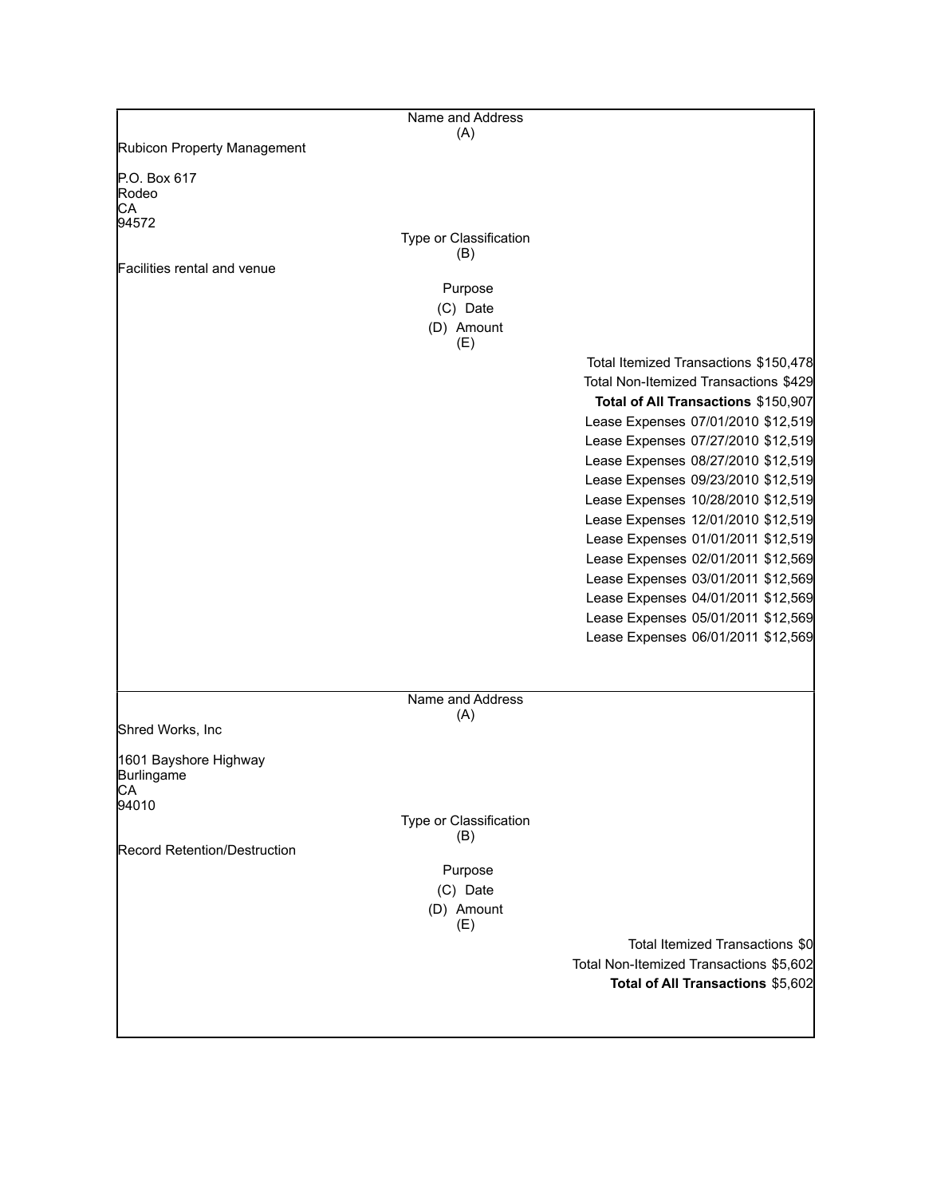|                                                    | Name and Address              |                                         |
|----------------------------------------------------|-------------------------------|-----------------------------------------|
| Rubicon Property Management                        | (A)                           |                                         |
|                                                    |                               |                                         |
| P.O. Box 617<br>Rodeo<br>CA<br>94572               |                               |                                         |
|                                                    | Type or Classification        |                                         |
| Facilities rental and venue                        | (B)                           |                                         |
|                                                    | Purpose                       |                                         |
|                                                    | (C) Date                      |                                         |
|                                                    | (D) Amount<br>(E)             |                                         |
|                                                    |                               | Total Itemized Transactions \$150,478   |
|                                                    |                               | Total Non-Itemized Transactions \$429   |
|                                                    |                               | Total of All Transactions \$150,907     |
|                                                    |                               | Lease Expenses 07/01/2010 \$12,519      |
|                                                    |                               | Lease Expenses 07/27/2010 \$12,519      |
|                                                    |                               | Lease Expenses 08/27/2010 \$12,519      |
|                                                    |                               | Lease Expenses 09/23/2010 \$12,519      |
|                                                    |                               | Lease Expenses 10/28/2010 \$12,519      |
|                                                    |                               | Lease Expenses 12/01/2010 \$12,519      |
|                                                    |                               | Lease Expenses 01/01/2011 \$12,519      |
|                                                    |                               | Lease Expenses 02/01/2011 \$12,569      |
|                                                    |                               | Lease Expenses 03/01/2011 \$12,569      |
|                                                    |                               | Lease Expenses 04/01/2011 \$12,569      |
|                                                    |                               | Lease Expenses 05/01/2011 \$12,569      |
|                                                    |                               | Lease Expenses 06/01/2011 \$12,569      |
|                                                    |                               |                                         |
|                                                    | Name and Address              |                                         |
| Shred Works, Inc                                   | (A)                           |                                         |
| 1601 Bayshore Highway<br>Burlingame<br>CA<br>94010 |                               |                                         |
|                                                    | Type or Classification        |                                         |
|                                                    | (B)                           |                                         |
| <b>Record Retention/Destruction</b>                |                               |                                         |
|                                                    | Purpose                       |                                         |
|                                                    | (C) Date<br>(D) Amount<br>(E) |                                         |
|                                                    |                               | Total Itemized Transactions \$0         |
|                                                    |                               | Total Non-Itemized Transactions \$5,602 |
|                                                    |                               | Total of All Transactions \$5,602       |
|                                                    |                               |                                         |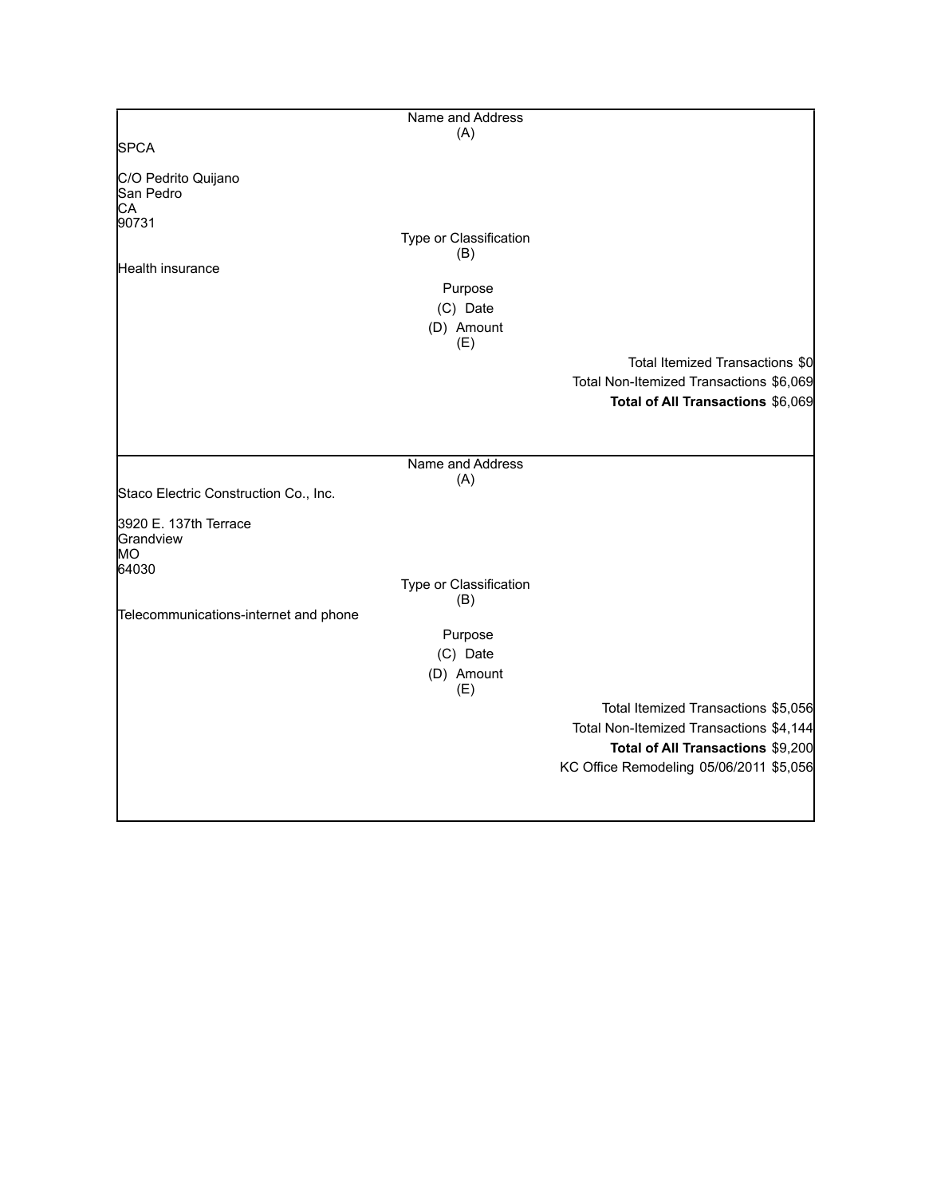|                                          | Name and Address              |                                         |
|------------------------------------------|-------------------------------|-----------------------------------------|
|                                          | (A)                           |                                         |
| <b>SPCA</b>                              |                               |                                         |
| C/O Pedrito Quijano<br>San Pedro<br>СA   |                               |                                         |
| 90731                                    |                               |                                         |
|                                          | Type or Classification<br>(B) |                                         |
| Health insurance                         |                               |                                         |
|                                          | Purpose                       |                                         |
|                                          | (C) Date                      |                                         |
|                                          | (D) Amount<br>(E)             |                                         |
|                                          |                               | Total Itemized Transactions \$0         |
|                                          |                               | Total Non-Itemized Transactions \$6,069 |
|                                          |                               | Total of All Transactions \$6,069       |
|                                          |                               |                                         |
|                                          |                               |                                         |
|                                          | Name and Address              |                                         |
|                                          | (A)                           |                                         |
| Staco Electric Construction Co., Inc.    |                               |                                         |
| 3920 E. 137th Terrace<br>Grandview<br>MO |                               |                                         |
| 64030                                    |                               |                                         |
|                                          | Type or Classification        |                                         |
| Telecommunications-internet and phone    | (B)                           |                                         |
|                                          | Purpose                       |                                         |
|                                          | (C) Date                      |                                         |
|                                          | (D) Amount                    |                                         |
|                                          | (E)                           |                                         |
|                                          |                               | Total Itemized Transactions \$5,056     |
|                                          |                               | Total Non-Itemized Transactions \$4,144 |
|                                          |                               | Total of All Transactions \$9,200       |
|                                          |                               | KC Office Remodeling 05/06/2011 \$5,056 |
|                                          |                               |                                         |
|                                          |                               |                                         |
|                                          |                               |                                         |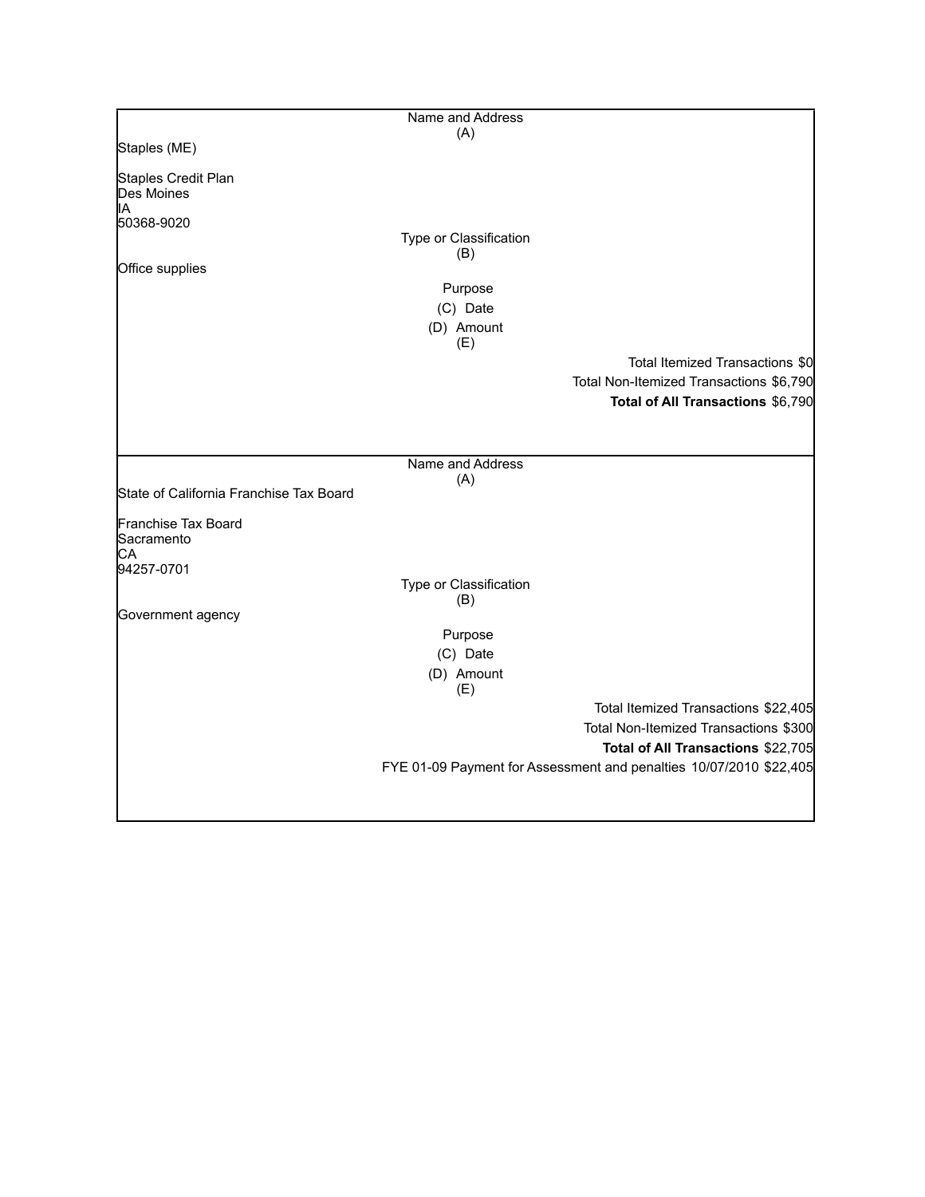|                                         | Name and Address       |                                                                    |
|-----------------------------------------|------------------------|--------------------------------------------------------------------|
|                                         | (A)                    |                                                                    |
| Staples (ME)                            |                        |                                                                    |
| Staples Credit Plan                     |                        |                                                                    |
| Des Moines                              |                        |                                                                    |
| ΙA                                      |                        |                                                                    |
| 50368-9020                              |                        |                                                                    |
|                                         | Type or Classification |                                                                    |
| Office supplies                         | (B)                    |                                                                    |
|                                         |                        |                                                                    |
|                                         | Purpose                |                                                                    |
|                                         | (C) Date               |                                                                    |
|                                         | (D) Amount             |                                                                    |
|                                         | (E)                    |                                                                    |
|                                         |                        | Total Itemized Transactions \$0                                    |
|                                         |                        | Total Non-Itemized Transactions \$6,790                            |
|                                         |                        | Total of All Transactions \$6,790                                  |
|                                         |                        |                                                                    |
|                                         |                        |                                                                    |
|                                         | Name and Address       |                                                                    |
|                                         | (A)                    |                                                                    |
| State of California Franchise Tax Board |                        |                                                                    |
|                                         |                        |                                                                    |
| Franchise Tax Board<br>Sacramento       |                        |                                                                    |
| CА                                      |                        |                                                                    |
| 94257-0701                              |                        |                                                                    |
|                                         | Type or Classification |                                                                    |
|                                         | (B)                    |                                                                    |
| Government agency                       |                        |                                                                    |
|                                         | Purpose                |                                                                    |
|                                         | (C) Date               |                                                                    |
|                                         | (D) Amount             |                                                                    |
|                                         | (E)                    |                                                                    |
|                                         |                        | Total Itemized Transactions \$22,405                               |
|                                         |                        | Total Non-Itemized Transactions \$300                              |
|                                         |                        | Total of All Transactions \$22,705                                 |
|                                         |                        | FYE 01-09 Payment for Assessment and penalties 10/07/2010 \$22,405 |
|                                         |                        |                                                                    |
|                                         |                        |                                                                    |
|                                         |                        |                                                                    |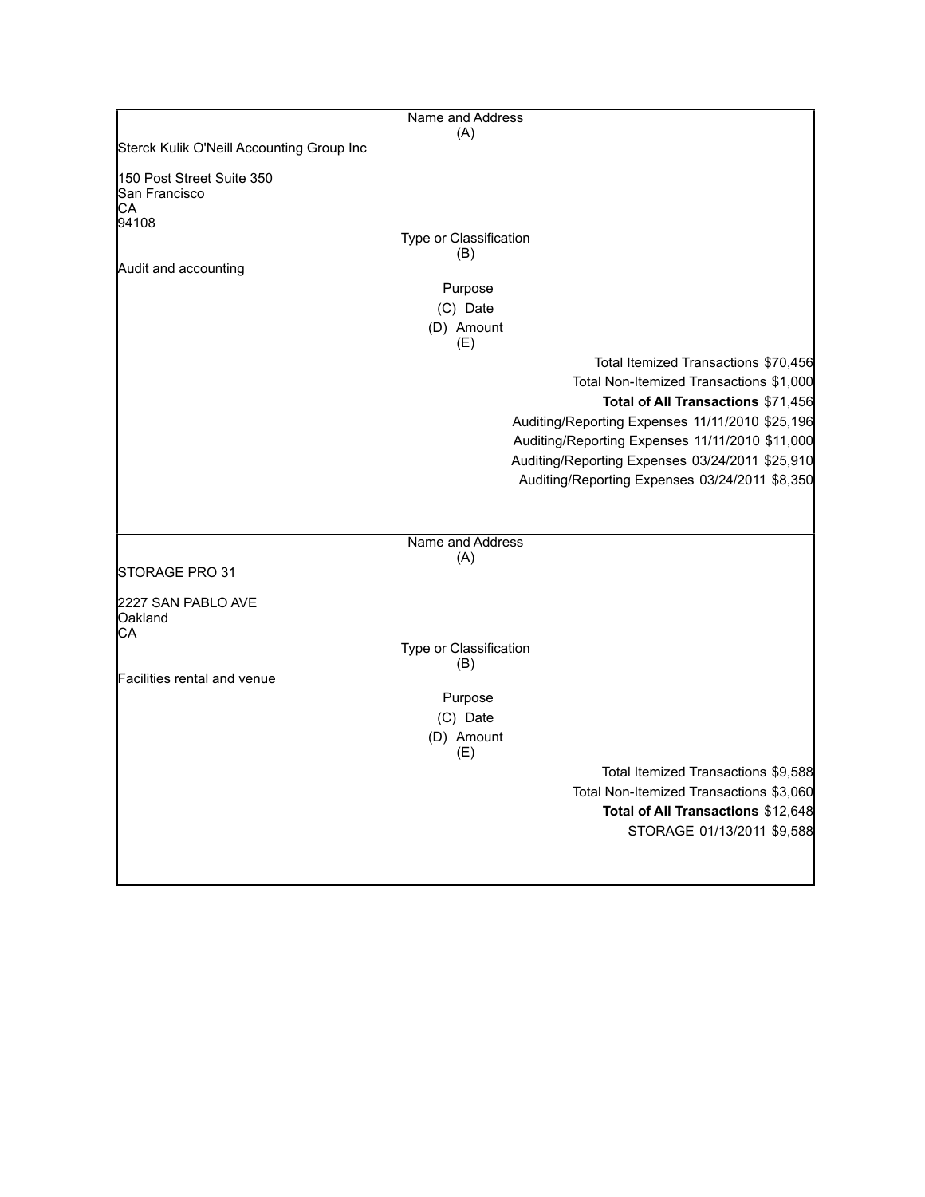|                                                           | Name and Address       |                                                 |
|-----------------------------------------------------------|------------------------|-------------------------------------------------|
| Sterck Kulik O'Neill Accounting Group Inc                 | (A)                    |                                                 |
|                                                           |                        |                                                 |
| 150 Post Street Suite 350<br>San Francisco<br>СA<br>94108 |                        |                                                 |
|                                                           | Type or Classification |                                                 |
|                                                           | (B)                    |                                                 |
| Audit and accounting                                      |                        |                                                 |
|                                                           | Purpose                |                                                 |
|                                                           | (C) Date               |                                                 |
|                                                           | (D) Amount<br>(E)      |                                                 |
|                                                           |                        | Total Itemized Transactions \$70,456            |
|                                                           |                        | Total Non-Itemized Transactions \$1,000         |
|                                                           |                        | Total of All Transactions \$71,456              |
|                                                           |                        | Auditing/Reporting Expenses 11/11/2010 \$25,196 |
|                                                           |                        | Auditing/Reporting Expenses 11/11/2010 \$11,000 |
|                                                           |                        | Auditing/Reporting Expenses 03/24/2011 \$25,910 |
|                                                           |                        | Auditing/Reporting Expenses 03/24/2011 \$8,350  |
|                                                           |                        |                                                 |
|                                                           |                        |                                                 |
|                                                           | Name and Address       |                                                 |
|                                                           | (A)                    |                                                 |
| STORAGE PRO 31                                            |                        |                                                 |
| 2227 SAN PABLO AVE<br>Oakland<br>CА                       |                        |                                                 |
|                                                           | Type or Classification |                                                 |
|                                                           | (B)                    |                                                 |
| Facilities rental and venue                               |                        |                                                 |
|                                                           | Purpose                |                                                 |
|                                                           | (C) Date               |                                                 |
|                                                           | (D) Amount<br>(E)      |                                                 |
|                                                           |                        | Total Itemized Transactions \$9,588             |
|                                                           |                        | Total Non-Itemized Transactions \$3,060         |
|                                                           |                        | Total of All Transactions \$12,648              |
|                                                           |                        | STORAGE 01/13/2011 \$9,588                      |
|                                                           |                        |                                                 |
|                                                           |                        |                                                 |
|                                                           |                        |                                                 |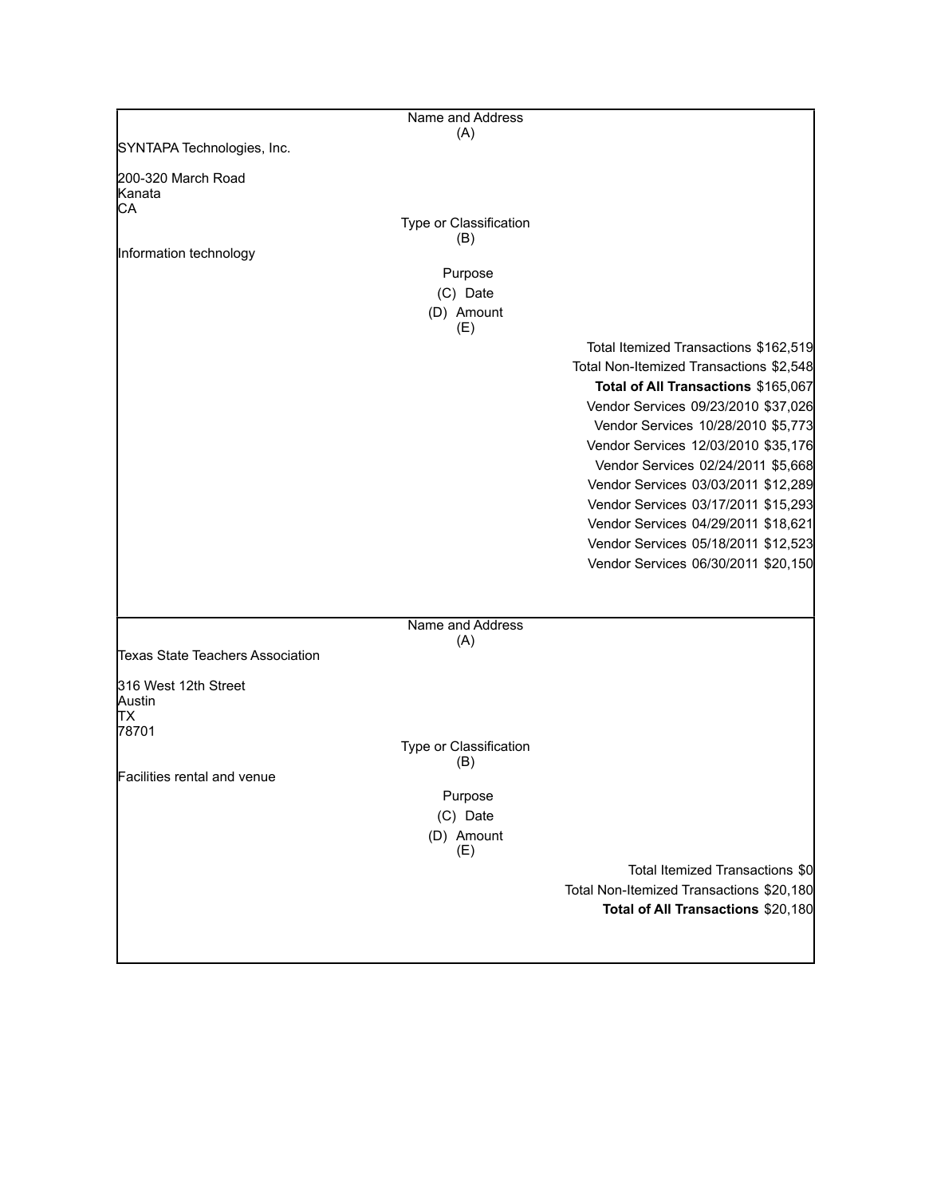|                                  | Name and Address       |                                          |
|----------------------------------|------------------------|------------------------------------------|
| SYNTAPA Technologies, Inc.       | (A)                    |                                          |
|                                  |                        |                                          |
| 200-320 March Road<br>Kanata     |                        |                                          |
| СA                               | Type or Classification |                                          |
|                                  | (B)                    |                                          |
| Information technology           |                        |                                          |
|                                  | Purpose                |                                          |
|                                  | (C) Date<br>(D) Amount |                                          |
|                                  | (E)                    |                                          |
|                                  |                        | Total Itemized Transactions \$162,519    |
|                                  |                        | Total Non-Itemized Transactions \$2,548  |
|                                  |                        | Total of All Transactions \$165,067      |
|                                  |                        | Vendor Services 09/23/2010 \$37,026      |
|                                  |                        | Vendor Services 10/28/2010 \$5,773       |
|                                  |                        | Vendor Services 12/03/2010 \$35,176      |
|                                  |                        | Vendor Services 02/24/2011 \$5,668       |
|                                  |                        | Vendor Services 03/03/2011 \$12,289      |
|                                  |                        | Vendor Services 03/17/2011 \$15,293      |
|                                  |                        | Vendor Services 04/29/2011 \$18,621      |
|                                  |                        | Vendor Services 05/18/2011 \$12,523      |
|                                  |                        | Vendor Services 06/30/2011 \$20,150      |
|                                  |                        |                                          |
|                                  | Name and Address       |                                          |
| Texas State Teachers Association | (A)                    |                                          |
|                                  |                        |                                          |
| 316 West 12th Street             |                        |                                          |
| Austin<br>lТX                    |                        |                                          |
| 78701                            |                        |                                          |
|                                  | Type or Classification |                                          |
| Facilities rental and venue      | (B)                    |                                          |
|                                  | Purpose                |                                          |
|                                  | (C) Date               |                                          |
|                                  | (D) Amount<br>(E)      |                                          |
|                                  |                        | Total Itemized Transactions \$0          |
|                                  |                        | Total Non-Itemized Transactions \$20,180 |
|                                  |                        | Total of All Transactions \$20,180       |
|                                  |                        |                                          |
|                                  |                        |                                          |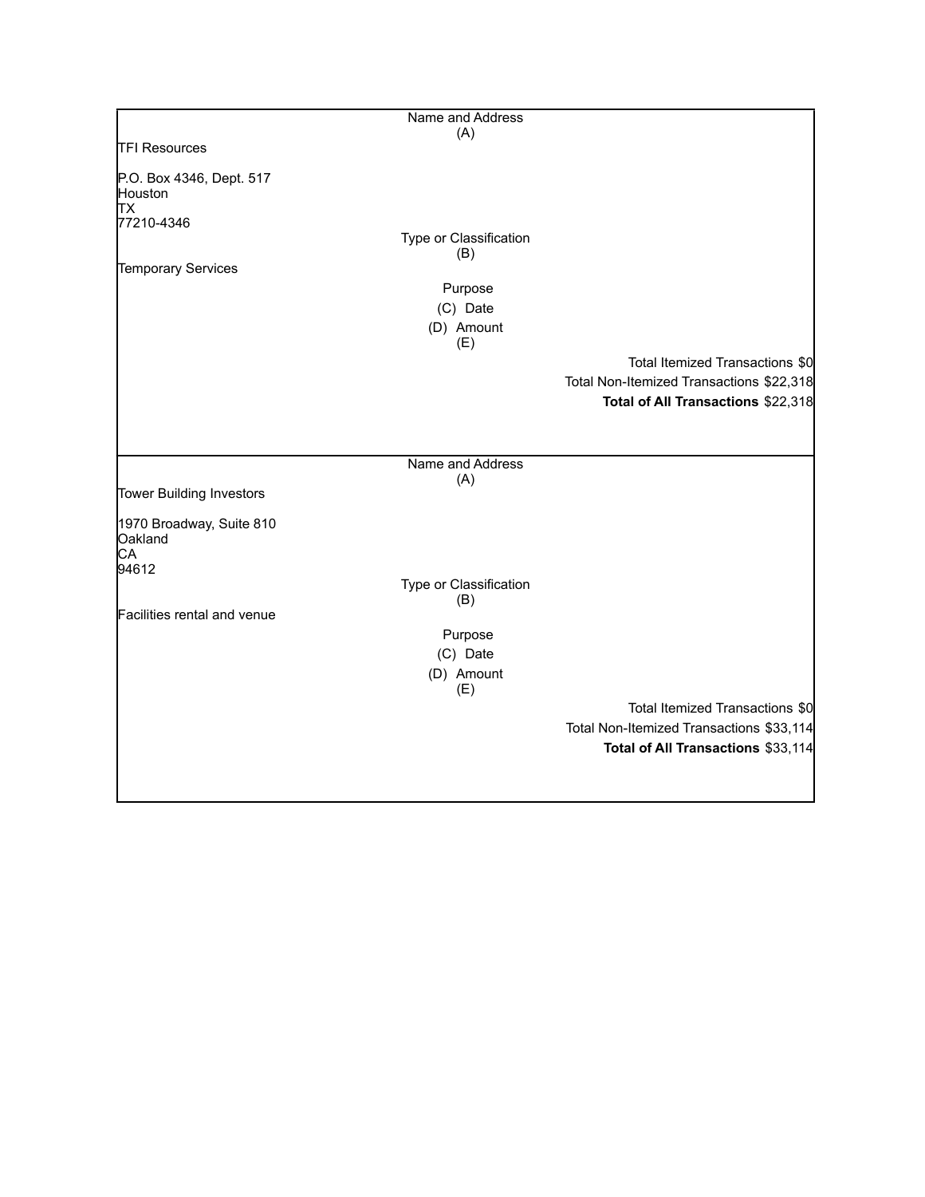|                                                                | Name and Address              |                                          |
|----------------------------------------------------------------|-------------------------------|------------------------------------------|
|                                                                | (A)                           |                                          |
| <b>TFI Resources</b>                                           |                               |                                          |
| P.O. Box 4346, Dept. 517<br>Houston<br><b>TX</b><br>77210-4346 |                               |                                          |
|                                                                | Type or Classification<br>(B) |                                          |
| Temporary Services                                             |                               |                                          |
|                                                                | Purpose                       |                                          |
|                                                                | (C) Date                      |                                          |
|                                                                | (D) Amount<br>(E)             |                                          |
|                                                                |                               | Total Itemized Transactions \$0          |
|                                                                |                               | Total Non-Itemized Transactions \$22,318 |
|                                                                |                               | Total of All Transactions \$22,318       |
|                                                                |                               |                                          |
|                                                                | Name and Address              |                                          |
| Tower Building Investors                                       | (A)                           |                                          |
| 1970 Broadway, Suite 810<br>Oakland<br>CA<br>94612             |                               |                                          |
|                                                                | Type or Classification        |                                          |
|                                                                | (B)                           |                                          |
| Facilities rental and venue                                    |                               |                                          |
|                                                                | Purpose                       |                                          |
|                                                                | (C) Date                      |                                          |
|                                                                | (D) Amount<br>(E)             |                                          |
|                                                                |                               | Total Itemized Transactions \$0          |
|                                                                |                               | Total Non-Itemized Transactions \$33,114 |
|                                                                |                               | Total of All Transactions \$33,114       |
|                                                                |                               |                                          |
|                                                                |                               |                                          |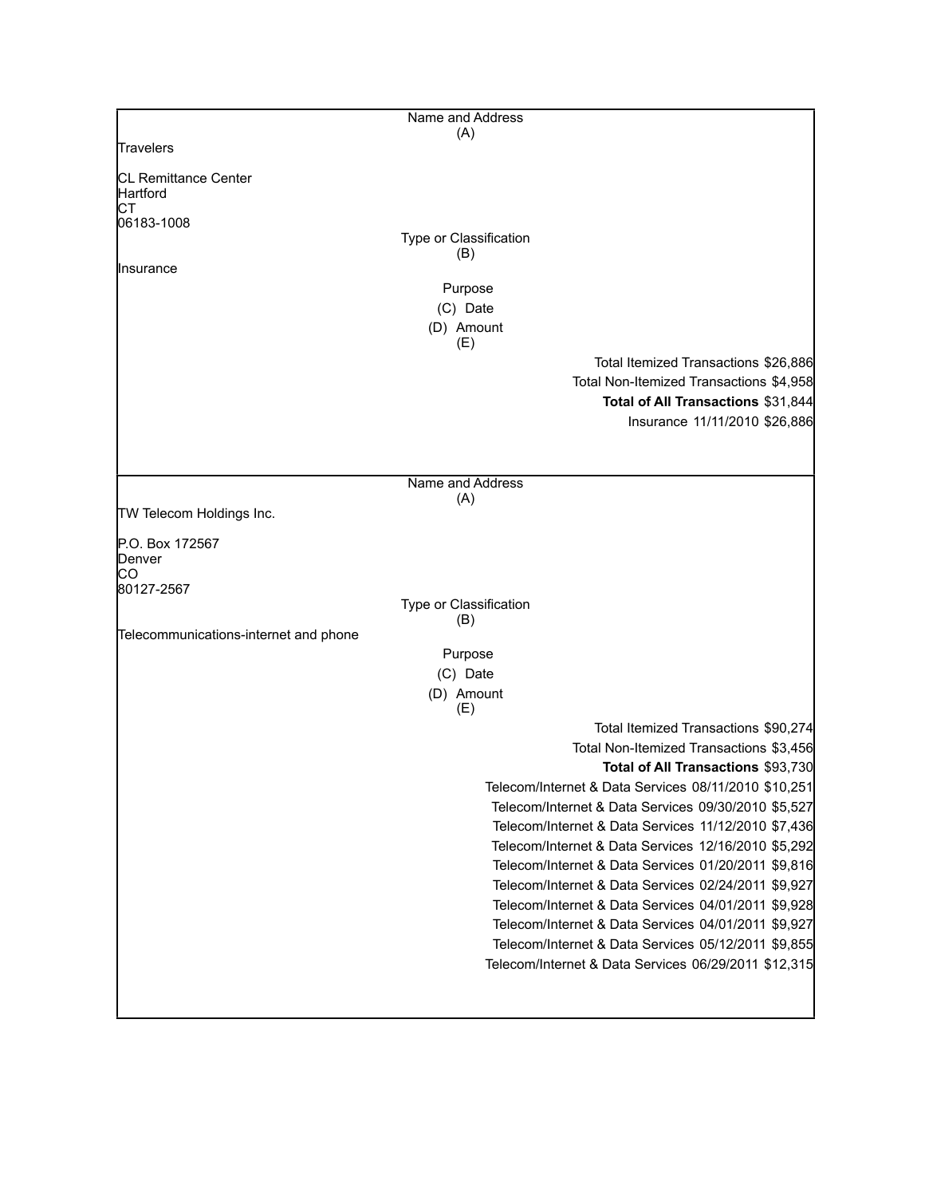|                                       | Name and Address                                                                           |
|---------------------------------------|--------------------------------------------------------------------------------------------|
| Travelers                             | (A)                                                                                        |
|                                       |                                                                                            |
| CL Remittance Center<br>Hartford      |                                                                                            |
| СT<br>06183-1008                      |                                                                                            |
|                                       | Type or Classification<br>(B)                                                              |
| Insurance                             |                                                                                            |
|                                       | Purpose                                                                                    |
|                                       | (C) Date                                                                                   |
|                                       | (D) Amount<br>(E)                                                                          |
|                                       | Total Itemized Transactions \$26,886                                                       |
|                                       | Total Non-Itemized Transactions \$4,958                                                    |
|                                       | Total of All Transactions \$31,844                                                         |
|                                       | Insurance 11/11/2010 \$26,886                                                              |
|                                       |                                                                                            |
|                                       | Name and Address                                                                           |
|                                       | (A)                                                                                        |
| TW Telecom Holdings Inc.              |                                                                                            |
| P.O. Box 172567                       |                                                                                            |
| Denver                                |                                                                                            |
| CO<br>80127-2567                      |                                                                                            |
|                                       | Type or Classification                                                                     |
| Telecommunications-internet and phone | (B)                                                                                        |
|                                       | Purpose                                                                                    |
|                                       | (C) Date                                                                                   |
|                                       | (D) Amount                                                                                 |
|                                       | (E)                                                                                        |
|                                       | Total Itemized Transactions \$90,274                                                       |
|                                       | Total Non-Itemized Transactions \$3,456                                                    |
|                                       | Total of All Transactions \$93,730<br>Telecom/Internet & Data Services 08/11/2010 \$10,251 |
|                                       | Telecom/Internet & Data Services 09/30/2010 \$5,527                                        |
|                                       | Telecom/Internet & Data Services 11/12/2010 \$7,436                                        |
|                                       | Telecom/Internet & Data Services 12/16/2010 \$5,292                                        |
|                                       | Telecom/Internet & Data Services 01/20/2011 \$9,816                                        |
|                                       | Telecom/Internet & Data Services 02/24/2011 \$9,927                                        |
|                                       | Telecom/Internet & Data Services 04/01/2011 \$9,928                                        |
|                                       | Telecom/Internet & Data Services 04/01/2011 \$9,927                                        |
|                                       | Telecom/Internet & Data Services 05/12/2011 \$9,855                                        |
|                                       | Telecom/Internet & Data Services 06/29/2011 \$12,315                                       |
|                                       |                                                                                            |
|                                       |                                                                                            |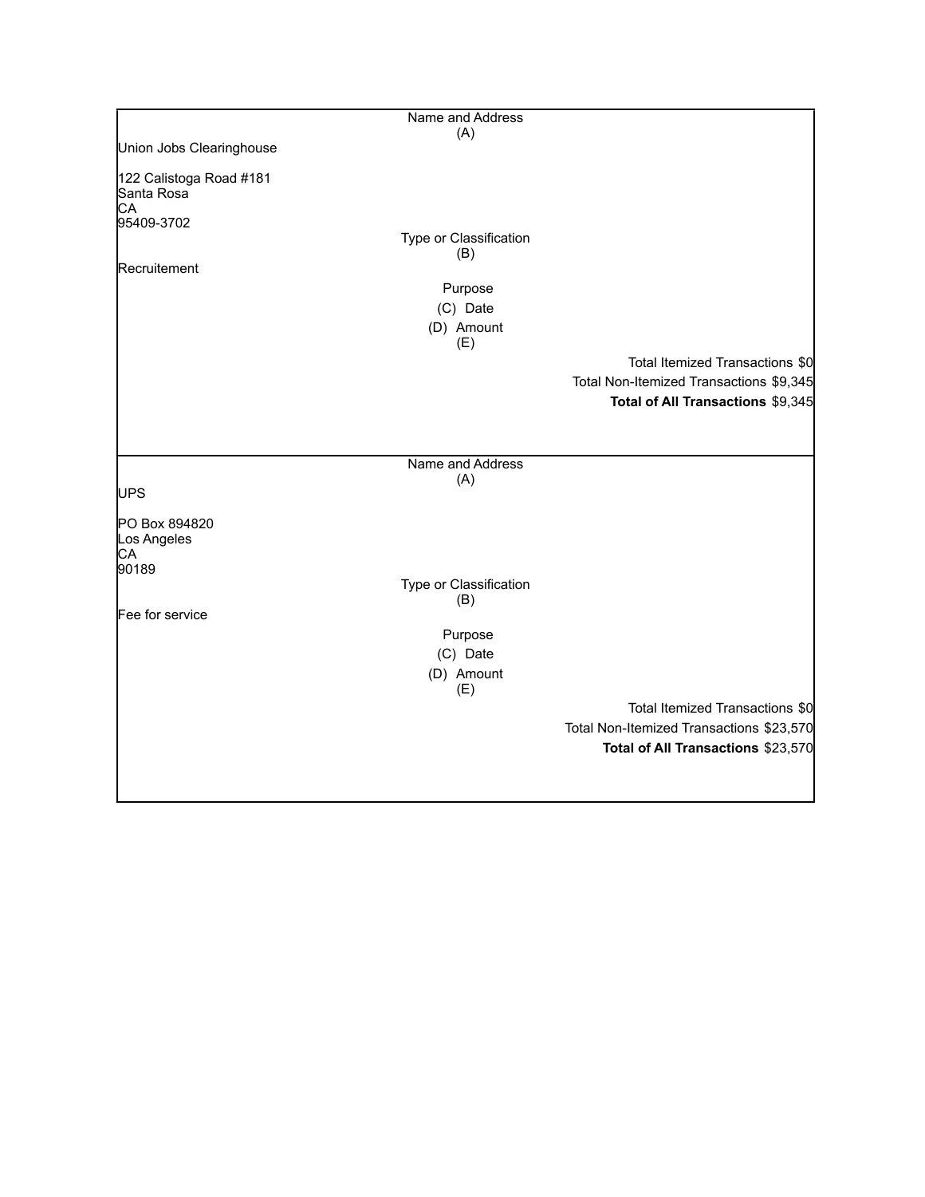|                                                           | Name and Address       |                                          |
|-----------------------------------------------------------|------------------------|------------------------------------------|
|                                                           | (A)                    |                                          |
| Union Jobs Clearinghouse                                  |                        |                                          |
| 122 Calistoga Road #181<br>Santa Rosa<br>CA<br>95409-3702 | Type or Classification |                                          |
|                                                           | (B)                    |                                          |
| Recruitement                                              |                        |                                          |
|                                                           | Purpose                |                                          |
|                                                           | (C) Date               |                                          |
|                                                           | (D) Amount<br>(E)      |                                          |
|                                                           |                        | Total Itemized Transactions \$0          |
|                                                           |                        | Total Non-Itemized Transactions \$9,345  |
|                                                           |                        | Total of All Transactions \$9,345        |
|                                                           |                        |                                          |
|                                                           | Name and Address       |                                          |
| UPS                                                       | (A)                    |                                          |
| PO Box 894820<br>Los Angeles<br>CA                        |                        |                                          |
| 90189                                                     | Type or Classification |                                          |
| Fee for service                                           | (B)                    |                                          |
|                                                           | Purpose                |                                          |
|                                                           | (C) Date               |                                          |
|                                                           | (D) Amount             |                                          |
|                                                           | (E)                    |                                          |
|                                                           |                        | Total Itemized Transactions \$0          |
|                                                           |                        | Total Non-Itemized Transactions \$23,570 |
|                                                           |                        | Total of All Transactions \$23,570       |
|                                                           |                        |                                          |
|                                                           |                        |                                          |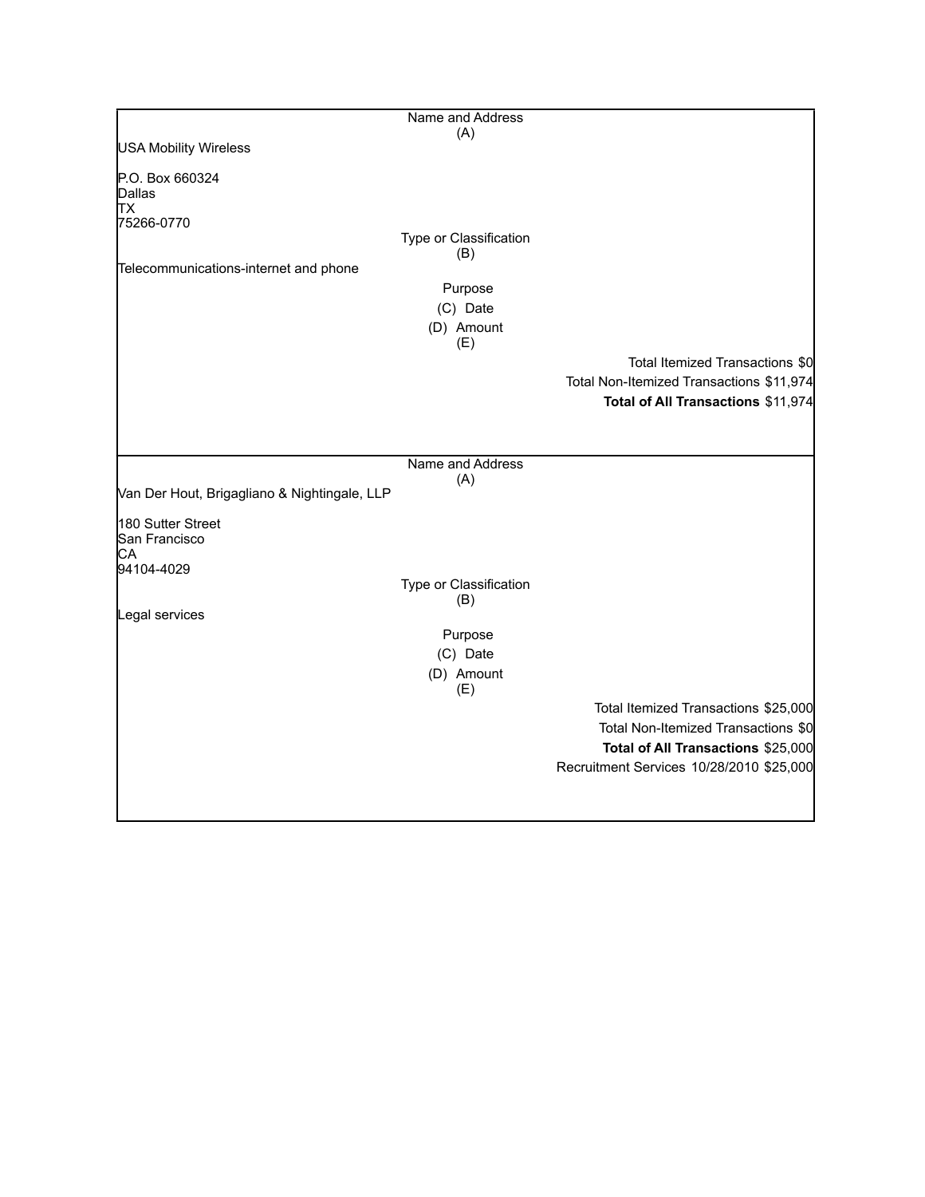|                                              | Name and Address              |                                          |
|----------------------------------------------|-------------------------------|------------------------------------------|
|                                              | (A)                           |                                          |
| <b>USA Mobility Wireless</b>                 |                               |                                          |
| P.O. Box 660324                              |                               |                                          |
| Dallas                                       |                               |                                          |
| <b>TX</b><br>75266-0770                      |                               |                                          |
|                                              | Type or Classification        |                                          |
|                                              | (B)                           |                                          |
| Telecommunications-internet and phone        |                               |                                          |
|                                              | Purpose                       |                                          |
|                                              | (C) Date                      |                                          |
|                                              | (D) Amount                    |                                          |
|                                              | (E)                           | Total Itemized Transactions \$0          |
|                                              |                               |                                          |
|                                              |                               | Total Non-Itemized Transactions \$11,974 |
|                                              |                               | Total of All Transactions \$11,974       |
|                                              |                               |                                          |
|                                              |                               |                                          |
|                                              | Name and Address<br>(A)       |                                          |
| Van Der Hout, Brigagliano & Nightingale, LLP |                               |                                          |
| 180 Sutter Street                            |                               |                                          |
| San Francisco                                |                               |                                          |
| CA                                           |                               |                                          |
| 94104-4029                                   |                               |                                          |
|                                              | Type or Classification<br>(B) |                                          |
| Legal services                               |                               |                                          |
|                                              | Purpose                       |                                          |
|                                              | (C) Date                      |                                          |
|                                              | (D) Amount                    |                                          |
|                                              | (E)                           |                                          |
|                                              |                               | Total Itemized Transactions \$25,000     |
|                                              |                               | Total Non-Itemized Transactions \$0      |
|                                              |                               | Total of All Transactions \$25,000       |
|                                              |                               | Recruitment Services 10/28/2010 \$25,000 |
|                                              |                               |                                          |
|                                              |                               |                                          |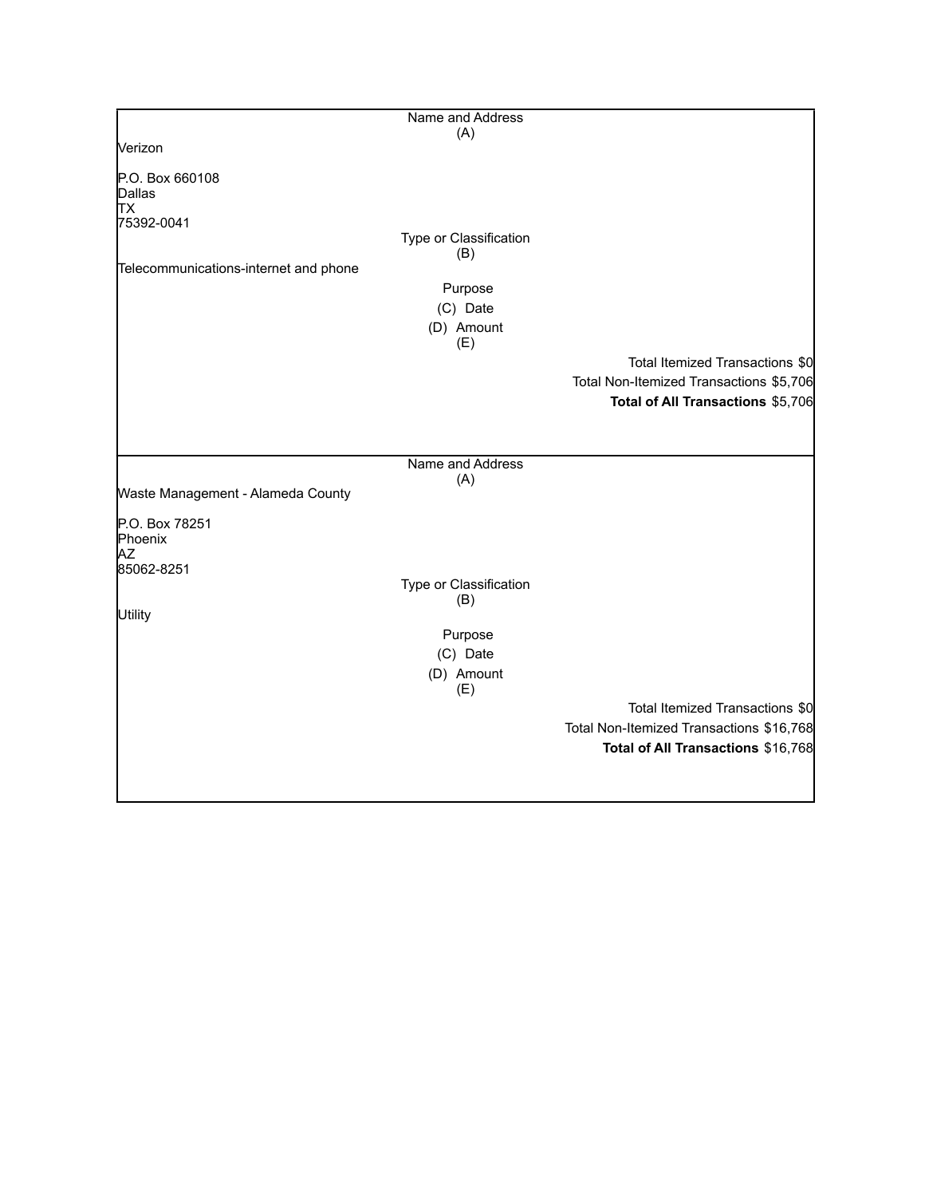|                                                | Name and Address              |                                          |
|------------------------------------------------|-------------------------------|------------------------------------------|
|                                                | (A)                           |                                          |
| Verizon                                        |                               |                                          |
| P.O. Box 660108<br>Dallas<br>lтx<br>75392-0041 | Type or Classification<br>(B) |                                          |
| Telecommunications-internet and phone          |                               |                                          |
|                                                | Purpose<br>(C) Date           |                                          |
|                                                | (D) Amount<br>(E)             |                                          |
|                                                |                               | Total Itemized Transactions \$0          |
|                                                |                               | Total Non-Itemized Transactions \$5,706  |
|                                                |                               | Total of All Transactions \$5,706        |
|                                                |                               |                                          |
|                                                | Name and Address<br>(A)       |                                          |
| Waste Management - Alameda County              |                               |                                          |
| P.O. Box 78251<br>Phoenix<br>ΑZ                |                               |                                          |
| 85062-8251                                     | Type or Classification        |                                          |
|                                                | (B)                           |                                          |
| Utility                                        |                               |                                          |
|                                                | Purpose<br>(C) Date           |                                          |
|                                                | (D) Amount                    |                                          |
|                                                | (E)                           |                                          |
|                                                |                               | Total Itemized Transactions \$0          |
|                                                |                               | Total Non-Itemized Transactions \$16,768 |
|                                                |                               | Total of All Transactions \$16,768       |
|                                                |                               |                                          |
|                                                |                               |                                          |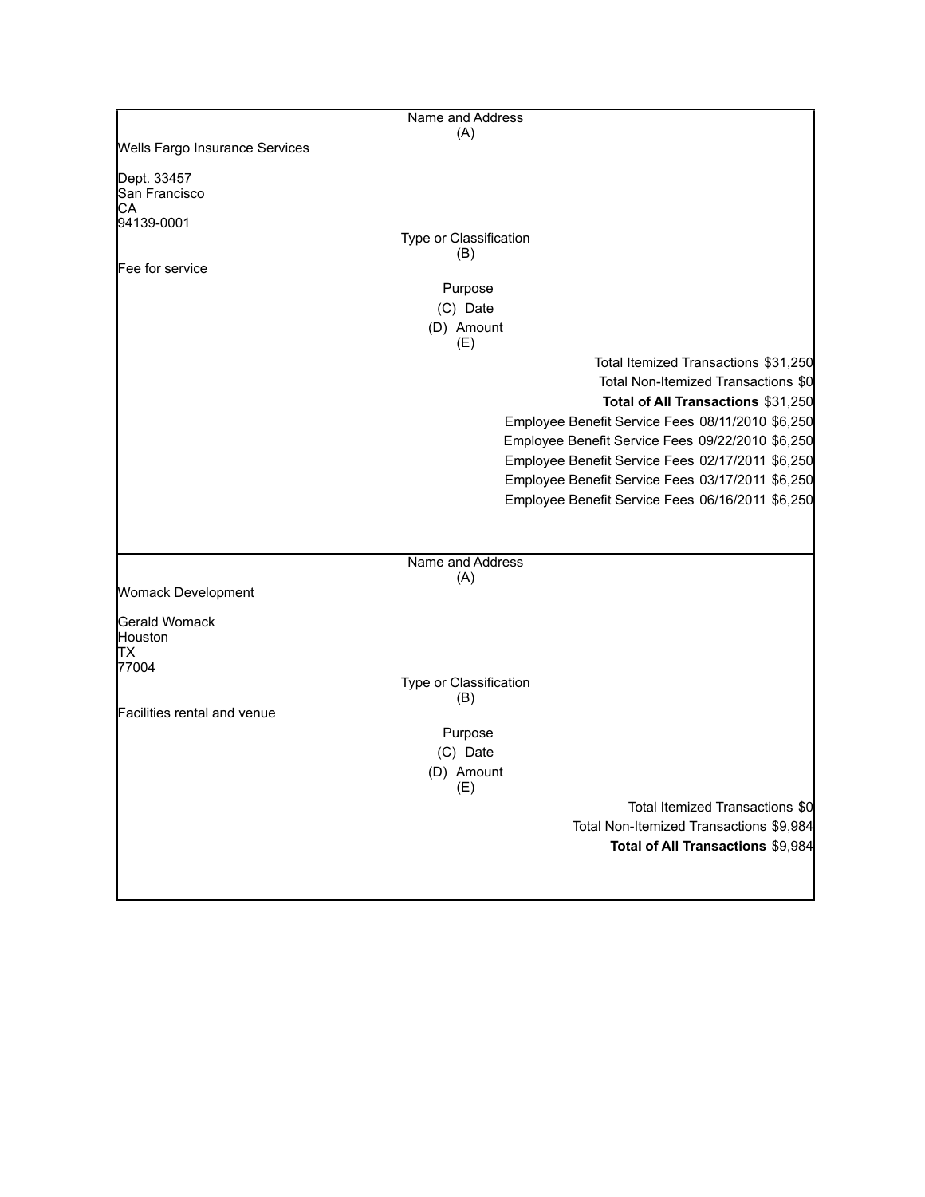|                                | Name and Address                                 |
|--------------------------------|--------------------------------------------------|
| Wells Fargo Insurance Services | (A)                                              |
|                                |                                                  |
| Dept. 33457                    |                                                  |
| San Francisco<br>CА            |                                                  |
| 94139-0001                     |                                                  |
|                                | Type or Classification                           |
| Fee for service                | (B)                                              |
|                                | Purpose                                          |
|                                | (C) Date                                         |
|                                | (D) Amount                                       |
|                                | (E)                                              |
|                                | Total Itemized Transactions \$31,250             |
|                                | Total Non-Itemized Transactions \$0              |
|                                | Total of All Transactions \$31,250               |
|                                | Employee Benefit Service Fees 08/11/2010 \$6,250 |
|                                | Employee Benefit Service Fees 09/22/2010 \$6,250 |
|                                | Employee Benefit Service Fees 02/17/2011 \$6,250 |
|                                | Employee Benefit Service Fees 03/17/2011 \$6,250 |
|                                | Employee Benefit Service Fees 06/16/2011 \$6,250 |
|                                |                                                  |
|                                |                                                  |
|                                | Name and Address                                 |
| Womack Development             | (A)                                              |
|                                |                                                  |
| Gerald Womack                  |                                                  |
| Houston<br>ΙTΧ                 |                                                  |
| 77004                          |                                                  |
|                                | Type or Classification                           |
| Facilities rental and venue    | (B)                                              |
|                                | Purpose                                          |
|                                | (C) Date                                         |
|                                | (D) Amount                                       |
|                                | (E)                                              |
|                                | Total Itemized Transactions \$0                  |
|                                | Total Non-Itemized Transactions \$9,984          |
|                                | Total of All Transactions \$9,984                |
|                                |                                                  |
|                                |                                                  |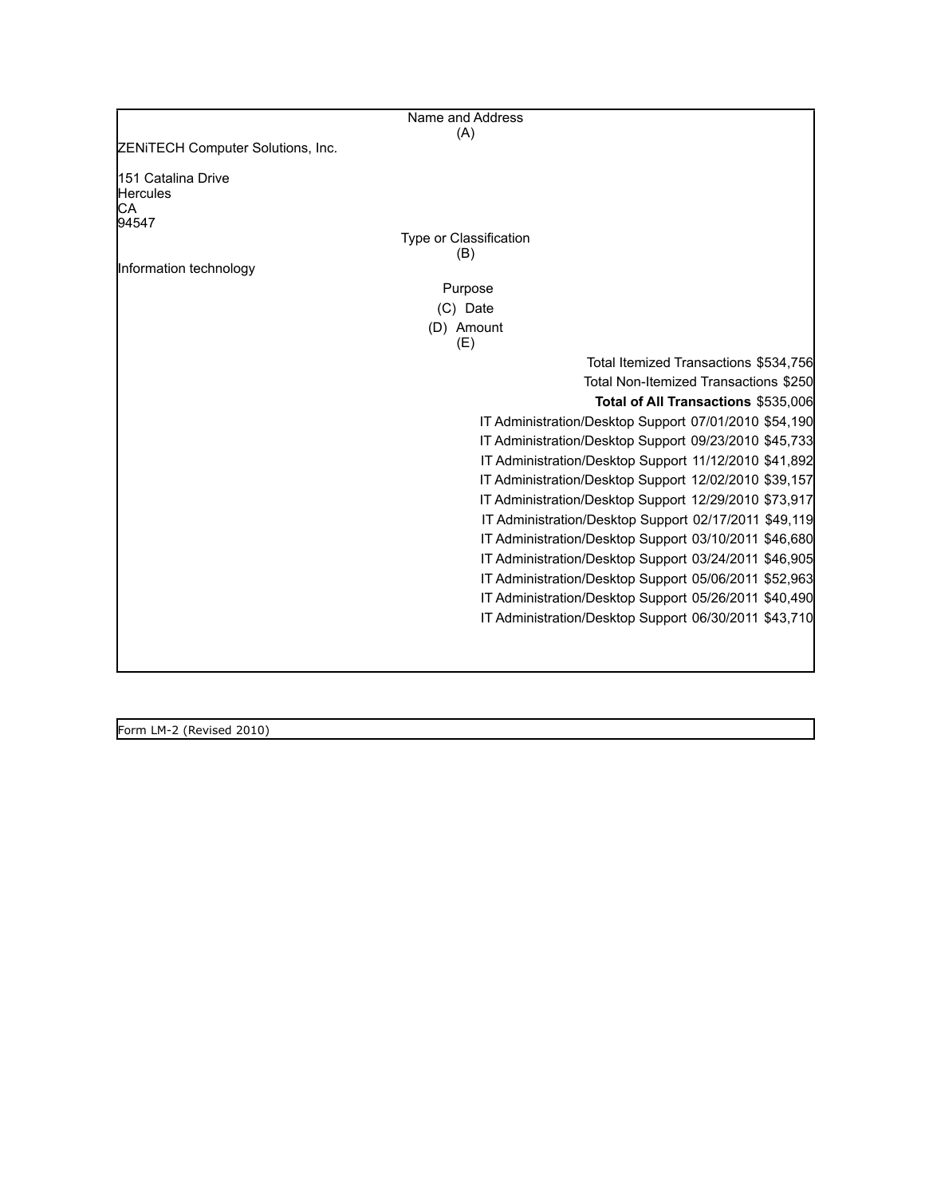| Name and Address                                   |                                                       |
|----------------------------------------------------|-------------------------------------------------------|
| (A)                                                |                                                       |
| ZENITECH Computer Solutions, Inc.                  |                                                       |
| <b>151 Catalina Drive</b><br><b>Hercules</b><br>CА |                                                       |
| 94547                                              |                                                       |
| Type or Classification                             |                                                       |
| (B)                                                |                                                       |
| Information technology                             |                                                       |
| Purpose                                            |                                                       |
| (C) Date                                           |                                                       |
| (D) Amount                                         |                                                       |
| (E)                                                |                                                       |
|                                                    | Total Itemized Transactions \$534,756                 |
|                                                    | Total Non-Itemized Transactions \$250                 |
|                                                    | Total of All Transactions \$535,006                   |
|                                                    | IT Administration/Desktop Support 07/01/2010 \$54,190 |
|                                                    | IT Administration/Desktop Support 09/23/2010 \$45,733 |
|                                                    | IT Administration/Desktop Support 11/12/2010 \$41,892 |
|                                                    | IT Administration/Desktop Support 12/02/2010 \$39,157 |
|                                                    | IT Administration/Desktop Support 12/29/2010 \$73,917 |
|                                                    | IT Administration/Desktop Support 02/17/2011 \$49,119 |
|                                                    | IT Administration/Desktop Support 03/10/2011 \$46,680 |
|                                                    | IT Administration/Desktop Support 03/24/2011 \$46,905 |
|                                                    | IT Administration/Desktop Support 05/06/2011 \$52,963 |
|                                                    |                                                       |
|                                                    | IT Administration/Desktop Support 05/26/2011 \$40,490 |
|                                                    | IT Administration/Desktop Support 06/30/2011 \$43,710 |
|                                                    |                                                       |
|                                                    |                                                       |

Form LM-2 (Revised 2010)

H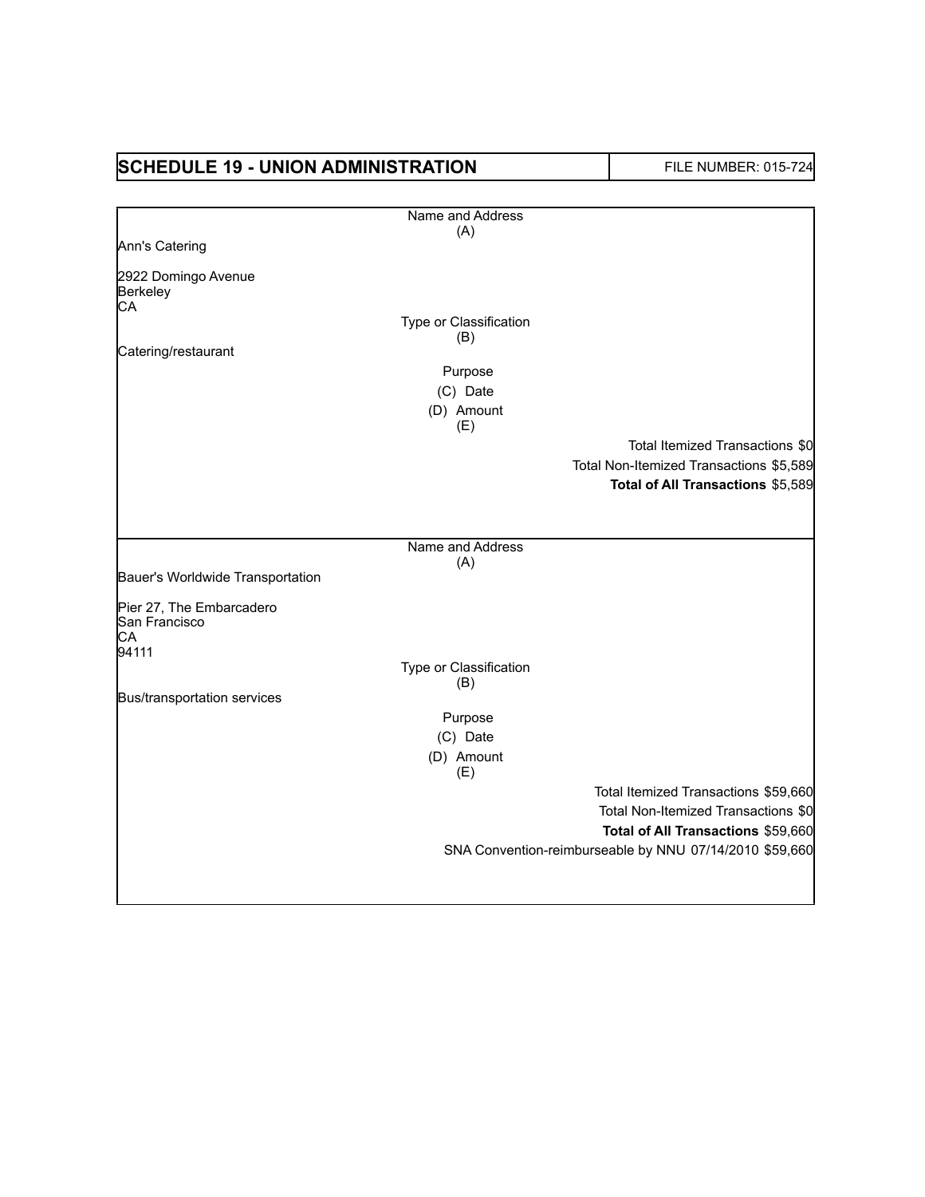| <b>SCHEDULE 19 - UNION ADMINISTRATION</b> |                               | FILE NUMBER: 015-724                                    |
|-------------------------------------------|-------------------------------|---------------------------------------------------------|
|                                           | Name and Address              |                                                         |
|                                           | (A)                           |                                                         |
| Ann's Catering                            |                               |                                                         |
| 2922 Domingo Avenue                       |                               |                                                         |
| Berkeley                                  |                               |                                                         |
| СA                                        |                               |                                                         |
|                                           | Type or Classification<br>(B) |                                                         |
| Catering/restaurant                       |                               |                                                         |
|                                           | Purpose                       |                                                         |
|                                           | (C) Date                      |                                                         |
|                                           | (D) Amount                    |                                                         |
|                                           | (E)                           |                                                         |
|                                           |                               | Total Itemized Transactions \$0                         |
|                                           |                               | Total Non-Itemized Transactions \$5,589                 |
|                                           |                               | Total of All Transactions \$5,589                       |
|                                           |                               |                                                         |
|                                           |                               |                                                         |
|                                           | Name and Address              |                                                         |
|                                           | (A)                           |                                                         |
| Bauer's Worldwide Transportation          |                               |                                                         |
| Pier 27, The Embarcadero                  |                               |                                                         |
| San Francisco                             |                               |                                                         |
| СA                                        |                               |                                                         |
| 94111                                     | Type or Classification        |                                                         |
|                                           | (B)                           |                                                         |
| Bus/transportation services               |                               |                                                         |
|                                           | Purpose                       |                                                         |
|                                           | (C) Date                      |                                                         |
|                                           | (D) Amount                    |                                                         |
|                                           | (E)                           |                                                         |
|                                           |                               | Total Itemized Transactions \$59,660                    |
|                                           |                               | Total Non-Itemized Transactions \$0                     |
|                                           |                               | Total of All Transactions \$59,660                      |
|                                           |                               | SNA Convention-reimburseable by NNU 07/14/2010 \$59,660 |
|                                           |                               |                                                         |
|                                           |                               |                                                         |
|                                           |                               |                                                         |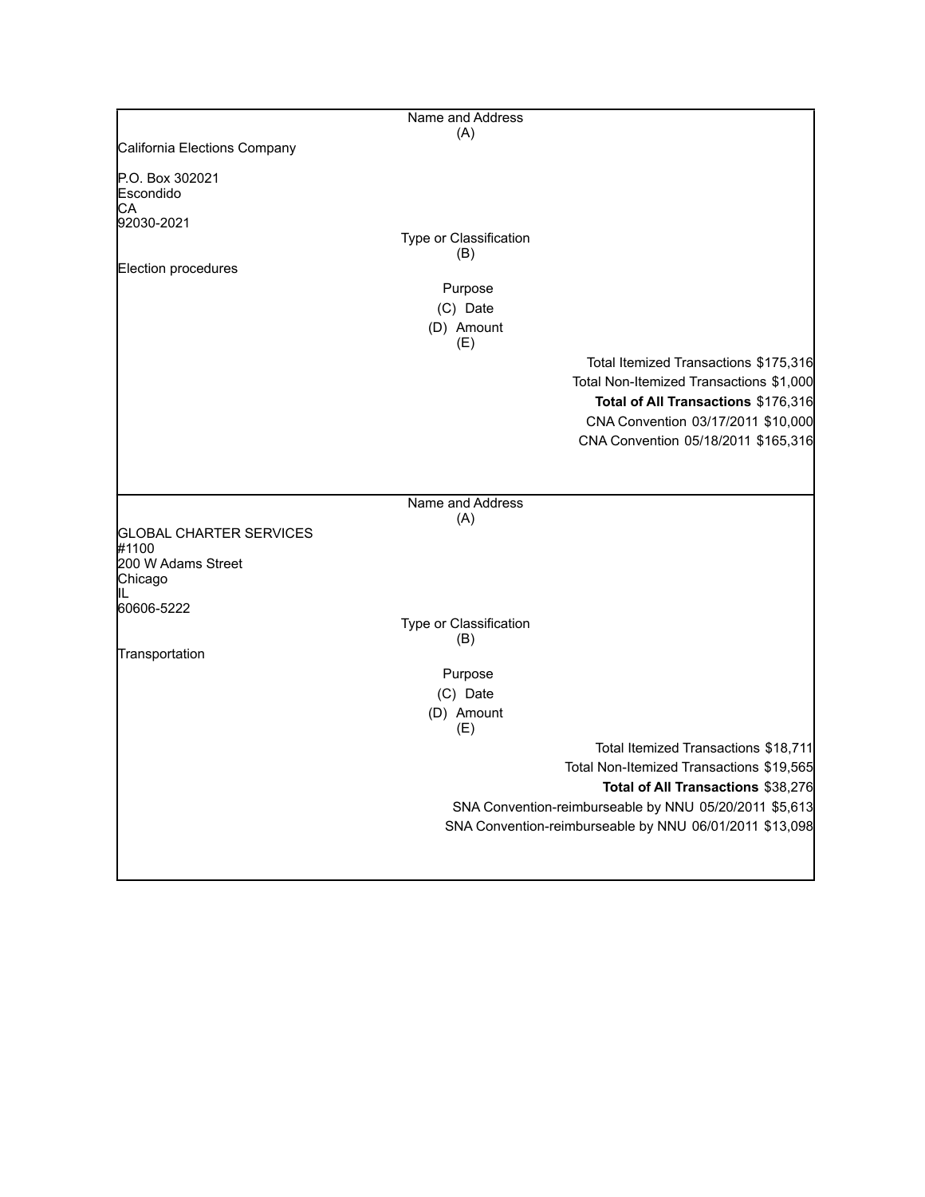|                                | Name and Address              |                                                         |
|--------------------------------|-------------------------------|---------------------------------------------------------|
|                                | (A)                           |                                                         |
| California Elections Company   |                               |                                                         |
| P.O. Box 302021<br>Escondido   |                               |                                                         |
| СA                             |                               |                                                         |
| 92030-2021                     |                               |                                                         |
|                                | Type or Classification<br>(B) |                                                         |
| Election procedures            |                               |                                                         |
|                                | Purpose                       |                                                         |
|                                | (C) Date                      |                                                         |
|                                |                               |                                                         |
|                                | (D) Amount<br>(E)             |                                                         |
|                                |                               | Total Itemized Transactions \$175,316                   |
|                                |                               |                                                         |
|                                |                               | Total Non-Itemized Transactions \$1,000                 |
|                                |                               | Total of All Transactions \$176,316                     |
|                                |                               | CNA Convention 03/17/2011 \$10,000                      |
|                                |                               | CNA Convention 05/18/2011 \$165,316                     |
|                                |                               |                                                         |
|                                |                               |                                                         |
|                                | Name and Address              |                                                         |
|                                | (A)                           |                                                         |
| <b>GLOBAL CHARTER SERVICES</b> |                               |                                                         |
| #1100<br>200 W Adams Street    |                               |                                                         |
| Chicago                        |                               |                                                         |
|                                |                               |                                                         |
| 60606-5222                     |                               |                                                         |
|                                | Type or Classification        |                                                         |
|                                | (B)                           |                                                         |
| Transportation                 |                               |                                                         |
|                                | Purpose                       |                                                         |
|                                | (C) Date                      |                                                         |
|                                | (D) Amount                    |                                                         |
|                                | (E)                           |                                                         |
|                                |                               | Total Itemized Transactions \$18,711                    |
|                                |                               | Total Non-Itemized Transactions \$19,565                |
|                                |                               | Total of All Transactions \$38,276                      |
|                                |                               | SNA Convention-reimburseable by NNU 05/20/2011 \$5,613  |
|                                |                               | SNA Convention-reimburseable by NNU 06/01/2011 \$13,098 |
|                                |                               |                                                         |
|                                |                               |                                                         |

L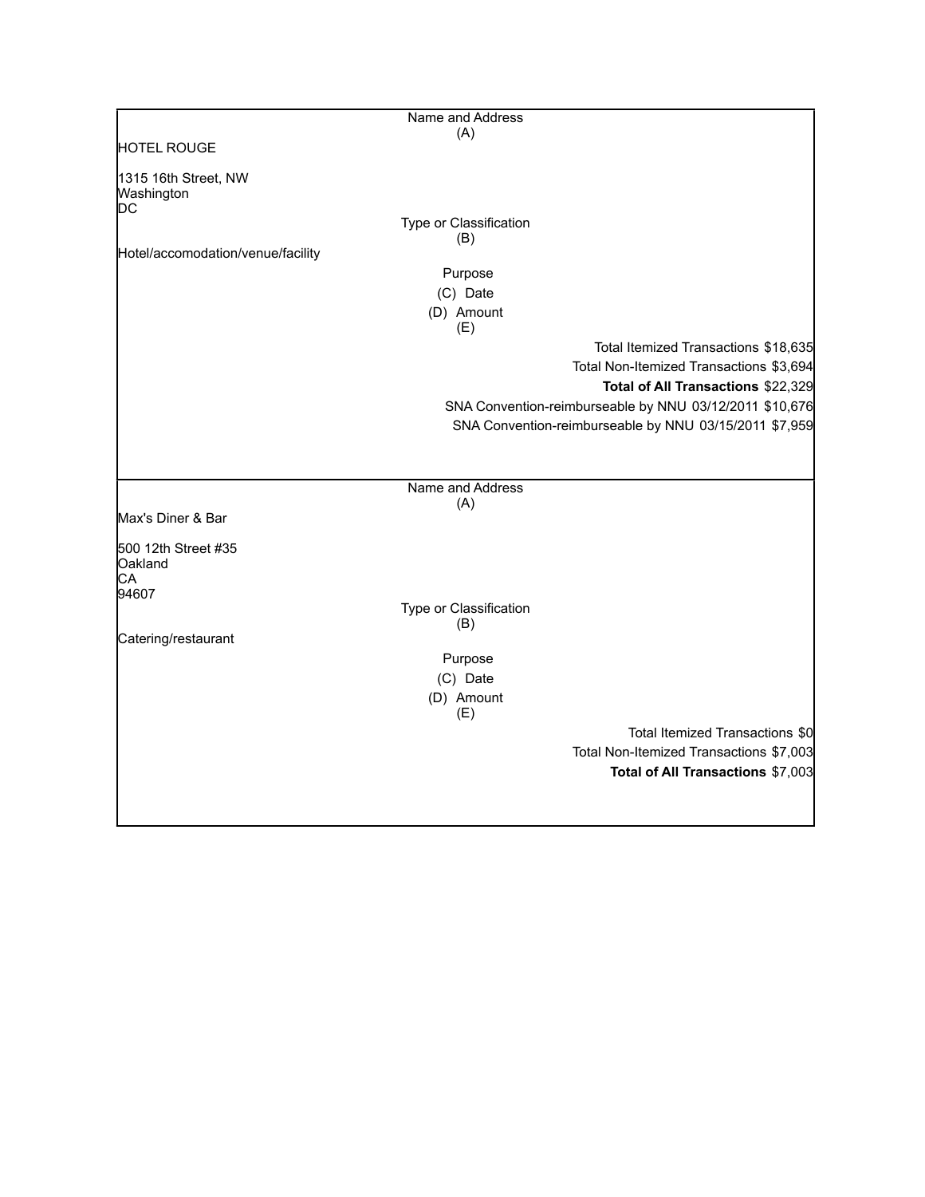|                                          | Name and Address       |                                                         |
|------------------------------------------|------------------------|---------------------------------------------------------|
|                                          | (A)                    |                                                         |
| <b>HOTEL ROUGE</b>                       |                        |                                                         |
| 1315 16th Street, NW<br>Washington<br>DC |                        |                                                         |
|                                          | Type or Classification |                                                         |
|                                          | (B)                    |                                                         |
| Hotel/accomodation/venue/facility        |                        |                                                         |
|                                          | Purpose                |                                                         |
|                                          | (C) Date               |                                                         |
|                                          | (D) Amount<br>(E)      |                                                         |
|                                          |                        | Total Itemized Transactions \$18,635                    |
|                                          |                        | Total Non-Itemized Transactions \$3,694                 |
|                                          |                        | Total of All Transactions \$22,329                      |
|                                          |                        | SNA Convention-reimburseable by NNU 03/12/2011 \$10,676 |
|                                          |                        | SNA Convention-reimburseable by NNU 03/15/2011 \$7,959  |
|                                          |                        |                                                         |
|                                          |                        |                                                         |
|                                          | Name and Address       |                                                         |
|                                          | (A)                    |                                                         |
| Max's Diner & Bar                        |                        |                                                         |
| 500 12th Street #35                      |                        |                                                         |
| Oakland                                  |                        |                                                         |
| CA                                       |                        |                                                         |
| 94607                                    | Type or Classification |                                                         |
|                                          | (B)                    |                                                         |
| Catering/restaurant                      |                        |                                                         |
|                                          | Purpose                |                                                         |
|                                          | (C) Date               |                                                         |
|                                          | (D) Amount             |                                                         |
|                                          | (E)                    |                                                         |
|                                          |                        | Total Itemized Transactions \$0                         |
|                                          |                        | Total Non-Itemized Transactions \$7,003                 |
|                                          |                        | Total of All Transactions \$7,003                       |
|                                          |                        |                                                         |
|                                          |                        |                                                         |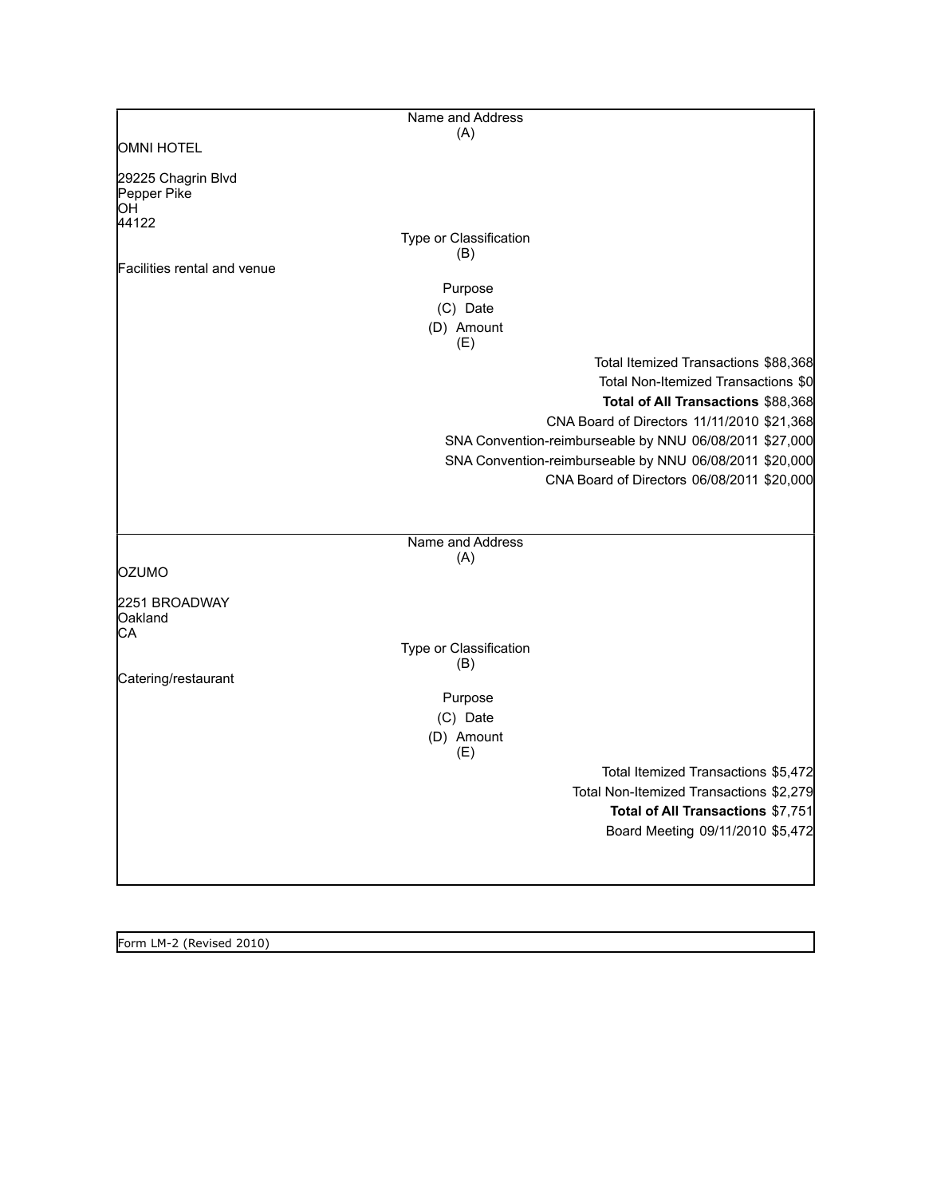|                                         | Name and Address                                        |  |
|-----------------------------------------|---------------------------------------------------------|--|
|                                         | (A)                                                     |  |
| <b>OMNI HOTEL</b>                       |                                                         |  |
| 29225 Chagrin Blvd<br>Pepper Pike<br>OН |                                                         |  |
| 44122                                   | Type or Classification                                  |  |
|                                         | (B)                                                     |  |
| Facilities rental and venue             |                                                         |  |
|                                         | Purpose                                                 |  |
|                                         | (C) Date                                                |  |
|                                         | (D) Amount<br>(E)                                       |  |
|                                         | Total Itemized Transactions \$88,368                    |  |
|                                         | Total Non-Itemized Transactions \$0                     |  |
|                                         | Total of All Transactions \$88,368                      |  |
|                                         | CNA Board of Directors 11/11/2010 \$21,368              |  |
|                                         | SNA Convention-reimburseable by NNU 06/08/2011 \$27,000 |  |
|                                         | SNA Convention-reimburseable by NNU 06/08/2011 \$20,000 |  |
|                                         | CNA Board of Directors 06/08/2011 \$20,000              |  |
|                                         |                                                         |  |
|                                         |                                                         |  |
|                                         | Name and Address                                        |  |
| OZUMO                                   | (A)                                                     |  |
|                                         |                                                         |  |
| 2251 BROADWAY<br>Oakland<br>СA          |                                                         |  |
|                                         | Type or Classification<br>(B)                           |  |
| Catering/restaurant                     |                                                         |  |
|                                         | Purpose                                                 |  |
|                                         | (C) Date                                                |  |
|                                         | (D) Amount                                              |  |
|                                         | (E)                                                     |  |
|                                         | Total Itemized Transactions \$5,472                     |  |
|                                         | Total Non-Itemized Transactions \$2,279                 |  |
|                                         | Total of All Transactions \$7,751                       |  |
|                                         | Board Meeting 09/11/2010 \$5,472                        |  |
|                                         |                                                         |  |
|                                         |                                                         |  |

Form LM-2 (Revised 2010)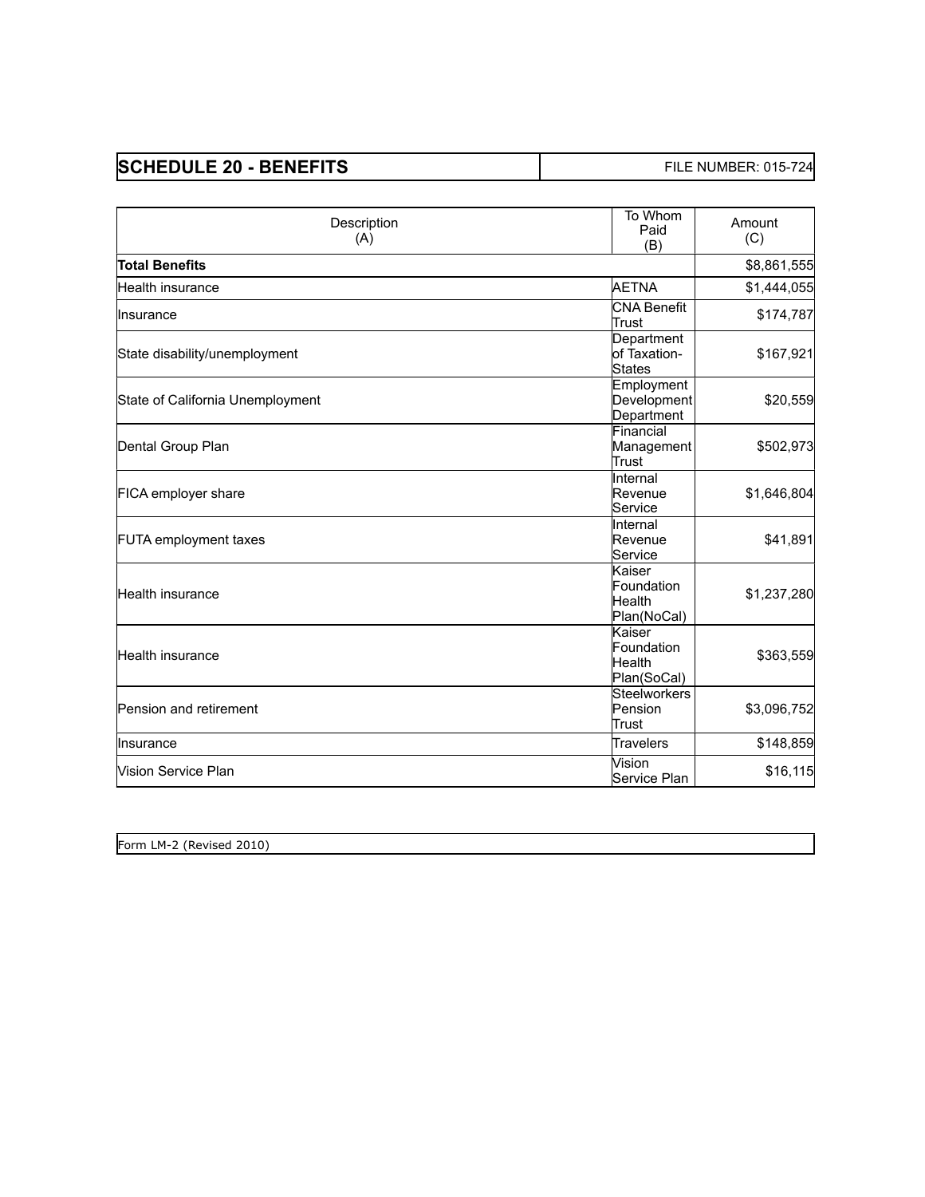| <b>SCHEDULE 20 - BENEFITS</b> | <b>FILE NUMBER: 015-724</b> |
|-------------------------------|-----------------------------|
|-------------------------------|-----------------------------|

| Description<br>(A)               | To Whom<br>Paid<br>(B)                         | Amount<br>(C) |
|----------------------------------|------------------------------------------------|---------------|
| <b>Total Benefits</b>            |                                                | \$8,861,555   |
| lHealth insurance                | AETNA                                          | \$1,444,055   |
| llnsurance                       | lCNA Benefit<br>Trust                          | \$174,787     |
| State disability/unemployment    | Department<br>of Taxation-<br><b>States</b>    | \$167,921     |
| State of California Unemployment | Employment<br>Development<br>Department        | \$20,559      |
| Dental Group Plan                | Financial<br>Management<br>Trust               | \$502,973     |
| FICA employer share              | linternal<br>Revenue<br>lService               | \$1,646,804   |
| <b>FUTA</b> employment taxes     | llnternal<br>Revenue<br>Service                | \$41,891      |
| lHealth insurance                | Kaiser<br>Foundation<br>lHealth<br>Plan(NoCal) | \$1,237,280   |
| Health insurance                 | Kaiser<br>Foundation<br>Health<br>Plan(SoCal)  | \$363,559     |
| <b>Pension and retirement</b>    | Steelworkers<br>Pension<br>lTrust              | \$3,096,752   |
| llnsurance                       | <b>Travelers</b>                               | \$148,859     |
| Wision Service Plan              | Vision<br>lService Plan                        | \$16,115      |

| Form LM-<br>(Revised 2010) |  |  |
|----------------------------|--|--|
| <u>.</u>                   |  |  |